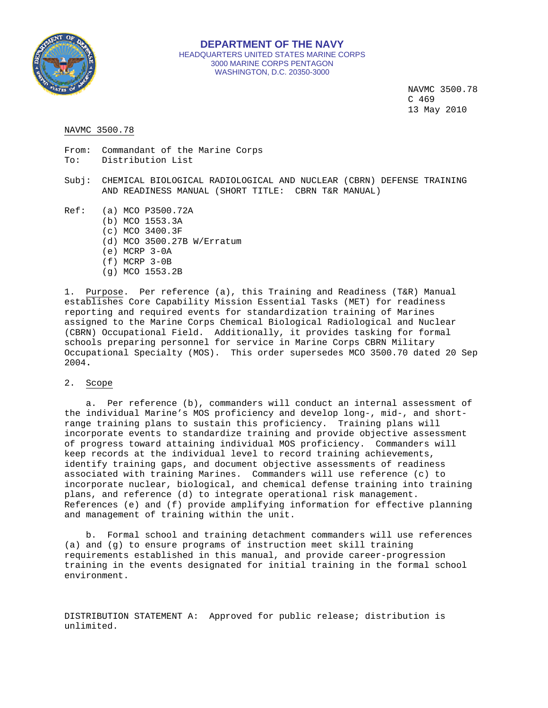

# **DEPARTMENT OF THE NAVY**  HEADQUARTERS UNITED STATES MARINE CORPS 3000 MARINE CORPS PENTAGON WASHINGTON, D.C. 20350-3000

 NAVMC 3500.78  $\sim$  469 13 May 2010

# NAVMC 3500.78

- From: Commandant of the Marine Corps To: Distribution List
- Subj: CHEMICAL BIOLOGICAL RADIOLOGICAL AND NUCLEAR (CBRN) DEFENSE TRAINING AND READINESS MANUAL (SHORT TITLE: CBRN T&R MANUAL)
- Ref: (a) MCO P3500.72A
	- (b) MCO 1553.3A
	- (c) MCO 3400.3F
	- (d) MCO 3500.27B W/Erratum
	- (e) MCRP 3-0A
	- (f) MCRP 3-0B
	- (g) MCO 1553.2B

1. Purpose. Per reference (a), this Training and Readiness (T&R) Manual establishes Core Capability Mission Essential Tasks (MET) for readiness reporting and required events for standardization training of Marines assigned to the Marine Corps Chemical Biological Radiological and Nuclear (CBRN) Occupational Field. Additionally, it provides tasking for formal schools preparing personnel for service in Marine Corps CBRN Military Occupational Specialty (MOS). This order supersedes MCO 3500.70 dated 20 Sep 2004**.**

# 2. Scope

 a. Per reference (b), commanders will conduct an internal assessment of the individual Marine's MOS proficiency and develop long-, mid-, and shortrange training plans to sustain this proficiency. Training plans will incorporate events to standardize training and provide objective assessment of progress toward attaining individual MOS proficiency. Commanders will keep records at the individual level to record training achievements, identify training gaps, and document objective assessments of readiness associated with training Marines. Commanders will use reference (c) to incorporate nuclear, biological, and chemical defense training into training plans, and reference (d) to integrate operational risk management. References (e) and (f) provide amplifying information for effective planning and management of training within the unit.

 b. Formal school and training detachment commanders will use references (a) and (g) to ensure programs of instruction meet skill training requirements established in this manual, and provide career-progression training in the events designated for initial training in the formal school environment.

DISTRIBUTION STATEMENT A: Approved for public release; distribution is unlimited.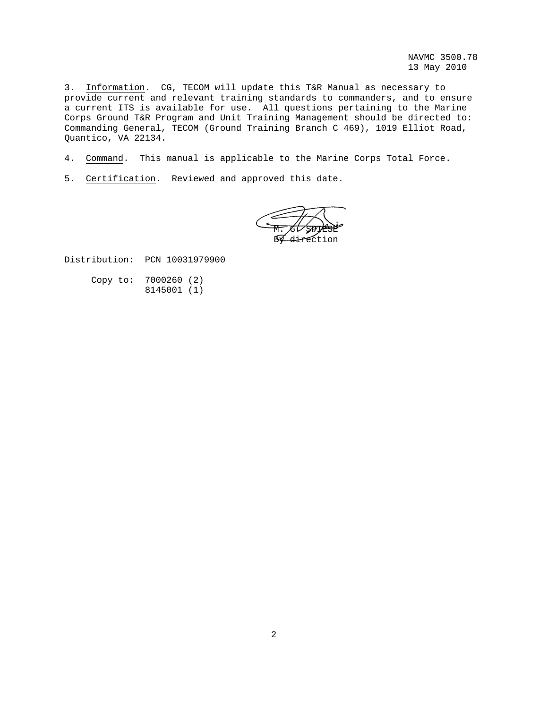3. Information. CG, TECOM will update this T&R Manual as necessary to provide current and relevant training standards to commanders, and to ensure a current ITS is available for use. All questions pertaining to the Marine Corps Ground T&R Program and Unit Training Management should be directed to: Commanding General, TECOM (Ground Training Branch C 469), 1019 Elliot Road, Quantico, VA 22134.

4. Command. This manual is applicable to the Marine Corps Total Force.

5. Certification. Reviewed and approved this date.



Distribution: PCN 10031979900

 Copy to: 7000260 (2) 8145001 (1)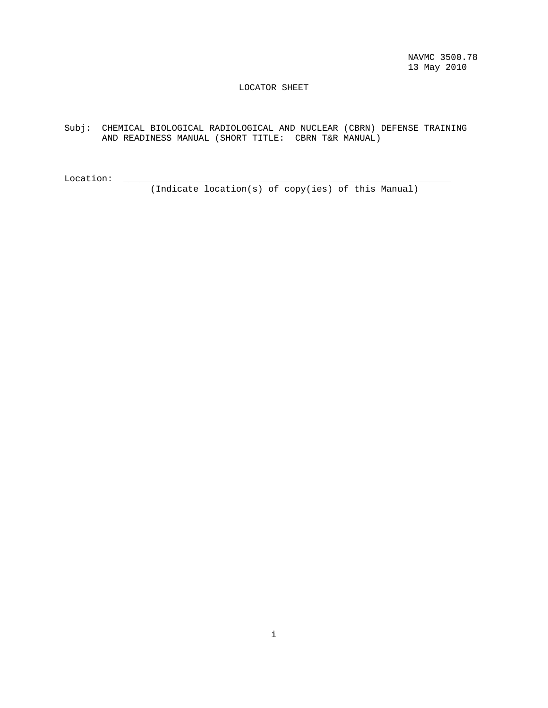# LOCATOR SHEET

# Subj: CHEMICAL BIOLOGICAL RADIOLOGICAL AND NUCLEAR (CBRN) DEFENSE TRAINING AND READINESS MANUAL (SHORT TITLE: CBRN T&R MANUAL)

Location: \_\_\_\_\_\_\_\_\_\_\_\_\_\_\_\_\_\_\_\_\_\_\_\_\_\_\_\_\_\_\_\_\_\_\_\_\_\_\_\_\_\_\_\_\_\_\_\_\_\_\_\_\_\_\_\_\_\_\_\_\_

(Indicate location(s) of copy(ies) of this Manual)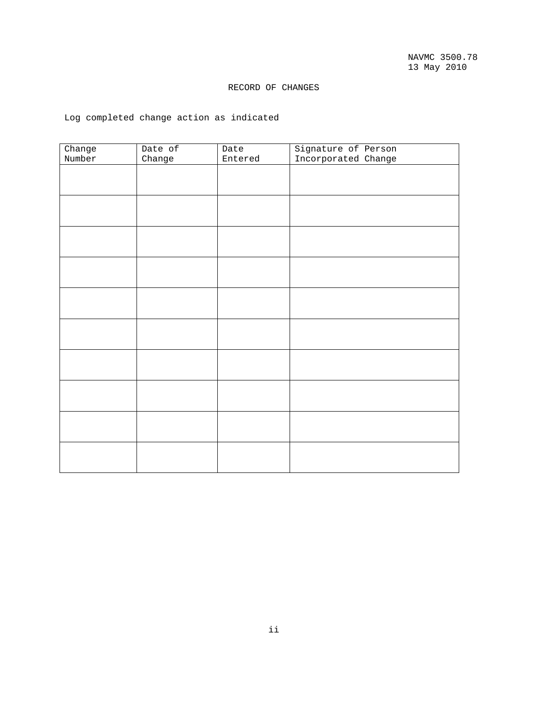# RECORD OF CHANGES

# Log completed change action as indicated

| Change | Date of | Date    | Signature of Person |
|--------|---------|---------|---------------------|
| Number | Change  | Entered | Incorporated Change |
|        |         |         |                     |
|        |         |         |                     |
|        |         |         |                     |
|        |         |         |                     |
|        |         |         |                     |
|        |         |         |                     |
|        |         |         |                     |
|        |         |         |                     |
|        |         |         |                     |
|        |         |         |                     |
|        |         |         |                     |
|        |         |         |                     |
|        |         |         |                     |
|        |         |         |                     |
|        |         |         |                     |
|        |         |         |                     |
|        |         |         |                     |
|        |         |         |                     |
|        |         |         |                     |
|        |         |         |                     |
|        |         |         |                     |
|        |         |         |                     |
|        |         |         |                     |
|        |         |         |                     |
|        |         |         |                     |
|        |         |         |                     |
|        |         |         |                     |
|        |         |         |                     |
|        |         |         |                     |
|        |         |         |                     |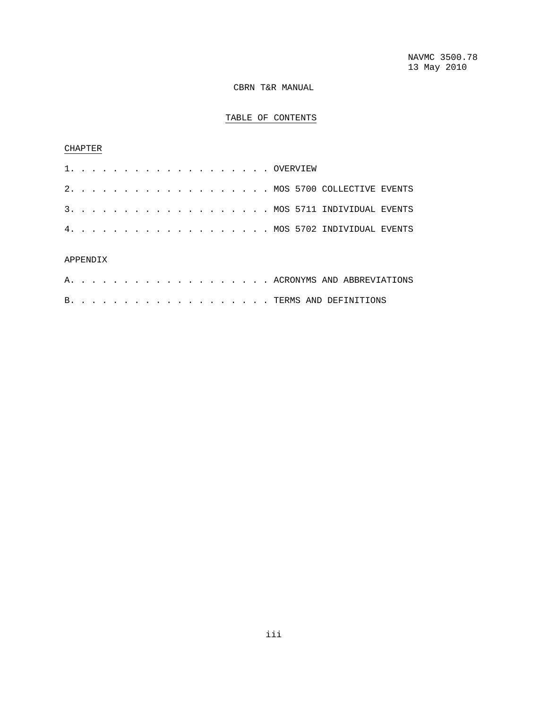# TABLE OF CONTENTS

# CHAPTER

|          |  |  |  |  |  |  |  |  |  | 1. OVERVIEW |                                 |  |
|----------|--|--|--|--|--|--|--|--|--|-------------|---------------------------------|--|
|          |  |  |  |  |  |  |  |  |  |             | 2. MOS 5700 COLLECTIVE EVENTS   |  |
|          |  |  |  |  |  |  |  |  |  |             | $3.$ MOS 5711 INDIVIDUAL EVENTS |  |
|          |  |  |  |  |  |  |  |  |  |             | 4. MOS 5702 INDIVIDUAL EVENTS   |  |
| APPENDIX |  |  |  |  |  |  |  |  |  |             |                                 |  |

|  |  |  |  |  |  |  |  |  | A. ACRONYMS AND ABBREVIATIONS |
|--|--|--|--|--|--|--|--|--|-------------------------------|
|  |  |  |  |  |  |  |  |  | B. TERMS AND DEFINITIONS      |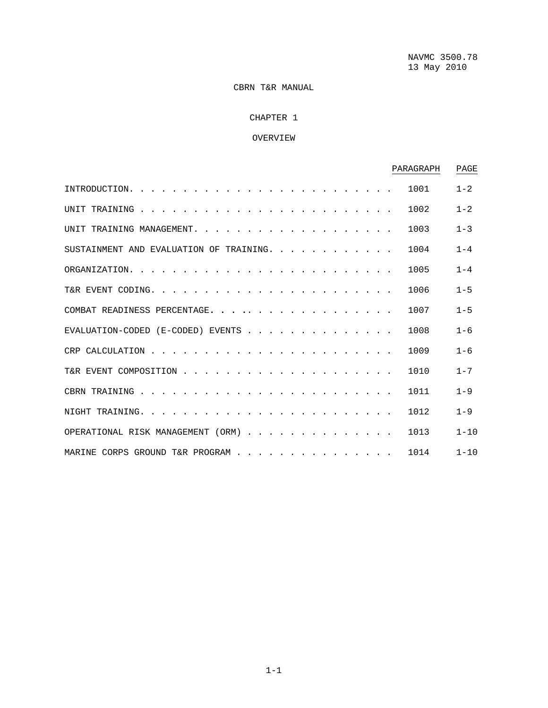# CHAPTER 1

# OVERVIEW

|                                                              | PARAGRAPH | PAGE     |
|--------------------------------------------------------------|-----------|----------|
| INTRODUCTION                                                 | 1001      | $1 - 2$  |
| UNIT TRAINING.                                               | 1002      | $1 - 2$  |
| UNIT TRAINING MANAGEMENT.                                    | 1003      | $1 - 3$  |
| SUSTAINMENT AND EVALUATION OF TRAINING.                      | 1004      | $1 - 4$  |
| ORGANIZATION.                                                | 1005      | $1 - 4$  |
| T&R EVENT CODING.                                            | 1006      | $1 - 5$  |
| COMBAT READINESS PERCENTAGE.                                 | 1007      | $1 - 5$  |
| EVALUATION-CODED (E-CODED) EVENTS.                           | 1008      | $1 - 6$  |
| CRP CALCULATION $\cdots$ $\cdots$ $\cdots$ $\cdots$ $\cdots$ | 1009      | $1 - 6$  |
| T&R EVENT COMPOSITION                                        | 1010      | $1 - 7$  |
|                                                              | 1011      | $1 - 9$  |
|                                                              | 1012      | $1 - 9$  |
| OPERATIONAL RISK MANAGEMENT (ORM)                            | 1013      | $1 - 10$ |
| MARINE CORPS GROUND T&R PROGRAM                              | 1014      | $1 - 10$ |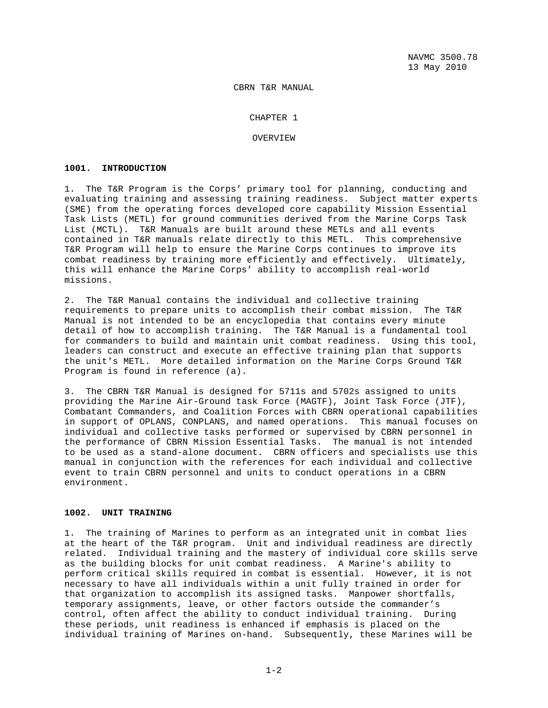#### CHAPTER 1

OVERVIEW

#### **1001. INTRODUCTION**

1. The T&R Program is the Corps' primary tool for planning, conducting and evaluating training and assessing training readiness. Subject matter experts (SME) from the operating forces developed core capability Mission Essential Task Lists (METL) for ground communities derived from the Marine Corps Task List (MCTL). T&R Manuals are built around these METLs and all events contained in T&R manuals relate directly to this METL. This comprehensive T&R Program will help to ensure the Marine Corps continues to improve its combat readiness by training more efficiently and effectively. Ultimately, this will enhance the Marine Corps' ability to accomplish real-world missions.

2. The T&R Manual contains the individual and collective training requirements to prepare units to accomplish their combat mission. The T&R Manual is not intended to be an encyclopedia that contains every minute detail of how to accomplish training. The T&R Manual is a fundamental tool for commanders to build and maintain unit combat readiness. Using this tool, leaders can construct and execute an effective training plan that supports the unit's METL. More detailed information on the Marine Corps Ground T&R Program is found in reference (a).

3. The CBRN T&R Manual is designed for 5711s and 5702s assigned to units providing the Marine Air-Ground task Force (MAGTF), Joint Task Force (JTF), Combatant Commanders, and Coalition Forces with CBRN operational capabilities in support of OPLANS, CONPLANS, and named operations. This manual focuses on individual and collective tasks performed or supervised by CBRN personnel in the performance of CBRN Mission Essential Tasks. The manual is not intended to be used as a stand-alone document. CBRN officers and specialists use this manual in conjunction with the references for each individual and collective event to train CBRN personnel and units to conduct operations in a CBRN environment.

## **1002. UNIT TRAINING**

1. The training of Marines to perform as an integrated unit in combat lies at the heart of the T&R program. Unit and individual readiness are directly related. Individual training and the mastery of individual core skills serve as the building blocks for unit combat readiness. A Marine's ability to perform critical skills required in combat is essential. However, it is not necessary to have all individuals within a unit fully trained in order for that organization to accomplish its assigned tasks. Manpower shortfalls, temporary assignments, leave, or other factors outside the commander's control, often affect the ability to conduct individual training. During these periods, unit readiness is enhanced if emphasis is placed on the individual training of Marines on-hand. Subsequently, these Marines will be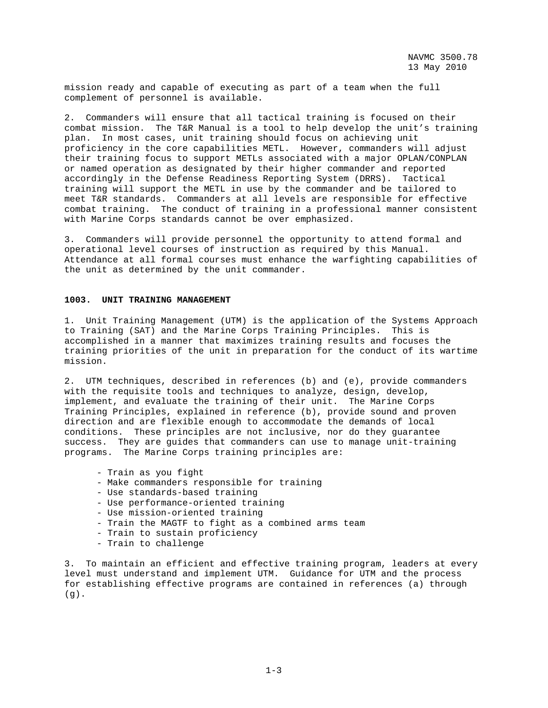mission ready and capable of executing as part of a team when the full complement of personnel is available.

2. Commanders will ensure that all tactical training is focused on their combat mission. The T&R Manual is a tool to help develop the unit's training plan. In most cases, unit training should focus on achieving unit proficiency in the core capabilities METL. However, commanders will adjust their training focus to support METLs associated with a major OPLAN/CONPLAN or named operation as designated by their higher commander and reported accordingly in the Defense Readiness Reporting System (DRRS). Tactical training will support the METL in use by the commander and be tailored to meet T&R standards. Commanders at all levels are responsible for effective combat training. The conduct of training in a professional manner consistent with Marine Corps standards cannot be over emphasized.

3. Commanders will provide personnel the opportunity to attend formal and operational level courses of instruction as required by this Manual. Attendance at all formal courses must enhance the warfighting capabilities of the unit as determined by the unit commander.

# **1003. UNIT TRAINING MANAGEMENT**

1. Unit Training Management (UTM) is the application of the Systems Approach to Training (SAT) and the Marine Corps Training Principles. This is accomplished in a manner that maximizes training results and focuses the training priorities of the unit in preparation for the conduct of its wartime mission.

2. UTM techniques, described in references (b) and (e), provide commanders with the requisite tools and techniques to analyze, design, develop, implement, and evaluate the training of their unit. The Marine Corps Training Principles, explained in reference (b), provide sound and proven direction and are flexible enough to accommodate the demands of local conditions. These principles are not inclusive, nor do they guarantee success. They are guides that commanders can use to manage unit-training programs. The Marine Corps training principles are:

- Train as you fight
- Make commanders responsible for training
- Use standards-based training
- Use performance-oriented training
- Use mission-oriented training
- Train the MAGTF to fight as a combined arms team
- Train to sustain proficiency
- Train to challenge

3. To maintain an efficient and effective training program, leaders at every level must understand and implement UTM. Guidance for UTM and the process for establishing effective programs are contained in references (a) through (g).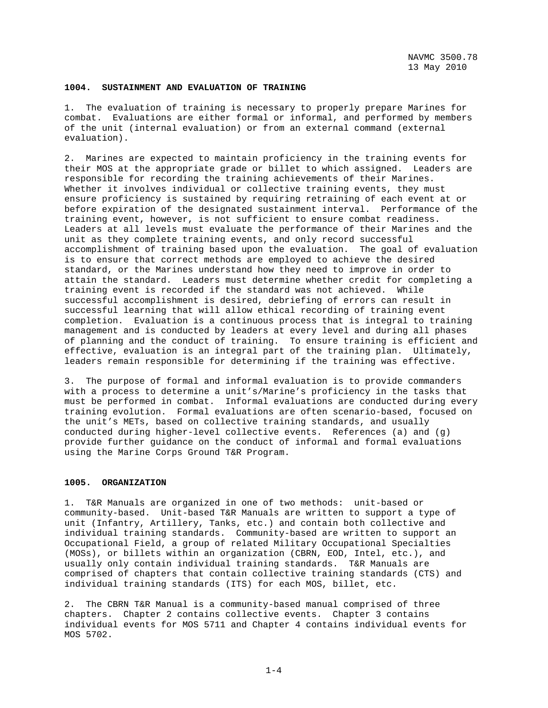# **1004. SUSTAINMENT AND EVALUATION OF TRAINING**

1. The evaluation of training is necessary to properly prepare Marines for combat. Evaluations are either formal or informal, and performed by members of the unit (internal evaluation) or from an external command (external evaluation).

2. Marines are expected to maintain proficiency in the training events for their MOS at the appropriate grade or billet to which assigned. Leaders are responsible for recording the training achievements of their Marines. Whether it involves individual or collective training events, they must ensure proficiency is sustained by requiring retraining of each event at or before expiration of the designated sustainment interval. Performance of the training event, however, is not sufficient to ensure combat readiness. Leaders at all levels must evaluate the performance of their Marines and the unit as they complete training events, and only record successful accomplishment of training based upon the evaluation. The goal of evaluation is to ensure that correct methods are employed to achieve the desired standard, or the Marines understand how they need to improve in order to attain the standard. Leaders must determine whether credit for completing a training event is recorded if the standard was not achieved. While successful accomplishment is desired, debriefing of errors can result in successful learning that will allow ethical recording of training event completion. Evaluation is a continuous process that is integral to training management and is conducted by leaders at every level and during all phases of planning and the conduct of training. To ensure training is efficient and effective, evaluation is an integral part of the training plan. Ultimately, leaders remain responsible for determining if the training was effective.

3. The purpose of formal and informal evaluation is to provide commanders with a process to determine a unit's/Marine's proficiency in the tasks that must be performed in combat. Informal evaluations are conducted during every training evolution. Formal evaluations are often scenario-based, focused on the unit's METs, based on collective training standards, and usually conducted during higher-level collective events. References (a) and (g) provide further guidance on the conduct of informal and formal evaluations using the Marine Corps Ground T&R Program.

# **1005. ORGANIZATION**

1. T&R Manuals are organized in one of two methods: unit-based or community-based. Unit-based T&R Manuals are written to support a type of unit (Infantry, Artillery, Tanks, etc.) and contain both collective and individual training standards. Community-based are written to support an Occupational Field, a group of related Military Occupational Specialties (MOSs), or billets within an organization (CBRN, EOD, Intel, etc.), and usually only contain individual training standards. T&R Manuals are comprised of chapters that contain collective training standards (CTS) and individual training standards (ITS) for each MOS, billet, etc.

2. The CBRN T&R Manual is a community-based manual comprised of three chapters. Chapter 2 contains collective events. Chapter 3 contains individual events for MOS 5711 and Chapter 4 contains individual events for MOS 5702.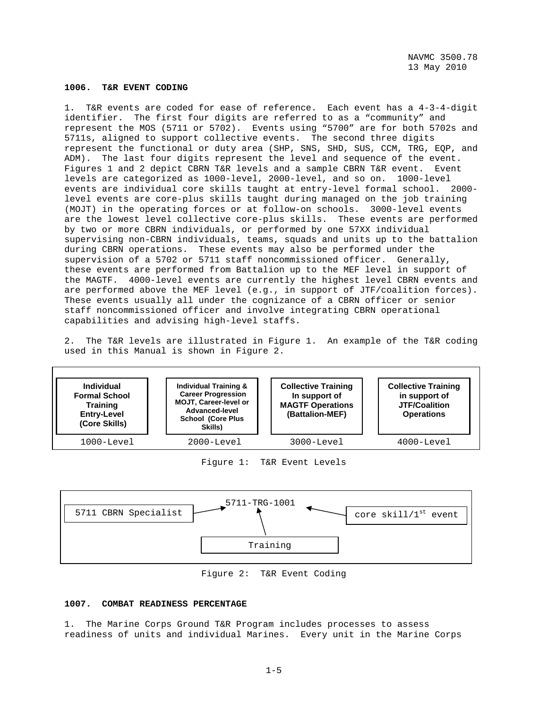# **1006. T&R EVENT CODING**

1. T&R events are coded for ease of reference. Each event has a 4-3-4-digit identifier. The first four digits are referred to as a "community" and represent the MOS (5711 or 5702). Events using "5700" are for both 5702s and 5711s, aligned to support collective events. The second three digits represent the functional or duty area (SHP, SNS, SHD, SUS, CCM, TRG, EQP, and ADM). The last four digits represent the level and sequence of the event. Figures 1 and 2 depict CBRN T&R levels and a sample CBRN T&R event. Event levels are categorized as 1000-level, 2000-level, and so on. 1000-level events are individual core skills taught at entry-level formal school. 2000 level events are core-plus skills taught during managed on the job training (MOJT) in the operating forces or at follow-on schools. 3000-level events are the lowest level collective core-plus skills. These events are performed by two or more CBRN individuals, or performed by one 57XX individual supervising non-CBRN individuals, teams, squads and units up to the battalion during CBRN operations. These events may also be performed under the supervision of a 5702 or 5711 staff noncommissioned officer. Generally, these events are performed from Battalion up to the MEF level in support of the MAGTF. 4000-level events are currently the highest level CBRN events and are performed above the MEF level (e.g., in support of JTF/coalition forces). These events usually all under the cognizance of a CBRN officer or senior staff noncommissioned officer and involve integrating CBRN operational capabilities and advising high-level staffs.

2. The T&R levels are illustrated in Figure 1. An example of the T&R coding used in this Manual is shown in Figure 2.



Figure 1: T&R Event Levels



Figure 2: T&R Event Coding

# **1007. COMBAT READINESS PERCENTAGE**

1. The Marine Corps Ground T&R Program includes processes to assess readiness of units and individual Marines. Every unit in the Marine Corps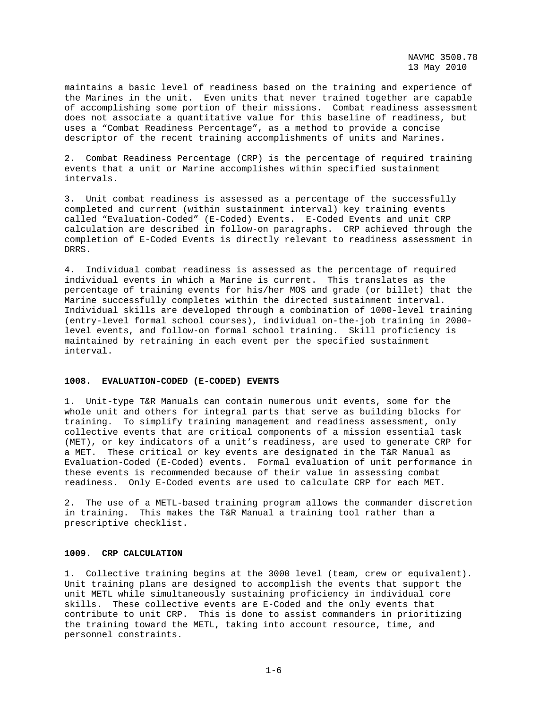maintains a basic level of readiness based on the training and experience of the Marines in the unit. Even units that never trained together are capable of accomplishing some portion of their missions. Combat readiness assessment does not associate a quantitative value for this baseline of readiness, but uses a "Combat Readiness Percentage", as a method to provide a concise descriptor of the recent training accomplishments of units and Marines.

2. Combat Readiness Percentage (CRP) is the percentage of required training events that a unit or Marine accomplishes within specified sustainment intervals.

3. Unit combat readiness is assessed as a percentage of the successfully completed and current (within sustainment interval) key training events called "Evaluation-Coded" (E-Coded) Events. E-Coded Events and unit CRP calculation are described in follow-on paragraphs. CRP achieved through the completion of E-Coded Events is directly relevant to readiness assessment in DRRS.

4. Individual combat readiness is assessed as the percentage of required individual events in which a Marine is current. This translates as the percentage of training events for his/her MOS and grade (or billet) that the Marine successfully completes within the directed sustainment interval. Individual skills are developed through a combination of 1000-level training (entry-level formal school courses), individual on-the-job training in 2000 level events, and follow-on formal school training. Skill proficiency is maintained by retraining in each event per the specified sustainment interval.

# **1008. EVALUATION-CODED (E-CODED) EVENTS**

1. Unit-type T&R Manuals can contain numerous unit events, some for the whole unit and others for integral parts that serve as building blocks for training. To simplify training management and readiness assessment, only collective events that are critical components of a mission essential task (MET), or key indicators of a unit's readiness, are used to generate CRP for a MET. These critical or key events are designated in the T&R Manual as Evaluation-Coded (E-Coded) events. Formal evaluation of unit performance in these events is recommended because of their value in assessing combat readiness. Only E-Coded events are used to calculate CRP for each MET.

2. The use of a METL-based training program allows the commander discretion in training. This makes the T&R Manual a training tool rather than a prescriptive checklist.

#### **1009. CRP CALCULATION**

1. Collective training begins at the 3000 level (team, crew or equivalent). Unit training plans are designed to accomplish the events that support the unit METL while simultaneously sustaining proficiency in individual core skills. These collective events are E-Coded and the only events that contribute to unit CRP. This is done to assist commanders in prioritizing the training toward the METL, taking into account resource, time, and personnel constraints.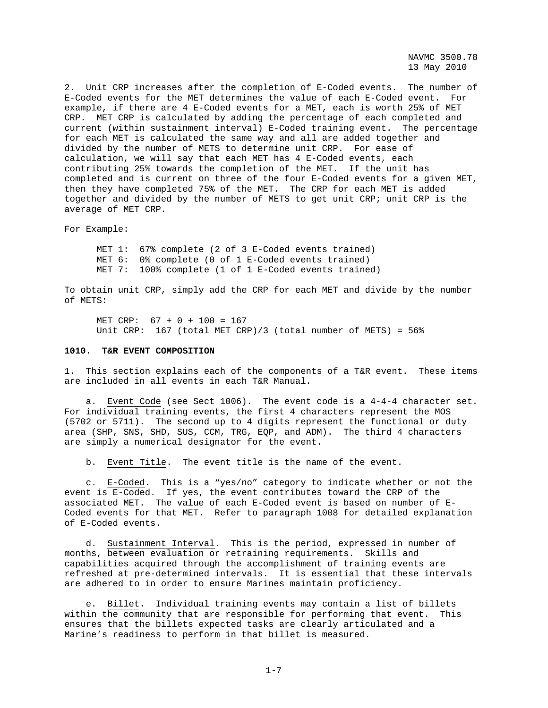2. Unit CRP increases after the completion of E-Coded events. The number of E-Coded events for the MET determines the value of each E-Coded event. For example, if there are 4 E-Coded events for a MET, each is worth 25% of MET CRP. MET CRP is calculated by adding the percentage of each completed and current (within sustainment interval) E-Coded training event. The percentage for each MET is calculated the same way and all are added together and divided by the number of METS to determine unit CRP. For ease of calculation, we will say that each MET has 4 E-Coded events, each contributing 25% towards the completion of the MET. If the unit has completed and is current on three of the four E-Coded events for a given MET, then they have completed 75% of the MET. The CRP for each MET is added together and divided by the number of METS to get unit CRP; unit CRP is the average of MET CRP.

For Example:

MET 1: 67% complete (2 of 3 E-Coded events trained) MET 6: 0% complete (0 of 1 E-Coded events trained) MET 7: 100% complete (1 of 1 E-Coded events trained)

To obtain unit CRP, simply add the CRP for each MET and divide by the number of METS:

MET CRP: 67 + 0 + 100 = 167 Unit CRP: 167 (total MET CRP)/3 (total number of METS) = 56%

#### **1010. T&R EVENT COMPOSITION**

1. This section explains each of the components of a T&R event. These items are included in all events in each T&R Manual.

 a. Event Code (see Sect 1006). The event code is a 4-4-4 character set. For individual training events, the first 4 characters represent the MOS (5702 or 5711). The second up to 4 digits represent the functional or duty area (SHP, SNS, SHD, SUS, CCM, TRG, EQP, and ADM). The third 4 characters are simply a numerical designator for the event.

b. Event Title. The event title is the name of the event.

 c. E-Coded. This is a "yes/no" category to indicate whether or not the event is E-Coded. If yes, the event contributes toward the CRP of the associated MET. The value of each E-Coded event is based on number of E-Coded events for that MET. Refer to paragraph 1008 for detailed explanation of E-Coded events.

 d. Sustainment Interval. This is the period, expressed in number of months, between evaluation or retraining requirements. Skills and capabilities acquired through the accomplishment of training events are refreshed at pre-determined intervals. It is essential that these intervals are adhered to in order to ensure Marines maintain proficiency.

 e. Billet. Individual training events may contain a list of billets within the community that are responsible for performing that event. This ensures that the billets expected tasks are clearly articulated and a Marine's readiness to perform in that billet is measured.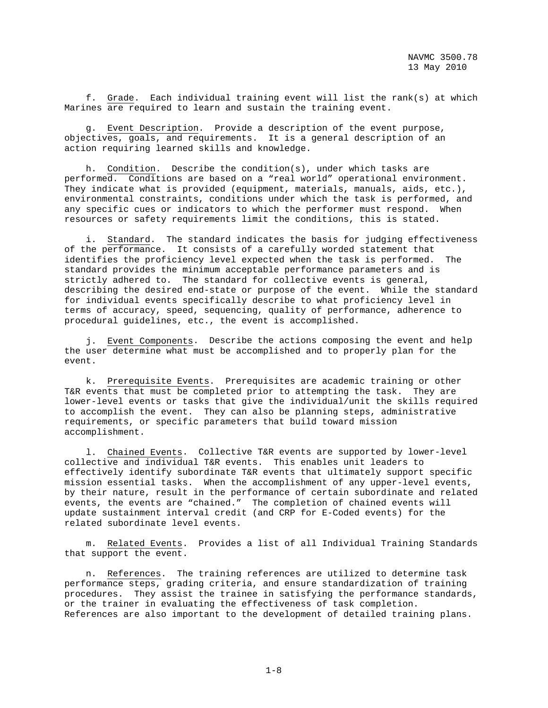f. Grade. Each individual training event will list the rank(s) at which Marines are required to learn and sustain the training event.

 g. Event Description. Provide a description of the event purpose, objectives, goals, and requirements. It is a general description of an action requiring learned skills and knowledge.

 h. Condition. Describe the condition(s), under which tasks are performed. Conditions are based on a "real world" operational environment. They indicate what is provided (equipment, materials, manuals, aids, etc.), environmental constraints, conditions under which the task is performed, and any specific cues or indicators to which the performer must respond. When resources or safety requirements limit the conditions, this is stated.

 i. Standard. The standard indicates the basis for judging effectiveness of the performance. It consists of a carefully worded statement that identifies the proficiency level expected when the task is performed. The standard provides the minimum acceptable performance parameters and is strictly adhered to. The standard for collective events is general, describing the desired end-state or purpose of the event. While the standard for individual events specifically describe to what proficiency level in terms of accuracy, speed, sequencing, quality of performance, adherence to procedural guidelines, etc., the event is accomplished.

 j. Event Components. Describe the actions composing the event and help the user determine what must be accomplished and to properly plan for the event.

 k. Prerequisite Events. Prerequisites are academic training or other T&R events that must be completed prior to attempting the task. They are lower-level events or tasks that give the individual/unit the skills required to accomplish the event. They can also be planning steps, administrative requirements, or specific parameters that build toward mission accomplishment.

 l. Chained Events. Collective T&R events are supported by lower-level collective and individual T&R events. This enables unit leaders to effectively identify subordinate T&R events that ultimately support specific mission essential tasks. When the accomplishment of any upper-level events, by their nature, result in the performance of certain subordinate and related events, the events are "chained." The completion of chained events will update sustainment interval credit (and CRP for E-Coded events) for the related subordinate level events.

 m. Related Events. Provides a list of all Individual Training Standards that support the event.

 n. References. The training references are utilized to determine task performance steps, grading criteria, and ensure standardization of training procedures. They assist the trainee in satisfying the performance standards, or the trainer in evaluating the effectiveness of task completion. References are also important to the development of detailed training plans.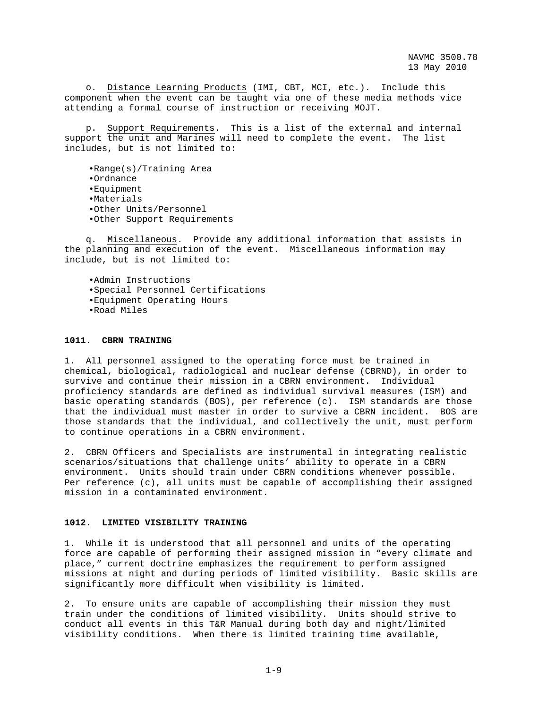o. Distance Learning Products (IMI, CBT, MCI, etc.). Include this component when the event can be taught via one of these media methods vice attending a formal course of instruction or receiving MOJT.

 p. Support Requirements. This is a list of the external and internal support the unit and Marines will need to complete the event. The list includes, but is not limited to:

•Range(s)/Training Area •Ordnance •Equipment •Materials •Other Units/Personnel •Other Support Requirements

 q. Miscellaneous. Provide any additional information that assists in the planning and execution of the event. Miscellaneous information may include, but is not limited to:

•Admin Instructions •Special Personnel Certifications •Equipment Operating Hours •Road Miles

# **1011. CBRN TRAINING**

1. All personnel assigned to the operating force must be trained in chemical, biological, radiological and nuclear defense (CBRND), in order to survive and continue their mission in a CBRN environment. Individual proficiency standards are defined as individual survival measures (ISM) and basic operating standards (BOS), per reference (c). ISM standards are those that the individual must master in order to survive a CBRN incident. BOS are those standards that the individual, and collectively the unit, must perform to continue operations in a CBRN environment.

2. CBRN Officers and Specialists are instrumental in integrating realistic scenarios/situations that challenge units' ability to operate in a CBRN environment. Units should train under CBRN conditions whenever possible. Per reference (c), all units must be capable of accomplishing their assigned mission in a contaminated environment.

# **1012. LIMITED VISIBILITY TRAINING**

1. While it is understood that all personnel and units of the operating force are capable of performing their assigned mission in "every climate and place," current doctrine emphasizes the requirement to perform assigned missions at night and during periods of limited visibility. Basic skills are significantly more difficult when visibility is limited.

2. To ensure units are capable of accomplishing their mission they must train under the conditions of limited visibility. Units should strive to conduct all events in this T&R Manual during both day and night/limited visibility conditions. When there is limited training time available,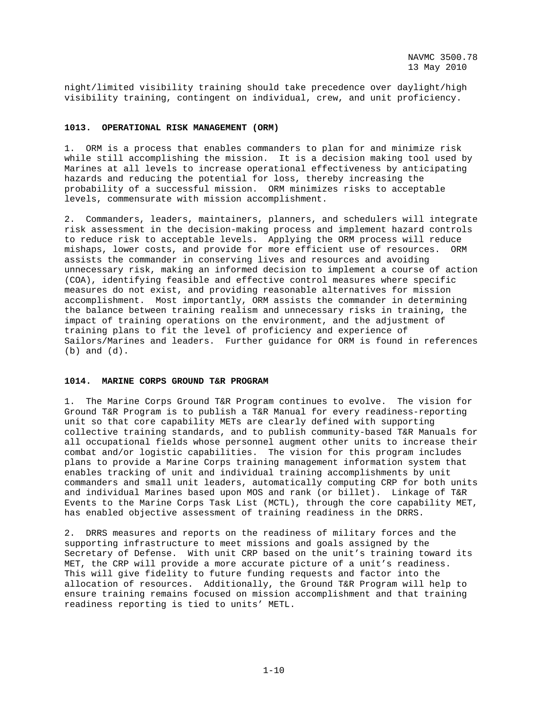night/limited visibility training should take precedence over daylight/high visibility training, contingent on individual, crew, and unit proficiency.

## **1013. OPERATIONAL RISK MANAGEMENT (ORM)**

1. ORM is a process that enables commanders to plan for and minimize risk while still accomplishing the mission. It is a decision making tool used by Marines at all levels to increase operational effectiveness by anticipating hazards and reducing the potential for loss, thereby increasing the probability of a successful mission. ORM minimizes risks to acceptable levels, commensurate with mission accomplishment.

2. Commanders, leaders, maintainers, planners, and schedulers will integrate risk assessment in the decision-making process and implement hazard controls to reduce risk to acceptable levels. Applying the ORM process will reduce mishaps, lower costs, and provide for more efficient use of resources. ORM assists the commander in conserving lives and resources and avoiding unnecessary risk, making an informed decision to implement a course of action (COA), identifying feasible and effective control measures where specific measures do not exist, and providing reasonable alternatives for mission accomplishment. Most importantly, ORM assists the commander in determining the balance between training realism and unnecessary risks in training, the impact of training operations on the environment, and the adjustment of training plans to fit the level of proficiency and experience of Sailors/Marines and leaders. Further guidance for ORM is found in references (b) and (d).

#### **1014. MARINE CORPS GROUND T&R PROGRAM**

1. The Marine Corps Ground T&R Program continues to evolve. The vision for Ground T&R Program is to publish a T&R Manual for every readiness-reporting unit so that core capability METs are clearly defined with supporting collective training standards, and to publish community-based T&R Manuals for all occupational fields whose personnel augment other units to increase their combat and/or logistic capabilities. The vision for this program includes plans to provide a Marine Corps training management information system that enables tracking of unit and individual training accomplishments by unit commanders and small unit leaders, automatically computing CRP for both units and individual Marines based upon MOS and rank (or billet). Linkage of T&R Events to the Marine Corps Task List (MCTL), through the core capability MET, has enabled objective assessment of training readiness in the DRRS.

2. DRRS measures and reports on the readiness of military forces and the supporting infrastructure to meet missions and goals assigned by the Secretary of Defense. With unit CRP based on the unit's training toward its MET, the CRP will provide a more accurate picture of a unit's readiness. This will give fidelity to future funding requests and factor into the allocation of resources. Additionally, the Ground T&R Program will help to ensure training remains focused on mission accomplishment and that training readiness reporting is tied to units' METL.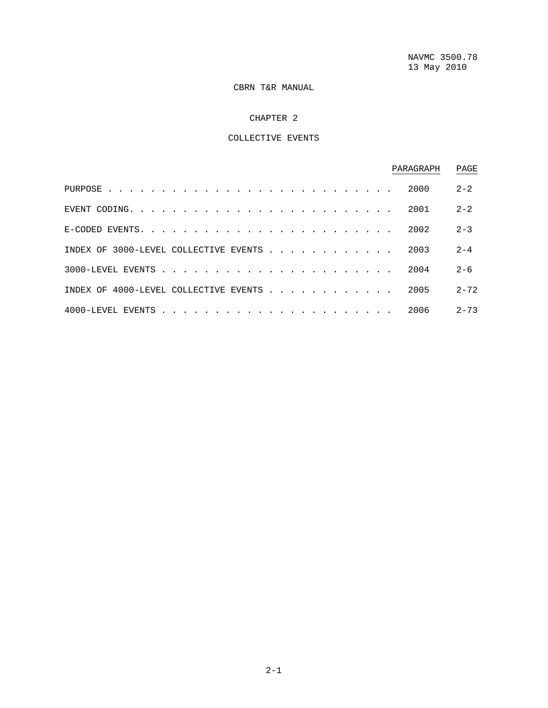# CHAPTER 2

# COLLECTIVE EVENTS

|                                                                                                                                                                                                                                                         | PARAGRAPH | PAGE     |
|---------------------------------------------------------------------------------------------------------------------------------------------------------------------------------------------------------------------------------------------------------|-----------|----------|
| PURPOSE                                                                                                                                                                                                                                                 | 2000      | $2 - 2$  |
|                                                                                                                                                                                                                                                         | 2001      | $2 - 2$  |
| <u>. In the second contract of the second contract of the second contract of the second contract of the second contract of the second contract of the second contract of the second contract of the second contract of the secon</u><br>E-CODED EVENTS. | 2002      | $2 - 3$  |
| INDEX OF 3000-LEVEL COLLECTIVE EVENTS                                                                                                                                                                                                                   | 2003      | $2 - 4$  |
|                                                                                                                                                                                                                                                         | 2004      | $2 - 6$  |
| INDEX OF 4000-LEVEL COLLECTIVE EVENTS                                                                                                                                                                                                                   | 2005      | $2 - 72$ |
| 4000-LEVEL EVENTS                                                                                                                                                                                                                                       | 2006      | $2 - 73$ |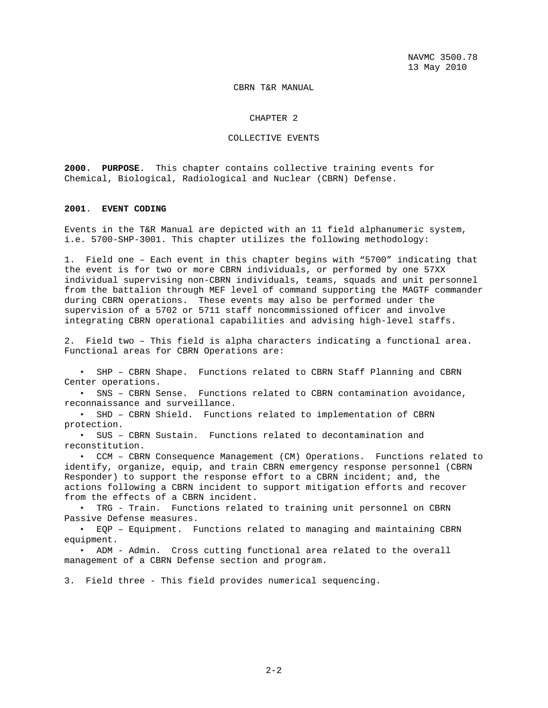CBRN T&R MANUAL

# CHAPTER 2

# COLLECTIVE EVENTS

**2000. PURPOSE**. This chapter contains collective training events for Chemical, Biological, Radiological and Nuclear (CBRN) Defense.

## **2001**. **EVENT CODING**

Events in the T&R Manual are depicted with an 11 field alphanumeric system, i.e. 5700-SHP-3001. This chapter utilizes the following methodology:

1. Field one – Each event in this chapter begins with "5700" indicating that the event is for two or more CBRN individuals, or performed by one 57XX individual supervising non-CBRN individuals, teams, squads and unit personnel from the battalion through MEF level of command supporting the MAGTF commander during CBRN operations. These events may also be performed under the supervision of a 5702 or 5711 staff noncommissioned officer and involve integrating CBRN operational capabilities and advising high-level staffs.

2. Field two – This field is alpha characters indicating a functional area. Functional areas for CBRN Operations are:

• SHP – CBRN Shape. Functions related to CBRN Staff Planning and CBRN Center operations.

• SNS – CBRN Sense. Functions related to CBRN contamination avoidance, reconnaissance and surveillance.

• SHD – CBRN Shield. Functions related to implementation of CBRN protection.

• SUS – CBRN Sustain. Functions related to decontamination and reconstitution.

• CCM – CBRN Consequence Management (CM) Operations. Functions related to identify, organize, equip, and train CBRN emergency response personnel (CBRN Responder) to support the response effort to a CBRN incident; and, the actions following a CBRN incident to support mitigation efforts and recover from the effects of a CBRN incident.

• TRG - Train. Functions related to training unit personnel on CBRN Passive Defense measures.

• EQP – Equipment. Functions related to managing and maintaining CBRN equipment.

• ADM - Admin. Cross cutting functional area related to the overall management of a CBRN Defense section and program.

3. Field three - This field provides numerical sequencing.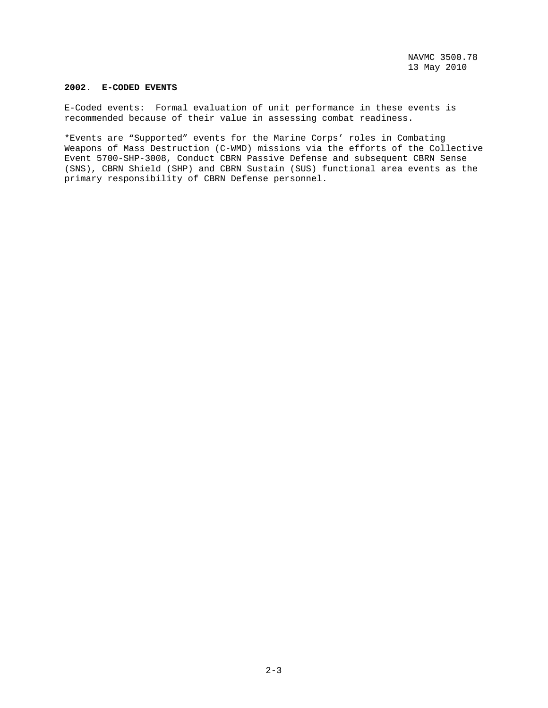# **2002**. **E-CODED EVENTS**

E-Coded events:Formal evaluation of unit performance in these events is recommended because of their value in assessing combat readiness.

\*Events are "Supported" events for the Marine Corps' roles in Combating Weapons of Mass Destruction (C-WMD) missions via the efforts of the Collective Event 5700-SHP-3008, Conduct CBRN Passive Defense and subsequent CBRN Sense (SNS), CBRN Shield (SHP) and CBRN Sustain (SUS) functional area events as the primary responsibility of CBRN Defense personnel.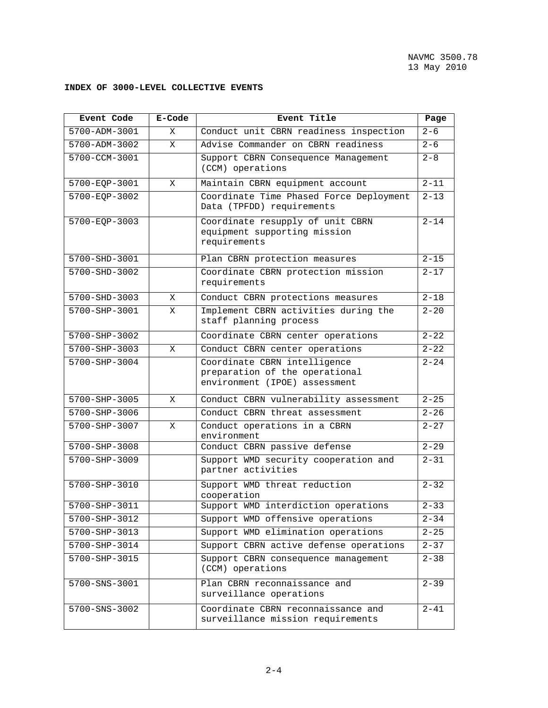# **INDEX OF 3000-LEVEL COLLECTIVE EVENTS**

| Event Code          | E-Code | Event Title                                                                                     | Page                |
|---------------------|--------|-------------------------------------------------------------------------------------------------|---------------------|
| 5700-ADM-3001       | X      | Conduct unit CBRN readiness inspection                                                          | 2-6                 |
| $5700 - ADM - 3002$ | X      | Advise Commander on CBRN readiness                                                              | $2 - 6$             |
| 5700-CCM-3001       |        | Support CBRN Consequence Management<br>(CCM) operations                                         | $2 - 8$             |
| 5700-EQP-3001       | X      | Maintain CBRN equipment account                                                                 | $2 - 11$            |
| 5700-EQP-3002       |        | Coordinate Time Phased Force Deployment<br>Data (TPFDD) requirements                            | $\overline{2} - 13$ |
| 5700-EQP-3003       |        | Coordinate resupply of unit CBRN<br>equipment supporting mission<br>requirements                | $2 - 14$            |
| 5700-SHD-3001       |        | Plan CBRN protection measures                                                                   | $2 - 15$            |
| 5700-SHD-3002       |        | Coordinate CBRN protection mission<br>requirements                                              | $2 - 17$            |
| 5700-SHD-3003       | X      | Conduct CBRN protections measures                                                               | $2 - 18$            |
| 5700-SHP-3001       | X      | Implement CBRN activities during the<br>staff planning process                                  | $2 - 20$            |
| 5700-SHP-3002       |        | Coordinate CBRN center operations                                                               | $2 - 22$            |
| 5700-SHP-3003       | Χ      | Conduct CBRN center operations                                                                  | $2 - 22$            |
| $5700 - SHP - 3004$ |        | Coordinate CBRN intelligence<br>preparation of the operational<br>environment (IPOE) assessment | $2 - 24$            |
| 5700-SHP-3005       | X      | Conduct CBRN vulnerability assessment                                                           | $2 - 25$            |
| 5700-SHP-3006       |        | Conduct CBRN threat assessment                                                                  | $2 - 26$            |
| 5700-SHP-3007       | X      | Conduct operations in a CBRN<br>environment                                                     | $2 - 27$            |
| 5700-SHP-3008       |        | Conduct CBRN passive defense                                                                    | $2 - 29$            |
| 5700-SHP-3009       |        | Support WMD security cooperation and<br>partner activities                                      | $2 - 31$            |
| 5700-SHP-3010       |        | Support WMD threat reduction<br>cooperation                                                     | $2 - 32$            |
| 5700-SHP-3011       |        | Support WMD interdiction operations                                                             | $2 - 33$            |
| 5700-SHP-3012       |        | Support WMD offensive operations                                                                | $2 - 34$            |
| 5700-SHP-3013       |        | Support WMD elimination operations                                                              | $2 - 25$            |
| 5700-SHP-3014       |        | Support CBRN active defense operations                                                          | $2 - 37$            |
| 5700-SHP-3015       |        | Support CBRN consequence management<br>(CCM) operations                                         | $2 - 38$            |
| 5700-SNS-3001       |        | Plan CBRN reconnaissance and<br>surveillance operations                                         | $2 - 39$            |
| 5700-SNS-3002       |        | Coordinate CBRN reconnaissance and<br>surveillance mission requirements                         | $2 - 41$            |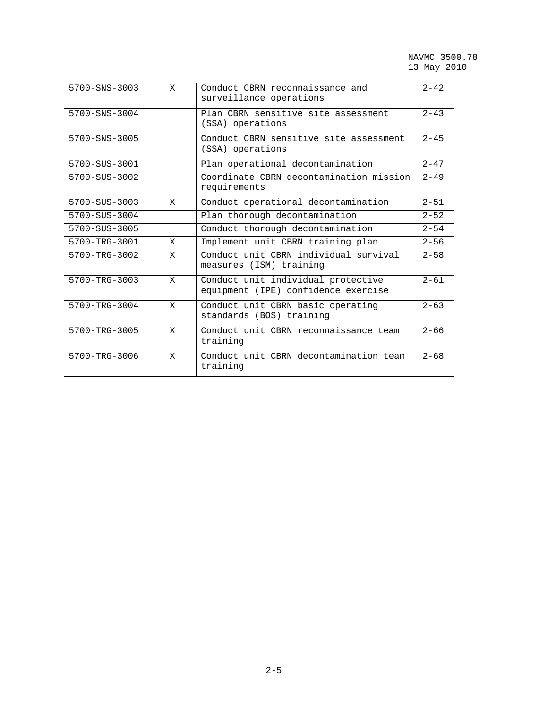| $5700 - SNS - 3003$ | X            | Conduct CBRN reconnaissance and<br>surveillance operations                | $2 - 42$ |
|---------------------|--------------|---------------------------------------------------------------------------|----------|
| $5700 - SNS - 3004$ |              | Plan CBRN sensitive site assessment<br>(SSA) operations                   | $2 - 43$ |
| 5700-SNS-3005       |              | Conduct CBRN sensitive site assessment<br>(SSA) operations                | $2 - 45$ |
| 5700-SUS-3001       |              | Plan operational decontamination                                          | $2 - 47$ |
| 5700-SUS-3002       |              | Coordinate CBRN decontamination mission<br>requirements                   | $2 - 49$ |
| 5700-SUS-3003       | $\mathbf{x}$ | Conduct operational decontamination                                       | $2 - 51$ |
| 5700-SUS-3004       |              | Plan thorough decontamination                                             | $2 - 52$ |
| 5700-SUS-3005       |              | Conduct thorough decontamination                                          | $2 - 54$ |
| 5700-TRG-3001       | X            | Implement unit CBRN training plan                                         | $2 - 56$ |
| 5700-TRG-3002       | X            | Conduct unit CBRN individual survival<br>measures (ISM) training          | $2 - 58$ |
| 5700-TRG-3003       | X            | Conduct unit individual protective<br>equipment (IPE) confidence exercise | $2 - 61$ |
| 5700-TRG-3004       | X            | Conduct unit CBRN basic operating<br>standards (BOS) training             | $2 - 63$ |
| 5700-TRG-3005       | X            | Conduct unit CBRN reconnaissance team<br>training                         | $2 - 66$ |
| 5700-TRG-3006       | X            | Conduct unit CBRN decontamination team<br>training                        | $2 - 68$ |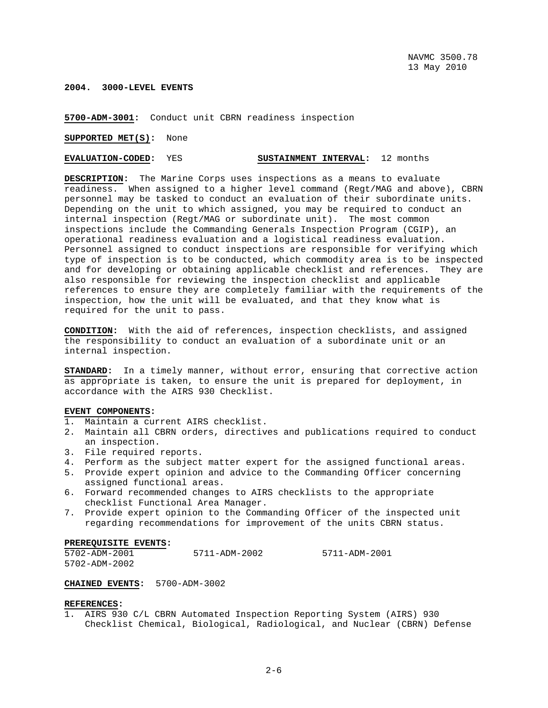## **2004. 3000-LEVEL EVENTS**

**5700-ADM-3001:** Conduct unit CBRN readiness inspection

**SUPPORTED MET(S):** None

## **EVALUATION-CODED:** YES **SUSTAINMENT INTERVAL:** 12 months

**DESCRIPTION:** The Marine Corps uses inspections as a means to evaluate readiness. When assigned to a higher level command (Regt/MAG and above), CBRN personnel may be tasked to conduct an evaluation of their subordinate units. Depending on the unit to which assigned, you may be required to conduct an internal inspection (Regt/MAG or subordinate unit). The most common inspections include the Commanding Generals Inspection Program (CGIP), an operational readiness evaluation and a logistical readiness evaluation. Personnel assigned to conduct inspections are responsible for verifying which type of inspection is to be conducted, which commodity area is to be inspected and for developing or obtaining applicable checklist and references. They are also responsible for reviewing the inspection checklist and applicable references to ensure they are completely familiar with the requirements of the inspection, how the unit will be evaluated, and that they know what is required for the unit to pass.

**CONDITION:** With the aid of references, inspection checklists, and assigned the responsibility to conduct an evaluation of a subordinate unit or an internal inspection.

**STANDARD:** In a timely manner, without error, ensuring that corrective action as appropriate is taken, to ensure the unit is prepared for deployment, in accordance with the AIRS 930 Checklist.

## **EVENT COMPONENTS:**

- 1. Maintain a current AIRS checklist.
- 2. Maintain all CBRN orders, directives and publications required to conduct an inspection.
- 3. File required reports.
- 4. Perform as the subject matter expert for the assigned functional areas.
- 5. Provide expert opinion and advice to the Commanding Officer concerning assigned functional areas.
- 6. Forward recommended changes to AIRS checklists to the appropriate checklist Functional Area Manager.
- 7. Provide expert opinion to the Commanding Officer of the inspected unit regarding recommendations for improvement of the units CBRN status.

## **PREREQUISITE EVENTS:**

| 5702-ADM-2001 | 5711-ADM-2002 | 5711-ADM-2001 |
|---------------|---------------|---------------|
| 5702-ADM-2002 |               |               |

# **CHAINED EVENTS:** 5700-ADM-3002

# **REFERENCES:**

1. AIRS 930 C/L CBRN Automated Inspection Reporting System (AIRS) 930 Checklist Chemical, Biological, Radiological, and Nuclear (CBRN) Defense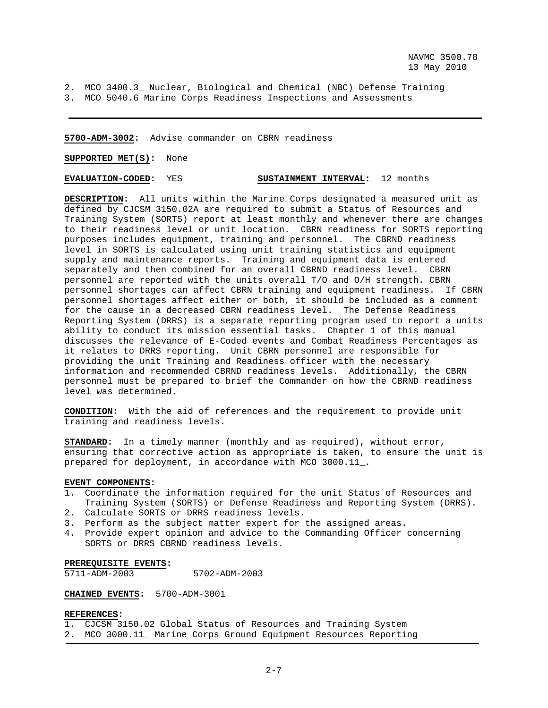2. MCO 3400.3\_ Nuclear, Biological and Chemical (NBC) Defense Training 3. MCO 5040.6 Marine Corps Readiness Inspections and Assessments

**5700-ADM-3002:** Advise commander on CBRN readiness

**SUPPORTED MET(S):** None

**EVALUATION-CODED:** YES **SUSTAINMENT INTERVAL:** 12 months

**DESCRIPTION:** All units within the Marine Corps designated a measured unit as defined by CJCSM 3150.02A are required to submit a Status of Resources and Training System (SORTS) report at least monthly and whenever there are changes to their readiness level or unit location. CBRN readiness for SORTS reporting purposes includes equipment, training and personnel. The CBRND readiness level in SORTS is calculated using unit training statistics and equipment supply and maintenance reports. Training and equipment data is entered separately and then combined for an overall CBRND readiness level. CBRN personnel are reported with the units overall T/O and O/H strength. CBRN personnel shortages can affect CBRN training and equipment readiness. If CBRN personnel shortages affect either or both, it should be included as a comment for the cause in a decreased CBRN readiness level. The Defense Readiness Reporting System (DRRS) is a separate reporting program used to report a units ability to conduct its mission essential tasks. Chapter 1 of this manual discusses the relevance of E-Coded events and Combat Readiness Percentages as it relates to DRRS reporting. Unit CBRN personnel are responsible for providing the unit Training and Readiness officer with the necessary information and recommended CBRND readiness levels. Additionally, the CBRN personnel must be prepared to brief the Commander on how the CBRND readiness level was determined.

**CONDITION:** With the aid of references and the requirement to provide unit training and readiness levels.

**STANDARD:** In a timely manner (monthly and as required), without error, ensuring that corrective action as appropriate is taken, to ensure the unit is prepared for deployment, in accordance with MCO 3000.11\_.

# **EVENT COMPONENTS:**

- 1. Coordinate the information required for the unit Status of Resources and Training System (SORTS) or Defense Readiness and Reporting System (DRRS).
- 2. Calculate SORTS or DRRS readiness levels.
- 3. Perform as the subject matter expert for the assigned areas.
- 4. Provide expert opinion and advice to the Commanding Officer concerning SORTS or DRRS CBRND readiness levels.

#### **PREREQUISITE EVENTS:**

5711-ADM-2003 5702-ADM-2003

**CHAINED EVENTS:** 5700-ADM-3001

# **REFERENCES:**

1. CJCSM 3150.02 Global Status of Resources and Training System

2. MCO 3000.11\_ Marine Corps Ground Equipment Resources Reporting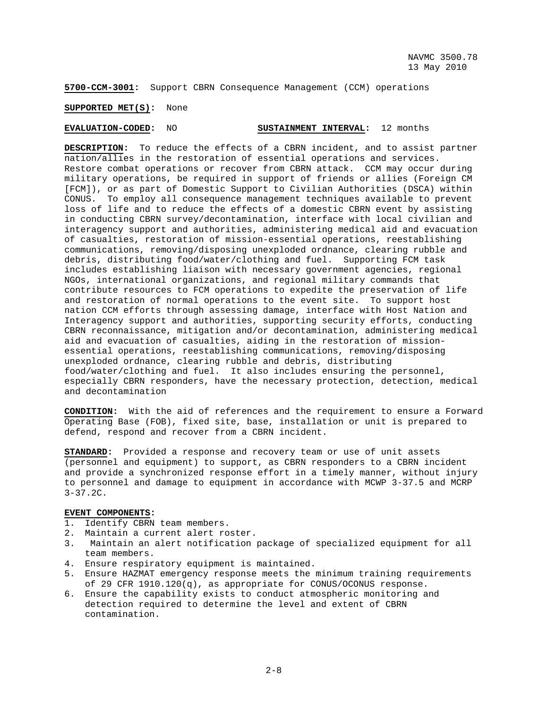**5700-CCM-3001:** Support CBRN Consequence Management (CCM) operations

# **SUPPORTED MET(S):** None

# **EVALUATION-CODED:** NO **SUSTAINMENT INTERVAL:** 12 months

**DESCRIPTION:** To reduce the effects of a CBRN incident, and to assist partner nation/allies in the restoration of essential operations and services. Restore combat operations or recover from CBRN attack. CCM may occur during military operations, be required in support of friends or allies (Foreign CM [FCM]), or as part of Domestic Support to Civilian Authorities (DSCA) within CONUS. To employ all consequence management techniques available to prevent loss of life and to reduce the effects of a domestic CBRN event by assisting in conducting CBRN survey/decontamination, interface with local civilian and interagency support and authorities, administering medical aid and evacuation of casualties, restoration of mission-essential operations, reestablishing communications, removing/disposing unexploded ordnance, clearing rubble and debris, distributing food/water/clothing and fuel. Supporting FCM task includes establishing liaison with necessary government agencies, regional NGOs, international organizations, and regional military commands that contribute resources to FCM operations to expedite the preservation of life and restoration of normal operations to the event site. To support host nation CCM efforts through assessing damage, interface with Host Nation and Interagency support and authorities, supporting security efforts, conducting CBRN reconnaissance, mitigation and/or decontamination, administering medical aid and evacuation of casualties, aiding in the restoration of missionessential operations, reestablishing communications, removing/disposing unexploded ordnance, clearing rubble and debris, distributing food/water/clothing and fuel. It also includes ensuring the personnel, especially CBRN responders, have the necessary protection, detection, medical and decontamination

**CONDITION:** With the aid of references and the requirement to ensure a Forward Operating Base (FOB), fixed site, base, installation or unit is prepared to defend, respond and recover from a CBRN incident.

**STANDARD:** Provided a response and recovery team or use of unit assets (personnel and equipment) to support, as CBRN responders to a CBRN incident and provide a synchronized response effort in a timely manner, without injury to personnel and damage to equipment in accordance with MCWP 3-37.5 and MCRP 3-37.2C.

# **EVENT COMPONENTS:**

- 1. Identify CBRN team members.
- 2. Maintain a current alert roster.
- 3. Maintain an alert notification package of specialized equipment for all team members.
- 4. Ensure respiratory equipment is maintained.
- 5. Ensure HAZMAT emergency response meets the minimum training requirements of 29 CFR 1910.120(q), as appropriate for CONUS/OCONUS response.
- 6. Ensure the capability exists to conduct atmospheric monitoring and detection required to determine the level and extent of CBRN contamination.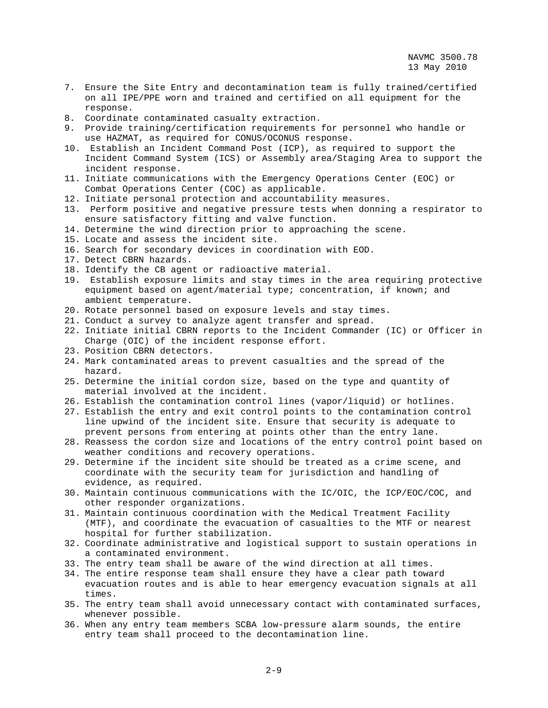- 7. Ensure the Site Entry and decontamination team is fully trained/certified on all IPE/PPE worn and trained and certified on all equipment for the response.
- 8. Coordinate contaminated casualty extraction.
- 9. Provide training/certification requirements for personnel who handle or use HAZMAT, as required for CONUS/OCONUS response.
- 10. Establish an Incident Command Post (ICP), as required to support the Incident Command System (ICS) or Assembly area/Staging Area to support the incident response.
- 11. Initiate communications with the Emergency Operations Center (EOC) or Combat Operations Center (COC) as applicable.
- 12. Initiate personal protection and accountability measures.
- 13. Perform positive and negative pressure tests when donning a respirator to ensure satisfactory fitting and valve function.
- 14. Determine the wind direction prior to approaching the scene.
- 15. Locate and assess the incident site.
- 16. Search for secondary devices in coordination with EOD.
- 17. Detect CBRN hazards.
- 18. Identify the CB agent or radioactive material.
- 19. Establish exposure limits and stay times in the area requiring protective equipment based on agent/material type; concentration, if known; and ambient temperature.
- 20. Rotate personnel based on exposure levels and stay times.
- 21. Conduct a survey to analyze agent transfer and spread.
- 22. Initiate initial CBRN reports to the Incident Commander (IC) or Officer in Charge (OIC) of the incident response effort.
- 23. Position CBRN detectors.
- 24. Mark contaminated areas to prevent casualties and the spread of the hazard.
- 25. Determine the initial cordon size, based on the type and quantity of material involved at the incident.
- 26. Establish the contamination control lines (vapor/liquid) or hotlines.
- 27. Establish the entry and exit control points to the contamination control line upwind of the incident site. Ensure that security is adequate to prevent persons from entering at points other than the entry lane.
- 28. Reassess the cordon size and locations of the entry control point based on weather conditions and recovery operations.
- 29. Determine if the incident site should be treated as a crime scene, and coordinate with the security team for jurisdiction and handling of evidence, as required.
- 30. Maintain continuous communications with the IC/OIC, the ICP/EOC/COC, and other responder organizations.
- 31. Maintain continuous coordination with the Medical Treatment Facility (MTF), and coordinate the evacuation of casualties to the MTF or nearest hospital for further stabilization.
- 32. Coordinate administrative and logistical support to sustain operations in a contaminated environment.
- 33. The entry team shall be aware of the wind direction at all times.
- 34. The entire response team shall ensure they have a clear path toward evacuation routes and is able to hear emergency evacuation signals at all times.
- 35. The entry team shall avoid unnecessary contact with contaminated surfaces, whenever possible.
- 36. When any entry team members SCBA low-pressure alarm sounds, the entire entry team shall proceed to the decontamination line.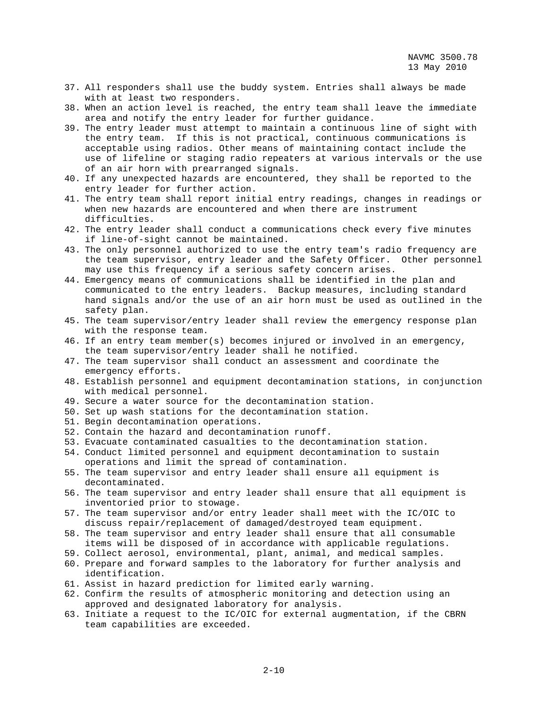- 37. All responders shall use the buddy system. Entries shall always be made with at least two responders.
- 38. When an action level is reached, the entry team shall leave the immediate area and notify the entry leader for further guidance.
- 39. The entry leader must attempt to maintain a continuous line of sight with the entry team. If this is not practical, continuous communications is acceptable using radios. Other means of maintaining contact include the use of lifeline or staging radio repeaters at various intervals or the use of an air horn with prearranged signals.
- 40. If any unexpected hazards are encountered, they shall be reported to the entry leader for further action.
- 41. The entry team shall report initial entry readings, changes in readings or when new hazards are encountered and when there are instrument difficulties.
- 42. The entry leader shall conduct a communications check every five minutes if line-of-sight cannot be maintained.
- 43. The only personnel authorized to use the entry team's radio frequency are the team supervisor, entry leader and the Safety Officer. Other personnel may use this frequency if a serious safety concern arises.
- 44. Emergency means of communications shall be identified in the plan and communicated to the entry leaders. Backup measures, including standard hand signals and/or the use of an air horn must be used as outlined in the safety plan.
- 45. The team supervisor/entry leader shall review the emergency response plan with the response team.
- 46. If an entry team member(s) becomes injured or involved in an emergency, the team supervisor/entry leader shall he notified.
- 47. The team supervisor shall conduct an assessment and coordinate the emergency efforts.
- 48. Establish personnel and equipment decontamination stations, in conjunction with medical personnel.
- 49. Secure a water source for the decontamination station.
- 50. Set up wash stations for the decontamination station.
- 51. Begin decontamination operations.
- 52. Contain the hazard and decontamination runoff.
- 53. Evacuate contaminated casualties to the decontamination station.
- 54. Conduct limited personnel and equipment decontamination to sustain operations and limit the spread of contamination.
- 55. The team supervisor and entry leader shall ensure all equipment is decontaminated.
- 56. The team supervisor and entry leader shall ensure that all equipment is inventoried prior to stowage.
- 57. The team supervisor and/or entry leader shall meet with the IC/OIC to discuss repair/replacement of damaged/destroyed team equipment.
- 58. The team supervisor and entry leader shall ensure that all consumable items will be disposed of in accordance with applicable regulations.
- 59. Collect aerosol, environmental, plant, animal, and medical samples.
- 60. Prepare and forward samples to the laboratory for further analysis and identification.
- 61. Assist in hazard prediction for limited early warning.
- 62. Confirm the results of atmospheric monitoring and detection using an approved and designated laboratory for analysis.
- 63. Initiate a request to the IC/OIC for external augmentation, if the CBRN team capabilities are exceeded.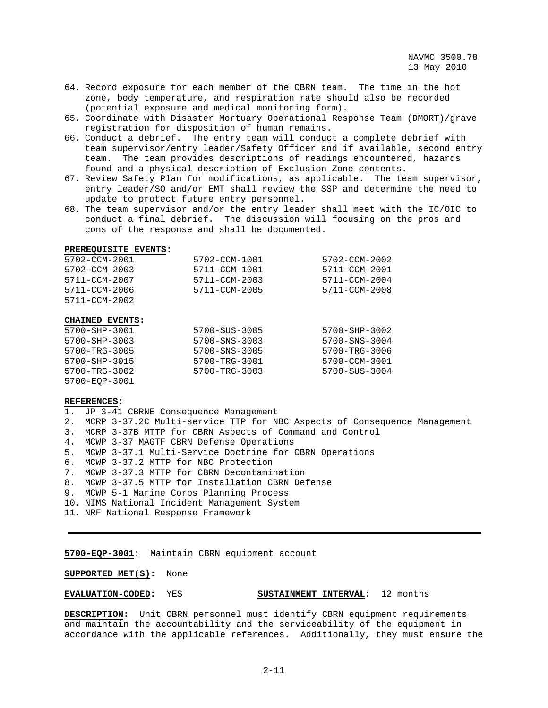- 64. Record exposure for each member of the CBRN team. The time in the hot zone, body temperature, and respiration rate should also be recorded (potential exposure and medical monitoring form).
- 65. Coordinate with Disaster Mortuary Operational Response Team (DMORT)/grave registration for disposition of human remains.
- 66. Conduct a debrief. The entry team will conduct a complete debrief with team supervisor/entry leader/Safety Officer and if available, second entry team. The team provides descriptions of readings encountered, hazards found and a physical description of Exclusion Zone contents.
- 67. Review Safety Plan for modifications, as applicable. The team supervisor, entry leader/SO and/or EMT shall review the SSP and determine the need to update to protect future entry personnel.
- 68. The team supervisor and/or the entry leader shall meet with the IC/OIC to conduct a final debrief. The discussion will focusing on the pros and cons of the response and shall be documented.

# **PREREQUISITE EVENTS:**

| 5702-CCM-2001 | 5702-CCM-1001 | 5702-CCM-2002 |
|---------------|---------------|---------------|
| 5702-CCM-2003 | 5711-CCM-1001 | 5711-CCM-2001 |
| 5711-CCM-2007 | 5711-CCM-2003 | 5711-CCM-2004 |
| 5711-CCM-2006 | 5711-CCM-2005 | 5711-CCM-2008 |
| 5711-CCM-2002 |               |               |

## **CHAINED EVENTS:**

| 5700-SHP-3001 | 5700-SUS-3005 | 5700-SHP-3002 |
|---------------|---------------|---------------|
| 5700-SHP-3003 | 5700-SNS-3003 | 5700-SNS-3004 |
| 5700-TRG-3005 | 5700-SNS-3005 | 5700-TRG-3006 |
| 5700-SHP-3015 | 5700-TRG-3001 | 5700-CCM-3001 |
| 5700-TRG-3002 | 5700-TRG-3003 | 5700-SUS-3004 |
| 5700-EOP-3001 |               |               |

#### **REFERENCES:**

| 1. JP 3-41 CBRNE Consequence Management                                     |
|-----------------------------------------------------------------------------|
| 2. MCRP 3-37.2C Multi-service TTP for NBC Aspects of Consequence Management |
| 3. MCRP 3-37B MTTP for CBRN Aspects of Command and Control                  |
| 4. MCWP 3-37 MAGTF CBRN Defense Operations                                  |
| 5. MCWP 3-37.1 Multi-Service Doctrine for CBRN Operations                   |
| 6. MCWP 3-37.2 MTTP for NBC Protection                                      |
| 7. MCWP 3-37.3 MTTP for CBRN Decontamination                                |
| 8. MCWP 3-37.5 MTTP for Installation CBRN Defense                           |
| 9. MCWP 5-1 Marine Corps Planning Process                                   |
| 10. NIMS National Incident Management System                                |
| 11. NRF National Response Framework                                         |

**5700-EQP-3001:** Maintain CBRN equipment account

# **SUPPORTED MET(S):** None

# **EVALUATION-CODED:** YES **SUSTAINMENT INTERVAL:** 12 months

**DESCRIPTION:** Unit CBRN personnel must identify CBRN equipment requirements and maintain the accountability and the serviceability of the equipment in accordance with the applicable references. Additionally, they must ensure the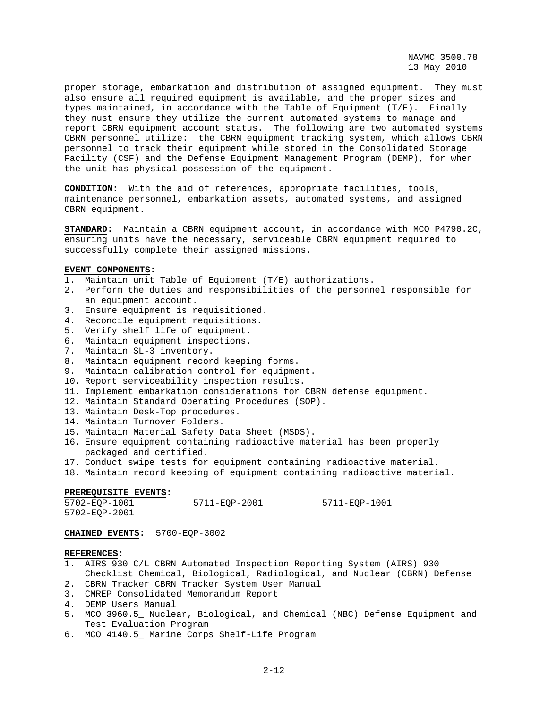proper storage, embarkation and distribution of assigned equipment. They must also ensure all required equipment is available, and the proper sizes and types maintained, in accordance with the Table of Equipment (T/E). Finally they must ensure they utilize the current automated systems to manage and report CBRN equipment account status. The following are two automated systems CBRN personnel utilize: the CBRN equipment tracking system, which allows CBRN personnel to track their equipment while stored in the Consolidated Storage Facility (CSF) and the Defense Equipment Management Program (DEMP), for when the unit has physical possession of the equipment.

**CONDITION:** With the aid of references, appropriate facilities, tools, maintenance personnel, embarkation assets, automated systems, and assigned CBRN equipment.

**STANDARD:** Maintain a CBRN equipment account, in accordance with MCO P4790.2C, ensuring units have the necessary, serviceable CBRN equipment required to successfully complete their assigned missions.

# **EVENT COMPONENTS:**

- 1. Maintain unit Table of Equipment (T/E) authorizations.
- 2. Perform the duties and responsibilities of the personnel responsible for an equipment account.
- 3. Ensure equipment is requisitioned.
- 4. Reconcile equipment requisitions.
- 5. Verify shelf life of equipment.
- 6. Maintain equipment inspections.
- 7. Maintain SL-3 inventory.
- 8. Maintain equipment record keeping forms.
- 9. Maintain calibration control for equipment.
- 10. Report serviceability inspection results.
- 11. Implement embarkation considerations for CBRN defense equipment.
- 12. Maintain Standard Operating Procedures (SOP).
- 13. Maintain Desk-Top procedures.
- 14. Maintain Turnover Folders.
- 15. Maintain Material Safety Data Sheet (MSDS).
- 16. Ensure equipment containing radioactive material has been properly packaged and certified.
- 17. Conduct swipe tests for equipment containing radioactive material.
- 18. Maintain record keeping of equipment containing radioactive material.

#### **PREREQUISITE EVENTS:**

| 5702-EOP-1001 | 5711-EOP-2001 | 5711-EQP-1001 |
|---------------|---------------|---------------|
| 5702-EOP-2001 |               |               |

#### **CHAINED EVENTS:** 5700-EQP-3002

#### **REFERENCES:**

- 1. AIRS 930 C/L CBRN Automated Inspection Reporting System (AIRS) 930 Checklist Chemical, Biological, Radiological, and Nuclear (CBRN) Defense 2. CBRN Tracker CBRN Tracker System User Manual
- 
- 3. CMREP Consolidated Memorandum Report
- 4. DEMP Users Manual
- 5. MCO 3960.5\_ Nuclear, Biological, and Chemical (NBC) Defense Equipment and Test Evaluation Program
- 6. MCO 4140.5\_ Marine Corps Shelf-Life Program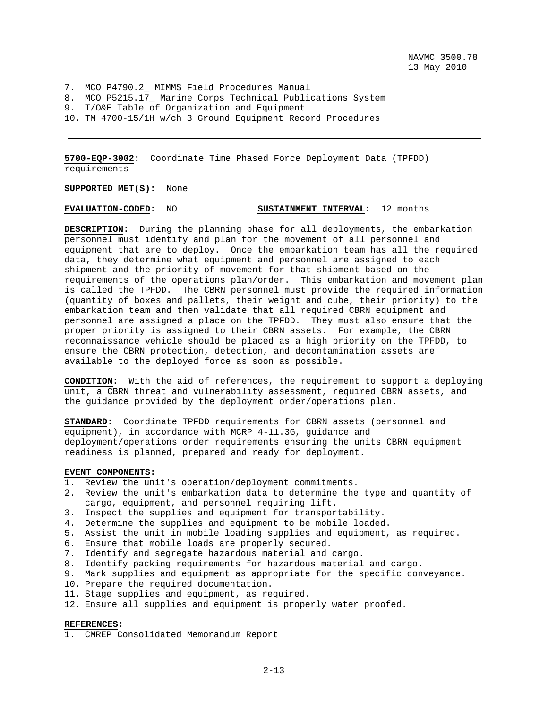- 7. MCO P4790.2 MIMMS Field Procedures Manual
- 8. MCO P5215.17\_ Marine Corps Technical Publications System
- 9. T/O&E Table of Organization and Equipment
- 10. TM 4700-15/1H w/ch 3 Ground Equipment Record Procedures

**5700-EQP-3002:** Coordinate Time Phased Force Deployment Data (TPFDD) requirements

**SUPPORTED MET(S):** None

**EVALUATION-CODED:** NO **SUSTAINMENT INTERVAL:** 12 months

**DESCRIPTION:** During the planning phase for all deployments, the embarkation personnel must identify and plan for the movement of all personnel and equipment that are to deploy. Once the embarkation team has all the required data, they determine what equipment and personnel are assigned to each shipment and the priority of movement for that shipment based on the requirements of the operations plan/order. This embarkation and movement plan is called the TPFDD. The CBRN personnel must provide the required information (quantity of boxes and pallets, their weight and cube, their priority) to the embarkation team and then validate that all required CBRN equipment and personnel are assigned a place on the TPFDD. They must also ensure that the proper priority is assigned to their CBRN assets. For example, the CBRN reconnaissance vehicle should be placed as a high priority on the TPFDD, to ensure the CBRN protection, detection, and decontamination assets are available to the deployed force as soon as possible.

**CONDITION:** With the aid of references, the requirement to support a deploying unit, a CBRN threat and vulnerability assessment, required CBRN assets, and the guidance provided by the deployment order/operations plan.

**STANDARD:** Coordinate TPFDD requirements for CBRN assets (personnel and equipment), in accordance with MCRP 4-11.3G, guidance and deployment/operations order requirements ensuring the units CBRN equipment readiness is planned, prepared and ready for deployment.

# **EVENT COMPONENTS:**

- 1. Review the unit's operation/deployment commitments.
- 2. Review the unit's embarkation data to determine the type and quantity of cargo, equipment, and personnel requiring lift.
- 3. Inspect the supplies and equipment for transportability.
- 4. Determine the supplies and equipment to be mobile loaded.
- 5. Assist the unit in mobile loading supplies and equipment, as required.
- 6. Ensure that mobile loads are properly secured.
- 7. Identify and segregate hazardous material and cargo.
- 8. Identify packing requirements for hazardous material and cargo.
- 9. Mark supplies and equipment as appropriate for the specific conveyance.
- 10. Prepare the required documentation.
- 11. Stage supplies and equipment, as required.
- 12. Ensure all supplies and equipment is properly water proofed.

# **REFERENCES:**

1. CMREP Consolidated Memorandum Report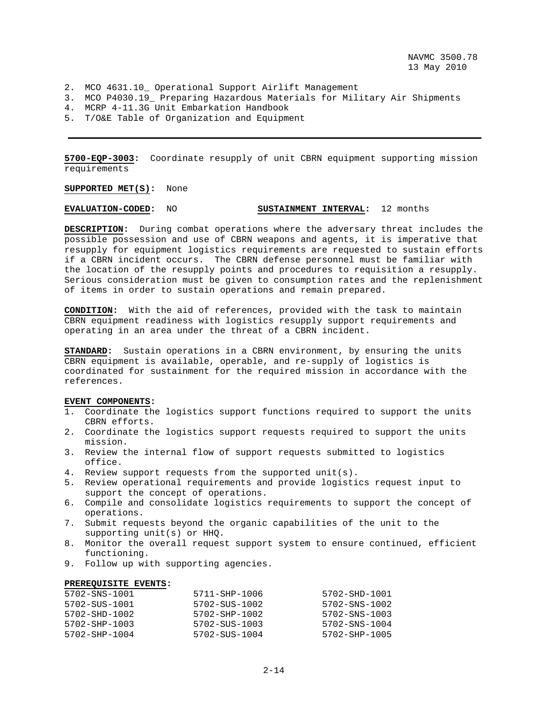2. MCO 4631.10\_ Operational Support Airlift Management

- 3. MCO P4030.19\_ Preparing Hazardous Materials for Military Air Shipments
- 4. MCRP 4-11.3G Unit Embarkation Handbook
- 5. T/O&E Table of Organization and Equipment

**5700-EQP-3003:** Coordinate resupply of unit CBRN equipment supporting mission requirements

**SUPPORTED MET(S):** None

**EVALUATION-CODED:** NO **SUSTAINMENT INTERVAL:** 12 months

**DESCRIPTION:** During combat operations where the adversary threat includes the possible possession and use of CBRN weapons and agents, it is imperative that resupply for equipment logistics requirements are requested to sustain efforts if a CBRN incident occurs. The CBRN defense personnel must be familiar with the location of the resupply points and procedures to requisition a resupply. Serious consideration must be given to consumption rates and the replenishment of items in order to sustain operations and remain prepared.

**CONDITION:** With the aid of references, provided with the task to maintain CBRN equipment readiness with logistics resupply support requirements and operating in an area under the threat of a CBRN incident.

**STANDARD:** Sustain operations in a CBRN environment, by ensuring the units CBRN equipment is available, operable, and re-supply of logistics is coordinated for sustainment for the required mission in accordance with the references.

#### **EVENT COMPONENTS:**

- 1. Coordinate the logistics support functions required to support the units CBRN efforts.
- 2. Coordinate the logistics support requests required to support the units mission.
- 3. Review the internal flow of support requests submitted to logistics office.
- 4. Review support requests from the supported unit(s).
- 5. Review operational requirements and provide logistics request input to support the concept of operations.
- 6. Compile and consolidate logistics requirements to support the concept of operations.
- 7. Submit requests beyond the organic capabilities of the unit to the supporting unit(s) or HHQ.
- 8. Monitor the overall request support system to ensure continued, efficient functioning.
- 9. Follow up with supporting agencies.

### **PREREQUISITE EVENTS:**

| 5702-SNS-1001 | 5711-SHP-1006 | 5702-SHD-1001 |
|---------------|---------------|---------------|
| 5702-SUS-1001 | 5702-SUS-1002 | 5702-SNS-1002 |
| 5702-SHD-1002 | 5702-SHP-1002 | 5702-SNS-1003 |
| 5702-SHP-1003 | 5702-SUS-1003 | 5702-SNS-1004 |
| 5702-SHP-1004 | 5702-SUS-1004 | 5702-SHP-1005 |
|               |               |               |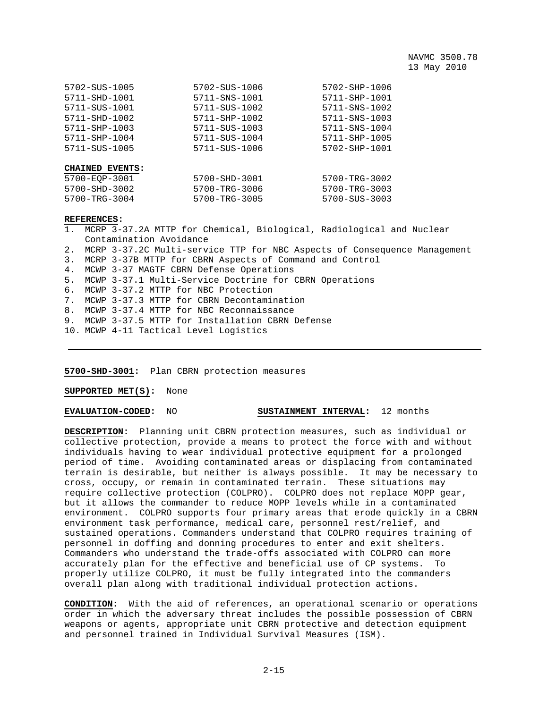| 5702-SUS-1005        | 5702-SUS-1006 | 5702-SHP-1006 |
|----------------------|---------------|---------------|
| 5711-SHD-1001        | 5711-SNS-1001 | 5711-SHP-1001 |
| 5711-SUS-1001        | 5711-SUS-1002 | 5711-SNS-1002 |
| 5711-SHD-1002        | 5711-SHP-1002 | 5711-SNS-1003 |
| 5711-SHP-1003        | 5711-SUS-1003 | 5711-SNS-1004 |
| 5711-SHP-1004        | 5711-SUS-1004 | 5711-SHP-1005 |
| 5711-SUS-1005        | 5711-SUS-1006 | 5702-SHP-1001 |
|                      |               |               |
| CHAINED EVENTS:      |               |               |
| 5700-EOP-3001        | 5700-SHD-3001 | 5700-TRG-3002 |
| $5700 -$ SHD $-3002$ | 5700-TRG-3006 | 5700-TRG-3003 |
| 5700-TRG-3004        | 5700-TRG-3005 | 5700-SUS-3003 |
|                      |               |               |

#### **REFERENCES:**

- 1. MCRP 3-37.2A MTTP for Chemical, Biological, Radiological and Nuclear Contamination Avoidance
- 2. MCRP 3-37.2C Multi-service TTP for NBC Aspects of Consequence Management
- 3. MCRP 3-37B MTTP for CBRN Aspects of Command and Control
- 4. MCWP 3-37 MAGTF CBRN Defense Operations
- 5. MCWP 3-37.1 Multi-Service Doctrine for CBRN Operations
- 6. MCWP 3-37.2 MTTP for NBC Protection
- 7. MCWP 3-37.3 MTTP for CBRN Decontamination
- 8. MCWP 3-37.4 MTTP for NBC Reconnaissance
- 9. MCWP 3-37.5 MTTP for Installation CBRN Defense
- 10. MCWP 4-11 Tactical Level Logistics

**5700-SHD-3001:** Plan CBRN protection measures

**SUPPORTED MET(S):** None

**EVALUATION-CODED:** NO **SUSTAINMENT INTERVAL:** 12 months

**DESCRIPTION:** Planning unit CBRN protection measures, such as individual or collective protection, provide a means to protect the force with and without individuals having to wear individual protective equipment for a prolonged period of time. Avoiding contaminated areas or displacing from contaminated terrain is desirable, but neither is always possible. It may be necessary to cross, occupy, or remain in contaminated terrain. These situations may require collective protection (COLPRO). COLPRO does not replace MOPP gear, but it allows the commander to reduce MOPP levels while in a contaminated environment. COLPRO supports four primary areas that erode quickly in a CBRN environment task performance, medical care, personnel rest/relief, and sustained operations. Commanders understand that COLPRO requires training of personnel in doffing and donning procedures to enter and exit shelters. Commanders who understand the trade-offs associated with COLPRO can more accurately plan for the effective and beneficial use of CP systems. To properly utilize COLPRO, it must be fully integrated into the commanders overall plan along with traditional individual protection actions.

**CONDITION:** With the aid of references, an operational scenario or operations order in which the adversary threat includes the possible possession of CBRN weapons or agents, appropriate unit CBRN protective and detection equipment and personnel trained in Individual Survival Measures (ISM).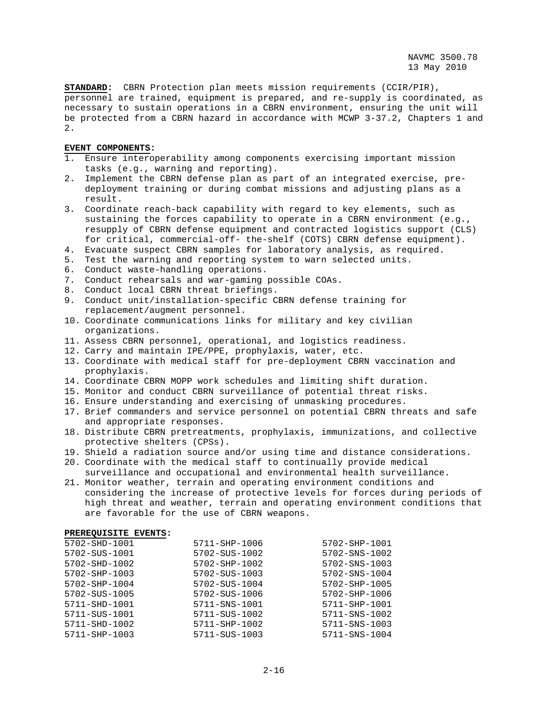**STANDARD:** CBRN Protection plan meets mission requirements (CCIR/PIR), personnel are trained, equipment is prepared, and re-supply is coordinated, as necessary to sustain operations in a CBRN environment, ensuring the unit will be protected from a CBRN hazard in accordance with MCWP 3-37.2, Chapters 1 and 2.

# **EVENT COMPONENTS:**

- 1. Ensure interoperability among components exercising important mission tasks (e.g., warning and reporting).
- 2. Implement the CBRN defense plan as part of an integrated exercise, predeployment training or during combat missions and adjusting plans as a result.
- 3. Coordinate reach-back capability with regard to key elements, such as sustaining the forces capability to operate in a CBRN environment (e.g., resupply of CBRN defense equipment and contracted logistics support (CLS) for critical, commercial-off- the-shelf (COTS) CBRN defense equipment).
- 4. Evacuate suspect CBRN samples for laboratory analysis, as required.
- 5. Test the warning and reporting system to warn selected units.
- 6. Conduct waste-handling operations.
- 7. Conduct rehearsals and war-gaming possible COAs.
- 8. Conduct local CBRN threat briefings.
- 9. Conduct unit/installation-specific CBRN defense training for replacement/augment personnel.
- 10. Coordinate communications links for military and key civilian organizations.
- 11. Assess CBRN personnel, operational, and logistics readiness.
- 12. Carry and maintain IPE/PPE, prophylaxis, water, etc.
- 13. Coordinate with medical staff for pre-deployment CBRN vaccination and prophylaxis.
- 14. Coordinate CBRN MOPP work schedules and limiting shift duration.
- 15. Monitor and conduct CBRN surveillance of potential threat risks.
- 16. Ensure understanding and exercising of unmasking procedures.
- 17. Brief commanders and service personnel on potential CBRN threats and safe and appropriate responses.
- 18. Distribute CBRN pretreatments, prophylaxis, immunizations, and collective protective shelters (CPSs).
- 19. Shield a radiation source and/or using time and distance considerations.
- 20. Coordinate with the medical staff to continually provide medical surveillance and occupational and environmental health surveillance.
- 21. Monitor weather, terrain and operating environment conditions and considering the increase of protective levels for forces during periods of high threat and weather, terrain and operating environment conditions that are favorable for the use of CBRN weapons.

## **PREREQUISITE EVENTS:**

| 5702-SHD-1001 | 5711-SHP-1006 | 5702-SHP-1001 |
|---------------|---------------|---------------|
| 5702-SUS-1001 | 5702-SUS-1002 | 5702-SNS-1002 |
| 5702-SHD-1002 | 5702-SHP-1002 | 5702-SNS-1003 |
| 5702-SHP-1003 | 5702-SUS-1003 | 5702-SNS-1004 |
| 5702-SHP-1004 | 5702-SUS-1004 | 5702-SHP-1005 |
| 5702-SUS-1005 | 5702-SUS-1006 | 5702-SHP-1006 |
| 5711-SHD-1001 | 5711-SNS-1001 | 5711-SHP-1001 |
| 5711-SUS-1001 | 5711-SUS-1002 | 5711-SNS-1002 |
| 5711-SHD-1002 | 5711-SHP-1002 | 5711-SNS-1003 |
| 5711-SHP-1003 | 5711-SUS-1003 | 5711-SNS-1004 |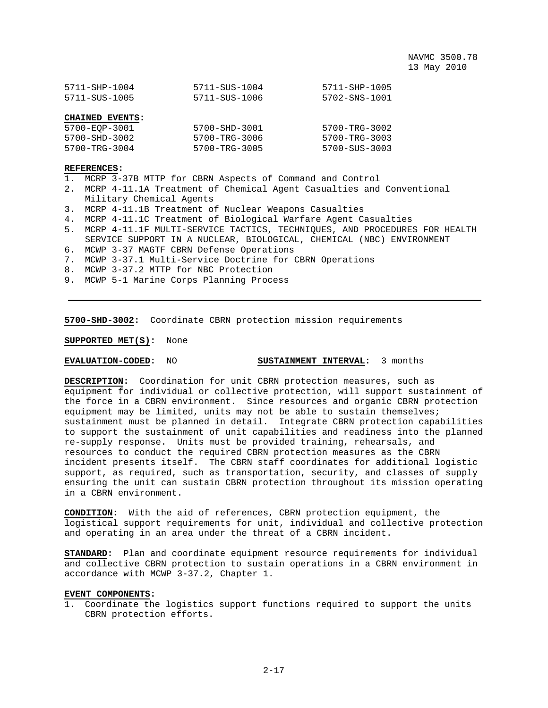| 5711-SHP-1004 | 5711-SUS-1004 | 5711-SHP-1005 |
|---------------|---------------|---------------|
| 5711-SUS-1005 | 5711-SUS-1006 | 5702-SNS-1001 |

#### **CHAINED EVENTS:**

| 5700-EOP-3001 | 5700-SHD-3001 | 5700-TRG-3002 |
|---------------|---------------|---------------|
| 5700-SHD-3002 | 5700-TRG-3006 | 5700-TRG-3003 |
| 5700-TRG-3004 | 5700-TRG-3005 | 5700-SUS-3003 |

#### **REFERENCES:**

- 1. MCRP 3-37B MTTP for CBRN Aspects of Command and Control
- 2. MCRP 4-11.1A Treatment of Chemical Agent Casualties and Conventional Military Chemical Agents
- 3. MCRP 4-11.1B Treatment of Nuclear Weapons Casualties
- 4. MCRP 4-11.1C Treatment of Biological Warfare Agent Casualties
- 5. MCRP 4-11.1F MULTI-SERVICE TACTICS, TECHNIQUES, AND PROCEDURES FOR HEALTH
- SERVICE SUPPORT IN A NUCLEAR, BIOLOGICAL, CHEMICAL (NBC) ENVIRONMENT 6. MCWP 3-37 MAGTF CBRN Defense Operations
- 7. MCWP 3-37.1 Multi-Service Doctrine for CBRN Operations
- 8. MCWP 3-37.2 MTTP for NBC Protection
- 9. MCWP 5-1 Marine Corps Planning Process

**5700-SHD-3002:** Coordinate CBRN protection mission requirements

# **SUPPORTED MET(S):** None

#### **EVALUATION-CODED:** NO **SUSTAINMENT INTERVAL:** 3 months

**DESCRIPTION:** Coordination for unit CBRN protection measures, such as equipment for individual or collective protection, will support sustainment of the force in a CBRN environment. Since resources and organic CBRN protection equipment may be limited, units may not be able to sustain themselves; sustainment must be planned in detail. Integrate CBRN protection capabilities to support the sustainment of unit capabilities and readiness into the planned re-supply response. Units must be provided training, rehearsals, and resources to conduct the required CBRN protection measures as the CBRN incident presents itself. The CBRN staff coordinates for additional logistic support, as required, such as transportation, security, and classes of supply ensuring the unit can sustain CBRN protection throughout its mission operating in a CBRN environment.

**CONDITION:** With the aid of references, CBRN protection equipment, the logistical support requirements for unit, individual and collective protection and operating in an area under the threat of a CBRN incident.

**STANDARD:** Plan and coordinate equipment resource requirements for individual and collective CBRN protection to sustain operations in a CBRN environment in accordance with MCWP 3-37.2, Chapter 1.

# **EVENT COMPONENTS:**

1. Coordinate the logistics support functions required to support the units CBRN protection efforts.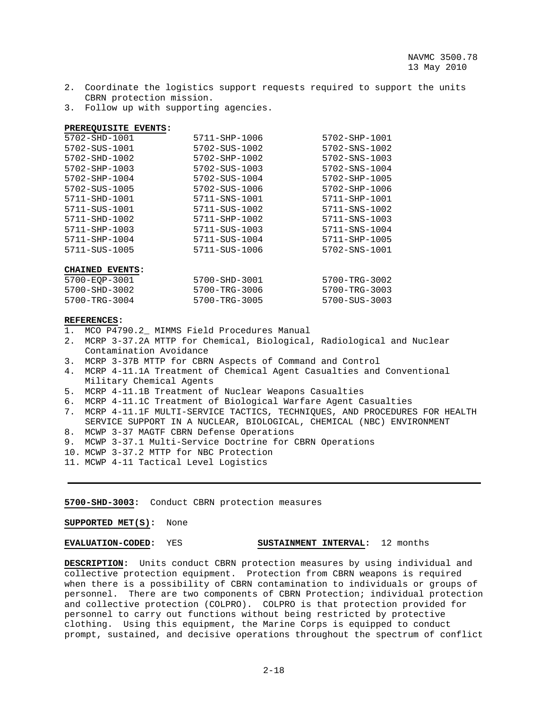- 2. Coordinate the logistics support requests required to support the units CBRN protection mission.
- 3. Follow up with supporting agencies.

### **PREREQUISITE EVENTS:**

| 5702-SHD-1001   | 5711-SHP-1006 | 5702-SHP-1001 |
|-----------------|---------------|---------------|
| 5702-SUS-1001   | 5702-SUS-1002 | 5702-SNS-1002 |
| 5702-SHD-1002   | 5702-SHP-1002 | 5702-SNS-1003 |
| 5702-SHP-1003   | 5702-SUS-1003 | 5702-SNS-1004 |
| 5702-SHP-1004   | 5702-SUS-1004 | 5702-SHP-1005 |
| 5702-SUS-1005   | 5702-SUS-1006 | 5702-SHP-1006 |
| 5711-SHD-1001   | 5711-SNS-1001 | 5711-SHP-1001 |
| 5711-SUS-1001   | 5711-SUS-1002 | 5711-SNS-1002 |
| 5711-SHD-1002   | 5711-SHP-1002 | 5711-SNS-1003 |
| 5711-SHP-1003   | 5711-SUS-1003 | 5711-SNS-1004 |
| 5711-SHP-1004   | 5711-SUS-1004 | 5711-SHP-1005 |
| 5711-SUS-1005   | 5711-SUS-1006 | 5702-SNS-1001 |
| CHAINED EVENTS: |               |               |
| 5700-EOP-3001   | 5700-SHD-3001 | 5700-TRG-3002 |
| 5700-SHD-3002   | 5700-TRG-3006 | 5700-TRG-3003 |

| 5700-SHD-3002 | 5700-TRG-3006 | 5700-TRG-3003 |
|---------------|---------------|---------------|
| 5700-TRG-3004 | 5700-TRG-3005 | 5700-SUS-3003 |

# **REFERENCES:**

- 1. MCO P4790.2 MIMMS Field Procedures Manual
- 2. MCRP 3-37.2A MTTP for Chemical, Biological, Radiological and Nuclear Contamination Avoidance
- 3. MCRP 3-37B MTTP for CBRN Aspects of Command and Control
- 4. MCRP 4-11.1A Treatment of Chemical Agent Casualties and Conventional Military Chemical Agents
- 5. MCRP 4-11.1B Treatment of Nuclear Weapons Casualties
- 6. MCRP 4-11.1C Treatment of Biological Warfare Agent Casualties
- 7. MCRP 4-11.1F MULTI-SERVICE TACTICS, TECHNIQUES, AND PROCEDURES FOR HEALTH SERVICE SUPPORT IN A NUCLEAR, BIOLOGICAL, CHEMICAL (NBC) ENVIRONMENT
- 8. MCWP 3-37 MAGTF CBRN Defense Operations
- 9. MCWP 3-37.1 Multi-Service Doctrine for CBRN Operations
- 10. MCWP 3-37.2 MTTP for NBC Protection
- 11. MCWP 4-11 Tactical Level Logistics

**5700-SHD-3003:** Conduct CBRN protection measures

**SUPPORTED MET(S):** None

**EVALUATION-CODED:** YES **SUSTAINMENT INTERVAL:** 12 months

**DESCRIPTION:** Units conduct CBRN protection measures by using individual and collective protection equipment. Protection from CBRN weapons is required when there is a possibility of CBRN contamination to individuals or groups of personnel. There are two components of CBRN Protection; individual protection and collective protection (COLPRO). COLPRO is that protection provided for personnel to carry out functions without being restricted by protective clothing. Using this equipment, the Marine Corps is equipped to conduct prompt, sustained, and decisive operations throughout the spectrum of conflict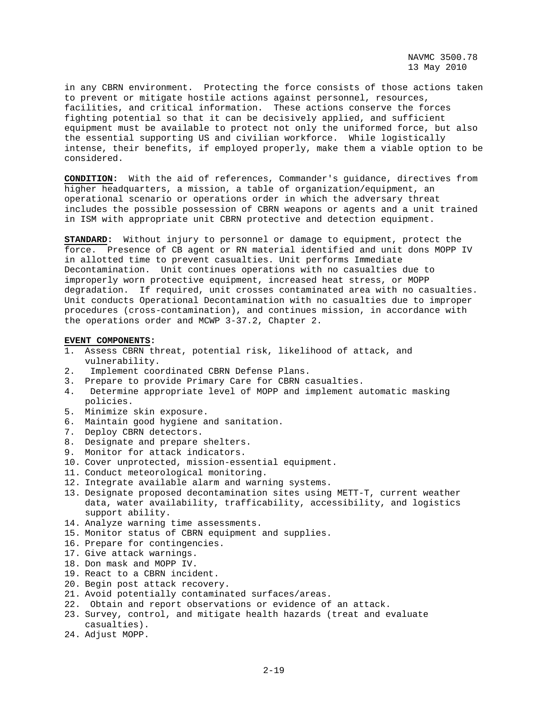in any CBRN environment. Protecting the force consists of those actions taken to prevent or mitigate hostile actions against personnel, resources, facilities, and critical information. These actions conserve the forces fighting potential so that it can be decisively applied, and sufficient equipment must be available to protect not only the uniformed force, but also the essential supporting US and civilian workforce. While logistically intense, their benefits, if employed properly, make them a viable option to be considered.

**CONDITION:** With the aid of references, Commander's guidance, directives from higher headquarters, a mission, a table of organization/equipment, an operational scenario or operations order in which the adversary threat includes the possible possession of CBRN weapons or agents and a unit trained in ISM with appropriate unit CBRN protective and detection equipment.

**STANDARD:** Without injury to personnel or damage to equipment, protect the force. Presence of CB agent or RN material identified and unit dons MOPP IV in allotted time to prevent casualties. Unit performs Immediate Decontamination. Unit continues operations with no casualties due to improperly worn protective equipment, increased heat stress, or MOPP degradation. If required, unit crosses contaminated area with no casualties. Unit conducts Operational Decontamination with no casualties due to improper procedures (cross-contamination), and continues mission, in accordance with the operations order and MCWP 3-37.2, Chapter 2.

#### **EVENT COMPONENTS:**

- 1. Assess CBRN threat, potential risk, likelihood of attack, and vulnerability.
- 2. Implement coordinated CBRN Defense Plans.
- 3. Prepare to provide Primary Care for CBRN casualties.
- 4. Determine appropriate level of MOPP and implement automatic masking policies.
- 5. Minimize skin exposure.
- 6. Maintain good hygiene and sanitation.
- 7. Deploy CBRN detectors.
- 8. Designate and prepare shelters.
- 9. Monitor for attack indicators.
- 10. Cover unprotected, mission-essential equipment.
- 11. Conduct meteorological monitoring.
- 12. Integrate available alarm and warning systems.
- 13. Designate proposed decontamination sites using METT-T, current weather data, water availability, trafficability, accessibility, and logistics support ability.
- 14. Analyze warning time assessments.
- 15. Monitor status of CBRN equipment and supplies.
- 16. Prepare for contingencies.
- 17. Give attack warnings.
- 18. Don mask and MOPP IV.
- 19. React to a CBRN incident.
- 20. Begin post attack recovery.
- 21. Avoid potentially contaminated surfaces/areas.
- 22. Obtain and report observations or evidence of an attack.
- 23. Survey, control, and mitigate health hazards (treat and evaluate casualties).
- 24. Adjust MOPP.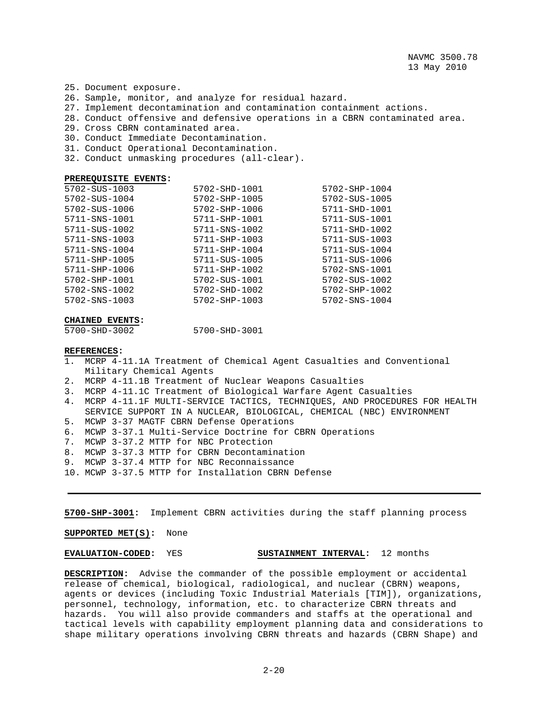- 25. Document exposure.
- 26. Sample, monitor, and analyze for residual hazard.
- 27. Implement decontamination and contamination containment actions.
- 28. Conduct offensive and defensive operations in a CBRN contaminated area.
- 29. Cross CBRN contaminated area.
- 30. Conduct Immediate Decontamination.
- 31. Conduct Operational Decontamination.
- 32. Conduct unmasking procedures (all-clear).

#### **PREREQUISITE EVENTS:**

| 5702-SUS-1003 | 5702-SHD-1001 | 5702-SHP-1004 |
|---------------|---------------|---------------|
| 5702-SUS-1004 | 5702-SHP-1005 | 5702-SUS-1005 |
| 5702-SUS-1006 | 5702-SHP-1006 | 5711-SHD-1001 |
| 5711-SNS-1001 | 5711-SHP-1001 | 5711-SUS-1001 |
| 5711-SUS-1002 | 5711-SNS-1002 | 5711-SHD-1002 |
| 5711-SNS-1003 | 5711-SHP-1003 | 5711-SUS-1003 |
| 5711-SNS-1004 | 5711-SHP-1004 | 5711-SUS-1004 |
| 5711-SHP-1005 | 5711-SUS-1005 | 5711-SUS-1006 |
| 5711-SHP-1006 | 5711-SHP-1002 | 5702-SNS-1001 |
| 5702-SHP-1001 | 5702-SUS-1001 | 5702-SUS-1002 |
| 5702-SNS-1002 | 5702-SHD-1002 | 5702-SHP-1002 |
| 5702-SNS-1003 | 5702-SHP-1003 | 5702-SNS-1004 |
|               |               |               |

#### **CHAINED EVENTS:**

5700-SHD-3002 5700-SHD-3001

#### **REFERENCES:**

- 1. MCRP 4-11.1A Treatment of Chemical Agent Casualties and Conventional Military Chemical Agents
- 2. MCRP 4-11.1B Treatment of Nuclear Weapons Casualties
- 3. MCRP 4-11.1C Treatment of Biological Warfare Agent Casualties
- 4. MCRP 4-11.1F MULTI-SERVICE TACTICS, TECHNIQUES, AND PROCEDURES FOR HEALTH
- SERVICE SUPPORT IN A NUCLEAR, BIOLOGICAL, CHEMICAL (NBC) ENVIRONMENT
- 5. MCWP 3-37 MAGTF CBRN Defense Operations
- 6. MCWP 3-37.1 Multi-Service Doctrine for CBRN Operations
- 7. MCWP 3-37.2 MTTP for NBC Protection
- 8. MCWP 3-37.3 MTTP for CBRN Decontamination
- 9. MCWP 3-37.4 MTTP for NBC Reconnaissance
- 10. MCWP 3-37.5 MTTP for Installation CBRN Defense

**5700-SHP-3001:** Implement CBRN activities during the staff planning process

#### **SUPPORTED MET(S):** None

**EVALUATION-CODED:** YES **SUSTAINMENT INTERVAL:** 12 months

**DESCRIPTION:** Advise the commander of the possible employment or accidental release of chemical, biological, radiological, and nuclear (CBRN) weapons, agents or devices (including Toxic Industrial Materials [TIM]), organizations, personnel, technology, information, etc. to characterize CBRN threats and hazards. You will also provide commanders and staffs at the operational and tactical levels with capability employment planning data and considerations to shape military operations involving CBRN threats and hazards (CBRN Shape) and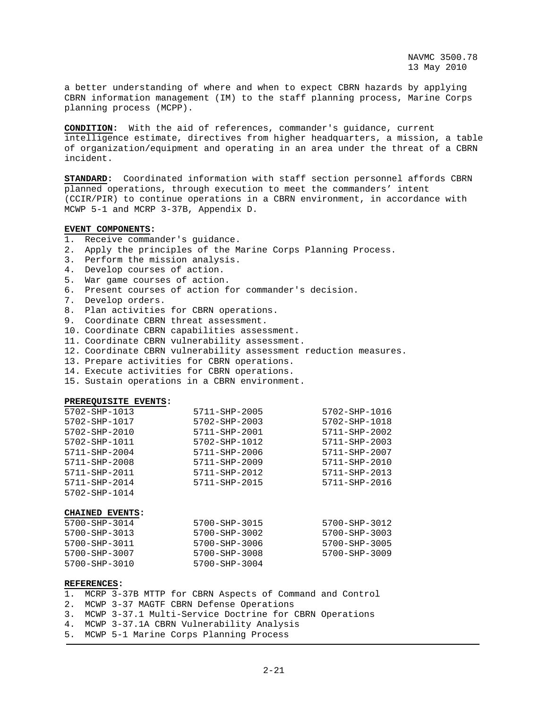a better understanding of where and when to expect CBRN hazards by applying CBRN information management (IM) to the staff planning process, Marine Corps planning process (MCPP).

**CONDITION:** With the aid of references, commander's guidance, current intelligence estimate, directives from higher headquarters, a mission, a table of organization/equipment and operating in an area under the threat of a CBRN incident.

**STANDARD:** Coordinated information with staff section personnel affords CBRN planned operations, through execution to meet the commanders' intent (CCIR/PIR) to continue operations in a CBRN environment, in accordance with MCWP 5-1 and MCRP 3-37B, Appendix D.

#### **EVENT COMPONENTS:**

- 1. Receive commander's guidance.
- 2. Apply the principles of the Marine Corps Planning Process.
- 3. Perform the mission analysis.
- 4. Develop courses of action.
- 5. War game courses of action.
- 6. Present courses of action for commander's decision.
- 7. Develop orders.
- 8. Plan activities for CBRN operations.
- 9. Coordinate CBRN threat assessment.
- 10. Coordinate CBRN capabilities assessment.
- 11. Coordinate CBRN vulnerability assessment.
- 12. Coordinate CBRN vulnerability assessment reduction measures.
- 13. Prepare activities for CBRN operations.
- 14. Execute activities for CBRN operations.
- 15. Sustain operations in a CBRN environment.

#### **PREREQUISITE EVENTS:**

| 5702-SHP-1013   | 5711-SHP-2005 | 5702-SHP-1016 |
|-----------------|---------------|---------------|
| 5702-SHP-1017   | 5702-SHP-2003 | 5702-SHP-1018 |
| 5702-SHP-2010   | 5711-SHP-2001 | 5711-SHP-2002 |
| 5702-SHP-1011   | 5702-SHP-1012 | 5711-SHP-2003 |
| 5711-SHP-2004   | 5711-SHP-2006 | 5711-SHP-2007 |
| 5711-SHP-2008   | 5711-SHP-2009 | 5711-SHP-2010 |
| 5711-SHP-2011   | 5711-SHP-2012 | 5711-SHP-2013 |
| 5711-SHP-2014   | 5711-SHP-2015 | 5711-SHP-2016 |
| 5702-SHP-1014   |               |               |
|                 |               |               |
| CHAINED EVENTS: |               |               |
| 5700-SHP-3014   | 5700-SHP-3015 | 5700-SHP-3012 |
| 5700-SHP-3013   | 5700-SHP-3002 | 5700-SHP-3003 |
| 5700-SHP-3011   | 5700-SHP-3006 | 5700-SHP-3005 |
| 5700-SHP-3007   | 5700-SHP-3008 | 5700-SHP-3009 |
| 5700-SHP-3010   | 5700-SHP-3004 |               |
|                 |               |               |

#### **REFERENCES:**

1. MCRP 3-37B MTTP for CBRN Aspects of Command and Control

- 2. MCWP 3-37 MAGTF CBRN Defense Operations
- 3. MCWP 3-37.1 Multi-Service Doctrine for CBRN Operations
- 4. MCWP 3-37.1A CBRN Vulnerability Analysis
- 5. MCWP 5-1 Marine Corps Planning Process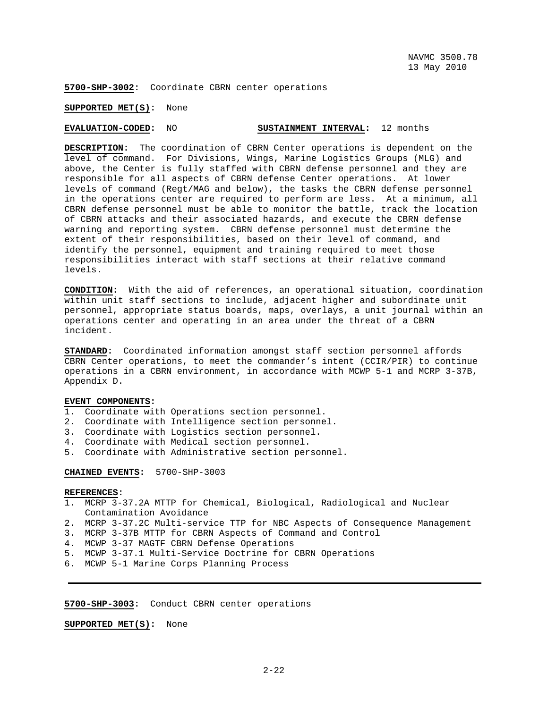**5700-SHP-3002:** Coordinate CBRN center operations

# **SUPPORTED MET(S):** None

# **EVALUATION-CODED:** NO **SUSTAINMENT INTERVAL:** 12 months

**DESCRIPTION:** The coordination of CBRN Center operations is dependent on the level of command. For Divisions, Wings, Marine Logistics Groups (MLG) and above, the Center is fully staffed with CBRN defense personnel and they are responsible for all aspects of CBRN defense Center operations. At lower levels of command (Regt/MAG and below), the tasks the CBRN defense personnel in the operations center are required to perform are less. At a minimum, all CBRN defense personnel must be able to monitor the battle, track the location of CBRN attacks and their associated hazards, and execute the CBRN defense warning and reporting system. CBRN defense personnel must determine the extent of their responsibilities, based on their level of command, and identify the personnel, equipment and training required to meet those responsibilities interact with staff sections at their relative command levels.

**CONDITION:** With the aid of references, an operational situation, coordination within unit staff sections to include, adjacent higher and subordinate unit personnel, appropriate status boards, maps, overlays, a unit journal within an operations center and operating in an area under the threat of a CBRN incident.

**STANDARD:** Coordinated information amongst staff section personnel affords CBRN Center operations, to meet the commander's intent (CCIR/PIR) to continue operations in a CBRN environment, in accordance with MCWP 5-1 and MCRP 3-37B, Appendix D.

# **EVENT COMPONENTS:**

- 1. Coordinate with Operations section personnel.
- 2. Coordinate with Intelligence section personnel.
- 3. Coordinate with Logistics section personnel.
- 4. Coordinate with Medical section personnel.
- 5. Coordinate with Administrative section personnel.

**CHAINED EVENTS:** 5700-SHP-3003

#### **REFERENCES:**

- 1. MCRP 3-37.2A MTTP for Chemical, Biological, Radiological and Nuclear Contamination Avoidance
- 2. MCRP 3-37.2C Multi-service TTP for NBC Aspects of Consequence Management
- 3. MCRP 3-37B MTTP for CBRN Aspects of Command and Control
- 4. MCWP 3-37 MAGTF CBRN Defense Operations
- 5. MCWP 3-37.1 Multi-Service Doctrine for CBRN Operations
- 6. MCWP 5-1 Marine Corps Planning Process

**5700-SHP-3003:** Conduct CBRN center operations

**SUPPORTED MET(S):** None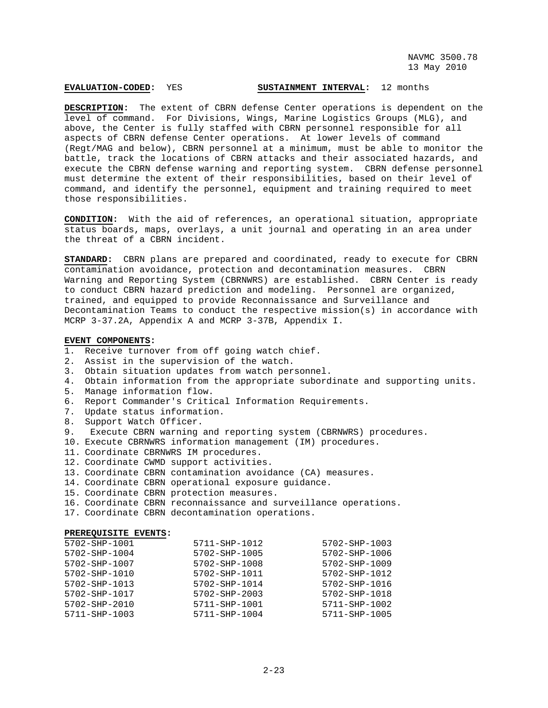**EVALUATION-CODED:** YES **SUSTAINMENT INTERVAL:** 12 months

**DESCRIPTION:** The extent of CBRN defense Center operations is dependent on the level of command. For Divisions, Wings, Marine Logistics Groups (MLG), and above, the Center is fully staffed with CBRN personnel responsible for all aspects of CBRN defense Center operations. At lower levels of command (Regt/MAG and below), CBRN personnel at a minimum, must be able to monitor the battle, track the locations of CBRN attacks and their associated hazards, and execute the CBRN defense warning and reporting system. CBRN defense personnel must determine the extent of their responsibilities, based on their level of command, and identify the personnel, equipment and training required to meet those responsibilities.

**CONDITION:** With the aid of references, an operational situation, appropriate status boards, maps, overlays, a unit journal and operating in an area under the threat of a CBRN incident.

**STANDARD:** CBRN plans are prepared and coordinated, ready to execute for CBRN contamination avoidance, protection and decontamination measures. CBRN Warning and Reporting System (CBRNWRS) are established. CBRN Center is ready to conduct CBRN hazard prediction and modeling. Personnel are organized, trained, and equipped to provide Reconnaissance and Surveillance and Decontamination Teams to conduct the respective mission(s) in accordance with MCRP 3-37.2A, Appendix A and MCRP 3-37B, Appendix I.

# **EVENT COMPONENTS:**

- 1. Receive turnover from off going watch chief.
- 2. Assist in the supervision of the watch.
- 3. Obtain situation updates from watch personnel.
- 4. Obtain information from the appropriate subordinate and supporting units.
- 5. Manage information flow.
- 6. Report Commander's Critical Information Requirements.
- 7. Update status information.
- 8. Support Watch Officer.
- 9. Execute CBRN warning and reporting system (CBRNWRS) procedures.
- 10. Execute CBRNWRS information management (IM) procedures.
- 11. Coordinate CBRNWRS IM procedures.
- 12. Coordinate CWMD support activities.
- 13. Coordinate CBRN contamination avoidance (CA) measures.
- 14. Coordinate CBRN operational exposure guidance.
- 15. Coordinate CBRN protection measures.
- 16. Coordinate CBRN reconnaissance and surveillance operations.
- 17. Coordinate CBRN decontamination operations.

#### **PREREQUISITE EVENTS:**

| 5702-SHP-1001 | 5711-SHP-1012 | 5702-SHP-1003 |
|---------------|---------------|---------------|
| 5702-SHP-1004 | 5702-SHP-1005 | 5702-SHP-1006 |
| 5702-SHP-1007 | 5702-SHP-1008 | 5702-SHP-1009 |
| 5702-SHP-1010 | 5702-SHP-1011 | 5702-SHP-1012 |
| 5702-SHP-1013 | 5702-SHP-1014 | 5702-SHP-1016 |
| 5702-SHP-1017 | 5702-SHP-2003 | 5702-SHP-1018 |
| 5702-SHP-2010 | 5711-SHP-1001 | 5711-SHP-1002 |
| 5711-SHP-1003 | 5711-SHP-1004 | 5711-SHP-1005 |
|               |               |               |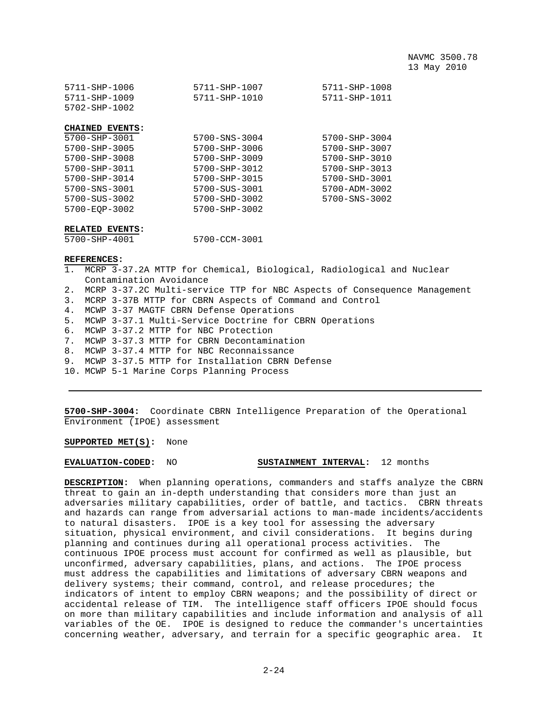| 5711-SHP-1006 | 5711-SHP-1007 | 5711-SHP-1008 |
|---------------|---------------|---------------|
| 5711-SHP-1009 | 5711-SHP-1010 | 5711-SHP-1011 |
| 5702-SHP-1002 |               |               |

#### **CHAINED EVENTS:**

| 5700-SHP-3001 | 5700-SNS-3004 | 5700-SHP-3004       |
|---------------|---------------|---------------------|
| 5700-SHP-3005 | 5700-SHP-3006 | 5700-SHP-3007       |
| 5700-SHP-3008 | 5700-SHP-3009 | 5700-SHP-3010       |
| 5700-SHP-3011 | 5700-SHP-3012 | 5700-SHP-3013       |
| 5700-SHP-3014 | 5700-SHP-3015 | 5700-SHD-3001       |
| 5700-SNS-3001 | 5700-SUS-3001 | $5700 - ADM - 3002$ |
| 5700-SUS-3002 | 5700-SHD-3002 | 5700-SNS-3002       |
| 5700-EOP-3002 | 5700-SHP-3002 |                     |
|               |               |                     |

#### **RELATED EVENTS:**

5700-SHP-4001 5700-CCM-3001

#### **REFERENCES:**

1. MCRP 3-37.2A MTTP for Chemical, Biological, Radiological and Nuclear Contamination Avoidance 2. MCRP 3-37.2C Multi-service TTP for NBC Aspects of Consequence Management 3. MCRP 3-37B MTTP for CBRN Aspects of Command and Control 4. MCWP 3-37 MAGTF CBRN Defense Operations 5. MCWP 3-37.1 Multi-Service Doctrine for CBRN Operations 6. MCWP 3-37.2 MTTP for NBC Protection 7. MCWP 3-37.3 MTTP for CBRN Decontamination 8. MCWP 3-37.4 MTTP for NBC Reconnaissance 9. MCWP 3-37.5 MTTP for Installation CBRN Defense

10. MCWP 5-1 Marine Corps Planning Process

**5700-SHP-3004:** Coordinate CBRN Intelligence Preparation of the Operational Environment (IPOE) assessment

**SUPPORTED MET(S):** None

#### **EVALUATION-CODED:** NO **SUSTAINMENT INTERVAL:** 12 months

**DESCRIPTION:** When planning operations, commanders and staffs analyze the CBRN threat to gain an in-depth understanding that considers more than just an adversaries military capabilities, order of battle, and tactics. CBRN threats and hazards can range from adversarial actions to man-made incidents/accidents to natural disasters. IPOE is a key tool for assessing the adversary situation, physical environment, and civil considerations. It begins during planning and continues during all operational process activities. The continuous IPOE process must account for confirmed as well as plausible, but unconfirmed, adversary capabilities, plans, and actions. The IPOE process must address the capabilities and limitations of adversary CBRN weapons and delivery systems; their command, control, and release procedures; the indicators of intent to employ CBRN weapons; and the possibility of direct or accidental release of TIM. The intelligence staff officers IPOE should focus on more than military capabilities and include information and analysis of all variables of the OE. IPOE is designed to reduce the commander's uncertainties concerning weather, adversary, and terrain for a specific geographic area. It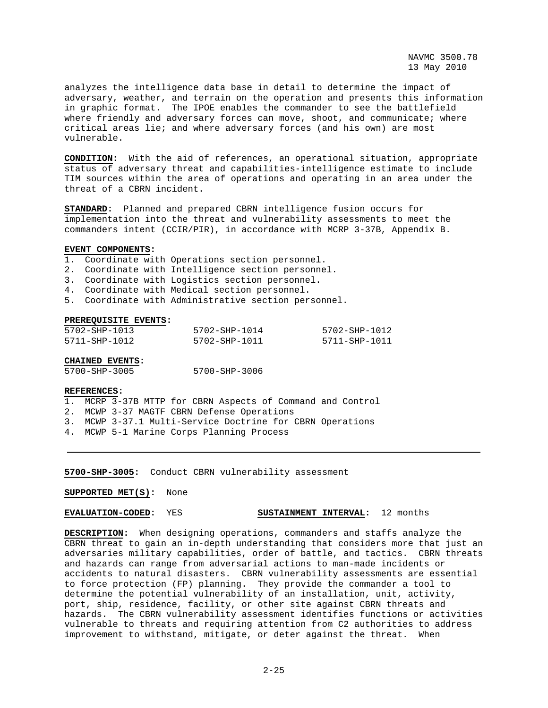analyzes the intelligence data base in detail to determine the impact of adversary, weather, and terrain on the operation and presents this information in graphic format. The IPOE enables the commander to see the battlefield where friendly and adversary forces can move, shoot, and communicate; where critical areas lie; and where adversary forces (and his own) are most vulnerable.

**CONDITION:** With the aid of references, an operational situation, appropriate status of adversary threat and capabilities-intelligence estimate to include TIM sources within the area of operations and operating in an area under the threat of a CBRN incident.

**STANDARD:** Planned and prepared CBRN intelligence fusion occurs for implementation into the threat and vulnerability assessments to meet the commanders intent (CCIR/PIR), in accordance with MCRP 3-37B, Appendix B.

# **EVENT COMPONENTS:**

- 1. Coordinate with Operations section personnel.
- 2. Coordinate with Intelligence section personnel.
- 3. Coordinate with Logistics section personnel.
- 4. Coordinate with Medical section personnel.

5. Coordinate with Administrative section personnel.

#### **PREREQUISITE EVENTS:**

| 5702-SHP-1013 | 5702-SHP-1014 | 5702-SHP-1012 |
|---------------|---------------|---------------|
| 5711-SHP-1012 | 5702-SHP-1011 | 5711-SHP-1011 |

#### **CHAINED EVENTS:**

5700-SHP-3005 5700-SHP-3006

#### **REFERENCES:**

- 1. MCRP 3-37B MTTP for CBRN Aspects of Command and Control
- 2. MCWP 3-37 MAGTF CBRN Defense Operations
- 3. MCWP 3-37.1 Multi-Service Doctrine for CBRN Operations
- 4. MCWP 5-1 Marine Corps Planning Process

**5700-SHP-3005:** Conduct CBRN vulnerability assessment

**SUPPORTED MET(S):** None

**EVALUATION-CODED:** YES **SUSTAINMENT INTERVAL:** 12 months

**DESCRIPTION:** When designing operations, commanders and staffs analyze the CBRN threat to gain an in-depth understanding that considers more that just an adversaries military capabilities, order of battle, and tactics. CBRN threats and hazards can range from adversarial actions to man-made incidents or accidents to natural disasters. CBRN vulnerability assessments are essential to force protection (FP) planning. They provide the commander a tool to determine the potential vulnerability of an installation, unit, activity, port, ship, residence, facility, or other site against CBRN threats and hazards. The CBRN vulnerability assessment identifies functions or activities vulnerable to threats and requiring attention from C2 authorities to address improvement to withstand, mitigate, or deter against the threat. When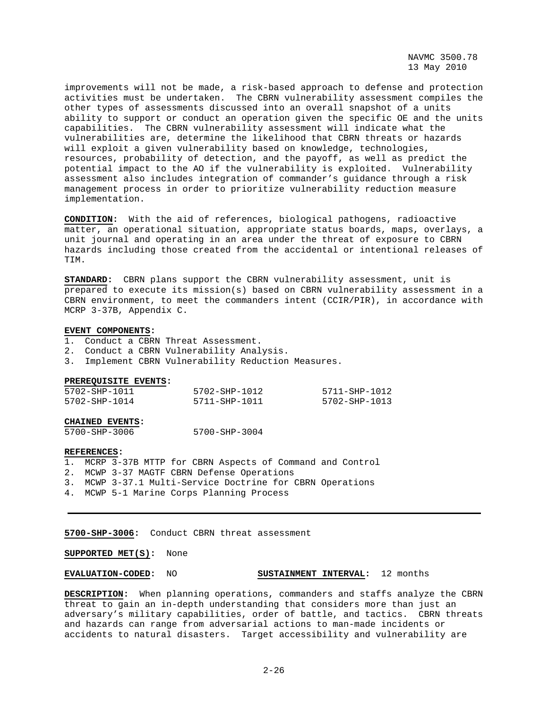improvements will not be made, a risk-based approach to defense and protection activities must be undertaken. The CBRN vulnerability assessment compiles the other types of assessments discussed into an overall snapshot of a units ability to support or conduct an operation given the specific OE and the units capabilities. The CBRN vulnerability assessment will indicate what the vulnerabilities are, determine the likelihood that CBRN threats or hazards will exploit a given vulnerability based on knowledge, technologies, resources, probability of detection, and the payoff, as well as predict the potential impact to the AO if the vulnerability is exploited. Vulnerability assessment also includes integration of commander's guidance through a risk management process in order to prioritize vulnerability reduction measure implementation.

**CONDITION:** With the aid of references, biological pathogens, radioactive matter, an operational situation, appropriate status boards, maps, overlays, a unit journal and operating in an area under the threat of exposure to CBRN hazards including those created from the accidental or intentional releases of TIM.

**STANDARD:** CBRN plans support the CBRN vulnerability assessment, unit is prepared to execute its mission(s) based on CBRN vulnerability assessment in a CBRN environment, to meet the commanders intent (CCIR/PIR), in accordance with MCRP 3-37B, Appendix C.

# **EVENT COMPONENTS:**

- 1. Conduct a CBRN Threat Assessment.
- 2. Conduct a CBRN Vulnerability Analysis.
- 3. Implement CBRN Vulnerability Reduction Measures.

#### **PREREQUISITE EVENTS:**

| 5702-SHP-1011 | 5702-SHP-1012 | 5711-SHP-1012 |
|---------------|---------------|---------------|
| 5702-SHP-1014 | 5711-SHP-1011 | 5702-SHP-1013 |

## **CHAINED EVENTS:**

5700-SHP-3006 5700-SHP-3004

#### **REFERENCES:**

1. MCRP 3-37B MTTP for CBRN Aspects of Command and Control

- 2. MCWP 3-37 MAGTF CBRN Defense Operations
- 3. MCWP 3-37.1 Multi-Service Doctrine for CBRN Operations
- 4. MCWP 5-1 Marine Corps Planning Process

**5700-SHP-3006:** Conduct CBRN threat assessment

#### **SUPPORTED MET(S):** None

#### **EVALUATION-CODED:** NO **SUSTAINMENT INTERVAL:** 12 months

**DESCRIPTION:** When planning operations, commanders and staffs analyze the CBRN threat to gain an in-depth understanding that considers more than just an adversary's military capabilities, order of battle, and tactics. CBRN threats and hazards can range from adversarial actions to man-made incidents or accidents to natural disasters. Target accessibility and vulnerability are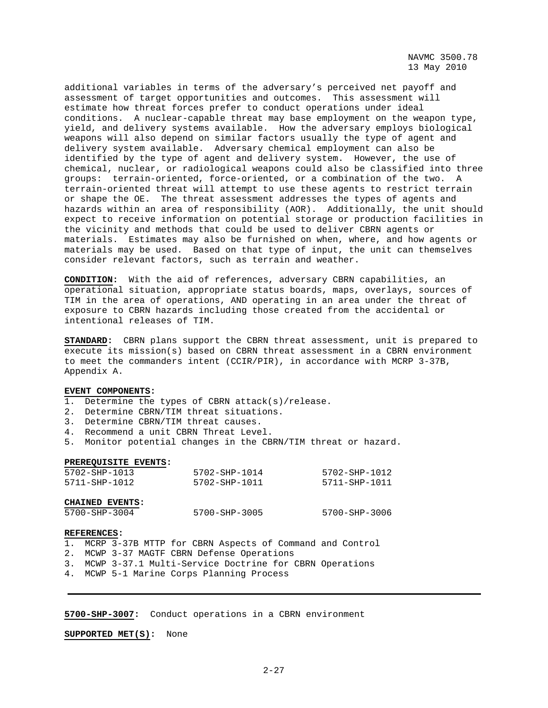additional variables in terms of the adversary's perceived net payoff and assessment of target opportunities and outcomes. This assessment will estimate how threat forces prefer to conduct operations under ideal conditions. A nuclear-capable threat may base employment on the weapon type, yield, and delivery systems available. How the adversary employs biological weapons will also depend on similar factors usually the type of agent and delivery system available. Adversary chemical employment can also be identified by the type of agent and delivery system. However, the use of chemical, nuclear, or radiological weapons could also be classified into three groups: terrain-oriented, force-oriented, or a combination of the two. A terrain-oriented threat will attempt to use these agents to restrict terrain or shape the OE. The threat assessment addresses the types of agents and hazards within an area of responsibility (AOR). Additionally, the unit should expect to receive information on potential storage or production facilities in the vicinity and methods that could be used to deliver CBRN agents or materials. Estimates may also be furnished on when, where, and how agents or materials may be used. Based on that type of input, the unit can themselves consider relevant factors, such as terrain and weather.

**CONDITION:** With the aid of references, adversary CBRN capabilities, an operational situation, appropriate status boards, maps, overlays, sources of TIM in the area of operations, AND operating in an area under the threat of exposure to CBRN hazards including those created from the accidental or intentional releases of TIM.

**STANDARD:** CBRN plans support the CBRN threat assessment, unit is prepared to execute its mission(s) based on CBRN threat assessment in a CBRN environment to meet the commanders intent (CCIR/PIR), in accordance with MCRP 3-37B, Appendix A.

#### **EVENT COMPONENTS:**

- 1. Determine the types of CBRN attack(s)/release.
- 2. Determine CBRN/TIM threat situations.
- 3. Determine CBRN/TIM threat causes.
- 4. Recommend a unit CBRN Threat Level.
- 5. Monitor potential changes in the CBRN/TIM threat or hazard.

# **PREREQUISITE EVENTS:**

| 5702-SHP-1013   | 5702-SHP-1014 | 5702-SHP-1012 |
|-----------------|---------------|---------------|
| 5711-SHP-1012   | 5702-SHP-1011 | 5711-SHP-1011 |
|                 |               |               |
| CHAINED EVENTS: |               |               |
| 5700-SHP-3004   | 5700-SHP-3005 | 5700-SHP-3006 |

#### **REFERENCES:**

1. MCRP 3-37B MTTP for CBRN Aspects of Command and Control

- 2. MCWP 3-37 MAGTF CBRN Defense Operations
- 3. MCWP 3-37.1 Multi-Service Doctrine for CBRN Operations
- 4. MCWP 5-1 Marine Corps Planning Process

**5700-SHP-3007:** Conduct operations in a CBRN environment

**SUPPORTED MET(S):** None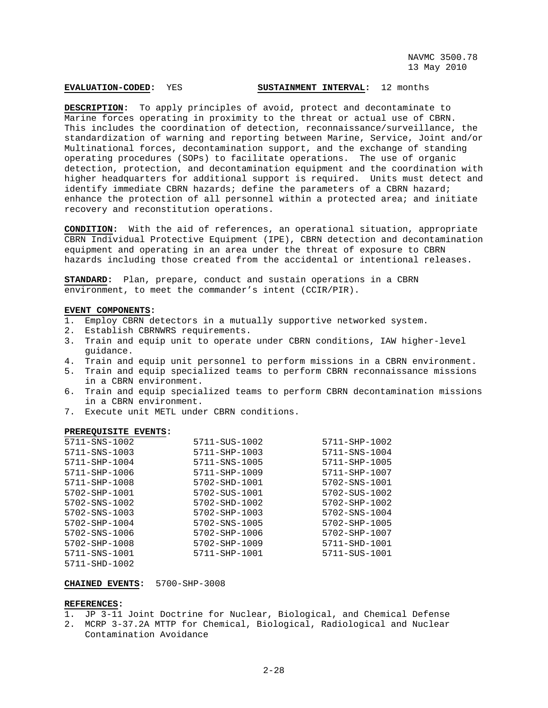**EVALUATION-CODED:** YES **SUSTAINMENT INTERVAL:** 12 months

**DESCRIPTION:** To apply principles of avoid, protect and decontaminate to Marine forces operating in proximity to the threat or actual use of CBRN. This includes the coordination of detection, reconnaissance/surveillance, the standardization of warning and reporting between Marine, Service, Joint and/or Multinational forces, decontamination support, and the exchange of standing operating procedures (SOPs) to facilitate operations. The use of organic detection, protection, and decontamination equipment and the coordination with higher headquarters for additional support is required. Units must detect and identify immediate CBRN hazards; define the parameters of a CBRN hazard; enhance the protection of all personnel within a protected area; and initiate recovery and reconstitution operations.

**CONDITION:** With the aid of references, an operational situation, appropriate CBRN Individual Protective Equipment (IPE), CBRN detection and decontamination equipment and operating in an area under the threat of exposure to CBRN hazards including those created from the accidental or intentional releases.

**STANDARD:** Plan, prepare, conduct and sustain operations in a CBRN environment, to meet the commander's intent (CCIR/PIR).

# **EVENT COMPONENTS:**

- 1. Employ CBRN detectors in a mutually supportive networked system.
- 2. Establish CBRNWRS requirements.
- 3. Train and equip unit to operate under CBRN conditions, IAW higher-level guidance.
- 4. Train and equip unit personnel to perform missions in a CBRN environment.
- 5. Train and equip specialized teams to perform CBRN reconnaissance missions in a CBRN environment.
- 6. Train and equip specialized teams to perform CBRN decontamination missions in a CBRN environment.
- 7. Execute unit METL under CBRN conditions.

#### **PREREQUISITE EVENTS:**

| 5711-SNS-1002 | 5711-SUS-1002 | 5711-SHP-1002 |
|---------------|---------------|---------------|
| 5711-SNS-1003 | 5711-SHP-1003 | 5711-SNS-1004 |
| 5711-SHP-1004 | 5711-SNS-1005 | 5711-SHP-1005 |
| 5711-SHP-1006 | 5711-SHP-1009 | 5711-SHP-1007 |
| 5711-SHP-1008 | 5702-SHD-1001 | 5702-SNS-1001 |
| 5702-SHP-1001 | 5702-SUS-1001 | 5702-SUS-1002 |
| 5702-SNS-1002 | 5702-SHD-1002 | 5702-SHP-1002 |
| 5702-SNS-1003 | 5702-SHP-1003 | 5702-SNS-1004 |
| 5702-SHP-1004 | 5702-SNS-1005 | 5702-SHP-1005 |
| 5702-SNS-1006 | 5702-SHP-1006 | 5702-SHP-1007 |
| 5702-SHP-1008 | 5702-SHP-1009 | 5711-SHD-1001 |
| 5711-SNS-1001 | 5711-SHP-1001 | 5711-SUS-1001 |
| 5711-SHD-1002 |               |               |

**CHAINED EVENTS:** 5700-SHP-3008

# **REFERENCES:**

- 1. JP 3-11 Joint Doctrine for Nuclear, Biological, and Chemical Defense
- 2. MCRP 3-37.2A MTTP for Chemical, Biological, Radiological and Nuclear Contamination Avoidance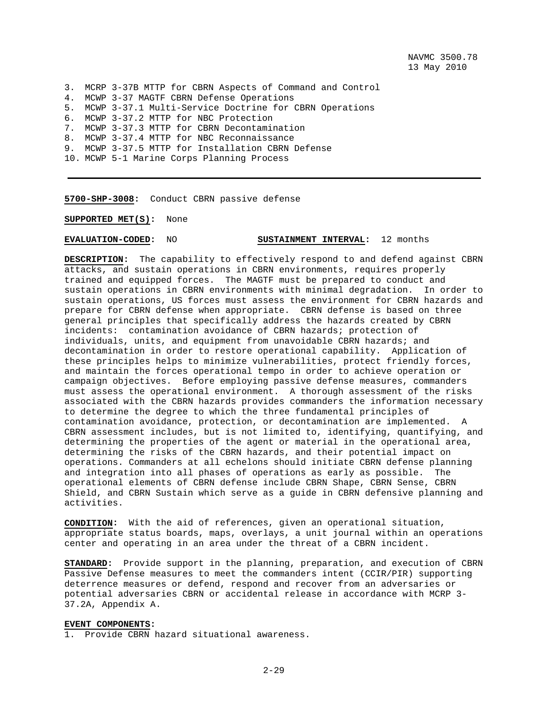3. MCRP 3-37B MTTP for CBRN Aspects of Command and Control 4. MCWP 3-37 MAGTF CBRN Defense Operations 5. MCWP 3-37.1 Multi-Service Doctrine for CBRN Operations 6. MCWP 3-37.2 MTTP for NBC Protection 7. MCWP 3-37.3 MTTP for CBRN Decontamination 8. MCWP 3-37.4 MTTP for NBC Reconnaissance 9. MCWP 3-37.5 MTTP for Installation CBRN Defense 10. MCWP 5-1 Marine Corps Planning Process

**5700-SHP-3008:** Conduct CBRN passive defense

**SUPPORTED MET(S):** None

**EVALUATION-CODED:** NO **SUSTAINMENT INTERVAL:** 12 months

**DESCRIPTION:** The capability to effectively respond to and defend against CBRN attacks, and sustain operations in CBRN environments, requires properly trained and equipped forces. The MAGTF must be prepared to conduct and sustain operations in CBRN environments with minimal degradation. In order to sustain operations, US forces must assess the environment for CBRN hazards and prepare for CBRN defense when appropriate. CBRN defense is based on three general principles that specifically address the hazards created by CBRN incidents: contamination avoidance of CBRN hazards; protection of individuals, units, and equipment from unavoidable CBRN hazards; and decontamination in order to restore operational capability. Application of these principles helps to minimize vulnerabilities, protect friendly forces, and maintain the forces operational tempo in order to achieve operation or campaign objectives. Before employing passive defense measures, commanders must assess the operational environment. A thorough assessment of the risks associated with the CBRN hazards provides commanders the information necessary to determine the degree to which the three fundamental principles of contamination avoidance, protection, or decontamination are implemented. A CBRN assessment includes, but is not limited to, identifying, quantifying, and determining the properties of the agent or material in the operational area, determining the risks of the CBRN hazards, and their potential impact on operations. Commanders at all echelons should initiate CBRN defense planning and integration into all phases of operations as early as possible. The operational elements of CBRN defense include CBRN Shape, CBRN Sense, CBRN Shield, and CBRN Sustain which serve as a guide in CBRN defensive planning and activities.

**CONDITION:** With the aid of references, given an operational situation, appropriate status boards, maps, overlays, a unit journal within an operations center and operating in an area under the threat of a CBRN incident.

**STANDARD:** Provide support in the planning, preparation, and execution of CBRN Passive Defense measures to meet the commanders intent (CCIR/PIR) supporting deterrence measures or defend, respond and recover from an adversaries or potential adversaries CBRN or accidental release in accordance with MCRP 3- 37.2A, Appendix A.

# **EVENT COMPONENTS:**

1. Provide CBRN hazard situational awareness.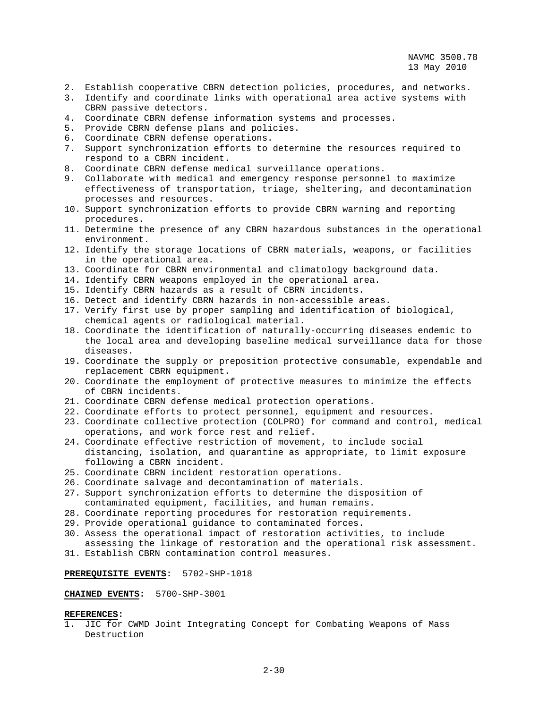- 2. Establish cooperative CBRN detection policies, procedures, and networks.
- 3. Identify and coordinate links with operational area active systems with CBRN passive detectors.
- 4. Coordinate CBRN defense information systems and processes.
- 5. Provide CBRN defense plans and policies.
- 6. Coordinate CBRN defense operations.
- 7. Support synchronization efforts to determine the resources required to respond to a CBRN incident.
- 8. Coordinate CBRN defense medical surveillance operations.
- 9. Collaborate with medical and emergency response personnel to maximize effectiveness of transportation, triage, sheltering, and decontamination processes and resources.
- 10. Support synchronization efforts to provide CBRN warning and reporting procedures.
- 11. Determine the presence of any CBRN hazardous substances in the operational environment.
- 12. Identify the storage locations of CBRN materials, weapons, or facilities in the operational area.
- 13. Coordinate for CBRN environmental and climatology background data.
- 14. Identify CBRN weapons employed in the operational area.
- 15. Identify CBRN hazards as a result of CBRN incidents.
- 16. Detect and identify CBRN hazards in non-accessible areas.
- 17. Verify first use by proper sampling and identification of biological, chemical agents or radiological material.
- 18. Coordinate the identification of naturally-occurring diseases endemic to the local area and developing baseline medical surveillance data for those diseases.
- 19. Coordinate the supply or preposition protective consumable, expendable and replacement CBRN equipment.
- 20. Coordinate the employment of protective measures to minimize the effects of CBRN incidents.
- 21. Coordinate CBRN defense medical protection operations.
- 22. Coordinate efforts to protect personnel, equipment and resources.
- 23. Coordinate collective protection (COLPRO) for command and control, medical operations, and work force rest and relief.
- 24. Coordinate effective restriction of movement, to include social distancing, isolation, and quarantine as appropriate, to limit exposure following a CBRN incident.
- 25. Coordinate CBRN incident restoration operations.
- 26. Coordinate salvage and decontamination of materials.
- 27. Support synchronization efforts to determine the disposition of contaminated equipment, facilities, and human remains.
- 28. Coordinate reporting procedures for restoration requirements.
- 29. Provide operational guidance to contaminated forces.
- 30. Assess the operational impact of restoration activities, to include
- assessing the linkage of restoration and the operational risk assessment.
- 31. Establish CBRN contamination control measures.

# **PREREQUISITE EVENTS:** 5702-SHP-1018

**CHAINED EVENTS:** 5700-SHP-3001

# **REFERENCES:**

1. JIC for CWMD Joint Integrating Concept for Combating Weapons of Mass Destruction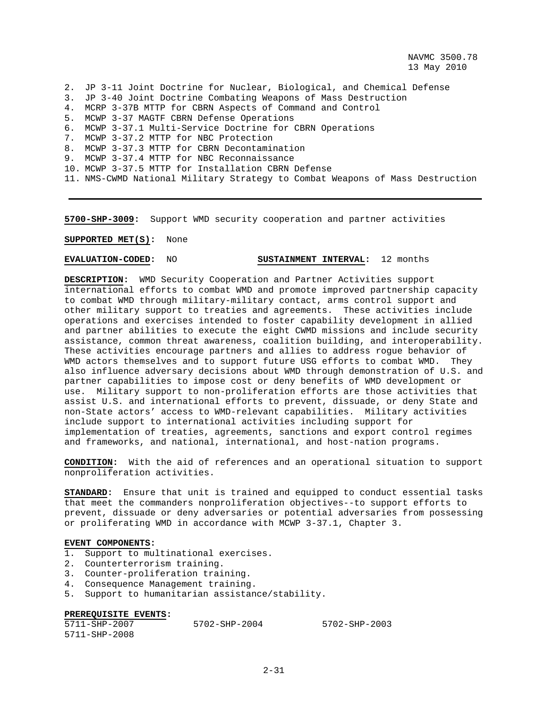2. JP 3-11 Joint Doctrine for Nuclear, Biological, and Chemical Defense 3. JP 3-40 Joint Doctrine Combating Weapons of Mass Destruction 4. MCRP 3-37B MTTP for CBRN Aspects of Command and Control 5. MCWP 3-37 MAGTF CBRN Defense Operations 6. MCWP 3-37.1 Multi-Service Doctrine for CBRN Operations 7. MCWP 3-37.2 MTTP for NBC Protection 8. MCWP 3-37.3 MTTP for CBRN Decontamination 9. MCWP 3-37.4 MTTP for NBC Reconnaissance 10. MCWP 3-37.5 MTTP for Installation CBRN Defense 11. NMS-CWMD National Military Strategy to Combat Weapons of Mass Destruction

**5700-SHP-3009:** Support WMD security cooperation and partner activities

**SUPPORTED MET(S):** None

**EVALUATION-CODED:** NO **SUSTAINMENT INTERVAL:** 12 months

**DESCRIPTION:** WMD Security Cooperation and Partner Activities support international efforts to combat WMD and promote improved partnership capacity to combat WMD through military-military contact, arms control support and other military support to treaties and agreements. These activities include operations and exercises intended to foster capability development in allied and partner abilities to execute the eight CWMD missions and include security assistance, common threat awareness, coalition building, and interoperability. These activities encourage partners and allies to address rogue behavior of WMD actors themselves and to support future USG efforts to combat WMD. They also influence adversary decisions about WMD through demonstration of U.S. and partner capabilities to impose cost or deny benefits of WMD development or use. Military support to non-proliferation efforts are those activities that assist U.S. and international efforts to prevent, dissuade, or deny State and non-State actors' access to WMD-relevant capabilities. Military activities include support to international activities including support for implementation of treaties, agreements, sanctions and export control regimes and frameworks, and national, international, and host-nation programs.

**CONDITION:** With the aid of references and an operational situation to support nonproliferation activities.

**STANDARD:** Ensure that unit is trained and equipped to conduct essential tasks that meet the commanders nonproliferation objectives--to support efforts to prevent, dissuade or deny adversaries or potential adversaries from possessing or proliferating WMD in accordance with MCWP 3-37.1, Chapter 3.

# **EVENT COMPONENTS:**

- 1. Support to multinational exercises.
- 2. Counterterrorism training.
- 3. Counter-proliferation training.
- 4. Consequence Management training.
- 5. Support to humanitarian assistance/stability.

#### **PREREQUISITE EVENTS:**

| 5711-SHP-2007 | 5702-SHP-2004 | 5702-SHP-2003 |
|---------------|---------------|---------------|
| 5711-SHP-2008 |               |               |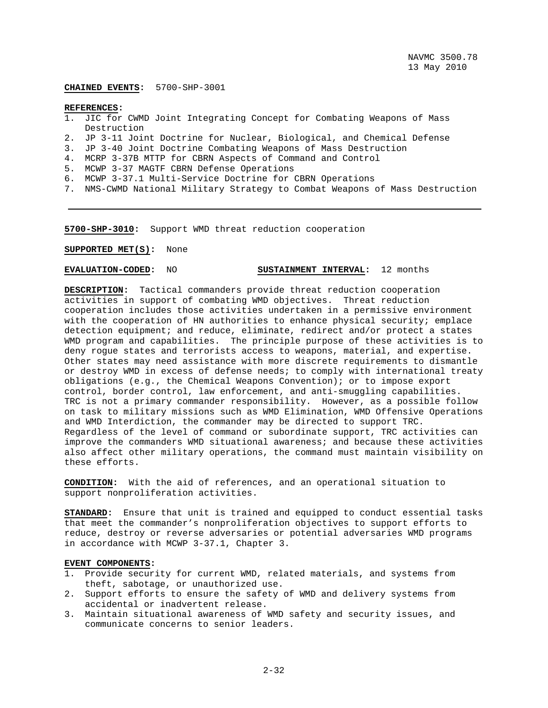**CHAINED EVENTS:** 5700-SHP-3001

#### **REFERENCES:**

- 1. JIC for CWMD Joint Integrating Concept for Combating Weapons of Mass Destruction
- 2. JP 3-11 Joint Doctrine for Nuclear, Biological, and Chemical Defense
- 3. JP 3-40 Joint Doctrine Combating Weapons of Mass Destruction
- 4. MCRP 3-37B MTTP for CBRN Aspects of Command and Control
- 5. MCWP 3-37 MAGTF CBRN Defense Operations
- 6. MCWP 3-37.1 Multi-Service Doctrine for CBRN Operations
- 7. NMS-CWMD National Military Strategy to Combat Weapons of Mass Destruction

**5700-SHP-3010:** Support WMD threat reduction cooperation

**SUPPORTED MET(S):** None

# **EVALUATION-CODED:** NO **SUSTAINMENT INTERVAL:** 12 months

**DESCRIPTION:** Tactical commanders provide threat reduction cooperation activities in support of combating WMD objectives. Threat reduction cooperation includes those activities undertaken in a permissive environment with the cooperation of HN authorities to enhance physical security; emplace detection equipment; and reduce, eliminate, redirect and/or protect a states WMD program and capabilities. The principle purpose of these activities is to deny rogue states and terrorists access to weapons, material, and expertise. Other states may need assistance with more discrete requirements to dismantle or destroy WMD in excess of defense needs; to comply with international treaty obligations (e.g., the Chemical Weapons Convention); or to impose export control, border control, law enforcement, and anti-smuggling capabilities. TRC is not a primary commander responsibility. However, as a possible follow on task to military missions such as WMD Elimination, WMD Offensive Operations and WMD Interdiction, the commander may be directed to support TRC. Regardless of the level of command or subordinate support, TRC activities can improve the commanders WMD situational awareness; and because these activities also affect other military operations, the command must maintain visibility on these efforts.

**CONDITION:** With the aid of references, and an operational situation to support nonproliferation activities.

**STANDARD:** Ensure that unit is trained and equipped to conduct essential tasks that meet the commander's nonproliferation objectives to support efforts to reduce, destroy or reverse adversaries or potential adversaries WMD programs in accordance with MCWP 3-37.1, Chapter 3.

- 1. Provide security for current WMD, related materials, and systems from theft, sabotage, or unauthorized use.
- 2. Support efforts to ensure the safety of WMD and delivery systems from accidental or inadvertent release.
- 3. Maintain situational awareness of WMD safety and security issues, and communicate concerns to senior leaders.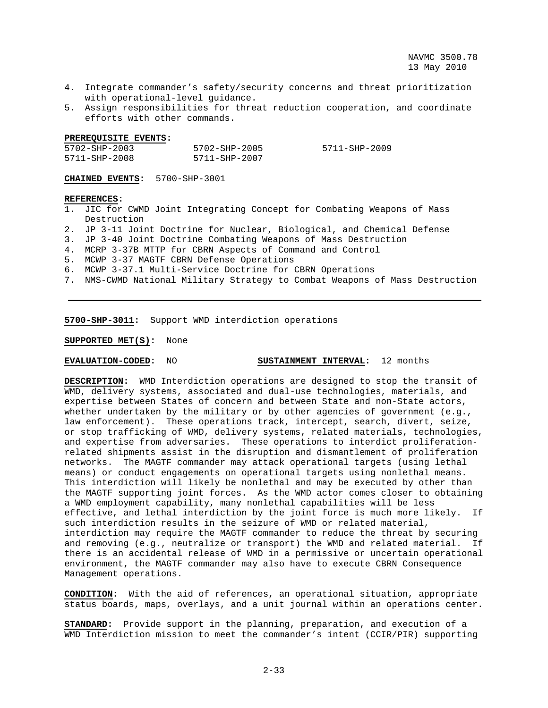- 4. Integrate commander's safety/security concerns and threat prioritization with operational-level guidance.
- 5. Assign responsibilities for threat reduction cooperation, and coordinate efforts with other commands.

### **PREREQUISITE EVENTS:**

| 5702-SHP-2003 | 5702-SHP-2005 | 5711-SHP-2009 |
|---------------|---------------|---------------|
| 5711-SHP-2008 | 5711-SHP-2007 |               |

**CHAINED EVENTS:** 5700-SHP-3001

### **REFERENCES:**

- 1. JIC for CWMD Joint Integrating Concept for Combating Weapons of Mass Destruction
- 2. JP 3-11 Joint Doctrine for Nuclear, Biological, and Chemical Defense
- 3. JP 3-40 Joint Doctrine Combating Weapons of Mass Destruction
- 4. MCRP 3-37B MTTP for CBRN Aspects of Command and Control
- 5. MCWP 3-37 MAGTF CBRN Defense Operations
- 6. MCWP 3-37.1 Multi-Service Doctrine for CBRN Operations
- 7. NMS-CWMD National Military Strategy to Combat Weapons of Mass Destruction

**5700-SHP-3011:** Support WMD interdiction operations

**SUPPORTED MET(S):** None

**EVALUATION-CODED:** NO **SUSTAINMENT INTERVAL:** 12 months

**DESCRIPTION:** WMD Interdiction operations are designed to stop the transit of WMD, delivery systems, associated and dual-use technologies, materials, and expertise between States of concern and between State and non-State actors, whether undertaken by the military or by other agencies of government  $(e.g.,$ law enforcement). These operations track, intercept, search, divert, seize, or stop trafficking of WMD, delivery systems, related materials, technologies, and expertise from adversaries. These operations to interdict proliferationrelated shipments assist in the disruption and dismantlement of proliferation networks. The MAGTF commander may attack operational targets (using lethal means) or conduct engagements on operational targets using nonlethal means. This interdiction will likely be nonlethal and may be executed by other than the MAGTF supporting joint forces. As the WMD actor comes closer to obtaining a WMD employment capability, many nonlethal capabilities will be less effective, and lethal interdiction by the joint force is much more likely. If such interdiction results in the seizure of WMD or related material, interdiction may require the MAGTF commander to reduce the threat by securing and removing (e.g., neutralize or transport) the WMD and related material. If there is an accidental release of WMD in a permissive or uncertain operational environment, the MAGTF commander may also have to execute CBRN Consequence Management operations.

**CONDITION:** With the aid of references, an operational situation, appropriate status boards, maps, overlays, and a unit journal within an operations center.

**STANDARD:** Provide support in the planning, preparation, and execution of a WMD Interdiction mission to meet the commander's intent (CCIR/PIR) supporting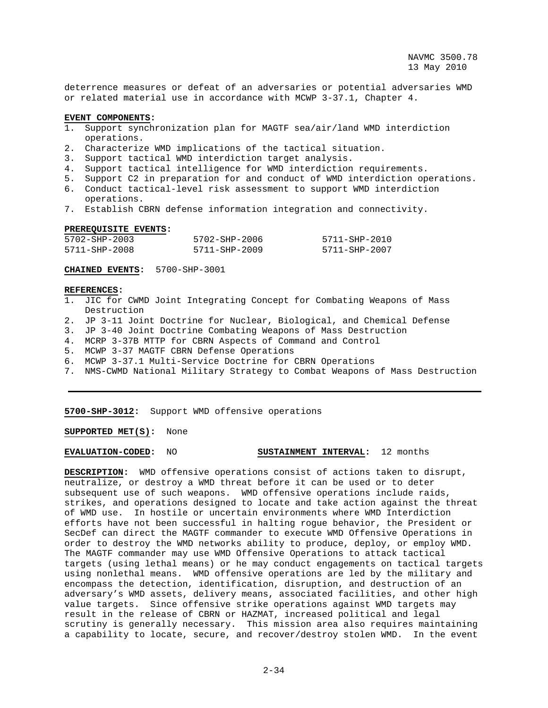deterrence measures or defeat of an adversaries or potential adversaries WMD or related material use in accordance with MCWP 3-37.1, Chapter 4.

## **EVENT COMPONENTS:**

- 1. Support synchronization plan for MAGTF sea/air/land WMD interdiction operations.
- 2. Characterize WMD implications of the tactical situation.
- 3. Support tactical WMD interdiction target analysis.
- 4. Support tactical intelligence for WMD interdiction requirements.
- 5. Support C2 in preparation for and conduct of WMD interdiction operations.
- 6. Conduct tactical-level risk assessment to support WMD interdiction operations.
- 7. Establish CBRN defense information integration and connectivity.

#### **PREREQUISITE EVENTS:**

| 5702-SHP-2003 | 5702-SHP-2006 | 5711-SHP-2010 |
|---------------|---------------|---------------|
| 5711-SHP-2008 | 5711-SHP-2009 | 5711-SHP-2007 |

**CHAINED EVENTS:** 5700-SHP-3001

# **REFERENCES:**

- 1. JIC for CWMD Joint Integrating Concept for Combating Weapons of Mass Destruction
- 2. JP 3-11 Joint Doctrine for Nuclear, Biological, and Chemical Defense
- 3. JP 3-40 Joint Doctrine Combating Weapons of Mass Destruction
- 4. MCRP 3-37B MTTP for CBRN Aspects of Command and Control
- 5. MCWP 3-37 MAGTF CBRN Defense Operations
- 6. MCWP 3-37.1 Multi-Service Doctrine for CBRN Operations
- 7. NMS-CWMD National Military Strategy to Combat Weapons of Mass Destruction

**5700-SHP-3012:** Support WMD offensive operations

**SUPPORTED MET(S):** None

**EVALUATION-CODED:** NO **SUSTAINMENT INTERVAL:** 12 months

**DESCRIPTION:** WMD offensive operations consist of actions taken to disrupt, neutralize, or destroy a WMD threat before it can be used or to deter subsequent use of such weapons. WMD offensive operations include raids, strikes, and operations designed to locate and take action against the threat of WMD use. In hostile or uncertain environments where WMD Interdiction efforts have not been successful in halting rogue behavior, the President or SecDef can direct the MAGTF commander to execute WMD Offensive Operations in order to destroy the WMD networks ability to produce, deploy, or employ WMD. The MAGTF commander may use WMD Offensive Operations to attack tactical targets (using lethal means) or he may conduct engagements on tactical targets using nonlethal means. WMD offensive operations are led by the military and encompass the detection, identification, disruption, and destruction of an adversary's WMD assets, delivery means, associated facilities, and other high value targets. Since offensive strike operations against WMD targets may result in the release of CBRN or HAZMAT, increased political and legal scrutiny is generally necessary. This mission area also requires maintaining a capability to locate, secure, and recover/destroy stolen WMD. In the event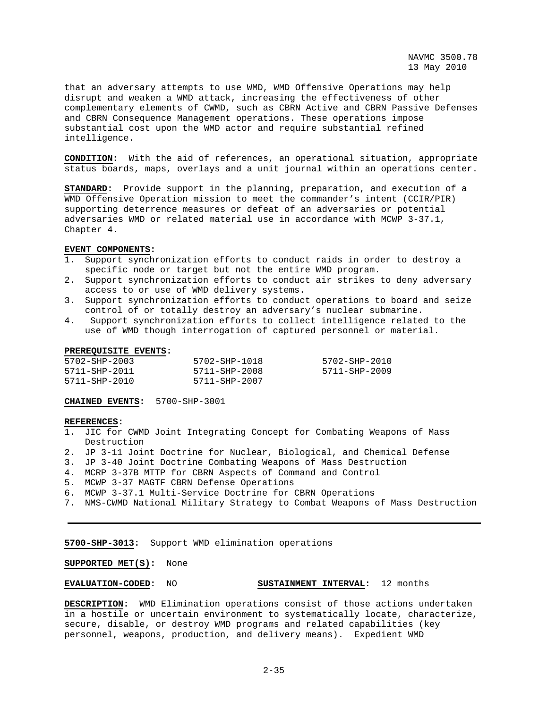that an adversary attempts to use WMD, WMD Offensive Operations may help disrupt and weaken a WMD attack, increasing the effectiveness of other complementary elements of CWMD, such as CBRN Active and CBRN Passive Defenses and CBRN Consequence Management operations. These operations impose substantial cost upon the WMD actor and require substantial refined intelligence.

**CONDITION:** With the aid of references, an operational situation, appropriate status boards, maps, overlays and a unit journal within an operations center.

**STANDARD:** Provide support in the planning, preparation, and execution of a WMD Offensive Operation mission to meet the commander's intent (CCIR/PIR) supporting deterrence measures or defeat of an adversaries or potential adversaries WMD or related material use in accordance with MCWP 3-37.1, Chapter 4.

# **EVENT COMPONENTS:**

- 1. Support synchronization efforts to conduct raids in order to destroy a specific node or target but not the entire WMD program.
- 2. Support synchronization efforts to conduct air strikes to deny adversary access to or use of WMD delivery systems.
- 3. Support synchronization efforts to conduct operations to board and seize control of or totally destroy an adversary's nuclear submarine.
- 4. Support synchronization efforts to collect intelligence related to the use of WMD though interrogation of captured personnel or material.

#### **PREREQUISITE EVENTS:**

| 5702-SHP-2003 | 5702-SHP-1018 | 5702-SHP-2010 |
|---------------|---------------|---------------|
| 5711-SHP-2011 | 5711-SHP-2008 | 5711-SHP-2009 |
| 5711-SHP-2010 | 5711-SHP-2007 |               |

**CHAINED EVENTS:** 5700-SHP-3001

#### **REFERENCES:**

- 1. JIC for CWMD Joint Integrating Concept for Combating Weapons of Mass Destruction
- 2. JP 3-11 Joint Doctrine for Nuclear, Biological, and Chemical Defense
- 3. JP 3-40 Joint Doctrine Combating Weapons of Mass Destruction
- 4. MCRP 3-37B MTTP for CBRN Aspects of Command and Control
- 5. MCWP 3-37 MAGTF CBRN Defense Operations
- 6. MCWP 3-37.1 Multi-Service Doctrine for CBRN Operations
- 7. NMS-CWMD National Military Strategy to Combat Weapons of Mass Destruction

## **5700-SHP-3013:** Support WMD elimination operations

#### **SUPPORTED MET(S):** None

#### **EVALUATION-CODED:** NO **SUSTAINMENT INTERVAL:** 12 months

**DESCRIPTION:** WMD Elimination operations consist of those actions undertaken in a hostile or uncertain environment to systematically locate, characterize, secure, disable, or destroy WMD programs and related capabilities (key personnel, weapons, production, and delivery means). Expedient WMD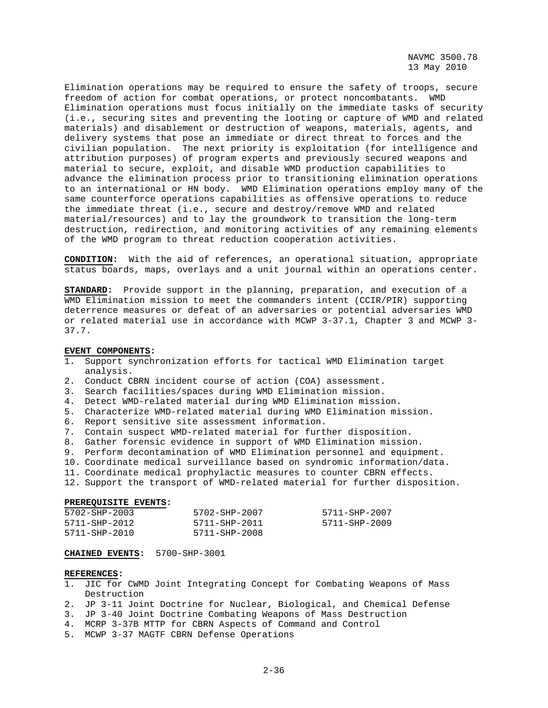Elimination operations may be required to ensure the safety of troops, secure freedom of action for combat operations, or protect noncombatants. WMD Elimination operations must focus initially on the immediate tasks of security (i.e., securing sites and preventing the looting or capture of WMD and related materials) and disablement or destruction of weapons, materials, agents, and delivery systems that pose an immediate or direct threat to forces and the civilian population. The next priority is exploitation (for intelligence and attribution purposes) of program experts and previously secured weapons and material to secure, exploit, and disable WMD production capabilities to advance the elimination process prior to transitioning elimination operations to an international or HN body. WMD Elimination operations employ many of the same counterforce operations capabilities as offensive operations to reduce the immediate threat (i.e., secure and destroy/remove WMD and related material/resources) and to lay the groundwork to transition the long-term destruction, redirection, and monitoring activities of any remaining elements of the WMD program to threat reduction cooperation activities.

**CONDITION:** With the aid of references, an operational situation, appropriate status boards, maps, overlays and a unit journal within an operations center.

**STANDARD:** Provide support in the planning, preparation, and execution of a WMD Elimination mission to meet the commanders intent (CCIR/PIR) supporting deterrence measures or defeat of an adversaries or potential adversaries WMD or related material use in accordance with MCWP 3-37.1, Chapter 3 and MCWP 3- 37.7.

#### **EVENT COMPONENTS:**

- 1. Support synchronization efforts for tactical WMD Elimination target analysis.
- 2. Conduct CBRN incident course of action (COA) assessment.
- 3. Search facilities/spaces during WMD Elimination mission.
- 4. Detect WMD-related material during WMD Elimination mission.
- 5. Characterize WMD-related material during WMD Elimination mission.
- 6. Report sensitive site assessment information.
- 7. Contain suspect WMD-related material for further disposition.
- 8. Gather forensic evidence in support of WMD Elimination mission.
- 9. Perform decontamination of WMD Elimination personnel and equipment.
- 10. Coordinate medical surveillance based on syndromic information/data.
- 11. Coordinate medical prophylactic measures to counter CBRN effects.
- 12. Support the transport of WMD-related material for further disposition.

#### **PREREQUISITE EVENTS:**

| 5702-SHP-2003 | 5702-SHP-2007 | 5711-SHP-2007 |
|---------------|---------------|---------------|
| 5711-SHP-2012 | 5711-SHP-2011 | 5711-SHP-2009 |
| 5711-SHP-2010 | 5711-SHP-2008 |               |

# **CHAINED EVENTS:** 5700-SHP-3001

### **REFERENCES:**

- 1. JIC for CWMD Joint Integrating Concept for Combating Weapons of Mass Destruction
- 2. JP 3-11 Joint Doctrine for Nuclear, Biological, and Chemical Defense
- 3. JP 3-40 Joint Doctrine Combating Weapons of Mass Destruction
- 4. MCRP 3-37B MTTP for CBRN Aspects of Command and Control
- 5. MCWP 3-37 MAGTF CBRN Defense Operations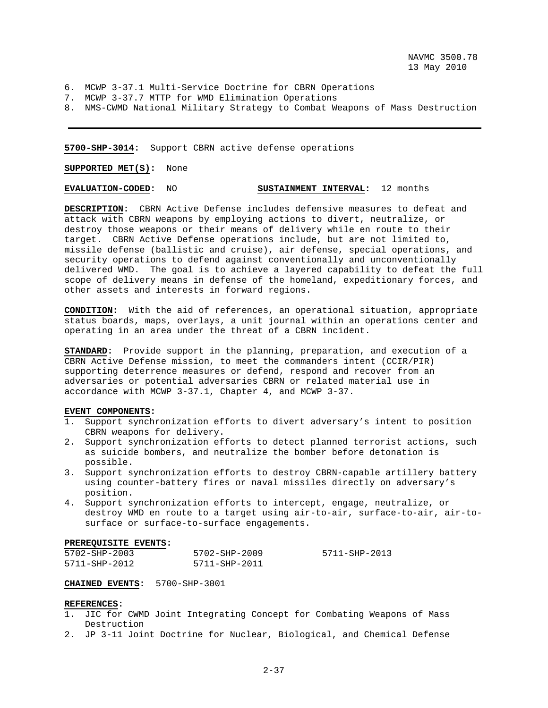- 6. MCWP 3-37.1 Multi-Service Doctrine for CBRN Operations
- 7. MCWP 3-37.7 MTTP for WMD Elimination Operations
- 8. NMS-CWMD National Military Strategy to Combat Weapons of Mass Destruction

**5700-SHP-3014:** Support CBRN active defense operations

**SUPPORTED MET(S):** None

**EVALUATION-CODED:** NO **SUSTAINMENT INTERVAL:** 12 months

**DESCRIPTION:** CBRN Active Defense includes defensive measures to defeat and attack with CBRN weapons by employing actions to divert, neutralize, or destroy those weapons or their means of delivery while en route to their target. CBRN Active Defense operations include, but are not limited to, missile defense (ballistic and cruise), air defense, special operations, and security operations to defend against conventionally and unconventionally delivered WMD. The goal is to achieve a layered capability to defeat the full scope of delivery means in defense of the homeland, expeditionary forces, and other assets and interests in forward regions.

**CONDITION:** With the aid of references, an operational situation, appropriate status boards, maps, overlays, a unit journal within an operations center and operating in an area under the threat of a CBRN incident.

**STANDARD:** Provide support in the planning, preparation, and execution of a CBRN Active Defense mission, to meet the commanders intent (CCIR/PIR) supporting deterrence measures or defend, respond and recover from an adversaries or potential adversaries CBRN or related material use in accordance with MCWP 3-37.1, Chapter 4, and MCWP 3-37.

# **EVENT COMPONENTS:**

- 1. Support synchronization efforts to divert adversary's intent to position CBRN weapons for delivery.
- 2. Support synchronization efforts to detect planned terrorist actions, such as suicide bombers, and neutralize the bomber before detonation is possible.
- 3. Support synchronization efforts to destroy CBRN-capable artillery battery using counter-battery fires or naval missiles directly on adversary's position.
- 4. Support synchronization efforts to intercept, engage, neutralize, or destroy WMD en route to a target using air-to-air, surface-to-air, air-tosurface or surface-to-surface engagements.

## **PREREQUISITE EVENTS:**

| 5702-SHP-2003 | 5702-SHP-2009 | 5711-SHP-2013 |
|---------------|---------------|---------------|
| 5711-SHP-2012 | 5711-SHP-2011 |               |

**CHAINED EVENTS:** 5700-SHP-3001

#### **REFERENCES:**

- 1. JIC for CWMD Joint Integrating Concept for Combating Weapons of Mass Destruction
- 2. JP 3-11 Joint Doctrine for Nuclear, Biological, and Chemical Defense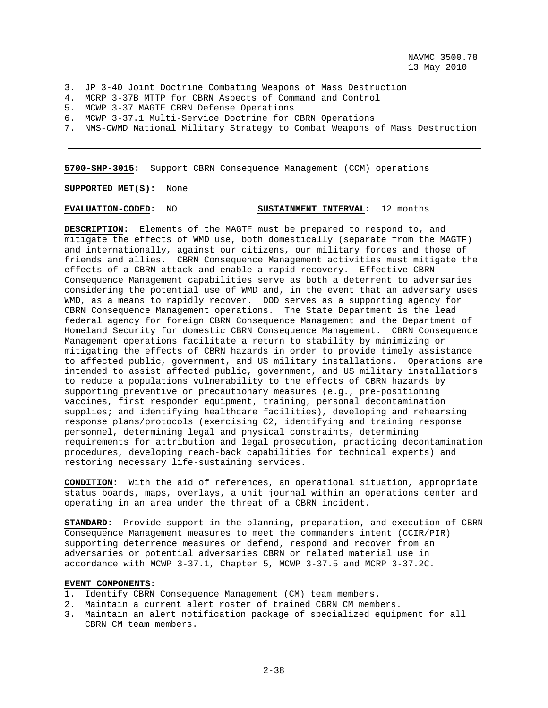- 3. JP 3-40 Joint Doctrine Combating Weapons of Mass Destruction
- 4. MCRP 3-37B MTTP for CBRN Aspects of Command and Control
- 5. MCWP 3-37 MAGTF CBRN Defense Operations
- 6. MCWP 3-37.1 Multi-Service Doctrine for CBRN Operations
- 7. NMS-CWMD National Military Strategy to Combat Weapons of Mass Destruction

**5700-SHP-3015:** Support CBRN Consequence Management (CCM) operations

**SUPPORTED MET(S):** None

#### **EVALUATION-CODED:** NO **SUSTAINMENT INTERVAL:** 12 months

**DESCRIPTION:** Elements of the MAGTF must be prepared to respond to, and mitigate the effects of WMD use, both domestically (separate from the MAGTF) and internationally, against our citizens, our military forces and those of friends and allies. CBRN Consequence Management activities must mitigate the effects of a CBRN attack and enable a rapid recovery. Effective CBRN Consequence Management capabilities serve as both a deterrent to adversaries considering the potential use of WMD and, in the event that an adversary uses WMD, as a means to rapidly recover. DOD serves as a supporting agency for CBRN Consequence Management operations. The State Department is the lead federal agency for foreign CBRN Consequence Management and the Department of Homeland Security for domestic CBRN Consequence Management. CBRN Consequence Management operations facilitate a return to stability by minimizing or mitigating the effects of CBRN hazards in order to provide timely assistance to affected public, government, and US military installations. Operations are intended to assist affected public, government, and US military installations to reduce a populations vulnerability to the effects of CBRN hazards by supporting preventive or precautionary measures (e.g., pre-positioning vaccines, first responder equipment, training, personal decontamination supplies; and identifying healthcare facilities), developing and rehearsing response plans/protocols (exercising C2, identifying and training response personnel, determining legal and physical constraints, determining requirements for attribution and legal prosecution, practicing decontamination procedures, developing reach-back capabilities for technical experts) and restoring necessary life-sustaining services.

**CONDITION:** With the aid of references, an operational situation, appropriate status boards, maps, overlays, a unit journal within an operations center and operating in an area under the threat of a CBRN incident.

**STANDARD:** Provide support in the planning, preparation, and execution of CBRN Consequence Management measures to meet the commanders intent (CCIR/PIR) supporting deterrence measures or defend, respond and recover from an adversaries or potential adversaries CBRN or related material use in accordance with MCWP 3-37.1, Chapter 5, MCWP 3-37.5 and MCRP 3-37.2C.

- 1. Identify CBRN Consequence Management (CM) team members.
- 2. Maintain a current alert roster of trained CBRN CM members.
- 3. Maintain an alert notification package of specialized equipment for all CBRN CM team members.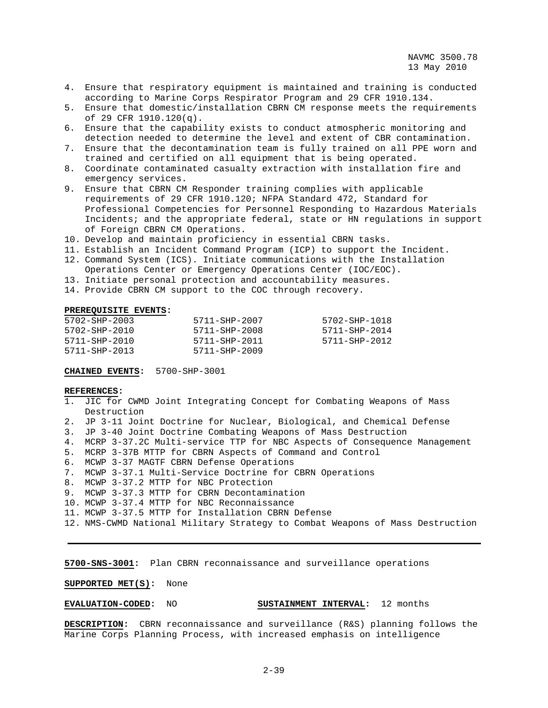- 4. Ensure that respiratory equipment is maintained and training is conducted according to Marine Corps Respirator Program and 29 CFR 1910.134.
- 5. Ensure that domestic/installation CBRN CM response meets the requirements of 29 CFR 1910.120(q).
- 6. Ensure that the capability exists to conduct atmospheric monitoring and detection needed to determine the level and extent of CBR contamination.
- 7. Ensure that the decontamination team is fully trained on all PPE worn and trained and certified on all equipment that is being operated.
- 8. Coordinate contaminated casualty extraction with installation fire and emergency services.
- 9. Ensure that CBRN CM Responder training complies with applicable requirements of 29 CFR 1910.120; NFPA Standard 472, Standard for Professional Competencies for Personnel Responding to Hazardous Materials Incidents; and the appropriate federal, state or HN regulations in support of Foreign CBRN CM Operations.
- 10. Develop and maintain proficiency in essential CBRN tasks.
- 11. Establish an Incident Command Program (ICP) to support the Incident.
- 12. Command System (ICS). Initiate communications with the Installation Operations Center or Emergency Operations Center (IOC/EOC).
- 13. Initiate personal protection and accountability measures.
- 14. Provide CBRN CM support to the COC through recovery.

#### **PREREQUISITE EVENTS:**

| 5702-SHP-2003 | 5711-SHP-2007 | 5702-SHP-1018 |
|---------------|---------------|---------------|
| 5702-SHP-2010 | 5711-SHP-2008 | 5711-SHP-2014 |
| 5711-SHP-2010 | 5711-SHP-2011 | 5711-SHP-2012 |
| 5711-SHP-2013 | 5711-SHP-2009 |               |

**CHAINED EVENTS:** 5700-SHP-3001

#### **REFERENCES:**

- 1. JIC for CWMD Joint Integrating Concept for Combating Weapons of Mass Destruction
- 2. JP 3-11 Joint Doctrine for Nuclear, Biological, and Chemical Defense
- 3. JP 3-40 Joint Doctrine Combating Weapons of Mass Destruction
- 4. MCRP 3-37.2C Multi-service TTP for NBC Aspects of Consequence Management
- 5. MCRP 3-37B MTTP for CBRN Aspects of Command and Control
- 6. MCWP 3-37 MAGTF CBRN Defense Operations
- 7. MCWP 3-37.1 Multi-Service Doctrine for CBRN Operations
- 8. MCWP 3-37.2 MTTP for NBC Protection
- 9. MCWP 3-37.3 MTTP for CBRN Decontamination
- 10. MCWP 3-37.4 MTTP for NBC Reconnaissance
- 11. MCWP 3-37.5 MTTP for Installation CBRN Defense
- 12. NMS-CWMD National Military Strategy to Combat Weapons of Mass Destruction

**5700-SNS-3001:** Plan CBRN reconnaissance and surveillance operations

#### **SUPPORTED MET(S):** None

#### **EVALUATION-CODED:** NO **SUSTAINMENT INTERVAL:** 12 months

**DESCRIPTION:** CBRN reconnaissance and surveillance (R&S) planning follows the Marine Corps Planning Process, with increased emphasis on intelligence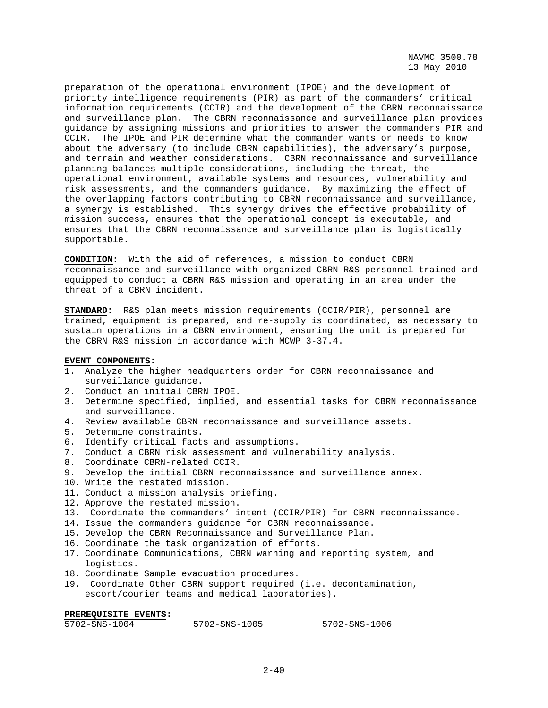preparation of the operational environment (IPOE) and the development of priority intelligence requirements (PIR) as part of the commanders' critical information requirements (CCIR) and the development of the CBRN reconnaissance and surveillance plan. The CBRN reconnaissance and surveillance plan provides guidance by assigning missions and priorities to answer the commanders PIR and CCIR. The IPOE and PIR determine what the commander wants or needs to know about the adversary (to include CBRN capabilities), the adversary's purpose, and terrain and weather considerations. CBRN reconnaissance and surveillance planning balances multiple considerations, including the threat, the operational environment, available systems and resources, vulnerability and risk assessments, and the commanders guidance. By maximizing the effect of the overlapping factors contributing to CBRN reconnaissance and surveillance, a synergy is established. This synergy drives the effective probability of mission success, ensures that the operational concept is executable, and ensures that the CBRN reconnaissance and surveillance plan is logistically supportable.

**CONDITION:** With the aid of references, a mission to conduct CBRN reconnaissance and surveillance with organized CBRN R&S personnel trained and equipped to conduct a CBRN R&S mission and operating in an area under the threat of a CBRN incident.

**STANDARD:** R&S plan meets mission requirements (CCIR/PIR), personnel are trained, equipment is prepared, and re-supply is coordinated, as necessary to sustain operations in a CBRN environment, ensuring the unit is prepared for the CBRN R&S mission in accordance with MCWP 3-37.4.

#### **EVENT COMPONENTS:**

- 1. Analyze the higher headquarters order for CBRN reconnaissance and surveillance guidance.
- 2. Conduct an initial CBRN IPOE.
- 3. Determine specified, implied, and essential tasks for CBRN reconnaissance and surveillance.
- 4. Review available CBRN reconnaissance and surveillance assets.
- 5. Determine constraints.
- 6. Identify critical facts and assumptions.
- 7. Conduct a CBRN risk assessment and vulnerability analysis.
- 8. Coordinate CBRN-related CCIR.
- 9. Develop the initial CBRN reconnaissance and surveillance annex.
- 10. Write the restated mission.
- 11. Conduct a mission analysis briefing.
- 12. Approve the restated mission.
- 13. Coordinate the commanders' intent (CCIR/PIR) for CBRN reconnaissance.
- 14. Issue the commanders guidance for CBRN reconnaissance.
- 15. Develop the CBRN Reconnaissance and Surveillance Plan.
- 16. Coordinate the task organization of efforts.
- 17. Coordinate Communications, CBRN warning and reporting system, and logistics.
- 18. Coordinate Sample evacuation procedures.
- 19. Coordinate Other CBRN support required (i.e. decontamination, escort/courier teams and medical laboratories).

# **PREREQUISITE EVENTS:**

| 5702-SNS-1004 | 5702-SNS-1005 | 5702-SNS-1006 |
|---------------|---------------|---------------|
|               |               |               |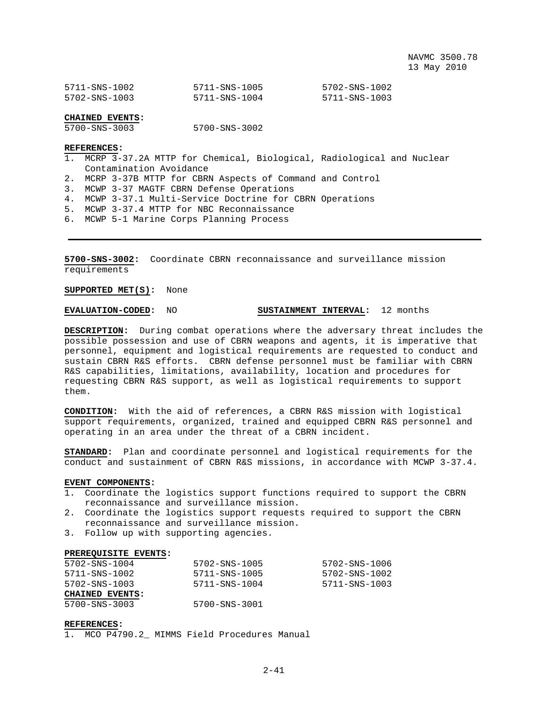| 5711-SNS-1002 | 5711-SNS-1005 | 5702-SNS-1002 |
|---------------|---------------|---------------|
| 5702-SNS-1003 | 5711-SNS-1004 | 5711-SNS-1003 |

# **CHAINED EVENTS:**<br>5700-SNS-3003

 $5700 - SNS - 3002$ 

#### **REFERENCES:**

- 1. MCRP 3-37.2A MTTP for Chemical, Biological, Radiological and Nuclear Contamination Avoidance
- 2. MCRP 3-37B MTTP for CBRN Aspects of Command and Control
- 3. MCWP 3-37 MAGTF CBRN Defense Operations
- 4. MCWP 3-37.1 Multi-Service Doctrine for CBRN Operations
- 5. MCWP 3-37.4 MTTP for NBC Reconnaissance
- 6. MCWP 5-1 Marine Corps Planning Process

**5700-SNS-3002:** Coordinate CBRN reconnaissance and surveillance mission requirements

#### **SUPPORTED MET(S):** None

**EVALUATION-CODED:** NO **SUSTAINMENT INTERVAL:** 12 months

**DESCRIPTION:** During combat operations where the adversary threat includes the possible possession and use of CBRN weapons and agents, it is imperative that personnel, equipment and logistical requirements are requested to conduct and sustain CBRN R&S efforts. CBRN defense personnel must be familiar with CBRN R&S capabilities, limitations, availability, location and procedures for requesting CBRN R&S support, as well as logistical requirements to support them.

**CONDITION:** With the aid of references, a CBRN R&S mission with logistical support requirements, organized, trained and equipped CBRN R&S personnel and operating in an area under the threat of a CBRN incident.

**STANDARD:** Plan and coordinate personnel and logistical requirements for the conduct and sustainment of CBRN R&S missions, in accordance with MCWP 3-37.4.

# **EVENT COMPONENTS:**

- 1. Coordinate the logistics support functions required to support the CBRN reconnaissance and surveillance mission.
- 2. Coordinate the logistics support requests required to support the CBRN reconnaissance and surveillance mission.
- 3. Follow up with supporting agencies.

#### **PREREQUISITE EVENTS:**

| 5702-SNS-1004   | 5702-SNS-1005 | 5702-SNS-1006 |
|-----------------|---------------|---------------|
| 5711-SNS-1002   | 5711-SNS-1005 | 5702-SNS-1002 |
| 5702-SNS-1003   | 5711-SNS-1004 | 5711-SNS-1003 |
| CHAINED EVENTS: |               |               |
| 5700-SNS-3003   | 5700-SNS-3001 |               |

# **REFERENCES:**

1. MCO P4790.2\_ MIMMS Field Procedures Manual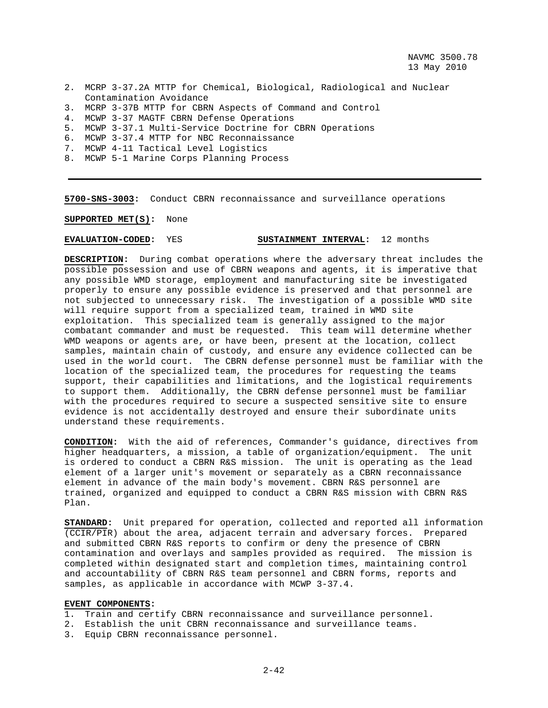- 2. MCRP 3-37.2A MTTP for Chemical, Biological, Radiological and Nuclear Contamination Avoidance
- 3. MCRP 3-37B MTTP for CBRN Aspects of Command and Control
- 4. MCWP 3-37 MAGTF CBRN Defense Operations
- 5. MCWP 3-37.1 Multi-Service Doctrine for CBRN Operations
- 6. MCWP 3-37.4 MTTP for NBC Reconnaissance
- 7. MCWP 4-11 Tactical Level Logistics
- 8. MCWP 5-1 Marine Corps Planning Process

**5700-SNS-3003:** Conduct CBRN reconnaissance and surveillance operations

**SUPPORTED MET(S):** None

**EVALUATION-CODED:** YES **SUSTAINMENT INTERVAL:** 12 months

**DESCRIPTION:** During combat operations where the adversary threat includes the possible possession and use of CBRN weapons and agents, it is imperative that any possible WMD storage, employment and manufacturing site be investigated properly to ensure any possible evidence is preserved and that personnel are not subjected to unnecessary risk. The investigation of a possible WMD site will require support from a specialized team, trained in WMD site exploitation. This specialized team is generally assigned to the major combatant commander and must be requested. This team will determine whether WMD weapons or agents are, or have been, present at the location, collect samples, maintain chain of custody, and ensure any evidence collected can be used in the world court. The CBRN defense personnel must be familiar with the location of the specialized team, the procedures for requesting the teams support, their capabilities and limitations, and the logistical requirements to support them. Additionally, the CBRN defense personnel must be familiar with the procedures required to secure a suspected sensitive site to ensure evidence is not accidentally destroyed and ensure their subordinate units understand these requirements.

**CONDITION:** With the aid of references, Commander's guidance, directives from higher headquarters, a mission, a table of organization/equipment. The unit is ordered to conduct a CBRN R&S mission. The unit is operating as the lead element of a larger unit's movement or separately as a CBRN reconnaissance element in advance of the main body's movement. CBRN R&S personnel are trained, organized and equipped to conduct a CBRN R&S mission with CBRN R&S Plan.

**STANDARD:** Unit prepared for operation, collected and reported all information (CCIR/PIR) about the area, adjacent terrain and adversary forces. Prepared and submitted CBRN R&S reports to confirm or deny the presence of CBRN contamination and overlays and samples provided as required. The mission is completed within designated start and completion times, maintaining control and accountability of CBRN R&S team personnel and CBRN forms, reports and samples, as applicable in accordance with MCWP 3-37.4.

- 1. Train and certify CBRN reconnaissance and surveillance personnel.
- 2. Establish the unit CBRN reconnaissance and surveillance teams.
- 3. Equip CBRN reconnaissance personnel.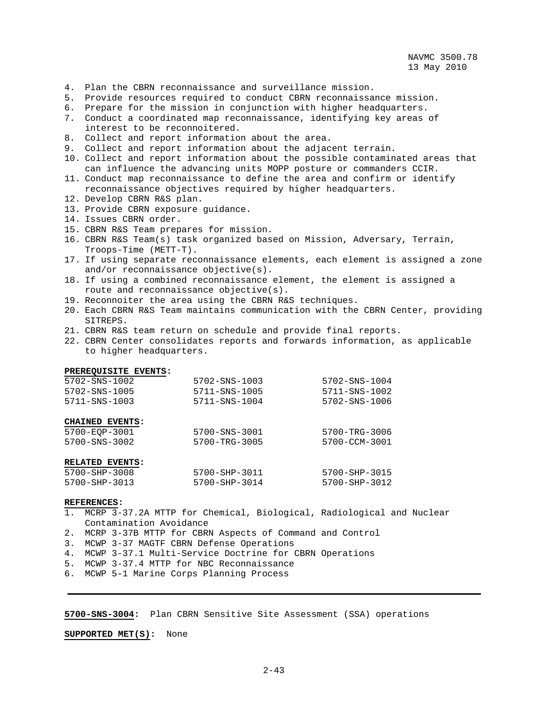- 4. Plan the CBRN reconnaissance and surveillance mission.
- 5. Provide resources required to conduct CBRN reconnaissance mission.
- 6. Prepare for the mission in conjunction with higher headquarters.
- 7. Conduct a coordinated map reconnaissance, identifying key areas of interest to be reconnoitered.
- 8. Collect and report information about the area.
- 9. Collect and report information about the adjacent terrain.
- 10. Collect and report information about the possible contaminated areas that can influence the advancing units MOPP posture or commanders CCIR.
- 11. Conduct map reconnaissance to define the area and confirm or identify reconnaissance objectives required by higher headquarters.
- 12. Develop CBRN R&S plan.
- 13. Provide CBRN exposure guidance.
- 14. Issues CBRN order.
- 15. CBRN R&S Team prepares for mission.
- 16. CBRN R&S Team(s) task organized based on Mission, Adversary, Terrain, Troops-Time (METT-T).
- 17. If using separate reconnaissance elements, each element is assigned a zone and/or reconnaissance objective(s).
- 18. If using a combined reconnaissance element, the element is assigned a route and reconnaissance objective(s).
- 19. Reconnoiter the area using the CBRN R&S techniques.
- 20. Each CBRN R&S Team maintains communication with the CBRN Center, providing SITREPS.
- 21. CBRN R&S team return on schedule and provide final reports.
- 22. CBRN Center consolidates reports and forwards information, as applicable to higher headquarters.

#### **PREREQUISITE EVENTS:**

| 5702-SNS-1002   | 5702-SNS-1003 | 5702-SNS-1004 |
|-----------------|---------------|---------------|
| 5702-SNS-1005   | 5711-SNS-1005 | 5711-SNS-1002 |
| 5711-SNS-1003   | 5711-SNS-1004 | 5702-SNS-1006 |
|                 |               |               |
| CHAINED EVENTS: |               |               |
| 5700-EQP-3001   | 5700-SNS-3001 | 5700-TRG-3006 |
| 5700-SNS-3002   | 5700-TRG-3005 | 5700-CCM-3001 |
|                 |               |               |
| RELATED EVENTS: |               |               |
| 5700-SHP-3008   | 5700-SHP-3011 | 5700-SHP-3015 |

# 5700-SHP-3013 5700-SHP-3014 5700-SHP-3012

#### **REFERENCES:**

- 1. MCRP 3-37.2A MTTP for Chemical, Biological, Radiological and Nuclear Contamination Avoidance
- 2. MCRP 3-37B MTTP for CBRN Aspects of Command and Control
- 3. MCWP 3-37 MAGTF CBRN Defense Operations
- 4. MCWP 3-37.1 Multi-Service Doctrine for CBRN Operations
- 5. MCWP 3-37.4 MTTP for NBC Reconnaissance
- 6. MCWP 5-1 Marine Corps Planning Process

**5700-SNS-3004:** Plan CBRN Sensitive Site Assessment (SSA) operations

**SUPPORTED MET(S):** None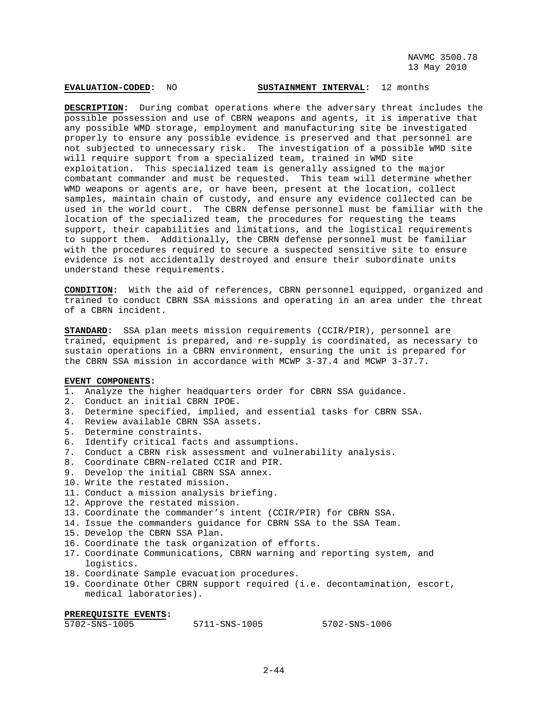**EVALUATION-CODED:** NO **SUSTAINMENT INTERVAL:** 12 months

**DESCRIPTION:** During combat operations where the adversary threat includes the possible possession and use of CBRN weapons and agents, it is imperative that any possible WMD storage, employment and manufacturing site be investigated properly to ensure any possible evidence is preserved and that personnel are not subjected to unnecessary risk. The investigation of a possible WMD site will require support from a specialized team, trained in WMD site exploitation. This specialized team is generally assigned to the major combatant commander and must be requested. This team will determine whether WMD weapons or agents are, or have been, present at the location, collect samples, maintain chain of custody, and ensure any evidence collected can be used in the world court. The CBRN defense personnel must be familiar with the location of the specialized team, the procedures for requesting the teams support, their capabilities and limitations, and the logistical requirements to support them. Additionally, the CBRN defense personnel must be familiar with the procedures required to secure a suspected sensitive site to ensure evidence is not accidentally destroyed and ensure their subordinate units understand these requirements.

**CONDITION:** With the aid of references, CBRN personnel equipped, organized and trained to conduct CBRN SSA missions and operating in an area under the threat of a CBRN incident.

**STANDARD:** SSA plan meets mission requirements (CCIR/PIR), personnel are trained, equipment is prepared, and re-supply is coordinated, as necessary to sustain operations in a CBRN environment, ensuring the unit is prepared for the CBRN SSA mission in accordance with MCWP 3-37.4 and MCWP 3-37.7.

#### **EVENT COMPONENTS:**

- 1. Analyze the higher headquarters order for CBRN SSA guidance.
- 2. Conduct an initial CBRN IPOE.
- 3. Determine specified, implied, and essential tasks for CBRN SSA.
- 4. Review available CBRN SSA assets.
- 5. Determine constraints.
- 6. Identify critical facts and assumptions.
- 7. Conduct a CBRN risk assessment and vulnerability analysis.
- 8. Coordinate CBRN-related CCIR and PIR.
- 9. Develop the initial CBRN SSA annex.
- 10. Write the restated mission.
- 11. Conduct a mission analysis briefing.
- 12. Approve the restated mission.
- 13. Coordinate the commander's intent (CCIR/PIR) for CBRN SSA.
- 14. Issue the commanders guidance for CBRN SSA to the SSA Team.
- 15. Develop the CBRN SSA Plan.
- 16. Coordinate the task organization of efforts.
- 17. Coordinate Communications, CBRN warning and reporting system, and logistics.
- 18. Coordinate Sample evacuation procedures.
- 19. Coordinate Other CBRN support required (i.e. decontamination, escort, medical laboratories).

#### **PREREQUISITE EVENTS:**

| 5702-SNS-1005 | 5711-SNS-1005 | 5702-SNS-1006 |
|---------------|---------------|---------------|
|               |               |               |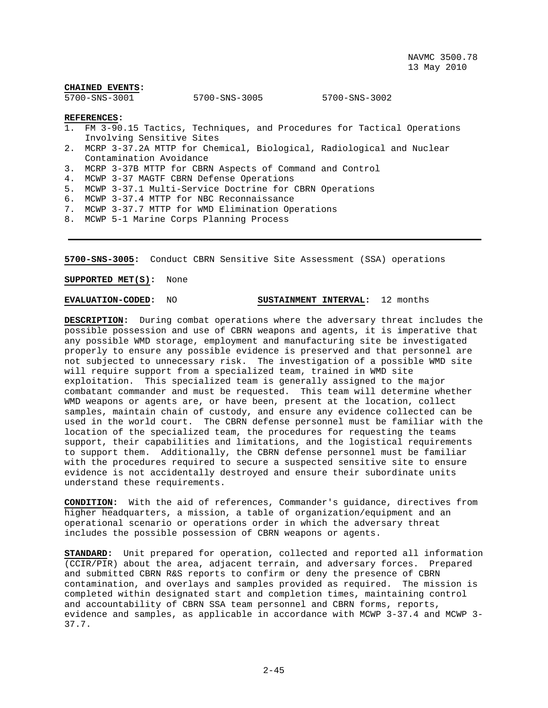**CHAINED EVENTS:**<br>5700-SNS-3001

5700-SNS-3001 5700-SNS-3005 5700-SNS-3002

# REFERENCES:<br>1. FM 3-90

- FM 3-90.15 Tactics, Techniques, and Procedures for Tactical Operations Involving Sensitive Sites
- 2. MCRP 3-37.2A MTTP for Chemical, Biological, Radiological and Nuclear Contamination Avoidance
- 3. MCRP 3-37B MTTP for CBRN Aspects of Command and Control
- 4. MCWP 3-37 MAGTF CBRN Defense Operations
- 5. MCWP 3-37.1 Multi-Service Doctrine for CBRN Operations
- 6. MCWP 3-37.4 MTTP for NBC Reconnaissance
- 7. MCWP 3-37.7 MTTP for WMD Elimination Operations
- 8. MCWP 5-1 Marine Corps Planning Process

**5700-SNS-3005:** Conduct CBRN Sensitive Site Assessment (SSA) operations

# **SUPPORTED MET(S):** None

**EVALUATION-CODED:** NO **SUSTAINMENT INTERVAL:** 12 months

**DESCRIPTION:** During combat operations where the adversary threat includes the possible possession and use of CBRN weapons and agents, it is imperative that any possible WMD storage, employment and manufacturing site be investigated properly to ensure any possible evidence is preserved and that personnel are not subjected to unnecessary risk. The investigation of a possible WMD site will require support from a specialized team, trained in WMD site exploitation. This specialized team is generally assigned to the major combatant commander and must be requested. This team will determine whether WMD weapons or agents are, or have been, present at the location, collect samples, maintain chain of custody, and ensure any evidence collected can be used in the world court. The CBRN defense personnel must be familiar with the location of the specialized team, the procedures for requesting the teams support, their capabilities and limitations, and the logistical requirements to support them. Additionally, the CBRN defense personnel must be familiar with the procedures required to secure a suspected sensitive site to ensure evidence is not accidentally destroyed and ensure their subordinate units understand these requirements.

**CONDITION:** With the aid of references, Commander's guidance, directives from higher headquarters, a mission, a table of organization/equipment and an operational scenario or operations order in which the adversary threat includes the possible possession of CBRN weapons or agents.

**STANDARD:** Unit prepared for operation, collected and reported all information (CCIR/PIR) about the area, adjacent terrain, and adversary forces. Prepared and submitted CBRN R&S reports to confirm or deny the presence of CBRN contamination, and overlays and samples provided as required. The mission is completed within designated start and completion times, maintaining control and accountability of CBRN SSA team personnel and CBRN forms, reports, evidence and samples, as applicable in accordance with MCWP 3-37.4 and MCWP 3- 37.7.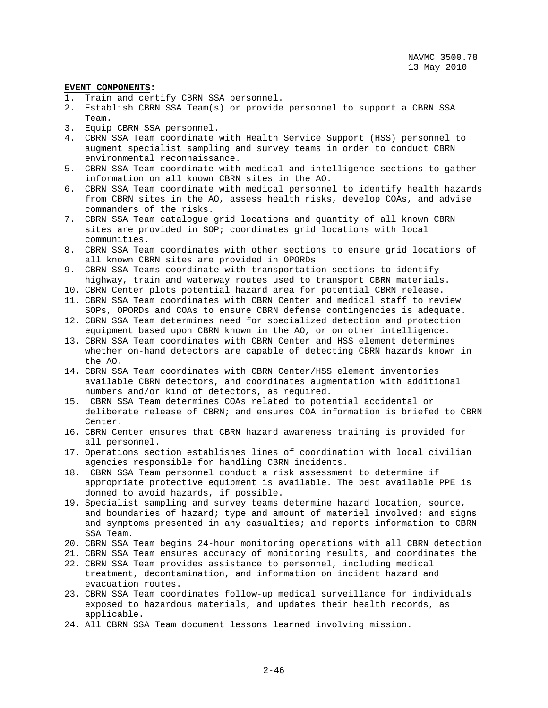- 1. Train and certify CBRN SSA personnel.
- 2. Establish CBRN SSA Team(s) or provide personnel to support a CBRN SSA Team.
- 3. Equip CBRN SSA personnel.
- 4. CBRN SSA Team coordinate with Health Service Support (HSS) personnel to augment specialist sampling and survey teams in order to conduct CBRN environmental reconnaissance.
- 5. CBRN SSA Team coordinate with medical and intelligence sections to gather information on all known CBRN sites in the AO.
- 6. CBRN SSA Team coordinate with medical personnel to identify health hazards from CBRN sites in the AO, assess health risks, develop COAs, and advise commanders of the risks.
- 7. CBRN SSA Team catalogue grid locations and quantity of all known CBRN sites are provided in SOP; coordinates grid locations with local communities.
- 8. CBRN SSA Team coordinates with other sections to ensure grid locations of all known CBRN sites are provided in OPORDs
- 9. CBRN SSA Teams coordinate with transportation sections to identify highway, train and waterway routes used to transport CBRN materials.
- 10. CBRN Center plots potential hazard area for potential CBRN release. 11. CBRN SSA Team coordinates with CBRN Center and medical staff to review
- SOPs, OPORDs and COAs to ensure CBRN defense contingencies is adequate. 12. CBRN SSA Team determines need for specialized detection and protection
- equipment based upon CBRN known in the AO, or on other intelligence. 13. CBRN SSA Team coordinates with CBRN Center and HSS element determines whether on-hand detectors are capable of detecting CBRN hazards known in the AO.
- 14. CBRN SSA Team coordinates with CBRN Center/HSS element inventories available CBRN detectors, and coordinates augmentation with additional numbers and/or kind of detectors, as required.
- 15. CBRN SSA Team determines COAs related to potential accidental or deliberate release of CBRN; and ensures COA information is briefed to CBRN Center.
- 16. CBRN Center ensures that CBRN hazard awareness training is provided for all personnel.
- 17. Operations section establishes lines of coordination with local civilian agencies responsible for handling CBRN incidents.
- 18. CBRN SSA Team personnel conduct a risk assessment to determine if appropriate protective equipment is available. The best available PPE is donned to avoid hazards, if possible.
- 19. Specialist sampling and survey teams determine hazard location, source, and boundaries of hazard; type and amount of materiel involved; and signs and symptoms presented in any casualties; and reports information to CBRN SSA Team.
- 20. CBRN SSA Team begins 24-hour monitoring operations with all CBRN detection
- 21. CBRN SSA Team ensures accuracy of monitoring results, and coordinates the
- 22. CBRN SSA Team provides assistance to personnel, including medical treatment, decontamination, and information on incident hazard and evacuation routes.
- 23. CBRN SSA Team coordinates follow-up medical surveillance for individuals exposed to hazardous materials, and updates their health records, as applicable.
- 24. All CBRN SSA Team document lessons learned involving mission.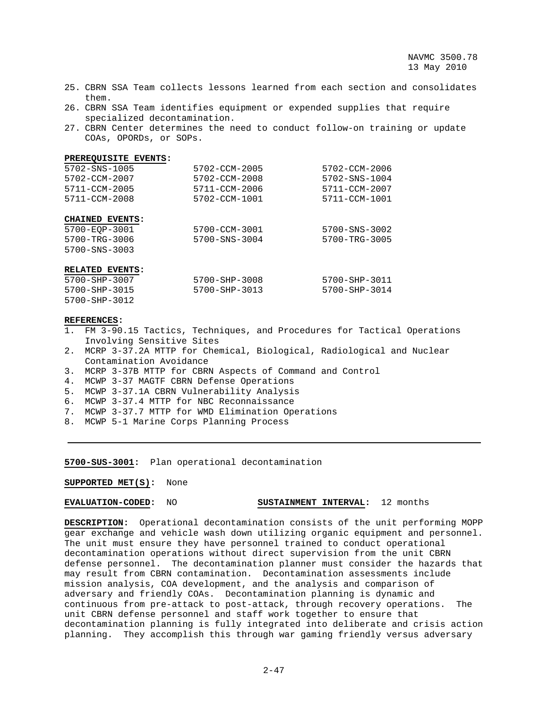- 25. CBRN SSA Team collects lessons learned from each section and consolidates them.
- 26. CBRN SSA Team identifies equipment or expended supplies that require specialized decontamination.
- 27. CBRN Center determines the need to conduct follow-on training or update COAs, OPORDs, or SOPs.

#### **PREREQUISITE EVENTS:**

| 5702-SNS-1005   | 5702-CCM-2005 | 5702-CCM-2006 |
|-----------------|---------------|---------------|
| 5702-CCM-2007   | 5702-CCM-2008 | 5702-SNS-1004 |
| 5711-CCM-2005   | 5711-CCM-2006 | 5711-CCM-2007 |
| 5711-CCM-2008   | 5702-CCM-1001 | 5711-CCM-1001 |
| CHAINED EVENTS: |               |               |
| 5700-EOP-3001   | 5700-CCM-3001 | 5700-SNS-3002 |
| 5700-TRG-3006   | 5700-SNS-3004 | 5700-TRG-3005 |
| 5700-SNS-3003   |               |               |
| RELATED EVENTS: |               |               |
| 5700-SHP-3007   | 5700-SHP-3008 | 5700-SHP-3011 |
| 5700-SHP-3015   | 5700-SHP-3013 | 5700-SHP-3014 |
| 5700-SHP-3012   |               |               |

#### **REFERENCES:**

- 1. FM 3-90.15 Tactics, Techniques, and Procedures for Tactical Operations Involving Sensitive Sites
- 2. MCRP 3-37.2A MTTP for Chemical, Biological, Radiological and Nuclear Contamination Avoidance
- 3. MCRP 3-37B MTTP for CBRN Aspects of Command and Control
- 4. MCWP 3-37 MAGTF CBRN Defense Operations
- 5. MCWP 3-37.1A CBRN Vulnerability Analysis
- 6. MCWP 3-37.4 MTTP for NBC Reconnaissance
- 7. MCWP 3-37.7 MTTP for WMD Elimination Operations
- 8. MCWP 5-1 Marine Corps Planning Process

**5700-SUS-3001:** Plan operational decontamination

**SUPPORTED MET(S):** None

# **EVALUATION-CODED:** NO **SUSTAINMENT INTERVAL:** 12 months

**DESCRIPTION:** Operational decontamination consists of the unit performing MOPP gear exchange and vehicle wash down utilizing organic equipment and personnel. The unit must ensure they have personnel trained to conduct operational decontamination operations without direct supervision from the unit CBRN defense personnel. The decontamination planner must consider the hazards that may result from CBRN contamination. Decontamination assessments include mission analysis, COA development, and the analysis and comparison of adversary and friendly COAs. Decontamination planning is dynamic and continuous from pre-attack to post-attack, through recovery operations. The unit CBRN defense personnel and staff work together to ensure that decontamination planning is fully integrated into deliberate and crisis action planning. They accomplish this through war gaming friendly versus adversary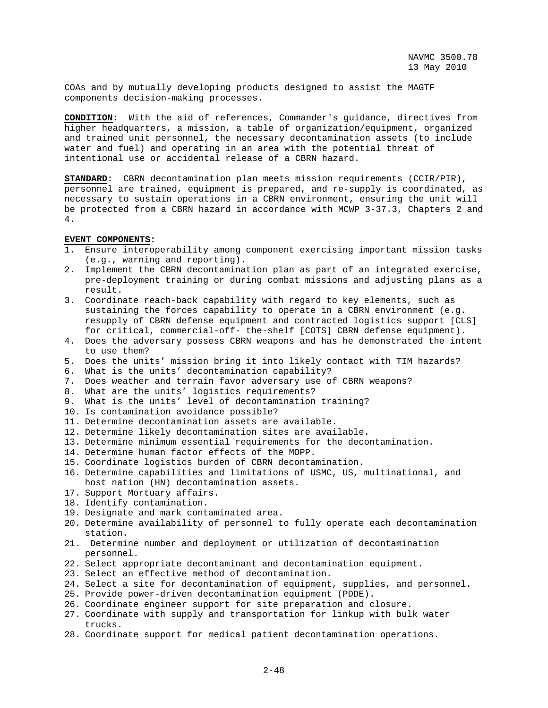COAs and by mutually developing products designed to assist the MAGTF components decision-making processes.

**CONDITION:** With the aid of references, Commander's guidance, directives from higher headquarters, a mission, a table of organization/equipment, organized and trained unit personnel, the necessary decontamination assets (to include water and fuel) and operating in an area with the potential threat of intentional use or accidental release of a CBRN hazard.

**STANDARD:** CBRN decontamination plan meets mission requirements (CCIR/PIR), personnel are trained, equipment is prepared, and re-supply is coordinated, as necessary to sustain operations in a CBRN environment, ensuring the unit will be protected from a CBRN hazard in accordance with MCWP 3-37.3, Chapters 2 and 4.

- 1. Ensure interoperability among component exercising important mission tasks (e.g., warning and reporting).
- 2. Implement the CBRN decontamination plan as part of an integrated exercise, pre-deployment training or during combat missions and adjusting plans as a result.
- 3. Coordinate reach-back capability with regard to key elements, such as sustaining the forces capability to operate in a CBRN environment (e.g. resupply of CBRN defense equipment and contracted logistics support [CLS] for critical, commercial-off- the-shelf [COTS] CBRN defense equipment).
- 4. Does the adversary possess CBRN weapons and has he demonstrated the intent to use them?
- 5. Does the units' mission bring it into likely contact with TIM hazards?
- 6. What is the units' decontamination capability?
- 7. Does weather and terrain favor adversary use of CBRN weapons?
- 8. What are the units' logistics requirements?
- 9. What is the units' level of decontamination training?
- 10. Is contamination avoidance possible?
- 11. Determine decontamination assets are available.
- 12. Determine likely decontamination sites are available.
- 13. Determine minimum essential requirements for the decontamination.
- 14. Determine human factor effects of the MOPP.
- 15. Coordinate logistics burden of CBRN decontamination.
- 16. Determine capabilities and limitations of USMC, US, multinational, and host nation (HN) decontamination assets.
- 17. Support Mortuary affairs.
- 18. Identify contamination.
- 19. Designate and mark contaminated area.
- 20. Determine availability of personnel to fully operate each decontamination station.
- 21. Determine number and deployment or utilization of decontamination personnel.
- 22. Select appropriate decontaminant and decontamination equipment.
- 23. Select an effective method of decontamination.
- 24. Select a site for decontamination of equipment, supplies, and personnel.
- 25. Provide power-driven decontamination equipment (PDDE).
- 26. Coordinate engineer support for site preparation and closure.
- 27. Coordinate with supply and transportation for linkup with bulk water trucks.
- 28. Coordinate support for medical patient decontamination operations.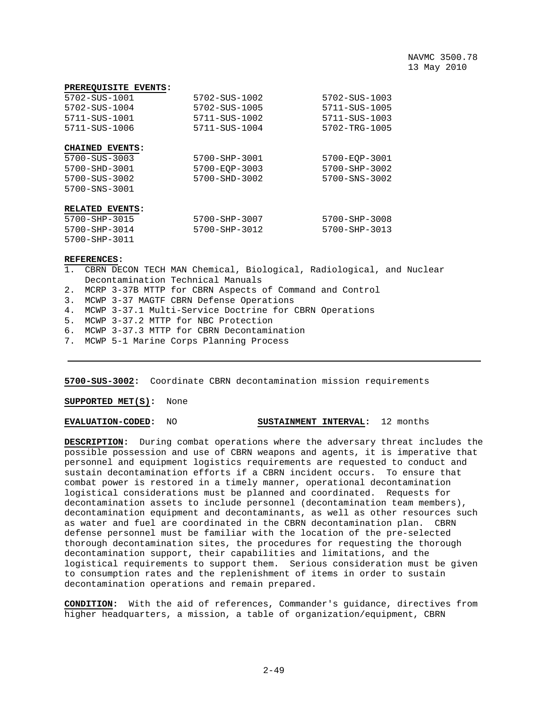# **PREREQUISITE EVENTS:**

| 5702-SUS-1001       | 5702-SUS-1002 | 5702-SUS-1003       |
|---------------------|---------------|---------------------|
| 5702-SUS-1004       | 5702-SUS-1005 | 5711-SUS-1005       |
| 5711-SUS-1001       | 5711-SUS-1002 | 5711-SUS-1003       |
| 5711-SUS-1006       | 5711-SUS-1004 | 5702-TRG-1005       |
|                     |               |                     |
| CHAINED EVENTS:     |               |                     |
| 5700-SUS-3003       | 5700-SHP-3001 | 5700-EOP-3001       |
| 5700-SHD-3001       | 5700-EOP-3003 | 5700-SHP-3002       |
| 5700-SUS-3002       | 5700-SHD-3002 | 5700-SNS-3002       |
| 5700-SNS-3001       |               |                     |
|                     |               |                     |
| RELATED EVENTS:     |               |                     |
| $5700 - SHP - 3015$ | 5700-SHP-3007 | $5700 - SHP - 3008$ |

| 5700-SHP-3015 | 5700-SHP-3007 | 5700-SHP-3008 |
|---------------|---------------|---------------|
| 5700-SHP-3014 | 5700-SHP-3012 | 5700-SHP-3013 |

#### **REFERENCES:**

5700-SHP-3011

1. CBRN DECON TECH MAN Chemical, Biological, Radiological, and Nuclear Decontamination Technical Manuals 2. MCRP 3-37B MTTP for CBRN Aspects of Command and Control 3. MCWP 3-37 MAGTF CBRN Defense Operations 4. MCWP 3-37.1 Multi-Service Doctrine for CBRN Operations 5. MCWP 3-37.2 MTTP for NBC Protection 6. MCWP 3-37.3 MTTP for CBRN Decontamination 7. MCWP 5-1 Marine Corps Planning Process

**5700-SUS-3002:** Coordinate CBRN decontamination mission requirements

**SUPPORTED MET(S):** None

**EVALUATION-CODED:** NO **SUSTAINMENT INTERVAL:** 12 months

**DESCRIPTION:** During combat operations where the adversary threat includes the possible possession and use of CBRN weapons and agents, it is imperative that personnel and equipment logistics requirements are requested to conduct and sustain decontamination efforts if a CBRN incident occurs. To ensure that combat power is restored in a timely manner, operational decontamination logistical considerations must be planned and coordinated. Requests for decontamination assets to include personnel (decontamination team members), decontamination equipment and decontaminants, as well as other resources such as water and fuel are coordinated in the CBRN decontamination plan. CBRN defense personnel must be familiar with the location of the pre-selected thorough decontamination sites, the procedures for requesting the thorough decontamination support, their capabilities and limitations, and the logistical requirements to support them. Serious consideration must be given to consumption rates and the replenishment of items in order to sustain decontamination operations and remain prepared.

**CONDITION:** With the aid of references, Commander's guidance, directives from higher headquarters, a mission, a table of organization/equipment, CBRN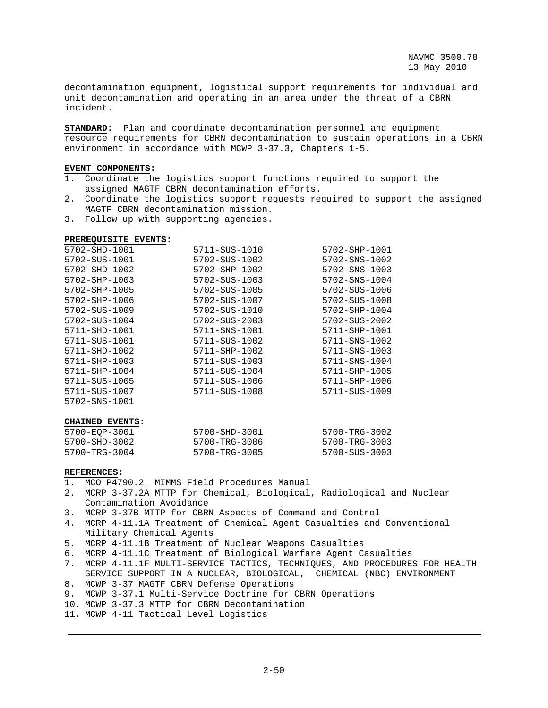decontamination equipment, logistical support requirements for individual and unit decontamination and operating in an area under the threat of a CBRN incident.

**STANDARD:** Plan and coordinate decontamination personnel and equipment resource requirements for CBRN decontamination to sustain operations in a CBRN environment in accordance with MCWP 3-37.3, Chapters 1-5.

# **EVENT COMPONENTS:**

- 1. Coordinate the logistics support functions required to support the assigned MAGTF CBRN decontamination efforts.
- 2. Coordinate the logistics support requests required to support the assigned MAGTF CBRN decontamination mission.
- 3. Follow up with supporting agencies.

# **PREREQUISITE EVENTS:**

| 5702-SHD-1001 | 5711-SUS-1010 | 5702-SHP-1001 |
|---------------|---------------|---------------|
| 5702-SUS-1001 | 5702-SUS-1002 | 5702-SNS-1002 |
| 5702-SHD-1002 | 5702-SHP-1002 | 5702-SNS-1003 |
| 5702-SHP-1003 | 5702-SUS-1003 | 5702-SNS-1004 |
| 5702-SHP-1005 | 5702-SUS-1005 | 5702-SUS-1006 |
| 5702-SHP-1006 | 5702-SUS-1007 | 5702-SUS-1008 |
| 5702-SUS-1009 | 5702-SUS-1010 | 5702-SHP-1004 |
| 5702-SUS-1004 | 5702-SUS-2003 | 5702-SUS-2002 |
| 5711-SHD-1001 | 5711-SNS-1001 | 5711-SHP-1001 |
| 5711-SUS-1001 | 5711-SUS-1002 | 5711-SNS-1002 |
| 5711-SHD-1002 | 5711-SHP-1002 | 5711-SNS-1003 |
| 5711-SHP-1003 | 5711-SUS-1003 | 5711-SNS-1004 |
| 5711-SHP-1004 | 5711-SUS-1004 | 5711-SHP-1005 |
| 5711-SUS-1005 | 5711-SUS-1006 | 5711-SHP-1006 |
| 5711-SUS-1007 | 5711-SUS-1008 | 5711-SUS-1009 |
| 5702-SNS-1001 |               |               |

# **CHAINED EVENTS:**

| 5700-EOP-3001 | 5700-SHD-3001 | 5700-TRG-3002 |
|---------------|---------------|---------------|
| 5700-SHD-3002 | 5700-TRG-3006 | 5700-TRG-3003 |
| 5700-TRG-3004 | 5700-TRG-3005 | 5700-SUS-3003 |

# **REFERENCES:**

- 1. MCO P4790.2\_ MIMMS Field Procedures Manual
- 2. MCRP 3-37.2A MTTP for Chemical, Biological, Radiological and Nuclear Contamination Avoidance
- 3. MCRP 3-37B MTTP for CBRN Aspects of Command and Control
- 4. MCRP 4-11.1A Treatment of Chemical Agent Casualties and Conventional Military Chemical Agents
- 5. MCRP 4-11.1B Treatment of Nuclear Weapons Casualties
- 6. MCRP 4-11.1C Treatment of Biological Warfare Agent Casualties
- 7. MCRP 4-11.1F MULTI-SERVICE TACTICS, TECHNIQUES, AND PROCEDURES FOR HEALTH SERVICE SUPPORT IN A NUCLEAR, BIOLOGICAL, CHEMICAL (NBC) ENVIRONMENT
- 8. MCWP 3-37 MAGTF CBRN Defense Operations
- 9. MCWP 3-37.1 Multi-Service Doctrine for CBRN Operations
- 10. MCWP 3-37.3 MTTP for CBRN Decontamination
- 11. MCWP 4-11 Tactical Level Logistics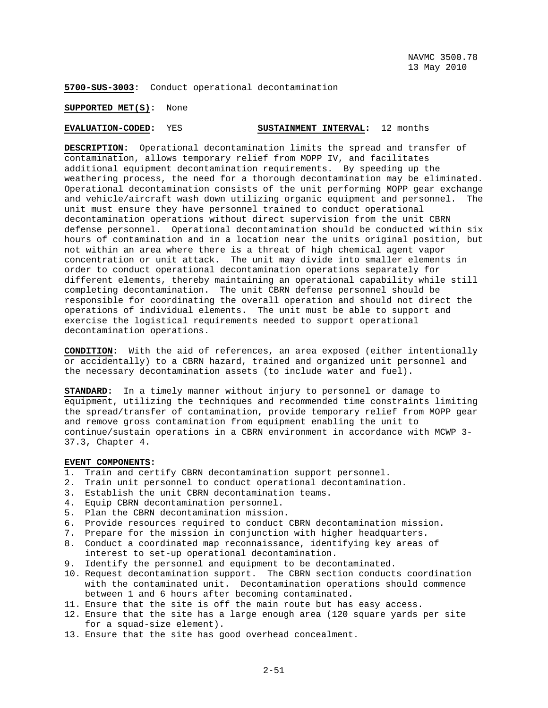**5700-SUS-3003:** Conduct operational decontamination

# **SUPPORTED MET(S):** None

# **EVALUATION-CODED:** YES **SUSTAINMENT INTERVAL:** 12 months

**DESCRIPTION:** Operational decontamination limits the spread and transfer of contamination, allows temporary relief from MOPP IV, and facilitates additional equipment decontamination requirements. By speeding up the weathering process, the need for a thorough decontamination may be eliminated. Operational decontamination consists of the unit performing MOPP gear exchange and vehicle/aircraft wash down utilizing organic equipment and personnel. The unit must ensure they have personnel trained to conduct operational decontamination operations without direct supervision from the unit CBRN defense personnel. Operational decontamination should be conducted within six hours of contamination and in a location near the units original position, but not within an area where there is a threat of high chemical agent vapor concentration or unit attack. The unit may divide into smaller elements in order to conduct operational decontamination operations separately for different elements, thereby maintaining an operational capability while still completing decontamination. The unit CBRN defense personnel should be responsible for coordinating the overall operation and should not direct the operations of individual elements. The unit must be able to support and exercise the logistical requirements needed to support operational decontamination operations.

**CONDITION:** With the aid of references, an area exposed (either intentionally or accidentally) to a CBRN hazard, trained and organized unit personnel and the necessary decontamination assets (to include water and fuel).

**STANDARD:** In a timely manner without injury to personnel or damage to equipment, utilizing the techniques and recommended time constraints limiting the spread/transfer of contamination, provide temporary relief from MOPP gear and remove gross contamination from equipment enabling the unit to continue/sustain operations in a CBRN environment in accordance with MCWP 3- 37.3, Chapter 4.

- 1. Train and certify CBRN decontamination support personnel.
- 2. Train unit personnel to conduct operational decontamination.
- 3. Establish the unit CBRN decontamination teams.
- 4. Equip CBRN decontamination personnel.
- 5. Plan the CBRN decontamination mission.
- 6. Provide resources required to conduct CBRN decontamination mission.
- 7. Prepare for the mission in conjunction with higher headquarters.
- 8. Conduct a coordinated map reconnaissance, identifying key areas of interest to set-up operational decontamination.
- 9. Identify the personnel and equipment to be decontaminated.
- 10. Request decontamination support. The CBRN section conducts coordination with the contaminated unit. Decontamination operations should commence between 1 and 6 hours after becoming contaminated.
- 11. Ensure that the site is off the main route but has easy access.
- 12. Ensure that the site has a large enough area (120 square yards per site for a squad-size element).
- 13. Ensure that the site has good overhead concealment.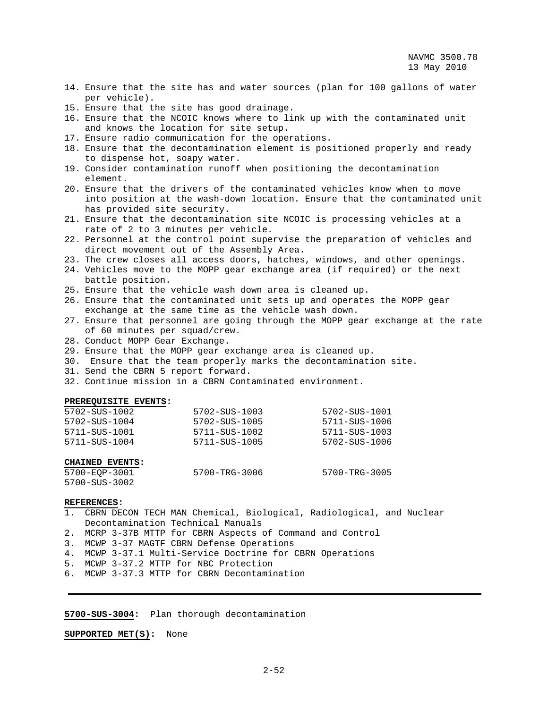- 14. Ensure that the site has and water sources (plan for 100 gallons of water per vehicle).
- 15. Ensure that the site has good drainage.
- 16. Ensure that the NCOIC knows where to link up with the contaminated unit and knows the location for site setup.
- 17. Ensure radio communication for the operations.
- 18. Ensure that the decontamination element is positioned properly and ready to dispense hot, soapy water.
- 19. Consider contamination runoff when positioning the decontamination element.
- 20. Ensure that the drivers of the contaminated vehicles know when to move into position at the wash-down location. Ensure that the contaminated unit has provided site security.
- 21. Ensure that the decontamination site NCOIC is processing vehicles at a rate of 2 to 3 minutes per vehicle.
- 22. Personnel at the control point supervise the preparation of vehicles and direct movement out of the Assembly Area.
- 23. The crew closes all access doors, hatches, windows, and other openings.
- 24. Vehicles move to the MOPP gear exchange area (if required) or the next battle position.
- 25. Ensure that the vehicle wash down area is cleaned up.
- 26. Ensure that the contaminated unit sets up and operates the MOPP gear exchange at the same time as the vehicle wash down.
- 27. Ensure that personnel are going through the MOPP gear exchange at the rate of 60 minutes per squad/crew.
- 28. Conduct MOPP Gear Exchange.
- 29. Ensure that the MOPP gear exchange area is cleaned up.
- 30. Ensure that the team properly marks the decontamination site.
- 31. Send the CBRN 5 report forward.
- 32. Continue mission in a CBRN Contaminated environment.

# **PREREQUISITE EVENTS:**

| 5702-SUS-1002   | 5702-SUS-1003 | 5702-SUS-1001 |
|-----------------|---------------|---------------|
| 5702-SUS-1004   | 5702-SUS-1005 | 5711-SUS-1006 |
| 5711-SUS-1001   | 5711-SUS-1002 | 5711-SUS-1003 |
| 5711-SUS-1004   | 5711-SUS-1005 | 5702-SUS-1006 |
| CHAINED EVENTS: |               |               |
| 5700-EOP-3001   | 5700-TRG-3006 | 5700-TRG-3005 |

# 5700-SUS-3002

#### **REFERENCES:**

1. CBRN DECON TECH MAN Chemical, Biological, Radiological, and Nuclear Decontamination Technical Manuals

- 2. MCRP 3-37B MTTP for CBRN Aspects of Command and Control
- 3. MCWP 3-37 MAGTF CBRN Defense Operations
- 4. MCWP 3-37.1 Multi-Service Doctrine for CBRN Operations
- 5. MCWP 3-37.2 MTTP for NBC Protection
- 6. MCWP 3-37.3 MTTP for CBRN Decontamination

**5700-SUS-3004:** Plan thorough decontamination

**SUPPORTED MET(S):** None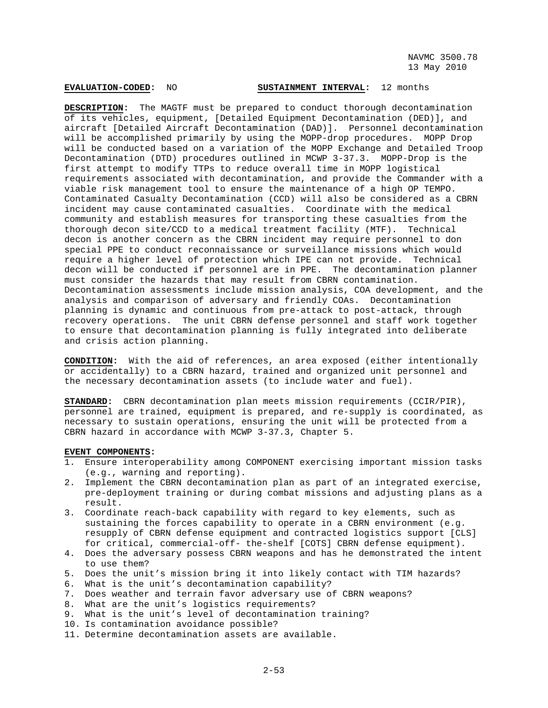# **EVALUATION-CODED:** NO **SUSTAINMENT INTERVAL:** 12 months

**DESCRIPTION:** The MAGTF must be prepared to conduct thorough decontamination of its vehicles, equipment, [Detailed Equipment Decontamination (DED)], and aircraft [Detailed Aircraft Decontamination (DAD)]. Personnel decontamination will be accomplished primarily by using the MOPP-drop procedures. MOPP Drop will be conducted based on a variation of the MOPP Exchange and Detailed Troop Decontamination (DTD) procedures outlined in MCWP 3-37.3. MOPP-Drop is the first attempt to modify TTPs to reduce overall time in MOPP logistical requirements associated with decontamination, and provide the Commander with a viable risk management tool to ensure the maintenance of a high OP TEMPO. Contaminated Casualty Decontamination (CCD) will also be considered as a CBRN incident may cause contaminated casualties. Coordinate with the medical community and establish measures for transporting these casualties from the thorough decon site/CCD to a medical treatment facility (MTF). Technical decon is another concern as the CBRN incident may require personnel to don special PPE to conduct reconnaissance or surveillance missions which would require a higher level of protection which IPE can not provide. Technical decon will be conducted if personnel are in PPE. The decontamination planner must consider the hazards that may result from CBRN contamination. Decontamination assessments include mission analysis, COA development, and the analysis and comparison of adversary and friendly COAs. Decontamination planning is dynamic and continuous from pre-attack to post-attack, through recovery operations. The unit CBRN defense personnel and staff work together to ensure that decontamination planning is fully integrated into deliberate and crisis action planning.

**CONDITION:** With the aid of references, an area exposed (either intentionally or accidentally) to a CBRN hazard, trained and organized unit personnel and the necessary decontamination assets (to include water and fuel).

**STANDARD:** CBRN decontamination plan meets mission requirements (CCIR/PIR), personnel are trained, equipment is prepared, and re-supply is coordinated, as necessary to sustain operations, ensuring the unit will be protected from a CBRN hazard in accordance with MCWP 3-37.3, Chapter 5.

- 1. Ensure interoperability among COMPONENT exercising important mission tasks (e.g., warning and reporting).
- 2. Implement the CBRN decontamination plan as part of an integrated exercise, pre-deployment training or during combat missions and adjusting plans as a result.
- 3. Coordinate reach-back capability with regard to key elements, such as sustaining the forces capability to operate in a CBRN environment (e.g. resupply of CBRN defense equipment and contracted logistics support [CLS] for critical, commercial-off- the-shelf [COTS] CBRN defense equipment).
- 4. Does the adversary possess CBRN weapons and has he demonstrated the intent to use them?
- 5. Does the unit's mission bring it into likely contact with TIM hazards?
- 6. What is the unit's decontamination capability?
- 7. Does weather and terrain favor adversary use of CBRN weapons?
- 8. What are the unit's logistics requirements?
- 9. What is the unit's level of decontamination training?
- 10. Is contamination avoidance possible?
- 11. Determine decontamination assets are available.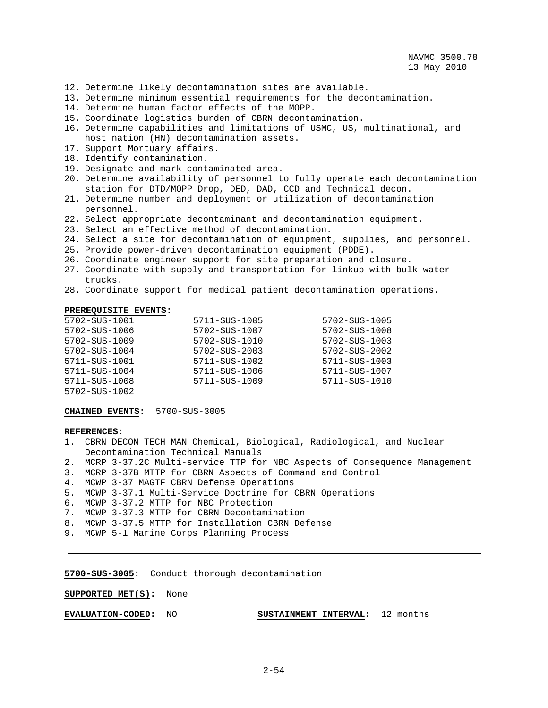- 12. Determine likely decontamination sites are available.
- 13. Determine minimum essential requirements for the decontamination.
- 14. Determine human factor effects of the MOPP.
- 15. Coordinate logistics burden of CBRN decontamination.
- 16. Determine capabilities and limitations of USMC, US, multinational, and host nation (HN) decontamination assets.
- 17. Support Mortuary affairs.
- 18. Identify contamination.
- 19. Designate and mark contaminated area.
- 20. Determine availability of personnel to fully operate each decontamination station for DTD/MOPP Drop, DED, DAD, CCD and Technical decon.
- 21. Determine number and deployment or utilization of decontamination personnel.
- 22. Select appropriate decontaminant and decontamination equipment.
- 23. Select an effective method of decontamination.
- 24. Select a site for decontamination of equipment, supplies, and personnel.
- 25. Provide power-driven decontamination equipment (PDDE).
- 26. Coordinate engineer support for site preparation and closure.
- 27. Coordinate with supply and transportation for linkup with bulk water trucks.
- 28. Coordinate support for medical patient decontamination operations.

#### **PREREQUISITE EVENTS:**

| 5702-SUS-1001 | 5711-SUS-1005 | 5702-SUS-1005 |
|---------------|---------------|---------------|
| 5702-SUS-1006 | 5702-SUS-1007 | 5702-SUS-1008 |
| 5702-SUS-1009 | 5702-SUS-1010 | 5702-SUS-1003 |
| 5702-SUS-1004 | 5702-SUS-2003 | 5702-SUS-2002 |
| 5711-SUS-1001 | 5711-SUS-1002 | 5711-SUS-1003 |
| 5711-SUS-1004 | 5711-SUS-1006 | 5711-SUS-1007 |
| 5711-SUS-1008 | 5711-SUS-1009 | 5711-SUS-1010 |
| 5702-SUS-1002 |               |               |

**CHAINED EVENTS:** 5700-SUS-3005

# **REFERENCES:**

- 1. CBRN DECON TECH MAN Chemical, Biological, Radiological, and Nuclear Decontamination Technical Manuals
- 2. MCRP 3-37.2C Multi-service TTP for NBC Aspects of Consequence Management
- 3. MCRP 3-37B MTTP for CBRN Aspects of Command and Control
- 4. MCWP 3-37 MAGTF CBRN Defense Operations
- 5. MCWP 3-37.1 Multi-Service Doctrine for CBRN Operations
- 6. MCWP 3-37.2 MTTP for NBC Protection
- 7. MCWP 3-37.3 MTTP for CBRN Decontamination
- 8. MCWP 3-37.5 MTTP for Installation CBRN Defense
- 9. MCWP 5-1 Marine Corps Planning Process

**5700-SUS-3005:** Conduct thorough decontamination

**SUPPORTED MET(S):** None

**EVALUATION-CODED:** NO **SUSTAINMENT INTERVAL:** 12 months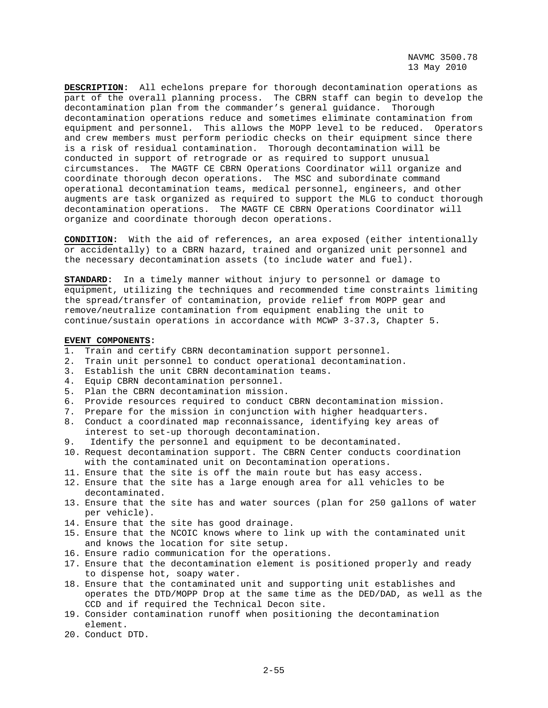**DESCRIPTION:** All echelons prepare for thorough decontamination operations as part of the overall planning process. The CBRN staff can begin to develop the decontamination plan from the commander's general guidance. Thorough decontamination operations reduce and sometimes eliminate contamination from equipment and personnel. This allows the MOPP level to be reduced. Operators and crew members must perform periodic checks on their equipment since there is a risk of residual contamination. Thorough decontamination will be conducted in support of retrograde or as required to support unusual circumstances. The MAGTF CE CBRN Operations Coordinator will organize and coordinate thorough decon operations. The MSC and subordinate command operational decontamination teams, medical personnel, engineers, and other augments are task organized as required to support the MLG to conduct thorough decontamination operations. The MAGTF CE CBRN Operations Coordinator will organize and coordinate thorough decon operations.

**CONDITION:** With the aid of references, an area exposed (either intentionally or accidentally) to a CBRN hazard, trained and organized unit personnel and the necessary decontamination assets (to include water and fuel).

**STANDARD:** In a timely manner without injury to personnel or damage to equipment, utilizing the techniques and recommended time constraints limiting the spread/transfer of contamination, provide relief from MOPP gear and remove/neutralize contamination from equipment enabling the unit to continue/sustain operations in accordance with MCWP 3-37.3, Chapter 5.

- 1. Train and certify CBRN decontamination support personnel.
- 2. Train unit personnel to conduct operational decontamination.
- 3. Establish the unit CBRN decontamination teams.
- 4. Equip CBRN decontamination personnel.
- 5. Plan the CBRN decontamination mission.
- 6. Provide resources required to conduct CBRN decontamination mission.
- 7. Prepare for the mission in conjunction with higher headquarters.
- 8. Conduct a coordinated map reconnaissance, identifying key areas of interest to set-up thorough decontamination.
- 9. Identify the personnel and equipment to be decontaminated.
- 10. Request decontamination support. The CBRN Center conducts coordination with the contaminated unit on Decontamination operations.
- 11. Ensure that the site is off the main route but has easy access.
- 12. Ensure that the site has a large enough area for all vehicles to be decontaminated.
- 13. Ensure that the site has and water sources (plan for 250 gallons of water per vehicle).
- 14. Ensure that the site has good drainage.
- 15. Ensure that the NCOIC knows where to link up with the contaminated unit and knows the location for site setup.
- 16. Ensure radio communication for the operations.
- 17. Ensure that the decontamination element is positioned properly and ready to dispense hot, soapy water.
- 18. Ensure that the contaminated unit and supporting unit establishes and operates the DTD/MOPP Drop at the same time as the DED/DAD, as well as the CCD and if required the Technical Decon site.
- 19. Consider contamination runoff when positioning the decontamination element.
- 20. Conduct DTD.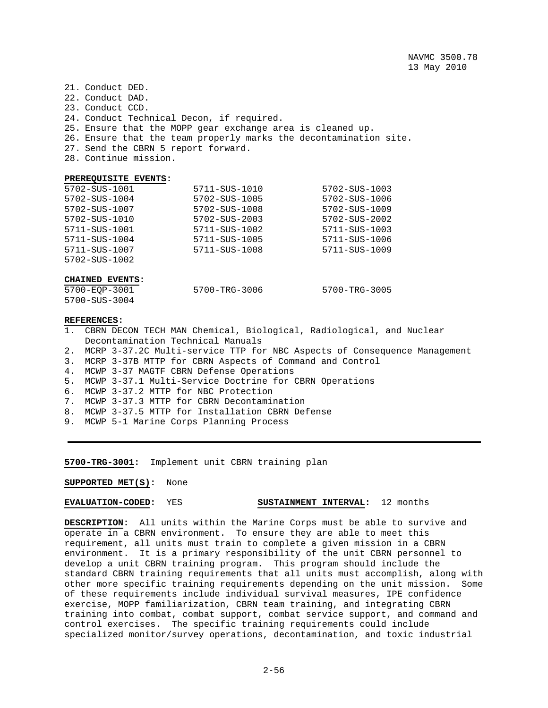21. Conduct DED. 22. Conduct DAD. 23. Conduct CCD. 24. Conduct Technical Decon, if required. 25. Ensure that the MOPP gear exchange area is cleaned up. 26. Ensure that the team properly marks the decontamination site. 27. Send the CBRN 5 report forward. 28. Continue mission.

#### **PREREQUISITE EVENTS:**

| 5702-SUS-1001 | 5711-SUS-1010 | 5702-SUS-1003 |
|---------------|---------------|---------------|
| 5702-SUS-1004 | 5702-SUS-1005 | 5702-SUS-1006 |
| 5702-SUS-1007 | 5702-SUS-1008 | 5702-SUS-1009 |
| 5702-SUS-1010 | 5702-SUS-2003 | 5702-SUS-2002 |
| 5711-SUS-1001 | 5711-SUS-1002 | 5711-SUS-1003 |
| 5711-SUS-1004 | 5711-SUS-1005 | 5711-SUS-1006 |
| 5711-SUS-1007 | 5711-SUS-1008 | 5711-SUS-1009 |
| 5702-SUS-1002 |               |               |

# **CHAINED EVENTS:**

| 5700-EOP-3001 | 5700-TRG-3006 | 5700-TRG-3005 |
|---------------|---------------|---------------|
| 5700-SUS-3004 |               |               |

#### **REFERENCES:**

- 1. CBRN DECON TECH MAN Chemical, Biological, Radiological, and Nuclear Decontamination Technical Manuals
- 2. MCRP 3-37.2C Multi-service TTP for NBC Aspects of Consequence Management
- 3. MCRP 3-37B MTTP for CBRN Aspects of Command and Control
- 4. MCWP 3-37 MAGTF CBRN Defense Operations
- 5. MCWP 3-37.1 Multi-Service Doctrine for CBRN Operations
- 6. MCWP 3-37.2 MTTP for NBC Protection
- 7. MCWP 3-37.3 MTTP for CBRN Decontamination
- 8. MCWP 3-37.5 MTTP for Installation CBRN Defense
- 9. MCWP 5-1 Marine Corps Planning Process

**5700-TRG-3001:** Implement unit CBRN training plan

**SUPPORTED MET(S):** None

#### **EVALUATION-CODED:** YES **SUSTAINMENT INTERVAL:** 12 months

**DESCRIPTION:** All units within the Marine Corps must be able to survive and operate in a CBRN environment. To ensure they are able to meet this requirement, all units must train to complete a given mission in a CBRN environment. It is a primary responsibility of the unit CBRN personnel to develop a unit CBRN training program. This program should include the standard CBRN training requirements that all units must accomplish, along with other more specific training requirements depending on the unit mission. Some of these requirements include individual survival measures, IPE confidence exercise, MOPP familiarization, CBRN team training, and integrating CBRN training into combat, combat support, combat service support, and command and control exercises. The specific training requirements could include specialized monitor/survey operations, decontamination, and toxic industrial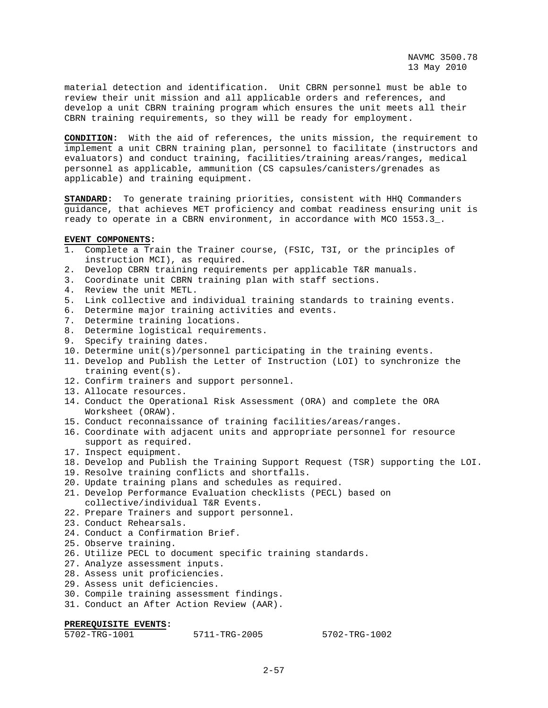material detection and identification. Unit CBRN personnel must be able to review their unit mission and all applicable orders and references, and develop a unit CBRN training program which ensures the unit meets all their CBRN training requirements, so they will be ready for employment.

**CONDITION:** With the aid of references, the units mission, the requirement to implement a unit CBRN training plan, personnel to facilitate (instructors and evaluators) and conduct training, facilities/training areas/ranges, medical personnel as applicable, ammunition (CS capsules/canisters/grenades as applicable) and training equipment.

**STANDARD:** To generate training priorities, consistent with HHQ Commanders guidance, that achieves MET proficiency and combat readiness ensuring unit is ready to operate in a CBRN environment, in accordance with MCO 1553.3\_.

#### **EVENT COMPONENTS:**

- 1. Complete a Train the Trainer course, (FSIC, T3I, or the principles of instruction MCI), as required.
- 2. Develop CBRN training requirements per applicable T&R manuals.
- 3. Coordinate unit CBRN training plan with staff sections.
- 4. Review the unit METL.
- 5. Link collective and individual training standards to training events.
- 6. Determine major training activities and events.
- 7. Determine training locations.
- 8. Determine logistical requirements.
- 9. Specify training dates.
- 10. Determine unit(s)/personnel participating in the training events.
- 11. Develop and Publish the Letter of Instruction (LOI) to synchronize the training event(s).
- 12. Confirm trainers and support personnel.
- 13. Allocate resources.
- 14. Conduct the Operational Risk Assessment (ORA) and complete the ORA Worksheet (ORAW).
- 15. Conduct reconnaissance of training facilities/areas/ranges.
- 16. Coordinate with adjacent units and appropriate personnel for resource support as required.
- 17. Inspect equipment.
- 18. Develop and Publish the Training Support Request (TSR) supporting the LOI.
- 19. Resolve training conflicts and shortfalls.
- 20. Update training plans and schedules as required.
- 21. Develop Performance Evaluation checklists (PECL) based on collective/individual T&R Events.
- 22. Prepare Trainers and support personnel.
- 23. Conduct Rehearsals.
- 24. Conduct a Confirmation Brief.
- 25. Observe training.
- 26. Utilize PECL to document specific training standards.
- 27. Analyze assessment inputs.
- 28. Assess unit proficiencies.
- 29. Assess unit deficiencies.
- 30. Compile training assessment findings.
- 31. Conduct an After Action Review (AAR).

# **PREREQUISITE EVENTS:**

| 5702-TRG-1001 | $5711 - T1$ |
|---------------|-------------|
|               |             |

5702-TRG-1001 5711-TRG-2005 5702-TRG-1002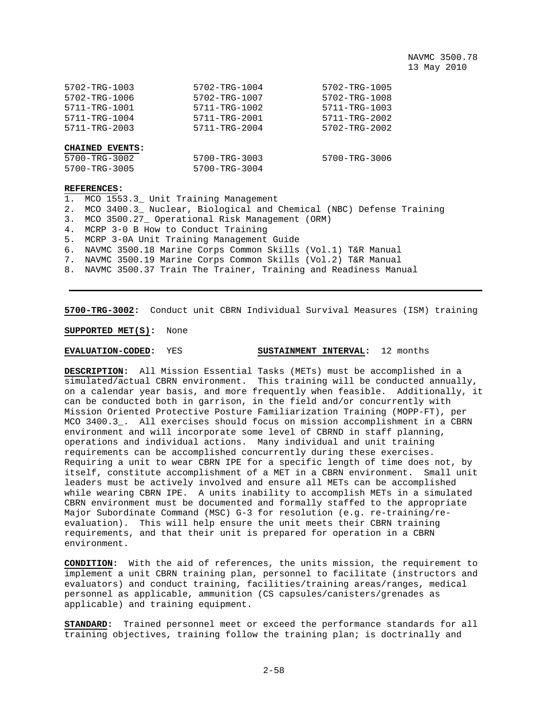| 5702-TRG-1003   | 5702-TRG-1004 | 5702-TRG-1005 |
|-----------------|---------------|---------------|
| 5702-TRG-1006   | 5702-TRG-1007 | 5702-TRG-1008 |
| 5711-TRG-1001   | 5711-TRG-1002 | 5711-TRG-1003 |
| 5711-TRG-1004   | 5711-TRG-2001 | 5711-TRG-2002 |
| 5711-TRG-2003   | 5711-TRG-2004 | 5702-TRG-2002 |
| CHAINED EVENTS: |               |               |
| 5700-TRG-3002   | 5700-TRG-3003 | 5700-TRG-3006 |
| 5700-TRG-3005   | 5700-TRG-3004 |               |

#### **REFERENCES:**

1. MCO 1553.3\_ Unit Training Management 2. MCO 3400.3\_ Nuclear, Biological and Chemical (NBC) Defense Training 3. MCO 3500.27\_ Operational Risk Management (ORM) 4. MCRP 3-0 B How to Conduct Training 5. MCRP 3-0A Unit Training Management Guide 6. NAVMC 3500.18 Marine Corps Common Skills (Vol.1) T&R Manual 7. NAVMC 3500.19 Marine Corps Common Skills (Vol.2) T&R Manual 8. NAVMC 3500.37 Train The Trainer, Training and Readiness Manual

**5700-TRG-3002:** Conduct unit CBRN Individual Survival Measures (ISM) training

# **SUPPORTED MET(S):** None

### **EVALUATION-CODED:** YES **SUSTAINMENT INTERVAL:** 12 months

**DESCRIPTION:** All Mission Essential Tasks (METs) must be accomplished in a simulated/actual CBRN environment. This training will be conducted annually, on a calendar year basis, and more frequently when feasible. Additionally, it can be conducted both in garrison, in the field and/or concurrently with Mission Oriented Protective Posture Familiarization Training (MOPP-FT), per MCO 3400.3\_. All exercises should focus on mission accomplishment in a CBRN environment and will incorporate some level of CBRND in staff planning, operations and individual actions. Many individual and unit training requirements can be accomplished concurrently during these exercises. Requiring a unit to wear CBRN IPE for a specific length of time does not, by itself, constitute accomplishment of a MET in a CBRN environment. Small unit leaders must be actively involved and ensure all METs can be accomplished while wearing CBRN IPE. A units inability to accomplish METs in a simulated CBRN environment must be documented and formally staffed to the appropriate Major Subordinate Command (MSC) G-3 for resolution (e.g. re-training/reevaluation). This will help ensure the unit meets their CBRN training requirements, and that their unit is prepared for operation in a CBRN environment.

**CONDITION:** With the aid of references, the units mission, the requirement to implement a unit CBRN training plan, personnel to facilitate (instructors and evaluators) and conduct training, facilities/training areas/ranges, medical personnel as applicable, ammunition (CS capsules/canisters/grenades as applicable) and training equipment.

**STANDARD:** Trained personnel meet or exceed the performance standards for all training objectives, training follow the training plan; is doctrinally and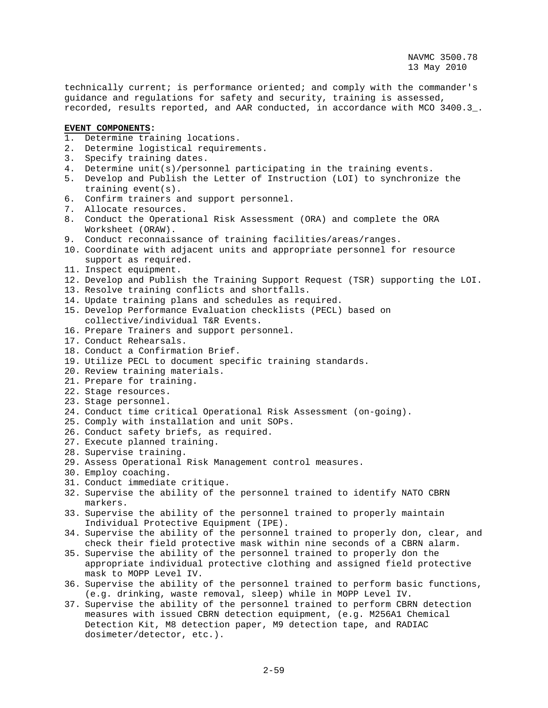technically current; is performance oriented; and comply with the commander's guidance and regulations for safety and security, training is assessed, recorded, results reported, and AAR conducted, in accordance with MCO 3400.3\_.

# **EVENT COMPONENTS:**

- 1. Determine training locations.
- 2. Determine logistical requirements.
- 3. Specify training dates.
- 4. Determine unit(s)/personnel participating in the training events.
- 5. Develop and Publish the Letter of Instruction (LOI) to synchronize the training event(s).
- 6. Confirm trainers and support personnel.
- 7. Allocate resources.
- 8. Conduct the Operational Risk Assessment (ORA) and complete the ORA Worksheet (ORAW).
- 9. Conduct reconnaissance of training facilities/areas/ranges.
- 10. Coordinate with adjacent units and appropriate personnel for resource support as required.
- 11. Inspect equipment.
- 12. Develop and Publish the Training Support Request (TSR) supporting the LOI.
- 13. Resolve training conflicts and shortfalls.
- 14. Update training plans and schedules as required.
- 15. Develop Performance Evaluation checklists (PECL) based on collective/individual T&R Events.
- 16. Prepare Trainers and support personnel.
- 17. Conduct Rehearsals.
- 18. Conduct a Confirmation Brief.
- 19. Utilize PECL to document specific training standards.
- 20. Review training materials.
- 21. Prepare for training.
- 22. Stage resources.
- 23. Stage personnel.
- 24. Conduct time critical Operational Risk Assessment (on-going).
- 25. Comply with installation and unit SOPs.
- 26. Conduct safety briefs, as required.
- 27. Execute planned training.
- 28. Supervise training.
- 29. Assess Operational Risk Management control measures.
- 30. Employ coaching.
- 31. Conduct immediate critique.
- 32. Supervise the ability of the personnel trained to identify NATO CBRN markers.
- 33. Supervise the ability of the personnel trained to properly maintain Individual Protective Equipment (IPE).
- 34. Supervise the ability of the personnel trained to properly don, clear, and check their field protective mask within nine seconds of a CBRN alarm.
- 35. Supervise the ability of the personnel trained to properly don the appropriate individual protective clothing and assigned field protective mask to MOPP Level IV.
- 36. Supervise the ability of the personnel trained to perform basic functions, (e.g. drinking, waste removal, sleep) while in MOPP Level IV.
- 37. Supervise the ability of the personnel trained to perform CBRN detection measures with issued CBRN detection equipment, (e.g. M256A1 Chemical Detection Kit, M8 detection paper, M9 detection tape, and RADIAC dosimeter/detector, etc.).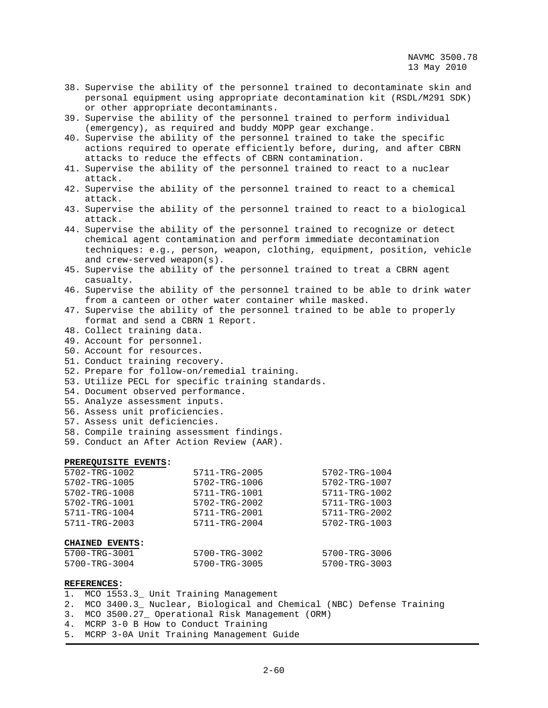- 38. Supervise the ability of the personnel trained to decontaminate skin and personal equipment using appropriate decontamination kit (RSDL/M291 SDK) or other appropriate decontaminants.
- 39. Supervise the ability of the personnel trained to perform individual (emergency), as required and buddy MOPP gear exchange.
- 40. Supervise the ability of the personnel trained to take the specific actions required to operate efficiently before, during, and after CBRN attacks to reduce the effects of CBRN contamination.
- 41. Supervise the ability of the personnel trained to react to a nuclear attack.
- 42. Supervise the ability of the personnel trained to react to a chemical attack.
- 43. Supervise the ability of the personnel trained to react to a biological attack.
- 44. Supervise the ability of the personnel trained to recognize or detect chemical agent contamination and perform immediate decontamination techniques: e.g., person, weapon, clothing, equipment, position, vehicle and crew-served weapon(s).
- 45. Supervise the ability of the personnel trained to treat a CBRN agent casualty.
- 46. Supervise the ability of the personnel trained to be able to drink water from a canteen or other water container while masked.
- 47. Supervise the ability of the personnel trained to be able to properly format and send a CBRN 1 Report.
- 48. Collect training data.
- 49. Account for personnel.
- 50. Account for resources.
- 51. Conduct training recovery.
- 52. Prepare for follow-on/remedial training.
- 53. Utilize PECL for specific training standards.
- 54. Document observed performance.
- 55. Analyze assessment inputs.
- 56. Assess unit proficiencies.
- 57. Assess unit deficiencies.
- 58. Compile training assessment findings.
- 59. Conduct an After Action Review (AAR).

# **PREREQUISITE EVENTS:**

| 5702-TRG-1002 | 5711-TRG-2005 | 5702-TRG-1004 |
|---------------|---------------|---------------|
| 5702-TRG-1005 | 5702-TRG-1006 | 5702-TRG-1007 |
| 5702-TRG-1008 | 5711-TRG-1001 | 5711-TRG-1002 |
| 5702-TRG-1001 | 5702-TRG-2002 | 5711-TRG-1003 |
| 5711-TRG-1004 | 5711-TRG-2001 | 5711-TRG-2002 |
| 5711-TRG-2003 | 5711-TRG-2004 | 5702-TRG-1003 |
|               |               |               |

# **CHAINED EVENTS:**

| 5700-TRG-3001 | 5700-TRG-3002 | 5700-TRG-3006 |
|---------------|---------------|---------------|
| 5700-TRG-3004 | 5700-TRG-3005 | 5700-TRG-3003 |

### **REFERENCES:**

1. MCO 1553.3\_ Unit Training Management 2. MCO 3400.3\_ Nuclear, Biological and Chemical (NBC) Defense Training 3. MCO 3500.27\_ Operational Risk Management (ORM) 4. MCRP 3-0 B How to Conduct Training 5. MCRP 3-0A Unit Training Management Guide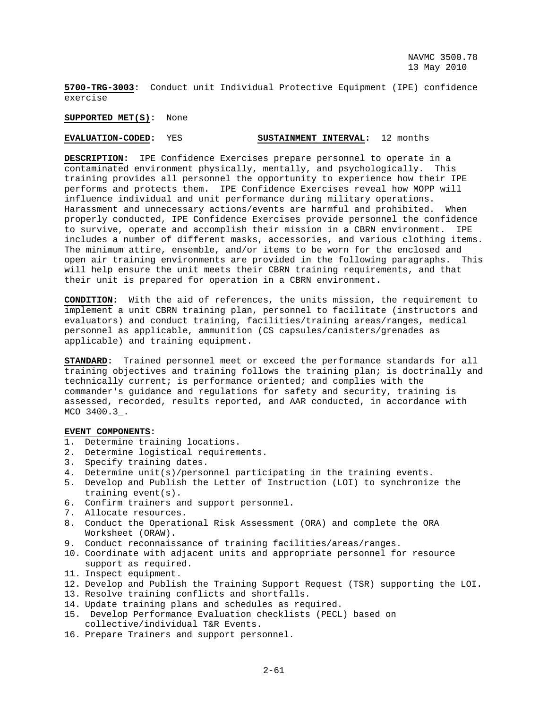**5700-TRG-3003:** Conduct unit Individual Protective Equipment (IPE) confidence exercise

# **SUPPORTED MET(S):** None

# **EVALUATION-CODED:** YES **SUSTAINMENT INTERVAL:** 12 months

**DESCRIPTION:** IPE Confidence Exercises prepare personnel to operate in a contaminated environment physically, mentally, and psychologically. This training provides all personnel the opportunity to experience how their IPE performs and protects them. IPE Confidence Exercises reveal how MOPP will influence individual and unit performance during military operations. Harassment and unnecessary actions/events are harmful and prohibited. When properly conducted, IPE Confidence Exercises provide personnel the confidence to survive, operate and accomplish their mission in a CBRN environment. IPE includes a number of different masks, accessories, and various clothing items. The minimum attire, ensemble, and/or items to be worn for the enclosed and open air training environments are provided in the following paragraphs. This will help ensure the unit meets their CBRN training requirements, and that their unit is prepared for operation in a CBRN environment.

**CONDITION:** With the aid of references, the units mission, the requirement to implement a unit CBRN training plan, personnel to facilitate (instructors and evaluators) and conduct training, facilities/training areas/ranges, medical personnel as applicable, ammunition (CS capsules/canisters/grenades as applicable) and training equipment.

**STANDARD:** Trained personnel meet or exceed the performance standards for all training objectives and training follows the training plan; is doctrinally and technically current; is performance oriented; and complies with the commander's guidance and regulations for safety and security, training is assessed, recorded, results reported, and AAR conducted, in accordance with MCO 3400.3\_.

# **EVENT COMPONENTS:**

- 1. Determine training locations.
- 2. Determine logistical requirements.
- 3. Specify training dates.
- 4. Determine unit(s)/personnel participating in the training events.
- 5. Develop and Publish the Letter of Instruction (LOI) to synchronize the training event(s).
- 6. Confirm trainers and support personnel.
- 7. Allocate resources.
- 8. Conduct the Operational Risk Assessment (ORA) and complete the ORA Worksheet (ORAW).
- 9. Conduct reconnaissance of training facilities/areas/ranges.
- 10. Coordinate with adjacent units and appropriate personnel for resource support as required.
- 11. Inspect equipment.
- 12. Develop and Publish the Training Support Request (TSR) supporting the LOI.
- 13. Resolve training conflicts and shortfalls.
- 14. Update training plans and schedules as required.
- 15. Develop Performance Evaluation checklists (PECL) based on collective/individual T&R Events.
- 16. Prepare Trainers and support personnel.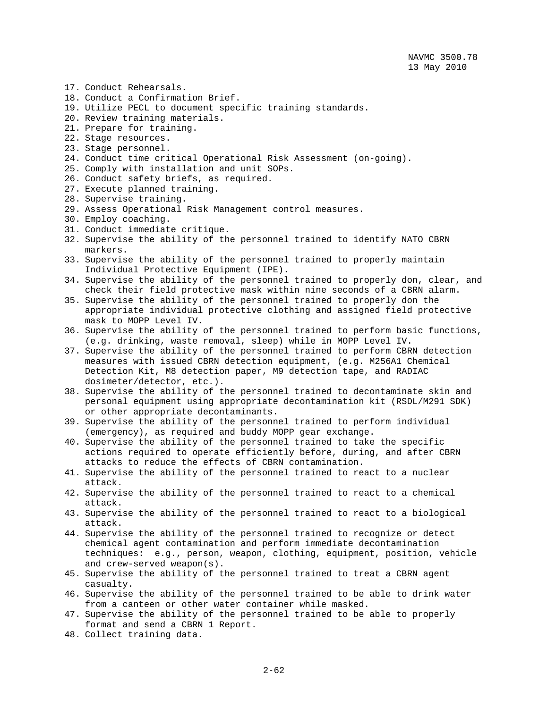- 17. Conduct Rehearsals.
- 18. Conduct a Confirmation Brief.
- 19. Utilize PECL to document specific training standards.
- 20. Review training materials.
- 21. Prepare for training.
- 22. Stage resources.
- 23. Stage personnel.
- 24. Conduct time critical Operational Risk Assessment (on-going).
- 25. Comply with installation and unit SOPs.
- 26. Conduct safety briefs, as required.
- 27. Execute planned training.
- 28. Supervise training.
- 29. Assess Operational Risk Management control measures.
- 30. Employ coaching.
- 31. Conduct immediate critique.
- 32. Supervise the ability of the personnel trained to identify NATO CBRN markers.
- 33. Supervise the ability of the personnel trained to properly maintain Individual Protective Equipment (IPE).
- 34. Supervise the ability of the personnel trained to properly don, clear, and check their field protective mask within nine seconds of a CBRN alarm.
- 35. Supervise the ability of the personnel trained to properly don the appropriate individual protective clothing and assigned field protective mask to MOPP Level IV.
- 36. Supervise the ability of the personnel trained to perform basic functions, (e.g. drinking, waste removal, sleep) while in MOPP Level IV.
- 37. Supervise the ability of the personnel trained to perform CBRN detection measures with issued CBRN detection equipment, (e.g. M256A1 Chemical Detection Kit, M8 detection paper, M9 detection tape, and RADIAC dosimeter/detector, etc.).
- 38. Supervise the ability of the personnel trained to decontaminate skin and personal equipment using appropriate decontamination kit (RSDL/M291 SDK) or other appropriate decontaminants.
- 39. Supervise the ability of the personnel trained to perform individual (emergency), as required and buddy MOPP gear exchange.
- 40. Supervise the ability of the personnel trained to take the specific actions required to operate efficiently before, during, and after CBRN attacks to reduce the effects of CBRN contamination.
- 41. Supervise the ability of the personnel trained to react to a nuclear attack.
- 42. Supervise the ability of the personnel trained to react to a chemical attack.
- 43. Supervise the ability of the personnel trained to react to a biological attack.
- 44. Supervise the ability of the personnel trained to recognize or detect chemical agent contamination and perform immediate decontamination techniques: e.g., person, weapon, clothing, equipment, position, vehicle and crew-served weapon(s).
- 45. Supervise the ability of the personnel trained to treat a CBRN agent casualty.
- 46. Supervise the ability of the personnel trained to be able to drink water from a canteen or other water container while masked.
- 47. Supervise the ability of the personnel trained to be able to properly format and send a CBRN 1 Report.
- 48. Collect training data.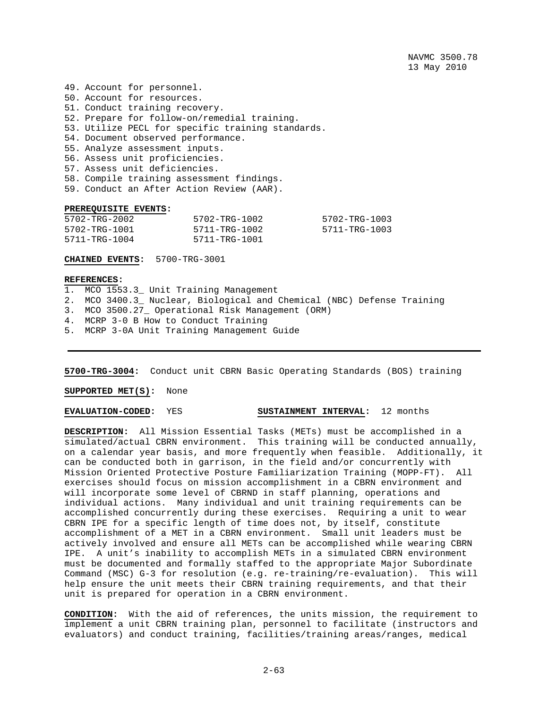49. Account for personnel. 50. Account for resources. 51. Conduct training recovery. 52. Prepare for follow-on/remedial training. 53. Utilize PECL for specific training standards. 54. Document observed performance. 55. Analyze assessment inputs. 56. Assess unit proficiencies. 57. Assess unit deficiencies. 58. Compile training assessment findings. 59. Conduct an After Action Review (AAR).

#### **PREREQUISITE EVENTS:**

| 5702-TRG-2002 | 5702-TRG-1002 | 5702-TRG-1003 |
|---------------|---------------|---------------|
| 5702-TRG-1001 | 5711-TRG-1002 | 5711-TRG-1003 |
| 5711-TRG-1004 | 5711-TRG-1001 |               |

**CHAINED EVENTS:** 5700-TRG-3001

## **REFERENCES:**

1. MCO 1553.3 Unit Training Management 2. MCO 3400.3\_ Nuclear, Biological and Chemical (NBC) Defense Training 3. MCO 3500.27\_ Operational Risk Management (ORM) 4. MCRP 3-0 B How to Conduct Training 5. MCRP 3-0A Unit Training Management Guide

**5700-TRG-3004:** Conduct unit CBRN Basic Operating Standards (BOS) training

**SUPPORTED MET(S):** None

**EVALUATION-CODED:** YES **SUSTAINMENT INTERVAL:** 12 months

**DESCRIPTION:** All Mission Essential Tasks (METs) must be accomplished in a simulated/actual CBRN environment. This training will be conducted annually, on a calendar year basis, and more frequently when feasible. Additionally, it can be conducted both in garrison, in the field and/or concurrently with Mission Oriented Protective Posture Familiarization Training (MOPP-FT). All exercises should focus on mission accomplishment in a CBRN environment and will incorporate some level of CBRND in staff planning, operations and individual actions. Many individual and unit training requirements can be accomplished concurrently during these exercises. Requiring a unit to wear CBRN IPE for a specific length of time does not, by itself, constitute accomplishment of a MET in a CBRN environment. Small unit leaders must be actively involved and ensure all METs can be accomplished while wearing CBRN IPE. A unit's inability to accomplish METs in a simulated CBRN environment must be documented and formally staffed to the appropriate Major Subordinate Command (MSC) G-3 for resolution (e.g. re-training/re-evaluation). This will help ensure the unit meets their CBRN training requirements, and that their unit is prepared for operation in a CBRN environment.

**CONDITION:** With the aid of references, the units mission, the requirement to implement a unit CBRN training plan, personnel to facilitate (instructors and evaluators) and conduct training, facilities/training areas/ranges, medical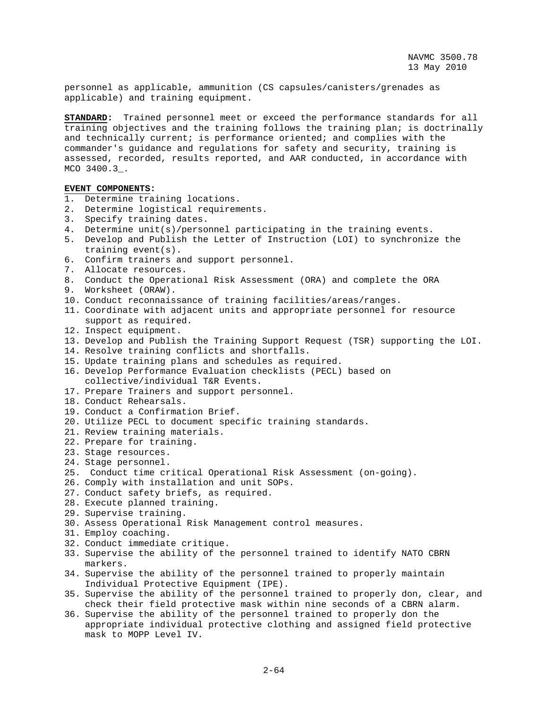personnel as applicable, ammunition (CS capsules/canisters/grenades as applicable) and training equipment.

**STANDARD:** Trained personnel meet or exceed the performance standards for all training objectives and the training follows the training plan; is doctrinally and technically current; is performance oriented; and complies with the commander's guidance and regulations for safety and security, training is assessed, recorded, results reported, and AAR conducted, in accordance with MCO 3400.3.

# **EVENT COMPONENTS:**

- 1. Determine training locations.
- 2. Determine logistical requirements.
- 3. Specify training dates.
- 4. Determine unit(s)/personnel participating in the training events.
- 5. Develop and Publish the Letter of Instruction (LOI) to synchronize the training event(s).
- 6. Confirm trainers and support personnel.
- 7. Allocate resources.
- 8. Conduct the Operational Risk Assessment (ORA) and complete the ORA
- 9. Worksheet (ORAW).
- 10. Conduct reconnaissance of training facilities/areas/ranges.
- 11. Coordinate with adjacent units and appropriate personnel for resource support as required.
- 12. Inspect equipment.
- 13. Develop and Publish the Training Support Request (TSR) supporting the LOI.
- 14. Resolve training conflicts and shortfalls.
- 15. Update training plans and schedules as required.
- 16. Develop Performance Evaluation checklists (PECL) based on collective/individual T&R Events.
- 17. Prepare Trainers and support personnel.
- 18. Conduct Rehearsals.
- 19. Conduct a Confirmation Brief.
- 20. Utilize PECL to document specific training standards.
- 21. Review training materials.
- 22. Prepare for training.
- 23. Stage resources.
- 24. Stage personnel.
- 25. Conduct time critical Operational Risk Assessment (on-going).
- 26. Comply with installation and unit SOPs.
- 27. Conduct safety briefs, as required.
- 28. Execute planned training.
- 29. Supervise training.
- 30. Assess Operational Risk Management control measures.
- 31. Employ coaching.
- 32. Conduct immediate critique.
- 33. Supervise the ability of the personnel trained to identify NATO CBRN markers.
- 34. Supervise the ability of the personnel trained to properly maintain Individual Protective Equipment (IPE).
- 35. Supervise the ability of the personnel trained to properly don, clear, and check their field protective mask within nine seconds of a CBRN alarm.
- 36. Supervise the ability of the personnel trained to properly don the appropriate individual protective clothing and assigned field protective mask to MOPP Level IV.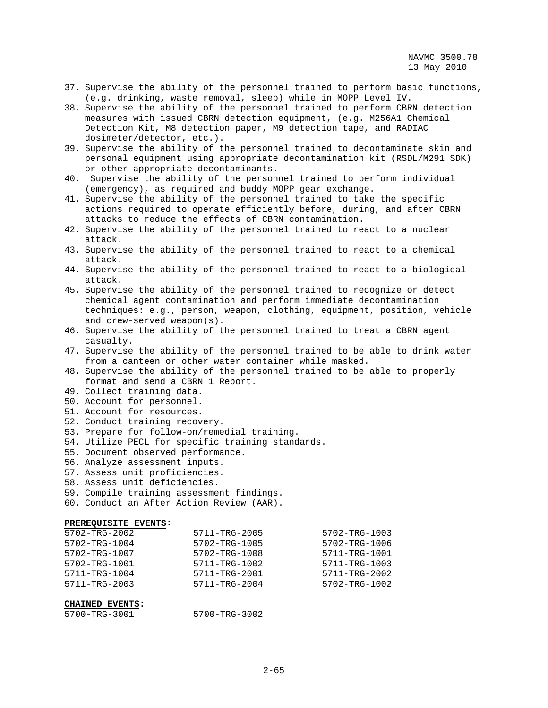- 37. Supervise the ability of the personnel trained to perform basic functions, (e.g. drinking, waste removal, sleep) while in MOPP Level IV.
- 38. Supervise the ability of the personnel trained to perform CBRN detection measures with issued CBRN detection equipment, (e.g. M256A1 Chemical Detection Kit, M8 detection paper, M9 detection tape, and RADIAC dosimeter/detector, etc.).
- 39. Supervise the ability of the personnel trained to decontaminate skin and personal equipment using appropriate decontamination kit (RSDL/M291 SDK) or other appropriate decontaminants.
- 40. Supervise the ability of the personnel trained to perform individual (emergency), as required and buddy MOPP gear exchange.
- 41. Supervise the ability of the personnel trained to take the specific actions required to operate efficiently before, during, and after CBRN attacks to reduce the effects of CBRN contamination.
- 42. Supervise the ability of the personnel trained to react to a nuclear attack.
- 43. Supervise the ability of the personnel trained to react to a chemical attack.
- 44. Supervise the ability of the personnel trained to react to a biological attack.
- 45. Supervise the ability of the personnel trained to recognize or detect chemical agent contamination and perform immediate decontamination techniques: e.g., person, weapon, clothing, equipment, position, vehicle and crew-served weapon(s).
- 46. Supervise the ability of the personnel trained to treat a CBRN agent casualty.
- 47. Supervise the ability of the personnel trained to be able to drink water from a canteen or other water container while masked.
- 48. Supervise the ability of the personnel trained to be able to properly format and send a CBRN 1 Report.
- 49. Collect training data.
- 50. Account for personnel.
- 51. Account for resources.
- 52. Conduct training recovery.
- 53. Prepare for follow-on/remedial training.
- 54. Utilize PECL for specific training standards.
- 55. Document observed performance.
- 56. Analyze assessment inputs.
- 57. Assess unit proficiencies.
- 58. Assess unit deficiencies.
- 59. Compile training assessment findings.
- 60. Conduct an After Action Review (AAR).

#### **PREREQUISITE EVENTS:**

| 5702-TRG-2002 | 5711-TRG-2005 | 5702-TRG-1003 |
|---------------|---------------|---------------|
| 5702-TRG-1004 | 5702-TRG-1005 | 5702-TRG-1006 |
| 5702-TRG-1007 | 5702-TRG-1008 | 5711-TRG-1001 |
| 5702-TRG-1001 | 5711-TRG-1002 | 5711-TRG-1003 |
| 5711-TRG-1004 | 5711-TRG-2001 | 5711-TRG-2002 |
| 5711-TRG-2003 | 5711-TRG-2004 | 5702-TRG-1002 |
|               |               |               |

# **CHAINED EVENTS:**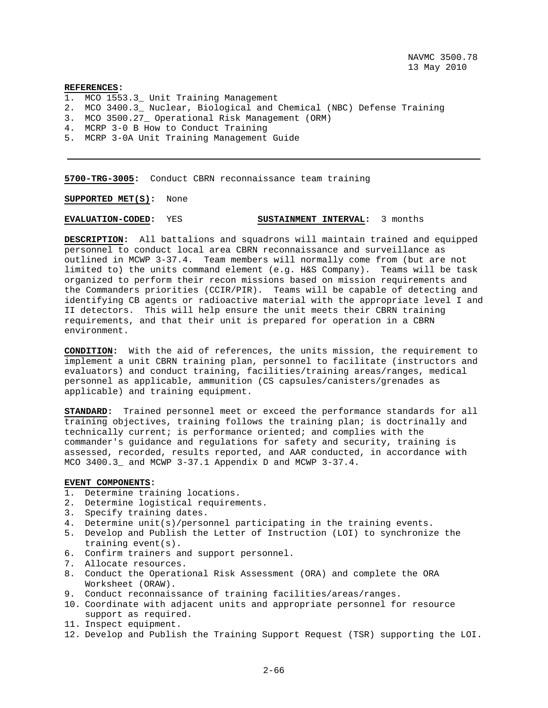**REFERENCES:** 1. MCO 1553.3\_ Unit Training Management 2. MCO 3400.3\_ Nuclear, Biological and Chemical (NBC) Defense Training 3. MCO 3500.27\_ Operational Risk Management (ORM) 4. MCRP 3-0 B How to Conduct Training 5. MCRP 3-0A Unit Training Management Guide

**5700-TRG-3005:** Conduct CBRN reconnaissance team training

**SUPPORTED MET(S):** None

#### **EVALUATION-CODED:** YES **SUSTAINMENT INTERVAL:** 3 months

**DESCRIPTION:** All battalions and squadrons will maintain trained and equipped personnel to conduct local area CBRN reconnaissance and surveillance as outlined in MCWP 3-37.4. Team members will normally come from (but are not limited to) the units command element (e.g. H&S Company). Teams will be task organized to perform their recon missions based on mission requirements and the Commanders priorities (CCIR/PIR). Teams will be capable of detecting and identifying CB agents or radioactive material with the appropriate level I and II detectors. This will help ensure the unit meets their CBRN training requirements, and that their unit is prepared for operation in a CBRN environment.

**CONDITION:** With the aid of references, the units mission, the requirement to implement a unit CBRN training plan, personnel to facilitate (instructors and evaluators) and conduct training, facilities/training areas/ranges, medical personnel as applicable, ammunition (CS capsules/canisters/grenades as applicable) and training equipment.

**STANDARD:** Trained personnel meet or exceed the performance standards for all training objectives, training follows the training plan; is doctrinally and technically current; is performance oriented; and complies with the commander's guidance and regulations for safety and security, training is assessed, recorded, results reported, and AAR conducted, in accordance with MCO 3400.3\_ and MCWP 3-37.1 Appendix D and MCWP 3-37.4.

# **EVENT COMPONENTS:**

- 1. Determine training locations.
- 2. Determine logistical requirements.
- 3. Specify training dates.
- 4. Determine unit(s)/personnel participating in the training events.
- 5. Develop and Publish the Letter of Instruction (LOI) to synchronize the training event(s).
- 6. Confirm trainers and support personnel.
- 7. Allocate resources.
- 8. Conduct the Operational Risk Assessment (ORA) and complete the ORA Worksheet (ORAW).
- 9. Conduct reconnaissance of training facilities/areas/ranges.
- 10. Coordinate with adjacent units and appropriate personnel for resource support as required.
- 11. Inspect equipment.
- 12. Develop and Publish the Training Support Request (TSR) supporting the LOI.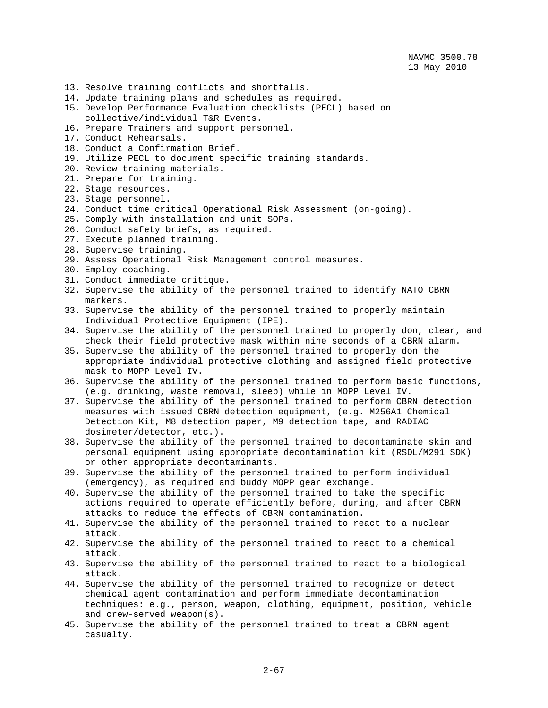- 13. Resolve training conflicts and shortfalls.
- 14. Update training plans and schedules as required.
- 15. Develop Performance Evaluation checklists (PECL) based on collective/individual T&R Events.
- 16. Prepare Trainers and support personnel.
- 17. Conduct Rehearsals.
- 18. Conduct a Confirmation Brief.
- 19. Utilize PECL to document specific training standards.
- 20. Review training materials.
- 21. Prepare for training.
- 22. Stage resources.
- 23. Stage personnel.
- 24. Conduct time critical Operational Risk Assessment (on-going).
- 25. Comply with installation and unit SOPs.
- 26. Conduct safety briefs, as required.
- 27. Execute planned training.
- 28. Supervise training.
- 29. Assess Operational Risk Management control measures.
- 30. Employ coaching.
- 31. Conduct immediate critique.
- 32. Supervise the ability of the personnel trained to identify NATO CBRN markers.
- 33. Supervise the ability of the personnel trained to properly maintain Individual Protective Equipment (IPE).
- 34. Supervise the ability of the personnel trained to properly don, clear, and check their field protective mask within nine seconds of a CBRN alarm.
- 35. Supervise the ability of the personnel trained to properly don the appropriate individual protective clothing and assigned field protective mask to MOPP Level IV.
- 36. Supervise the ability of the personnel trained to perform basic functions, (e.g. drinking, waste removal, sleep) while in MOPP Level IV.
- 37. Supervise the ability of the personnel trained to perform CBRN detection measures with issued CBRN detection equipment, (e.g. M256A1 Chemical Detection Kit, M8 detection paper, M9 detection tape, and RADIAC dosimeter/detector, etc.).
- 38. Supervise the ability of the personnel trained to decontaminate skin and personal equipment using appropriate decontamination kit (RSDL/M291 SDK) or other appropriate decontaminants.
- 39. Supervise the ability of the personnel trained to perform individual (emergency), as required and buddy MOPP gear exchange.
- 40. Supervise the ability of the personnel trained to take the specific actions required to operate efficiently before, during, and after CBRN attacks to reduce the effects of CBRN contamination.
- 41. Supervise the ability of the personnel trained to react to a nuclear attack.
- 42. Supervise the ability of the personnel trained to react to a chemical attack.
- 43. Supervise the ability of the personnel trained to react to a biological attack.
- 44. Supervise the ability of the personnel trained to recognize or detect chemical agent contamination and perform immediate decontamination techniques: e.g., person, weapon, clothing, equipment, position, vehicle and crew-served weapon(s).
- 45. Supervise the ability of the personnel trained to treat a CBRN agent casualty.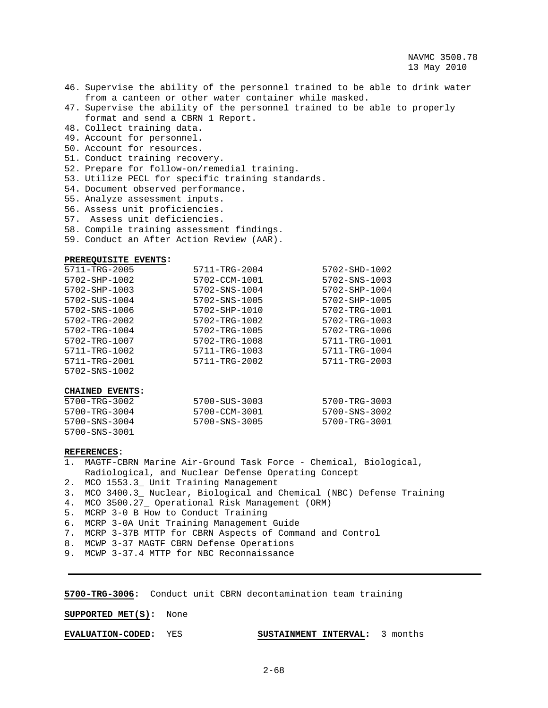- 46. Supervise the ability of the personnel trained to be able to drink water from a canteen or other water container while masked.
- 47. Supervise the ability of the personnel trained to be able to properly format and send a CBRN 1 Report.
- 48. Collect training data.
- 49. Account for personnel.
- 50. Account for resources.
- 51. Conduct training recovery.
- 52. Prepare for follow-on/remedial training.
- 53. Utilize PECL for specific training standards.
- 54. Document observed performance.
- 55. Analyze assessment inputs.
- 56. Assess unit proficiencies.
- 57. Assess unit deficiencies.
- 58. Compile training assessment findings.
- 59. Conduct an After Action Review (AAR).

### **PREREQUISITE EVENTS:**

| 5711-TRG-2005 | 5711-TRG-2004 | 5702-SHD-1002 |
|---------------|---------------|---------------|
| 5702-SHP-1002 | 5702-CCM-1001 | 5702-SNS-1003 |
| 5702-SHP-1003 | 5702-SNS-1004 | 5702-SHP-1004 |
| 5702-SUS-1004 | 5702-SNS-1005 | 5702-SHP-1005 |
| 5702-SNS-1006 | 5702-SHP-1010 | 5702-TRG-1001 |
| 5702-TRG-2002 | 5702-TRG-1002 | 5702-TRG-1003 |
| 5702-TRG-1004 | 5702-TRG-1005 | 5702-TRG-1006 |
| 5702-TRG-1007 | 5702-TRG-1008 | 5711-TRG-1001 |
| 5711-TRG-1002 | 5711-TRG-1003 | 5711-TRG-1004 |
| 5711-TRG-2001 | 5711-TRG-2002 | 5711-TRG-2003 |
| 5702-SNS-1002 |               |               |

#### **CHAINED EVENTS:**

| 5700-TRG-3002 | 5700-SUS-3003 | 5700-TRG-3003 |
|---------------|---------------|---------------|
| 5700-TRG-3004 | 5700-CCM-3001 | 5700-SNS-3002 |
| 5700-SNS-3004 | 5700-SNS-3005 | 5700-TRG-3001 |
| 5700-SNS-3001 |               |               |

#### **REFERENCES:**

1. MAGTF-CBRN Marine Air-Ground Task Force - Chemical, Biological, Radiological, and Nuclear Defense Operating Concept 2. MCO 1553.3\_ Unit Training Management 3. MCO 3400.3\_ Nuclear, Biological and Chemical (NBC) Defense Training 4. MCO 3500.27\_ Operational Risk Management (ORM) 5. MCRP 3-0 B How to Conduct Training 6. MCRP 3-0A Unit Training Management Guide 7. MCRP 3-37B MTTP for CBRN Aspects of Command and Control 8. MCWP 3-37 MAGTF CBRN Defense Operations 9. MCWP 3-37.4 MTTP for NBC Reconnaissance

**5700-TRG-3006:** Conduct unit CBRN decontamination team training

**SUPPORTED MET(S):** None

**EVALUATION-CODED:** YES **SUSTAINMENT INTERVAL:** 3 months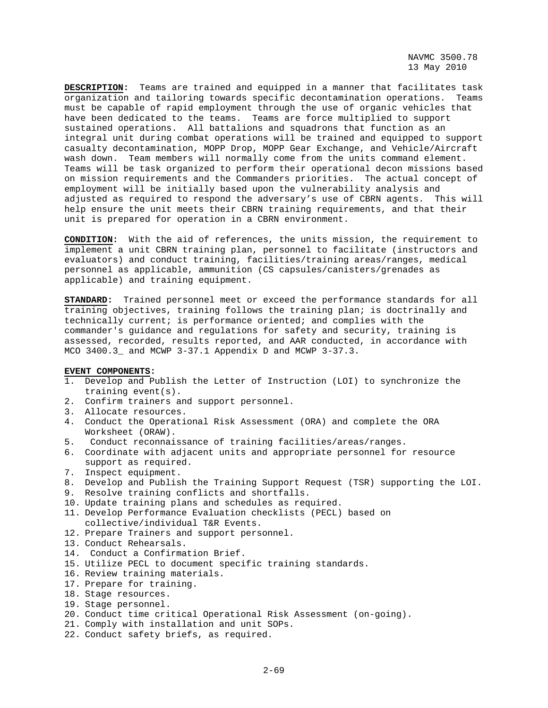**DESCRIPTION:** Teams are trained and equipped in a manner that facilitates task organization and tailoring towards specific decontamination operations. Teams must be capable of rapid employment through the use of organic vehicles that have been dedicated to the teams. Teams are force multiplied to support sustained operations. All battalions and squadrons that function as an integral unit during combat operations will be trained and equipped to support casualty decontamination, MOPP Drop, MOPP Gear Exchange, and Vehicle/Aircraft wash down. Team members will normally come from the units command element. Teams will be task organized to perform their operational decon missions based on mission requirements and the Commanders priorities. The actual concept of employment will be initially based upon the vulnerability analysis and adjusted as required to respond the adversary's use of CBRN agents. This will help ensure the unit meets their CBRN training requirements, and that their unit is prepared for operation in a CBRN environment.

**CONDITION:** With the aid of references, the units mission, the requirement to implement a unit CBRN training plan, personnel to facilitate (instructors and evaluators) and conduct training, facilities/training areas/ranges, medical personnel as applicable, ammunition (CS capsules/canisters/grenades as applicable) and training equipment.

**STANDARD:** Trained personnel meet or exceed the performance standards for all training objectives, training follows the training plan; is doctrinally and technically current; is performance oriented; and complies with the commander's guidance and regulations for safety and security, training is assessed, recorded, results reported, and AAR conducted, in accordance with MCO 3400.3\_ and MCWP 3-37.1 Appendix D and MCWP 3-37.3.

# **EVENT COMPONENTS:**

- 1. Develop and Publish the Letter of Instruction (LOI) to synchronize the training event(s).
- 2. Confirm trainers and support personnel.
- 3. Allocate resources.
- 4. Conduct the Operational Risk Assessment (ORA) and complete the ORA Worksheet (ORAW).
- 5. Conduct reconnaissance of training facilities/areas/ranges.
- 6. Coordinate with adjacent units and appropriate personnel for resource support as required.
- 7. Inspect equipment.
- 8. Develop and Publish the Training Support Request (TSR) supporting the LOI.
- 9. Resolve training conflicts and shortfalls.
- 10. Update training plans and schedules as required.
- 11. Develop Performance Evaluation checklists (PECL) based on collective/individual T&R Events.
- 12. Prepare Trainers and support personnel.
- 13. Conduct Rehearsals.
- 14. Conduct a Confirmation Brief.
- 15. Utilize PECL to document specific training standards.
- 16. Review training materials.
- 17. Prepare for training.
- 18. Stage resources.
- 19. Stage personnel.
- 20. Conduct time critical Operational Risk Assessment (on-going).
- 21. Comply with installation and unit SOPs.
- 22. Conduct safety briefs, as required.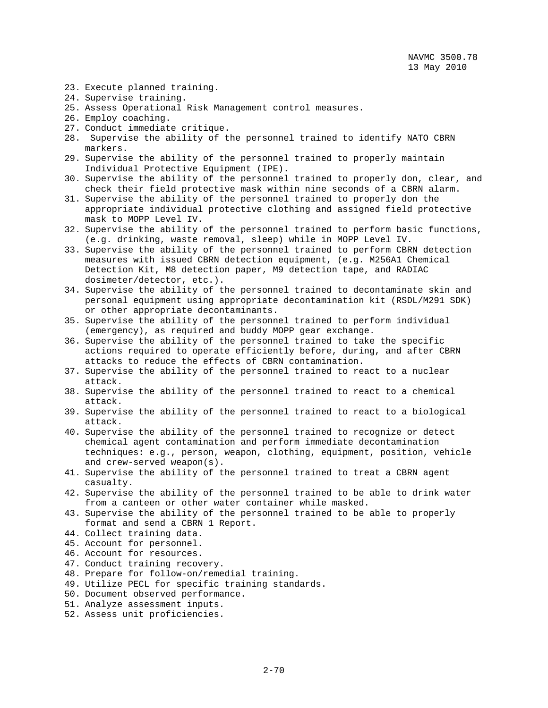- 23. Execute planned training.
- 24. Supervise training.
- 25. Assess Operational Risk Management control measures.
- 26. Employ coaching.
- 27. Conduct immediate critique.
- 28. Supervise the ability of the personnel trained to identify NATO CBRN markers.
- 29. Supervise the ability of the personnel trained to properly maintain Individual Protective Equipment (IPE).
- 30. Supervise the ability of the personnel trained to properly don, clear, and check their field protective mask within nine seconds of a CBRN alarm.
- 31. Supervise the ability of the personnel trained to properly don the appropriate individual protective clothing and assigned field protective mask to MOPP Level IV.
- 32. Supervise the ability of the personnel trained to perform basic functions, (e.g. drinking, waste removal, sleep) while in MOPP Level IV.
- 33. Supervise the ability of the personnel trained to perform CBRN detection measures with issued CBRN detection equipment, (e.g. M256A1 Chemical Detection Kit, M8 detection paper, M9 detection tape, and RADIAC dosimeter/detector, etc.).
- 34. Supervise the ability of the personnel trained to decontaminate skin and personal equipment using appropriate decontamination kit (RSDL/M291 SDK) or other appropriate decontaminants.
- 35. Supervise the ability of the personnel trained to perform individual (emergency), as required and buddy MOPP gear exchange.
- 36. Supervise the ability of the personnel trained to take the specific actions required to operate efficiently before, during, and after CBRN attacks to reduce the effects of CBRN contamination.
- 37. Supervise the ability of the personnel trained to react to a nuclear attack.
- 38. Supervise the ability of the personnel trained to react to a chemical attack.
- 39. Supervise the ability of the personnel trained to react to a biological attack.
- 40. Supervise the ability of the personnel trained to recognize or detect chemical agent contamination and perform immediate decontamination techniques: e.g., person, weapon, clothing, equipment, position, vehicle and crew-served weapon(s).
- 41. Supervise the ability of the personnel trained to treat a CBRN agent casualty.
- 42. Supervise the ability of the personnel trained to be able to drink water from a canteen or other water container while masked.
- 43. Supervise the ability of the personnel trained to be able to properly format and send a CBRN 1 Report.
- 44. Collect training data.
- 45. Account for personnel.
- 46. Account for resources.
- 47. Conduct training recovery.
- 48. Prepare for follow-on/remedial training.
- 49. Utilize PECL for specific training standards.
- 50. Document observed performance.
- 51. Analyze assessment inputs.
- 52. Assess unit proficiencies.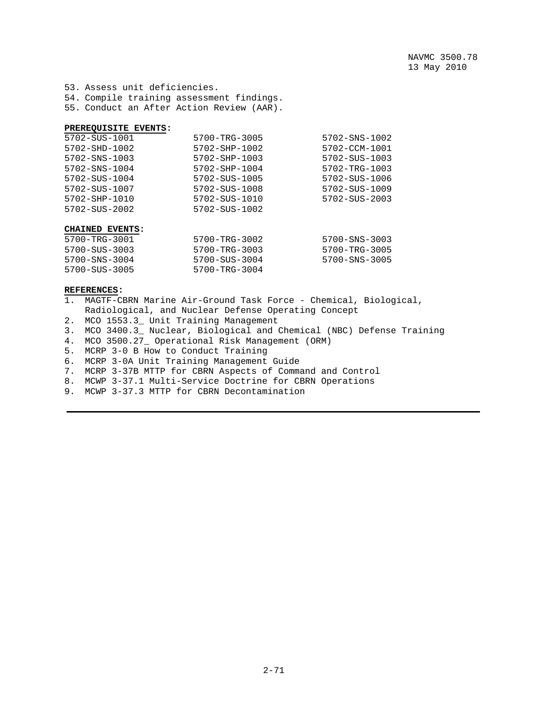- 53. Assess unit deficiencies.
- 54. Compile training assessment findings.
- 55. Conduct an After Action Review (AAR).

# **PREREQUISITE EVENTS:**

| 5702-SUS-2002 | 5702-SUS-1002 |               |
|---------------|---------------|---------------|
| 5702-SHP-1010 | 5702-SUS-1010 | 5702-SUS-2003 |
| 5702-SUS-1007 | 5702-SUS-1008 | 5702-SUS-1009 |
| 5702-SUS-1004 | 5702-SUS-1005 | 5702-SUS-1006 |
| 5702-SNS-1004 | 5702-SHP-1004 | 5702-TRG-1003 |
| 5702-SNS-1003 | 5702-SHP-1003 | 5702-SUS-1003 |
| 5702-SHD-1002 | 5702-SHP-1002 | 5702-CCM-1001 |
| 5702-SUS-1001 | 5700-TRG-3005 | 5702-SNS-1002 |

# **CHAINED EVENTS:**

| 5700-TRG-3001 | 5700-TRG-3002 | 5700-SNS-3003 |
|---------------|---------------|---------------|
| 5700-SUS-3003 | 5700-TRG-3003 | 5700-TRG-3005 |
| 5700-SNS-3004 | 5700-SUS-3004 | 5700-SNS-3005 |
| 5700-SUS-3005 | 5700-TRG-3004 |               |

# **REFERENCES:**

- 1. MAGTF-CBRN Marine Air-Ground Task Force Chemical, Biological, Radiological, and Nuclear Defense Operating Concept
- 2. MCO 1553.3\_ Unit Training Management
- 3. MCO 3400.3\_ Nuclear, Biological and Chemical (NBC) Defense Training
- 4. MCO 3500.27\_ Operational Risk Management (ORM)
- 5. MCRP 3-0 B How to Conduct Training
- 6. MCRP 3-0A Unit Training Management Guide
- 7. MCRP 3-37B MTTP for CBRN Aspects of Command and Control
- 8. MCWP 3-37.1 Multi-Service Doctrine for CBRN Operations
- 9. MCWP 3-37.3 MTTP for CBRN Decontamination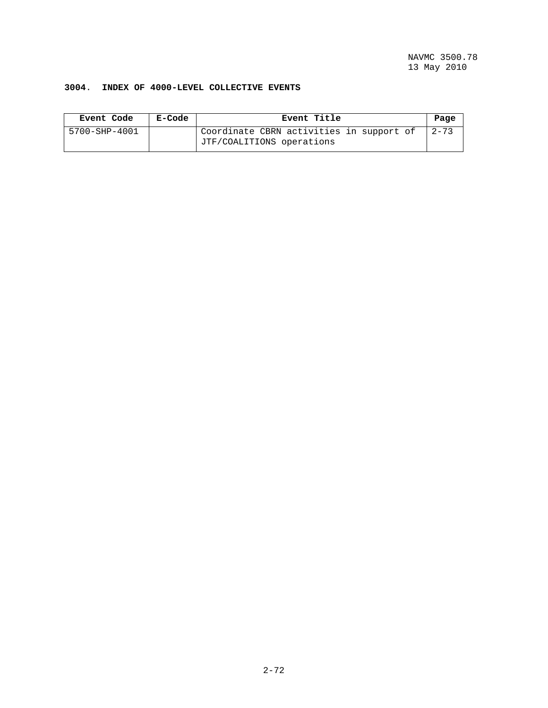# **3004**. **INDEX OF 4000-LEVEL COLLECTIVE EVENTS**

| <b>Event Code</b> | E-Code | Event Title                                                           | Page      |
|-------------------|--------|-----------------------------------------------------------------------|-----------|
| 5700-SHP-4001     |        | Coordinate CBRN activities in support of<br>JTF/COALITIONS operations | $12 - 73$ |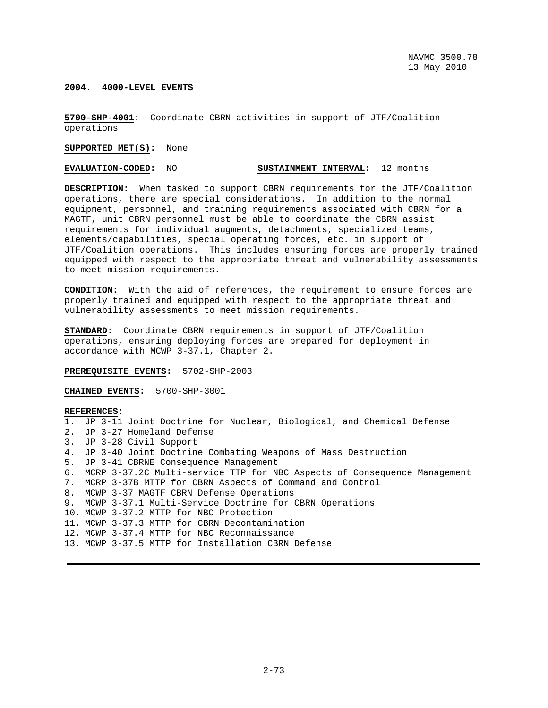# **2004**. **4000-LEVEL EVENTS**

**5700-SHP-4001:** Coordinate CBRN activities in support of JTF/Coalition operations

# **SUPPORTED MET(S):** None

# **EVALUATION-CODED:** NO **SUSTAINMENT INTERVAL:** 12 months

**DESCRIPTION:** When tasked to support CBRN requirements for the JTF/Coalition operations, there are special considerations. In addition to the normal equipment, personnel, and training requirements associated with CBRN for a MAGTF, unit CBRN personnel must be able to coordinate the CBRN assist requirements for individual augments, detachments, specialized teams, elements/capabilities, special operating forces, etc. in support of JTF/Coalition operations. This includes ensuring forces are properly trained equipped with respect to the appropriate threat and vulnerability assessments to meet mission requirements.

**CONDITION:** With the aid of references, the requirement to ensure forces are properly trained and equipped with respect to the appropriate threat and vulnerability assessments to meet mission requirements.

**STANDARD:** Coordinate CBRN requirements in support of JTF/Coalition operations, ensuring deploying forces are prepared for deployment in accordance with MCWP 3-37.1, Chapter 2.

**PREREQUISITE EVENTS:** 5702-SHP-2003

**CHAINED EVENTS:** 5700-SHP-3001

#### **REFERENCES:**

1. JP 3-11 Joint Doctrine for Nuclear, Biological, and Chemical Defense 2. JP 3-27 Homeland Defense 3. JP 3-28 Civil Support 4. JP 3-40 Joint Doctrine Combating Weapons of Mass Destruction 5. JP 3-41 CBRNE Consequence Management 6. MCRP 3-37.2C Multi-service TTP for NBC Aspects of Consequence Management 7. MCRP 3-37B MTTP for CBRN Aspects of Command and Control 8. MCWP 3-37 MAGTF CBRN Defense Operations 9. MCWP 3-37.1 Multi-Service Doctrine for CBRN Operations 10. MCWP 3-37.2 MTTP for NBC Protection 11. MCWP 3-37.3 MTTP for CBRN Decontamination 12. MCWP 3-37.4 MTTP for NBC Reconnaissance 13. MCWP 3-37.5 MTTP for Installation CBRN Defense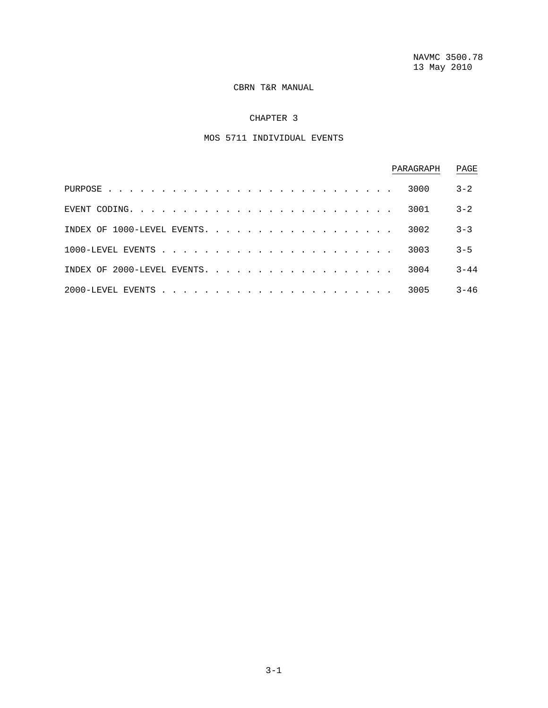# CBRN T&R MANUAL

# CHAPTER 3

# MOS 5711 INDIVIDUAL EVENTS

|                             | PARAGRAPH | PAGE     |
|-----------------------------|-----------|----------|
|                             | 3000      | $3 - 2$  |
|                             | 3001      | $3 - 2$  |
| INDEX OF 1000-LEVEL EVENTS. | 3002      | $3 - 3$  |
|                             | 3003      | $3 - 5$  |
|                             | 3004      | $3 - 44$ |
|                             | 3005      | $3 - 46$ |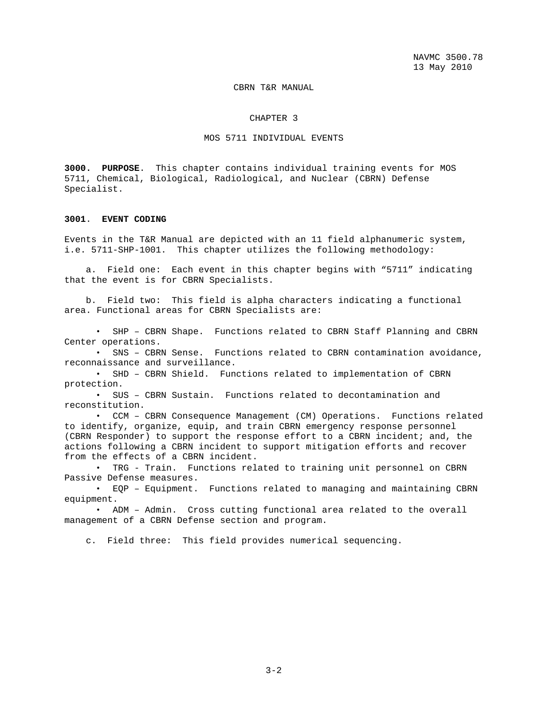CBRN T&R MANUAL

#### CHAPTER 3

# MOS 5711 INDIVIDUAL EVENTS

**3000. PURPOSE**. This chapter contains individual training events for MOS 5711, Chemical, Biological, Radiological, and Nuclear (CBRN) Defense Specialist.

#### **3001**. **EVENT CODING**

Events in the T&R Manual are depicted with an 11 field alphanumeric system, i.e. 5711-SHP-1001. This chapter utilizes the following methodology:

 a. Field one: Each event in this chapter begins with "5711" indicating that the event is for CBRN Specialists.

 b. Field two: This field is alpha characters indicating a functional area. Functional areas for CBRN Specialists are:

• SHP – CBRN Shape. Functions related to CBRN Staff Planning and CBRN Center operations.

• SNS – CBRN Sense. Functions related to CBRN contamination avoidance, reconnaissance and surveillance.

• SHD – CBRN Shield. Functions related to implementation of CBRN protection.

• SUS – CBRN Sustain. Functions related to decontamination and reconstitution.

• CCM – CBRN Consequence Management (CM) Operations. Functions related to identify, organize, equip, and train CBRN emergency response personnel (CBRN Responder) to support the response effort to a CBRN incident; and, the actions following a CBRN incident to support mitigation efforts and recover from the effects of a CBRN incident.

• TRG - Train. Functions related to training unit personnel on CBRN Passive Defense measures.

• EQP – Equipment. Functions related to managing and maintaining CBRN equipment.

• ADM – Admin. Cross cutting functional area related to the overall management of a CBRN Defense section and program.

c. Field three: This field provides numerical sequencing.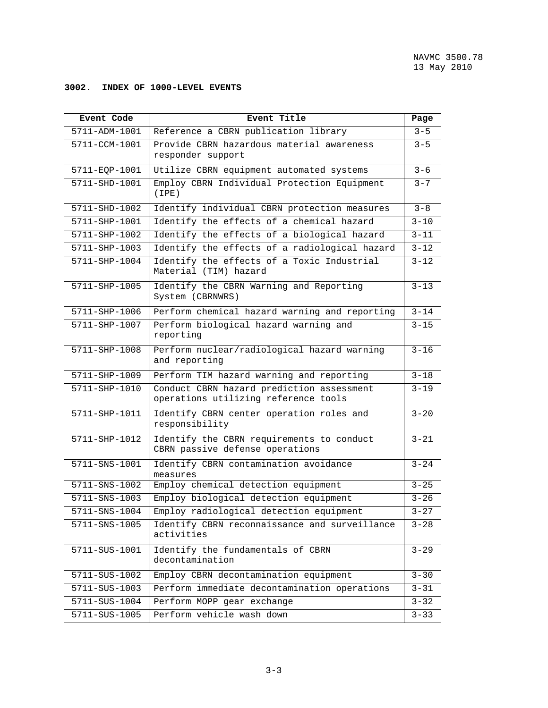# **3002. INDEX OF 1000-LEVEL EVENTS**

| Event Code                    | Event Title                                                                       | Page     |
|-------------------------------|-----------------------------------------------------------------------------------|----------|
| 5711-ADM-1001                 | Reference a CBRN publication library                                              | $3 - 5$  |
| 5711-CCM-1001                 | Provide CBRN hazardous material awareness<br>responder support                    | $3 - 5$  |
| 5711-EQP-1001                 | Utilize CBRN equipment automated systems                                          | $3 - 6$  |
| 5711-SHD-1001                 | Employ CBRN Individual Protection Equipment<br>(IPE)                              | $3 - 7$  |
| 5711-SHD-1002                 | Identify individual CBRN protection measures                                      | $3 - 8$  |
| 5711-SHP-1001                 | Identify the effects of a chemical hazard                                         | $3 - 10$ |
| 5711-SHP-1002                 | Identify the effects of a biological hazard                                       | $3 - 11$ |
| 5711-SHP-1003                 | Identify the effects of a radiological hazard                                     | $3 - 12$ |
| 5711-SHP-1004                 | Identify the effects of a Toxic Industrial<br>Material (TIM) hazard               | $3 - 12$ |
| 5711-SHP-1005                 | Identify the CBRN Warning and Reporting<br>System (CBRNWRS)                       | $3 - 13$ |
| 5711-SHP-1006                 | Perform chemical hazard warning and reporting                                     | $3 - 14$ |
| 5711-SHP-1007                 | Perform biological hazard warning and<br>reporting                                | $3 - 15$ |
| $\frac{1}{5711 - SHP - 1008}$ | Perform nuclear/radiological hazard warning<br>and reporting                      | $3 - 16$ |
| 5711-SHP-1009                 | Perform TIM hazard warning and reporting                                          | $3 - 18$ |
| 5711-SHP-1010                 | Conduct CBRN hazard prediction assessment<br>operations utilizing reference tools | $3 - 19$ |
| 5711-SHP-1011                 | Identify CBRN center operation roles and<br>responsibility                        | $3 - 20$ |
| 5711-SHP-1012                 | Identify the CBRN requirements to conduct<br>CBRN passive defense operations      | $3 - 21$ |
| 5711-SNS-1001                 | Identify CBRN contamination avoidance<br>measures                                 | $3 - 24$ |
| 5711-SNS-1002                 | Employ chemical detection equipment                                               | $3 - 25$ |
| 5711-SNS-1003                 | Employ biological detection equipment                                             | $3 - 26$ |
| 5711-SNS-1004                 | Employ radiological detection equipment                                           | $3 - 27$ |
| 5711-SNS-1005                 | Identify CBRN reconnaissance and surveillance<br>activities                       | $3 - 28$ |
| 5711-SUS-1001                 | Identify the fundamentals of CBRN<br>decontamination                              | $3 - 29$ |
| $5711 - SUB - 1002$           | Employ CBRN decontamination equipment                                             | $3 - 30$ |
| 5711-SUS-1003                 | Perform immediate decontamination operations                                      | $3 - 31$ |
| 5711-SUS-1004                 | Perform MOPP gear exchange                                                        | $3 - 32$ |
| 5711-SUS-1005                 | Perform vehicle wash down                                                         | $3 - 33$ |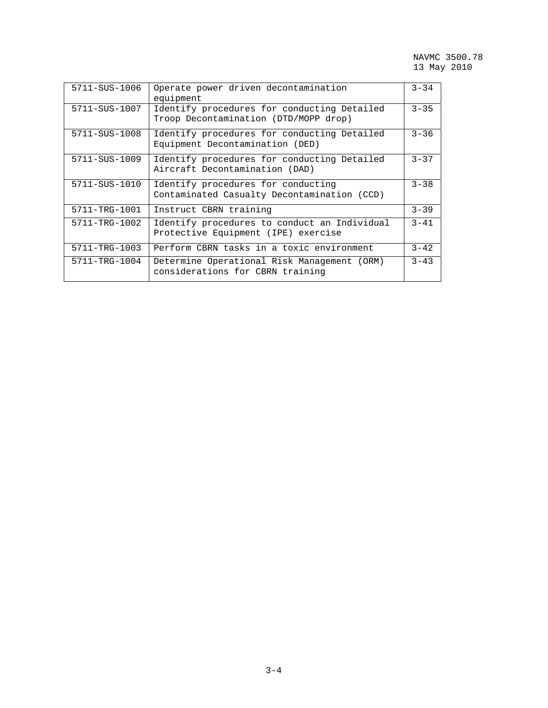| 5711-SUS-1006 | Operate power driven decontamination<br>equipment                                    | $3 - 34$ |
|---------------|--------------------------------------------------------------------------------------|----------|
| 5711-SUS-1007 | Identify procedures for conducting Detailed<br>Troop Decontamination (DTD/MOPP drop) | $3 - 35$ |
| 5711-SUS-1008 | Identify procedures for conducting Detailed<br>Equipment Decontamination (DED)       | $3 - 36$ |
| 5711-SUS-1009 | Identify procedures for conducting Detailed<br>Aircraft Decontamination (DAD)        | $3 - 37$ |
| 5711-SUS-1010 | Identify procedures for conducting<br>Contaminated Casualty Decontamination (CCD)    | $3 - 38$ |
| 5711-TRG-1001 | Instruct CBRN training                                                               | $3 - 39$ |
| 5711-TRG-1002 | Identify procedures to conduct an Individual<br>Protective Equipment (IPE) exercise  | $3 - 41$ |
| 5711-TRG-1003 | Perform CBRN tasks in a toxic environment                                            | $3 - 42$ |
| 5711-TRG-1004 | Determine Operational Risk Management (ORM)<br>considerations for CBRN training      | $3 - 43$ |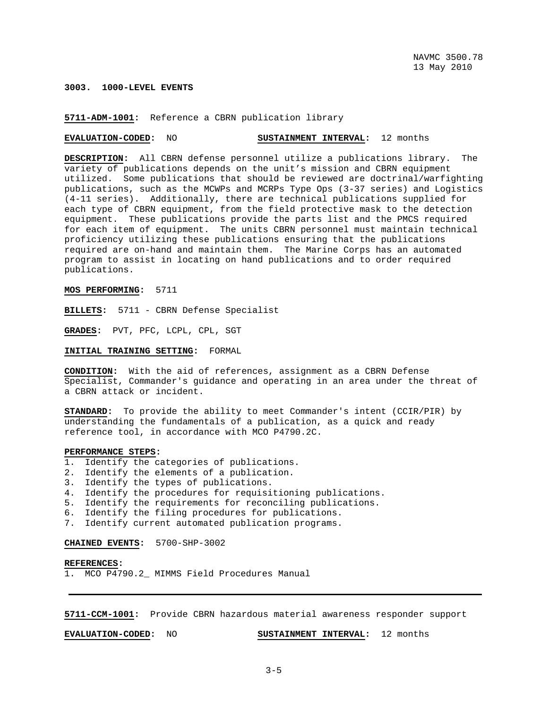## **3003. 1000-LEVEL EVENTS**

**5711-ADM-1001:** Reference a CBRN publication library

### **EVALUATION-CODED:** NO **SUSTAINMENT INTERVAL:** 12 months

**DESCRIPTION:** All CBRN defense personnel utilize a publications library. The variety of publications depends on the unit's mission and CBRN equipment utilized. Some publications that should be reviewed are doctrinal/warfighting publications, such as the MCWPs and MCRPs Type Ops (3-37 series) and Logistics (4-11 series). Additionally, there are technical publications supplied for each type of CBRN equipment, from the field protective mask to the detection equipment. These publications provide the parts list and the PMCS required for each item of equipment. The units CBRN personnel must maintain technical proficiency utilizing these publications ensuring that the publications required are on-hand and maintain them. The Marine Corps has an automated program to assist in locating on hand publications and to order required publications.

### **MOS PERFORMING:** 5711

**BILLETS:** 5711 - CBRN Defense Specialist

**GRADES:** PVT, PFC, LCPL, CPL, SGT

# **INITIAL TRAINING SETTING:** FORMAL

**CONDITION:** With the aid of references, assignment as a CBRN Defense Specialist, Commander's guidance and operating in an area under the threat of a CBRN attack or incident.

**STANDARD:** To provide the ability to meet Commander's intent (CCIR/PIR) by understanding the fundamentals of a publication, as a quick and ready reference tool, in accordance with MCO P4790.2C.

### **PERFORMANCE STEPS:**

- 1. Identify the categories of publications.
- 2. Identify the elements of a publication.
- 3. Identify the types of publications.
- 4. Identify the procedures for requisitioning publications.
- 5. Identify the requirements for reconciling publications.
- 6. Identify the filing procedures for publications.
- 7. Identify current automated publication programs.

## **CHAINED EVENTS:** 5700-SHP-3002

**REFERENCES:**

1. MCO P4790.2\_ MIMMS Field Procedures Manual

**5711-CCM-1001:** Provide CBRN hazardous material awareness responder support

**EVALUATION-CODED:** NO **SUSTAINMENT INTERVAL:** 12 months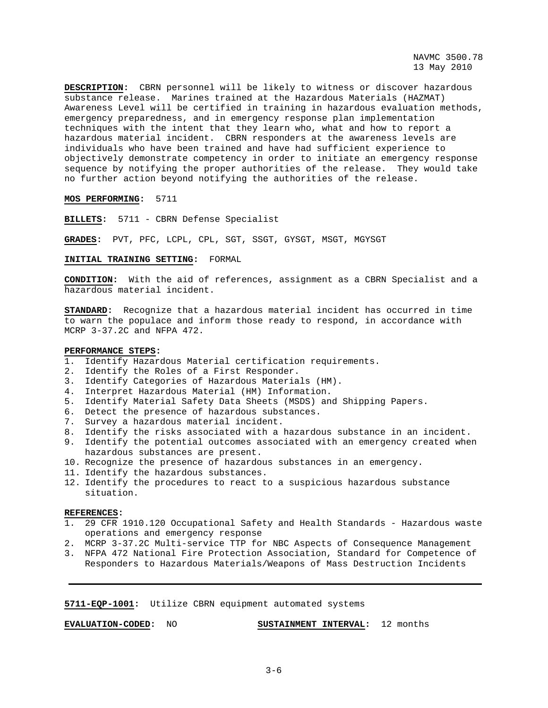**DESCRIPTION:** CBRN personnel will be likely to witness or discover hazardous substance release. Marines trained at the Hazardous Materials (HAZMAT) Awareness Level will be certified in training in hazardous evaluation methods, emergency preparedness, and in emergency response plan implementation techniques with the intent that they learn who, what and how to report a hazardous material incident. CBRN responders at the awareness levels are individuals who have been trained and have had sufficient experience to objectively demonstrate competency in order to initiate an emergency response sequence by notifying the proper authorities of the release. They would take no further action beyond notifying the authorities of the release.

### **MOS PERFORMING:** 5711

**BILLETS:** 5711 - CBRN Defense Specialist

**GRADES:** PVT, PFC, LCPL, CPL, SGT, SSGT, GYSGT, MSGT, MGYSGT

### **INITIAL TRAINING SETTING:** FORMAL

**CONDITION:** With the aid of references, assignment as a CBRN Specialist and a hazardous material incident.

**STANDARD:** Recognize that a hazardous material incident has occurred in time to warn the populace and inform those ready to respond, in accordance with MCRP 3-37.2C and NFPA 472.

### **PERFORMANCE STEPS:**

- 1. Identify Hazardous Material certification requirements.
- 2. Identify the Roles of a First Responder.
- 3. Identify Categories of Hazardous Materials (HM).
- 4. Interpret Hazardous Material (HM) Information.
- 5. Identify Material Safety Data Sheets (MSDS) and Shipping Papers.
- 6. Detect the presence of hazardous substances.
- 7. Survey a hazardous material incident.
- 8. Identify the risks associated with a hazardous substance in an incident.
- 9. Identify the potential outcomes associated with an emergency created when hazardous substances are present.
- 10. Recognize the presence of hazardous substances in an emergency.
- 11. Identify the hazardous substances.
- 12. Identify the procedures to react to a suspicious hazardous substance situation.

## **REFERENCES:**

- 1. 29 CFR 1910.120 Occupational Safety and Health Standards Hazardous waste operations and emergency response
- 2. MCRP 3-37.2C Multi-service TTP for NBC Aspects of Consequence Management
- 3. NFPA 472 National Fire Protection Association, Standard for Competence of Responders to Hazardous Materials/Weapons of Mass Destruction Incidents

**5711-EQP-1001:** Utilize CBRN equipment automated systems

**EVALUATION-CODED:** NO **SUSTAINMENT INTERVAL:** 12 months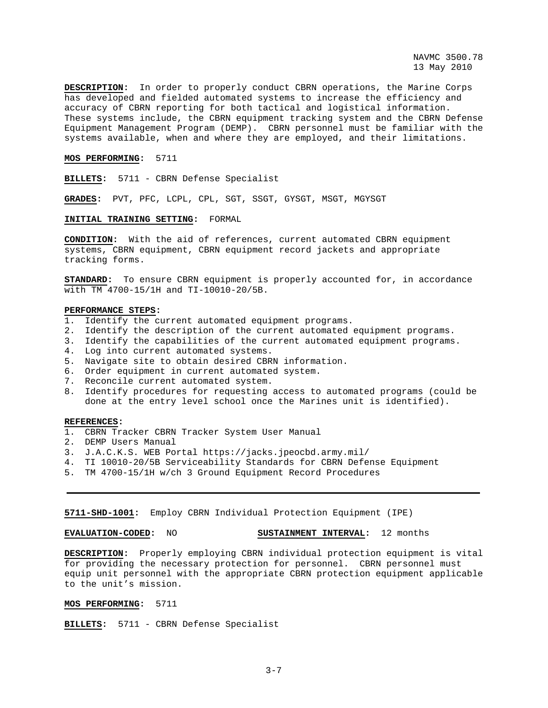**DESCRIPTION:** In order to properly conduct CBRN operations, the Marine Corps has developed and fielded automated systems to increase the efficiency and accuracy of CBRN reporting for both tactical and logistical information. These systems include, the CBRN equipment tracking system and the CBRN Defense Equipment Management Program (DEMP). CBRN personnel must be familiar with the systems available, when and where they are employed, and their limitations.

# **MOS PERFORMING:** 5711

**BILLETS:** 5711 - CBRN Defense Specialist

**GRADES:** PVT, PFC, LCPL, CPL, SGT, SSGT, GYSGT, MSGT, MGYSGT

#### **INITIAL TRAINING SETTING:** FORMAL

**CONDITION:** With the aid of references, current automated CBRN equipment systems, CBRN equipment, CBRN equipment record jackets and appropriate tracking forms.

**STANDARD:** To ensure CBRN equipment is properly accounted for, in accordance with TM 4700-15/1H and TI-10010-20/5B.

## **PERFORMANCE STEPS:**

- 1. Identify the current automated equipment programs.
- 2. Identify the description of the current automated equipment programs.
- 3. Identify the capabilities of the current automated equipment programs.
- 4. Log into current automated systems.
- 5. Navigate site to obtain desired CBRN information.
- 6. Order equipment in current automated system.
- 7. Reconcile current automated system.
- 8. Identify procedures for requesting access to automated programs (could be done at the entry level school once the Marines unit is identified).

### **REFERENCES:**

- 1. CBRN Tracker CBRN Tracker System User Manual
- 2. DEMP Users Manual
- 3. J.A.C.K.S. WEB Portal https://jacks.jpeocbd.army.mil/
- 4. TI 10010-20/5B Serviceability Standards for CBRN Defense Equipment
- 5. TM 4700-15/1H w/ch 3 Ground Equipment Record Procedures

**5711-SHD-1001:** Employ CBRN Individual Protection Equipment (IPE)

**EVALUATION-CODED:** NO **SUSTAINMENT INTERVAL:** 12 months

**DESCRIPTION:** Properly employing CBRN individual protection equipment is vital for providing the necessary protection for personnel. CBRN personnel must equip unit personnel with the appropriate CBRN protection equipment applicable to the unit's mission.

**MOS PERFORMING:** 5711

**BILLETS:** 5711 - CBRN Defense Specialist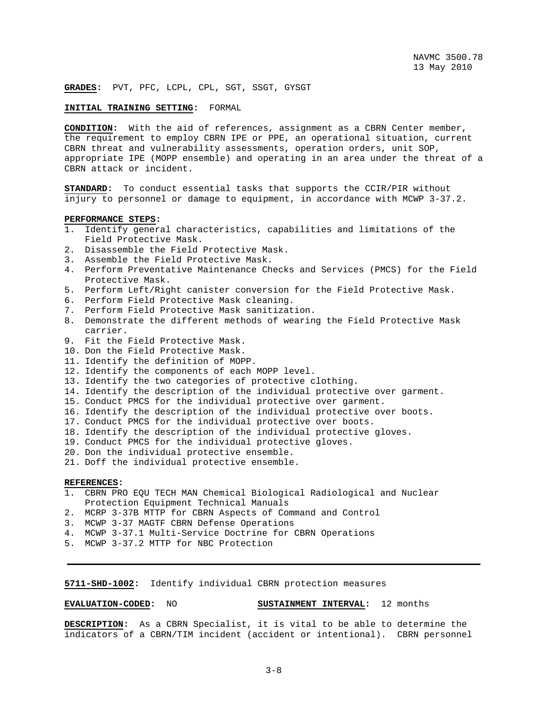**GRADES:** PVT, PFC, LCPL, CPL, SGT, SSGT, GYSGT

### **INITIAL TRAINING SETTING:** FORMAL

**CONDITION:** With the aid of references, assignment as a CBRN Center member, the requirement to employ CBRN IPE or PPE, an operational situation, current CBRN threat and vulnerability assessments, operation orders, unit SOP, appropriate IPE (MOPP ensemble) and operating in an area under the threat of a CBRN attack or incident.

**STANDARD:** To conduct essential tasks that supports the CCIR/PIR without injury to personnel or damage to equipment, in accordance with MCWP 3-37.2.

#### **PERFORMANCE STEPS:**

- 1. Identify general characteristics, capabilities and limitations of the Field Protective Mask.
- 2. Disassemble the Field Protective Mask.
- 3. Assemble the Field Protective Mask.
- 4. Perform Preventative Maintenance Checks and Services (PMCS) for the Field Protective Mask.
- 5. Perform Left/Right canister conversion for the Field Protective Mask.
- 6. Perform Field Protective Mask cleaning.
- 7. Perform Field Protective Mask sanitization.
- 8. Demonstrate the different methods of wearing the Field Protective Mask carrier.
- 9. Fit the Field Protective Mask.
- 10. Don the Field Protective Mask.
- 11. Identify the definition of MOPP.
- 12. Identify the components of each MOPP level.
- 13. Identify the two categories of protective clothing.
- 14. Identify the description of the individual protective over garment.
- 15. Conduct PMCS for the individual protective over garment.
- 16. Identify the description of the individual protective over boots.
- 17. Conduct PMCS for the individual protective over boots.
- 18. Identify the description of the individual protective gloves.
- 19. Conduct PMCS for the individual protective gloves.
- 20. Don the individual protective ensemble.
- 21. Doff the individual protective ensemble.

# **REFERENCES:**

- 1. CBRN PRO EQU TECH MAN Chemical Biological Radiological and Nuclear Protection Equipment Technical Manuals
- 2. MCRP 3-37B MTTP for CBRN Aspects of Command and Control
- 3. MCWP 3-37 MAGTF CBRN Defense Operations
- 4. MCWP 3-37.1 Multi-Service Doctrine for CBRN Operations
- 5. MCWP 3-37.2 MTTP for NBC Protection

**5711-SHD-1002:** Identify individual CBRN protection measures

**EVALUATION-CODED:** NO **SUSTAINMENT INTERVAL:** 12 months

**DESCRIPTION:** As a CBRN Specialist, it is vital to be able to determine the indicators of a CBRN/TIM incident (accident or intentional). CBRN personnel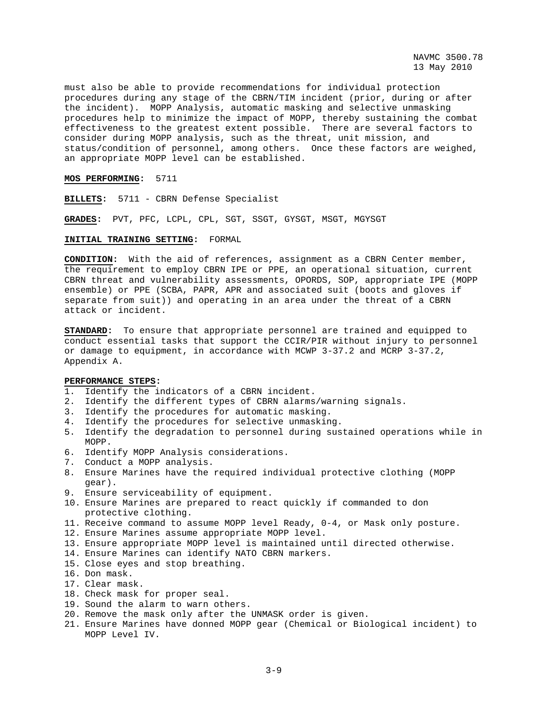must also be able to provide recommendations for individual protection procedures during any stage of the CBRN/TIM incident (prior, during or after the incident). MOPP Analysis, automatic masking and selective unmasking procedures help to minimize the impact of MOPP, thereby sustaining the combat effectiveness to the greatest extent possible. There are several factors to consider during MOPP analysis, such as the threat, unit mission, and status/condition of personnel, among others. Once these factors are weighed, an appropriate MOPP level can be established.

### **MOS PERFORMING:** 5711

**BILLETS:** 5711 - CBRN Defense Specialist

**GRADES:** PVT, PFC, LCPL, CPL, SGT, SSGT, GYSGT, MSGT, MGYSGT

#### **INITIAL TRAINING SETTING:** FORMAL

**CONDITION:** With the aid of references, assignment as a CBRN Center member, the requirement to employ CBRN IPE or PPE, an operational situation, current CBRN threat and vulnerability assessments, OPORDS, SOP, appropriate IPE (MOPP ensemble) or PPE (SCBA, PAPR, APR and associated suit (boots and gloves if separate from suit)) and operating in an area under the threat of a CBRN attack or incident.

**STANDARD:** To ensure that appropriate personnel are trained and equipped to conduct essential tasks that support the CCIR/PIR without injury to personnel or damage to equipment, in accordance with MCWP 3-37.2 and MCRP 3-37.2, Appendix A.

- 1. Identify the indicators of a CBRN incident.
- 2. Identify the different types of CBRN alarms/warning signals.
- 3. Identify the procedures for automatic masking.
- 4. Identify the procedures for selective unmasking.
- 5. Identify the degradation to personnel during sustained operations while in MOPP.
- 6. Identify MOPP Analysis considerations.
- 7. Conduct a MOPP analysis.
- 8. Ensure Marines have the required individual protective clothing (MOPP gear).
- 9. Ensure serviceability of equipment.
- 10. Ensure Marines are prepared to react quickly if commanded to don protective clothing.
- 11. Receive command to assume MOPP level Ready, 0-4, or Mask only posture.
- 12. Ensure Marines assume appropriate MOPP level.
- 13. Ensure appropriate MOPP level is maintained until directed otherwise.
- 14. Ensure Marines can identify NATO CBRN markers.
- 15. Close eyes and stop breathing.
- 16. Don mask.
- 17. Clear mask.
- 18. Check mask for proper seal.
- 19. Sound the alarm to warn others.
- 20. Remove the mask only after the UNMASK order is given.
- 21. Ensure Marines have donned MOPP gear (Chemical or Biological incident) to MOPP Level IV.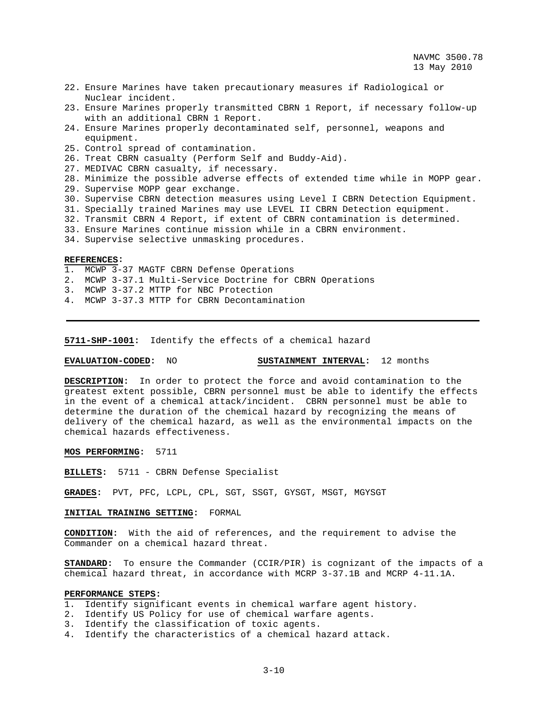- 22. Ensure Marines have taken precautionary measures if Radiological or Nuclear incident.
- 23. Ensure Marines properly transmitted CBRN 1 Report, if necessary follow-up with an additional CBRN 1 Report.
- 24. Ensure Marines properly decontaminated self, personnel, weapons and equipment.
- 25. Control spread of contamination.
- 26. Treat CBRN casualty (Perform Self and Buddy-Aid).
- 27. MEDIVAC CBRN casualty, if necessary.
- 28. Minimize the possible adverse effects of extended time while in MOPP gear.
- 29. Supervise MOPP gear exchange.
- 30. Supervise CBRN detection measures using Level I CBRN Detection Equipment.
- 31. Specially trained Marines may use LEVEL II CBRN Detection equipment.
- 32. Transmit CBRN 4 Report, if extent of CBRN contamination is determined.
- 33. Ensure Marines continue mission while in a CBRN environment.
- 34. Supervise selective unmasking procedures.

# **REFERENCES:**

- 1. MCWP 3-37 MAGTF CBRN Defense Operations
- 2. MCWP 3-37.1 Multi-Service Doctrine for CBRN Operations
- 3. MCWP 3-37.2 MTTP for NBC Protection
- 4. MCWP 3-37.3 MTTP for CBRN Decontamination

**5711-SHP-1001:** Identify the effects of a chemical hazard

```
EVALUATION-CODED: NO SUSTAINMENT INTERVAL: 12 months
```
**DESCRIPTION:** In order to protect the force and avoid contamination to the greatest extent possible, CBRN personnel must be able to identify the effects in the event of a chemical attack/incident. CBRN personnel must be able to determine the duration of the chemical hazard by recognizing the means of delivery of the chemical hazard, as well as the environmental impacts on the chemical hazards effectiveness.

**MOS PERFORMING:** 5711

**BILLETS:** 5711 - CBRN Defense Specialist

**GRADES:** PVT, PFC, LCPL, CPL, SGT, SSGT, GYSGT, MSGT, MGYSGT

**INITIAL TRAINING SETTING:** FORMAL

**CONDITION:** With the aid of references, and the requirement to advise the Commander on a chemical hazard threat.

**STANDARD:** To ensure the Commander (CCIR/PIR) is cognizant of the impacts of a chemical hazard threat, in accordance with MCRP 3-37.1B and MCRP 4-11.1A.

- 1. Identify significant events in chemical warfare agent history.
- 2. Identify US Policy for use of chemical warfare agents.
- 3. Identify the classification of toxic agents.
- 4. Identify the characteristics of a chemical hazard attack.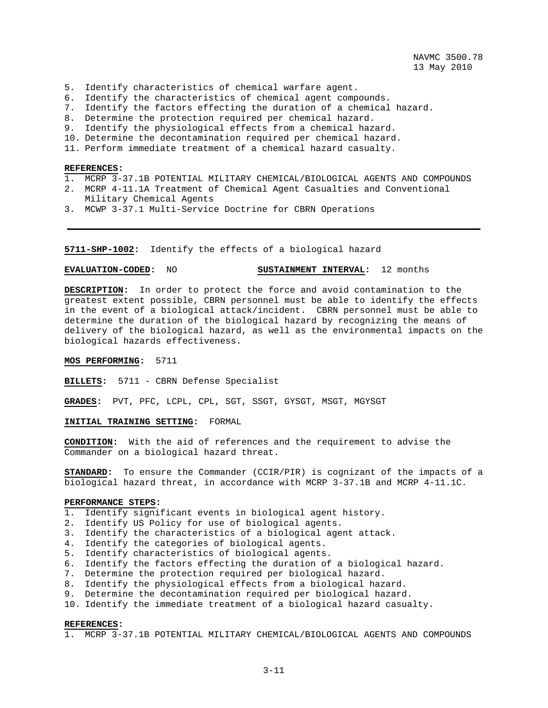- 5. Identify characteristics of chemical warfare agent.
- 6. Identify the characteristics of chemical agent compounds.
- 7. Identify the factors effecting the duration of a chemical hazard.
- 8. Determine the protection required per chemical hazard.
- 9. Identify the physiological effects from a chemical hazard.
- 10. Determine the decontamination required per chemical hazard.
- 11. Perform immediate treatment of a chemical hazard casualty.

#### **REFERENCES:**

- 1. MCRP 3-37.1B POTENTIAL MILITARY CHEMICAL/BIOLOGICAL AGENTS AND COMPOUNDS
- 2. MCRP 4-11.1A Treatment of Chemical Agent Casualties and Conventional Military Chemical Agents
- 3. MCWP 3-37.1 Multi-Service Doctrine for CBRN Operations

**5711-SHP-1002:** Identify the effects of a biological hazard

**EVALUATION-CODED:** NO **SUSTAINMENT INTERVAL:** 12 months

**DESCRIPTION:** In order to protect the force and avoid contamination to the greatest extent possible, CBRN personnel must be able to identify the effects in the event of a biological attack/incident. CBRN personnel must be able to determine the duration of the biological hazard by recognizing the means of delivery of the biological hazard, as well as the environmental impacts on the biological hazards effectiveness.

### **MOS PERFORMING:** 5711

**BILLETS:** 5711 - CBRN Defense Specialist

**GRADES:** PVT, PFC, LCPL, CPL, SGT, SSGT, GYSGT, MSGT, MGYSGT

### **INITIAL TRAINING SETTING:** FORMAL

**CONDITION:** With the aid of references and the requirement to advise the Commander on a biological hazard threat.

**STANDARD:** To ensure the Commander (CCIR/PIR) is cognizant of the impacts of a biological hazard threat, in accordance with MCRP 3-37.1B and MCRP 4-11.1C.

#### **PERFORMANCE STEPS:**

- 1. Identify significant events in biological agent history.
- 2. Identify US Policy for use of biological agents.
- 3. Identify the characteristics of a biological agent attack.
- 4. Identify the categories of biological agents.
- 5. Identify characteristics of biological agents.
- 6. Identify the factors effecting the duration of a biological hazard.
- 7. Determine the protection required per biological hazard.
- 8. Identify the physiological effects from a biological hazard.
- 9. Determine the decontamination required per biological hazard.
- 10. Identify the immediate treatment of a biological hazard casualty.

# **REFERENCES:**

1. MCRP 3-37.1B POTENTIAL MILITARY CHEMICAL/BIOLOGICAL AGENTS AND COMPOUNDS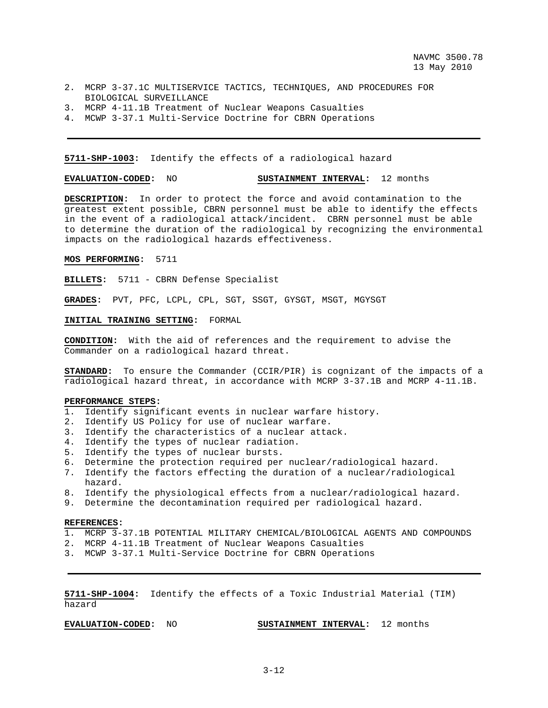- 2. MCRP 3-37.1C MULTISERVICE TACTICS, TECHNIQUES, AND PROCEDURES FOR BIOLOGICAL SURVEILLANCE
- 3. MCRP 4-11.1B Treatment of Nuclear Weapons Casualties
- 4. MCWP 3-37.1 Multi-Service Doctrine for CBRN Operations

**5711-SHP-1003:** Identify the effects of a radiological hazard

**EVALUATION-CODED:** NO **SUSTAINMENT INTERVAL:** 12 months

**DESCRIPTION:** In order to protect the force and avoid contamination to the greatest extent possible, CBRN personnel must be able to identify the effects in the event of a radiological attack/incident. CBRN personnel must be able to determine the duration of the radiological by recognizing the environmental impacts on the radiological hazards effectiveness.

**MOS PERFORMING:** 5711

**BILLETS:** 5711 - CBRN Defense Specialist

**GRADES:** PVT, PFC, LCPL, CPL, SGT, SSGT, GYSGT, MSGT, MGYSGT

# **INITIAL TRAINING SETTING:** FORMAL

**CONDITION:** With the aid of references and the requirement to advise the Commander on a radiological hazard threat.

**STANDARD:** To ensure the Commander (CCIR/PIR) is cognizant of the impacts of a radiological hazard threat, in accordance with MCRP 3-37.1B and MCRP 4-11.1B.

#### **PERFORMANCE STEPS:**

- 1. Identify significant events in nuclear warfare history.
- 2. Identify US Policy for use of nuclear warfare.
- 3. Identify the characteristics of a nuclear attack.
- 4. Identify the types of nuclear radiation.
- 5. Identify the types of nuclear bursts.
- 6. Determine the protection required per nuclear/radiological hazard.
- 7. Identify the factors effecting the duration of a nuclear/radiological hazard.
- 8. Identify the physiological effects from a nuclear/radiological hazard.
- 9. Determine the decontamination required per radiological hazard.

#### **REFERENCES:**

- 1. MCRP 3-37.1B POTENTIAL MILITARY CHEMICAL/BIOLOGICAL AGENTS AND COMPOUNDS
- 2. MCRP 4-11.1B Treatment of Nuclear Weapons Casualties
- 3. MCWP 3-37.1 Multi-Service Doctrine for CBRN Operations

**5711-SHP-1004:** Identify the effects of a Toxic Industrial Material (TIM) hazard

**EVALUATION-CODED:** NO **SUSTAINMENT INTERVAL:** 12 months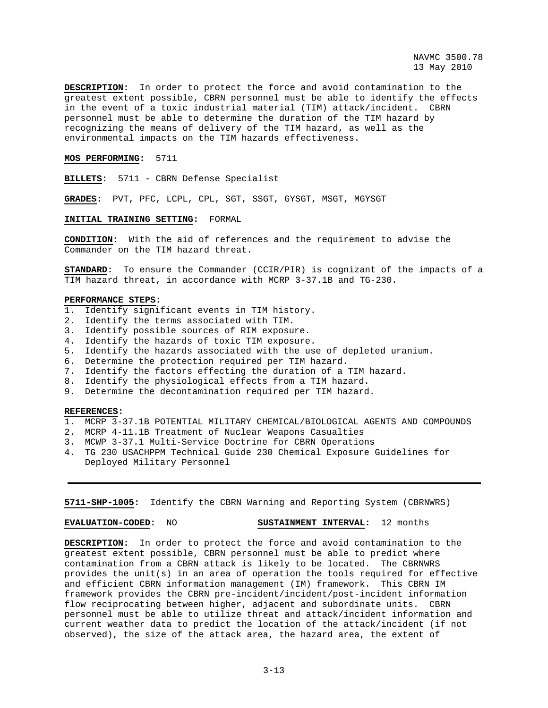**DESCRIPTION:** In order to protect the force and avoid contamination to the greatest extent possible, CBRN personnel must be able to identify the effects in the event of a toxic industrial material (TIM) attack/incident. CBRN personnel must be able to determine the duration of the TIM hazard by recognizing the means of delivery of the TIM hazard, as well as the environmental impacts on the TIM hazards effectiveness.

# **MOS PERFORMING:** 5711

**BILLETS:** 5711 - CBRN Defense Specialist

**GRADES:** PVT, PFC, LCPL, CPL, SGT, SSGT, GYSGT, MSGT, MGYSGT

#### **INITIAL TRAINING SETTING:** FORMAL

**CONDITION:** With the aid of references and the requirement to advise the Commander on the TIM hazard threat.

**STANDARD:** To ensure the Commander (CCIR/PIR) is cognizant of the impacts of a TIM hazard threat, in accordance with MCRP 3-37.1B and TG-230.

# **PERFORMANCE STEPS:**

- 1. Identify significant events in TIM history.
- 2. Identify the terms associated with TIM.
- 3. Identify possible sources of RIM exposure.
- 4. Identify the hazards of toxic TIM exposure.
- 5. Identify the hazards associated with the use of depleted uranium.
- 6. Determine the protection required per TIM hazard.
- 7. Identify the factors effecting the duration of a TIM hazard.
- 8. Identify the physiological effects from a TIM hazard.
- 9. Determine the decontamination required per TIM hazard.

#### **REFERENCES:**

- 1. MCRP 3-37.1B POTENTIAL MILITARY CHEMICAL/BIOLOGICAL AGENTS AND COMPOUNDS
- 2. MCRP 4-11.1B Treatment of Nuclear Weapons Casualties
- 3. MCWP 3-37.1 Multi-Service Doctrine for CBRN Operations
- 4. TG 230 USACHPPM Technical Guide 230 Chemical Exposure Guidelines for Deployed Military Personnel

**5711-SHP-1005:** Identify the CBRN Warning and Reporting System (CBRNWRS)

**EVALUATION-CODED:** NO **SUSTAINMENT INTERVAL:** 12 months

**DESCRIPTION:** In order to protect the force and avoid contamination to the greatest extent possible, CBRN personnel must be able to predict where contamination from a CBRN attack is likely to be located. The CBRNWRS provides the unit(s) in an area of operation the tools required for effective and efficient CBRN information management (IM) framework. This CBRN IM framework provides the CBRN pre-incident/incident/post-incident information flow reciprocating between higher, adjacent and subordinate units. CBRN personnel must be able to utilize threat and attack/incident information and current weather data to predict the location of the attack/incident (if not observed), the size of the attack area, the hazard area, the extent of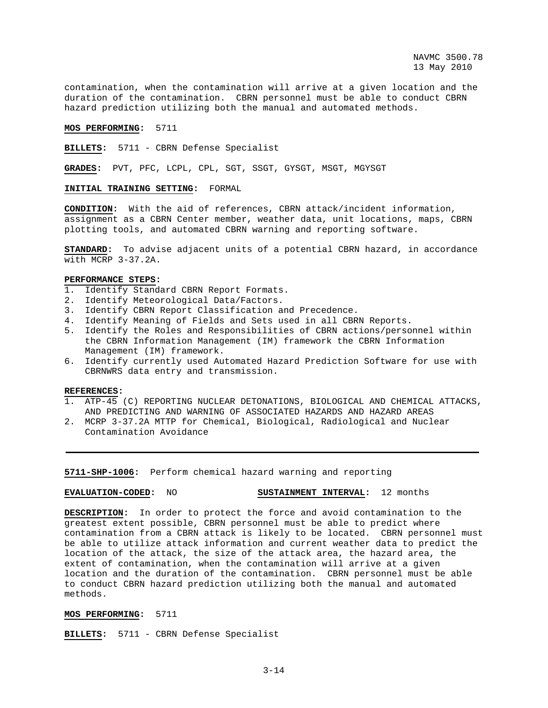contamination, when the contamination will arrive at a given location and the duration of the contamination. CBRN personnel must be able to conduct CBRN hazard prediction utilizing both the manual and automated methods.

# **MOS PERFORMING:** 5711

**BILLETS:** 5711 - CBRN Defense Specialist

**GRADES:** PVT, PFC, LCPL, CPL, SGT, SSGT, GYSGT, MSGT, MGYSGT

#### **INITIAL TRAINING SETTING:** FORMAL

**CONDITION:** With the aid of references, CBRN attack/incident information, assignment as a CBRN Center member, weather data, unit locations, maps, CBRN plotting tools, and automated CBRN warning and reporting software.

**STANDARD:** To advise adjacent units of a potential CBRN hazard, in accordance with MCRP 3-37.2A.

#### **PERFORMANCE STEPS:**

- 1. Identify Standard CBRN Report Formats.
- 2. Identify Meteorological Data/Factors.
- 3. Identify CBRN Report Classification and Precedence.
- 4. Identify Meaning of Fields and Sets used in all CBRN Reports.
- 5. Identify the Roles and Responsibilities of CBRN actions/personnel within the CBRN Information Management (IM) framework the CBRN Information Management (IM) framework.
- 6. Identify currently used Automated Hazard Prediction Software for use with CBRNWRS data entry and transmission.

#### **REFERENCES:**

- 1. ATP-45 (C) REPORTING NUCLEAR DETONATIONS, BIOLOGICAL AND CHEMICAL ATTACKS, AND PREDICTING AND WARNING OF ASSOCIATED HAZARDS AND HAZARD AREAS
- 2. MCRP 3-37.2A MTTP for Chemical, Biological, Radiological and Nuclear Contamination Avoidance

**5711-SHP-1006:** Perform chemical hazard warning and reporting

**EVALUATION-CODED:** NO **SUSTAINMENT INTERVAL:** 12 months

**DESCRIPTION:** In order to protect the force and avoid contamination to the greatest extent possible, CBRN personnel must be able to predict where contamination from a CBRN attack is likely to be located. CBRN personnel must be able to utilize attack information and current weather data to predict the location of the attack, the size of the attack area, the hazard area, the extent of contamination, when the contamination will arrive at a given location and the duration of the contamination. CBRN personnel must be able to conduct CBRN hazard prediction utilizing both the manual and automated methods.

### **MOS PERFORMING:** 5711

**BILLETS:** 5711 - CBRN Defense Specialist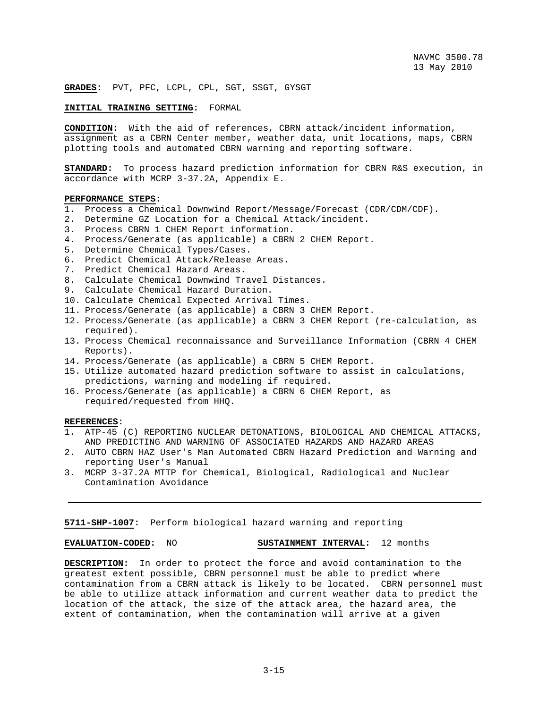**GRADES:** PVT, PFC, LCPL, CPL, SGT, SSGT, GYSGT

### **INITIAL TRAINING SETTING:** FORMAL

**CONDITION:** With the aid of references, CBRN attack/incident information, assignment as a CBRN Center member, weather data, unit locations, maps, CBRN plotting tools and automated CBRN warning and reporting software.

**STANDARD:** To process hazard prediction information for CBRN R&S execution, in accordance with MCRP 3-37.2A, Appendix E.

#### **PERFORMANCE STEPS:**

- 1. Process a Chemical Downwind Report/Message/Forecast (CDR/CDM/CDF).
- 2. Determine GZ Location for a Chemical Attack/incident.
- 3. Process CBRN 1 CHEM Report information.
- 4. Process/Generate (as applicable) a CBRN 2 CHEM Report.
- 5. Determine Chemical Types/Cases.
- 6. Predict Chemical Attack/Release Areas.
- 7. Predict Chemical Hazard Areas.
- 8. Calculate Chemical Downwind Travel Distances.
- 9. Calculate Chemical Hazard Duration.
- 10. Calculate Chemical Expected Arrival Times.
- 11. Process/Generate (as applicable) a CBRN 3 CHEM Report.
- 12. Process/Generate (as applicable) a CBRN 3 CHEM Report (re-calculation, as required).
- 13. Process Chemical reconnaissance and Surveillance Information (CBRN 4 CHEM Reports).
- 14. Process/Generate (as applicable) a CBRN 5 CHEM Report.
- 15. Utilize automated hazard prediction software to assist in calculations, predictions, warning and modeling if required.
- 16. Process/Generate (as applicable) a CBRN 6 CHEM Report, as required/requested from HHQ.

# **REFERENCES:**

- 1. ATP-45 (C) REPORTING NUCLEAR DETONATIONS, BIOLOGICAL AND CHEMICAL ATTACKS, AND PREDICTING AND WARNING OF ASSOCIATED HAZARDS AND HAZARD AREAS
- 2. AUTO CBRN HAZ User's Man Automated CBRN Hazard Prediction and Warning and reporting User's Manual
- 3. MCRP 3-37.2A MTTP for Chemical, Biological, Radiological and Nuclear Contamination Avoidance

**5711-SHP-1007:** Perform biological hazard warning and reporting

**EVALUATION-CODED:** NO **SUSTAINMENT INTERVAL:** 12 months

**DESCRIPTION:** In order to protect the force and avoid contamination to the greatest extent possible, CBRN personnel must be able to predict where contamination from a CBRN attack is likely to be located. CBRN personnel must be able to utilize attack information and current weather data to predict the location of the attack, the size of the attack area, the hazard area, the extent of contamination, when the contamination will arrive at a given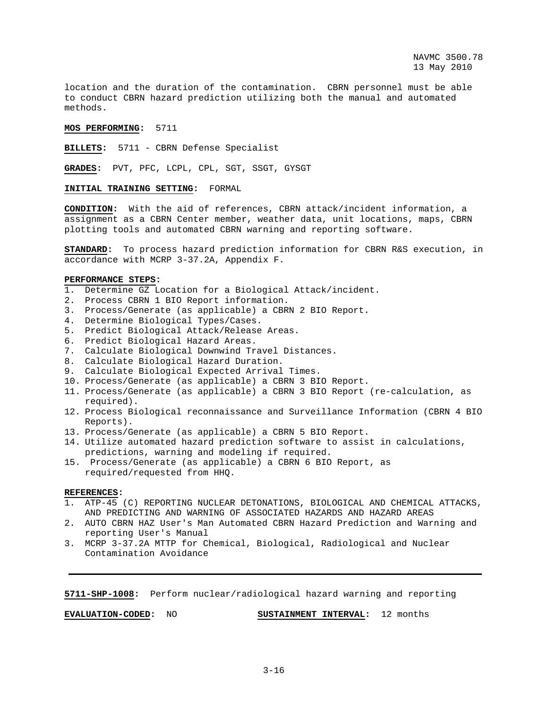location and the duration of the contamination. CBRN personnel must be able to conduct CBRN hazard prediction utilizing both the manual and automated methods.

# **MOS PERFORMING:** 5711

**BILLETS:** 5711 - CBRN Defense Specialist

**GRADES:** PVT, PFC, LCPL, CPL, SGT, SSGT, GYSGT

### **INITIAL TRAINING SETTING:** FORMAL

**CONDITION:** With the aid of references, CBRN attack/incident information, a assignment as a CBRN Center member, weather data, unit locations, maps, CBRN plotting tools and automated CBRN warning and reporting software.

**STANDARD:** To process hazard prediction information for CBRN R&S execution, in accordance with MCRP 3-37.2A, Appendix F.

#### **PERFORMANCE STEPS:**

- 1. Determine GZ Location for a Biological Attack/incident.
- 2. Process CBRN 1 BIO Report information.
- 3. Process/Generate (as applicable) a CBRN 2 BIO Report.
- 4. Determine Biological Types/Cases.
- 5. Predict Biological Attack/Release Areas.
- 6. Predict Biological Hazard Areas.
- 7. Calculate Biological Downwind Travel Distances.
- 8. Calculate Biological Hazard Duration.
- 9. Calculate Biological Expected Arrival Times.
- 10. Process/Generate (as applicable) a CBRN 3 BIO Report.
- 11. Process/Generate (as applicable) a CBRN 3 BIO Report (re-calculation, as required).
- 12. Process Biological reconnaissance and Surveillance Information (CBRN 4 BIO Reports).
- 13. Process/Generate (as applicable) a CBRN 5 BIO Report.
- 14. Utilize automated hazard prediction software to assist in calculations, predictions, warning and modeling if required.
- 15. Process/Generate (as applicable) a CBRN 6 BIO Report, as required/requested from HHQ.

#### **REFERENCES:**

- 1. ATP-45 (C) REPORTING NUCLEAR DETONATIONS, BIOLOGICAL AND CHEMICAL ATTACKS, AND PREDICTING AND WARNING OF ASSOCIATED HAZARDS AND HAZARD AREAS
- 2. AUTO CBRN HAZ User's Man Automated CBRN Hazard Prediction and Warning and reporting User's Manual
- 3. MCRP 3-37.2A MTTP for Chemical, Biological, Radiological and Nuclear Contamination Avoidance

**5711-SHP-1008:** Perform nuclear/radiological hazard warning and reporting

**EVALUATION-CODED:** NO **SUSTAINMENT INTERVAL:** 12 months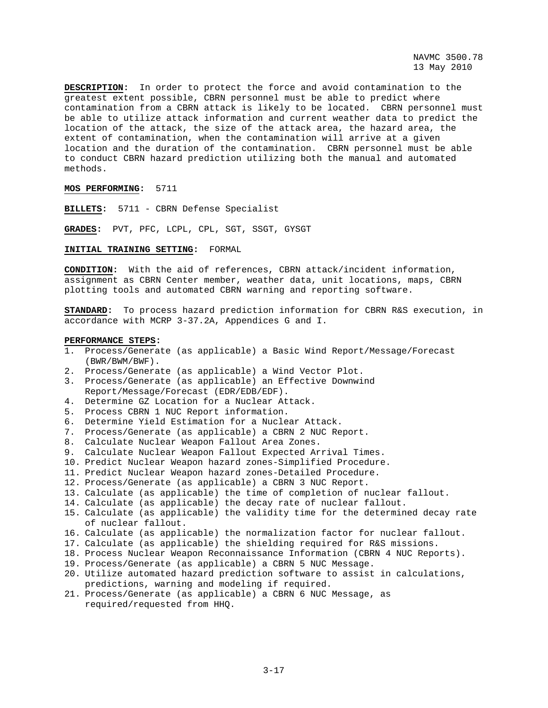**DESCRIPTION:** In order to protect the force and avoid contamination to the greatest extent possible, CBRN personnel must be able to predict where contamination from a CBRN attack is likely to be located. CBRN personnel must be able to utilize attack information and current weather data to predict the location of the attack, the size of the attack area, the hazard area, the extent of contamination, when the contamination will arrive at a given location and the duration of the contamination. CBRN personnel must be able to conduct CBRN hazard prediction utilizing both the manual and automated methods.

#### **MOS PERFORMING:** 5711

**BILLETS:** 5711 - CBRN Defense Specialist

**GRADES:** PVT, PFC, LCPL, CPL, SGT, SSGT, GYSGT

**INITIAL TRAINING SETTING:** FORMAL

**CONDITION:** With the aid of references, CBRN attack/incident information, assignment as CBRN Center member, weather data, unit locations, maps, CBRN plotting tools and automated CBRN warning and reporting software.

**STANDARD:** To process hazard prediction information for CBRN R&S execution, in accordance with MCRP 3-37.2A, Appendices G and I.

- 1. Process/Generate (as applicable) a Basic Wind Report/Message/Forecast (BWR/BWM/BWF).
- 2. Process/Generate (as applicable) a Wind Vector Plot.
- 3. Process/Generate (as applicable) an Effective Downwind Report/Message/Forecast (EDR/EDB/EDF).
- 4. Determine GZ Location for a Nuclear Attack.
- 5. Process CBRN 1 NUC Report information.
- 6. Determine Yield Estimation for a Nuclear Attack.
- 7. Process/Generate (as applicable) a CBRN 2 NUC Report.
- 8. Calculate Nuclear Weapon Fallout Area Zones.
- 9. Calculate Nuclear Weapon Fallout Expected Arrival Times.
- 10. Predict Nuclear Weapon hazard zones-Simplified Procedure.
- 11. Predict Nuclear Weapon hazard zones-Detailed Procedure.
- 12. Process/Generate (as applicable) a CBRN 3 NUC Report.
- 13. Calculate (as applicable) the time of completion of nuclear fallout.
- 14. Calculate (as applicable) the decay rate of nuclear fallout.
- 15. Calculate (as applicable) the validity time for the determined decay rate of nuclear fallout.
- 16. Calculate (as applicable) the normalization factor for nuclear fallout.
- 17. Calculate (as applicable) the shielding required for R&S missions.
- 18. Process Nuclear Weapon Reconnaissance Information (CBRN 4 NUC Reports).
- 19. Process/Generate (as applicable) a CBRN 5 NUC Message.
- 20. Utilize automated hazard prediction software to assist in calculations, predictions, warning and modeling if required.
- 21. Process/Generate (as applicable) a CBRN 6 NUC Message, as required/requested from HHQ.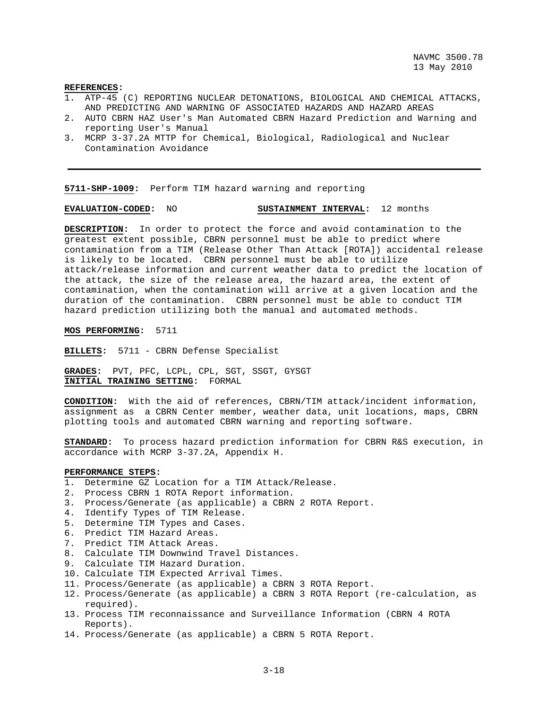#### **REFERENCES:**

- 1. ATP-45 (C) REPORTING NUCLEAR DETONATIONS, BIOLOGICAL AND CHEMICAL ATTACKS, AND PREDICTING AND WARNING OF ASSOCIATED HAZARDS AND HAZARD AREAS
- 2. AUTO CBRN HAZ User's Man Automated CBRN Hazard Prediction and Warning and reporting User's Manual
- 3. MCRP 3-37.2A MTTP for Chemical, Biological, Radiological and Nuclear Contamination Avoidance

**5711-SHP-1009:** Perform TIM hazard warning and reporting

**EVALUATION-CODED:** NO **SUSTAINMENT INTERVAL:** 12 months

**DESCRIPTION:** In order to protect the force and avoid contamination to the greatest extent possible, CBRN personnel must be able to predict where contamination from a TIM (Release Other Than Attack [ROTA]) accidental release is likely to be located. CBRN personnel must be able to utilize attack/release information and current weather data to predict the location of the attack, the size of the release area, the hazard area, the extent of contamination, when the contamination will arrive at a given location and the duration of the contamination. CBRN personnel must be able to conduct TIM hazard prediction utilizing both the manual and automated methods.

**MOS PERFORMING:** 5711

**BILLETS:** 5711 - CBRN Defense Specialist

**GRADES:** PVT, PFC, LCPL, CPL, SGT, SSGT, GYSGT **INITIAL TRAINING SETTING:** FORMAL

**CONDITION:** With the aid of references, CBRN/TIM attack/incident information, assignment as a CBRN Center member, weather data, unit locations, maps, CBRN plotting tools and automated CBRN warning and reporting software.

**STANDARD:** To process hazard prediction information for CBRN R&S execution, in accordance with MCRP 3-37.2A, Appendix H.

- 1. Determine GZ Location for a TIM Attack/Release.
- 2. Process CBRN 1 ROTA Report information.
- 3. Process/Generate (as applicable) a CBRN 2 ROTA Report.
- 4. Identify Types of TIM Release.
- 5. Determine TIM Types and Cases.
- 6. Predict TIM Hazard Areas.
- 7. Predict TIM Attack Areas.
- 8. Calculate TIM Downwind Travel Distances.
- 9. Calculate TIM Hazard Duration.
- 10. Calculate TIM Expected Arrival Times.
- 11. Process/Generate (as applicable) a CBRN 3 ROTA Report.
- 12. Process/Generate (as applicable) a CBRN 3 ROTA Report (re-calculation, as required).
- 13. Process TIM reconnaissance and Surveillance Information (CBRN 4 ROTA Reports).
- 14. Process/Generate (as applicable) a CBRN 5 ROTA Report.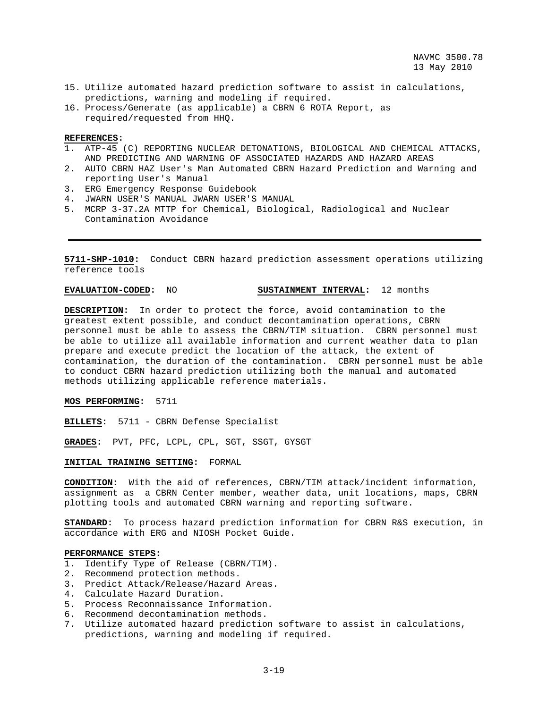- 15. Utilize automated hazard prediction software to assist in calculations, predictions, warning and modeling if required.
- 16. Process/Generate (as applicable) a CBRN 6 ROTA Report, as required/requested from HHQ.

# **REFERENCES:**

- 1. ATP-45 (C) REPORTING NUCLEAR DETONATIONS, BIOLOGICAL AND CHEMICAL ATTACKS, AND PREDICTING AND WARNING OF ASSOCIATED HAZARDS AND HAZARD AREAS
- 2. AUTO CBRN HAZ User's Man Automated CBRN Hazard Prediction and Warning and reporting User's Manual
- 3. ERG Emergency Response Guidebook
- 4. JWARN USER'S MANUAL JWARN USER'S MANUAL
- 5. MCRP 3-37.2A MTTP for Chemical, Biological, Radiological and Nuclear Contamination Avoidance

**5711-SHP-1010:** Conduct CBRN hazard prediction assessment operations utilizing reference tools

**EVALUATION-CODED:** NO **SUSTAINMENT INTERVAL:** 12 months

**DESCRIPTION:** In order to protect the force, avoid contamination to the greatest extent possible, and conduct decontamination operations, CBRN personnel must be able to assess the CBRN/TIM situation. CBRN personnel must be able to utilize all available information and current weather data to plan prepare and execute predict the location of the attack, the extent of contamination, the duration of the contamination. CBRN personnel must be able to conduct CBRN hazard prediction utilizing both the manual and automated methods utilizing applicable reference materials.

**MOS PERFORMING:** 5711

**BILLETS:** 5711 - CBRN Defense Specialist

**GRADES:** PVT, PFC, LCPL, CPL, SGT, SSGT, GYSGT

## **INITIAL TRAINING SETTING:** FORMAL

**CONDITION:** With the aid of references, CBRN/TIM attack/incident information, assignment as a CBRN Center member, weather data, unit locations, maps, CBRN plotting tools and automated CBRN warning and reporting software.

**STANDARD:** To process hazard prediction information for CBRN R&S execution, in accordance with ERG and NIOSH Pocket Guide.

- 1. Identify Type of Release (CBRN/TIM).
- 2. Recommend protection methods.
- 3. Predict Attack/Release/Hazard Areas.
- 4. Calculate Hazard Duration.
- 5. Process Reconnaissance Information.
- 6. Recommend decontamination methods.
- 7. Utilize automated hazard prediction software to assist in calculations, predictions, warning and modeling if required.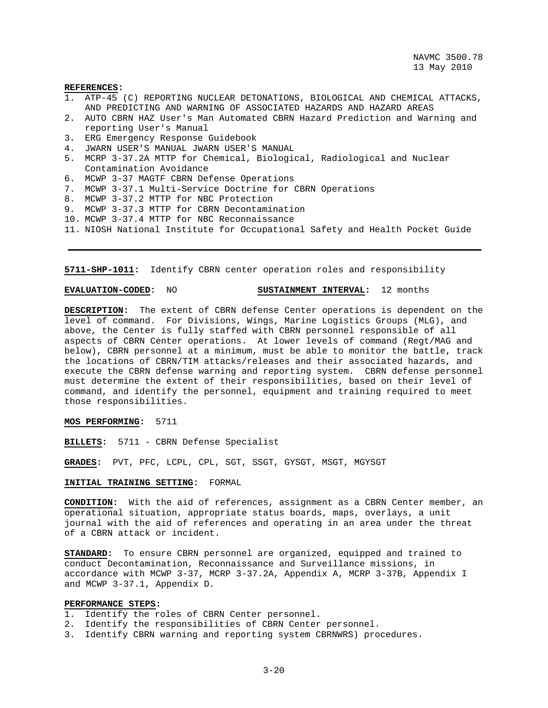### **REFERENCES:**

- 1. ATP-45 (C) REPORTING NUCLEAR DETONATIONS, BIOLOGICAL AND CHEMICAL ATTACKS, AND PREDICTING AND WARNING OF ASSOCIATED HAZARDS AND HAZARD AREAS
- 2. AUTO CBRN HAZ User's Man Automated CBRN Hazard Prediction and Warning and reporting User's Manual
- 3. ERG Emergency Response Guidebook
- 4. JWARN USER'S MANUAL JWARN USER'S MANUAL
- 5. MCRP 3-37.2A MTTP for Chemical, Biological, Radiological and Nuclear Contamination Avoidance
- 6. MCWP 3-37 MAGTF CBRN Defense Operations
- 7. MCWP 3-37.1 Multi-Service Doctrine for CBRN Operations
- 8. MCWP 3-37.2 MTTP for NBC Protection
- 9. MCWP 3-37.3 MTTP for CBRN Decontamination
- 10. MCWP 3-37.4 MTTP for NBC Reconnaissance
- 11. NIOSH National Institute for Occupational Safety and Health Pocket Guide

**5711-SHP-1011:** Identify CBRN center operation roles and responsibility

### **EVALUATION-CODED:** NO **SUSTAINMENT INTERVAL:** 12 months

**DESCRIPTION:** The extent of CBRN defense Center operations is dependent on the level of command. For Divisions, Wings, Marine Logistics Groups (MLG), and above, the Center is fully staffed with CBRN personnel responsible of all aspects of CBRN Center operations. At lower levels of command (Regt/MAG and below), CBRN personnel at a minimum, must be able to monitor the battle, track the locations of CBRN/TIM attacks/releases and their associated hazards, and execute the CBRN defense warning and reporting system. CBRN defense personnel must determine the extent of their responsibilities, based on their level of command, and identify the personnel, equipment and training required to meet those responsibilities.

### **MOS PERFORMING:** 5711

**BILLETS:** 5711 - CBRN Defense Specialist

**GRADES:** PVT, PFC, LCPL, CPL, SGT, SSGT, GYSGT, MSGT, MGYSGT

### **INITIAL TRAINING SETTING:** FORMAL

**CONDITION:** With the aid of references, assignment as a CBRN Center member, an operational situation, appropriate status boards, maps, overlays, a unit journal with the aid of references and operating in an area under the threat of a CBRN attack or incident.

**STANDARD:** To ensure CBRN personnel are organized, equipped and trained to conduct Decontamination, Reconnaissance and Surveillance missions, in accordance with MCWP 3-37, MCRP 3-37.2A, Appendix A, MCRP 3-37B, Appendix I and MCWP 3-37.1, Appendix D.

- 1. Identify the roles of CBRN Center personnel.
- 2. Identify the responsibilities of CBRN Center personnel.
- 3. Identify CBRN warning and reporting system CBRNWRS) procedures.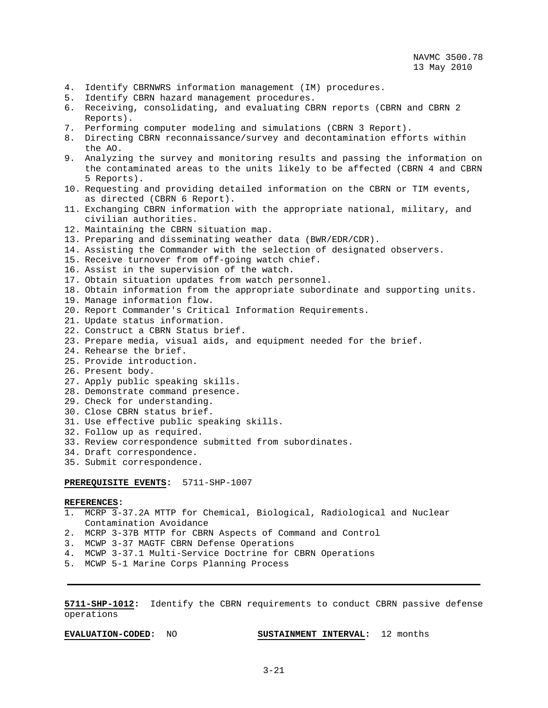- 4. Identify CBRNWRS information management (IM) procedures. 5. Identify CBRN hazard management procedures. 6. Receiving, consolidating, and evaluating CBRN reports (CBRN and CBRN 2 Reports). 7. Performing computer modeling and simulations (CBRN 3 Report). 8. Directing CBRN reconnaissance/survey and decontamination efforts within the AO. 9. Analyzing the survey and monitoring results and passing the information on the contaminated areas to the units likely to be affected (CBRN 4 and CBRN 5 Reports). 10. Requesting and providing detailed information on the CBRN or TIM events, as directed (CBRN 6 Report). 11. Exchanging CBRN information with the appropriate national, military, and civilian authorities. 12. Maintaining the CBRN situation map. 13. Preparing and disseminating weather data (BWR/EDR/CDR). 14. Assisting the Commander with the selection of designated observers. 15. Receive turnover from off-going watch chief. 16. Assist in the supervision of the watch. 17. Obtain situation updates from watch personnel. 18. Obtain information from the appropriate subordinate and supporting units. 19. Manage information flow. 20. Report Commander's Critical Information Requirements. 21. Update status information. 22. Construct a CBRN Status brief. 23. Prepare media, visual aids, and equipment needed for the brief. 24. Rehearse the brief. 25. Provide introduction. 26. Present body. 27. Apply public speaking skills. 28. Demonstrate command presence. 29. Check for understanding. 30. Close CBRN status brief.
- 31. Use effective public speaking skills.
- 32. Follow up as required.
- 33. Review correspondence submitted from subordinates.
- 34. Draft correspondence.
- 35. Submit correspondence.

**PREREQUISITE EVENTS:** 5711-SHP-1007

# **REFERENCES:**

- 1. MCRP 3-37.2A MTTP for Chemical, Biological, Radiological and Nuclear Contamination Avoidance
- 2. MCRP 3-37B MTTP for CBRN Aspects of Command and Control
- 3. MCWP 3-37 MAGTF CBRN Defense Operations
- 4. MCWP 3-37.1 Multi-Service Doctrine for CBRN Operations
- 5. MCWP 5-1 Marine Corps Planning Process

**5711-SHP-1012:** Identify the CBRN requirements to conduct CBRN passive defense operations

**EVALUATION-CODED:** NO **SUSTAINMENT INTERVAL:** 12 months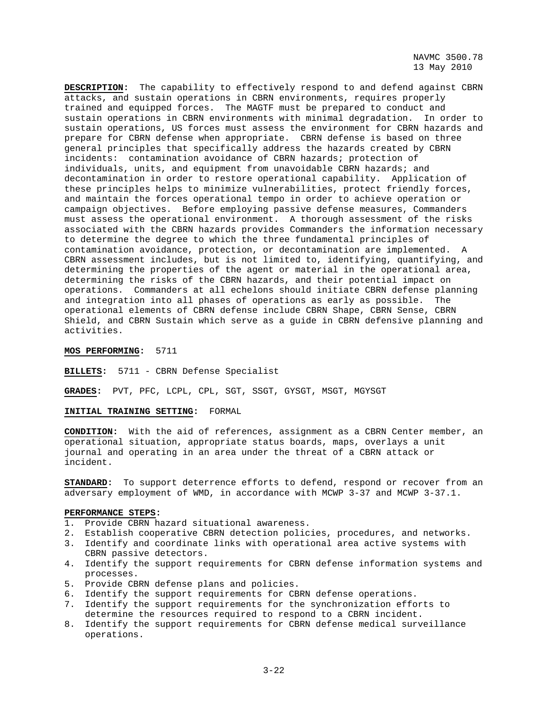**DESCRIPTION:** The capability to effectively respond to and defend against CBRN attacks, and sustain operations in CBRN environments, requires properly trained and equipped forces. The MAGTF must be prepared to conduct and sustain operations in CBRN environments with minimal degradation. In order to sustain operations, US forces must assess the environment for CBRN hazards and prepare for CBRN defense when appropriate. CBRN defense is based on three general principles that specifically address the hazards created by CBRN incidents: contamination avoidance of CBRN hazards; protection of individuals, units, and equipment from unavoidable CBRN hazards; and decontamination in order to restore operational capability. Application of these principles helps to minimize vulnerabilities, protect friendly forces, and maintain the forces operational tempo in order to achieve operation or campaign objectives. Before employing passive defense measures, Commanders must assess the operational environment. A thorough assessment of the risks associated with the CBRN hazards provides Commanders the information necessary to determine the degree to which the three fundamental principles of contamination avoidance, protection, or decontamination are implemented. A CBRN assessment includes, but is not limited to, identifying, quantifying, and determining the properties of the agent or material in the operational area, determining the risks of the CBRN hazards, and their potential impact on operations. Commanders at all echelons should initiate CBRN defense planning and integration into all phases of operations as early as possible. The operational elements of CBRN defense include CBRN Shape, CBRN Sense, CBRN Shield, and CBRN Sustain which serve as a guide in CBRN defensive planning and activities.

# **MOS PERFORMING:** 5711

**BILLETS:** 5711 - CBRN Defense Specialist

**GRADES:** PVT, PFC, LCPL, CPL, SGT, SSGT, GYSGT, MSGT, MGYSGT

# **INITIAL TRAINING SETTING:** FORMAL

**CONDITION:** With the aid of references, assignment as a CBRN Center member, an operational situation, appropriate status boards, maps, overlays a unit journal and operating in an area under the threat of a CBRN attack or incident.

**STANDARD:** To support deterrence efforts to defend, respond or recover from an adversary employment of WMD, in accordance with MCWP 3-37 and MCWP 3-37.1.

- 1. Provide CBRN hazard situational awareness.
- 2. Establish cooperative CBRN detection policies, procedures, and networks.
- 3. Identify and coordinate links with operational area active systems with CBRN passive detectors.
- 4. Identify the support requirements for CBRN defense information systems and processes.
- 5. Provide CBRN defense plans and policies.
- 6. Identify the support requirements for CBRN defense operations.
- 7. Identify the support requirements for the synchronization efforts to determine the resources required to respond to a CBRN incident.
- 8. Identify the support requirements for CBRN defense medical surveillance operations.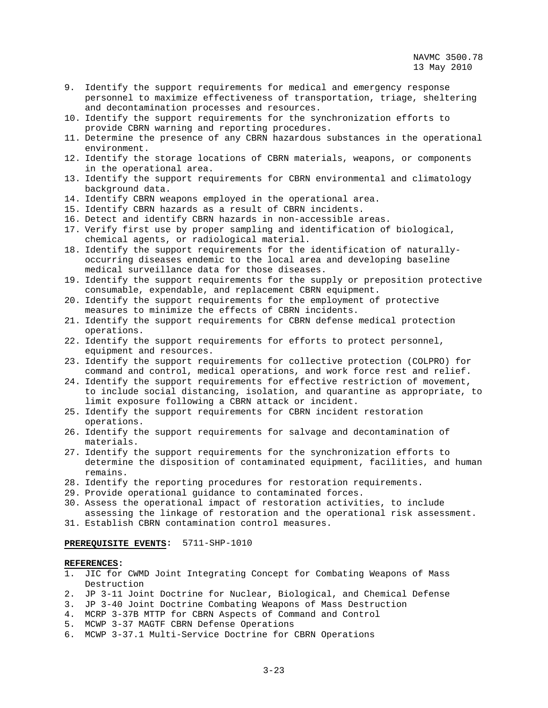- 9. Identify the support requirements for medical and emergency response personnel to maximize effectiveness of transportation, triage, sheltering and decontamination processes and resources.
- 10. Identify the support requirements for the synchronization efforts to provide CBRN warning and reporting procedures.
- 11. Determine the presence of any CBRN hazardous substances in the operational environment.
- 12. Identify the storage locations of CBRN materials, weapons, or components in the operational area.
- 13. Identify the support requirements for CBRN environmental and climatology background data.
- 14. Identify CBRN weapons employed in the operational area.
- 15. Identify CBRN hazards as a result of CBRN incidents.
- 16. Detect and identify CBRN hazards in non-accessible areas.
- 17. Verify first use by proper sampling and identification of biological, chemical agents, or radiological material.
- 18. Identify the support requirements for the identification of naturallyoccurring diseases endemic to the local area and developing baseline medical surveillance data for those diseases.
- 19. Identify the support requirements for the supply or preposition protective consumable, expendable, and replacement CBRN equipment.
- 20. Identify the support requirements for the employment of protective measures to minimize the effects of CBRN incidents.
- 21. Identify the support requirements for CBRN defense medical protection operations.
- 22. Identify the support requirements for efforts to protect personnel, equipment and resources.
- 23. Identify the support requirements for collective protection (COLPRO) for command and control, medical operations, and work force rest and relief.
- 24. Identify the support requirements for effective restriction of movement, to include social distancing, isolation, and quarantine as appropriate, to limit exposure following a CBRN attack or incident.
- 25. Identify the support requirements for CBRN incident restoration operations.
- 26. Identify the support requirements for salvage and decontamination of materials.
- 27. Identify the support requirements for the synchronization efforts to determine the disposition of contaminated equipment, facilities, and human remains.
- 28. Identify the reporting procedures for restoration requirements.
- 29. Provide operational guidance to contaminated forces.
- 30. Assess the operational impact of restoration activities, to include assessing the linkage of restoration and the operational risk assessment.
- 31. Establish CBRN contamination control measures.

# **PREREQUISITE EVENTS:** 5711-SHP-1010

#### **REFERENCES:**

- 1. JIC for CWMD Joint Integrating Concept for Combating Weapons of Mass Destruction
- 2. JP 3-11 Joint Doctrine for Nuclear, Biological, and Chemical Defense
- 3. JP 3-40 Joint Doctrine Combating Weapons of Mass Destruction
	- 4. MCRP 3-37B MTTP for CBRN Aspects of Command and Control
	- 5. MCWP 3-37 MAGTF CBRN Defense Operations
	- 6. MCWP 3-37.1 Multi-Service Doctrine for CBRN Operations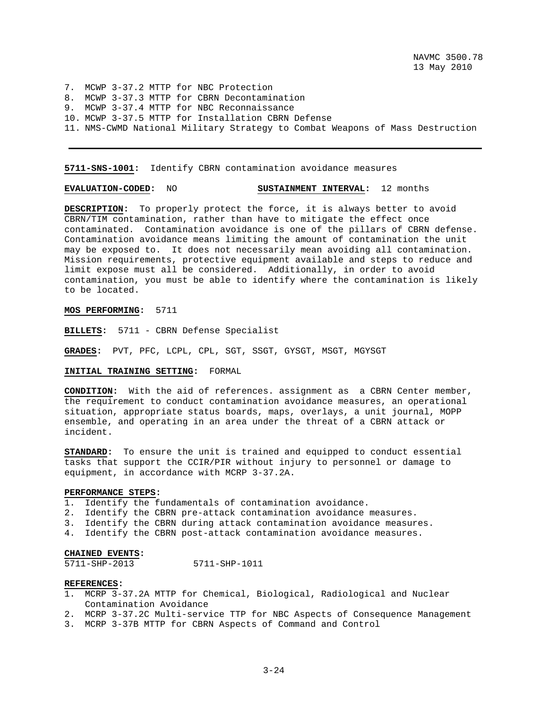7. MCWP 3-37.2 MTTP for NBC Protection 8. MCWP 3-37.3 MTTP for CBRN Decontamination 9. MCWP 3-37.4 MTTP for NBC Reconnaissance 10. MCWP 3-37.5 MTTP for Installation CBRN Defense 11. NMS-CWMD National Military Strategy to Combat Weapons of Mass Destruction

**5711-SNS-1001:** Identify CBRN contamination avoidance measures

**EVALUATION-CODED:** NO **SUSTAINMENT INTERVAL:** 12 months

**DESCRIPTION:** To properly protect the force, it is always better to avoid CBRN/TIM contamination, rather than have to mitigate the effect once contaminated. Contamination avoidance is one of the pillars of CBRN defense. Contamination avoidance means limiting the amount of contamination the unit may be exposed to. It does not necessarily mean avoiding all contamination. Mission requirements, protective equipment available and steps to reduce and limit expose must all be considered. Additionally, in order to avoid contamination, you must be able to identify where the contamination is likely to be located.

# **MOS PERFORMING:** 5711

**BILLETS:** 5711 - CBRN Defense Specialist

**GRADES:** PVT, PFC, LCPL, CPL, SGT, SSGT, GYSGT, MSGT, MGYSGT

# **INITIAL TRAINING SETTING:** FORMAL

**CONDITION:** With the aid of references. assignment as a CBRN Center member, the requirement to conduct contamination avoidance measures, an operational situation, appropriate status boards, maps, overlays, a unit journal, MOPP ensemble, and operating in an area under the threat of a CBRN attack or incident.

**STANDARD:** To ensure the unit is trained and equipped to conduct essential tasks that support the CCIR/PIR without injury to personnel or damage to equipment, in accordance with MCRP 3-37.2A.

# **PERFORMANCE STEPS:**

1. Identify the fundamentals of contamination avoidance.

- 2. Identify the CBRN pre-attack contamination avoidance measures.
- 3. Identify the CBRN during attack contamination avoidance measures.
- 4. Identify the CBRN post-attack contamination avoidance measures.

#### **CHAINED EVENTS:**

5711-SHP-2013 5711-SHP-1011

#### **REFERENCES:**

- 1. MCRP 3-37.2A MTTP for Chemical, Biological, Radiological and Nuclear Contamination Avoidance
- 2. MCRP 3-37.2C Multi-service TTP for NBC Aspects of Consequence Management
- 3. MCRP 3-37B MTTP for CBRN Aspects of Command and Control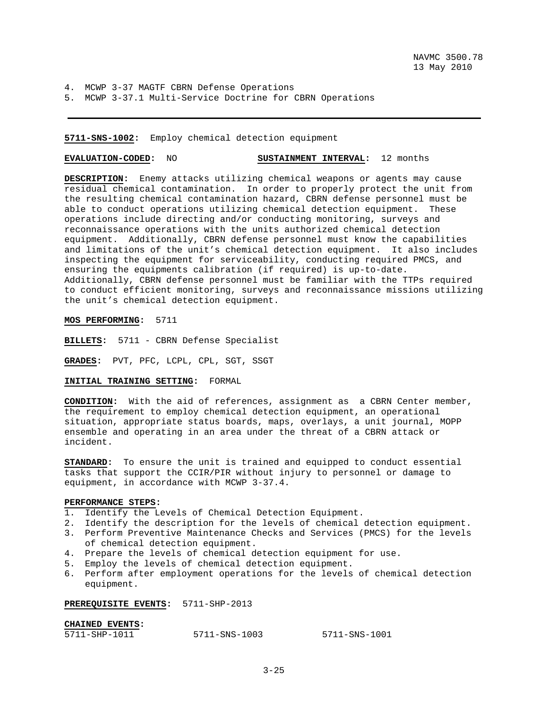4. MCWP 3-37 MAGTF CBRN Defense Operations

5. MCWP 3-37.1 Multi-Service Doctrine for CBRN Operations

**5711-SNS-1002:** Employ chemical detection equipment

# **EVALUATION-CODED:** NO **SUSTAINMENT INTERVAL:** 12 months

**DESCRIPTION:** Enemy attacks utilizing chemical weapons or agents may cause residual chemical contamination. In order to properly protect the unit from the resulting chemical contamination hazard, CBRN defense personnel must be able to conduct operations utilizing chemical detection equipment. These operations include directing and/or conducting monitoring, surveys and reconnaissance operations with the units authorized chemical detection equipment. Additionally, CBRN defense personnel must know the capabilities and limitations of the unit's chemical detection equipment. It also includes inspecting the equipment for serviceability, conducting required PMCS, and ensuring the equipments calibration (if required) is up-to-date. Additionally, CBRN defense personnel must be familiar with the TTPs required to conduct efficient monitoring, surveys and reconnaissance missions utilizing the unit's chemical detection equipment.

# **MOS PERFORMING:** 5711

**BILLETS:** 5711 - CBRN Defense Specialist

**GRADES:** PVT, PFC, LCPL, CPL, SGT, SSGT

# **INITIAL TRAINING SETTING:** FORMAL

**CONDITION:** With the aid of references, assignment as a CBRN Center member, the requirement to employ chemical detection equipment, an operational situation, appropriate status boards, maps, overlays, a unit journal, MOPP ensemble and operating in an area under the threat of a CBRN attack or incident.

**STANDARD:** To ensure the unit is trained and equipped to conduct essential tasks that support the CCIR/PIR without injury to personnel or damage to equipment, in accordance with MCWP 3-37.4.

# **PERFORMANCE STEPS:**

- 1. Identify the Levels of Chemical Detection Equipment.
- 2. Identify the description for the levels of chemical detection equipment.
- 3. Perform Preventive Maintenance Checks and Services (PMCS) for the levels of chemical detection equipment.
- 4. Prepare the levels of chemical detection equipment for use.
- 5. Employ the levels of chemical detection equipment.
- 6. Perform after employment operations for the levels of chemical detection equipment.

**PREREQUISITE EVENTS:** 5711-SHP-2013

# **CHAINED EVENTS:**

| 5711-SNS-1001<br>5711-SNS-1003 |
|--------------------------------|
|                                |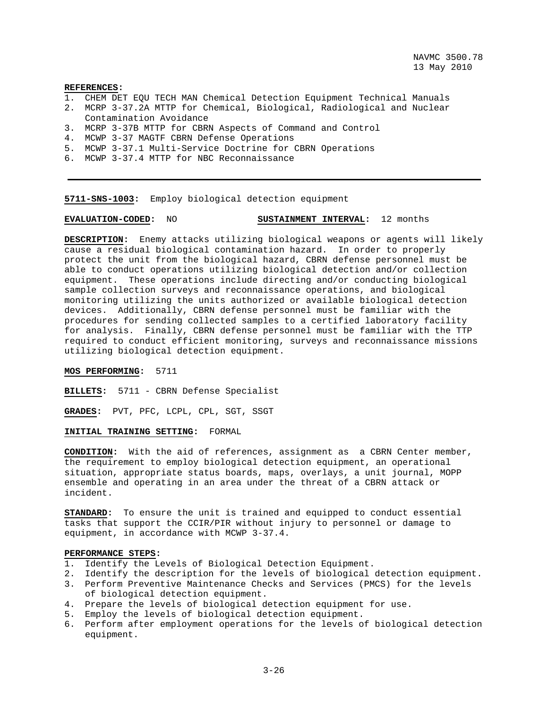#### **REFERENCES:**

- 1. CHEM DET EQU TECH MAN Chemical Detection Equipment Technical Manuals
- 2. MCRP 3-37.2A MTTP for Chemical, Biological, Radiological and Nuclear Contamination Avoidance
- 3. MCRP 3-37B MTTP for CBRN Aspects of Command and Control
- 4. MCWP 3-37 MAGTF CBRN Defense Operations
- 5. MCWP 3-37.1 Multi-Service Doctrine for CBRN Operations
- 6. MCWP 3-37.4 MTTP for NBC Reconnaissance

**5711-SNS-1003:** Employ biological detection equipment

**EVALUATION-CODED:** NO **SUSTAINMENT INTERVAL:** 12 months

**DESCRIPTION:** Enemy attacks utilizing biological weapons or agents will likely cause a residual biological contamination hazard. In order to properly protect the unit from the biological hazard, CBRN defense personnel must be able to conduct operations utilizing biological detection and/or collection equipment. These operations include directing and/or conducting biological sample collection surveys and reconnaissance operations, and biological monitoring utilizing the units authorized or available biological detection devices. Additionally, CBRN defense personnel must be familiar with the procedures for sending collected samples to a certified laboratory facility for analysis. Finally, CBRN defense personnel must be familiar with the TTP required to conduct efficient monitoring, surveys and reconnaissance missions utilizing biological detection equipment.

# **MOS PERFORMING:** 5711

**BILLETS:** 5711 - CBRN Defense Specialist

**GRADES:** PVT, PFC, LCPL, CPL, SGT, SSGT

# **INITIAL TRAINING SETTING:** FORMAL

**CONDITION:** With the aid of references, assignment as a CBRN Center member, the requirement to employ biological detection equipment, an operational situation, appropriate status boards, maps, overlays, a unit journal, MOPP ensemble and operating in an area under the threat of a CBRN attack or incident.

**STANDARD:** To ensure the unit is trained and equipped to conduct essential tasks that support the CCIR/PIR without injury to personnel or damage to equipment, in accordance with MCWP 3-37.4.

- 1. Identify the Levels of Biological Detection Equipment.
- 2. Identify the description for the levels of biological detection equipment.
- 3. Perform Preventive Maintenance Checks and Services (PMCS) for the levels of biological detection equipment.
- 4. Prepare the levels of biological detection equipment for use.
- 5. Employ the levels of biological detection equipment.
- 6. Perform after employment operations for the levels of biological detection equipment.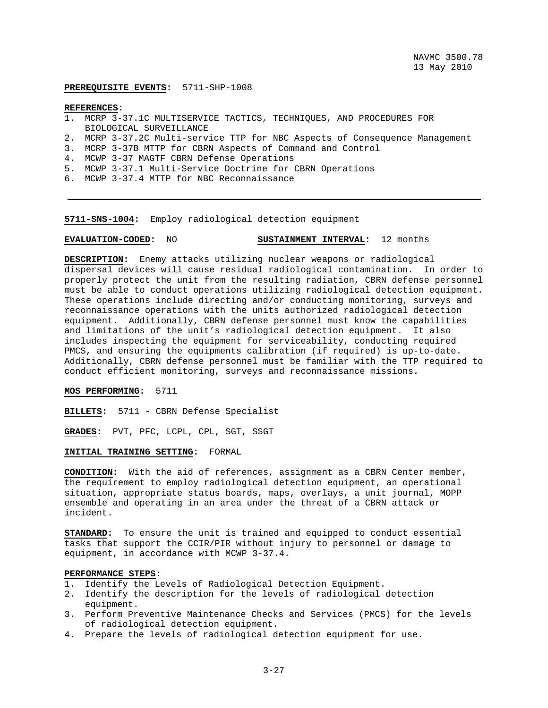**PREREQUISITE EVENTS:** 5711-SHP-1008

#### **REFERENCES:**

- 1. MCRP 3-37.1C MULTISERVICE TACTICS, TECHNIQUES, AND PROCEDURES FOR BIOLOGICAL SURVEILLANCE
- 2. MCRP 3-37.2C Multi-service TTP for NBC Aspects of Consequence Management
- 3. MCRP 3-37B MTTP for CBRN Aspects of Command and Control
- 4. MCWP 3-37 MAGTF CBRN Defense Operations
- 5. MCWP 3-37.1 Multi-Service Doctrine for CBRN Operations
- 6. MCWP 3-37.4 MTTP for NBC Reconnaissance

**5711-SNS-1004:** Employ radiological detection equipment

# **EVALUATION-CODED:** NO **SUSTAINMENT INTERVAL:** 12 months

**DESCRIPTION:** Enemy attacks utilizing nuclear weapons or radiological dispersal devices will cause residual radiological contamination. In order to properly protect the unit from the resulting radiation, CBRN defense personnel must be able to conduct operations utilizing radiological detection equipment. These operations include directing and/or conducting monitoring, surveys and reconnaissance operations with the units authorized radiological detection equipment. Additionally, CBRN defense personnel must know the capabilities and limitations of the unit's radiological detection equipment. It also includes inspecting the equipment for serviceability, conducting required PMCS, and ensuring the equipments calibration (if required) is up-to-date. Additionally, CBRN defense personnel must be familiar with the TTP required to conduct efficient monitoring, surveys and reconnaissance missions.

#### **MOS PERFORMING:** 5711

**BILLETS:** 5711 - CBRN Defense Specialist

**GRADES:** PVT, PFC, LCPL, CPL, SGT, SSGT

# **INITIAL TRAINING SETTING:** FORMAL

**CONDITION:** With the aid of references, assignment as a CBRN Center member, the requirement to employ radiological detection equipment, an operational situation, appropriate status boards, maps, overlays, a unit journal, MOPP ensemble and operating in an area under the threat of a CBRN attack or incident.

**STANDARD:** To ensure the unit is trained and equipped to conduct essential tasks that support the CCIR/PIR without injury to personnel or damage to equipment, in accordance with MCWP 3-37.4.

- 1. Identify the Levels of Radiological Detection Equipment.
- 2. Identify the description for the levels of radiological detection equipment.
- 3. Perform Preventive Maintenance Checks and Services (PMCS) for the levels of radiological detection equipment.
- 4. Prepare the levels of radiological detection equipment for use.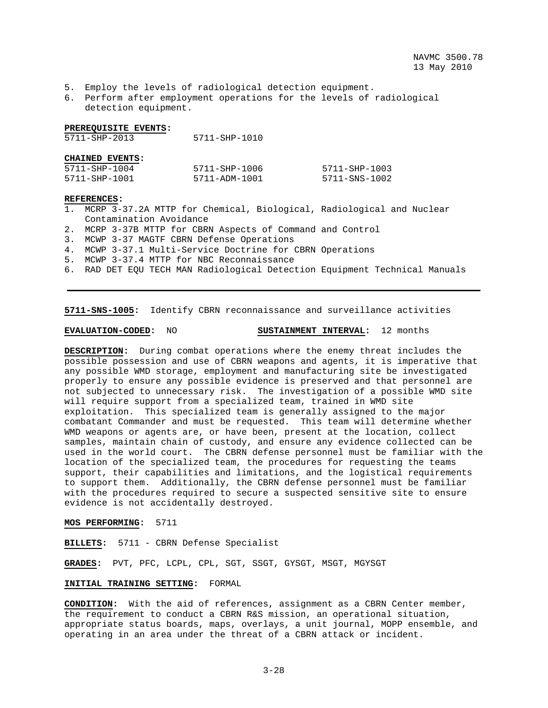- 5. Employ the levels of radiological detection equipment.
- 6. Perform after employment operations for the levels of radiological detection equipment.

# **PREREQUISITE EVENTS:**

5711-SHP-2013 5711-SHP-1010

#### **CHAINED EVENTS:**

| 5711-SHP-1004 | 5711-SHP-1006 | 5711-SHP-1003 |
|---------------|---------------|---------------|
| 5711-SHP-1001 | 5711-ADM-1001 | 5711-SNS-1002 |

# **REFERENCES:**

- 1. MCRP 3-37.2A MTTP for Chemical, Biological, Radiological and Nuclear Contamination Avoidance
- 2. MCRP 3-37B MTTP for CBRN Aspects of Command and Control
- 3. MCWP 3-37 MAGTF CBRN Defense Operations
- 4. MCWP 3-37.1 Multi-Service Doctrine for CBRN Operations
- 5. MCWP 3-37.4 MTTP for NBC Reconnaissance
- 6. RAD DET EQU TECH MAN Radiological Detection Equipment Technical Manuals

**5711-SNS-1005:** Identify CBRN reconnaissance and surveillance activities

**EVALUATION-CODED:** NO **SUSTAINMENT INTERVAL:** 12 months

**DESCRIPTION:** During combat operations where the enemy threat includes the possible possession and use of CBRN weapons and agents, it is imperative that any possible WMD storage, employment and manufacturing site be investigated properly to ensure any possible evidence is preserved and that personnel are not subjected to unnecessary risk. The investigation of a possible WMD site will require support from a specialized team, trained in WMD site exploitation. This specialized team is generally assigned to the major combatant Commander and must be requested. This team will determine whether WMD weapons or agents are, or have been, present at the location, collect samples, maintain chain of custody, and ensure any evidence collected can be used in the world court. The CBRN defense personnel must be familiar with the location of the specialized team, the procedures for requesting the teams support, their capabilities and limitations, and the logistical requirements to support them. Additionally, the CBRN defense personnel must be familiar with the procedures required to secure a suspected sensitive site to ensure evidence is not accidentally destroyed.

#### **MOS PERFORMING:** 5711

**BILLETS:** 5711 - CBRN Defense Specialist

**GRADES:** PVT, PFC, LCPL, CPL, SGT, SSGT, GYSGT, MSGT, MGYSGT

# **INITIAL TRAINING SETTING:** FORMAL

**CONDITION:** With the aid of references, assignment as a CBRN Center member, the requirement to conduct a CBRN R&S mission, an operational situation, appropriate status boards, maps, overlays, a unit journal, MOPP ensemble, and operating in an area under the threat of a CBRN attack or incident.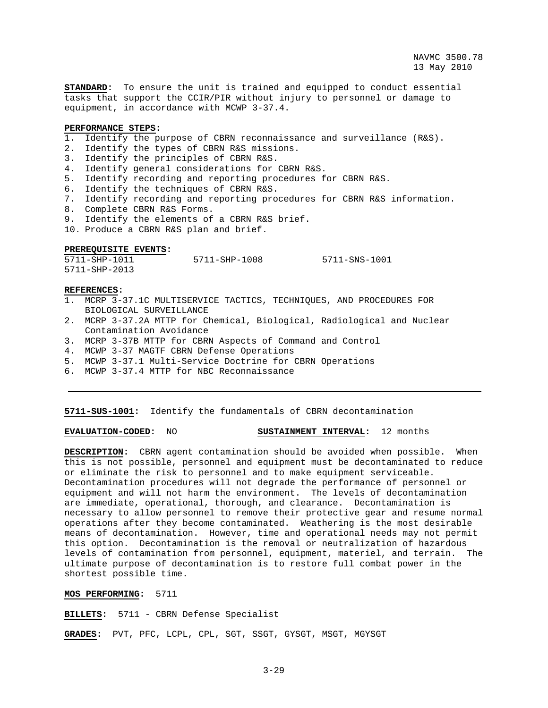**STANDARD:** To ensure the unit is trained and equipped to conduct essential tasks that support the CCIR/PIR without injury to personnel or damage to equipment, in accordance with MCWP 3-37.4.

# **PERFORMANCE STEPS:**

- 1. Identify the purpose of CBRN reconnaissance and surveillance (R&S).
- 2. Identify the types of CBRN R&S missions.
- 3. Identify the principles of CBRN R&S.
- 4. Identify general considerations for CBRN R&S.
- 5. Identify recording and reporting procedures for CBRN R&S.
- 6. Identify the techniques of CBRN R&S.
- 7. Identify recording and reporting procedures for CBRN R&S information.
- 8. Complete CBRN R&S Forms.
- 9. Identify the elements of a CBRN R&S brief.
- 10. Produce a CBRN R&S plan and brief.

# **PREREQUISITE EVENTS:**

| 5711-SHP-1011 | 5711-SHP-1008 | 5711-SNS-1001 |
|---------------|---------------|---------------|
| 5711-SHP-2013 |               |               |

# **REFERENCES:**

- 1. MCRP 3-37.1C MULTISERVICE TACTICS, TECHNIQUES, AND PROCEDURES FOR BIOLOGICAL SURVEILLANCE
- 2. MCRP 3-37.2A MTTP for Chemical, Biological, Radiological and Nuclear Contamination Avoidance
- 3. MCRP 3-37B MTTP for CBRN Aspects of Command and Control
- 4. MCWP 3-37 MAGTF CBRN Defense Operations
- 5. MCWP 3-37.1 Multi-Service Doctrine for CBRN Operations
- 6. MCWP 3-37.4 MTTP for NBC Reconnaissance

**5711-SUS-1001:** Identify the fundamentals of CBRN decontamination

# **EVALUATION-CODED:** NO **SUSTAINMENT INTERVAL:** 12 months

**DESCRIPTION:** CBRN agent contamination should be avoided when possible. When this is not possible, personnel and equipment must be decontaminated to reduce or eliminate the risk to personnel and to make equipment serviceable. Decontamination procedures will not degrade the performance of personnel or equipment and will not harm the environment. The levels of decontamination are immediate, operational, thorough, and clearance. Decontamination is necessary to allow personnel to remove their protective gear and resume normal operations after they become contaminated. Weathering is the most desirable means of decontamination. However, time and operational needs may not permit this option. Decontamination is the removal or neutralization of hazardous levels of contamination from personnel, equipment, materiel, and terrain. The ultimate purpose of decontamination is to restore full combat power in the shortest possible time.

# **MOS PERFORMING:** 5711

**BILLETS:** 5711 - CBRN Defense Specialist

**GRADES:** PVT, PFC, LCPL, CPL, SGT, SSGT, GYSGT, MSGT, MGYSGT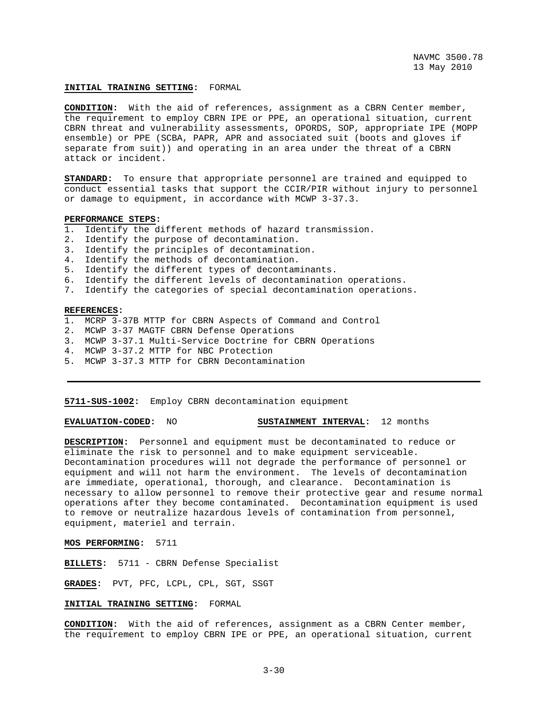# **INITIAL TRAINING SETTING:** FORMAL

**CONDITION:** With the aid of references, assignment as a CBRN Center member, the requirement to employ CBRN IPE or PPE, an operational situation, current CBRN threat and vulnerability assessments, OPORDS, SOP, appropriate IPE (MOPP ensemble) or PPE (SCBA, PAPR, APR and associated suit (boots and gloves if separate from suit)) and operating in an area under the threat of a CBRN attack or incident.

**STANDARD:** To ensure that appropriate personnel are trained and equipped to conduct essential tasks that support the CCIR/PIR without injury to personnel or damage to equipment, in accordance with MCWP 3-37.3.

#### **PERFORMANCE STEPS:**

- 1. Identify the different methods of hazard transmission.
- 2. Identify the purpose of decontamination.
- 3. Identify the principles of decontamination.
- 4. Identify the methods of decontamination.
- 5. Identify the different types of decontaminants.
- 6. Identify the different levels of decontamination operations.
- 7. Identify the categories of special decontamination operations.

# **REFERENCES:**

- 1. MCRP 3-37B MTTP for CBRN Aspects of Command and Control
- 2. MCWP 3-37 MAGTF CBRN Defense Operations
- 3. MCWP 3-37.1 Multi-Service Doctrine for CBRN Operations
- 4. MCWP 3-37.2 MTTP for NBC Protection
- 5. MCWP 3-37.3 MTTP for CBRN Decontamination

**5711-SUS-1002:** Employ CBRN decontamination equipment

**EVALUATION-CODED:** NO **SUSTAINMENT INTERVAL:** 12 months

**DESCRIPTION:** Personnel and equipment must be decontaminated to reduce or eliminate the risk to personnel and to make equipment serviceable. Decontamination procedures will not degrade the performance of personnel or equipment and will not harm the environment. The levels of decontamination are immediate, operational, thorough, and clearance. Decontamination is necessary to allow personnel to remove their protective gear and resume normal operations after they become contaminated. Decontamination equipment is used to remove or neutralize hazardous levels of contamination from personnel, equipment, materiel and terrain.

- **MOS PERFORMING:** 5711
- **BILLETS:** 5711 CBRN Defense Specialist

**GRADES:** PVT, PFC, LCPL, CPL, SGT, SSGT

# **INITIAL TRAINING SETTING:** FORMAL

**CONDITION:** With the aid of references, assignment as a CBRN Center member, the requirement to employ CBRN IPE or PPE, an operational situation, current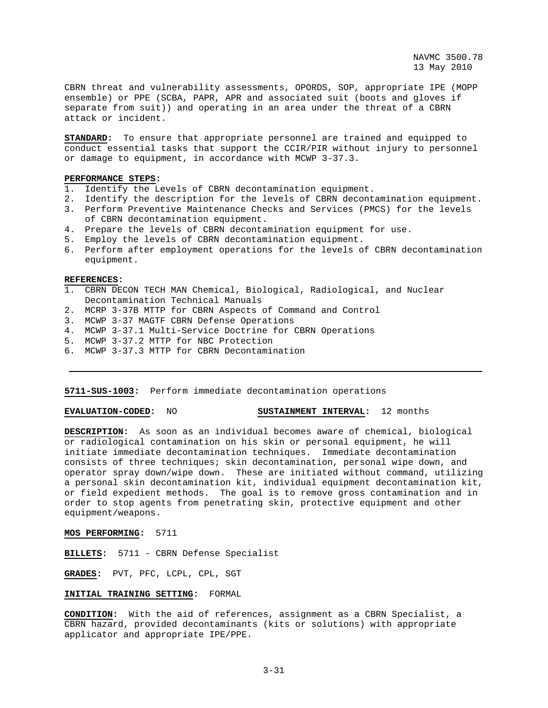CBRN threat and vulnerability assessments, OPORDS, SOP, appropriate IPE (MOPP ensemble) or PPE (SCBA, PAPR, APR and associated suit (boots and gloves if separate from suit)) and operating in an area under the threat of a CBRN attack or incident.

**STANDARD:** To ensure that appropriate personnel are trained and equipped to conduct essential tasks that support the CCIR/PIR without injury to personnel or damage to equipment, in accordance with MCWP 3-37.3.

# **PERFORMANCE STEPS:**

- 1. Identify the Levels of CBRN decontamination equipment.
- 2. Identify the description for the levels of CBRN decontamination equipment.
- 3. Perform Preventive Maintenance Checks and Services (PMCS) for the levels of CBRN decontamination equipment.
- 4. Prepare the levels of CBRN decontamination equipment for use.
- 5. Employ the levels of CBRN decontamination equipment.
- 6. Perform after employment operations for the levels of CBRN decontamination equipment.

#### **REFERENCES:**

- 1. CBRN DECON TECH MAN Chemical, Biological, Radiological, and Nuclear Decontamination Technical Manuals
- 2. MCRP 3-37B MTTP for CBRN Aspects of Command and Control
- 3. MCWP 3-37 MAGTF CBRN Defense Operations
- 4. MCWP 3-37.1 Multi-Service Doctrine for CBRN Operations
- 5. MCWP 3-37.2 MTTP for NBC Protection
- 6. MCWP 3-37.3 MTTP for CBRN Decontamination

**5711-SUS-1003:** Perform immediate decontamination operations

**EVALUATION-CODED:** NO **SUSTAINMENT INTERVAL:** 12 months

**DESCRIPTION:** As soon as an individual becomes aware of chemical, biological or radiological contamination on his skin or personal equipment, he will initiate immediate decontamination techniques. Immediate decontamination consists of three techniques; skin decontamination, personal wipe down, and operator spray down/wipe down. These are initiated without command, utilizing a personal skin decontamination kit, individual equipment decontamination kit, or field expedient methods. The goal is to remove gross contamination and in order to stop agents from penetrating skin, protective equipment and other equipment/weapons.

**MOS PERFORMING:** 5711

**BILLETS:** 5711 - CBRN Defense Specialist

**GRADES:** PVT, PFC, LCPL, CPL, SGT

**INITIAL TRAINING SETTING:** FORMAL

**CONDITION:** With the aid of references, assignment as a CBRN Specialist, a CBRN hazard, provided decontaminants (kits or solutions) with appropriate applicator and appropriate IPE/PPE.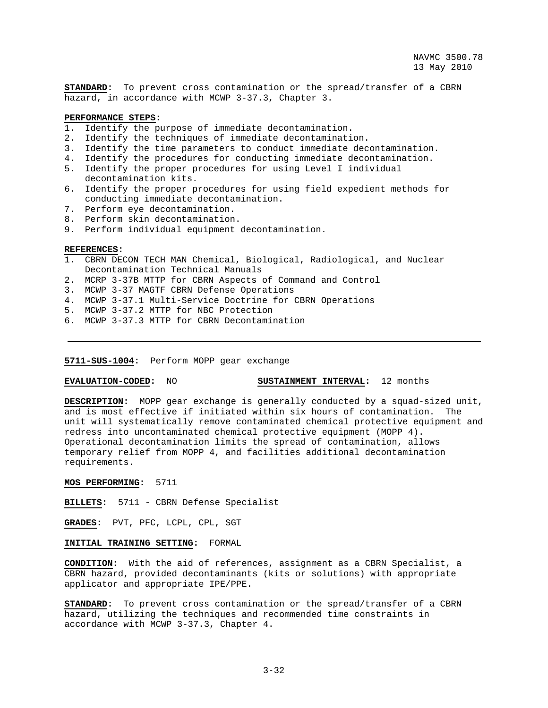**STANDARD:** To prevent cross contamination or the spread/transfer of a CBRN hazard, in accordance with MCWP 3-37.3, Chapter 3.

# **PERFORMANCE STEPS:**<br>1. Identify the pu

- Identify the purpose of immediate decontamination.
- 2. Identify the techniques of immediate decontamination.
- 3. Identify the time parameters to conduct immediate decontamination.
- 4. Identify the procedures for conducting immediate decontamination.
- 5. Identify the proper procedures for using Level I individual decontamination kits.
- 6. Identify the proper procedures for using field expedient methods for conducting immediate decontamination.
- 7. Perform eye decontamination.
- 8. Perform skin decontamination.
- 9. Perform individual equipment decontamination.

# **REFERENCES:**

- 1. CBRN DECON TECH MAN Chemical, Biological, Radiological, and Nuclear Decontamination Technical Manuals
- 2. MCRP 3-37B MTTP for CBRN Aspects of Command and Control
- 3. MCWP 3-37 MAGTF CBRN Defense Operations
- 4. MCWP 3-37.1 Multi-Service Doctrine for CBRN Operations
- 5. MCWP 3-37.2 MTTP for NBC Protection
- 6. MCWP 3-37.3 MTTP for CBRN Decontamination

#### **5711-SUS-1004:** Perform MOPP gear exchange

**EVALUATION-CODED:** NO **SUSTAINMENT INTERVAL:** 12 months

**DESCRIPTION:** MOPP gear exchange is generally conducted by a squad-sized unit, and is most effective if initiated within six hours of contamination. The unit will systematically remove contaminated chemical protective equipment and redress into uncontaminated chemical protective equipment (MOPP 4). Operational decontamination limits the spread of contamination, allows temporary relief from MOPP 4, and facilities additional decontamination requirements.

# **MOS PERFORMING:** 5711

**BILLETS:** 5711 - CBRN Defense Specialist

**GRADES:** PVT, PFC, LCPL, CPL, SGT

# **INITIAL TRAINING SETTING:** FORMAL

**CONDITION:** With the aid of references, assignment as a CBRN Specialist, a CBRN hazard, provided decontaminants (kits or solutions) with appropriate applicator and appropriate IPE/PPE.

**STANDARD:** To prevent cross contamination or the spread/transfer of a CBRN hazard, utilizing the techniques and recommended time constraints in accordance with MCWP 3-37.3, Chapter 4.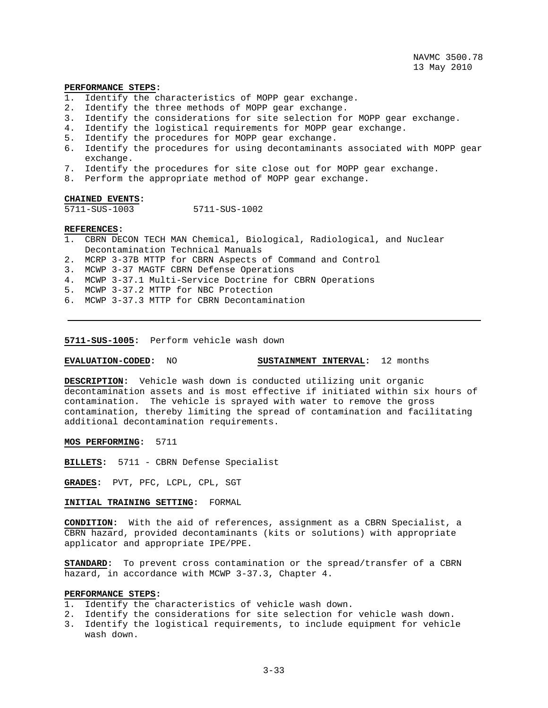# **PERFORMANCE STEPS:**

- 1. Identify the characteristics of MOPP gear exchange.
- 2. Identify the three methods of MOPP gear exchange.
- 3. Identify the considerations for site selection for MOPP gear exchange.
- 4. Identify the logistical requirements for MOPP gear exchange.
- 5. Identify the procedures for MOPP gear exchange.
- 6. Identify the procedures for using decontaminants associated with MOPP gear exchange.
- 7. Identify the procedures for site close out for MOPP gear exchange.
- 8. Perform the appropriate method of MOPP gear exchange.

# **CHAINED EVENTS:**

5711-SUS-1003 5711-SUS-1002

#### **REFERENCES:**

- 1. CBRN DECON TECH MAN Chemical, Biological, Radiological, and Nuclear Decontamination Technical Manuals
- 2. MCRP 3-37B MTTP for CBRN Aspects of Command and Control
- 3. MCWP 3-37 MAGTF CBRN Defense Operations
- 4. MCWP 3-37.1 Multi-Service Doctrine for CBRN Operations
- 5. MCWP 3-37.2 MTTP for NBC Protection
- 6. MCWP 3-37.3 MTTP for CBRN Decontamination

**5711-SUS-1005:** Perform vehicle wash down

**EVALUATION-CODED:** NO **SUSTAINMENT INTERVAL:** 12 months

**DESCRIPTION:** Vehicle wash down is conducted utilizing unit organic decontamination assets and is most effective if initiated within six hours of contamination. The vehicle is sprayed with water to remove the gross contamination, thereby limiting the spread of contamination and facilitating additional decontamination requirements.

**MOS PERFORMING:** 5711

**BILLETS:** 5711 - CBRN Defense Specialist

**GRADES:** PVT, PFC, LCPL, CPL, SGT

**INITIAL TRAINING SETTING:** FORMAL

**CONDITION:** With the aid of references, assignment as a CBRN Specialist, a CBRN hazard, provided decontaminants (kits or solutions) with appropriate applicator and appropriate IPE/PPE.

**STANDARD:** To prevent cross contamination or the spread/transfer of a CBRN hazard, in accordance with MCWP 3-37.3, Chapter 4.

- 1. Identify the characteristics of vehicle wash down.
- 2. Identify the considerations for site selection for vehicle wash down.
- 3. Identify the logistical requirements, to include equipment for vehicle wash down.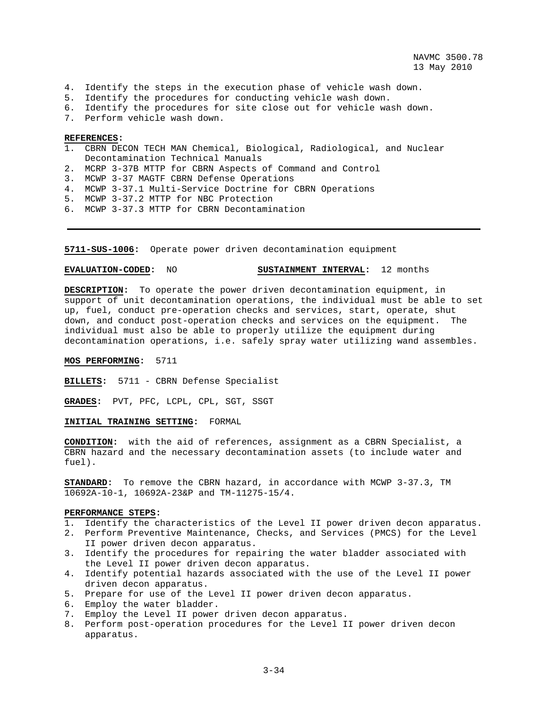- 4. Identify the steps in the execution phase of vehicle wash down.
- 5. Identify the procedures for conducting vehicle wash down.
- 6. Identify the procedures for site close out for vehicle wash down.
- 7. Perform vehicle wash down.

# **REFERENCES:**

- 1. CBRN DECON TECH MAN Chemical, Biological, Radiological, and Nuclear Decontamination Technical Manuals
- 2. MCRP 3-37B MTTP for CBRN Aspects of Command and Control
- 3. MCWP 3-37 MAGTF CBRN Defense Operations
- 4. MCWP 3-37.1 Multi-Service Doctrine for CBRN Operations
- 5. MCWP 3-37.2 MTTP for NBC Protection
- 6. MCWP 3-37.3 MTTP for CBRN Decontamination

**5711-SUS-1006:** Operate power driven decontamination equipment

```
EVALUATION-CODED: NO SUSTAINMENT INTERVAL: 12 months
```
**DESCRIPTION:** To operate the power driven decontamination equipment, in support of unit decontamination operations, the individual must be able to set up, fuel, conduct pre-operation checks and services, start, operate, shut down, and conduct post-operation checks and services on the equipment. The individual must also be able to properly utilize the equipment during decontamination operations, i.e. safely spray water utilizing wand assembles.

#### **MOS PERFORMING:** 5711

**BILLETS:** 5711 - CBRN Defense Specialist

**GRADES:** PVT, PFC, LCPL, CPL, SGT, SSGT

# **INITIAL TRAINING SETTING:** FORMAL

**CONDITION:** with the aid of references, assignment as a CBRN Specialist, a CBRN hazard and the necessary decontamination assets (to include water and fuel).

**STANDARD:** To remove the CBRN hazard, in accordance with MCWP 3-37.3, TM 10692A-10-1, 10692A-23&P and TM-11275-15/4.

- 1. Identify the characteristics of the Level II power driven decon apparatus.
- 2. Perform Preventive Maintenance, Checks, and Services (PMCS) for the Level II power driven decon apparatus.
- 3. Identify the procedures for repairing the water bladder associated with the Level II power driven decon apparatus.
- 4. Identify potential hazards associated with the use of the Level II power driven decon apparatus.
- 5. Prepare for use of the Level II power driven decon apparatus.
- 6. Employ the water bladder.
- 7. Employ the Level II power driven decon apparatus.
- 8. Perform post-operation procedures for the Level II power driven decon apparatus.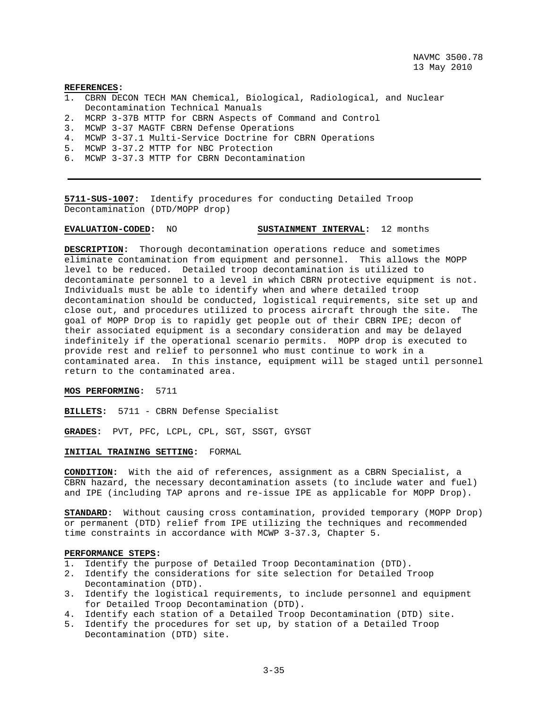#### **REFERENCES:**

- 1. CBRN DECON TECH MAN Chemical, Biological, Radiological, and Nuclear Decontamination Technical Manuals
- 2. MCRP 3-37B MTTP for CBRN Aspects of Command and Control
- 3. MCWP 3-37 MAGTF CBRN Defense Operations
- 4. MCWP 3-37.1 Multi-Service Doctrine for CBRN Operations
- 5. MCWP 3-37.2 MTTP for NBC Protection
- 6. MCWP 3-37.3 MTTP for CBRN Decontamination

**5711-SUS-1007:** Identify procedures for conducting Detailed Troop Decontamination (DTD/MOPP drop)

# **EVALUATION-CODED:** NO **SUSTAINMENT INTERVAL:** 12 months

**DESCRIPTION:** Thorough decontamination operations reduce and sometimes eliminate contamination from equipment and personnel. This allows the MOPP level to be reduced. Detailed troop decontamination is utilized to decontaminate personnel to a level in which CBRN protective equipment is not. Individuals must be able to identify when and where detailed troop decontamination should be conducted, logistical requirements, site set up and close out, and procedures utilized to process aircraft through the site. The goal of MOPP Drop is to rapidly get people out of their CBRN IPE; decon of their associated equipment is a secondary consideration and may be delayed indefinitely if the operational scenario permits. MOPP drop is executed to provide rest and relief to personnel who must continue to work in a contaminated area. In this instance, equipment will be staged until personnel return to the contaminated area.

#### **MOS PERFORMING:** 5711

**BILLETS:** 5711 - CBRN Defense Specialist

**GRADES:** PVT, PFC, LCPL, CPL, SGT, SSGT, GYSGT

# **INITIAL TRAINING SETTING:** FORMAL

**CONDITION:** With the aid of references, assignment as a CBRN Specialist, a CBRN hazard, the necessary decontamination assets (to include water and fuel) and IPE (including TAP aprons and re-issue IPE as applicable for MOPP Drop).

**STANDARD:** Without causing cross contamination, provided temporary (MOPP Drop) or permanent (DTD) relief from IPE utilizing the techniques and recommended time constraints in accordance with MCWP 3-37.3, Chapter 5.

- 1. Identify the purpose of Detailed Troop Decontamination (DTD).
- 2. Identify the considerations for site selection for Detailed Troop Decontamination (DTD).
- 3. Identify the logistical requirements, to include personnel and equipment for Detailed Troop Decontamination (DTD).
- 4. Identify each station of a Detailed Troop Decontamination (DTD) site.
- 5. Identify the procedures for set up, by station of a Detailed Troop Decontamination (DTD) site.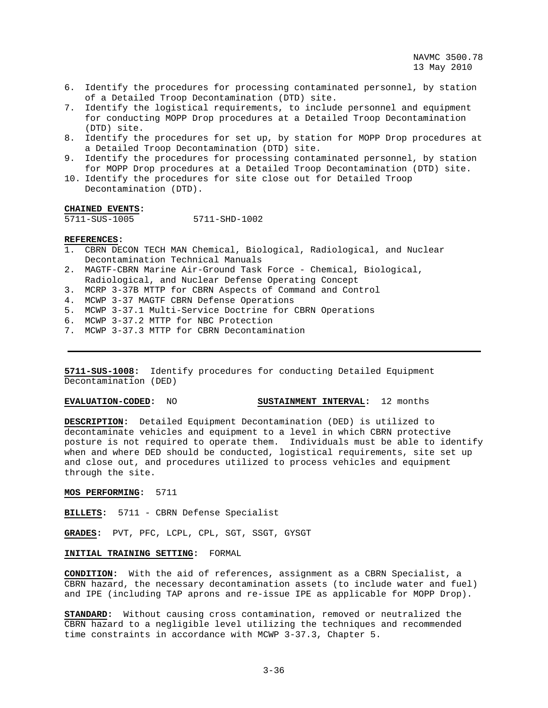- 6. Identify the procedures for processing contaminated personnel, by station of a Detailed Troop Decontamination (DTD) site.
- 7. Identify the logistical requirements, to include personnel and equipment for conducting MOPP Drop procedures at a Detailed Troop Decontamination (DTD) site.
- 8. Identify the procedures for set up, by station for MOPP Drop procedures at a Detailed Troop Decontamination (DTD) site.
- 9. Identify the procedures for processing contaminated personnel, by station for MOPP Drop procedures at a Detailed Troop Decontamination (DTD) site.
- 10. Identify the procedures for site close out for Detailed Troop Decontamination (DTD).

# **CHAINED EVENTS:**

5711-SUS-1005 5711-SHD-1002

# **REFERENCES:**

- 1. CBRN DECON TECH MAN Chemical, Biological, Radiological, and Nuclear Decontamination Technical Manuals
- 2. MAGTF-CBRN Marine Air-Ground Task Force Chemical, Biological, Radiological, and Nuclear Defense Operating Concept
- 3. MCRP 3-37B MTTP for CBRN Aspects of Command and Control
- 4. MCWP 3-37 MAGTF CBRN Defense Operations
- 5. MCWP 3-37.1 Multi-Service Doctrine for CBRN Operations
- 6. MCWP 3-37.2 MTTP for NBC Protection
- 7. MCWP 3-37.3 MTTP for CBRN Decontamination

**5711-SUS-1008:** Identify procedures for conducting Detailed Equipment Decontamination (DED)

**EVALUATION-CODED:** NO **SUSTAINMENT INTERVAL:** 12 months

**DESCRIPTION:** Detailed Equipment Decontamination (DED) is utilized to decontaminate vehicles and equipment to a level in which CBRN protective posture is not required to operate them. Individuals must be able to identify when and where DED should be conducted, logistical requirements, site set up and close out, and procedures utilized to process vehicles and equipment through the site.

#### **MOS PERFORMING:** 5711

**BILLETS:** 5711 - CBRN Defense Specialist

**GRADES:** PVT, PFC, LCPL, CPL, SGT, SSGT, GYSGT

#### **INITIAL TRAINING SETTING:** FORMAL

**CONDITION:** With the aid of references, assignment as a CBRN Specialist, a CBRN hazard, the necessary decontamination assets (to include water and fuel) and IPE (including TAP aprons and re-issue IPE as applicable for MOPP Drop).

**STANDARD:** Without causing cross contamination, removed or neutralized the CBRN hazard to a negligible level utilizing the techniques and recommended time constraints in accordance with MCWP 3-37.3, Chapter 5.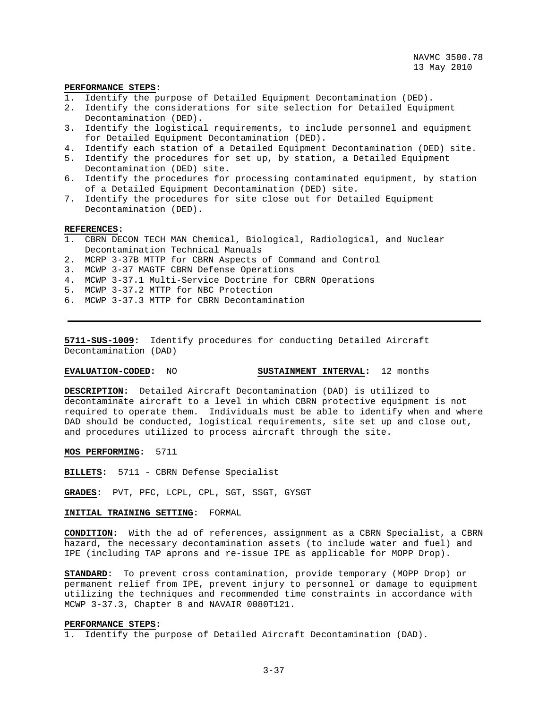# **PERFORMANCE STEPS:**

- 1. Identify the purpose of Detailed Equipment Decontamination (DED).
- 2. Identify the considerations for site selection for Detailed Equipment Decontamination (DED).
- 3. Identify the logistical requirements, to include personnel and equipment for Detailed Equipment Decontamination (DED).
- 4. Identify each station of a Detailed Equipment Decontamination (DED) site.
- 5. Identify the procedures for set up, by station, a Detailed Equipment Decontamination (DED) site.
- 6. Identify the procedures for processing contaminated equipment, by station of a Detailed Equipment Decontamination (DED) site.
- 7. Identify the procedures for site close out for Detailed Equipment Decontamination (DED).

#### **REFERENCES:**

- 1. CBRN DECON TECH MAN Chemical, Biological, Radiological, and Nuclear Decontamination Technical Manuals
- 2. MCRP 3-37B MTTP for CBRN Aspects of Command and Control
- 3. MCWP 3-37 MAGTF CBRN Defense Operations
- 4. MCWP 3-37.1 Multi-Service Doctrine for CBRN Operations
- 5. MCWP 3-37.2 MTTP for NBC Protection
- 6. MCWP 3-37.3 MTTP for CBRN Decontamination

**5711-SUS-1009:** Identify procedures for conducting Detailed Aircraft Decontamination (DAD)

# **EVALUATION-CODED:** NO **SUSTAINMENT INTERVAL:** 12 months

**DESCRIPTION:** Detailed Aircraft Decontamination (DAD) is utilized to decontaminate aircraft to a level in which CBRN protective equipment is not required to operate them. Individuals must be able to identify when and where DAD should be conducted, logistical requirements, site set up and close out, and procedures utilized to process aircraft through the site.

**MOS PERFORMING:** 5711

**BILLETS:** 5711 - CBRN Defense Specialist

**GRADES:** PVT, PFC, LCPL, CPL, SGT, SSGT, GYSGT

# **INITIAL TRAINING SETTING:** FORMAL

**CONDITION:** With the ad of references, assignment as a CBRN Specialist, a CBRN hazard, the necessary decontamination assets (to include water and fuel) and IPE (including TAP aprons and re-issue IPE as applicable for MOPP Drop).

**STANDARD:** To prevent cross contamination, provide temporary (MOPP Drop) or permanent relief from IPE, prevent injury to personnel or damage to equipment utilizing the techniques and recommended time constraints in accordance with MCWP 3-37.3, Chapter 8 and NAVAIR 0080T121.

# **PERFORMANCE STEPS:**

1. Identify the purpose of Detailed Aircraft Decontamination (DAD).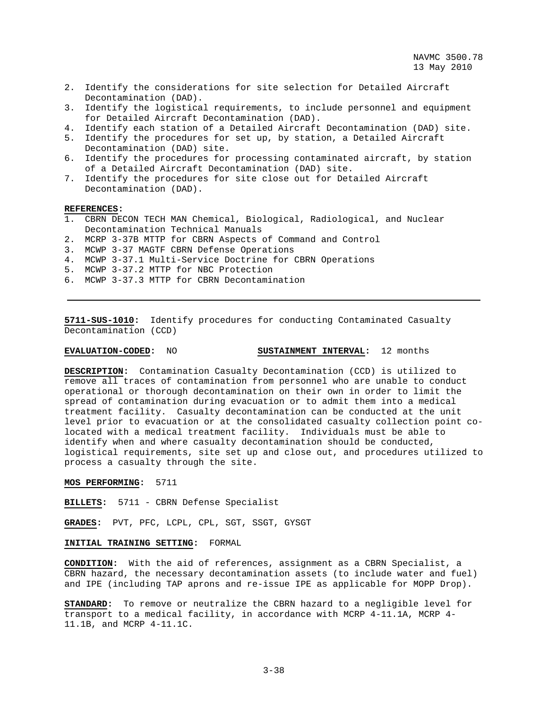- 2. Identify the considerations for site selection for Detailed Aircraft Decontamination (DAD).
- 3. Identify the logistical requirements, to include personnel and equipment for Detailed Aircraft Decontamination (DAD).
- 4. Identify each station of a Detailed Aircraft Decontamination (DAD) site.
- 5. Identify the procedures for set up, by station, a Detailed Aircraft Decontamination (DAD) site.
- 6. Identify the procedures for processing contaminated aircraft, by station of a Detailed Aircraft Decontamination (DAD) site.
- 7. Identify the procedures for site close out for Detailed Aircraft Decontamination (DAD).

#### **REFERENCES:**

- 1. CBRN DECON TECH MAN Chemical, Biological, Radiological, and Nuclear Decontamination Technical Manuals
- 2. MCRP 3-37B MTTP for CBRN Aspects of Command and Control
- 3. MCWP 3-37 MAGTF CBRN Defense Operations
- 4. MCWP 3-37.1 Multi-Service Doctrine for CBRN Operations
- 5. MCWP 3-37.2 MTTP for NBC Protection
- 6. MCWP 3-37.3 MTTP for CBRN Decontamination

**5711-SUS-1010:** Identify procedures for conducting Contaminated Casualty Decontamination (CCD)

# **EVALUATION-CODED:** NO **SUSTAINMENT INTERVAL:** 12 months

**DESCRIPTION:** Contamination Casualty Decontamination (CCD) is utilized to remove all traces of contamination from personnel who are unable to conduct operational or thorough decontamination on their own in order to limit the spread of contamination during evacuation or to admit them into a medical treatment facility. Casualty decontamination can be conducted at the unit level prior to evacuation or at the consolidated casualty collection point colocated with a medical treatment facility. Individuals must be able to identify when and where casualty decontamination should be conducted, logistical requirements, site set up and close out, and procedures utilized to process a casualty through the site.

**MOS PERFORMING:** 5711

**BILLETS:** 5711 - CBRN Defense Specialist

**GRADES:** PVT, PFC, LCPL, CPL, SGT, SSGT, GYSGT

# **INITIAL TRAINING SETTING:** FORMAL

**CONDITION:** With the aid of references, assignment as a CBRN Specialist, a CBRN hazard, the necessary decontamination assets (to include water and fuel) and IPE (including TAP aprons and re-issue IPE as applicable for MOPP Drop).

**STANDARD:** To remove or neutralize the CBRN hazard to a negligible level for transport to a medical facility, in accordance with MCRP 4-11.1A, MCRP 4- 11.1B, and MCRP 4-11.1C.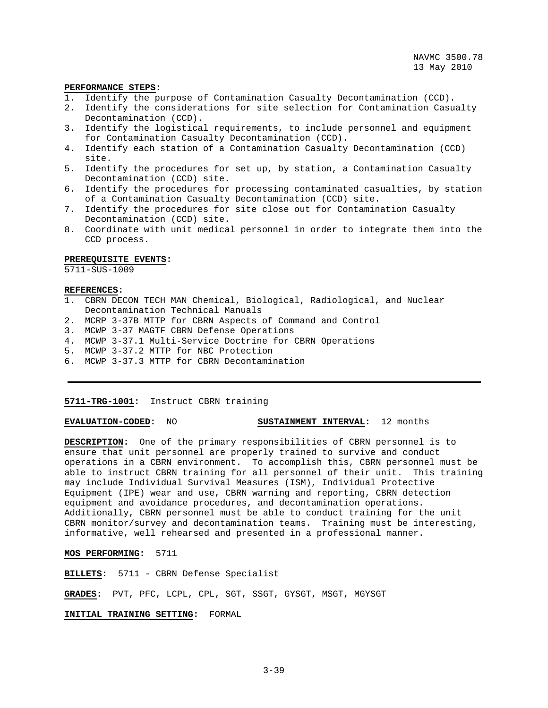# **PERFORMANCE STEPS:**

- 1. Identify the purpose of Contamination Casualty Decontamination (CCD).
- 2. Identify the considerations for site selection for Contamination Casualty Decontamination (CCD).
- 3. Identify the logistical requirements, to include personnel and equipment for Contamination Casualty Decontamination (CCD).
- 4. Identify each station of a Contamination Casualty Decontamination (CCD) site.
- 5. Identify the procedures for set up, by station, a Contamination Casualty Decontamination (CCD) site.
- 6. Identify the procedures for processing contaminated casualties, by station of a Contamination Casualty Decontamination (CCD) site.
- 7. Identify the procedures for site close out for Contamination Casualty Decontamination (CCD) site.
- 8. Coordinate with unit medical personnel in order to integrate them into the CCD process.

#### **PREREQUISITE EVENTS:**

5711-SUS-1009

# **REFERENCES:**

- 1. CBRN DECON TECH MAN Chemical, Biological, Radiological, and Nuclear Decontamination Technical Manuals
- 2. MCRP 3-37B MTTP for CBRN Aspects of Command and Control
- 3. MCWP 3-37 MAGTF CBRN Defense Operations
- 4. MCWP 3-37.1 Multi-Service Doctrine for CBRN Operations
- 5. MCWP 3-37.2 MTTP for NBC Protection
- 6. MCWP 3-37.3 MTTP for CBRN Decontamination

# **5711-TRG-1001:** Instruct CBRN training

**EVALUATION-CODED:** NO **SUSTAINMENT INTERVAL:** 12 months

**DESCRIPTION:** One of the primary responsibilities of CBRN personnel is to ensure that unit personnel are properly trained to survive and conduct operations in a CBRN environment. To accomplish this, CBRN personnel must be able to instruct CBRN training for all personnel of their unit. This training may include Individual Survival Measures (ISM), Individual Protective Equipment (IPE) wear and use, CBRN warning and reporting, CBRN detection equipment and avoidance procedures, and decontamination operations. Additionally, CBRN personnel must be able to conduct training for the unit CBRN monitor/survey and decontamination teams. Training must be interesting, informative, well rehearsed and presented in a professional manner.

#### **MOS PERFORMING:** 5711

**BILLETS:** 5711 - CBRN Defense Specialist

**GRADES:** PVT, PFC, LCPL, CPL, SGT, SSGT, GYSGT, MSGT, MGYSGT

# **INITIAL TRAINING SETTING:** FORMAL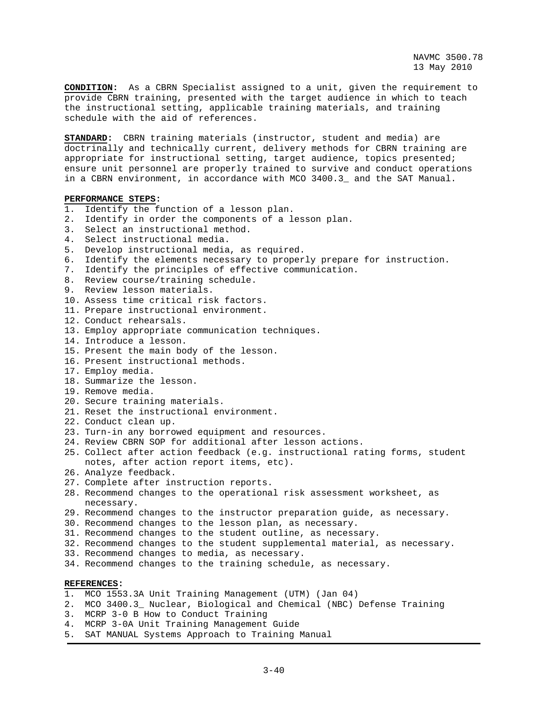**CONDITION:** As a CBRN Specialist assigned to a unit, given the requirement to provide CBRN training, presented with the target audience in which to teach the instructional setting, applicable training materials, and training schedule with the aid of references.

**STANDARD:** CBRN training materials (instructor, student and media) are doctrinally and technically current, delivery methods for CBRN training are appropriate for instructional setting, target audience, topics presented; ensure unit personnel are properly trained to survive and conduct operations in a CBRN environment, in accordance with MCO 3400.3\_ and the SAT Manual.

# **PERFORMANCE STEPS:**

- 1. Identify the function of a lesson plan.
- 2. Identify in order the components of a lesson plan.
- 3. Select an instructional method.
- 4. Select instructional media.
- 5. Develop instructional media, as required.
- 6. Identify the elements necessary to properly prepare for instruction.
- 7. Identify the principles of effective communication.
- 8. Review course/training schedule.
- 9. Review lesson materials.
- 10. Assess time critical risk factors.
- 11. Prepare instructional environment.
- 12. Conduct rehearsals.
- 13. Employ appropriate communication techniques.
- 14. Introduce a lesson.
- 15. Present the main body of the lesson.
- 16. Present instructional methods.
- 17. Employ media.
- 18. Summarize the lesson.
- 19. Remove media.
- 20. Secure training materials.
- 21. Reset the instructional environment.
- 22. Conduct clean up.
- 23. Turn-in any borrowed equipment and resources.
- 24. Review CBRN SOP for additional after lesson actions.
- 25. Collect after action feedback (e.g. instructional rating forms, student notes, after action report items, etc).
- 26. Analyze feedback.
- 27. Complete after instruction reports.
- 28. Recommend changes to the operational risk assessment worksheet, as necessary.
- 29. Recommend changes to the instructor preparation guide, as necessary.
- 30. Recommend changes to the lesson plan, as necessary.
- 31. Recommend changes to the student outline, as necessary.
- 32. Recommend changes to the student supplemental material, as necessary.
- 33. Recommend changes to media, as necessary.
- 34. Recommend changes to the training schedule, as necessary.

# **REFERENCES:**

- 1. MCO 1553.3A Unit Training Management (UTM) (Jan 04)
- 2. MCO 3400.3\_ Nuclear, Biological and Chemical (NBC) Defense Training
- 3. MCRP 3-0 B How to Conduct Training
- 4. MCRP 3-0A Unit Training Management Guide
- 5. SAT MANUAL Systems Approach to Training Manual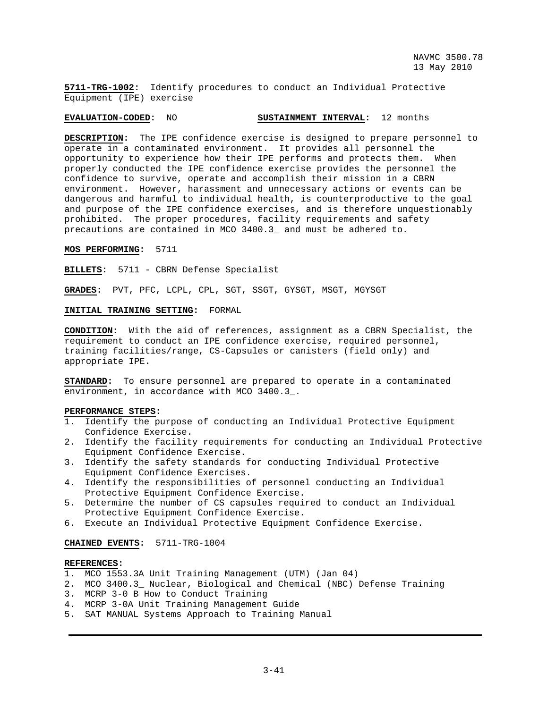**5711-TRG-1002:** Identify procedures to conduct an Individual Protective Equipment (IPE) exercise

# **EVALUATION-CODED:** NO **SUSTAINMENT INTERVAL:** 12 months

**DESCRIPTION:** The IPE confidence exercise is designed to prepare personnel to operate in a contaminated environment. It provides all personnel the opportunity to experience how their IPE performs and protects them. When properly conducted the IPE confidence exercise provides the personnel the confidence to survive, operate and accomplish their mission in a CBRN environment. However, harassment and unnecessary actions or events can be dangerous and harmful to individual health, is counterproductive to the goal and purpose of the IPE confidence exercises, and is therefore unquestionably prohibited. The proper procedures, facility requirements and safety precautions are contained in MCO 3400.3\_ and must be adhered to.

# **MOS PERFORMING:** 5711

**BILLETS:** 5711 - CBRN Defense Specialist

**GRADES:** PVT, PFC, LCPL, CPL, SGT, SSGT, GYSGT, MSGT, MGYSGT

# **INITIAL TRAINING SETTING:** FORMAL

**CONDITION:** With the aid of references, assignment as a CBRN Specialist, the requirement to conduct an IPE confidence exercise, required personnel, training facilities/range, CS-Capsules or canisters (field only) and appropriate IPE.

**STANDARD:** To ensure personnel are prepared to operate in a contaminated environment, in accordance with MCO 3400.3.

# **PERFORMANCE STEPS:**

- 1. Identify the purpose of conducting an Individual Protective Equipment Confidence Exercise.
- 2. Identify the facility requirements for conducting an Individual Protective Equipment Confidence Exercise.
- 3. Identify the safety standards for conducting Individual Protective Equipment Confidence Exercises.
- 4. Identify the responsibilities of personnel conducting an Individual Protective Equipment Confidence Exercise.
- 5. Determine the number of CS capsules required to conduct an Individual Protective Equipment Confidence Exercise.
- 6. Execute an Individual Protective Equipment Confidence Exercise.

# **CHAINED EVENTS:** 5711-TRG-1004

#### **REFERENCES:**

- 1. MCO 1553.3A Unit Training Management (UTM) (Jan 04)
- 2. MCO 3400.3\_ Nuclear, Biological and Chemical (NBC) Defense Training
- 3. MCRP 3-0 B How to Conduct Training
- 4. MCRP 3-0A Unit Training Management Guide
- 5. SAT MANUAL Systems Approach to Training Manual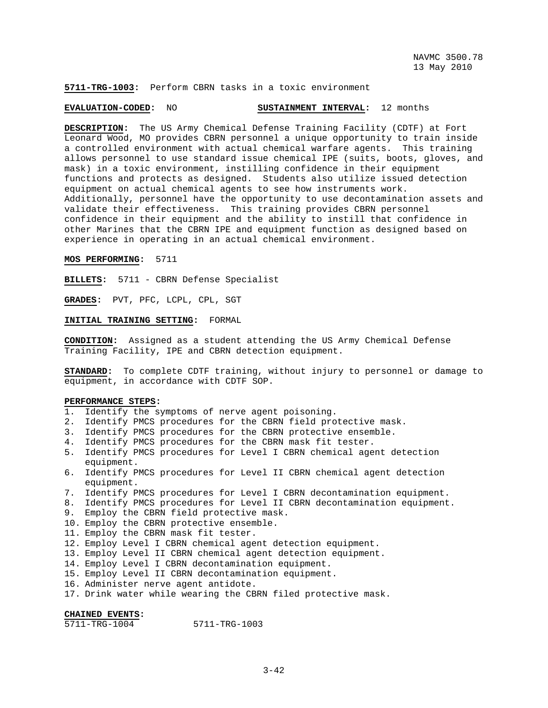**5711-TRG-1003:** Perform CBRN tasks in a toxic environment

# **EVALUATION-CODED:** NO **SUSTAINMENT INTERVAL:** 12 months

**DESCRIPTION:** The US Army Chemical Defense Training Facility (CDTF) at Fort Leonard Wood, MO provides CBRN personnel a unique opportunity to train inside a controlled environment with actual chemical warfare agents. This training allows personnel to use standard issue chemical IPE (suits, boots, gloves, and mask) in a toxic environment, instilling confidence in their equipment functions and protects as designed. Students also utilize issued detection equipment on actual chemical agents to see how instruments work. Additionally, personnel have the opportunity to use decontamination assets and validate their effectiveness. This training provides CBRN personnel confidence in their equipment and the ability to instill that confidence in other Marines that the CBRN IPE and equipment function as designed based on experience in operating in an actual chemical environment.

**MOS PERFORMING:** 5711

**BILLETS:** 5711 - CBRN Defense Specialist

**GRADES:** PVT, PFC, LCPL, CPL, SGT

**INITIAL TRAINING SETTING:** FORMAL

**CONDITION:** Assigned as a student attending the US Army Chemical Defense Training Facility, IPE and CBRN detection equipment.

**STANDARD:** To complete CDTF training, without injury to personnel or damage to equipment, in accordance with CDTF SOP.

# **PERFORMANCE STEPS:**

- 1. Identify the symptoms of nerve agent poisoning.
- 2. Identify PMCS procedures for the CBRN field protective mask.
- 3. Identify PMCS procedures for the CBRN protective ensemble.
- 4. Identify PMCS procedures for the CBRN mask fit tester.
- 5. Identify PMCS procedures for Level I CBRN chemical agent detection equipment.
- 6. Identify PMCS procedures for Level II CBRN chemical agent detection equipment.
- 7. Identify PMCS procedures for Level I CBRN decontamination equipment.
- 8. Identify PMCS procedures for Level II CBRN decontamination equipment.
- 9. Employ the CBRN field protective mask.
- 10. Employ the CBRN protective ensemble.
- 11. Employ the CBRN mask fit tester.
- 12. Employ Level I CBRN chemical agent detection equipment.
- 13. Employ Level II CBRN chemical agent detection equipment.
- 14. Employ Level I CBRN decontamination equipment.
- 15. Employ Level II CBRN decontamination equipment.
- 16. Administer nerve agent antidote.
- 17. Drink water while wearing the CBRN filed protective mask.

# **CHAINED EVENTS:**

5711-TRG-1004 5711-TRG-1003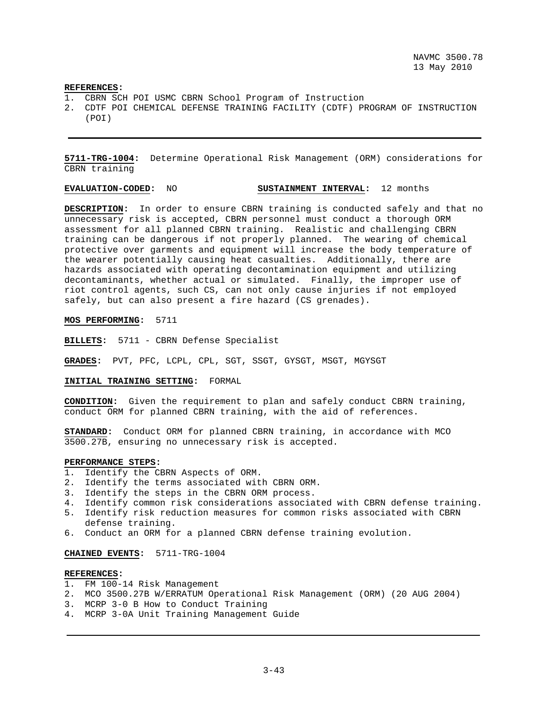**REFERENCES:**

- 1. CBRN SCH POI USMC CBRN School Program of Instruction
- 2. CDTF POI CHEMICAL DEFENSE TRAINING FACILITY (CDTF) PROGRAM OF INSTRUCTION (POI)

**5711-TRG-1004:** Determine Operational Risk Management (ORM) considerations for CBRN training

**EVALUATION-CODED:** NO **SUSTAINMENT INTERVAL:** 12 months

**DESCRIPTION:** In order to ensure CBRN training is conducted safely and that no unnecessary risk is accepted, CBRN personnel must conduct a thorough ORM assessment for all planned CBRN training. Realistic and challenging CBRN training can be dangerous if not properly planned. The wearing of chemical protective over garments and equipment will increase the body temperature of the wearer potentially causing heat casualties. Additionally, there are hazards associated with operating decontamination equipment and utilizing decontaminants, whether actual or simulated. Finally, the improper use of riot control agents, such CS, can not only cause injuries if not employed safely, but can also present a fire hazard (CS grenades).

#### **MOS PERFORMING:** 5711

**BILLETS:** 5711 - CBRN Defense Specialist

**GRADES:** PVT, PFC, LCPL, CPL, SGT, SSGT, GYSGT, MSGT, MGYSGT

#### **INITIAL TRAINING SETTING:** FORMAL

**CONDITION:** Given the requirement to plan and safely conduct CBRN training, conduct ORM for planned CBRN training, with the aid of references.

**STANDARD:** Conduct ORM for planned CBRN training, in accordance with MCO 3500.27B, ensuring no unnecessary risk is accepted.

# **PERFORMANCE STEPS:**

- 1. Identify the CBRN Aspects of ORM.
- 2. Identify the terms associated with CBRN ORM.
- 3. Identify the steps in the CBRN ORM process.
- 4. Identify common risk considerations associated with CBRN defense training.
- 5. Identify risk reduction measures for common risks associated with CBRN defense training.
- 6. Conduct an ORM for a planned CBRN defense training evolution.

# **CHAINED EVENTS:** 5711-TRG-1004

#### **REFERENCES:**

- 1. FM 100-14 Risk Management
- 2. MCO 3500.27B W/ERRATUM Operational Risk Management (ORM) (20 AUG 2004)
- 3. MCRP 3-0 B How to Conduct Training
- 4. MCRP 3-0A Unit Training Management Guide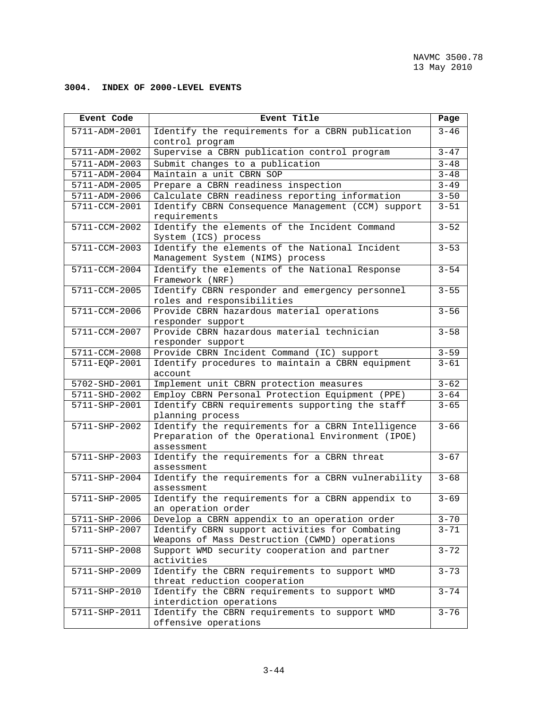# **3004. INDEX OF 2000-LEVEL EVENTS**

| Event Code    | Event Title                                                                   | Page     |
|---------------|-------------------------------------------------------------------------------|----------|
| 5711-ADM-2001 | Identify the requirements for a CBRN publication                              | $3 - 46$ |
|               | control program                                                               |          |
| 5711-ADM-2002 | Supervise a CBRN publication control program                                  | $3 - 47$ |
| 5711-ADM-2003 | Submit changes to a publication                                               | $3 - 48$ |
| 5711-ADM-2004 | Maintain a unit CBRN SOP                                                      | $3 - 48$ |
| 5711-ADM-2005 | Prepare a CBRN readiness inspection                                           | $3 - 49$ |
| 5711-ADM-2006 | Calculate CBRN readiness reporting information                                | $3 - 50$ |
| 5711-CCM-2001 | Identify CBRN Consequence Management (CCM) support                            | $3 - 51$ |
|               | requirements                                                                  |          |
| 5711-CCM-2002 | Identify the elements of the Incident Command                                 | $3 - 52$ |
|               | System (ICS) process                                                          |          |
| 5711-CCM-2003 | Identify the elements of the National Incident                                | $3 - 53$ |
|               | Management System (NIMS) process                                              |          |
| 5711-CCM-2004 | Identify the elements of the National Response                                | $3 - 54$ |
|               | Framework (NRF)                                                               |          |
| 5711-CCM-2005 | Identify CBRN responder and emergency personnel                               | $3 - 55$ |
|               | roles and responsibilities                                                    |          |
| 5711-CCM-2006 | Provide CBRN hazardous material operations                                    | $3 - 56$ |
|               | responder support                                                             |          |
| 5711-CCM-2007 | Provide CBRN hazardous material technician                                    | $3 - 58$ |
|               | responder support                                                             |          |
| 5711-CCM-2008 | Provide CBRN Incident Command (IC) support                                    | $3 - 59$ |
| 5711-EQP-2001 | Identify procedures to maintain a CBRN equipment                              | $3 - 61$ |
|               | account                                                                       |          |
| 5702-SHD-2001 | Implement unit CBRN protection measures                                       | $3 - 62$ |
| 5711-SHD-2002 | Employ CBRN Personal Protection Equipment (PPE)                               | $3 - 64$ |
| 5711-SHP-2001 | Identify CBRN requirements supporting the staff                               | $3 - 65$ |
|               | planning process                                                              |          |
| 5711-SHP-2002 | Identify the requirements for a CBRN Intelligence                             | $3 - 66$ |
|               | Preparation of the Operational Environment (IPOE)                             |          |
|               | assessment                                                                    |          |
| 5711-SHP-2003 | Identify the requirements for a CBRN threat                                   | $3 - 67$ |
|               | assessment                                                                    |          |
| 5711-SHP-2004 | Identify the requirements for a CBRN vulnerability                            | $3 - 68$ |
|               | assessment                                                                    |          |
| 5711-SHP-2005 | Identify the requirements for a CBRN appendix to                              | $3 - 69$ |
|               | an operation order                                                            |          |
| 5711-SHP-2006 | Develop a CBRN appendix to an operation order                                 | $3 - 70$ |
| 5711-SHP-2007 | Identify CBRN support activities for Combating                                | $3 - 71$ |
|               | Weapons of Mass Destruction (CWMD) operations                                 |          |
| 5711-SHP-2008 | Support WMD security cooperation and partner                                  | $3 - 72$ |
| 5711-SHP-2009 | activities                                                                    |          |
|               | Identify the CBRN requirements to support WMD                                 | $3 - 73$ |
| 5711-SHP-2010 | threat reduction cooperation<br>Identify the CBRN requirements to support WMD | $3 - 74$ |
|               | interdiction operations                                                       |          |
| 5711-SHP-2011 | Identify the CBRN requirements to support WMD                                 | $3 - 76$ |
|               | offensive operations                                                          |          |
|               |                                                                               |          |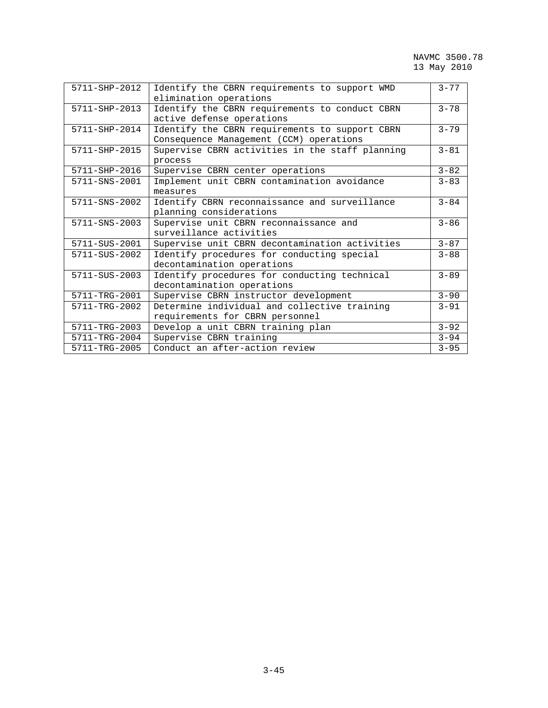| 5711-SHP-2012 | Identify the CBRN requirements to support WMD   | $3 - 77$ |
|---------------|-------------------------------------------------|----------|
|               | elimination operations                          |          |
| 5711-SHP-2013 | Identify the CBRN requirements to conduct CBRN  | $3 - 78$ |
|               | active defense operations                       |          |
| 5711-SHP-2014 | Identify the CBRN requirements to support CBRN  | $3 - 79$ |
|               | Consequence Management (CCM) operations         |          |
| 5711-SHP-2015 | Supervise CBRN activities in the staff planning | $3 - 81$ |
|               | process                                         |          |
| 5711-SHP-2016 | Supervise CBRN center operations                | $3 - 82$ |
| 5711-SNS-2001 | Implement unit CBRN contamination avoidance     | $3 - 83$ |
|               | measures                                        |          |
| 5711-SNS-2002 | Identify CBRN reconnaissance and surveillance   | $3 - 84$ |
|               | planning considerations                         |          |
| 5711-SNS-2003 | Supervise unit CBRN reconnaissance and          | $3 - 86$ |
|               | surveillance activities                         |          |
| 5711-SUS-2001 | Supervise unit CBRN decontamination activities  | $3 - 87$ |
| 5711-SUS-2002 | Identify procedures for conducting special      | $3 - 88$ |
|               | decontamination operations                      |          |
| 5711-SUS-2003 | Identify procedures for conducting technical    | $3 - 89$ |
|               | decontamination operations                      |          |
| 5711-TRG-2001 | Supervise CBRN instructor development           | $3 - 90$ |
| 5711-TRG-2002 | Determine individual and collective training    | $3 - 91$ |
|               | requirements for CBRN personnel                 |          |
| 5711-TRG-2003 | Develop a unit CBRN training plan               | $3 - 92$ |
| 5711-TRG-2004 | Supervise CBRN training                         | $3 - 94$ |
| 5711-TRG-2005 | Conduct an after-action review                  | $3 - 95$ |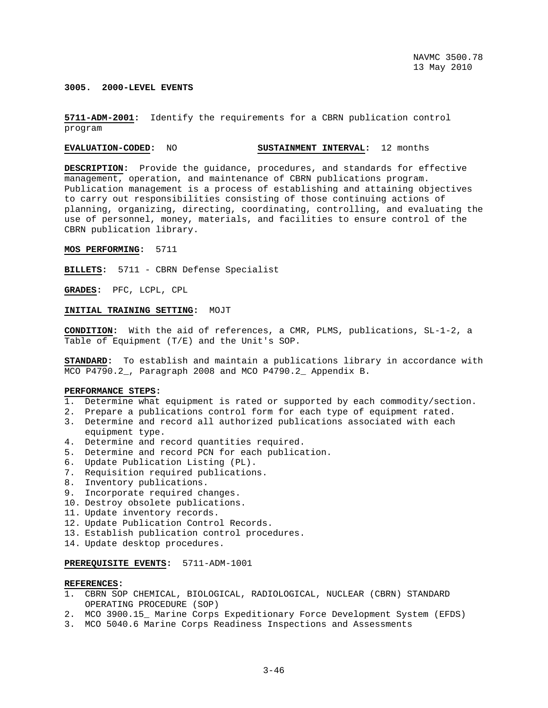# **3005. 2000-LEVEL EVENTS**

**5711-ADM-2001:** Identify the requirements for a CBRN publication control program

# **EVALUATION-CODED:** NO **SUSTAINMENT INTERVAL:** 12 months

**DESCRIPTION:** Provide the guidance, procedures, and standards for effective management, operation, and maintenance of CBRN publications program. Publication management is a process of establishing and attaining objectives to carry out responsibilities consisting of those continuing actions of planning, organizing, directing, coordinating, controlling, and evaluating the use of personnel, money, materials, and facilities to ensure control of the CBRN publication library.

**MOS PERFORMING:** 5711

**BILLETS:** 5711 - CBRN Defense Specialist

**GRADES:** PFC, LCPL, CPL

# **INITIAL TRAINING SETTING:** MOJT

**CONDITION:** With the aid of references, a CMR, PLMS, publications, SL-1-2, a Table of Equipment (T/E) and the Unit's SOP.

**STANDARD:** To establish and maintain a publications library in accordance with MCO P4790.2\_, Paragraph 2008 and MCO P4790.2\_ Appendix B.

#### **PERFORMANCE STEPS:**

- 1. Determine what equipment is rated or supported by each commodity/section.
- 2. Prepare a publications control form for each type of equipment rated. 3. Determine and record all authorized publications associated with each
- equipment type.
- 4. Determine and record quantities required.
- 5. Determine and record PCN for each publication.
- 6. Update Publication Listing (PL).
- 7. Requisition required publications.
- 8. Inventory publications.
- 9. Incorporate required changes.
- 10. Destroy obsolete publications.
- 11. Update inventory records.
- 12. Update Publication Control Records.
- 13. Establish publication control procedures.
- 14. Update desktop procedures.

#### **PREREQUISITE EVENTS:** 5711-ADM-1001

# **REFERENCES:**

- 1. CBRN SOP CHEMICAL, BIOLOGICAL, RADIOLOGICAL, NUCLEAR (CBRN) STANDARD OPERATING PROCEDURE (SOP)
- 2. MCO 3900.15\_ Marine Corps Expeditionary Force Development System (EFDS)
- 3. MCO 5040.6 Marine Corps Readiness Inspections and Assessments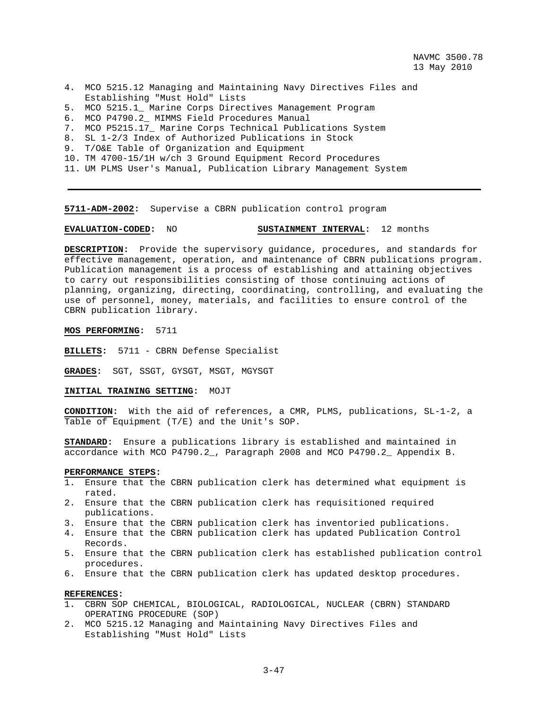- 4. MCO 5215.12 Managing and Maintaining Navy Directives Files and Establishing "Must Hold" Lists 5. MCO 5215.1\_ Marine Corps Directives Management Program
- 6. MCO P4790.2\_ MIMMS Field Procedures Manual
- 7. MCO P5215.17\_ Marine Corps Technical Publications System
- 8. SL 1-2/3 Index of Authorized Publications in Stock
- 9. T/O&E Table of Organization and Equipment
- 10. TM 4700-15/1H w/ch 3 Ground Equipment Record Procedures
- 11. UM PLMS User's Manual, Publication Library Management System

**5711-ADM-2002:** Supervise a CBRN publication control program

# **EVALUATION-CODED:** NO **SUSTAINMENT INTERVAL:** 12 months

**DESCRIPTION:** Provide the supervisory guidance, procedures, and standards for effective management, operation, and maintenance of CBRN publications program. Publication management is a process of establishing and attaining objectives to carry out responsibilities consisting of those continuing actions of planning, organizing, directing, coordinating, controlling, and evaluating the use of personnel, money, materials, and facilities to ensure control of the CBRN publication library.

#### **MOS PERFORMING:** 5711

**BILLETS:** 5711 - CBRN Defense Specialist

**GRADES:** SGT, SSGT, GYSGT, MSGT, MGYSGT

**INITIAL TRAINING SETTING:** MOJT

**CONDITION:** With the aid of references, a CMR, PLMS, publications, SL-1-2, a Table of Equipment (T/E) and the Unit's SOP.

**STANDARD:** Ensure a publications library is established and maintained in accordance with MCO P4790.2\_, Paragraph 2008 and MCO P4790.2\_ Appendix B.

# **PERFORMANCE STEPS:**

- 1. Ensure that the CBRN publication clerk has determined what equipment is rated.
- 2. Ensure that the CBRN publication clerk has requisitioned required publications.
- 3. Ensure that the CBRN publication clerk has inventoried publications.
- 4. Ensure that the CBRN publication clerk has updated Publication Control Records.
- 5. Ensure that the CBRN publication clerk has established publication control procedures.
- 6. Ensure that the CBRN publication clerk has updated desktop procedures.

# **REFERENCES:**

- 1. CBRN SOP CHEMICAL, BIOLOGICAL, RADIOLOGICAL, NUCLEAR (CBRN) STANDARD OPERATING PROCEDURE (SOP)
- 2. MCO 5215.12 Managing and Maintaining Navy Directives Files and Establishing "Must Hold" Lists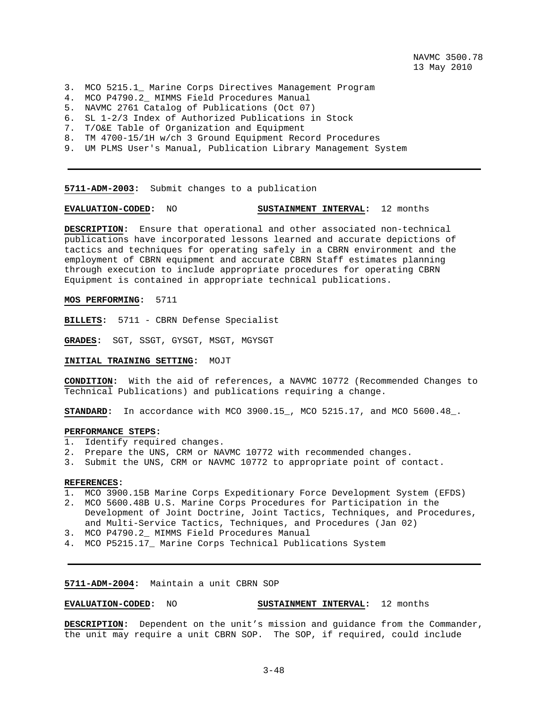- 3. MCO 5215.1\_ Marine Corps Directives Management Program
- 4. MCO P4790.2\_ MIMMS Field Procedures Manual
- 5. NAVMC 2761 Catalog of Publications (Oct 07)
- 6. SL 1-2/3 Index of Authorized Publications in Stock
- 7. T/O&E Table of Organization and Equipment
- 8. TM 4700-15/1H w/ch 3 Ground Equipment Record Procedures
- 9. UM PLMS User's Manual, Publication Library Management System

**5711-ADM-2003:** Submit changes to a publication

#### **EVALUATION-CODED:** NO **SUSTAINMENT INTERVAL:** 12 months

**DESCRIPTION:** Ensure that operational and other associated non-technical publications have incorporated lessons learned and accurate depictions of tactics and techniques for operating safely in a CBRN environment and the employment of CBRN equipment and accurate CBRN Staff estimates planning through execution to include appropriate procedures for operating CBRN Equipment is contained in appropriate technical publications.

**MOS PERFORMING:** 5711

**BILLETS:** 5711 - CBRN Defense Specialist

**GRADES:** SGT, SSGT, GYSGT, MSGT, MGYSGT

**INITIAL TRAINING SETTING:** MOJT

**CONDITION:** With the aid of references, a NAVMC 10772 (Recommended Changes to Technical Publications) and publications requiring a change.

**STANDARD:** In accordance with MCO 3900.15\_, MCO 5215.17, and MCO 5600.48\_.

# **PERFORMANCE STEPS:**

- 1. Identify required changes.
- 2. Prepare the UNS, CRM or NAVMC 10772 with recommended changes.
- 3. Submit the UNS, CRM or NAVMC 10772 to appropriate point of contact.

# **REFERENCES:**

- 1. MCO 3900.15B Marine Corps Expeditionary Force Development System (EFDS)
- 2. MCO 5600.48B U.S. Marine Corps Procedures for Participation in the Development of Joint Doctrine, Joint Tactics, Techniques, and Procedures, and Multi-Service Tactics, Techniques, and Procedures (Jan 02)
- 3. MCO P4790.2\_ MIMMS Field Procedures Manual
- 4. MCO P5215.17\_ Marine Corps Technical Publications System

# **5711-ADM-2004:** Maintain a unit CBRN SOP

**EVALUATION-CODED:** NO **SUSTAINMENT INTERVAL:** 12 months

**DESCRIPTION:** Dependent on the unit's mission and guidance from the Commander, the unit may require a unit CBRN SOP. The SOP, if required, could include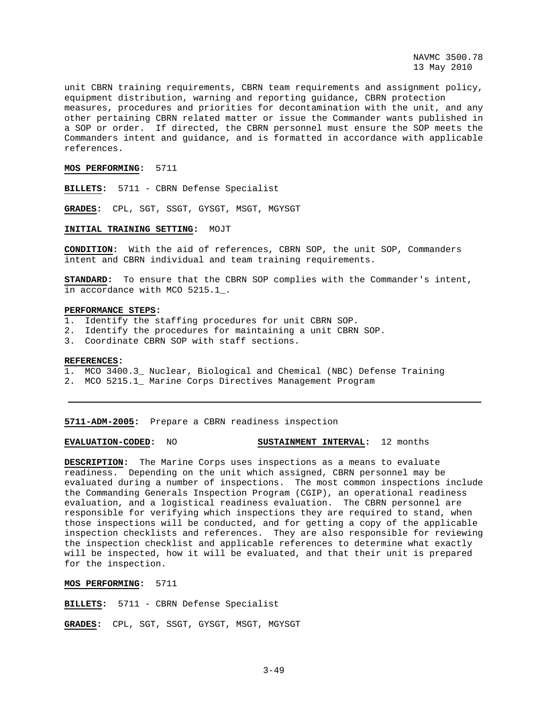unit CBRN training requirements, CBRN team requirements and assignment policy, equipment distribution, warning and reporting guidance, CBRN protection measures, procedures and priorities for decontamination with the unit, and any other pertaining CBRN related matter or issue the Commander wants published in a SOP or order. If directed, the CBRN personnel must ensure the SOP meets the Commanders intent and guidance, and is formatted in accordance with applicable references.

**MOS PERFORMING:** 5711

**BILLETS:** 5711 - CBRN Defense Specialist

**GRADES:** CPL, SGT, SSGT, GYSGT, MSGT, MGYSGT

**INITIAL TRAINING SETTING:** MOJT

**CONDITION:** With the aid of references, CBRN SOP, the unit SOP, Commanders intent and CBRN individual and team training requirements.

**STANDARD:** To ensure that the CBRN SOP complies with the Commander's intent, in accordance with MCO 5215.1\_.

# **PERFORMANCE STEPS:**

- 1. Identify the staffing procedures for unit CBRN SOP.
- 2. Identify the procedures for maintaining a unit CBRN SOP.
- 3. Coordinate CBRN SOP with staff sections.

#### **REFERENCES:**

- 1. MCO 3400.3\_ Nuclear, Biological and Chemical (NBC) Defense Training
- 2. MCO 5215.1\_ Marine Corps Directives Management Program

**5711-ADM-2005:** Prepare a CBRN readiness inspection

**EVALUATION-CODED:** NO **SUSTAINMENT INTERVAL:** 12 months

**DESCRIPTION:** The Marine Corps uses inspections as a means to evaluate readiness. Depending on the unit which assigned, CBRN personnel may be evaluated during a number of inspections. The most common inspections include the Commanding Generals Inspection Program (CGIP), an operational readiness evaluation, and a logistical readiness evaluation. The CBRN personnel are responsible for verifying which inspections they are required to stand, when those inspections will be conducted, and for getting a copy of the applicable inspection checklists and references. They are also responsible for reviewing the inspection checklist and applicable references to determine what exactly will be inspected, how it will be evaluated, and that their unit is prepared for the inspection.

**MOS PERFORMING:** 5711

**BILLETS:** 5711 - CBRN Defense Specialist

**GRADES:** CPL, SGT, SSGT, GYSGT, MSGT, MGYSGT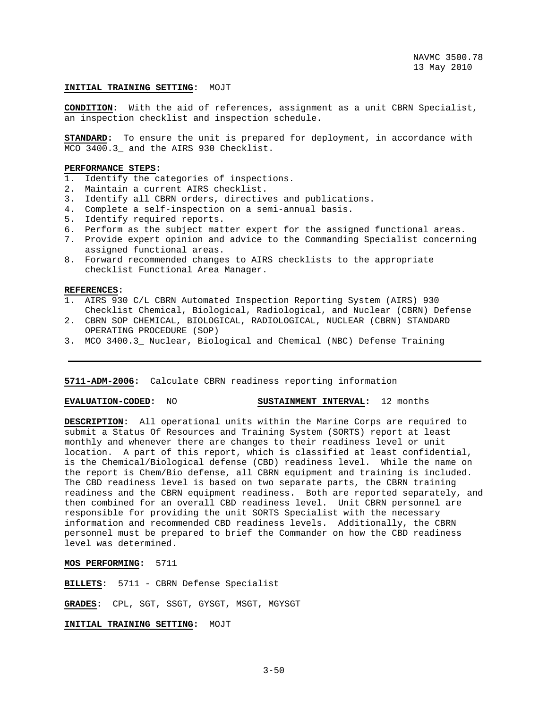# **INITIAL TRAINING SETTING:** MOJT

**CONDITION:** With the aid of references, assignment as a unit CBRN Specialist, an inspection checklist and inspection schedule.

**STANDARD:** To ensure the unit is prepared for deployment, in accordance with MCO 3400.3\_ and the AIRS 930 Checklist.

# **PERFORMANCE STEPS:**

1. Identify the categories of inspections.

- 2. Maintain a current AIRS checklist.
- 3. Identify all CBRN orders, directives and publications.
- 4. Complete a self-inspection on a semi-annual basis.
- 5. Identify required reports.
- 6. Perform as the subject matter expert for the assigned functional areas.
- 7. Provide expert opinion and advice to the Commanding Specialist concerning assigned functional areas.
- 8. Forward recommended changes to AIRS checklists to the appropriate checklist Functional Area Manager.

# **REFERENCES:**

- 1. AIRS 930 C/L CBRN Automated Inspection Reporting System (AIRS) 930 Checklist Chemical, Biological, Radiological, and Nuclear (CBRN) Defense
- 2. CBRN SOP CHEMICAL, BIOLOGICAL, RADIOLOGICAL, NUCLEAR (CBRN) STANDARD OPERATING PROCEDURE (SOP)
- 3. MCO 3400.3\_ Nuclear, Biological and Chemical (NBC) Defense Training

#### **5711-ADM-2006:** Calculate CBRN readiness reporting information

**EVALUATION-CODED:** NO **SUSTAINMENT INTERVAL:** 12 months

**DESCRIPTION:** All operational units within the Marine Corps are required to submit a Status Of Resources and Training System (SORTS) report at least monthly and whenever there are changes to their readiness level or unit location. A part of this report, which is classified at least confidential, is the Chemical/Biological defense (CBD) readiness level. While the name on the report is Chem/Bio defense, all CBRN equipment and training is included. The CBD readiness level is based on two separate parts, the CBRN training readiness and the CBRN equipment readiness. Both are reported separately, and then combined for an overall CBD readiness level. Unit CBRN personnel are responsible for providing the unit SORTS Specialist with the necessary information and recommended CBD readiness levels. Additionally, the CBRN personnel must be prepared to brief the Commander on how the CBD readiness level was determined.

#### **MOS PERFORMING:** 5711

**BILLETS:** 5711 - CBRN Defense Specialist

**GRADES:** CPL, SGT, SSGT, GYSGT, MSGT, MGYSGT

# **INITIAL TRAINING SETTING:** MOJT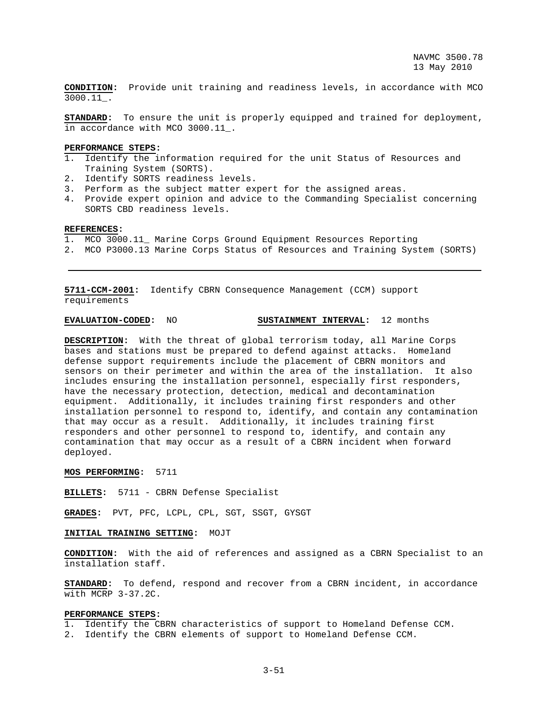**CONDITION:** Provide unit training and readiness levels, in accordance with MCO 3000.11\_.

**STANDARD:** To ensure the unit is properly equipped and trained for deployment, in accordance with MCO 3000.11\_.

#### **PERFORMANCE STEPS:**

- 1. Identify the information required for the unit Status of Resources and Training System (SORTS).
- 2. Identify SORTS readiness levels.
- 3. Perform as the subject matter expert for the assigned areas.
- 4. Provide expert opinion and advice to the Commanding Specialist concerning SORTS CBD readiness levels.

#### **REFERENCES:**

- 1. MCO 3000.11\_ Marine Corps Ground Equipment Resources Reporting
- 2. MCO P3000.13 Marine Corps Status of Resources and Training System (SORTS)

**5711-CCM-2001:** Identify CBRN Consequence Management (CCM) support requirements

**EVALUATION-CODED:** NO **SUSTAINMENT INTERVAL:** 12 months

**DESCRIPTION:** With the threat of global terrorism today, all Marine Corps bases and stations must be prepared to defend against attacks. Homeland defense support requirements include the placement of CBRN monitors and sensors on their perimeter and within the area of the installation. It also includes ensuring the installation personnel, especially first responders, have the necessary protection, detection, medical and decontamination equipment. Additionally, it includes training first responders and other installation personnel to respond to, identify, and contain any contamination that may occur as a result. Additionally, it includes training first responders and other personnel to respond to, identify, and contain any contamination that may occur as a result of a CBRN incident when forward deployed.

# **MOS PERFORMING:** 5711

**BILLETS:** 5711 - CBRN Defense Specialist

**GRADES:** PVT, PFC, LCPL, CPL, SGT, SSGT, GYSGT

#### **INITIAL TRAINING SETTING:** MOJT

**CONDITION:** With the aid of references and assigned as a CBRN Specialist to an installation staff.

**STANDARD:** To defend, respond and recover from a CBRN incident, in accordance with MCRP 3-37.2C.

- 1. Identify the CBRN characteristics of support to Homeland Defense CCM.
- 2. Identify the CBRN elements of support to Homeland Defense CCM.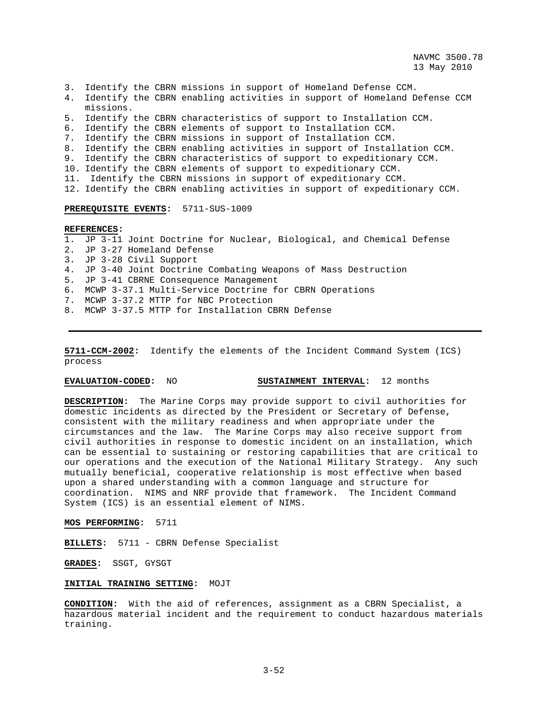- 3. Identify the CBRN missions in support of Homeland Defense CCM.
- 4. Identify the CBRN enabling activities in support of Homeland Defense CCM missions.
- 5. Identify the CBRN characteristics of support to Installation CCM.
- 6. Identify the CBRN elements of support to Installation CCM.
- 7. Identify the CBRN missions in support of Installation CCM.
- 8. Identify the CBRN enabling activities in support of Installation CCM.
- 9. Identify the CBRN characteristics of support to expeditionary CCM.
- 10. Identify the CBRN elements of support to expeditionary CCM.
- 11. Identify the CBRN missions in support of expeditionary CCM.
- 12. Identify the CBRN enabling activities in support of expeditionary CCM.

**PREREQUISITE EVENTS:** 5711-SUS-1009

#### **REFERENCES:**

1. JP 3-11 Joint Doctrine for Nuclear, Biological, and Chemical Defense 2. JP 3-27 Homeland Defense 3. JP 3-28 Civil Support 4. JP 3-40 Joint Doctrine Combating Weapons of Mass Destruction 5. JP 3-41 CBRNE Consequence Management 6. MCWP 3-37.1 Multi-Service Doctrine for CBRN Operations 7. MCWP 3-37.2 MTTP for NBC Protection 8. MCWP 3-37.5 MTTP for Installation CBRN Defense

**5711-CCM-2002:** Identify the elements of the Incident Command System (ICS) process

**EVALUATION-CODED:** NO **SUSTAINMENT INTERVAL:** 12 months

**DESCRIPTION:** The Marine Corps may provide support to civil authorities for domestic incidents as directed by the President or Secretary of Defense, consistent with the military readiness and when appropriate under the circumstances and the law. The Marine Corps may also receive support from civil authorities in response to domestic incident on an installation, which can be essential to sustaining or restoring capabilities that are critical to our operations and the execution of the National Military Strategy. Any such mutually beneficial, cooperative relationship is most effective when based upon a shared understanding with a common language and structure for coordination. NIMS and NRF provide that framework. The Incident Command System (ICS) is an essential element of NIMS.

**MOS PERFORMING:** 5711

**BILLETS:** 5711 - CBRN Defense Specialist

**GRADES:** SSGT, GYSGT

# **INITIAL TRAINING SETTING:** MOJT

**CONDITION:** With the aid of references, assignment as a CBRN Specialist, a hazardous material incident and the requirement to conduct hazardous materials training.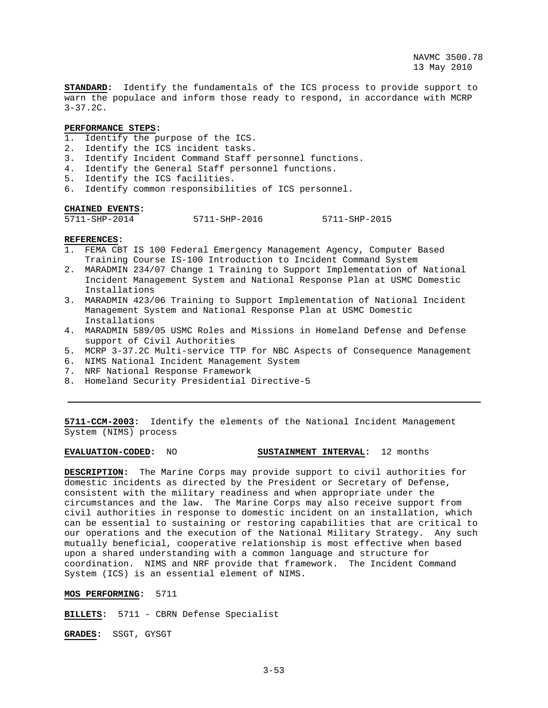**STANDARD:** Identify the fundamentals of the ICS process to provide support to warn the populace and inform those ready to respond, in accordance with MCRP 3-37.2C.

# **PERFORMANCE STEPS:**

- 1. Identify the purpose of the ICS.
- 2. Identify the ICS incident tasks.
- 3. Identify Incident Command Staff personnel functions.
- 4. Identify the General Staff personnel functions.
- 5. Identify the ICS facilities.
- 6. Identify common responsibilities of ICS personnel.

#### **CHAINED EVENTS:**

5711-SHP-2014 5711-SHP-2016 5711-SHP-2015

# **REFERENCES:**

- 1. FEMA CBT IS 100 Federal Emergency Management Agency, Computer Based Training Course IS-100 Introduction to Incident Command System
- 2. MARADMIN 234/07 Change 1 Training to Support Implementation of National Incident Management System and National Response Plan at USMC Domestic Installations
- 3. MARADMIN 423/06 Training to Support Implementation of National Incident Management System and National Response Plan at USMC Domestic Installations
- 4. MARADMIN 589/05 USMC Roles and Missions in Homeland Defense and Defense support of Civil Authorities
- 5. MCRP 3-37.2C Multi-service TTP for NBC Aspects of Consequence Management
- 6. NIMS National Incident Management System
- 7. NRF National Response Framework
- 8. Homeland Security Presidential Directive-5

**5711-CCM-2003:** Identify the elements of the National Incident Management System (NIMS) process

# **EVALUATION-CODED:** NO **SUSTAINMENT INTERVAL:** 12 months

**DESCRIPTION:** The Marine Corps may provide support to civil authorities for domestic incidents as directed by the President or Secretary of Defense, consistent with the military readiness and when appropriate under the circumstances and the law. The Marine Corps may also receive support from civil authorities in response to domestic incident on an installation, which can be essential to sustaining or restoring capabilities that are critical to our operations and the execution of the National Military Strategy. Any such mutually beneficial, cooperative relationship is most effective when based upon a shared understanding with a common language and structure for coordination. NIMS and NRF provide that framework. The Incident Command System (ICS) is an essential element of NIMS.

**MOS PERFORMING:** 5711

**BILLETS:** 5711 - CBRN Defense Specialist

**GRADES:** SSGT, GYSGT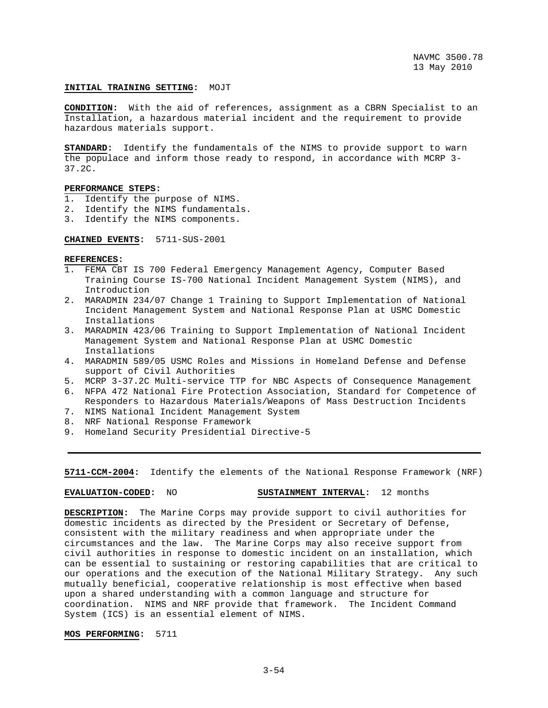# **INITIAL TRAINING SETTING:** MOJT

**CONDITION:** With the aid of references, assignment as a CBRN Specialist to an Installation, a hazardous material incident and the requirement to provide hazardous materials support.

**STANDARD:** Identify the fundamentals of the NIMS to provide support to warn the populace and inform those ready to respond, in accordance with MCRP 3- 37.2C.

# **PERFORMANCE STEPS:**

- 1. Identify the purpose of NIMS.
- 2. Identify the NIMS fundamentals.
- 3. Identify the NIMS components.

**CHAINED EVENTS:** 5711-SUS-2001

# **REFERENCES:**

- 1. FEMA CBT IS 700 Federal Emergency Management Agency, Computer Based Training Course IS-700 National Incident Management System (NIMS), and Introduction
- 2. MARADMIN 234/07 Change 1 Training to Support Implementation of National Incident Management System and National Response Plan at USMC Domestic Installations
- 3. MARADMIN 423/06 Training to Support Implementation of National Incident Management System and National Response Plan at USMC Domestic Installations
- 4. MARADMIN 589/05 USMC Roles and Missions in Homeland Defense and Defense support of Civil Authorities
- 5. MCRP 3-37.2C Multi-service TTP for NBC Aspects of Consequence Management
- 6. NFPA 472 National Fire Protection Association, Standard for Competence of Responders to Hazardous Materials/Weapons of Mass Destruction Incidents
- 7. NIMS National Incident Management System
- 8. NRF National Response Framework
- 9. Homeland Security Presidential Directive-5

**5711-CCM-2004:** Identify the elements of the National Response Framework (NRF)

**EVALUATION-CODED:** NO **SUSTAINMENT INTERVAL:** 12 months

**DESCRIPTION:** The Marine Corps may provide support to civil authorities for domestic incidents as directed by the President or Secretary of Defense, consistent with the military readiness and when appropriate under the circumstances and the law. The Marine Corps may also receive support from civil authorities in response to domestic incident on an installation, which can be essential to sustaining or restoring capabilities that are critical to our operations and the execution of the National Military Strategy. Any such mutually beneficial, cooperative relationship is most effective when based upon a shared understanding with a common language and structure for coordination. NIMS and NRF provide that framework. The Incident Command System (ICS) is an essential element of NIMS.

# **MOS PERFORMING:** 5711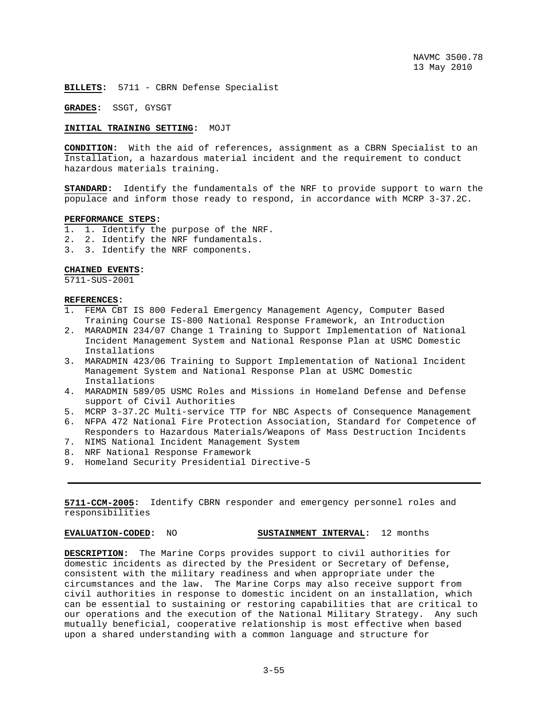**BILLETS:** 5711 - CBRN Defense Specialist

**GRADES:** SSGT, GYSGT

# **INITIAL TRAINING SETTING:** MOJT

**CONDITION:** With the aid of references, assignment as a CBRN Specialist to an Installation, a hazardous material incident and the requirement to conduct hazardous materials training.

**STANDARD:** Identify the fundamentals of the NRF to provide support to warn the populace and inform those ready to respond, in accordance with MCRP 3-37.2C.

#### **PERFORMANCE STEPS:**

1. 1. Identify the purpose of the NRF. 2. 2. Identify the NRF fundamentals. 3. 3. Identify the NRF components.

# **CHAINED EVENTS:**

5711-SUS-2001

# **REFERENCES:**

- 1. FEMA CBT IS 800 Federal Emergency Management Agency, Computer Based Training Course IS-800 National Response Framework, an Introduction
- 2. MARADMIN 234/07 Change 1 Training to Support Implementation of National Incident Management System and National Response Plan at USMC Domestic Installations
- 3. MARADMIN 423/06 Training to Support Implementation of National Incident Management System and National Response Plan at USMC Domestic Installations
- 4. MARADMIN 589/05 USMC Roles and Missions in Homeland Defense and Defense support of Civil Authorities
- 5. MCRP 3-37.2C Multi-service TTP for NBC Aspects of Consequence Management
- 6. NFPA 472 National Fire Protection Association, Standard for Competence of Responders to Hazardous Materials/Weapons of Mass Destruction Incidents
- 7. NIMS National Incident Management System
- 8. NRF National Response Framework
- 9. Homeland Security Presidential Directive-5

**5711-CCM-2005:** Identify CBRN responder and emergency personnel roles and responsibilities

**EVALUATION-CODED:** NO **SUSTAINMENT INTERVAL:** 12 months

**DESCRIPTION:** The Marine Corps provides support to civil authorities for domestic incidents as directed by the President or Secretary of Defense, consistent with the military readiness and when appropriate under the circumstances and the law. The Marine Corps may also receive support from civil authorities in response to domestic incident on an installation, which can be essential to sustaining or restoring capabilities that are critical to our operations and the execution of the National Military Strategy. Any such mutually beneficial, cooperative relationship is most effective when based upon a shared understanding with a common language and structure for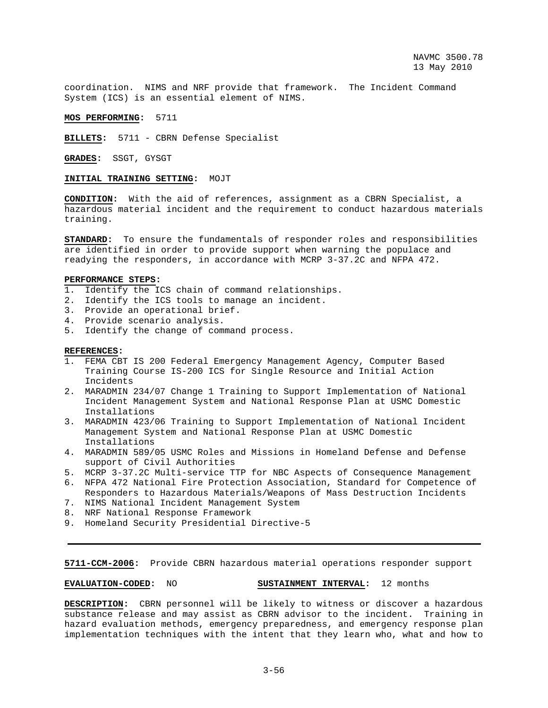coordination. NIMS and NRF provide that framework. The Incident Command System (ICS) is an essential element of NIMS.

# **MOS PERFORMING:** 5711

**BILLETS:** 5711 - CBRN Defense Specialist

**GRADES:** SSGT, GYSGT

#### **INITIAL TRAINING SETTING:** MOJT

**CONDITION:** With the aid of references, assignment as a CBRN Specialist, a hazardous material incident and the requirement to conduct hazardous materials training.

**STANDARD:** To ensure the fundamentals of responder roles and responsibilities are identified in order to provide support when warning the populace and readying the responders, in accordance with MCRP 3-37.2C and NFPA 472.

# **PERFORMANCE STEPS:**

- 1. Identify the ICS chain of command relationships.
- 2. Identify the ICS tools to manage an incident.
- 3. Provide an operational brief.
- 4. Provide scenario analysis.
- 5. Identify the change of command process.

# **REFERENCES:**

- 1. FEMA CBT IS 200 Federal Emergency Management Agency, Computer Based Training Course IS-200 ICS for Single Resource and Initial Action Incidents
- 2. MARADMIN 234/07 Change 1 Training to Support Implementation of National Incident Management System and National Response Plan at USMC Domestic Installations
- 3. MARADMIN 423/06 Training to Support Implementation of National Incident Management System and National Response Plan at USMC Domestic Installations
- 4. MARADMIN 589/05 USMC Roles and Missions in Homeland Defense and Defense support of Civil Authorities
- 5. MCRP 3-37.2C Multi-service TTP for NBC Aspects of Consequence Management
- 6. NFPA 472 National Fire Protection Association, Standard for Competence of Responders to Hazardous Materials/Weapons of Mass Destruction Incidents
- 7. NIMS National Incident Management System
- 8. NRF National Response Framework
- 9. Homeland Security Presidential Directive-5

**5711-CCM-2006:** Provide CBRN hazardous material operations responder support

# **EVALUATION-CODED:** NO **SUSTAINMENT INTERVAL:** 12 months

**DESCRIPTION:** CBRN personnel will be likely to witness or discover a hazardous substance release and may assist as CBRN advisor to the incident. Training in hazard evaluation methods, emergency preparedness, and emergency response plan implementation techniques with the intent that they learn who, what and how to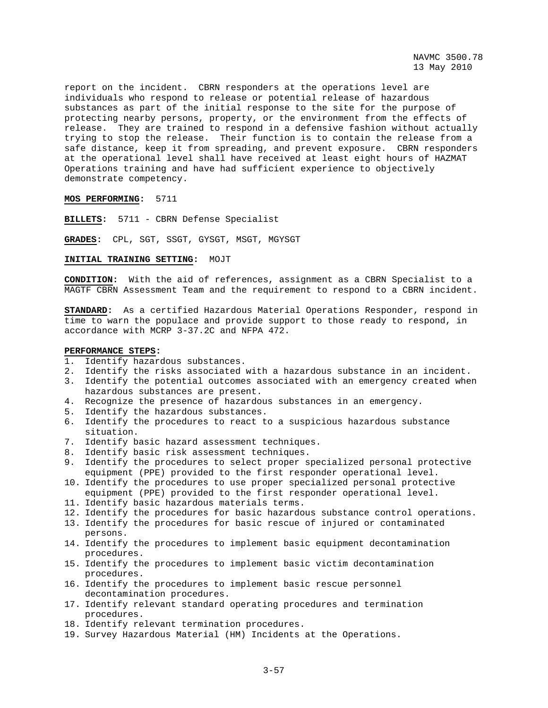report on the incident. CBRN responders at the operations level are individuals who respond to release or potential release of hazardous substances as part of the initial response to the site for the purpose of protecting nearby persons, property, or the environment from the effects of release. They are trained to respond in a defensive fashion without actually trying to stop the release. Their function is to contain the release from a safe distance, keep it from spreading, and prevent exposure. CBRN responders at the operational level shall have received at least eight hours of HAZMAT Operations training and have had sufficient experience to objectively demonstrate competency.

### **MOS PERFORMING:** 5711

**BILLETS:** 5711 - CBRN Defense Specialist

**GRADES:** CPL, SGT, SSGT, GYSGT, MSGT, MGYSGT

### **INITIAL TRAINING SETTING:** MOJT

**CONDITION:** With the aid of references, assignment as a CBRN Specialist to a MAGTF CBRN Assessment Team and the requirement to respond to a CBRN incident.

**STANDARD:** As a certified Hazardous Material Operations Responder, respond in time to warn the populace and provide support to those ready to respond, in accordance with MCRP 3-37.2C and NFPA 472.

- 1. Identify hazardous substances.
- 2. Identify the risks associated with a hazardous substance in an incident.
- 3. Identify the potential outcomes associated with an emergency created when hazardous substances are present.
- 4. Recognize the presence of hazardous substances in an emergency.
- 5. Identify the hazardous substances.
- 6. Identify the procedures to react to a suspicious hazardous substance situation.
- 7. Identify basic hazard assessment techniques.
- 8. Identify basic risk assessment techniques.
- 9. Identify the procedures to select proper specialized personal protective equipment (PPE) provided to the first responder operational level.
- 10. Identify the procedures to use proper specialized personal protective equipment (PPE) provided to the first responder operational level.
- 11. Identify basic hazardous materials terms.
- 12. Identify the procedures for basic hazardous substance control operations.
- 13. Identify the procedures for basic rescue of injured or contaminated persons.
- 14. Identify the procedures to implement basic equipment decontamination procedures.
- 15. Identify the procedures to implement basic victim decontamination procedures.
- 16. Identify the procedures to implement basic rescue personnel decontamination procedures.
- 17. Identify relevant standard operating procedures and termination procedures.
- 18. Identify relevant termination procedures.
- 19. Survey Hazardous Material (HM) Incidents at the Operations.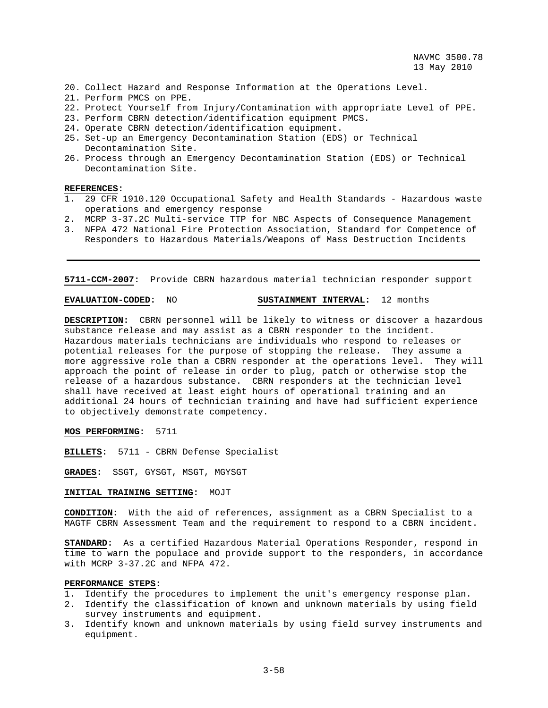- 20. Collect Hazard and Response Information at the Operations Level.
- 21. Perform PMCS on PPE.
- 22. Protect Yourself from Injury/Contamination with appropriate Level of PPE.
- 23. Perform CBRN detection/identification equipment PMCS.
- 24. Operate CBRN detection/identification equipment.
- 25. Set-up an Emergency Decontamination Station (EDS) or Technical Decontamination Site.
- 26. Process through an Emergency Decontamination Station (EDS) or Technical Decontamination Site.

#### **REFERENCES:**

- 1. 29 CFR 1910.120 Occupational Safety and Health Standards Hazardous waste operations and emergency response
- 2. MCRP 3-37.2C Multi-service TTP for NBC Aspects of Consequence Management
- 3. NFPA 472 National Fire Protection Association, Standard for Competence of Responders to Hazardous Materials/Weapons of Mass Destruction Incidents

**5711-CCM-2007:** Provide CBRN hazardous material technician responder support

**EVALUATION-CODED:** NO **SUSTAINMENT INTERVAL:** 12 months

**DESCRIPTION:** CBRN personnel will be likely to witness or discover a hazardous substance release and may assist as a CBRN responder to the incident. Hazardous materials technicians are individuals who respond to releases or potential releases for the purpose of stopping the release. They assume a more aggressive role than a CBRN responder at the operations level. They will approach the point of release in order to plug, patch or otherwise stop the release of a hazardous substance. CBRN responders at the technician level shall have received at least eight hours of operational training and an additional 24 hours of technician training and have had sufficient experience to objectively demonstrate competency.

### **MOS PERFORMING:** 5711

**BILLETS:** 5711 - CBRN Defense Specialist

**GRADES:** SSGT, GYSGT, MSGT, MGYSGT

# **INITIAL TRAINING SETTING:** MOJT

**CONDITION:** With the aid of references, assignment as a CBRN Specialist to a MAGTF CBRN Assessment Team and the requirement to respond to a CBRN incident.

**STANDARD:** As a certified Hazardous Material Operations Responder, respond in time to warn the populace and provide support to the responders, in accordance with MCRP 3-37.2C and NFPA 472.

- 1. Identify the procedures to implement the unit's emergency response plan.
- 2. Identify the classification of known and unknown materials by using field survey instruments and equipment.
- 3. Identify known and unknown materials by using field survey instruments and equipment.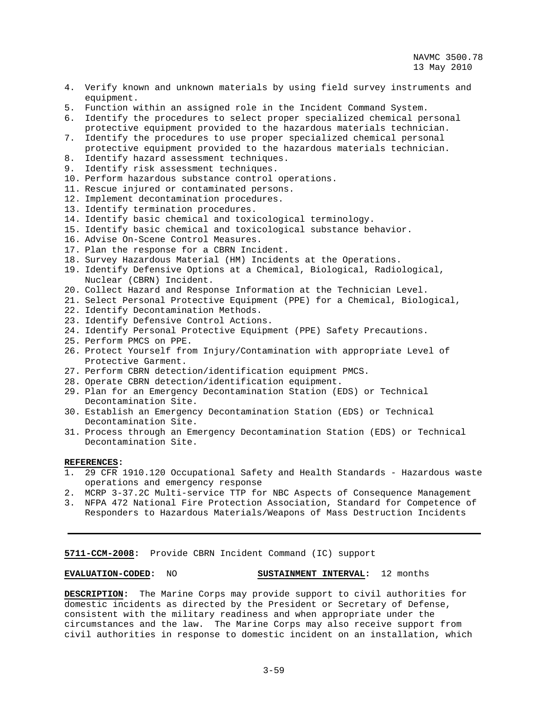- 4. Verify known and unknown materials by using field survey instruments and equipment.
- 5. Function within an assigned role in the Incident Command System.
- 6. Identify the procedures to select proper specialized chemical personal protective equipment provided to the hazardous materials technician.
- 7. Identify the procedures to use proper specialized chemical personal protective equipment provided to the hazardous materials technician.
- 8. Identify hazard assessment techniques.
- 9. Identify risk assessment techniques.
- 10. Perform hazardous substance control operations.
- 11. Rescue injured or contaminated persons.
- 12. Implement decontamination procedures.
- 13. Identify termination procedures.
- 14. Identify basic chemical and toxicological terminology.
- 15. Identify basic chemical and toxicological substance behavior.
- 16. Advise On-Scene Control Measures.
- 17. Plan the response for a CBRN Incident.
- 18. Survey Hazardous Material (HM) Incidents at the Operations.
- 19. Identify Defensive Options at a Chemical, Biological, Radiological, Nuclear (CBRN) Incident.
- 20. Collect Hazard and Response Information at the Technician Level.
- 21. Select Personal Protective Equipment (PPE) for a Chemical, Biological,
- 22. Identify Decontamination Methods.
- 23. Identify Defensive Control Actions.
- 24. Identify Personal Protective Equipment (PPE) Safety Precautions.
- 25. Perform PMCS on PPE.
- 26. Protect Yourself from Injury/Contamination with appropriate Level of Protective Garment.
- 27. Perform CBRN detection/identification equipment PMCS.
- 28. Operate CBRN detection/identification equipment.
- 29. Plan for an Emergency Decontamination Station (EDS) or Technical Decontamination Site.
- 30. Establish an Emergency Decontamination Station (EDS) or Technical Decontamination Site.
- 31. Process through an Emergency Decontamination Station (EDS) or Technical Decontamination Site.

### **REFERENCES:**

- 1. 29 CFR 1910.120 Occupational Safety and Health Standards Hazardous waste operations and emergency response
- 2. MCRP 3-37.2C Multi-service TTP for NBC Aspects of Consequence Management
- 3. NFPA 472 National Fire Protection Association, Standard for Competence of Responders to Hazardous Materials/Weapons of Mass Destruction Incidents

**5711-CCM-2008:** Provide CBRN Incident Command (IC) support

**EVALUATION-CODED:** NO **SUSTAINMENT INTERVAL:** 12 months

**DESCRIPTION:** The Marine Corps may provide support to civil authorities for domestic incidents as directed by the President or Secretary of Defense, consistent with the military readiness and when appropriate under the circumstances and the law. The Marine Corps may also receive support from civil authorities in response to domestic incident on an installation, which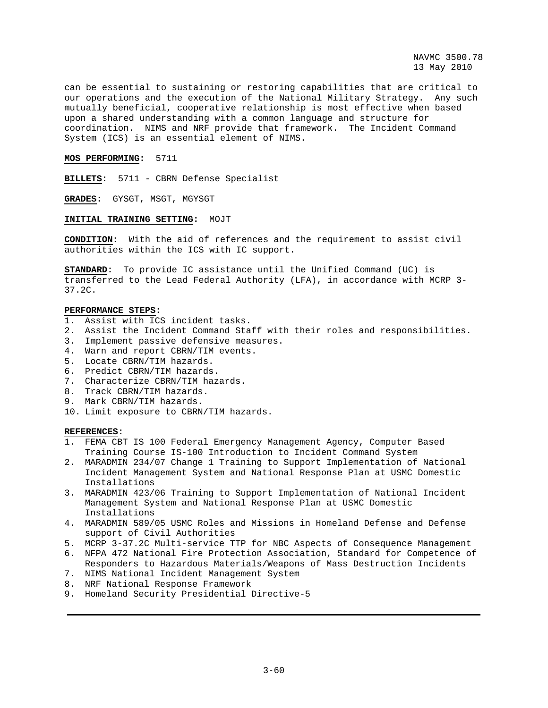can be essential to sustaining or restoring capabilities that are critical to our operations and the execution of the National Military Strategy. Any such mutually beneficial, cooperative relationship is most effective when based upon a shared understanding with a common language and structure for coordination. NIMS and NRF provide that framework. The Incident Command System (ICS) is an essential element of NIMS.

# **MOS PERFORMING:** 5711

**BILLETS:** 5711 - CBRN Defense Specialist

**GRADES:** GYSGT, MSGT, MGYSGT

### **INITIAL TRAINING SETTING:** MOJT

**CONDITION:** With the aid of references and the requirement to assist civil authorities within the ICS with IC support.

**STANDARD:** To provide IC assistance until the Unified Command (UC) is transferred to the Lead Federal Authority (LFA), in accordance with MCRP 3- 37.2C.

# **PERFORMANCE STEPS:**

- 1. Assist with ICS incident tasks.
- 2. Assist the Incident Command Staff with their roles and responsibilities.
- 3. Implement passive defensive measures.
- 4. Warn and report CBRN/TIM events.
- 5. Locate CBRN/TIM hazards.
- 6. Predict CBRN/TIM hazards.
- 7. Characterize CBRN/TIM hazards.
- 8. Track CBRN/TIM hazards.
- 9. Mark CBRN/TIM hazards.
- 10. Limit exposure to CBRN/TIM hazards.

### **REFERENCES:**

- 1. FEMA CBT IS 100 Federal Emergency Management Agency, Computer Based Training Course IS-100 Introduction to Incident Command System
- 2. MARADMIN 234/07 Change 1 Training to Support Implementation of National Incident Management System and National Response Plan at USMC Domestic Installations
- 3. MARADMIN 423/06 Training to Support Implementation of National Incident Management System and National Response Plan at USMC Domestic Installations
- 4. MARADMIN 589/05 USMC Roles and Missions in Homeland Defense and Defense support of Civil Authorities
- 5. MCRP 3-37.2C Multi-service TTP for NBC Aspects of Consequence Management
- 6. NFPA 472 National Fire Protection Association, Standard for Competence of Responders to Hazardous Materials/Weapons of Mass Destruction Incidents
- 7. NIMS National Incident Management System
- 8. NRF National Response Framework
- 9. Homeland Security Presidential Directive-5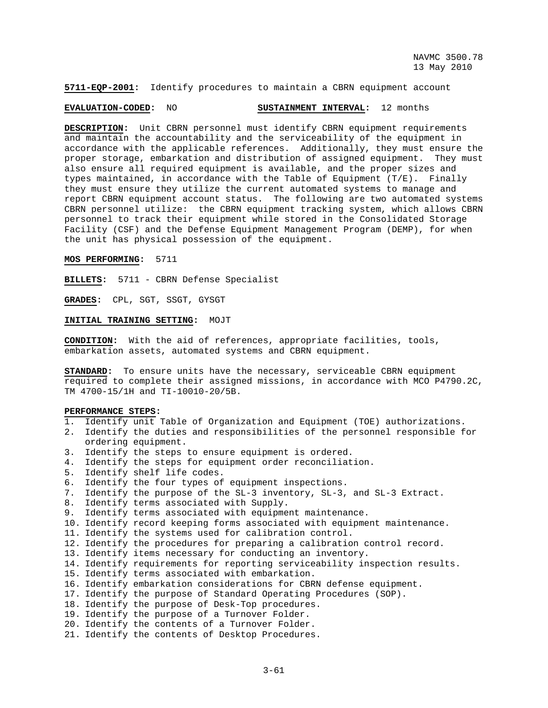**5711-EQP-2001:** Identify procedures to maintain a CBRN equipment account

### **EVALUATION-CODED:** NO **SUSTAINMENT INTERVAL:** 12 months

**DESCRIPTION:** Unit CBRN personnel must identify CBRN equipment requirements and maintain the accountability and the serviceability of the equipment in accordance with the applicable references. Additionally, they must ensure the proper storage, embarkation and distribution of assigned equipment. They must also ensure all required equipment is available, and the proper sizes and types maintained, in accordance with the Table of Equipment (T/E). Finally they must ensure they utilize the current automated systems to manage and report CBRN equipment account status. The following are two automated systems CBRN personnel utilize: the CBRN equipment tracking system, which allows CBRN personnel to track their equipment while stored in the Consolidated Storage Facility (CSF) and the Defense Equipment Management Program (DEMP), for when the unit has physical possession of the equipment.

**MOS PERFORMING:** 5711

**BILLETS:** 5711 - CBRN Defense Specialist

**GRADES:** CPL, SGT, SSGT, GYSGT

# **INITIAL TRAINING SETTING:** MOJT

**CONDITION:** With the aid of references, appropriate facilities, tools, embarkation assets, automated systems and CBRN equipment.

**STANDARD:** To ensure units have the necessary, serviceable CBRN equipment required to complete their assigned missions, in accordance with MCO P4790.2C, TM 4700-15/1H and TI-10010-20/5B.

- 1. Identify unit Table of Organization and Equipment (TOE) authorizations.
- 2. Identify the duties and responsibilities of the personnel responsible for ordering equipment.
- 3. Identify the steps to ensure equipment is ordered.
- 4. Identify the steps for equipment order reconciliation.
- 5. Identify shelf life codes.
- 6. Identify the four types of equipment inspections.
- 7. Identify the purpose of the SL-3 inventory, SL-3, and SL-3 Extract.
- 8. Identify terms associated with Supply.
- 9. Identify terms associated with equipment maintenance.
- 10. Identify record keeping forms associated with equipment maintenance.
- 11. Identify the systems used for calibration control.
- 12. Identify the procedures for preparing a calibration control record.
- 13. Identify items necessary for conducting an inventory.
- 14. Identify requirements for reporting serviceability inspection results.
- 15. Identify terms associated with embarkation.
- 16. Identify embarkation considerations for CBRN defense equipment.
- 17. Identify the purpose of Standard Operating Procedures (SOP).
- 18. Identify the purpose of Desk-Top procedures.
- 19. Identify the purpose of a Turnover Folder.
- 20. Identify the contents of a Turnover Folder.
- 21. Identify the contents of Desktop Procedures.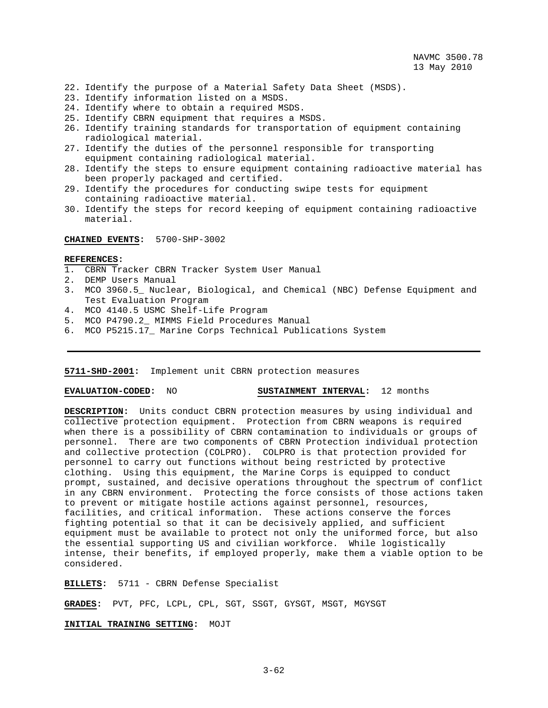- 22. Identify the purpose of a Material Safety Data Sheet (MSDS).
- 23. Identify information listed on a MSDS.
- 24. Identify where to obtain a required MSDS.
- 25. Identify CBRN equipment that requires a MSDS.
- 26. Identify training standards for transportation of equipment containing radiological material.
- 27. Identify the duties of the personnel responsible for transporting equipment containing radiological material.
- 28. Identify the steps to ensure equipment containing radioactive material has been properly packaged and certified.
- 29. Identify the procedures for conducting swipe tests for equipment containing radioactive material.
- 30. Identify the steps for record keeping of equipment containing radioactive material.

**CHAINED EVENTS:** 5700-SHP-3002

### **REFERENCES:**

- 1. CBRN Tracker CBRN Tracker System User Manual
- 2. DEMP Users Manual
- 3. MCO 3960.5\_ Nuclear, Biological, and Chemical (NBC) Defense Equipment and Test Evaluation Program
- 4. MCO 4140.5 USMC Shelf-Life Program
- 5. MCO P4790.2 MIMMS Field Procedures Manual
- 6. MCO P5215.17\_ Marine Corps Technical Publications System

**5711-SHD-2001:** Implement unit CBRN protection measures

**EVALUATION-CODED:** NO **SUSTAINMENT INTERVAL:** 12 months

**DESCRIPTION:** Units conduct CBRN protection measures by using individual and collective protection equipment. Protection from CBRN weapons is required when there is a possibility of CBRN contamination to individuals or groups of personnel. There are two components of CBRN Protection individual protection and collective protection (COLPRO). COLPRO is that protection provided for personnel to carry out functions without being restricted by protective clothing. Using this equipment, the Marine Corps is equipped to conduct prompt, sustained, and decisive operations throughout the spectrum of conflict in any CBRN environment. Protecting the force consists of those actions taken to prevent or mitigate hostile actions against personnel, resources, facilities, and critical information. These actions conserve the forces fighting potential so that it can be decisively applied, and sufficient equipment must be available to protect not only the uniformed force, but also the essential supporting US and civilian workforce. While logistically intense, their benefits, if employed properly, make them a viable option to be considered.

# **BILLETS:** 5711 - CBRN Defense Specialist

**GRADES:** PVT, PFC, LCPL, CPL, SGT, SSGT, GYSGT, MSGT, MGYSGT

# **INITIAL TRAINING SETTING:** MOJT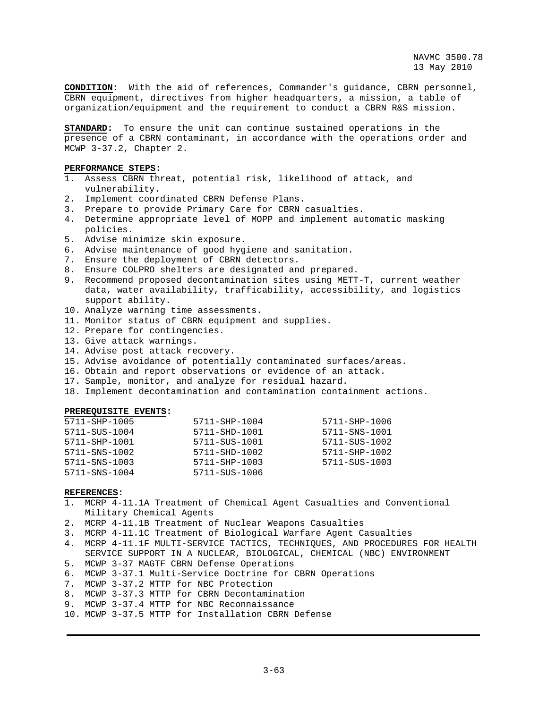**CONDITION:** With the aid of references, Commander's guidance, CBRN personnel, CBRN equipment, directives from higher headquarters, a mission, a table of organization/equipment and the requirement to conduct a CBRN R&S mission.

**STANDARD:** To ensure the unit can continue sustained operations in the presence of a CBRN contaminant, in accordance with the operations order and MCWP 3-37.2, Chapter 2.

# **PERFORMANCE STEPS:**

- 1. Assess CBRN threat, potential risk, likelihood of attack, and vulnerability.
- 2. Implement coordinated CBRN Defense Plans.
- 3. Prepare to provide Primary Care for CBRN casualties.
- 4. Determine appropriate level of MOPP and implement automatic masking policies.
- 5. Advise minimize skin exposure.
- 6. Advise maintenance of good hygiene and sanitation.
- 7. Ensure the deployment of CBRN detectors.
- 8. Ensure COLPRO shelters are designated and prepared.
- 9. Recommend proposed decontamination sites using METT-T, current weather data, water availability, trafficability, accessibility, and logistics support ability.
- 10. Analyze warning time assessments.
- 11. Monitor status of CBRN equipment and supplies.
- 12. Prepare for contingencies.
- 13. Give attack warnings.
- 14. Advise post attack recovery.
- 15. Advise avoidance of potentially contaminated surfaces/areas.
- 16. Obtain and report observations or evidence of an attack.
- 17. Sample, monitor, and analyze for residual hazard.
- 18. Implement decontamination and contamination containment actions.

## **PREREQUISITE EVENTS:**

| 5711-SHP-1005 | 5711-SHP-1004 | 5711-SHP-1006 |
|---------------|---------------|---------------|
| 5711-SUS-1004 | 5711-SHD-1001 | 5711-SNS-1001 |
| 5711-SHP-1001 | 5711-SUS-1001 | 5711-SUS-1002 |
| 5711-SNS-1002 | 5711-SHD-1002 | 5711-SHP-1002 |
| 5711-SNS-1003 | 5711-SHP-1003 | 5711-SUS-1003 |
| 5711-SNS-1004 | 5711-SUS-1006 |               |

### **REFERENCES:**

- 1. MCRP 4-11.1A Treatment of Chemical Agent Casualties and Conventional Military Chemical Agents
- 2. MCRP 4-11.1B Treatment of Nuclear Weapons Casualties
- 3. MCRP 4-11.1C Treatment of Biological Warfare Agent Casualties
- 4. MCRP 4-11.1F MULTI-SERVICE TACTICS, TECHNIQUES, AND PROCEDURES FOR HEALTH SERVICE SUPPORT IN A NUCLEAR, BIOLOGICAL, CHEMICAL (NBC) ENVIRONMENT
- 5. MCWP 3-37 MAGTF CBRN Defense Operations
- 6. MCWP 3-37.1 Multi-Service Doctrine for CBRN Operations
- 7. MCWP 3-37.2 MTTP for NBC Protection
- 8. MCWP 3-37.3 MTTP for CBRN Decontamination
- 9. MCWP 3-37.4 MTTP for NBC Reconnaissance
- 10. MCWP 3-37.5 MTTP for Installation CBRN Defense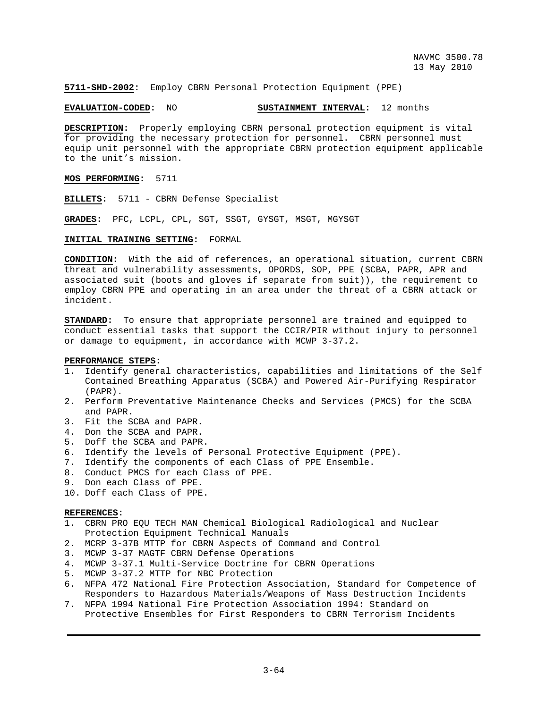**5711-SHD-2002:** Employ CBRN Personal Protection Equipment (PPE)

**EVALUATION-CODED:** NO **SUSTAINMENT INTERVAL:** 12 months

**DESCRIPTION:** Properly employing CBRN personal protection equipment is vital for providing the necessary protection for personnel. CBRN personnel must equip unit personnel with the appropriate CBRN protection equipment applicable to the unit's mission.

**MOS PERFORMING:** 5711

**BILLETS:** 5711 - CBRN Defense Specialist

**GRADES:** PFC, LCPL, CPL, SGT, SSGT, GYSGT, MSGT, MGYSGT

**INITIAL TRAINING SETTING:** FORMAL

**CONDITION:** With the aid of references, an operational situation, current CBRN threat and vulnerability assessments, OPORDS, SOP, PPE (SCBA, PAPR, APR and associated suit (boots and gloves if separate from suit)), the requirement to employ CBRN PPE and operating in an area under the threat of a CBRN attack or incident.

**STANDARD:** To ensure that appropriate personnel are trained and equipped to conduct essential tasks that support the CCIR/PIR without injury to personnel or damage to equipment, in accordance with MCWP 3-37.2.

- **PERFORMANCE STEPS:**<br>1. Identify genera 1. Identify general characteristics, capabilities and limitations of the Self Contained Breathing Apparatus (SCBA) and Powered Air-Purifying Respirator (PAPR).
- 2. Perform Preventative Maintenance Checks and Services (PMCS) for the SCBA and PAPR.
- 3. Fit the SCBA and PAPR.
- 4. Don the SCBA and PAPR.
- 5. Doff the SCBA and PAPR.
- 6. Identify the levels of Personal Protective Equipment (PPE).
- 7. Identify the components of each Class of PPE Ensemble.
- 8. Conduct PMCS for each Class of PPE.
- 9. Don each Class of PPE.
- 10. Doff each Class of PPE.

# **REFERENCES:**

- 1. CBRN PRO EQU TECH MAN Chemical Biological Radiological and Nuclear Protection Equipment Technical Manuals
- 2. MCRP 3-37B MTTP for CBRN Aspects of Command and Control
- 3. MCWP 3-37 MAGTF CBRN Defense Operations
- 4. MCWP 3-37.1 Multi-Service Doctrine for CBRN Operations
- 5. MCWP 3-37.2 MTTP for NBC Protection
- 6. NFPA 472 National Fire Protection Association, Standard for Competence of Responders to Hazardous Materials/Weapons of Mass Destruction Incidents
- 7. NFPA 1994 National Fire Protection Association 1994: Standard on Protective Ensembles for First Responders to CBRN Terrorism Incidents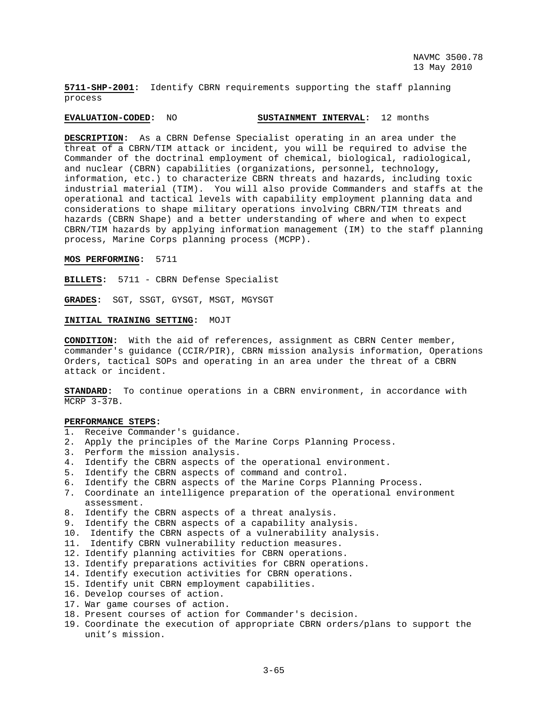**5711-SHP-2001:** Identify CBRN requirements supporting the staff planning process

# **EVALUATION-CODED:** NO **SUSTAINMENT INTERVAL:** 12 months

**DESCRIPTION:** As a CBRN Defense Specialist operating in an area under the threat of a CBRN/TIM attack or incident, you will be required to advise the Commander of the doctrinal employment of chemical, biological, radiological, and nuclear (CBRN) capabilities (organizations, personnel, technology, information, etc.) to characterize CBRN threats and hazards, including toxic industrial material (TIM). You will also provide Commanders and staffs at the operational and tactical levels with capability employment planning data and considerations to shape military operations involving CBRN/TIM threats and hazards (CBRN Shape) and a better understanding of where and when to expect CBRN/TIM hazards by applying information management (IM) to the staff planning process, Marine Corps planning process (MCPP).

**MOS PERFORMING:** 5711

**BILLETS:** 5711 - CBRN Defense Specialist

**GRADES:** SGT, SSGT, GYSGT, MSGT, MGYSGT

# **INITIAL TRAINING SETTING:** MOJT

**CONDITION:** With the aid of references, assignment as CBRN Center member, commander's guidance (CCIR/PIR), CBRN mission analysis information, Operations Orders, tactical SOPs and operating in an area under the threat of a CBRN attack or incident.

**STANDARD:** To continue operations in a CBRN environment, in accordance with MCRP 3-37B.

- 1. Receive Commander's guidance.
- 2. Apply the principles of the Marine Corps Planning Process.
- 3. Perform the mission analysis.
- 4. Identify the CBRN aspects of the operational environment.
- 5. Identify the CBRN aspects of command and control.
- 6. Identify the CBRN aspects of the Marine Corps Planning Process.
- 7. Coordinate an intelligence preparation of the operational environment assessment.
- 8. Identify the CBRN aspects of a threat analysis.
- 9. Identify the CBRN aspects of a capability analysis.
- 10. Identify the CBRN aspects of a vulnerability analysis.
- 11. Identify CBRN vulnerability reduction measures.
- 12. Identify planning activities for CBRN operations.
- 13. Identify preparations activities for CBRN operations.
- 14. Identify execution activities for CBRN operations.
- 15. Identify unit CBRN employment capabilities.
- 16. Develop courses of action.
- 17. War game courses of action.
- 18. Present courses of action for Commander's decision.
- 19. Coordinate the execution of appropriate CBRN orders/plans to support the unit's mission.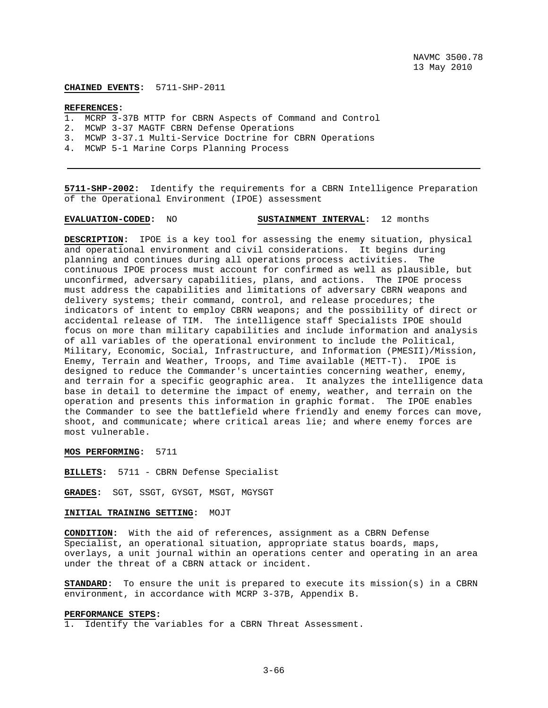**CHAINED EVENTS:** 5711-SHP-2011

#### **REFERENCES:**

- 1. MCRP 3-37B MTTP for CBRN Aspects of Command and Control
- 2. MCWP 3-37 MAGTF CBRN Defense Operations
- 3. MCWP 3-37.1 Multi-Service Doctrine for CBRN Operations
- 4. MCWP 5-1 Marine Corps Planning Process

**5711-SHP-2002:** Identify the requirements for a CBRN Intelligence Preparation of the Operational Environment (IPOE) assessment

#### **EVALUATION-CODED:** NO **SUSTAINMENT INTERVAL:** 12 months

**DESCRIPTION:** IPOE is a key tool for assessing the enemy situation, physical and operational environment and civil considerations. It begins during planning and continues during all operations process activities. The continuous IPOE process must account for confirmed as well as plausible, but unconfirmed, adversary capabilities, plans, and actions. The IPOE process must address the capabilities and limitations of adversary CBRN weapons and delivery systems; their command, control, and release procedures; the indicators of intent to employ CBRN weapons; and the possibility of direct or accidental release of TIM. The intelligence staff Specialists IPOE should focus on more than military capabilities and include information and analysis of all variables of the operational environment to include the Political, Military, Economic, Social, Infrastructure, and Information (PMESII)/Mission, Enemy, Terrain and Weather, Troops, and Time available (METT-T). IPOE is designed to reduce the Commander's uncertainties concerning weather, enemy, and terrain for a specific geographic area. It analyzes the intelligence data base in detail to determine the impact of enemy, weather, and terrain on the operation and presents this information in graphic format. The IPOE enables the Commander to see the battlefield where friendly and enemy forces can move, shoot, and communicate; where critical areas lie; and where enemy forces are most vulnerable.

### **MOS PERFORMING:** 5711

**BILLETS:** 5711 - CBRN Defense Specialist

**GRADES:** SGT, SSGT, GYSGT, MSGT, MGYSGT

### **INITIAL TRAINING SETTING:** MOJT

**CONDITION:** With the aid of references, assignment as a CBRN Defense Specialist, an operational situation, appropriate status boards, maps, overlays, a unit journal within an operations center and operating in an area under the threat of a CBRN attack or incident.

**STANDARD:** To ensure the unit is prepared to execute its mission(s) in a CBRN environment, in accordance with MCRP 3-37B, Appendix B.

### **PERFORMANCE STEPS:**

1. Identify the variables for a CBRN Threat Assessment.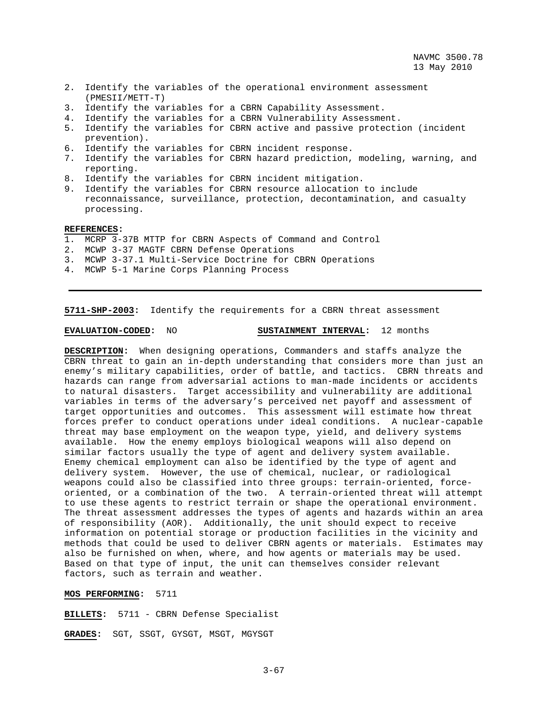- 2. Identify the variables of the operational environment assessment (PMESII/METT-T)
- 3. Identify the variables for a CBRN Capability Assessment.
- 4. Identify the variables for a CBRN Vulnerability Assessment.
- 5. Identify the variables for CBRN active and passive protection (incident prevention).
- 6. Identify the variables for CBRN incident response.
- 7. Identify the variables for CBRN hazard prediction, modeling, warning, and reporting.
- 8. Identify the variables for CBRN incident mitigation.
- 9. Identify the variables for CBRN resource allocation to include reconnaissance, surveillance, protection, decontamination, and casualty processing.

#### **REFERENCES:**

- 1. MCRP 3-37B MTTP for CBRN Aspects of Command and Control
- 2. MCWP 3-37 MAGTF CBRN Defense Operations
- 3. MCWP 3-37.1 Multi-Service Doctrine for CBRN Operations
- 4. MCWP 5-1 Marine Corps Planning Process

**5711-SHP-2003:** Identify the requirements for a CBRN threat assessment

**EVALUATION-CODED:** NO **SUSTAINMENT INTERVAL:** 12 months

**DESCRIPTION:** When designing operations, Commanders and staffs analyze the CBRN threat to gain an in-depth understanding that considers more than just an enemy's military capabilities, order of battle, and tactics. CBRN threats and hazards can range from adversarial actions to man-made incidents or accidents to natural disasters. Target accessibility and vulnerability are additional variables in terms of the adversary's perceived net payoff and assessment of target opportunities and outcomes. This assessment will estimate how threat forces prefer to conduct operations under ideal conditions. A nuclear-capable threat may base employment on the weapon type, yield, and delivery systems available. How the enemy employs biological weapons will also depend on similar factors usually the type of agent and delivery system available. Enemy chemical employment can also be identified by the type of agent and delivery system. However, the use of chemical, nuclear, or radiological weapons could also be classified into three groups: terrain-oriented, forceoriented, or a combination of the two. A terrain-oriented threat will attempt to use these agents to restrict terrain or shape the operational environment. The threat assessment addresses the types of agents and hazards within an area of responsibility (AOR). Additionally, the unit should expect to receive information on potential storage or production facilities in the vicinity and methods that could be used to deliver CBRN agents or materials. Estimates may also be furnished on when, where, and how agents or materials may be used. Based on that type of input, the unit can themselves consider relevant factors, such as terrain and weather.

# **MOS PERFORMING:** 5711

**BILLETS:** 5711 - CBRN Defense Specialist

**GRADES:** SGT, SSGT, GYSGT, MSGT, MGYSGT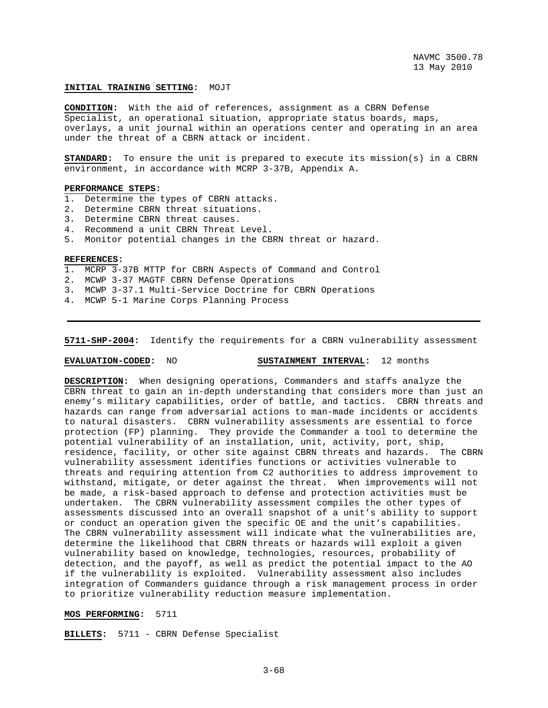### **INITIAL TRAINING SETTING:** MOJT

**CONDITION:** With the aid of references, assignment as a CBRN Defense Specialist, an operational situation, appropriate status boards, maps, overlays, a unit journal within an operations center and operating in an area under the threat of a CBRN attack or incident.

**STANDARD:** To ensure the unit is prepared to execute its mission(s) in a CBRN environment, in accordance with MCRP 3-37B, Appendix A.

### **PERFORMANCE STEPS:**

- 1. Determine the types of CBRN attacks.
- 2. Determine CBRN threat situations.
- 3. Determine CBRN threat causes.
- 4. Recommend a unit CBRN Threat Level.
- 5. Monitor potential changes in the CBRN threat or hazard.

#### **REFERENCES:**

- 1. MCRP 3-37B MTTP for CBRN Aspects of Command and Control
- 2. MCWP 3-37 MAGTF CBRN Defense Operations
- 3. MCWP 3-37.1 Multi-Service Doctrine for CBRN Operations
- 4. MCWP 5-1 Marine Corps Planning Process

**5711-SHP-2004:** Identify the requirements for a CBRN vulnerability assessment

**EVALUATION-CODED:** NO **SUSTAINMENT INTERVAL:** 12 months

**DESCRIPTION:** When designing operations, Commanders and staffs analyze the CBRN threat to gain an in-depth understanding that considers more than just an enemy's military capabilities, order of battle, and tactics. CBRN threats and hazards can range from adversarial actions to man-made incidents or accidents to natural disasters. CBRN vulnerability assessments are essential to force protection (FP) planning. They provide the Commander a tool to determine the potential vulnerability of an installation, unit, activity, port, ship, residence, facility, or other site against CBRN threats and hazards. The CBRN vulnerability assessment identifies functions or activities vulnerable to threats and requiring attention from C2 authorities to address improvement to withstand, mitigate, or deter against the threat. When improvements will not be made, a risk-based approach to defense and protection activities must be undertaken. The CBRN vulnerability assessment compiles the other types of assessments discussed into an overall snapshot of a unit's ability to support or conduct an operation given the specific OE and the unit's capabilities. The CBRN vulnerability assessment will indicate what the vulnerabilities are, determine the likelihood that CBRN threats or hazards will exploit a given vulnerability based on knowledge, technologies, resources, probability of detection, and the payoff, as well as predict the potential impact to the AO if the vulnerability is exploited. Vulnerability assessment also includes integration of Commanders guidance through a risk management process in order to prioritize vulnerability reduction measure implementation.

### **MOS PERFORMING:** 5711

**BILLETS:** 5711 - CBRN Defense Specialist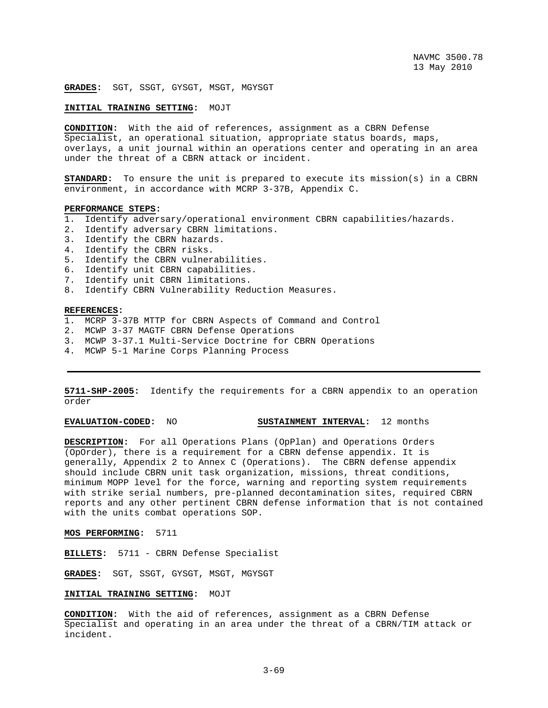**GRADES:** SGT, SSGT, GYSGT, MSGT, MGYSGT

### **INITIAL TRAINING SETTING:** MOJT

**CONDITION:** With the aid of references, assignment as a CBRN Defense Specialist, an operational situation, appropriate status boards, maps, overlays, a unit journal within an operations center and operating in an area under the threat of a CBRN attack or incident.

**STANDARD:** To ensure the unit is prepared to execute its mission(s) in a CBRN environment, in accordance with MCRP 3-37B, Appendix C.

#### **PERFORMANCE STEPS:**

- 1. Identify adversary/operational environment CBRN capabilities/hazards.
- 2. Identify adversary CBRN limitations.
- 3. Identify the CBRN hazards.
- 4. Identify the CBRN risks.
- 5. Identify the CBRN vulnerabilities.
- 6. Identify unit CBRN capabilities.
- 7. Identify unit CBRN limitations.
- 8. Identify CBRN Vulnerability Reduction Measures.

### **REFERENCES:**

- 1. MCRP 3-37B MTTP for CBRN Aspects of Command and Control
- 2. MCWP 3-37 MAGTF CBRN Defense Operations
- 3. MCWP 3-37.1 Multi-Service Doctrine for CBRN Operations
- 4. MCWP 5-1 Marine Corps Planning Process

**5711-SHP-2005:** Identify the requirements for a CBRN appendix to an operation order

**EVALUATION-CODED:** NO **SUSTAINMENT INTERVAL:** 12 months

**DESCRIPTION:** For all Operations Plans (OpPlan) and Operations Orders (OpOrder), there is a requirement for a CBRN defense appendix. It is generally, Appendix 2 to Annex C (Operations). The CBRN defense appendix should include CBRN unit task organization, missions, threat conditions, minimum MOPP level for the force, warning and reporting system requirements with strike serial numbers, pre-planned decontamination sites, required CBRN reports and any other pertinent CBRN defense information that is not contained with the units combat operations SOP.

**MOS PERFORMING:** 5711

**BILLETS:** 5711 - CBRN Defense Specialist

**GRADES:** SGT, SSGT, GYSGT, MSGT, MGYSGT

# **INITIAL TRAINING SETTING:** MOJT

**CONDITION:** With the aid of references, assignment as a CBRN Defense Specialist and operating in an area under the threat of a CBRN/TIM attack or incident.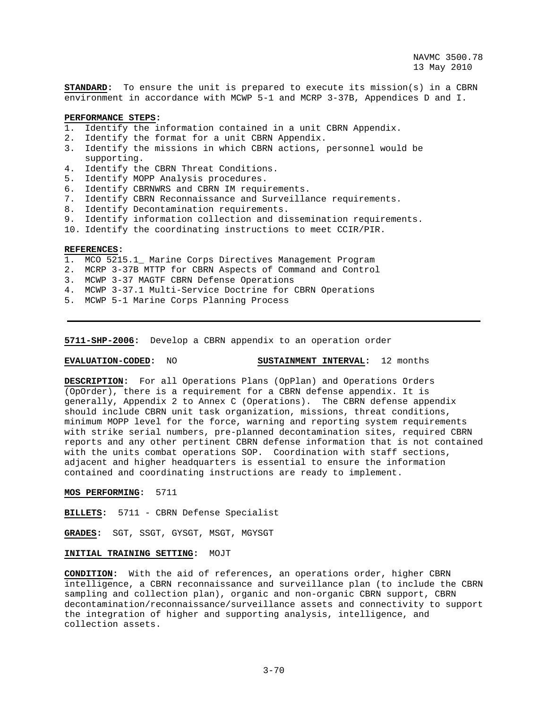**STANDARD:** To ensure the unit is prepared to execute its mission(s) in a CBRN environment in accordance with MCWP 5-1 and MCRP 3-37B, Appendices D and I.

# **PERFORMANCE STEPS:**<br>1. Identify the im

- Identify the information contained in a unit CBRN Appendix.
- 2. Identify the format for a unit CBRN Appendix.
- 3. Identify the missions in which CBRN actions, personnel would be supporting.
- 4. Identify the CBRN Threat Conditions.
- 5. Identify MOPP Analysis procedures.
- 6. Identify CBRNWRS and CBRN IM requirements.
- 7. Identify CBRN Reconnaissance and Surveillance requirements.
- 8. Identify Decontamination requirements.
- 9. Identify information collection and dissemination requirements.
- 10. Identify the coordinating instructions to meet CCIR/PIR.

### **REFERENCES:**

- 1. MCO 5215.1\_ Marine Corps Directives Management Program
- 2. MCRP 3-37B MTTP for CBRN Aspects of Command and Control
- 3. MCWP 3-37 MAGTF CBRN Defense Operations
- 4. MCWP 3-37.1 Multi-Service Doctrine for CBRN Operations
- 5. MCWP 5-1 Marine Corps Planning Process

**5711-SHP-2006:** Develop a CBRN appendix to an operation order

**EVALUATION-CODED:** NO **SUSTAINMENT INTERVAL:** 12 months

**DESCRIPTION:** For all Operations Plans (OpPlan) and Operations Orders (OpOrder), there is a requirement for a CBRN defense appendix. It is generally, Appendix 2 to Annex C (Operations). The CBRN defense appendix should include CBRN unit task organization, missions, threat conditions, minimum MOPP level for the force, warning and reporting system requirements with strike serial numbers, pre-planned decontamination sites, required CBRN reports and any other pertinent CBRN defense information that is not contained with the units combat operations SOP. Coordination with staff sections, adjacent and higher headquarters is essential to ensure the information contained and coordinating instructions are ready to implement.

#### **MOS PERFORMING:** 5711

**BILLETS:** 5711 - CBRN Defense Specialist

**GRADES:** SGT, SSGT, GYSGT, MSGT, MGYSGT

#### **INITIAL TRAINING SETTING:** MOJT

**CONDITION:** With the aid of references, an operations order, higher CBRN intelligence, a CBRN reconnaissance and surveillance plan (to include the CBRN sampling and collection plan), organic and non-organic CBRN support, CBRN decontamination/reconnaissance/surveillance assets and connectivity to support the integration of higher and supporting analysis, intelligence, and collection assets.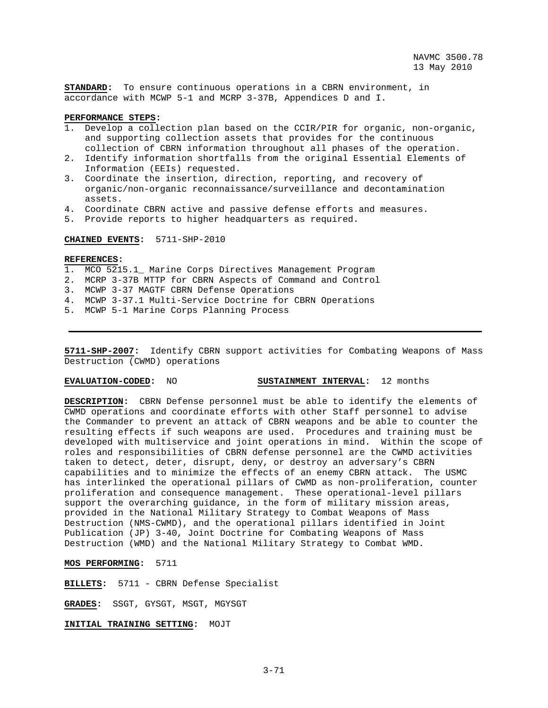**STANDARD:** To ensure continuous operations in a CBRN environment, in accordance with MCWP 5-1 and MCRP 3-37B, Appendices D and I.

# **PERFORMANCE STEPS:**<br>1. Develop a colle

- 1. Develop a collection plan based on the CCIR/PIR for organic, non-organic, and supporting collection assets that provides for the continuous collection of CBRN information throughout all phases of the operation.
- 2. Identify information shortfalls from the original Essential Elements of Information (EEIs) requested.
- 3. Coordinate the insertion, direction, reporting, and recovery of organic/non-organic reconnaissance/surveillance and decontamination assets.
- 4. Coordinate CBRN active and passive defense efforts and measures.
- 5. Provide reports to higher headquarters as required.

**CHAINED EVENTS:** 5711-SHP-2010

### **REFERENCES:**

- 1. MCO 5215.1\_ Marine Corps Directives Management Program
- 2. MCRP 3-37B MTTP for CBRN Aspects of Command and Control
- 3. MCWP 3-37 MAGTF CBRN Defense Operations
- 4. MCWP 3-37.1 Multi-Service Doctrine for CBRN Operations
- 5. MCWP 5-1 Marine Corps Planning Process

**5711-SHP-2007:** Identify CBRN support activities for Combating Weapons of Mass Destruction (CWMD) operations

### **EVALUATION-CODED:** NO **SUSTAINMENT INTERVAL:** 12 months

**DESCRIPTION:** CBRN Defense personnel must be able to identify the elements of CWMD operations and coordinate efforts with other Staff personnel to advise the Commander to prevent an attack of CBRN weapons and be able to counter the resulting effects if such weapons are used. Procedures and training must be developed with multiservice and joint operations in mind. Within the scope of roles and responsibilities of CBRN defense personnel are the CWMD activities taken to detect, deter, disrupt, deny, or destroy an adversary's CBRN capabilities and to minimize the effects of an enemy CBRN attack. The USMC has interlinked the operational pillars of CWMD as non-proliferation, counter proliferation and consequence management. These operational-level pillars support the overarching guidance, in the form of military mission areas, provided in the National Military Strategy to Combat Weapons of Mass Destruction (NMS-CWMD), and the operational pillars identified in Joint Publication (JP) 3-40, Joint Doctrine for Combating Weapons of Mass Destruction (WMD) and the National Military Strategy to Combat WMD.

**MOS PERFORMING:** 5711

**BILLETS:** 5711 - CBRN Defense Specialist

**GRADES:** SSGT, GYSGT, MSGT, MGYSGT

**INITIAL TRAINING SETTING:** MOJT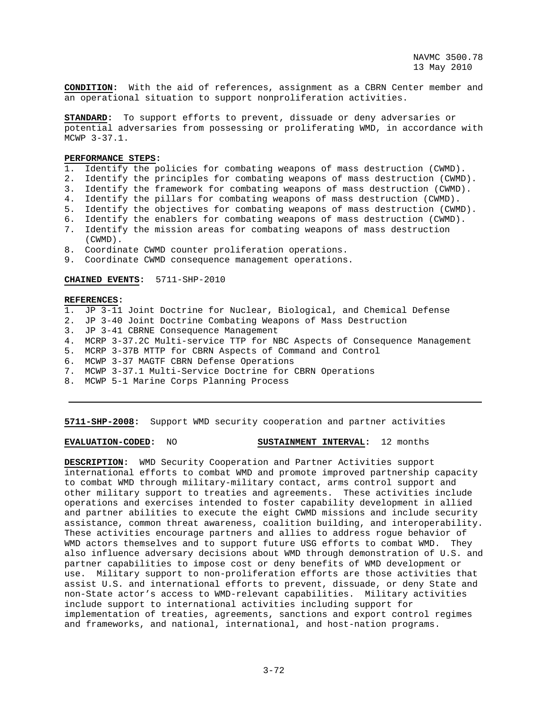**CONDITION:** With the aid of references, assignment as a CBRN Center member and an operational situation to support nonproliferation activities.

**STANDARD:** To support efforts to prevent, dissuade or deny adversaries or potential adversaries from possessing or proliferating WMD, in accordance with MCWP 3-37.1.

### **PERFORMANCE STEPS:**

- 1. Identify the policies for combating weapons of mass destruction (CWMD).
- 2. Identify the principles for combating weapons of mass destruction (CWMD).
- 3. Identify the framework for combating weapons of mass destruction (CWMD).
- 4. Identify the pillars for combating weapons of mass destruction (CWMD).
- 5. Identify the objectives for combating weapons of mass destruction (CWMD).
- 6. Identify the enablers for combating weapons of mass destruction (CWMD).
- 7. Identify the mission areas for combating weapons of mass destruction (CWMD).
- 8. Coordinate CWMD counter proliferation operations.
- 9. Coordinate CWMD consequence management operations.

**CHAINED EVENTS:** 5711-SHP-2010

## **REFERENCES:**

1. JP 3-11 Joint Doctrine for Nuclear, Biological, and Chemical Defense

2. JP 3-40 Joint Doctrine Combating Weapons of Mass Destruction

- 3. JP 3-41 CBRNE Consequence Management
- 4. MCRP 3-37.2C Multi-service TTP for NBC Aspects of Consequence Management
- 5. MCRP 3-37B MTTP for CBRN Aspects of Command and Control
- 6. MCWP 3-37 MAGTF CBRN Defense Operations
- 7. MCWP 3-37.1 Multi-Service Doctrine for CBRN Operations
- 8. MCWP 5-1 Marine Corps Planning Process

**5711-SHP-2008:** Support WMD security cooperation and partner activities

**EVALUATION-CODED:** NO **SUSTAINMENT INTERVAL:** 12 months

**DESCRIPTION:** WMD Security Cooperation and Partner Activities support international efforts to combat WMD and promote improved partnership capacity to combat WMD through military-military contact, arms control support and other military support to treaties and agreements. These activities include operations and exercises intended to foster capability development in allied and partner abilities to execute the eight CWMD missions and include security assistance, common threat awareness, coalition building, and interoperability. These activities encourage partners and allies to address rogue behavior of WMD actors themselves and to support future USG efforts to combat WMD. They also influence adversary decisions about WMD through demonstration of U.S. and partner capabilities to impose cost or deny benefits of WMD development or use. Military support to non-proliferation efforts are those activities that assist U.S. and international efforts to prevent, dissuade, or deny State and non-State actor's access to WMD-relevant capabilities. Military activities include support to international activities including support for implementation of treaties, agreements, sanctions and export control regimes and frameworks, and national, international, and host-nation programs.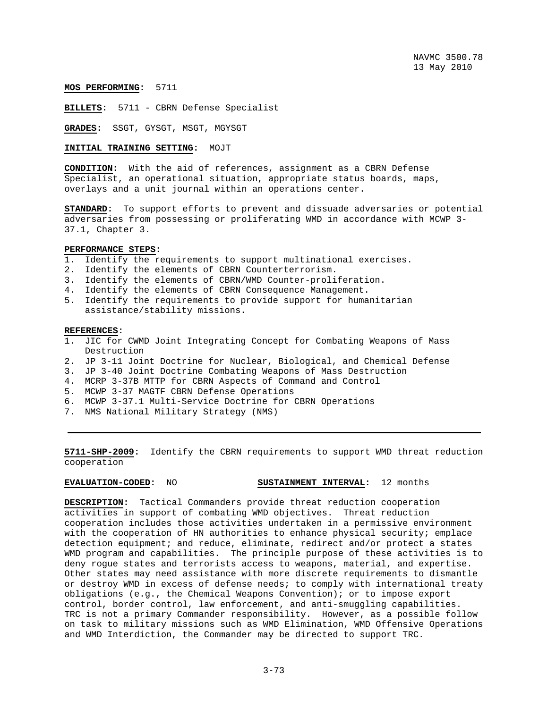### **MOS PERFORMING:** 5711

**BILLETS:** 5711 - CBRN Defense Specialist

**GRADES:** SSGT, GYSGT, MSGT, MGYSGT

# **INITIAL TRAINING SETTING:** MOJT

**CONDITION:** With the aid of references, assignment as a CBRN Defense Specialist, an operational situation, appropriate status boards, maps, overlays and a unit journal within an operations center.

**STANDARD:** To support efforts to prevent and dissuade adversaries or potential adversaries from possessing or proliferating WMD in accordance with MCWP 3- 37.1, Chapter 3.

- **PERFORMANCE STEPS:**<br>1. Identify the re Identify the requirements to support multinational exercises.
- 2. Identify the elements of CBRN Counterterrorism.
- 3. Identify the elements of CBRN/WMD Counter-proliferation.
- 4. Identify the elements of CBRN Consequence Management.
- 5. Identify the requirements to provide support for humanitarian assistance/stability missions.

### **REFERENCES:**

- 1. JIC for CWMD Joint Integrating Concept for Combating Weapons of Mass Destruction
- 2. JP 3-11 Joint Doctrine for Nuclear, Biological, and Chemical Defense
- 3. JP 3-40 Joint Doctrine Combating Weapons of Mass Destruction
- 4. MCRP 3-37B MTTP for CBRN Aspects of Command and Control
- 5. MCWP 3-37 MAGTF CBRN Defense Operations
- 6. MCWP 3-37.1 Multi-Service Doctrine for CBRN Operations
- 7. NMS National Military Strategy (NMS)

**5711-SHP-2009:** Identify the CBRN requirements to support WMD threat reduction cooperation

### **EVALUATION-CODED:** NO **SUSTAINMENT INTERVAL:** 12 months

**DESCRIPTION:** Tactical Commanders provide threat reduction cooperation activities in support of combating WMD objectives. Threat reduction cooperation includes those activities undertaken in a permissive environment with the cooperation of HN authorities to enhance physical security; emplace detection equipment; and reduce, eliminate, redirect and/or protect a states WMD program and capabilities. The principle purpose of these activities is to deny rogue states and terrorists access to weapons, material, and expertise. Other states may need assistance with more discrete requirements to dismantle or destroy WMD in excess of defense needs; to comply with international treaty obligations (e.g., the Chemical Weapons Convention); or to impose export control, border control, law enforcement, and anti-smuggling capabilities. TRC is not a primary Commander responsibility. However, as a possible follow on task to military missions such as WMD Elimination, WMD Offensive Operations and WMD Interdiction, the Commander may be directed to support TRC.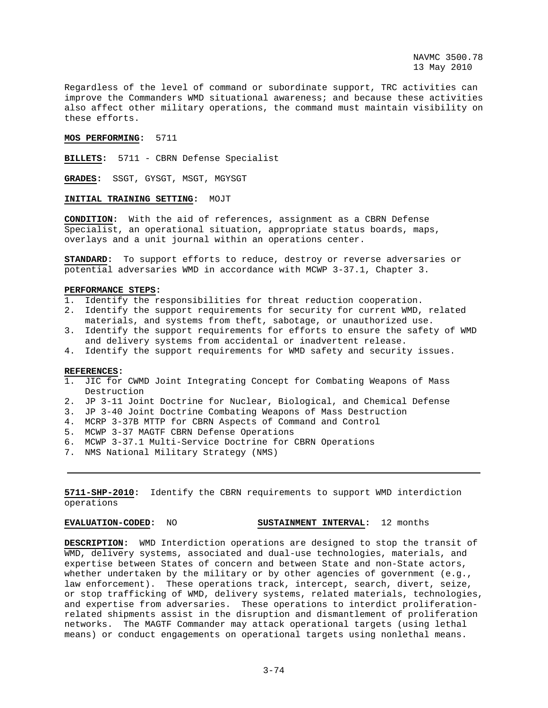Regardless of the level of command or subordinate support, TRC activities can improve the Commanders WMD situational awareness; and because these activities also affect other military operations, the command must maintain visibility on these efforts.

### **MOS PERFORMING:** 5711

**BILLETS:** 5711 - CBRN Defense Specialist

**GRADES:** SSGT, GYSGT, MSGT, MGYSGT

# **INITIAL TRAINING SETTING:** MOJT

**CONDITION:** With the aid of references, assignment as a CBRN Defense Specialist, an operational situation, appropriate status boards, maps, overlays and a unit journal within an operations center.

**STANDARD:** To support efforts to reduce, destroy or reverse adversaries or potential adversaries WMD in accordance with MCWP 3-37.1, Chapter 3.

### **PERFORMANCE STEPS:**

- 1. Identify the responsibilities for threat reduction cooperation.
- 2. Identify the support requirements for security for current WMD, related materials, and systems from theft, sabotage, or unauthorized use.
- 3. Identify the support requirements for efforts to ensure the safety of WMD and delivery systems from accidental or inadvertent release.
- 4. Identify the support requirements for WMD safety and security issues.

#### **REFERENCES:**

- 1. JIC for CWMD Joint Integrating Concept for Combating Weapons of Mass Destruction
- 2. JP 3-11 Joint Doctrine for Nuclear, Biological, and Chemical Defense
- 3. JP 3-40 Joint Doctrine Combating Weapons of Mass Destruction
- 4. MCRP 3-37B MTTP for CBRN Aspects of Command and Control
- 5. MCWP 3-37 MAGTF CBRN Defense Operations
- 6. MCWP 3-37.1 Multi-Service Doctrine for CBRN Operations
- 7. NMS National Military Strategy (NMS)

**5711-SHP-2010:** Identify the CBRN requirements to support WMD interdiction operations

**EVALUATION-CODED:** NO **SUSTAINMENT INTERVAL:** 12 months

**DESCRIPTION:** WMD Interdiction operations are designed to stop the transit of WMD, delivery systems, associated and dual-use technologies, materials, and expertise between States of concern and between State and non-State actors, whether undertaken by the military or by other agencies of government (e.g., law enforcement). These operations track, intercept, search, divert, seize, or stop trafficking of WMD, delivery systems, related materials, technologies, and expertise from adversaries. These operations to interdict proliferationrelated shipments assist in the disruption and dismantlement of proliferation networks. The MAGTF Commander may attack operational targets (using lethal means) or conduct engagements on operational targets using nonlethal means.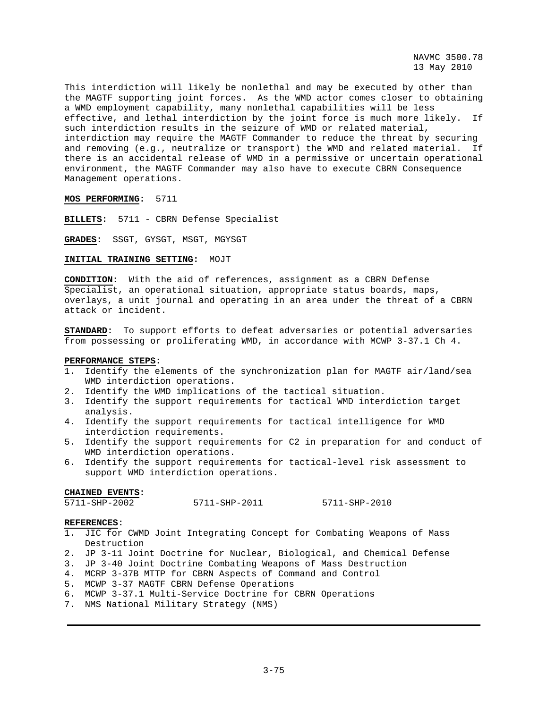This interdiction will likely be nonlethal and may be executed by other than the MAGTF supporting joint forces. As the WMD actor comes closer to obtaining a WMD employment capability, many nonlethal capabilities will be less effective, and lethal interdiction by the joint force is much more likely. If such interdiction results in the seizure of WMD or related material, interdiction may require the MAGTF Commander to reduce the threat by securing and removing (e.g., neutralize or transport) the WMD and related material. If there is an accidental release of WMD in a permissive or uncertain operational environment, the MAGTF Commander may also have to execute CBRN Consequence Management operations.

### **MOS PERFORMING:** 5711

**BILLETS:** 5711 - CBRN Defense Specialist

**GRADES:** SSGT, GYSGT, MSGT, MGYSGT

# **INITIAL TRAINING SETTING:** MOJT

**CONDITION:** With the aid of references, assignment as a CBRN Defense Specialist, an operational situation, appropriate status boards, maps, overlays, a unit journal and operating in an area under the threat of a CBRN attack or incident.

**STANDARD:** To support efforts to defeat adversaries or potential adversaries from possessing or proliferating WMD, in accordance with MCWP 3-37.1 Ch 4.

#### **PERFORMANCE STEPS:**

- 1. Identify the elements of the synchronization plan for MAGTF air/land/sea WMD interdiction operations.
- 2. Identify the WMD implications of the tactical situation.
- 3. Identify the support requirements for tactical WMD interdiction target analysis.
- 4. Identify the support requirements for tactical intelligence for WMD interdiction requirements.
- 5. Identify the support requirements for C2 in preparation for and conduct of WMD interdiction operations.
- 6. Identify the support requirements for tactical-level risk assessment to support WMD interdiction operations.

### **CHAINED EVENTS:**

| 5711-SHP-2002 | 5711-SHP-2011 | 5711-SHP-2010 |
|---------------|---------------|---------------|
|               |               |               |

#### **REFERENCES:**

- 1. JIC for CWMD Joint Integrating Concept for Combating Weapons of Mass Destruction
- 2. JP 3-11 Joint Doctrine for Nuclear, Biological, and Chemical Defense
- 3. JP 3-40 Joint Doctrine Combating Weapons of Mass Destruction
- 4. MCRP 3-37B MTTP for CBRN Aspects of Command and Control
- 5. MCWP 3-37 MAGTF CBRN Defense Operations
- 6. MCWP 3-37.1 Multi-Service Doctrine for CBRN Operations
- 7. NMS National Military Strategy (NMS)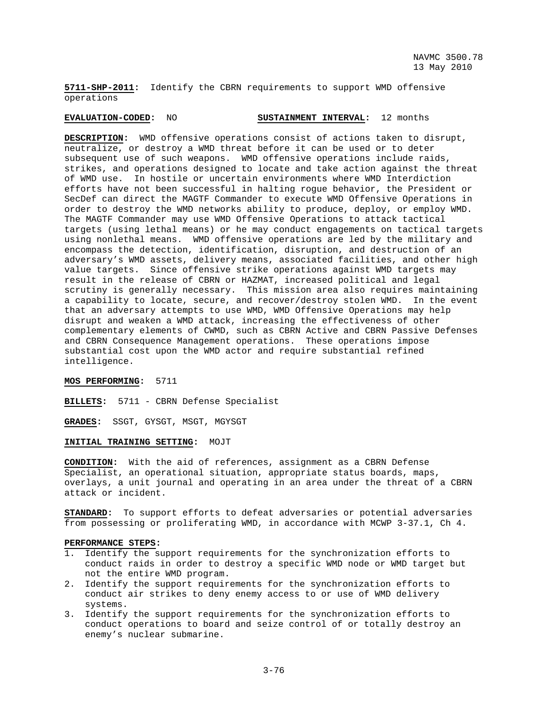**5711-SHP-2011:** Identify the CBRN requirements to support WMD offensive operations

# **EVALUATION-CODED:** NO **SUSTAINMENT INTERVAL:** 12 months

**DESCRIPTION:** WMD offensive operations consist of actions taken to disrupt, neutralize, or destroy a WMD threat before it can be used or to deter subsequent use of such weapons. WMD offensive operations include raids, strikes, and operations designed to locate and take action against the threat of WMD use. In hostile or uncertain environments where WMD Interdiction efforts have not been successful in halting rogue behavior, the President or SecDef can direct the MAGTF Commander to execute WMD Offensive Operations in order to destroy the WMD networks ability to produce, deploy, or employ WMD. The MAGTF Commander may use WMD Offensive Operations to attack tactical targets (using lethal means) or he may conduct engagements on tactical targets using nonlethal means. WMD offensive operations are led by the military and encompass the detection, identification, disruption, and destruction of an adversary's WMD assets, delivery means, associated facilities, and other high value targets. Since offensive strike operations against WMD targets may result in the release of CBRN or HAZMAT, increased political and legal scrutiny is generally necessary. This mission area also requires maintaining a capability to locate, secure, and recover/destroy stolen WMD. In the event that an adversary attempts to use WMD, WMD Offensive Operations may help disrupt and weaken a WMD attack, increasing the effectiveness of other complementary elements of CWMD, such as CBRN Active and CBRN Passive Defenses and CBRN Consequence Management operations. These operations impose substantial cost upon the WMD actor and require substantial refined intelligence.

#### **MOS PERFORMING:** 5711

**BILLETS:** 5711 - CBRN Defense Specialist

**GRADES:** SSGT, GYSGT, MSGT, MGYSGT

### **INITIAL TRAINING SETTING:** MOJT

**CONDITION:** With the aid of references, assignment as a CBRN Defense Specialist, an operational situation, appropriate status boards, maps, overlays, a unit journal and operating in an area under the threat of a CBRN attack or incident.

**STANDARD:** To support efforts to defeat adversaries or potential adversaries from possessing or proliferating WMD, in accordance with MCWP 3-37.1, Ch 4.

- 1. Identify the support requirements for the synchronization efforts to conduct raids in order to destroy a specific WMD node or WMD target but not the entire WMD program.
- 2. Identify the support requirements for the synchronization efforts to conduct air strikes to deny enemy access to or use of WMD delivery systems.
- 3. Identify the support requirements for the synchronization efforts to conduct operations to board and seize control of or totally destroy an enemy's nuclear submarine.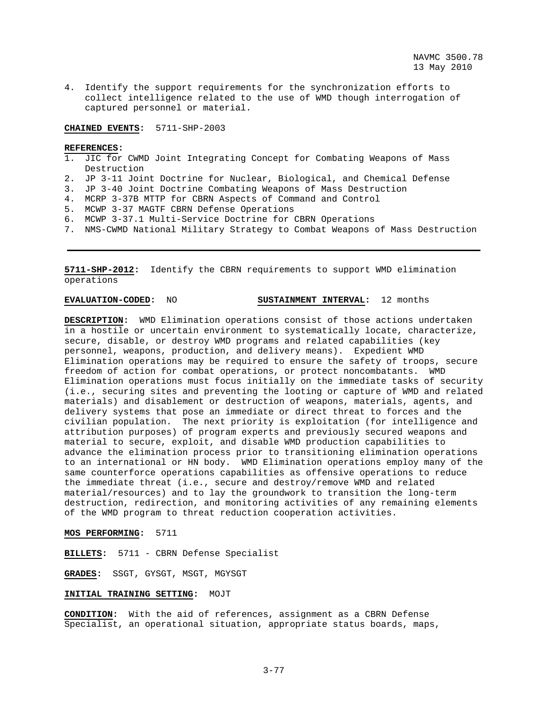4. Identify the support requirements for the synchronization efforts to collect intelligence related to the use of WMD though interrogation of captured personnel or material.

**CHAINED EVENTS:** 5711-SHP-2003

#### **REFERENCES:**

- 1. JIC for CWMD Joint Integrating Concept for Combating Weapons of Mass Destruction
- 2. JP 3-11 Joint Doctrine for Nuclear, Biological, and Chemical Defense
- 3. JP 3-40 Joint Doctrine Combating Weapons of Mass Destruction
- 4. MCRP 3-37B MTTP for CBRN Aspects of Command and Control
- 5. MCWP 3-37 MAGTF CBRN Defense Operations
- 6. MCWP 3-37.1 Multi-Service Doctrine for CBRN Operations
- 7. NMS-CWMD National Military Strategy to Combat Weapons of Mass Destruction

**5711-SHP-2012:** Identify the CBRN requirements to support WMD elimination operations

**EVALUATION-CODED:** NO **SUSTAINMENT INTERVAL:** 12 months

**DESCRIPTION:** WMD Elimination operations consist of those actions undertaken in a hostile or uncertain environment to systematically locate, characterize, secure, disable, or destroy WMD programs and related capabilities (key personnel, weapons, production, and delivery means). Expedient WMD Elimination operations may be required to ensure the safety of troops, secure freedom of action for combat operations, or protect noncombatants. WMD Elimination operations must focus initially on the immediate tasks of security (i.e., securing sites and preventing the looting or capture of WMD and related materials) and disablement or destruction of weapons, materials, agents, and delivery systems that pose an immediate or direct threat to forces and the civilian population. The next priority is exploitation (for intelligence and attribution purposes) of program experts and previously secured weapons and material to secure, exploit, and disable WMD production capabilities to advance the elimination process prior to transitioning elimination operations to an international or HN body. WMD Elimination operations employ many of the same counterforce operations capabilities as offensive operations to reduce the immediate threat (i.e., secure and destroy/remove WMD and related material/resources) and to lay the groundwork to transition the long-term destruction, redirection, and monitoring activities of any remaining elements of the WMD program to threat reduction cooperation activities.

**MOS PERFORMING:** 5711

**BILLETS:** 5711 - CBRN Defense Specialist

**GRADES:** SSGT, GYSGT, MSGT, MGYSGT

# **INITIAL TRAINING SETTING:** MOJT

**CONDITION:** With the aid of references, assignment as a CBRN Defense Specialist, an operational situation, appropriate status boards, maps,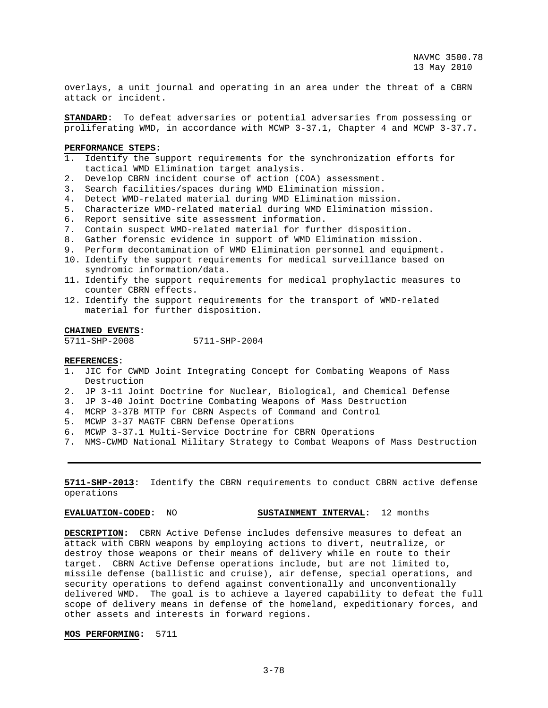overlays, a unit journal and operating in an area under the threat of a CBRN attack or incident.

**STANDARD:** To defeat adversaries or potential adversaries from possessing or proliferating WMD, in accordance with MCWP 3-37.1, Chapter 4 and MCWP 3-37.7.

#### **PERFORMANCE STEPS:**

- 1. Identify the support requirements for the synchronization efforts for tactical WMD Elimination target analysis.
- 2. Develop CBRN incident course of action (COA) assessment.
- 3. Search facilities/spaces during WMD Elimination mission.
- 4. Detect WMD-related material during WMD Elimination mission.
- 5. Characterize WMD-related material during WMD Elimination mission.
- 6. Report sensitive site assessment information.
- 7. Contain suspect WMD-related material for further disposition.
- 8. Gather forensic evidence in support of WMD Elimination mission.
- 9. Perform decontamination of WMD Elimination personnel and equipment.
- 10. Identify the support requirements for medical surveillance based on syndromic information/data.
- 11. Identify the support requirements for medical prophylactic measures to counter CBRN effects.
- 12. Identify the support requirements for the transport of WMD-related material for further disposition.

#### **CHAINED EVENTS:**

5711-SHP-2008 5711-SHP-2004

# **REFERENCES:**

- 1. JIC for CWMD Joint Integrating Concept for Combating Weapons of Mass Destruction
- 2. JP 3-11 Joint Doctrine for Nuclear, Biological, and Chemical Defense
- 3. JP 3-40 Joint Doctrine Combating Weapons of Mass Destruction
- 4. MCRP 3-37B MTTP for CBRN Aspects of Command and Control
- 5. MCWP 3-37 MAGTF CBRN Defense Operations
- 6. MCWP 3-37.1 Multi-Service Doctrine for CBRN Operations
- 7. NMS-CWMD National Military Strategy to Combat Weapons of Mass Destruction

**5711-SHP-2013:** Identify the CBRN requirements to conduct CBRN active defense operations

### **EVALUATION-CODED:** NO **SUSTAINMENT INTERVAL:** 12 months

**DESCRIPTION:** CBRN Active Defense includes defensive measures to defeat an attack with CBRN weapons by employing actions to divert, neutralize, or destroy those weapons or their means of delivery while en route to their target. CBRN Active Defense operations include, but are not limited to, missile defense (ballistic and cruise), air defense, special operations, and security operations to defend against conventionally and unconventionally delivered WMD. The goal is to achieve a layered capability to defeat the full scope of delivery means in defense of the homeland, expeditionary forces, and other assets and interests in forward regions.

#### **MOS PERFORMING:** 5711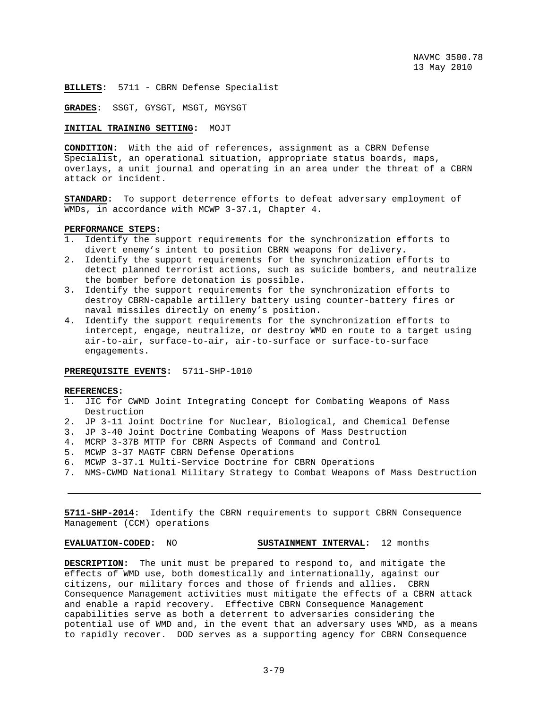**BILLETS:** 5711 - CBRN Defense Specialist

**GRADES:** SSGT, GYSGT, MSGT, MGYSGT

# **INITIAL TRAINING SETTING:** MOJT

**CONDITION:** With the aid of references, assignment as a CBRN Defense Specialist, an operational situation, appropriate status boards, maps, overlays, a unit journal and operating in an area under the threat of a CBRN attack or incident.

**STANDARD:** To support deterrence efforts to defeat adversary employment of WMDs, in accordance with MCWP 3-37.1, Chapter 4.

#### **PERFORMANCE STEPS:**

- 1. Identify the support requirements for the synchronization efforts to divert enemy's intent to position CBRN weapons for delivery.
- 2. Identify the support requirements for the synchronization efforts to detect planned terrorist actions, such as suicide bombers, and neutralize the bomber before detonation is possible.
- 3. Identify the support requirements for the synchronization efforts to destroy CBRN-capable artillery battery using counter-battery fires or naval missiles directly on enemy's position.
- 4. Identify the support requirements for the synchronization efforts to intercept, engage, neutralize, or destroy WMD en route to a target using air-to-air, surface-to-air, air-to-surface or surface-to-surface engagements.

### **PREREQUISITE EVENTS:** 5711-SHP-1010

#### **REFERENCES:**

- 1. JIC for CWMD Joint Integrating Concept for Combating Weapons of Mass Destruction
- 2. JP 3-11 Joint Doctrine for Nuclear, Biological, and Chemical Defense
- 3. JP 3-40 Joint Doctrine Combating Weapons of Mass Destruction
- 4. MCRP 3-37B MTTP for CBRN Aspects of Command and Control
- 5. MCWP 3-37 MAGTF CBRN Defense Operations
- 6. MCWP 3-37.1 Multi-Service Doctrine for CBRN Operations
- 7. NMS-CWMD National Military Strategy to Combat Weapons of Mass Destruction

**5711-SHP-2014:** Identify the CBRN requirements to support CBRN Consequence Management (CCM) operations

**EVALUATION-CODED:** NO **SUSTAINMENT INTERVAL:** 12 months

**DESCRIPTION:** The unit must be prepared to respond to, and mitigate the effects of WMD use, both domestically and internationally, against our citizens, our military forces and those of friends and allies. CBRN Consequence Management activities must mitigate the effects of a CBRN attack and enable a rapid recovery. Effective CBRN Consequence Management capabilities serve as both a deterrent to adversaries considering the potential use of WMD and, in the event that an adversary uses WMD, as a means to rapidly recover. DOD serves as a supporting agency for CBRN Consequence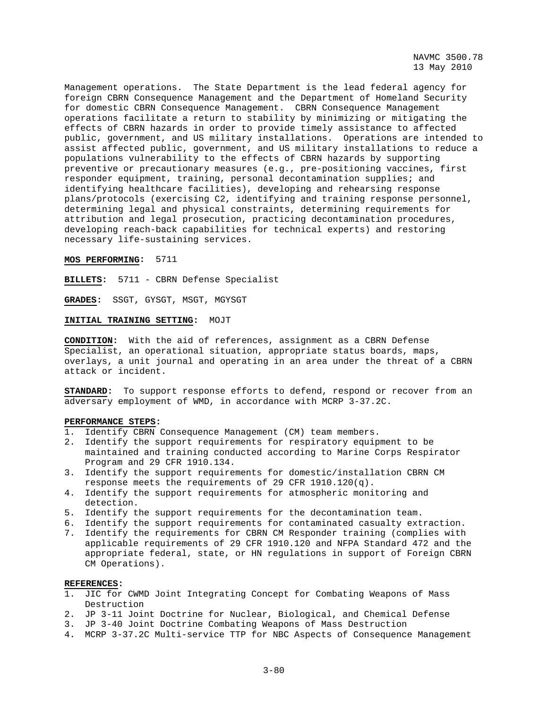Management operations. The State Department is the lead federal agency for foreign CBRN Consequence Management and the Department of Homeland Security for domestic CBRN Consequence Management. CBRN Consequence Management operations facilitate a return to stability by minimizing or mitigating the effects of CBRN hazards in order to provide timely assistance to affected public, government, and US military installations. Operations are intended to assist affected public, government, and US military installations to reduce a populations vulnerability to the effects of CBRN hazards by supporting preventive or precautionary measures (e.g., pre-positioning vaccines, first responder equipment, training, personal decontamination supplies; and identifying healthcare facilities), developing and rehearsing response plans/protocols (exercising C2, identifying and training response personnel, determining legal and physical constraints, determining requirements for attribution and legal prosecution, practicing decontamination procedures, developing reach-back capabilities for technical experts) and restoring necessary life-sustaining services.

**MOS PERFORMING:** 5711

**BILLETS:** 5711 - CBRN Defense Specialist

**GRADES:** SSGT, GYSGT, MSGT, MGYSGT

# **INITIAL TRAINING SETTING:** MOJT

**CONDITION:** With the aid of references, assignment as a CBRN Defense Specialist, an operational situation, appropriate status boards, maps, overlays, a unit journal and operating in an area under the threat of a CBRN attack or incident.

**STANDARD:** To support response efforts to defend, respond or recover from an adversary employment of WMD, in accordance with MCRP 3-37.2C.

# **PERFORMANCE STEPS:**

- 1. Identify CBRN Consequence Management (CM) team members.
- 2. Identify the support requirements for respiratory equipment to be maintained and training conducted according to Marine Corps Respirator Program and 29 CFR 1910.134.
- 3. Identify the support requirements for domestic/installation CBRN CM response meets the requirements of 29 CFR 1910.120(q).
- 4. Identify the support requirements for atmospheric monitoring and detection.
- 5. Identify the support requirements for the decontamination team.
- 6. Identify the support requirements for contaminated casualty extraction.
- 7. Identify the requirements for CBRN CM Responder training (complies with applicable requirements of 29 CFR 1910.120 and NFPA Standard 472 and the appropriate federal, state, or HN regulations in support of Foreign CBRN CM Operations).

# **REFERENCES:**

- 1. JIC for CWMD Joint Integrating Concept for Combating Weapons of Mass Destruction
- 2. JP 3-11 Joint Doctrine for Nuclear, Biological, and Chemical Defense
- 3. JP 3-40 Joint Doctrine Combating Weapons of Mass Destruction
- 4. MCRP 3-37.2C Multi-service TTP for NBC Aspects of Consequence Management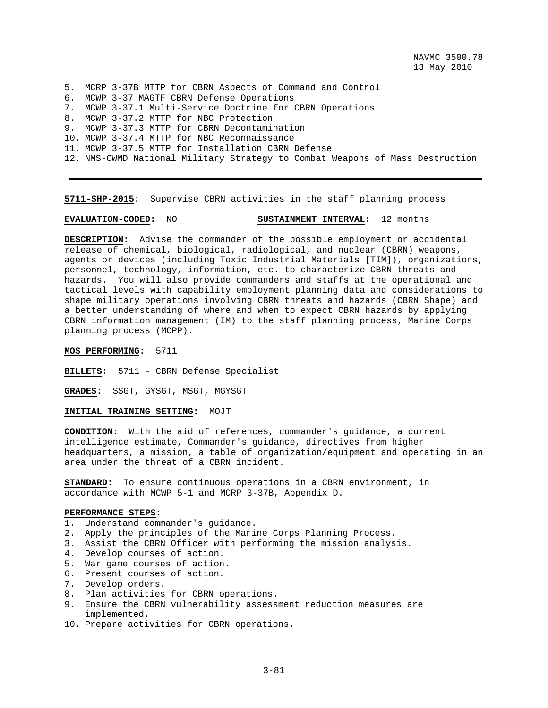5. MCRP 3-37B MTTP for CBRN Aspects of Command and Control 6. MCWP 3-37 MAGTF CBRN Defense Operations 7. MCWP 3-37.1 Multi-Service Doctrine for CBRN Operations 8. MCWP 3-37.2 MTTP for NBC Protection 9. MCWP 3-37.3 MTTP for CBRN Decontamination 10. MCWP 3-37.4 MTTP for NBC Reconnaissance 11. MCWP 3-37.5 MTTP for Installation CBRN Defense 12. NMS-CWMD National Military Strategy to Combat Weapons of Mass Destruction

**5711-SHP-2015:** Supervise CBRN activities in the staff planning process

# **EVALUATION-CODED:** NO **SUSTAINMENT INTERVAL:** 12 months

**DESCRIPTION:** Advise the commander of the possible employment or accidental release of chemical, biological, radiological, and nuclear (CBRN) weapons, agents or devices (including Toxic Industrial Materials [TIM]), organizations, personnel, technology, information, etc. to characterize CBRN threats and hazards. You will also provide commanders and staffs at the operational and tactical levels with capability employment planning data and considerations to shape military operations involving CBRN threats and hazards (CBRN Shape) and a better understanding of where and when to expect CBRN hazards by applying CBRN information management (IM) to the staff planning process, Marine Corps planning process (MCPP).

**MOS PERFORMING:** 5711

**BILLETS:** 5711 - CBRN Defense Specialist

**GRADES:** SSGT, GYSGT, MSGT, MGYSGT

**INITIAL TRAINING SETTING:** MOJT

**CONDITION:** With the aid of references, commander's guidance, a current intelligence estimate, Commander's guidance, directives from higher headquarters, a mission, a table of organization/equipment and operating in an area under the threat of a CBRN incident.

**STANDARD:** To ensure continuous operations in a CBRN environment, in accordance with MCWP 5-1 and MCRP 3-37B, Appendix D.

- 1. Understand commander's guidance.
- 2. Apply the principles of the Marine Corps Planning Process.
- 3. Assist the CBRN Officer with performing the mission analysis.
- 4. Develop courses of action.
- 5. War game courses of action.
- 6. Present courses of action.
- 7. Develop orders.
- 8. Plan activities for CBRN operations.
- 9. Ensure the CBRN vulnerability assessment reduction measures are implemented.
- 10. Prepare activities for CBRN operations.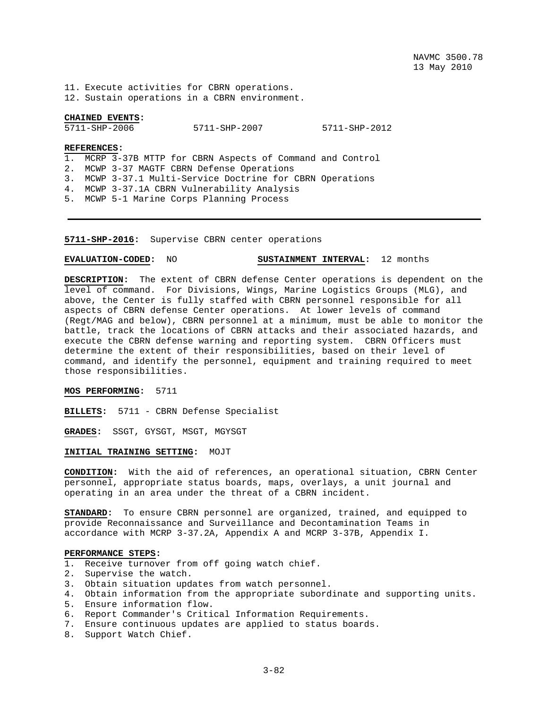11. Execute activities for CBRN operations. 12. Sustain operations in a CBRN environment.

**CHAINED EVENTS:**

|  | 5711-SHP-2006 | 5711-SHP-2007 |
|--|---------------|---------------|
|--|---------------|---------------|

5711-SHP-2012

| <b>REFERENCES:</b> |  |                                                            |  |  |  |
|--------------------|--|------------------------------------------------------------|--|--|--|
|                    |  | 1. MCRP 3-37B MTTP for CBRN Aspects of Command and Control |  |  |  |
|                    |  | 2. MCWP 3-37 MAGTF CBRN Defense Operations                 |  |  |  |
|                    |  | 3. MCWP 3-37.1 Multi-Service Doctrine for CBRN Operations  |  |  |  |
|                    |  | 4. MCWP 3-37.1A CBRN Vulnerability Analysis                |  |  |  |
|                    |  | 5. MCWP 5-1 Marine Corps Planning Process                  |  |  |  |

**5711-SHP-2016:** Supervise CBRN center operations

**EVALUATION-CODED:** NO **SUSTAINMENT INTERVAL:** 12 months

**DESCRIPTION:** The extent of CBRN defense Center operations is dependent on the level of command. For Divisions, Wings, Marine Logistics Groups (MLG), and above, the Center is fully staffed with CBRN personnel responsible for all aspects of CBRN defense Center operations. At lower levels of command (Regt/MAG and below), CBRN personnel at a minimum, must be able to monitor the battle, track the locations of CBRN attacks and their associated hazards, and execute the CBRN defense warning and reporting system. CBRN Officers must determine the extent of their responsibilities, based on their level of command, and identify the personnel, equipment and training required to meet those responsibilities.

#### **MOS PERFORMING:** 5711

**BILLETS:** 5711 - CBRN Defense Specialist

**GRADES:** SSGT, GYSGT, MSGT, MGYSGT

# **INITIAL TRAINING SETTING:** MOJT

**CONDITION:** With the aid of references, an operational situation, CBRN Center personnel, appropriate status boards, maps, overlays, a unit journal and operating in an area under the threat of a CBRN incident.

**STANDARD:** To ensure CBRN personnel are organized, trained, and equipped to provide Reconnaissance and Surveillance and Decontamination Teams in accordance with MCRP 3-37.2A, Appendix A and MCRP 3-37B, Appendix I.

- 1. Receive turnover from off going watch chief.
- 2. Supervise the watch.
- 3. Obtain situation updates from watch personnel.
- 4. Obtain information from the appropriate subordinate and supporting units.
- 5. Ensure information flow.
- 6. Report Commander's Critical Information Requirements.
- 7. Ensure continuous updates are applied to status boards.
- 8. Support Watch Chief.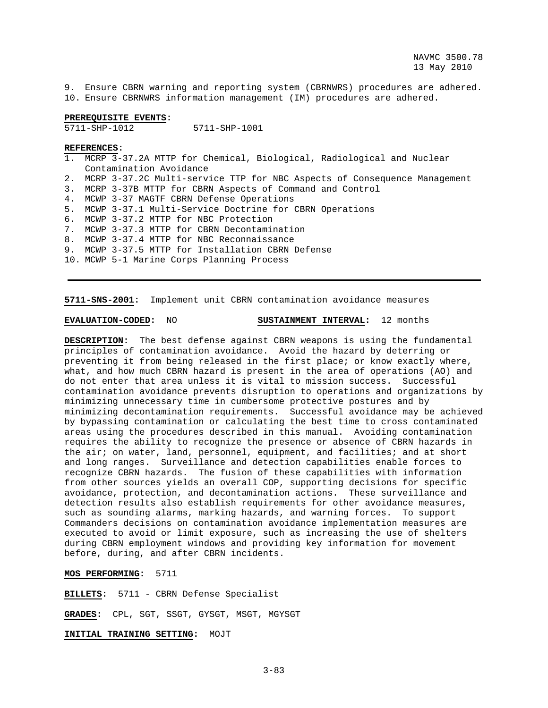9. Ensure CBRN warning and reporting system (CBRNWRS) procedures are adhered. 10. Ensure CBRNWRS information management (IM) procedures are adhered.

# **PREREQUISITE EVENTS:**

5711-SHP-1012 5711-SHP-1001

#### **REFERENCES:**

1. MCRP 3-37.2A MTTP for Chemical, Biological, Radiological and Nuclear Contamination Avoidance 2. MCRP 3-37.2C Multi-service TTP for NBC Aspects of Consequence Management 3. MCRP 3-37B MTTP for CBRN Aspects of Command and Control 4. MCWP 3-37 MAGTF CBRN Defense Operations 5. MCWP 3-37.1 Multi-Service Doctrine for CBRN Operations 6. MCWP 3-37.2 MTTP for NBC Protection 7. MCWP 3-37.3 MTTP for CBRN Decontamination 8. MCWP 3-37.4 MTTP for NBC Reconnaissance 9. MCWP 3-37.5 MTTP for Installation CBRN Defense 10. MCWP 5-1 Marine Corps Planning Process

**5711-SNS-2001:** Implement unit CBRN contamination avoidance measures

**EVALUATION-CODED:** NO **SUSTAINMENT INTERVAL:** 12 months

**DESCRIPTION:** The best defense against CBRN weapons is using the fundamental principles of contamination avoidance. Avoid the hazard by deterring or preventing it from being released in the first place; or know exactly where, what, and how much CBRN hazard is present in the area of operations (AO) and do not enter that area unless it is vital to mission success. Successful contamination avoidance prevents disruption to operations and organizations by minimizing unnecessary time in cumbersome protective postures and by minimizing decontamination requirements. Successful avoidance may be achieved by bypassing contamination or calculating the best time to cross contaminated areas using the procedures described in this manual. Avoiding contamination requires the ability to recognize the presence or absence of CBRN hazards in the air; on water, land, personnel, equipment, and facilities; and at short and long ranges. Surveillance and detection capabilities enable forces to recognize CBRN hazards. The fusion of these capabilities with information from other sources yields an overall COP, supporting decisions for specific avoidance, protection, and decontamination actions. These surveillance and detection results also establish requirements for other avoidance measures, such as sounding alarms, marking hazards, and warning forces. To support Commanders decisions on contamination avoidance implementation measures are executed to avoid or limit exposure, such as increasing the use of shelters during CBRN employment windows and providing key information for movement before, during, and after CBRN incidents.

### **MOS PERFORMING:** 5711

**BILLETS:** 5711 - CBRN Defense Specialist

**GRADES:** CPL, SGT, SSGT, GYSGT, MSGT, MGYSGT

#### **INITIAL TRAINING SETTING:** MOJT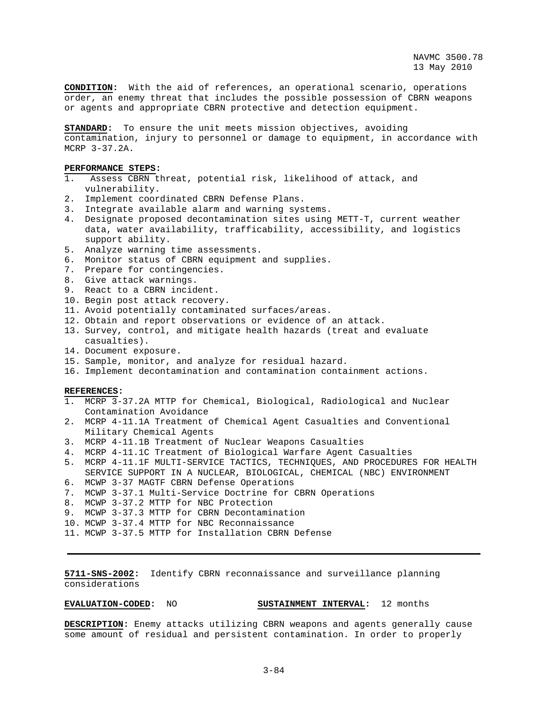**CONDITION:** With the aid of references, an operational scenario, operations order, an enemy threat that includes the possible possession of CBRN weapons or agents and appropriate CBRN protective and detection equipment.

**STANDARD:** To ensure the unit meets mission objectives, avoiding contamination, injury to personnel or damage to equipment, in accordance with MCRP 3-37.2A.

# **PERFORMANCE STEPS:**

- 1. Assess CBRN threat, potential risk, likelihood of attack, and vulnerability.
- 2. Implement coordinated CBRN Defense Plans.
- 3. Integrate available alarm and warning systems.
- 4. Designate proposed decontamination sites using METT-T, current weather data, water availability, trafficability, accessibility, and logistics support ability.
- 5. Analyze warning time assessments.
- 6. Monitor status of CBRN equipment and supplies.
- 7. Prepare for contingencies.
- 8. Give attack warnings.
- 9. React to a CBRN incident.
- 10. Begin post attack recovery.
- 11. Avoid potentially contaminated surfaces/areas.
- 12. Obtain and report observations or evidence of an attack.
- 13. Survey, control, and mitigate health hazards (treat and evaluate casualties).
- 14. Document exposure.
- 15. Sample, monitor, and analyze for residual hazard.
- 16. Implement decontamination and contamination containment actions.

#### **REFERENCES:**

- 1. MCRP 3-37.2A MTTP for Chemical, Biological, Radiological and Nuclear Contamination Avoidance
- 2. MCRP 4-11.1A Treatment of Chemical Agent Casualties and Conventional Military Chemical Agents
- 3. MCRP 4-11.1B Treatment of Nuclear Weapons Casualties
- 4. MCRP 4-11.1C Treatment of Biological Warfare Agent Casualties
- 5. MCRP 4-11.1F MULTI-SERVICE TACTICS, TECHNIQUES, AND PROCEDURES FOR HEALTH SERVICE SUPPORT IN A NUCLEAR, BIOLOGICAL, CHEMICAL (NBC) ENVIRONMENT
- 6. MCWP 3-37 MAGTF CBRN Defense Operations
- 7. MCWP 3-37.1 Multi-Service Doctrine for CBRN Operations
- 8. MCWP 3-37.2 MTTP for NBC Protection
- 9. MCWP 3-37.3 MTTP for CBRN Decontamination
- 10. MCWP 3-37.4 MTTP for NBC Reconnaissance
- 11. MCWP 3-37.5 MTTP for Installation CBRN Defense

**5711-SNS-2002:** Identify CBRN reconnaissance and surveillance planning considerations

**EVALUATION-CODED:** NO **SUSTAINMENT INTERVAL:** 12 months

**DESCRIPTION:** Enemy attacks utilizing CBRN weapons and agents generally cause some amount of residual and persistent contamination. In order to properly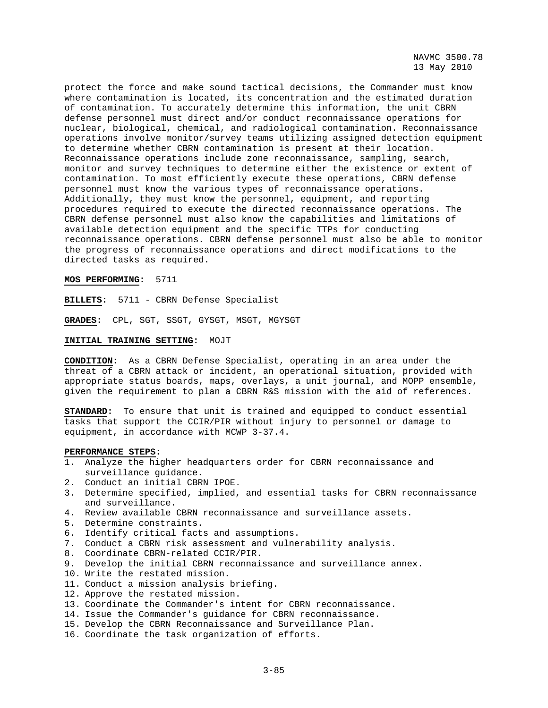protect the force and make sound tactical decisions, the Commander must know where contamination is located, its concentration and the estimated duration of contamination. To accurately determine this information, the unit CBRN defense personnel must direct and/or conduct reconnaissance operations for nuclear, biological, chemical, and radiological contamination. Reconnaissance operations involve monitor/survey teams utilizing assigned detection equipment to determine whether CBRN contamination is present at their location. Reconnaissance operations include zone reconnaissance, sampling, search, monitor and survey techniques to determine either the existence or extent of contamination. To most efficiently execute these operations, CBRN defense personnel must know the various types of reconnaissance operations. Additionally, they must know the personnel, equipment, and reporting procedures required to execute the directed reconnaissance operations. The CBRN defense personnel must also know the capabilities and limitations of available detection equipment and the specific TTPs for conducting reconnaissance operations. CBRN defense personnel must also be able to monitor the progress of reconnaissance operations and direct modifications to the directed tasks as required.

# **MOS PERFORMING:** 5711

**BILLETS:** 5711 - CBRN Defense Specialist

**GRADES:** CPL, SGT, SSGT, GYSGT, MSGT, MGYSGT

# **INITIAL TRAINING SETTING:** MOJT

**CONDITION:** As a CBRN Defense Specialist, operating in an area under the threat of a CBRN attack or incident, an operational situation, provided with appropriate status boards, maps, overlays, a unit journal, and MOPP ensemble, given the requirement to plan a CBRN R&S mission with the aid of references.

**STANDARD:** To ensure that unit is trained and equipped to conduct essential tasks that support the CCIR/PIR without injury to personnel or damage to equipment, in accordance with MCWP 3-37.4.

- 1. Analyze the higher headquarters order for CBRN reconnaissance and surveillance guidance.
- 2. Conduct an initial CBRN IPOE.
- 3. Determine specified, implied, and essential tasks for CBRN reconnaissance and surveillance.
- 4. Review available CBRN reconnaissance and surveillance assets.
- 5. Determine constraints.
- 6. Identify critical facts and assumptions.
- 7. Conduct a CBRN risk assessment and vulnerability analysis.
- 8. Coordinate CBRN-related CCIR/PIR.
- 9. Develop the initial CBRN reconnaissance and surveillance annex.
- 10. Write the restated mission.
- 11. Conduct a mission analysis briefing.
- 12. Approve the restated mission.
- 13. Coordinate the Commander's intent for CBRN reconnaissance.
- 14. Issue the Commander's guidance for CBRN reconnaissance.
- 15. Develop the CBRN Reconnaissance and Surveillance Plan.
- 16. Coordinate the task organization of efforts.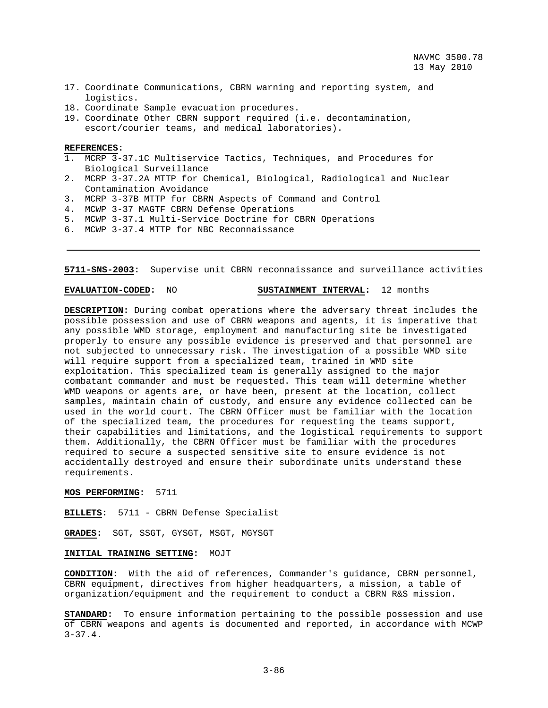- 17. Coordinate Communications, CBRN warning and reporting system, and logistics.
- 18. Coordinate Sample evacuation procedures.
- 19. Coordinate Other CBRN support required (i.e. decontamination, escort/courier teams, and medical laboratories).

#### **REFERENCES:**

- 1. MCRP 3-37.1C Multiservice Tactics, Techniques, and Procedures for Biological Surveillance
- 2. MCRP 3-37.2A MTTP for Chemical, Biological, Radiological and Nuclear Contamination Avoidance
- 3. MCRP 3-37B MTTP for CBRN Aspects of Command and Control
- 4. MCWP 3-37 MAGTF CBRN Defense Operations
- 5. MCWP 3-37.1 Multi-Service Doctrine for CBRN Operations
- 6. MCWP 3-37.4 MTTP for NBC Reconnaissance

**5711-SNS-2003:** Supervise unit CBRN reconnaissance and surveillance activities

# **EVALUATION-CODED:** NO **SUSTAINMENT INTERVAL:** 12 months

**DESCRIPTION:** During combat operations where the adversary threat includes the possible possession and use of CBRN weapons and agents, it is imperative that any possible WMD storage, employment and manufacturing site be investigated properly to ensure any possible evidence is preserved and that personnel are not subjected to unnecessary risk. The investigation of a possible WMD site will require support from a specialized team, trained in WMD site exploitation. This specialized team is generally assigned to the major combatant commander and must be requested. This team will determine whether WMD weapons or agents are, or have been, present at the location, collect samples, maintain chain of custody, and ensure any evidence collected can be used in the world court. The CBRN Officer must be familiar with the location of the specialized team, the procedures for requesting the teams support, their capabilities and limitations, and the logistical requirements to support them. Additionally, the CBRN Officer must be familiar with the procedures required to secure a suspected sensitive site to ensure evidence is not accidentally destroyed and ensure their subordinate units understand these requirements.

#### **MOS PERFORMING:** 5711

**BILLETS:** 5711 - CBRN Defense Specialist

**GRADES:** SGT, SSGT, GYSGT, MSGT, MGYSGT

#### **INITIAL TRAINING SETTING:** MOJT

**CONDITION:** With the aid of references, Commander's guidance, CBRN personnel, CBRN equipment, directives from higher headquarters, a mission, a table of organization/equipment and the requirement to conduct a CBRN R&S mission.

**STANDARD:** To ensure information pertaining to the possible possession and use of CBRN weapons and agents is documented and reported, in accordance with MCWP 3-37.4.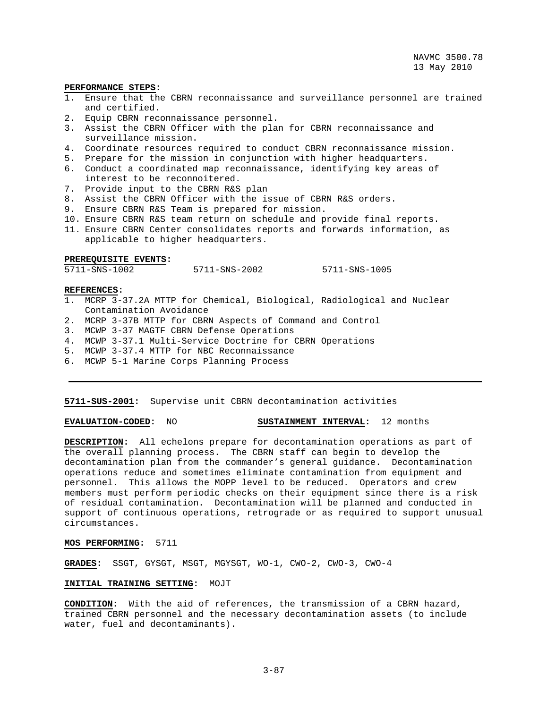### **PERFORMANCE STEPS:**

- 1. Ensure that the CBRN reconnaissance and surveillance personnel are trained and certified.
- 2. Equip CBRN reconnaissance personnel.
- 3. Assist the CBRN Officer with the plan for CBRN reconnaissance and surveillance mission.
- 4. Coordinate resources required to conduct CBRN reconnaissance mission.
- 5. Prepare for the mission in conjunction with higher headquarters. 6. Conduct a coordinated map reconnaissance, identifying key areas of
- interest to be reconnoitered.
- 7. Provide input to the CBRN R&S plan
- 8. Assist the CBRN Officer with the issue of CBRN R&S orders.
- 9. Ensure CBRN R&S Team is prepared for mission.
- 10. Ensure CBRN R&S team return on schedule and provide final reports.
- 11. Ensure CBRN Center consolidates reports and forwards information, as applicable to higher headquarters.

#### **PREREQUISITE EVENTS:**

| 5711-SNS-1002<br>5711-SNS-2002 | 5711-SNS-1005 |
|--------------------------------|---------------|
|--------------------------------|---------------|

# **REFERENCES:**

- 1. MCRP 3-37.2A MTTP for Chemical, Biological, Radiological and Nuclear Contamination Avoidance
- 2. MCRP 3-37B MTTP for CBRN Aspects of Command and Control
- 3. MCWP 3-37 MAGTF CBRN Defense Operations
- 4. MCWP 3-37.1 Multi-Service Doctrine for CBRN Operations
- 5. MCWP 3-37.4 MTTP for NBC Reconnaissance
- 6. MCWP 5-1 Marine Corps Planning Process

**5711-SUS-2001:** Supervise unit CBRN decontamination activities

**EVALUATION-CODED:** NO **SUSTAINMENT INTERVAL:** 12 months

**DESCRIPTION:** All echelons prepare for decontamination operations as part of the overall planning process. The CBRN staff can begin to develop the decontamination plan from the commander's general guidance. Decontamination operations reduce and sometimes eliminate contamination from equipment and personnel. This allows the MOPP level to be reduced. Operators and crew members must perform periodic checks on their equipment since there is a risk of residual contamination. Decontamination will be planned and conducted in support of continuous operations, retrograde or as required to support unusual circumstances.

#### **MOS PERFORMING:** 5711

**GRADES:** SSGT, GYSGT, MSGT, MGYSGT, WO-1, CWO-2, CWO-3, CWO-4

### **INITIAL TRAINING SETTING:** MOJT

**CONDITION:** With the aid of references, the transmission of a CBRN hazard, trained CBRN personnel and the necessary decontamination assets (to include water, fuel and decontaminants).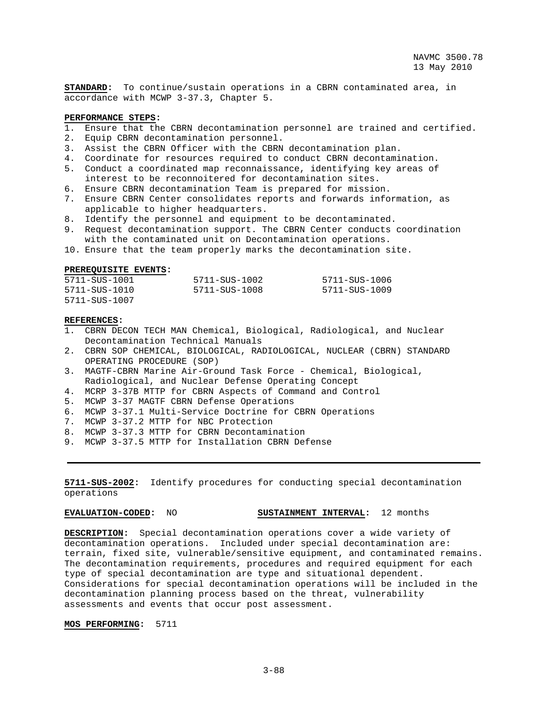**STANDARD:** To continue/sustain operations in a CBRN contaminated area, in accordance with MCWP 3-37.3, Chapter 5.

# **PERFORMANCE STEPS:**<br>1. Ensure that the

- Ensure that the CBRN decontamination personnel are trained and certified.
- 2. Equip CBRN decontamination personnel.
- 3. Assist the CBRN Officer with the CBRN decontamination plan.
- 4. Coordinate for resources required to conduct CBRN decontamination.
- 5. Conduct a coordinated map reconnaissance, identifying key areas of interest to be reconnoitered for decontamination sites.
- 6. Ensure CBRN decontamination Team is prepared for mission.
- 7. Ensure CBRN Center consolidates reports and forwards information, as applicable to higher headquarters.
- 8. Identify the personnel and equipment to be decontaminated.
- 9. Request decontamination support. The CBRN Center conducts coordination with the contaminated unit on Decontamination operations.
- 10. Ensure that the team properly marks the decontamination site.

# **PREREQUISITE EVENTS:**

| 5711-SUS-1001 | 5711-SUS-1002 | 5711-SUS-1006 |
|---------------|---------------|---------------|
| 5711-SUS-1010 | 5711-SUS-1008 | 5711-SUS-1009 |
| 5711-SUS-1007 |               |               |

#### **REFERENCES:**

- 1. CBRN DECON TECH MAN Chemical, Biological, Radiological, and Nuclear Decontamination Technical Manuals
- 2. CBRN SOP CHEMICAL, BIOLOGICAL, RADIOLOGICAL, NUCLEAR (CBRN) STANDARD OPERATING PROCEDURE (SOP)
- 3. MAGTF-CBRN Marine Air-Ground Task Force Chemical, Biological, Radiological, and Nuclear Defense Operating Concept
- 4. MCRP 3-37B MTTP for CBRN Aspects of Command and Control
- 5. MCWP 3-37 MAGTF CBRN Defense Operations
- 6. MCWP 3-37.1 Multi-Service Doctrine for CBRN Operations
- 7. MCWP 3-37.2 MTTP for NBC Protection
- 8. MCWP 3-37.3 MTTP for CBRN Decontamination
- 9. MCWP 3-37.5 MTTP for Installation CBRN Defense

**5711-SUS-2002:** Identify procedures for conducting special decontamination operations

# **EVALUATION-CODED:** NO **SUSTAINMENT INTERVAL:** 12 months

**DESCRIPTION:** Special decontamination operations cover a wide variety of decontamination operations. Included under special decontamination are: terrain, fixed site, vulnerable/sensitive equipment, and contaminated remains. The decontamination requirements, procedures and required equipment for each type of special decontamination are type and situational dependent. Considerations for special decontamination operations will be included in the decontamination planning process based on the threat, vulnerability assessments and events that occur post assessment.

### **MOS PERFORMING:** 5711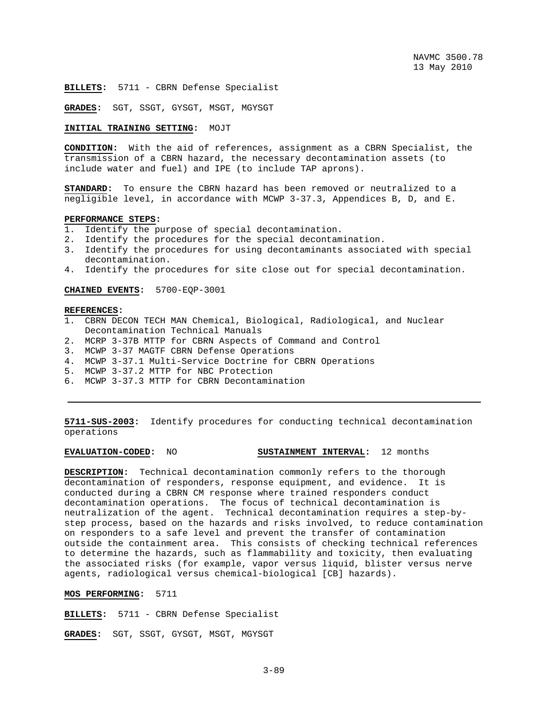**BILLETS:** 5711 - CBRN Defense Specialist

**GRADES:** SGT, SSGT, GYSGT, MSGT, MGYSGT

### **INITIAL TRAINING SETTING:** MOJT

**CONDITION:** With the aid of references, assignment as a CBRN Specialist, the transmission of a CBRN hazard, the necessary decontamination assets (to include water and fuel) and IPE (to include TAP aprons).

**STANDARD:** To ensure the CBRN hazard has been removed or neutralized to a negligible level, in accordance with MCWP 3-37.3, Appendices B, D, and E.

#### **PERFORMANCE STEPS:**

- 1. Identify the purpose of special decontamination.
- 2. Identify the procedures for the special decontamination.
- 3. Identify the procedures for using decontaminants associated with special decontamination.
- 4. Identify the procedures for site close out for special decontamination.

**CHAINED EVENTS:** 5700-EQP-3001

### **REFERENCES:**

- 1. CBRN DECON TECH MAN Chemical, Biological, Radiological, and Nuclear Decontamination Technical Manuals
- 2. MCRP 3-37B MTTP for CBRN Aspects of Command and Control
- 3. MCWP 3-37 MAGTF CBRN Defense Operations
- 4. MCWP 3-37.1 Multi-Service Doctrine for CBRN Operations
- 5. MCWP 3-37.2 MTTP for NBC Protection
- 6. MCWP 3-37.3 MTTP for CBRN Decontamination

**5711-SUS-2003:** Identify procedures for conducting technical decontamination operations

# **EVALUATION-CODED:** NO **SUSTAINMENT INTERVAL:** 12 months

**DESCRIPTION:** Technical decontamination commonly refers to the thorough decontamination of responders, response equipment, and evidence. It is conducted during a CBRN CM response where trained responders conduct decontamination operations. The focus of technical decontamination is neutralization of the agent. Technical decontamination requires a step-bystep process, based on the hazards and risks involved, to reduce contamination on responders to a safe level and prevent the transfer of contamination outside the containment area. This consists of checking technical references to determine the hazards, such as flammability and toxicity, then evaluating the associated risks (for example, vapor versus liquid, blister versus nerve agents, radiological versus chemical-biological [CB] hazards).

### **MOS PERFORMING:** 5711

**BILLETS:** 5711 - CBRN Defense Specialist

**GRADES:** SGT, SSGT, GYSGT, MSGT, MGYSGT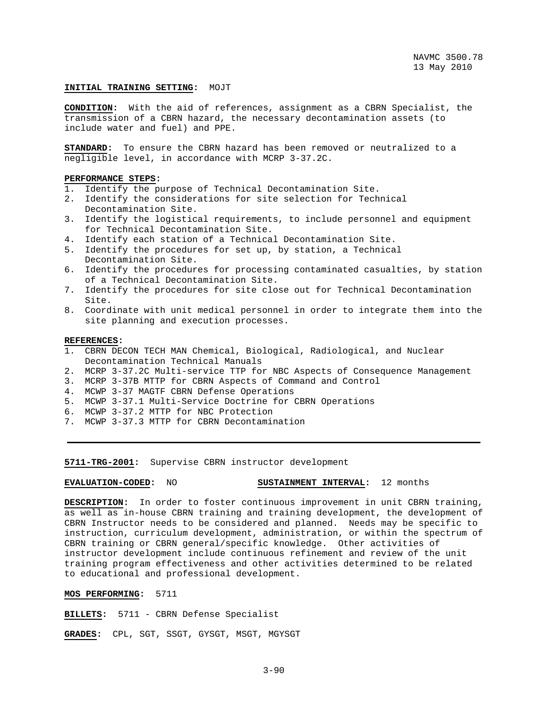## **INITIAL TRAINING SETTING:** MOJT

**CONDITION:** With the aid of references, assignment as a CBRN Specialist, the transmission of a CBRN hazard, the necessary decontamination assets (to include water and fuel) and PPE.

**STANDARD:** To ensure the CBRN hazard has been removed or neutralized to a negligible level, in accordance with MCRP 3-37.2C.

#### **PERFORMANCE STEPS:**

- 1. Identify the purpose of Technical Decontamination Site.
- 2. Identify the considerations for site selection for Technical Decontamination Site.
- 3. Identify the logistical requirements, to include personnel and equipment for Technical Decontamination Site.
- 4. Identify each station of a Technical Decontamination Site.
- 5. Identify the procedures for set up, by station, a Technical Decontamination Site.
- 6. Identify the procedures for processing contaminated casualties, by station of a Technical Decontamination Site.
- 7. Identify the procedures for site close out for Technical Decontamination Site.
- 8. Coordinate with unit medical personnel in order to integrate them into the site planning and execution processes.

#### **REFERENCES:**

- 1. CBRN DECON TECH MAN Chemical, Biological, Radiological, and Nuclear Decontamination Technical Manuals
- 2. MCRP 3-37.2C Multi-service TTP for NBC Aspects of Consequence Management
- 3. MCRP 3-37B MTTP for CBRN Aspects of Command and Control
- 4. MCWP 3-37 MAGTF CBRN Defense Operations
- 5. MCWP 3-37.1 Multi-Service Doctrine for CBRN Operations
- 6. MCWP 3-37.2 MTTP for NBC Protection
- 7. MCWP 3-37.3 MTTP for CBRN Decontamination

**5711-TRG-2001:** Supervise CBRN instructor development

# **EVALUATION-CODED:** NO **SUSTAINMENT INTERVAL:** 12 months

**DESCRIPTION:** In order to foster continuous improvement in unit CBRN training, as well as in-house CBRN training and training development, the development of CBRN Instructor needs to be considered and planned. Needs may be specific to instruction, curriculum development, administration, or within the spectrum of CBRN training or CBRN general/specific knowledge. Other activities of instructor development include continuous refinement and review of the unit training program effectiveness and other activities determined to be related to educational and professional development.

### **MOS PERFORMING:** 5711

**BILLETS:** 5711 - CBRN Defense Specialist

**GRADES:** CPL, SGT, SSGT, GYSGT, MSGT, MGYSGT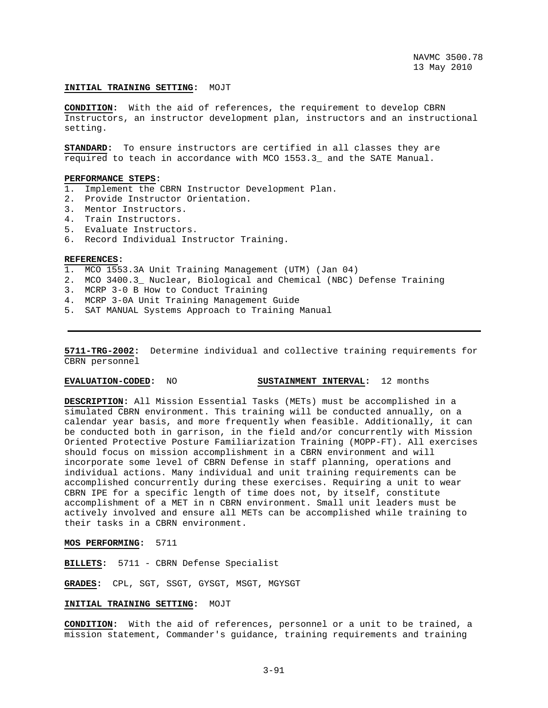### **INITIAL TRAINING SETTING:** MOJT

**CONDITION:** With the aid of references, the requirement to develop CBRN Instructors, an instructor development plan, instructors and an instructional setting.

**STANDARD:** To ensure instructors are certified in all classes they are required to teach in accordance with MCO 1553.3\_ and the SATE Manual.

#### **PERFORMANCE STEPS:**

- 1. Implement the CBRN Instructor Development Plan.
- 2. Provide Instructor Orientation.
- 3. Mentor Instructors.
- 4. Train Instructors.
- 5. Evaluate Instructors.
- 6. Record Individual Instructor Training.

#### **REFERENCES:**

- 1. MCO 1553.3A Unit Training Management (UTM) (Jan 04)
- 2. MCO 3400.3\_ Nuclear, Biological and Chemical (NBC) Defense Training
- 3. MCRP 3-0 B How to Conduct Training
- 4. MCRP 3-0A Unit Training Management Guide
- 5. SAT MANUAL Systems Approach to Training Manual

**5711-TRG-2002:** Determine individual and collective training requirements for CBRN personnel

#### **EVALUATION-CODED:** NO **SUSTAINMENT INTERVAL:** 12 months

**DESCRIPTION:** All Mission Essential Tasks (METs) must be accomplished in a simulated CBRN environment. This training will be conducted annually, on a calendar year basis, and more frequently when feasible. Additionally, it can be conducted both in garrison, in the field and/or concurrently with Mission Oriented Protective Posture Familiarization Training (MOPP-FT). All exercises should focus on mission accomplishment in a CBRN environment and will incorporate some level of CBRN Defense in staff planning, operations and individual actions. Many individual and unit training requirements can be accomplished concurrently during these exercises. Requiring a unit to wear CBRN IPE for a specific length of time does not, by itself, constitute accomplishment of a MET in n CBRN environment. Small unit leaders must be actively involved and ensure all METs can be accomplished while training to their tasks in a CBRN environment.

**MOS PERFORMING:** 5711

**BILLETS:** 5711 - CBRN Defense Specialist

**GRADES:** CPL, SGT, SSGT, GYSGT, MSGT, MGYSGT

### **INITIAL TRAINING SETTING:** MOJT

**CONDITION:** With the aid of references, personnel or a unit to be trained, a mission statement, Commander's guidance, training requirements and training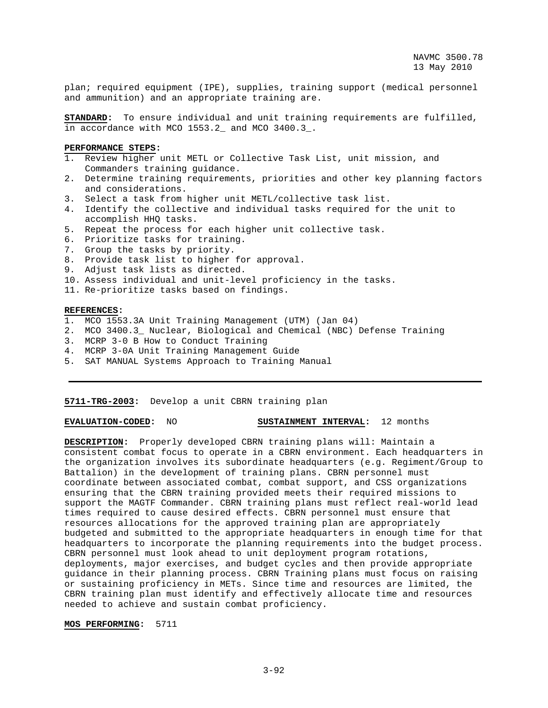plan; required equipment (IPE), supplies, training support (medical personnel and ammunition) and an appropriate training are.

**STANDARD:** To ensure individual and unit training requirements are fulfilled, in accordance with MCO 1553.2\_ and MCO 3400.3\_.

#### **PERFORMANCE STEPS:**

- 1. Review higher unit METL or Collective Task List, unit mission, and Commanders training guidance.
- 2. Determine training requirements, priorities and other key planning factors and considerations.
- 3. Select a task from higher unit METL/collective task list.
- 4. Identify the collective and individual tasks required for the unit to accomplish HHQ tasks.
- 5. Repeat the process for each higher unit collective task.
- 6. Prioritize tasks for training.
- 7. Group the tasks by priority.
- 8. Provide task list to higher for approval.
- 9. Adjust task lists as directed.
- 10. Assess individual and unit-level proficiency in the tasks.
- 11. Re-prioritize tasks based on findings.

# **REFERENCES:**

- 1. MCO 1553.3A Unit Training Management (UTM) (Jan 04)
- 2. MCO 3400.3\_ Nuclear, Biological and Chemical (NBC) Defense Training
- 3. MCRP 3-0 B How to Conduct Training
- 4. MCRP 3-0A Unit Training Management Guide
- 5. SAT MANUAL Systems Approach to Training Manual

**5711-TRG-2003:** Develop a unit CBRN training plan

**EVALUATION-CODED:** NO **SUSTAINMENT INTERVAL:** 12 months

**DESCRIPTION:** Properly developed CBRN training plans will: Maintain a consistent combat focus to operate in a CBRN environment. Each headquarters in the organization involves its subordinate headquarters (e.g. Regiment/Group to Battalion) in the development of training plans. CBRN personnel must coordinate between associated combat, combat support, and CSS organizations ensuring that the CBRN training provided meets their required missions to support the MAGTF Commander. CBRN training plans must reflect real-world lead times required to cause desired effects. CBRN personnel must ensure that resources allocations for the approved training plan are appropriately budgeted and submitted to the appropriate headquarters in enough time for that headquarters to incorporate the planning requirements into the budget process. CBRN personnel must look ahead to unit deployment program rotations, deployments, major exercises, and budget cycles and then provide appropriate guidance in their planning process. CBRN Training plans must focus on raising or sustaining proficiency in METs. Since time and resources are limited, the CBRN training plan must identify and effectively allocate time and resources needed to achieve and sustain combat proficiency.

# **MOS PERFORMING:** 5711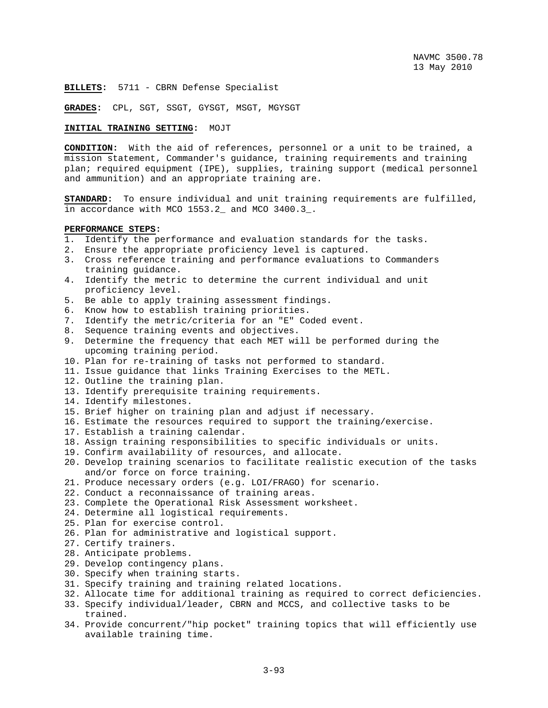**BILLETS:** 5711 - CBRN Defense Specialist

**GRADES:** CPL, SGT, SSGT, GYSGT, MSGT, MGYSGT

# **INITIAL TRAINING SETTING:** MOJT

**CONDITION:** With the aid of references, personnel or a unit to be trained, a mission statement, Commander's guidance, training requirements and training plan; required equipment (IPE), supplies, training support (medical personnel and ammunition) and an appropriate training are.

**STANDARD:** To ensure individual and unit training requirements are fulfilled, in accordance with MCO 1553.2\_ and MCO 3400.3\_.

- 1. Identify the performance and evaluation standards for the tasks.
- 2. Ensure the appropriate proficiency level is captured.
- 3. Cross reference training and performance evaluations to Commanders training guidance.
- 4. Identify the metric to determine the current individual and unit proficiency level.
- 5. Be able to apply training assessment findings.
- 6. Know how to establish training priorities.
- 7. Identify the metric/criteria for an "E" Coded event.
- 8. Sequence training events and objectives.
- 9. Determine the frequency that each MET will be performed during the upcoming training period.
- 10. Plan for re-training of tasks not performed to standard.
- 11. Issue guidance that links Training Exercises to the METL.
- 12. Outline the training plan.
- 13. Identify prerequisite training requirements.
- 14. Identify milestones.
- 15. Brief higher on training plan and adjust if necessary.
- 16. Estimate the resources required to support the training/exercise.
- 17. Establish a training calendar.
- 18. Assign training responsibilities to specific individuals or units.
- 19. Confirm availability of resources, and allocate.
- 20. Develop training scenarios to facilitate realistic execution of the tasks and/or force on force training.
- 21. Produce necessary orders (e.g. LOI/FRAGO) for scenario.
- 22. Conduct a reconnaissance of training areas.
- 23. Complete the Operational Risk Assessment worksheet.
- 24. Determine all logistical requirements.
- 25. Plan for exercise control.
- 26. Plan for administrative and logistical support.
- 27. Certify trainers.
- 28. Anticipate problems.
- 29. Develop contingency plans.
- 30. Specify when training starts.
- 31. Specify training and training related locations.
- 32. Allocate time for additional training as required to correct deficiencies.
- 33. Specify individual/leader, CBRN and MCCS, and collective tasks to be trained.
- 34. Provide concurrent/"hip pocket" training topics that will efficiently use available training time.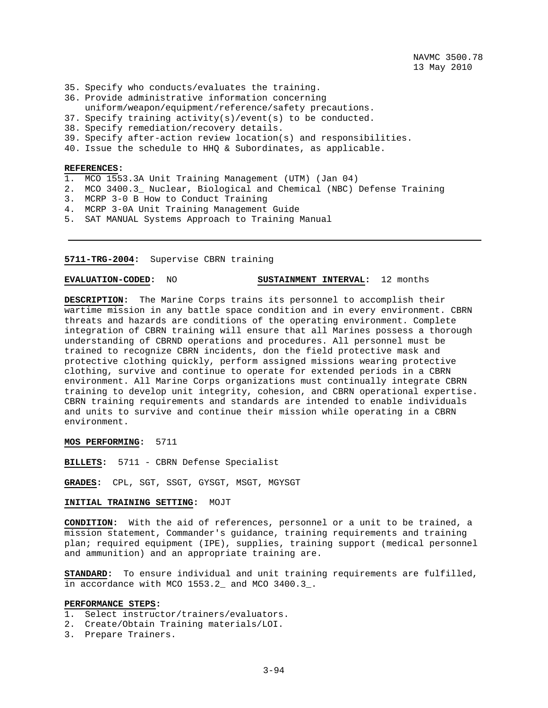- 35. Specify who conducts/evaluates the training.
- 36. Provide administrative information concerning
- uniform/weapon/equipment/reference/safety precautions.
- 37. Specify training activity(s)/event(s) to be conducted.
- 38. Specify remediation/recovery details.
- 39. Specify after-action review location(s) and responsibilities.
- 40. Issue the schedule to HHQ & Subordinates, as applicable.

#### **REFERENCES:**

- 1. MCO 1553.3A Unit Training Management (UTM) (Jan 04)
- 2. MCO 3400.3\_ Nuclear, Biological and Chemical (NBC) Defense Training
- 3. MCRP 3-0 B How to Conduct Training
- 4. MCRP 3-0A Unit Training Management Guide
- 5. SAT MANUAL Systems Approach to Training Manual

**5711-TRG-2004:** Supervise CBRN training

# **EVALUATION-CODED:** NO **SUSTAINMENT INTERVAL:** 12 months

**DESCRIPTION:** The Marine Corps trains its personnel to accomplish their wartime mission in any battle space condition and in every environment. CBRN threats and hazards are conditions of the operating environment. Complete integration of CBRN training will ensure that all Marines possess a thorough understanding of CBRND operations and procedures. All personnel must be trained to recognize CBRN incidents, don the field protective mask and protective clothing quickly, perform assigned missions wearing protective clothing, survive and continue to operate for extended periods in a CBRN environment. All Marine Corps organizations must continually integrate CBRN training to develop unit integrity, cohesion, and CBRN operational expertise. CBRN training requirements and standards are intended to enable individuals and units to survive and continue their mission while operating in a CBRN environment.

**MOS PERFORMING:** 5711

**BILLETS:** 5711 - CBRN Defense Specialist

**GRADES:** CPL, SGT, SSGT, GYSGT, MSGT, MGYSGT

# **INITIAL TRAINING SETTING:** MOJT

**CONDITION:** With the aid of references, personnel or a unit to be trained, a mission statement, Commander's guidance, training requirements and training plan; required equipment (IPE), supplies, training support (medical personnel and ammunition) and an appropriate training are.

**STANDARD:** To ensure individual and unit training requirements are fulfilled, in accordance with MCO 1553.2\_ and MCO 3400.3\_.

- 1. Select instructor/trainers/evaluators.
- 2. Create/Obtain Training materials/LOI.
- 3. Prepare Trainers.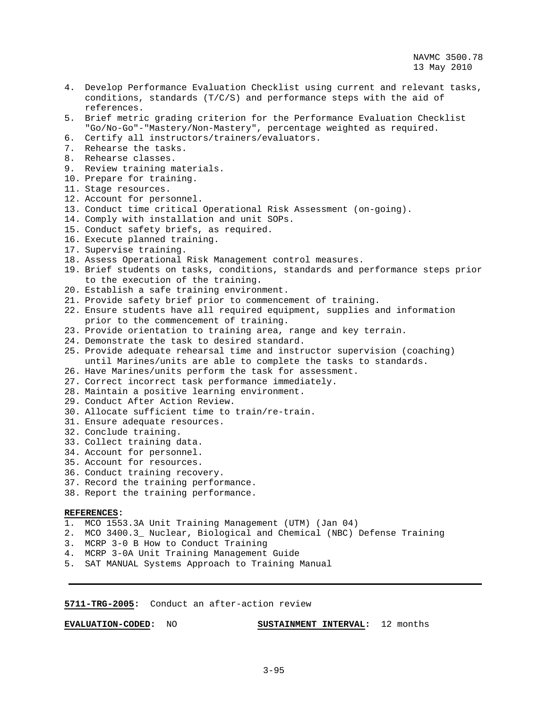- 4. Develop Performance Evaluation Checklist using current and relevant tasks, conditions, standards (T/C/S) and performance steps with the aid of references.
- 5. Brief metric grading criterion for the Performance Evaluation Checklist "Go/No-Go"-"Mastery/Non-Mastery", percentage weighted as required.
- 6. Certify all instructors/trainers/evaluators.
- 7. Rehearse the tasks.
- 8. Rehearse classes.
- 9. Review training materials.
- 10. Prepare for training.
- 11. Stage resources.
- 12. Account for personnel.
- 13. Conduct time critical Operational Risk Assessment (on-going).
- 14. Comply with installation and unit SOPs.
- 15. Conduct safety briefs, as required.
- 16. Execute planned training.
- 17. Supervise training.
- 18. Assess Operational Risk Management control measures.
- 19. Brief students on tasks, conditions, standards and performance steps prior to the execution of the training.
- 20. Establish a safe training environment.
- 21. Provide safety brief prior to commencement of training.
- 22. Ensure students have all required equipment, supplies and information prior to the commencement of training.
- 23. Provide orientation to training area, range and key terrain.
- 24. Demonstrate the task to desired standard.
- 25. Provide adequate rehearsal time and instructor supervision (coaching) until Marines/units are able to complete the tasks to standards.
- 26. Have Marines/units perform the task for assessment.
- 27. Correct incorrect task performance immediately.
- 28. Maintain a positive learning environment.
- 29. Conduct After Action Review.
- 30. Allocate sufficient time to train/re-train.
- 31. Ensure adequate resources.
- 32. Conclude training.
- 33. Collect training data.
- 34. Account for personnel.
- 35. Account for resources.
- 36. Conduct training recovery.
- 37. Record the training performance.
- 38. Report the training performance.

# **REFERENCES:**

- 1. MCO 1553.3A Unit Training Management (UTM) (Jan 04)
- 2. MCO 3400.3\_ Nuclear, Biological and Chemical (NBC) Defense Training
- 3. MCRP 3-0 B How to Conduct Training
- 4. MCRP 3-0A Unit Training Management Guide
- 5. SAT MANUAL Systems Approach to Training Manual

**5711-TRG-2005:** Conduct an after-action review

**EVALUATION-CODED:** NO **SUSTAINMENT INTERVAL:** 12 months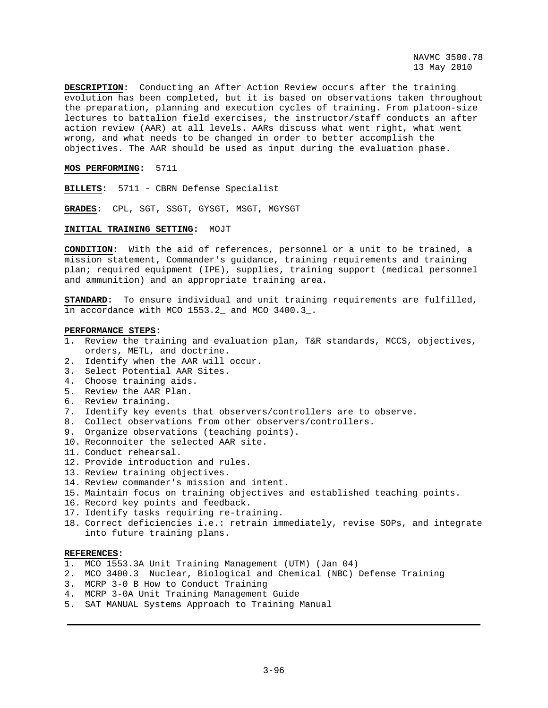**DESCRIPTION:** Conducting an After Action Review occurs after the training evolution has been completed, but it is based on observations taken throughout the preparation, planning and execution cycles of training. From platoon-size lectures to battalion field exercises, the instructor/staff conducts an after action review (AAR) at all levels. AARs discuss what went right, what went wrong, and what needs to be changed in order to better accomplish the objectives. The AAR should be used as input during the evaluation phase.

**MOS PERFORMING:** 5711

**BILLETS:** 5711 - CBRN Defense Specialist

**GRADES:** CPL, SGT, SSGT, GYSGT, MSGT, MGYSGT

## **INITIAL TRAINING SETTING:** MOJT

**CONDITION:** With the aid of references, personnel or a unit to be trained, a mission statement, Commander's guidance, training requirements and training plan; required equipment (IPE), supplies, training support (medical personnel and ammunition) and an appropriate training area.

**STANDARD:** To ensure individual and unit training requirements are fulfilled, in accordance with MCO 1553.2\_ and MCO 3400.3\_.

# **PERFORMANCE STEPS:**

- 1. Review the training and evaluation plan, T&R standards, MCCS, objectives, orders, METL, and doctrine.
- 2. Identify when the AAR will occur.
- 3. Select Potential AAR Sites.
- 4. Choose training aids.
- 5. Review the AAR Plan.
- 6. Review training.
- 7. Identify key events that observers/controllers are to observe.
- 8. Collect observations from other observers/controllers.
- 9. Organize observations (teaching points).
- 10. Reconnoiter the selected AAR site.
- 11. Conduct rehearsal.
- 12. Provide introduction and rules.
- 13. Review training objectives.
- 14. Review commander's mission and intent.
- 15. Maintain focus on training objectives and established teaching points.
- 16. Record key points and feedback.
- 17. Identify tasks requiring re-training.
- 18. Correct deficiencies i.e.: retrain immediately, revise SOPs, and integrate into future training plans.

## **REFERENCES:**

- 1. MCO 1553.3A Unit Training Management (UTM) (Jan 04)
- 2. MCO 3400.3\_ Nuclear, Biological and Chemical (NBC) Defense Training
- 3. MCRP 3-0 B How to Conduct Training
- 4. MCRP 3-0A Unit Training Management Guide
- 5. SAT MANUAL Systems Approach to Training Manual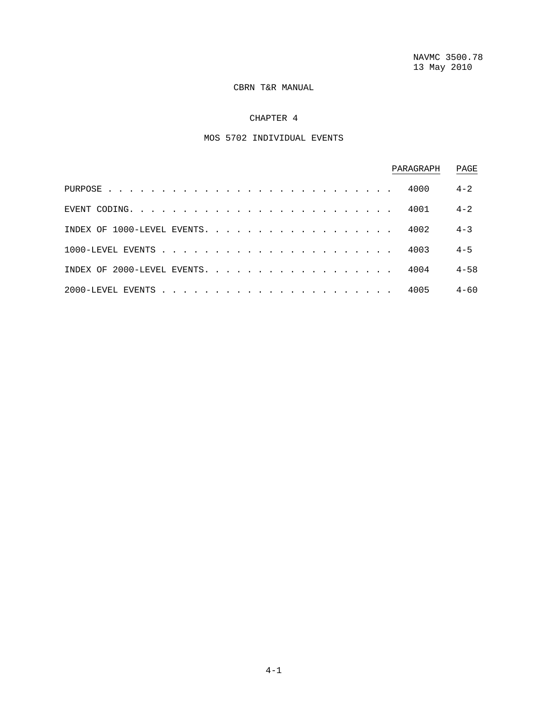# CBRN T&R MANUAL

# CHAPTER 4

# MOS 5702 INDIVIDUAL EVENTS

|                                  | PARAGRAPH | PAGE     |
|----------------------------------|-----------|----------|
|                                  |           | $4 - 2$  |
|                                  | 4001      | $4 - 2$  |
| INDEX OF $1000$ -LEVEL EVENTS.   | 4002      | $4 - 3$  |
|                                  | 4003      | $4 - 5$  |
| INDEX OF 2000-LEVEL EVENTS. 4004 |           | $4 - 58$ |
|                                  | 4005      | $4 - 60$ |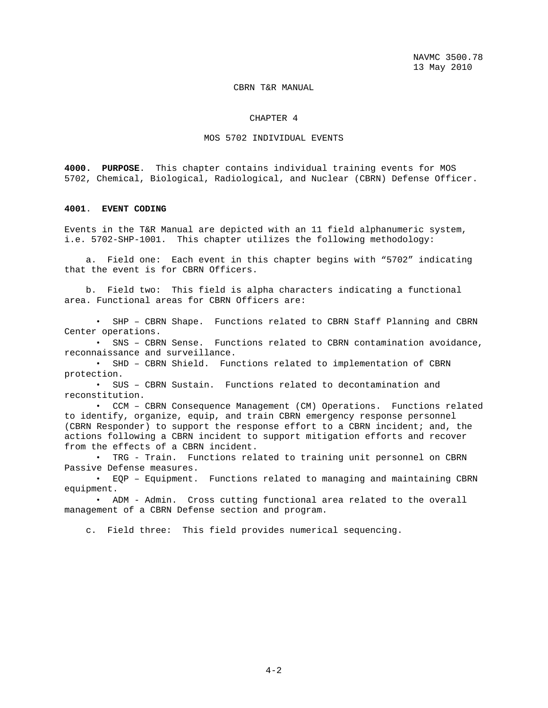CBRN T&R MANUAL

## CHAPTER 4

# MOS 5702 INDIVIDUAL EVENTS

**4000. PURPOSE**. This chapter contains individual training events for MOS 5702, Chemical, Biological, Radiological, and Nuclear (CBRN) Defense Officer.

# **4001**. **EVENT CODING**

Events in the T&R Manual are depicted with an 11 field alphanumeric system, i.e. 5702-SHP-1001. This chapter utilizes the following methodology:

 a. Field one: Each event in this chapter begins with "5702" indicating that the event is for CBRN Officers.

 b. Field two: This field is alpha characters indicating a functional area. Functional areas for CBRN Officers are:

• SHP – CBRN Shape. Functions related to CBRN Staff Planning and CBRN Center operations.

• SNS – CBRN Sense. Functions related to CBRN contamination avoidance, reconnaissance and surveillance.

• SHD – CBRN Shield. Functions related to implementation of CBRN protection.

• SUS – CBRN Sustain. Functions related to decontamination and reconstitution.

• CCM – CBRN Consequence Management (CM) Operations. Functions related to identify, organize, equip, and train CBRN emergency response personnel (CBRN Responder) to support the response effort to a CBRN incident; and, the actions following a CBRN incident to support mitigation efforts and recover from the effects of a CBRN incident.

• TRG - Train. Functions related to training unit personnel on CBRN Passive Defense measures.

• EQP – Equipment. Functions related to managing and maintaining CBRN equipment.

• ADM - Admin. Cross cutting functional area related to the overall management of a CBRN Defense section and program.

c. Field three: This field provides numerical sequencing.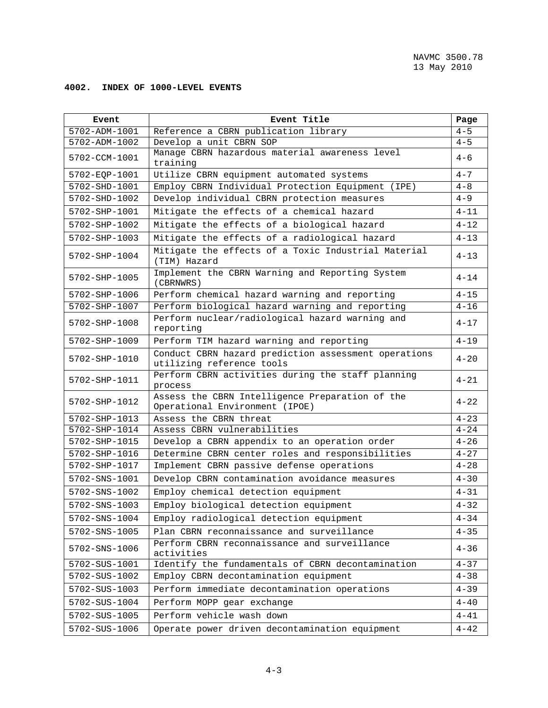# **4002. INDEX OF 1000-LEVEL EVENTS**

| Event         | Event Title                                                                       | Page     |
|---------------|-----------------------------------------------------------------------------------|----------|
| 5702-ADM-1001 | Reference a CBRN publication library                                              | $4 - 5$  |
| 5702-ADM-1002 | Develop a unit CBRN SOP                                                           | $4 - 5$  |
| 5702-CCM-1001 | Manage CBRN hazardous material awareness level<br>training                        | $4 - 6$  |
| 5702-EQP-1001 | Utilize CBRN equipment automated systems                                          | $4 - 7$  |
| 5702-SHD-1001 | Employ CBRN Individual Protection Equipment<br>(IPE)                              | $4 - 8$  |
| 5702-SHD-1002 | Develop individual CBRN protection measures                                       | $4 - 9$  |
| 5702-SHP-1001 | Mitigate the effects of a chemical hazard                                         | $4 - 11$ |
| 5702-SHP-1002 | Mitigate the effects of a biological hazard                                       | $4 - 12$ |
| 5702-SHP-1003 | Mitigate the effects of a radiological hazard                                     | $4 - 13$ |
| 5702-SHP-1004 | Mitigate the effects of a Toxic Industrial Material<br>(TIM) Hazard               | $4 - 13$ |
| 5702-SHP-1005 | Implement the CBRN Warning and Reporting System<br>(CBRNWRS)                      | $4 - 14$ |
| 5702-SHP-1006 | Perform chemical hazard warning and reporting                                     | $4 - 15$ |
| 5702-SHP-1007 | Perform biological hazard warning and reporting                                   | $4 - 16$ |
| 5702-SHP-1008 | Perform nuclear/radiological hazard warning and<br>reporting                      | $4 - 17$ |
| 5702-SHP-1009 | Perform TIM hazard warning and reporting                                          | $4 - 19$ |
| 5702-SHP-1010 | Conduct CBRN hazard prediction assessment operations<br>utilizing reference tools | $4 - 20$ |
| 5702-SHP-1011 | Perform CBRN activities during the staff planning<br>process                      | $4 - 21$ |
| 5702-SHP-1012 | Assess the CBRN Intelligence Preparation of the<br>Operational Environment (IPOE) | $4 - 22$ |
| 5702-SHP-1013 | Assess the CBRN threat                                                            | $4 - 23$ |
| 5702-SHP-1014 | Assess CBRN vulnerabilities                                                       | $4 - 24$ |
| 5702-SHP-1015 | Develop a CBRN appendix to an operation order                                     | $4 - 26$ |
| 5702-SHP-1016 | Determine CBRN center roles and responsibilities                                  | $4 - 27$ |
| 5702-SHP-1017 | Implement CBRN passive defense operations                                         | $4 - 28$ |
| 5702-SNS-1001 | Develop CBRN contamination avoidance measures                                     | $4 - 30$ |
| 5702-SNS-1002 | Employ chemical detection equipment                                               | $4 - 31$ |
| 5702-SNS-1003 | Employ biological detection equipment                                             | $4 - 32$ |
| 5702-SNS-1004 | Employ radiological detection equipment                                           | $4 - 34$ |
| 5702-SNS-1005 | Plan CBRN reconnaissance and surveillance                                         | $4 - 35$ |
| 5702-SNS-1006 | Perform CBRN reconnaissance and surveillance<br>activities                        | $4 - 36$ |
| 5702-SUS-1001 | Identify the fundamentals of CBRN decontamination                                 | $4 - 37$ |
| 5702-SUS-1002 | Employ CBRN decontamination equipment                                             | $4 - 38$ |
| 5702-SUS-1003 | Perform immediate decontamination operations                                      | $4 - 39$ |
| 5702-SUS-1004 | Perform MOPP gear exchange                                                        | $4 - 40$ |
| 5702-SUS-1005 | Perform vehicle wash down                                                         | $4 - 41$ |
| 5702-SUS-1006 | Operate power driven decontamination equipment                                    | $4 - 42$ |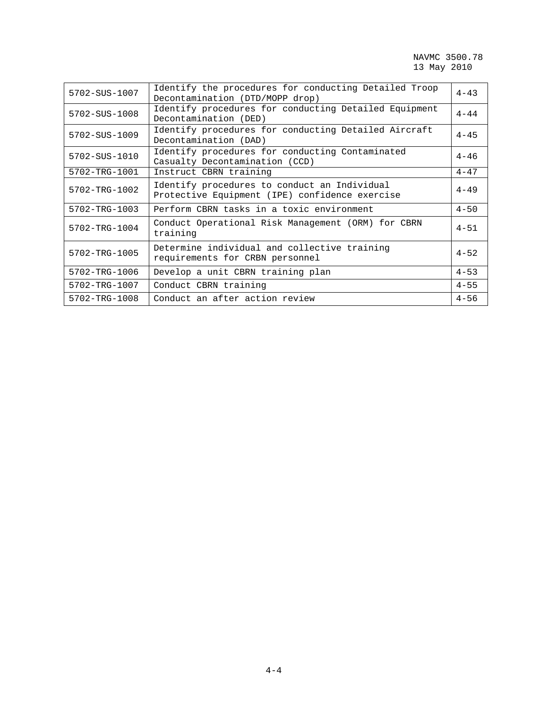| 5702-SUS-1007 | Identify the procedures for conducting Detailed Troop<br>Decontamination (DTD/MOPP drop)       | $4 - 43$ |
|---------------|------------------------------------------------------------------------------------------------|----------|
| 5702-SUS-1008 | Identify procedures for conducting Detailed Equipment<br>Decontamination (DED)                 | $4 - 44$ |
| 5702-SUS-1009 | Identify procedures for conducting Detailed Aircraft<br>Decontamination (DAD)                  | $4 - 45$ |
| 5702-SUS-1010 | Identify procedures for conducting Contaminated<br>Casualty Decontamination (CCD)              | $4 - 46$ |
| 5702-TRG-1001 | Instruct CBRN training                                                                         | $4 - 47$ |
| 5702-TRG-1002 | Identify procedures to conduct an Individual<br>Protective Equipment (IPE) confidence exercise | $4 - 49$ |
| 5702-TRG-1003 | Perform CBRN tasks in a toxic environment                                                      | $4 - 50$ |
| 5702-TRG-1004 | Conduct Operational Risk Management (ORM) for CBRN<br>training                                 | $4 - 51$ |
| 5702-TRG-1005 | Determine individual and collective training<br>requirements for CRBN personnel                | $4 - 52$ |
| 5702-TRG-1006 | Develop a unit CBRN training plan                                                              | $4 - 53$ |
| 5702-TRG-1007 | Conduct CBRN training                                                                          | $4 - 55$ |
| 5702-TRG-1008 | Conduct an after action review                                                                 | $4 - 56$ |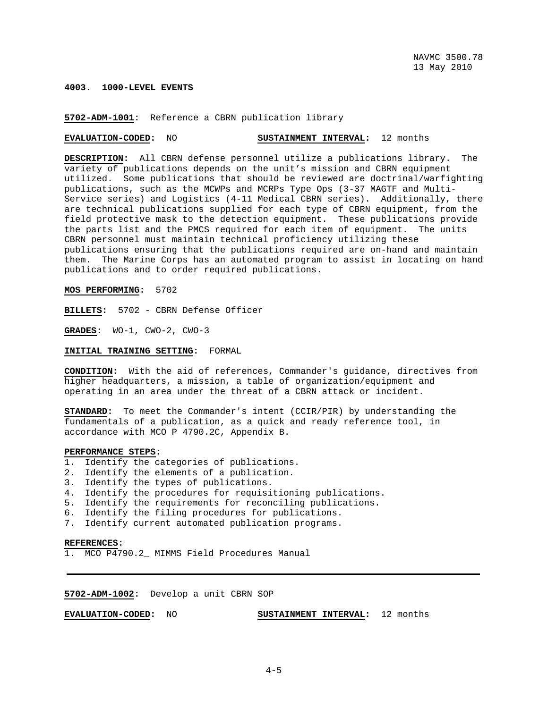# **4003. 1000-LEVEL EVENTS**

**5702-ADM-1001:** Reference a CBRN publication library

# **EVALUATION-CODED:** NO **SUSTAINMENT INTERVAL:** 12 months

**DESCRIPTION:** All CBRN defense personnel utilize a publications library. The variety of publications depends on the unit's mission and CBRN equipment utilized. Some publications that should be reviewed are doctrinal/warfighting publications, such as the MCWPs and MCRPs Type Ops (3-37 MAGTF and Multi-Service series) and Logistics (4-11 Medical CBRN series). Additionally, there are technical publications supplied for each type of CBRN equipment, from the field protective mask to the detection equipment. These publications provide the parts list and the PMCS required for each item of equipment. The units CBRN personnel must maintain technical proficiency utilizing these publications ensuring that the publications required are on-hand and maintain them. The Marine Corps has an automated program to assist in locating on hand publications and to order required publications.

# **MOS PERFORMING:** 5702

**BILLETS:** 5702 - CBRN Defense Officer

**GRADES:** WO-1, CWO-2, CWO-3

## **INITIAL TRAINING SETTING:** FORMAL

**CONDITION:** With the aid of references, Commander's guidance, directives from higher headquarters, a mission, a table of organization/equipment and operating in an area under the threat of a CBRN attack or incident.

**STANDARD:** To meet the Commander's intent (CCIR/PIR) by understanding the fundamentals of a publication, as a quick and ready reference tool, in accordance with MCO P 4790.2C, Appendix B.

# **PERFORMANCE STEPS:**

- 1. Identify the categories of publications.
- 2. Identify the elements of a publication.
- 3. Identify the types of publications.
- 4. Identify the procedures for requisitioning publications.
- 5. Identify the requirements for reconciling publications.
- 6. Identify the filing procedures for publications.
- 7. Identify current automated publication programs.

### **REFERENCES:**

1. MCO P4790.2\_ MIMMS Field Procedures Manual

**5702-ADM-1002:** Develop a unit CBRN SOP

**EVALUATION-CODED:** NO **SUSTAINMENT INTERVAL:** 12 months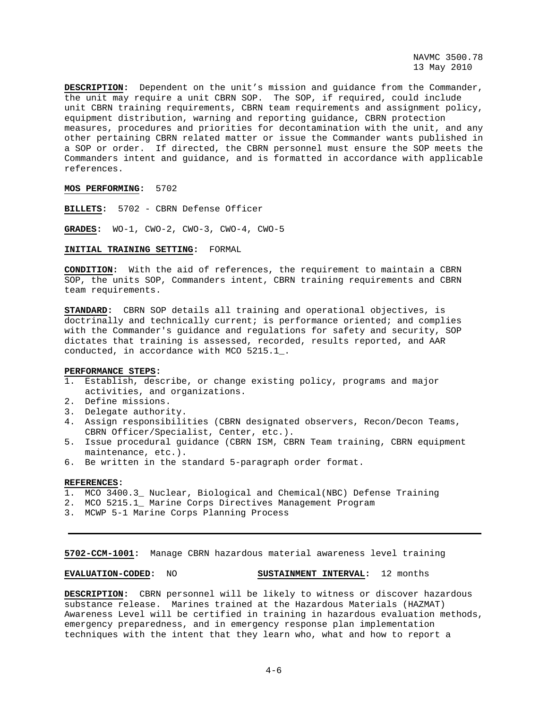**DESCRIPTION:** Dependent on the unit's mission and guidance from the Commander, the unit may require a unit CBRN SOP. The SOP, if required, could include unit CBRN training requirements, CBRN team requirements and assignment policy, equipment distribution, warning and reporting guidance, CBRN protection measures, procedures and priorities for decontamination with the unit, and any other pertaining CBRN related matter or issue the Commander wants published in a SOP or order. If directed, the CBRN personnel must ensure the SOP meets the Commanders intent and guidance, and is formatted in accordance with applicable references.

**MOS PERFORMING:** 5702

**BILLETS:** 5702 - CBRN Defense Officer

**GRADES:** WO-1, CWO-2, CWO-3, CWO-4, CWO-5

**INITIAL TRAINING SETTING:** FORMAL

**CONDITION:** With the aid of references, the requirement to maintain a CBRN SOP, the units SOP, Commanders intent, CBRN training requirements and CBRN team requirements.

**STANDARD:** CBRN SOP details all training and operational objectives, is doctrinally and technically current; is performance oriented; and complies with the Commander's guidance and regulations for safety and security, SOP dictates that training is assessed, recorded, results reported, and AAR conducted, in accordance with MCO 5215.1\_.

# **PERFORMANCE STEPS:**

- 1. Establish, describe, or change existing policy, programs and major activities, and organizations.
- 2. Define missions.
- 3. Delegate authority.
- 4. Assign responsibilities (CBRN designated observers, Recon/Decon Teams, CBRN Officer/Specialist, Center, etc.).
- 5. Issue procedural guidance (CBRN ISM, CBRN Team training, CBRN equipment maintenance, etc.).
- 6. Be written in the standard 5-paragraph order format.

# **REFERENCES:**

- 1. MCO 3400.3 Nuclear, Biological and Chemical(NBC) Defense Training
- 2. MCO 5215.1\_ Marine Corps Directives Management Program
- 3. MCWP 5-1 Marine Corps Planning Process

**5702-CCM-1001:** Manage CBRN hazardous material awareness level training

# **EVALUATION-CODED:** NO **SUSTAINMENT INTERVAL:** 12 months

**DESCRIPTION:** CBRN personnel will be likely to witness or discover hazardous substance release. Marines trained at the Hazardous Materials (HAZMAT) Awareness Level will be certified in training in hazardous evaluation methods, emergency preparedness, and in emergency response plan implementation techniques with the intent that they learn who, what and how to report a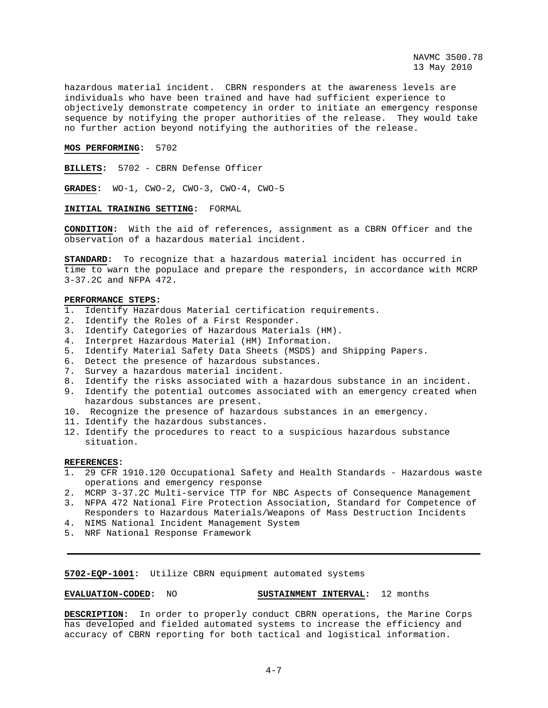hazardous material incident. CBRN responders at the awareness levels are individuals who have been trained and have had sufficient experience to objectively demonstrate competency in order to initiate an emergency response sequence by notifying the proper authorities of the release. They would take no further action beyond notifying the authorities of the release.

**MOS PERFORMING:** 5702

**BILLETS:** 5702 - CBRN Defense Officer

**GRADES:** WO-1, CWO-2, CWO-3, CWO-4, CWO-5

**INITIAL TRAINING SETTING:** FORMAL

**CONDITION:** With the aid of references, assignment as a CBRN Officer and the observation of a hazardous material incident.

**STANDARD:** To recognize that a hazardous material incident has occurred in time to warn the populace and prepare the responders, in accordance with MCRP 3-37.2C and NFPA 472.

# **PERFORMANCE STEPS:**

- 1. Identify Hazardous Material certification requirements.
- 2. Identify the Roles of a First Responder.
- 3. Identify Categories of Hazardous Materials (HM).
- 4. Interpret Hazardous Material (HM) Information.
- 5. Identify Material Safety Data Sheets (MSDS) and Shipping Papers.
- 6. Detect the presence of hazardous substances.
- 7. Survey a hazardous material incident.
- 8. Identify the risks associated with a hazardous substance in an incident.
- 9. Identify the potential outcomes associated with an emergency created when hazardous substances are present.
- 10. Recognize the presence of hazardous substances in an emergency.
- 11. Identify the hazardous substances.
- 12. Identify the procedures to react to a suspicious hazardous substance situation.

# **REFERENCES:**

- 1. 29 CFR 1910.120 Occupational Safety and Health Standards Hazardous waste operations and emergency response
- 2. MCRP 3-37.2C Multi-service TTP for NBC Aspects of Consequence Management
- 3. NFPA 472 National Fire Protection Association, Standard for Competence of Responders to Hazardous Materials/Weapons of Mass Destruction Incidents
- 4. NIMS National Incident Management System
- 5. NRF National Response Framework

**5702-EQP-1001:** Utilize CBRN equipment automated systems

# **EVALUATION-CODED:** NO **SUSTAINMENT INTERVAL:** 12 months

**DESCRIPTION:** In order to properly conduct CBRN operations, the Marine Corps has developed and fielded automated systems to increase the efficiency and accuracy of CBRN reporting for both tactical and logistical information.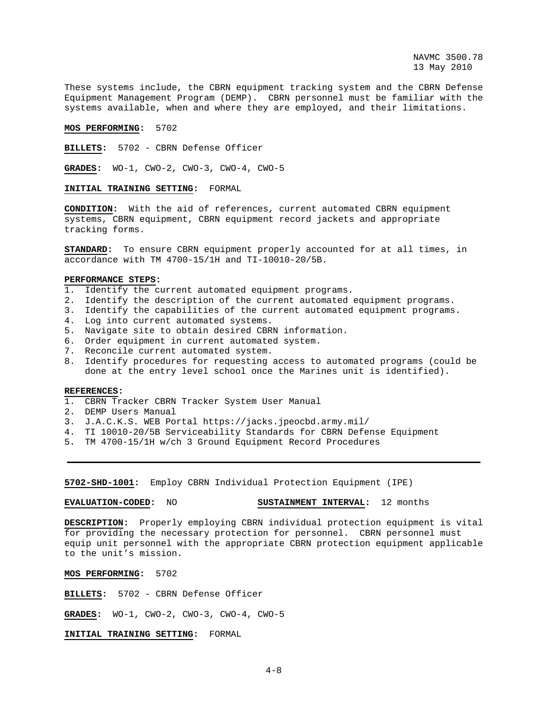These systems include, the CBRN equipment tracking system and the CBRN Defense Equipment Management Program (DEMP). CBRN personnel must be familiar with the systems available, when and where they are employed, and their limitations.

# **MOS PERFORMING:** 5702

**BILLETS:** 5702 - CBRN Defense Officer

**GRADES:** WO-1, CWO-2, CWO-3, CWO-4, CWO-5

# **INITIAL TRAINING SETTING:** FORMAL

**CONDITION:** With the aid of references, current automated CBRN equipment systems, CBRN equipment, CBRN equipment record jackets and appropriate tracking forms.

**STANDARD:** To ensure CBRN equipment properly accounted for at all times, in accordance with TM 4700-15/1H and TI-10010-20/5B.

## **PERFORMANCE STEPS:**

- 1. Identify the current automated equipment programs.
- 2. Identify the description of the current automated equipment programs.
- 3. Identify the capabilities of the current automated equipment programs.
- 4. Log into current automated systems.
- 5. Navigate site to obtain desired CBRN information.
- 6. Order equipment in current automated system.
- 7. Reconcile current automated system.
- 8. Identify procedures for requesting access to automated programs (could be done at the entry level school once the Marines unit is identified).

#### **REFERENCES:**

- 1. CBRN Tracker CBRN Tracker System User Manual
- 2. DEMP Users Manual
- 3. J.A.C.K.S. WEB Portal https://jacks.jpeocbd.army.mil/
- 4. TI 10010-20/5B Serviceability Standards for CBRN Defense Equipment
- 5. TM 4700-15/1H w/ch 3 Ground Equipment Record Procedures

**5702-SHD-1001:** Employ CBRN Individual Protection Equipment (IPE)

**EVALUATION-CODED:** NO **SUSTAINMENT INTERVAL:** 12 months

**DESCRIPTION:** Properly employing CBRN individual protection equipment is vital for providing the necessary protection for personnel. CBRN personnel must equip unit personnel with the appropriate CBRN protection equipment applicable to the unit's mission.

**MOS PERFORMING:** 5702

- **BILLETS:** 5702 CBRN Defense Officer
- **GRADES:** WO-1, CWO-2, CWO-3, CWO-4, CWO-5
- **INITIAL TRAINING SETTING:** FORMAL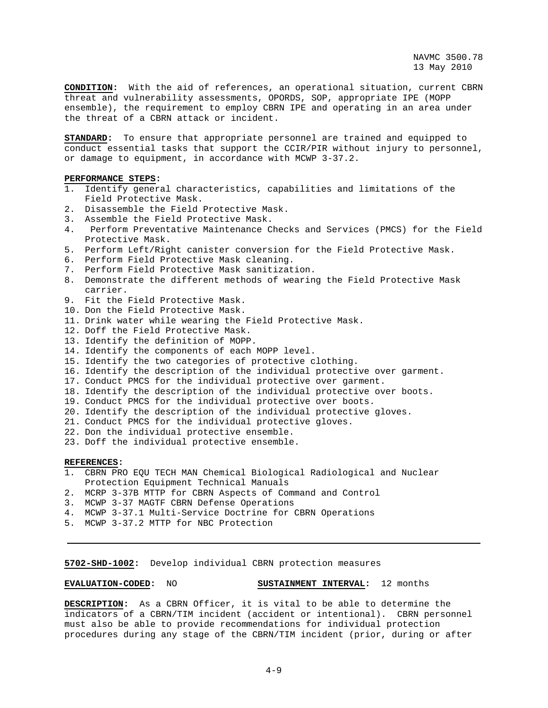**CONDITION:** With the aid of references, an operational situation, current CBRN threat and vulnerability assessments, OPORDS, SOP, appropriate IPE (MOPP ensemble), the requirement to employ CBRN IPE and operating in an area under the threat of a CBRN attack or incident.

**STANDARD:** To ensure that appropriate personnel are trained and equipped to conduct essential tasks that support the CCIR/PIR without injury to personnel, or damage to equipment, in accordance with MCWP 3-37.2.

# **PERFORMANCE STEPS:**

- 1. Identify general characteristics, capabilities and limitations of the Field Protective Mask.
- 2. Disassemble the Field Protective Mask.
- 3. Assemble the Field Protective Mask.
- 4. Perform Preventative Maintenance Checks and Services (PMCS) for the Field Protective Mask.
- 5. Perform Left/Right canister conversion for the Field Protective Mask.
- 6. Perform Field Protective Mask cleaning.
- 7. Perform Field Protective Mask sanitization.
- 8. Demonstrate the different methods of wearing the Field Protective Mask carrier.
- 9. Fit the Field Protective Mask.
- 10. Don the Field Protective Mask.
- 11. Drink water while wearing the Field Protective Mask.
- 12. Doff the Field Protective Mask.
- 13. Identify the definition of MOPP.
- 14. Identify the components of each MOPP level.
- 15. Identify the two categories of protective clothing.
- 16. Identify the description of the individual protective over garment.
- 17. Conduct PMCS for the individual protective over garment.
- 18. Identify the description of the individual protective over boots.
- 19. Conduct PMCS for the individual protective over boots.
- 20. Identify the description of the individual protective gloves.
- 21. Conduct PMCS for the individual protective gloves.
- 22. Don the individual protective ensemble.
- 23. Doff the individual protective ensemble.

# **REFERENCES:**

- 1. CBRN PRO EQU TECH MAN Chemical Biological Radiological and Nuclear Protection Equipment Technical Manuals
- 2. MCRP 3-37B MTTP for CBRN Aspects of Command and Control
- 3. MCWP 3-37 MAGTF CBRN Defense Operations
- 4. MCWP 3-37.1 Multi-Service Doctrine for CBRN Operations
- 5. MCWP 3-37.2 MTTP for NBC Protection

## **5702-SHD-1002:** Develop individual CBRN protection measures

**EVALUATION-CODED:** NO **SUSTAINMENT INTERVAL:** 12 months

**DESCRIPTION:** As a CBRN Officer, it is vital to be able to determine the indicators of a CBRN/TIM incident (accident or intentional). CBRN personnel must also be able to provide recommendations for individual protection procedures during any stage of the CBRN/TIM incident (prior, during or after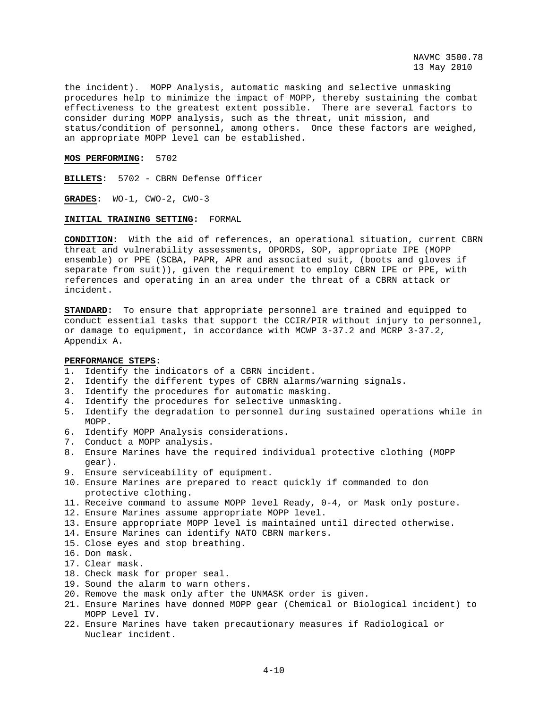the incident). MOPP Analysis, automatic masking and selective unmasking procedures help to minimize the impact of MOPP, thereby sustaining the combat effectiveness to the greatest extent possible. There are several factors to consider during MOPP analysis, such as the threat, unit mission, and status/condition of personnel, among others. Once these factors are weighed, an appropriate MOPP level can be established.

# **MOS PERFORMING:** 5702

**BILLETS:** 5702 - CBRN Defense Officer

**GRADES:** WO-1, CWO-2, CWO-3

## **INITIAL TRAINING SETTING:** FORMAL

**CONDITION:** With the aid of references, an operational situation, current CBRN threat and vulnerability assessments, OPORDS, SOP, appropriate IPE (MOPP ensemble) or PPE (SCBA, PAPR, APR and associated suit, (boots and gloves if separate from suit)), given the requirement to employ CBRN IPE or PPE, with references and operating in an area under the threat of a CBRN attack or incident.

**STANDARD:** To ensure that appropriate personnel are trained and equipped to conduct essential tasks that support the CCIR/PIR without injury to personnel, or damage to equipment, in accordance with MCWP 3-37.2 and MCRP 3-37.2, Appendix A.

- 1. Identify the indicators of a CBRN incident.
- 2. Identify the different types of CBRN alarms/warning signals.
- 3. Identify the procedures for automatic masking.
- 4. Identify the procedures for selective unmasking.
- 5. Identify the degradation to personnel during sustained operations while in MOPP.
- 6. Identify MOPP Analysis considerations.
- 7. Conduct a MOPP analysis.
- 8. Ensure Marines have the required individual protective clothing (MOPP gear).
- 9. Ensure serviceability of equipment.
- 10. Ensure Marines are prepared to react quickly if commanded to don protective clothing.
- 11. Receive command to assume MOPP level Ready, 0-4, or Mask only posture.
- 12. Ensure Marines assume appropriate MOPP level.
- 13. Ensure appropriate MOPP level is maintained until directed otherwise.
- 14. Ensure Marines can identify NATO CBRN markers.
- 15. Close eyes and stop breathing.
- 16. Don mask.
- 17. Clear mask.
- 18. Check mask for proper seal.
- 19. Sound the alarm to warn others.
- 20. Remove the mask only after the UNMASK order is given.
- 21. Ensure Marines have donned MOPP gear (Chemical or Biological incident) to MOPP Level IV.
- 22. Ensure Marines have taken precautionary measures if Radiological or Nuclear incident.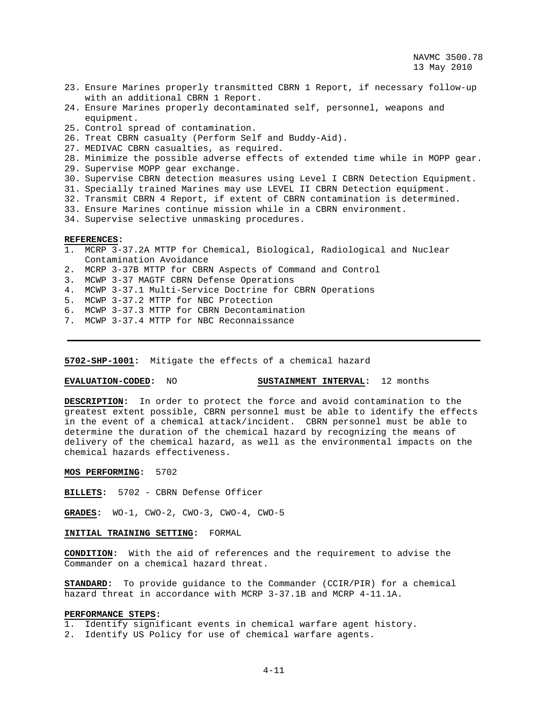- 23. Ensure Marines properly transmitted CBRN 1 Report, if necessary follow-up with an additional CBRN 1 Report.
- 24. Ensure Marines properly decontaminated self, personnel, weapons and equipment.
- 25. Control spread of contamination.
- 26. Treat CBRN casualty (Perform Self and Buddy-Aid).
- 27. MEDIVAC CBRN casualties, as required.
- 28. Minimize the possible adverse effects of extended time while in MOPP gear.
- 29. Supervise MOPP gear exchange.
- 30. Supervise CBRN detection measures using Level I CBRN Detection Equipment.
- 31. Specially trained Marines may use LEVEL II CBRN Detection equipment.
- 32. Transmit CBRN 4 Report, if extent of CBRN contamination is determined.
- 33. Ensure Marines continue mission while in a CBRN environment.
- 34. Supervise selective unmasking procedures.

## **REFERENCES:**

- 1. MCRP 3-37.2A MTTP for Chemical, Biological, Radiological and Nuclear Contamination Avoidance
- 2. MCRP 3-37B MTTP for CBRN Aspects of Command and Control
- 3. MCWP 3-37 MAGTF CBRN Defense Operations
- 4. MCWP 3-37.1 Multi-Service Doctrine for CBRN Operations
- 5. MCWP 3-37.2 MTTP for NBC Protection
- 6. MCWP 3-37.3 MTTP for CBRN Decontamination
- 7. MCWP 3-37.4 MTTP for NBC Reconnaissance

**5702-SHP-1001:** Mitigate the effects of a chemical hazard

**EVALUATION-CODED:** NO **SUSTAINMENT INTERVAL:** 12 months

**DESCRIPTION:** In order to protect the force and avoid contamination to the greatest extent possible, CBRN personnel must be able to identify the effects in the event of a chemical attack/incident. CBRN personnel must be able to determine the duration of the chemical hazard by recognizing the means of delivery of the chemical hazard, as well as the environmental impacts on the chemical hazards effectiveness.

# **MOS PERFORMING:** 5702

**BILLETS:** 5702 - CBRN Defense Officer

**GRADES:** WO-1, CWO-2, CWO-3, CWO-4, CWO-5

### **INITIAL TRAINING SETTING:** FORMAL

**CONDITION:** With the aid of references and the requirement to advise the Commander on a chemical hazard threat.

**STANDARD:** To provide guidance to the Commander (CCIR/PIR) for a chemical hazard threat in accordance with MCRP 3-37.1B and MCRP 4-11.1A.

- 1. Identify significant events in chemical warfare agent history.
- 2. Identify US Policy for use of chemical warfare agents.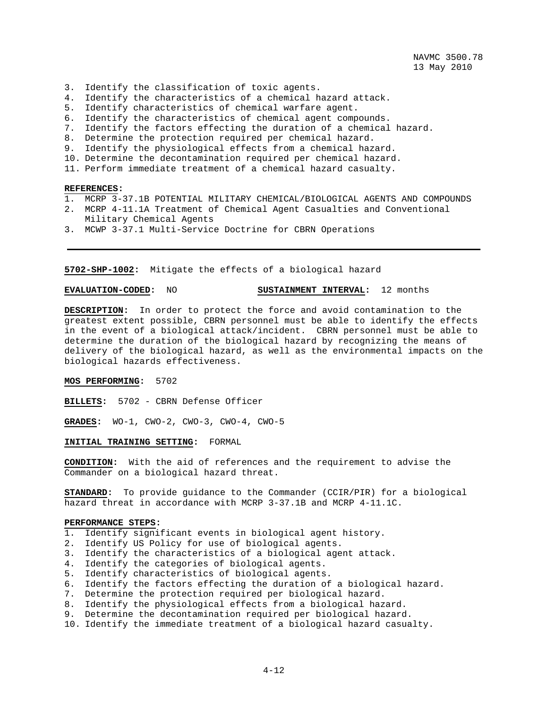- 3. Identify the classification of toxic agents.
- 4. Identify the characteristics of a chemical hazard attack.
- 5. Identify characteristics of chemical warfare agent.
- 6. Identify the characteristics of chemical agent compounds.
- 7. Identify the factors effecting the duration of a chemical hazard.
- 8. Determine the protection required per chemical hazard.
- 9. Identify the physiological effects from a chemical hazard.
- 10. Determine the decontamination required per chemical hazard.
- 11. Perform immediate treatment of a chemical hazard casualty.

### **REFERENCES:**

- 1. MCRP 3-37.1B POTENTIAL MILITARY CHEMICAL/BIOLOGICAL AGENTS AND COMPOUNDS
- 2. MCRP 4-11.1A Treatment of Chemical Agent Casualties and Conventional Military Chemical Agents
- 3. MCWP 3-37.1 Multi-Service Doctrine for CBRN Operations

**5702-SHP-1002:** Mitigate the effects of a biological hazard

**EVALUATION-CODED:** NO **SUSTAINMENT INTERVAL:** 12 months

**DESCRIPTION:** In order to protect the force and avoid contamination to the greatest extent possible, CBRN personnel must be able to identify the effects in the event of a biological attack/incident. CBRN personnel must be able to determine the duration of the biological hazard by recognizing the means of delivery of the biological hazard, as well as the environmental impacts on the biological hazards effectiveness.

### **MOS PERFORMING:** 5702

**BILLETS:** 5702 - CBRN Defense Officer

**GRADES:** WO-1, CWO-2, CWO-3, CWO-4, CWO-5

# **INITIAL TRAINING SETTING:** FORMAL

**CONDITION:** With the aid of references and the requirement to advise the Commander on a biological hazard threat.

**STANDARD:** To provide guidance to the Commander (CCIR/PIR) for a biological hazard threat in accordance with MCRP 3-37.1B and MCRP 4-11.1C.

- 1. Identify significant events in biological agent history.
- 2. Identify US Policy for use of biological agents.
- 3. Identify the characteristics of a biological agent attack.
- 4. Identify the categories of biological agents.
- 5. Identify characteristics of biological agents.
- 6. Identify the factors effecting the duration of a biological hazard.
- 7. Determine the protection required per biological hazard.
- 8. Identify the physiological effects from a biological hazard.
- 9. Determine the decontamination required per biological hazard.
- 10. Identify the immediate treatment of a biological hazard casualty.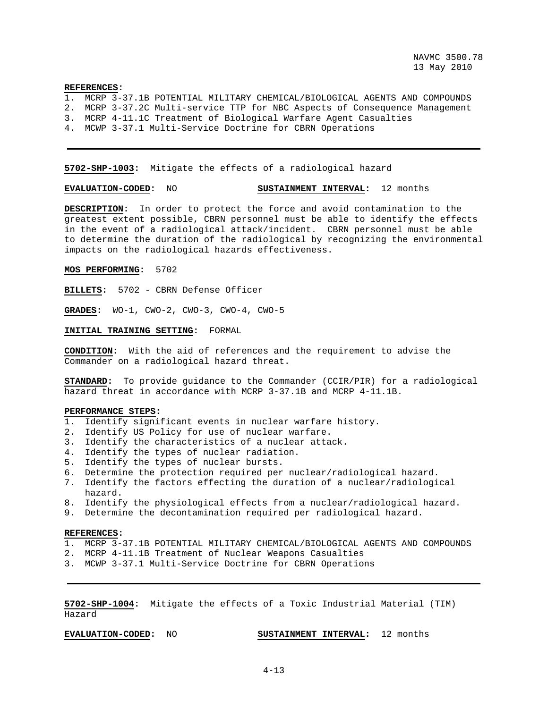**REFERENCES:**

1. MCRP 3-37.1B POTENTIAL MILITARY CHEMICAL/BIOLOGICAL AGENTS AND COMPOUNDS

2. MCRP 3-37.2C Multi-service TTP for NBC Aspects of Consequence Management

3. MCRP 4-11.1C Treatment of Biological Warfare Agent Casualties

4. MCWP 3-37.1 Multi-Service Doctrine for CBRN Operations

**5702-SHP-1003:** Mitigate the effects of a radiological hazard

**EVALUATION-CODED:** NO **SUSTAINMENT INTERVAL:** 12 months

**DESCRIPTION:** In order to protect the force and avoid contamination to the greatest extent possible, CBRN personnel must be able to identify the effects in the event of a radiological attack/incident. CBRN personnel must be able to determine the duration of the radiological by recognizing the environmental impacts on the radiological hazards effectiveness.

**MOS PERFORMING:** 5702

**BILLETS:** 5702 - CBRN Defense Officer

**GRADES:** WO-1, CWO-2, CWO-3, CWO-4, CWO-5

**INITIAL TRAINING SETTING:** FORMAL

**CONDITION:** With the aid of references and the requirement to advise the Commander on a radiological hazard threat.

**STANDARD:** To provide guidance to the Commander (CCIR/PIR) for a radiological hazard threat in accordance with MCRP 3-37.1B and MCRP 4-11.1B.

## **PERFORMANCE STEPS:**

- 1. Identify significant events in nuclear warfare history.
- 2. Identify US Policy for use of nuclear warfare.
- 3. Identify the characteristics of a nuclear attack.
- 4. Identify the types of nuclear radiation.
- 5. Identify the types of nuclear bursts.
- 6. Determine the protection required per nuclear/radiological hazard.
- 7. Identify the factors effecting the duration of a nuclear/radiological hazard.
- 8. Identify the physiological effects from a nuclear/radiological hazard.
- 9. Determine the decontamination required per radiological hazard.

# **REFERENCES:**

- 1. MCRP 3-37.1B POTENTIAL MILITARY CHEMICAL/BIOLOGICAL AGENTS AND COMPOUNDS
- 2. MCRP 4-11.1B Treatment of Nuclear Weapons Casualties

3. MCWP 3-37.1 Multi-Service Doctrine for CBRN Operations

**5702-SHP-1004:** Mitigate the effects of a Toxic Industrial Material (TIM) Hazard

**EVALUATION-CODED:** NO **SUSTAINMENT INTERVAL:** 12 months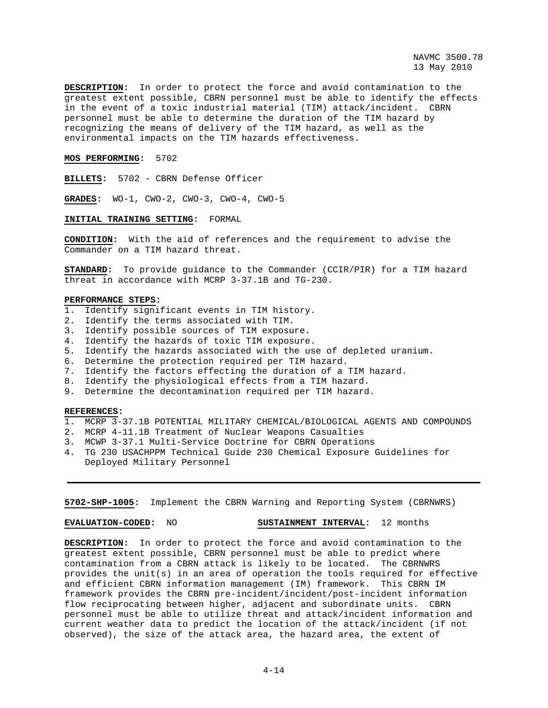**DESCRIPTION:** In order to protect the force and avoid contamination to the greatest extent possible, CBRN personnel must be able to identify the effects in the event of a toxic industrial material (TIM) attack/incident. CBRN personnel must be able to determine the duration of the TIM hazard by recognizing the means of delivery of the TIM hazard, as well as the environmental impacts on the TIM hazards effectiveness.

# **MOS PERFORMING:** 5702

**BILLETS:** 5702 - CBRN Defense Officer

**GRADES:** WO-1, CWO-2, CWO-3, CWO-4, CWO-5

## **INITIAL TRAINING SETTING:** FORMAL

**CONDITION:** With the aid of references and the requirement to advise the Commander on a TIM hazard threat.

**STANDARD:** To provide guidance to the Commander (CCIR/PIR) for a TIM hazard threat in accordance with MCRP 3-37.1B and TG-230.

# **PERFORMANCE STEPS:**

- 1. Identify significant events in TIM history.
- 2. Identify the terms associated with TIM.
- 3. Identify possible sources of TIM exposure.
- 4. Identify the hazards of toxic TIM exposure.
- 5. Identify the hazards associated with the use of depleted uranium.
- 6. Determine the protection required per TIM hazard.
- 7. Identify the factors effecting the duration of a TIM hazard.
- 8. Identify the physiological effects from a TIM hazard.
- 9. Determine the decontamination required per TIM hazard.

## **REFERENCES:**

- 1. MCRP 3-37.1B POTENTIAL MILITARY CHEMICAL/BIOLOGICAL AGENTS AND COMPOUNDS
- 2. MCRP 4-11.1B Treatment of Nuclear Weapons Casualties
- 3. MCWP 3-37.1 Multi-Service Doctrine for CBRN Operations
- 4. TG 230 USACHPPM Technical Guide 230 Chemical Exposure Guidelines for Deployed Military Personnel

**5702-SHP-1005:** Implement the CBRN Warning and Reporting System (CBRNWRS)

**EVALUATION-CODED:** NO **SUSTAINMENT INTERVAL:** 12 months

**DESCRIPTION:** In order to protect the force and avoid contamination to the greatest extent possible, CBRN personnel must be able to predict where contamination from a CBRN attack is likely to be located. The CBRNWRS provides the unit(s) in an area of operation the tools required for effective and efficient CBRN information management (IM) framework. This CBRN IM framework provides the CBRN pre-incident/incident/post-incident information flow reciprocating between higher, adjacent and subordinate units. CBRN personnel must be able to utilize threat and attack/incident information and current weather data to predict the location of the attack/incident (if not observed), the size of the attack area, the hazard area, the extent of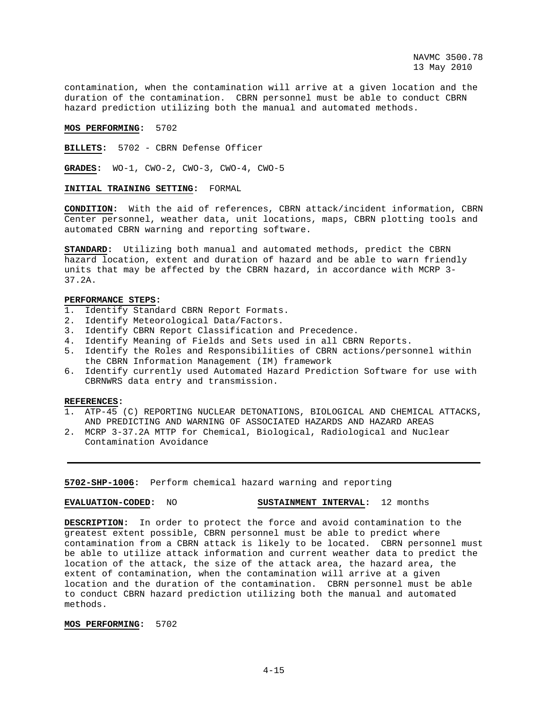contamination, when the contamination will arrive at a given location and the duration of the contamination. CBRN personnel must be able to conduct CBRN hazard prediction utilizing both the manual and automated methods.

# **MOS PERFORMING:** 5702

**BILLETS:** 5702 - CBRN Defense Officer

**GRADES:** WO-1, CWO-2, CWO-3, CWO-4, CWO-5

# **INITIAL TRAINING SETTING:** FORMAL

**CONDITION:** With the aid of references, CBRN attack/incident information, CBRN Center personnel, weather data, unit locations, maps, CBRN plotting tools and automated CBRN warning and reporting software.

**STANDARD:** Utilizing both manual and automated methods, predict the CBRN hazard location, extent and duration of hazard and be able to warn friendly units that may be affected by the CBRN hazard, in accordance with MCRP 3- 37.2A.

# **PERFORMANCE STEPS:**

- 1. Identify Standard CBRN Report Formats.
- 2. Identify Meteorological Data/Factors.
- 3. Identify CBRN Report Classification and Precedence.
- 4. Identify Meaning of Fields and Sets used in all CBRN Reports.
- 5. Identify the Roles and Responsibilities of CBRN actions/personnel within the CBRN Information Management (IM) framework
- 6. Identify currently used Automated Hazard Prediction Software for use with CBRNWRS data entry and transmission.

### **REFERENCES:**

- 1. ATP-45 (C) REPORTING NUCLEAR DETONATIONS, BIOLOGICAL AND CHEMICAL ATTACKS, AND PREDICTING AND WARNING OF ASSOCIATED HAZARDS AND HAZARD AREAS
- 2. MCRP 3-37.2A MTTP for Chemical, Biological, Radiological and Nuclear Contamination Avoidance

**5702-SHP-1006:** Perform chemical hazard warning and reporting

**EVALUATION-CODED:** NO **SUSTAINMENT INTERVAL:** 12 months

**DESCRIPTION:** In order to protect the force and avoid contamination to the greatest extent possible, CBRN personnel must be able to predict where contamination from a CBRN attack is likely to be located. CBRN personnel must be able to utilize attack information and current weather data to predict the location of the attack, the size of the attack area, the hazard area, the extent of contamination, when the contamination will arrive at a given location and the duration of the contamination. CBRN personnel must be able to conduct CBRN hazard prediction utilizing both the manual and automated methods.

# **MOS PERFORMING:** 5702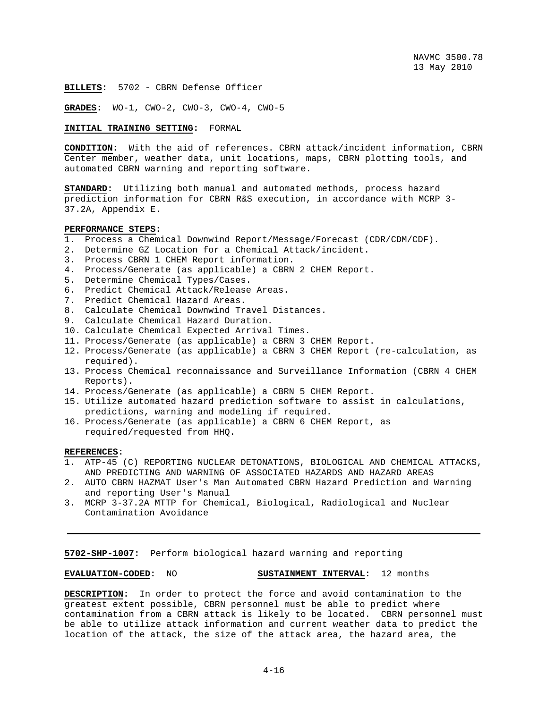**BILLETS:** 5702 - CBRN Defense Officer

**GRADES:** WO-1, CWO-2, CWO-3, CWO-4, CWO-5

# **INITIAL TRAINING SETTING:** FORMAL

**CONDITION:** With the aid of references. CBRN attack/incident information, CBRN Center member, weather data, unit locations, maps, CBRN plotting tools, and automated CBRN warning and reporting software.

**STANDARD:** Utilizing both manual and automated methods, process hazard prediction information for CBRN R&S execution, in accordance with MCRP 3- 37.2A, Appendix E.

### **PERFORMANCE STEPS:**

- 1. Process a Chemical Downwind Report/Message/Forecast (CDR/CDM/CDF).
- 2. Determine GZ Location for a Chemical Attack/incident.
- 3. Process CBRN 1 CHEM Report information.
- 4. Process/Generate (as applicable) a CBRN 2 CHEM Report.
- 5. Determine Chemical Types/Cases.
- 6. Predict Chemical Attack/Release Areas.
- 7. Predict Chemical Hazard Areas.
- 8. Calculate Chemical Downwind Travel Distances.
- 9. Calculate Chemical Hazard Duration.
- 10. Calculate Chemical Expected Arrival Times.
- 11. Process/Generate (as applicable) a CBRN 3 CHEM Report.
- 12. Process/Generate (as applicable) a CBRN 3 CHEM Report (re-calculation, as required).
- 13. Process Chemical reconnaissance and Surveillance Information (CBRN 4 CHEM Reports).
- 14. Process/Generate (as applicable) a CBRN 5 CHEM Report.
- 15. Utilize automated hazard prediction software to assist in calculations, predictions, warning and modeling if required.
- 16. Process/Generate (as applicable) a CBRN 6 CHEM Report, as required/requested from HHQ.

# **REFERENCES:**

- 1. ATP-45 (C) REPORTING NUCLEAR DETONATIONS, BIOLOGICAL AND CHEMICAL ATTACKS, AND PREDICTING AND WARNING OF ASSOCIATED HAZARDS AND HAZARD AREAS
- 2. AUTO CBRN HAZMAT User's Man Automated CBRN Hazard Prediction and Warning and reporting User's Manual
- 3. MCRP 3-37.2A MTTP for Chemical, Biological, Radiological and Nuclear Contamination Avoidance

# **5702-SHP-1007:** Perform biological hazard warning and reporting

# **EVALUATION-CODED:** NO **SUSTAINMENT INTERVAL:** 12 months

**DESCRIPTION:** In order to protect the force and avoid contamination to the greatest extent possible, CBRN personnel must be able to predict where contamination from a CBRN attack is likely to be located. CBRN personnel must be able to utilize attack information and current weather data to predict the location of the attack, the size of the attack area, the hazard area, the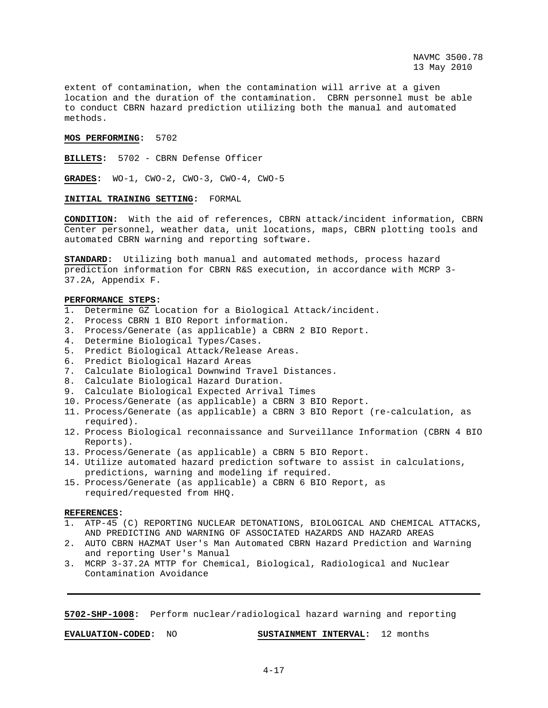extent of contamination, when the contamination will arrive at a given location and the duration of the contamination. CBRN personnel must be able to conduct CBRN hazard prediction utilizing both the manual and automated methods.

# **MOS PERFORMING:** 5702

**BILLETS:** 5702 - CBRN Defense Officer

**GRADES:** WO-1, CWO-2, CWO-3, CWO-4, CWO-5

# **INITIAL TRAINING SETTING:** FORMAL

**CONDITION:** With the aid of references, CBRN attack/incident information, CBRN Center personnel, weather data, unit locations, maps, CBRN plotting tools and automated CBRN warning and reporting software.

**STANDARD:** Utilizing both manual and automated methods, process hazard prediction information for CBRN R&S execution, in accordance with MCRP 3- 37.2A, Appendix F.

# **PERFORMANCE STEPS:**

- 1. Determine GZ Location for a Biological Attack/incident.
- 2. Process CBRN 1 BIO Report information.
- 3. Process/Generate (as applicable) a CBRN 2 BIO Report.
- 4. Determine Biological Types/Cases.
- 5. Predict Biological Attack/Release Areas.
- 6. Predict Biological Hazard Areas
- 7. Calculate Biological Downwind Travel Distances.
- 8. Calculate Biological Hazard Duration.
- 9. Calculate Biological Expected Arrival Times
- 10. Process/Generate (as applicable) a CBRN 3 BIO Report.
- 11. Process/Generate (as applicable) a CBRN 3 BIO Report (re-calculation, as required).
- 12. Process Biological reconnaissance and Surveillance Information (CBRN 4 BIO Reports).
- 13. Process/Generate (as applicable) a CBRN 5 BIO Report.
- 14. Utilize automated hazard prediction software to assist in calculations, predictions, warning and modeling if required.
- 15. Process/Generate (as applicable) a CBRN 6 BIO Report, as required/requested from HHQ.

# **REFERENCES:**

- 1. ATP-45 (C) REPORTING NUCLEAR DETONATIONS, BIOLOGICAL AND CHEMICAL ATTACKS, AND PREDICTING AND WARNING OF ASSOCIATED HAZARDS AND HAZARD AREAS
- 2. AUTO CBRN HAZMAT User's Man Automated CBRN Hazard Prediction and Warning and reporting User's Manual
- 3. MCRP 3-37.2A MTTP for Chemical, Biological, Radiological and Nuclear Contamination Avoidance

**5702-SHP-1008:** Perform nuclear/radiological hazard warning and reporting

**EVALUATION-CODED:** NO **SUSTAINMENT INTERVAL:** 12 months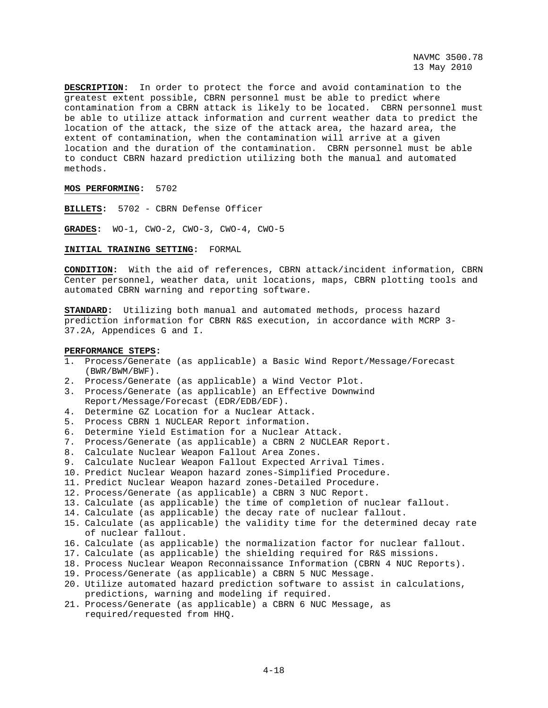**DESCRIPTION:** In order to protect the force and avoid contamination to the greatest extent possible, CBRN personnel must be able to predict where contamination from a CBRN attack is likely to be located. CBRN personnel must be able to utilize attack information and current weather data to predict the location of the attack, the size of the attack area, the hazard area, the extent of contamination, when the contamination will arrive at a given location and the duration of the contamination. CBRN personnel must be able to conduct CBRN hazard prediction utilizing both the manual and automated methods.

**MOS PERFORMING:** 5702

**BILLETS:** 5702 - CBRN Defense Officer

**GRADES:** WO-1, CWO-2, CWO-3, CWO-4, CWO-5

**INITIAL TRAINING SETTING:** FORMAL

**CONDITION:** With the aid of references, CBRN attack/incident information, CBRN Center personnel, weather data, unit locations, maps, CBRN plotting tools and automated CBRN warning and reporting software.

**STANDARD:** Utilizing both manual and automated methods, process hazard prediction information for CBRN R&S execution, in accordance with MCRP 3- 37.2A, Appendices G and I.

- 1. Process/Generate (as applicable) a Basic Wind Report/Message/Forecast (BWR/BWM/BWF).
- 2. Process/Generate (as applicable) a Wind Vector Plot.
- 3. Process/Generate (as applicable) an Effective Downwind Report/Message/Forecast (EDR/EDB/EDF).
- 4. Determine GZ Location for a Nuclear Attack.
- 5. Process CBRN 1 NUCLEAR Report information.
- 6. Determine Yield Estimation for a Nuclear Attack.
- 7. Process/Generate (as applicable) a CBRN 2 NUCLEAR Report.
- 8. Calculate Nuclear Weapon Fallout Area Zones.
- 9. Calculate Nuclear Weapon Fallout Expected Arrival Times.
- 10. Predict Nuclear Weapon hazard zones-Simplified Procedure.
- 11. Predict Nuclear Weapon hazard zones-Detailed Procedure.
- 12. Process/Generate (as applicable) a CBRN 3 NUC Report.
- 13. Calculate (as applicable) the time of completion of nuclear fallout.
- 14. Calculate (as applicable) the decay rate of nuclear fallout.
- 15. Calculate (as applicable) the validity time for the determined decay rate of nuclear fallout.
- 16. Calculate (as applicable) the normalization factor for nuclear fallout.
- 17. Calculate (as applicable) the shielding required for R&S missions.
- 18. Process Nuclear Weapon Reconnaissance Information (CBRN 4 NUC Reports).
- 19. Process/Generate (as applicable) a CBRN 5 NUC Message.
- 20. Utilize automated hazard prediction software to assist in calculations, predictions, warning and modeling if required.
- 21. Process/Generate (as applicable) a CBRN 6 NUC Message, as required/requested from HHQ.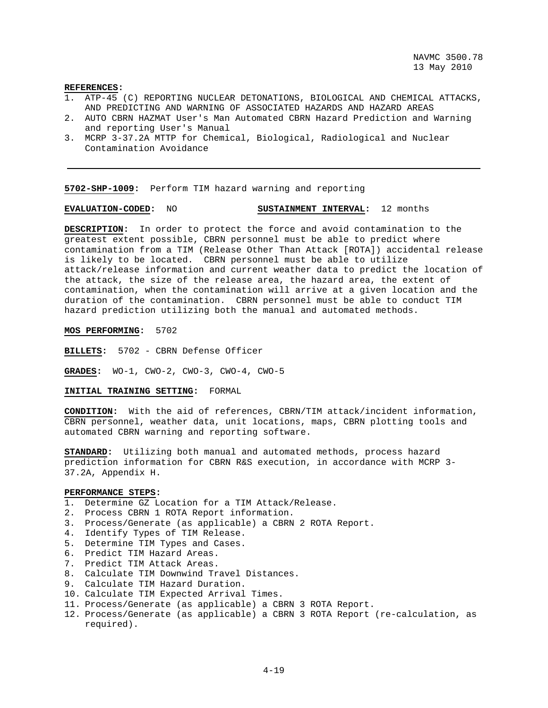## **REFERENCES:**

- 1. ATP-45 (C) REPORTING NUCLEAR DETONATIONS, BIOLOGICAL AND CHEMICAL ATTACKS, AND PREDICTING AND WARNING OF ASSOCIATED HAZARDS AND HAZARD AREAS
- 2. AUTO CBRN HAZMAT User's Man Automated CBRN Hazard Prediction and Warning and reporting User's Manual
- 3. MCRP 3-37.2A MTTP for Chemical, Biological, Radiological and Nuclear Contamination Avoidance

**5702-SHP-1009:** Perform TIM hazard warning and reporting

**EVALUATION-CODED:** NO **SUSTAINMENT INTERVAL:** 12 months

**DESCRIPTION:** In order to protect the force and avoid contamination to the greatest extent possible, CBRN personnel must be able to predict where contamination from a TIM (Release Other Than Attack [ROTA]) accidental release is likely to be located. CBRN personnel must be able to utilize attack/release information and current weather data to predict the location of the attack, the size of the release area, the hazard area, the extent of contamination, when the contamination will arrive at a given location and the duration of the contamination. CBRN personnel must be able to conduct TIM hazard prediction utilizing both the manual and automated methods.

**MOS PERFORMING:** 5702

**BILLETS:** 5702 - CBRN Defense Officer

**GRADES:** WO-1, CWO-2, CWO-3, CWO-4, CWO-5

**INITIAL TRAINING SETTING:** FORMAL

**CONDITION:** With the aid of references, CBRN/TIM attack/incident information, CBRN personnel, weather data, unit locations, maps, CBRN plotting tools and automated CBRN warning and reporting software.

**STANDARD:** Utilizing both manual and automated methods, process hazard prediction information for CBRN R&S execution, in accordance with MCRP 3- 37.2A, Appendix H.

- 1. Determine GZ Location for a TIM Attack/Release.
- 2. Process CBRN 1 ROTA Report information.
- 3. Process/Generate (as applicable) a CBRN 2 ROTA Report.
- 4. Identify Types of TIM Release.
- 5. Determine TIM Types and Cases.
- 6. Predict TIM Hazard Areas.
- 7. Predict TIM Attack Areas.
- 8. Calculate TIM Downwind Travel Distances.
- 9. Calculate TIM Hazard Duration.
- 10. Calculate TIM Expected Arrival Times.
- 11. Process/Generate (as applicable) a CBRN 3 ROTA Report.
- 12. Process/Generate (as applicable) a CBRN 3 ROTA Report (re-calculation, as required).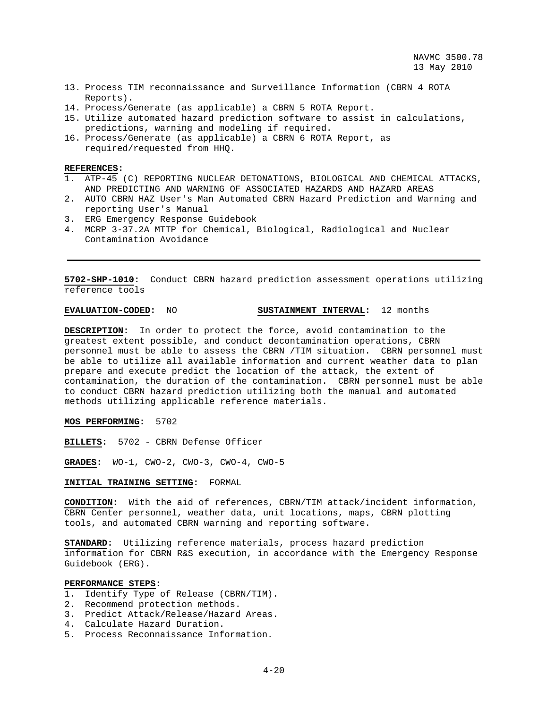- 13. Process TIM reconnaissance and Surveillance Information (CBRN 4 ROTA Reports).
- 14. Process/Generate (as applicable) a CBRN 5 ROTA Report.
- 15. Utilize automated hazard prediction software to assist in calculations, predictions, warning and modeling if required.
- 16. Process/Generate (as applicable) a CBRN 6 ROTA Report, as required/requested from HHQ.

# **REFERENCES:**

- 1. ATP-45 (C) REPORTING NUCLEAR DETONATIONS, BIOLOGICAL AND CHEMICAL ATTACKS, AND PREDICTING AND WARNING OF ASSOCIATED HAZARDS AND HAZARD AREAS
- 2. AUTO CBRN HAZ User's Man Automated CBRN Hazard Prediction and Warning and reporting User's Manual
- 3. ERG Emergency Response Guidebook
- 4. MCRP 3-37.2A MTTP for Chemical, Biological, Radiological and Nuclear Contamination Avoidance

**5702-SHP-1010:** Conduct CBRN hazard prediction assessment operations utilizing reference tools

**EVALUATION-CODED:** NO **SUSTAINMENT INTERVAL:** 12 months

**DESCRIPTION:** In order to protect the force, avoid contamination to the greatest extent possible, and conduct decontamination operations, CBRN personnel must be able to assess the CBRN /TIM situation. CBRN personnel must be able to utilize all available information and current weather data to plan prepare and execute predict the location of the attack, the extent of contamination, the duration of the contamination. CBRN personnel must be able to conduct CBRN hazard prediction utilizing both the manual and automated methods utilizing applicable reference materials.

**MOS PERFORMING:** 5702

**BILLETS:** 5702 - CBRN Defense Officer

**GRADES:** WO-1, CWO-2, CWO-3, CWO-4, CWO-5

# **INITIAL TRAINING SETTING:** FORMAL

**CONDITION:** With the aid of references, CBRN/TIM attack/incident information, CBRN Center personnel, weather data, unit locations, maps, CBRN plotting tools, and automated CBRN warning and reporting software.

**STANDARD:** Utilizing reference materials, process hazard prediction information for CBRN R&S execution, in accordance with the Emergency Response Guidebook (ERG).

- 1. Identify Type of Release (CBRN/TIM).
- 2. Recommend protection methods.
- 3. Predict Attack/Release/Hazard Areas.
- 4. Calculate Hazard Duration.
- 5. Process Reconnaissance Information.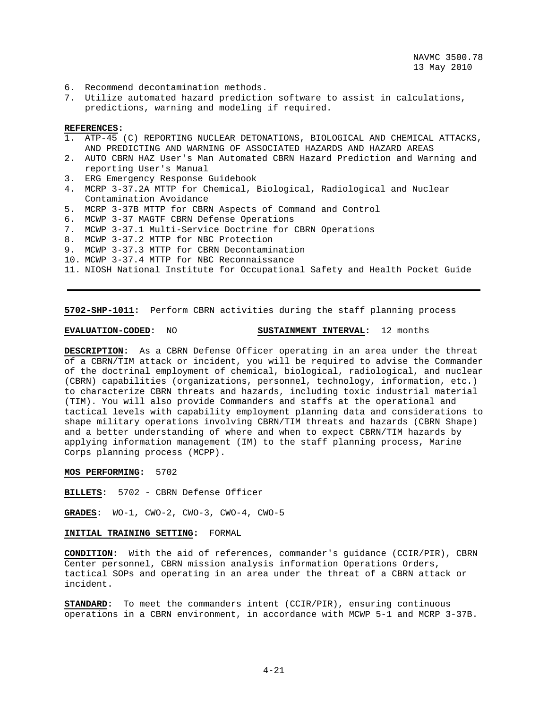- 6. Recommend decontamination methods.
- 7. Utilize automated hazard prediction software to assist in calculations, predictions, warning and modeling if required.

# **REFERENCES:**

- 1. ATP-45 (C) REPORTING NUCLEAR DETONATIONS, BIOLOGICAL AND CHEMICAL ATTACKS, AND PREDICTING AND WARNING OF ASSOCIATED HAZARDS AND HAZARD AREAS
- 2. AUTO CBRN HAZ User's Man Automated CBRN Hazard Prediction and Warning and reporting User's Manual
- 3. ERG Emergency Response Guidebook
- 4. MCRP 3-37.2A MTTP for Chemical, Biological, Radiological and Nuclear Contamination Avoidance
- 5. MCRP 3-37B MTTP for CBRN Aspects of Command and Control
- 6. MCWP 3-37 MAGTF CBRN Defense Operations
- 7. MCWP 3-37.1 Multi-Service Doctrine for CBRN Operations
- 8. MCWP 3-37.2 MTTP for NBC Protection
- 9. MCWP 3-37.3 MTTP for CBRN Decontamination
- 10. MCWP 3-37.4 MTTP for NBC Reconnaissance
- 11. NIOSH National Institute for Occupational Safety and Health Pocket Guide

**5702-SHP-1011:** Perform CBRN activities during the staff planning process

**EVALUATION-CODED:** NO **SUSTAINMENT INTERVAL:** 12 months

**DESCRIPTION:** As a CBRN Defense Officer operating in an area under the threat of a CBRN/TIM attack or incident, you will be required to advise the Commander of the doctrinal employment of chemical, biological, radiological, and nuclear (CBRN) capabilities (organizations, personnel, technology, information, etc.) to characterize CBRN threats and hazards, including toxic industrial material (TIM). You will also provide Commanders and staffs at the operational and tactical levels with capability employment planning data and considerations to shape military operations involving CBRN/TIM threats and hazards (CBRN Shape) and a better understanding of where and when to expect CBRN/TIM hazards by applying information management (IM) to the staff planning process, Marine Corps planning process (MCPP).

# **MOS PERFORMING:** 5702

**BILLETS:** 5702 - CBRN Defense Officer

**GRADES:** WO-1, CWO-2, CWO-3, CWO-4, CWO-5

### **INITIAL TRAINING SETTING:** FORMAL

**CONDITION:** With the aid of references, commander's guidance (CCIR/PIR), CBRN Center personnel, CBRN mission analysis information Operations Orders, tactical SOPs and operating in an area under the threat of a CBRN attack or incident.

**STANDARD:** To meet the commanders intent (CCIR/PIR), ensuring continuous operations in a CBRN environment, in accordance with MCWP 5-1 and MCRP 3-37B.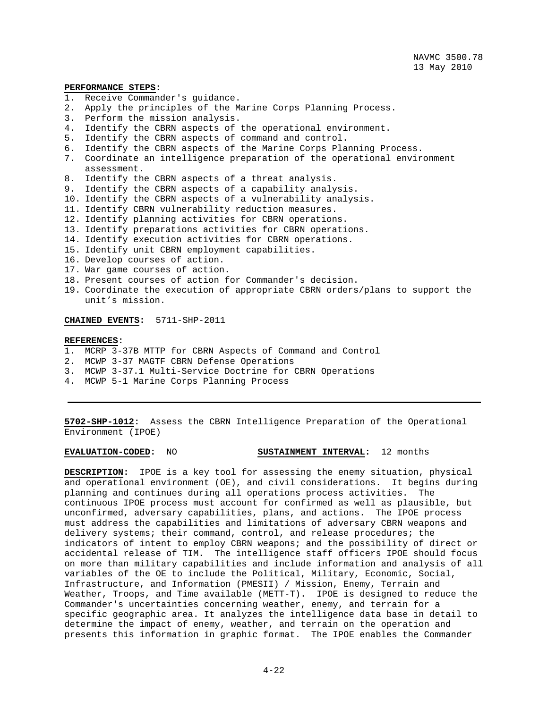# **PERFORMANCE STEPS:**

- 1. Receive Commander's guidance.
- 2. Apply the principles of the Marine Corps Planning Process.
- 3. Perform the mission analysis.
- 4. Identify the CBRN aspects of the operational environment.
- 5. Identify the CBRN aspects of command and control.
- 6. Identify the CBRN aspects of the Marine Corps Planning Process.
- 7. Coordinate an intelligence preparation of the operational environment assessment.
- 8. Identify the CBRN aspects of a threat analysis.
- 9. Identify the CBRN aspects of a capability analysis.
- 10. Identify the CBRN aspects of a vulnerability analysis.
- 11. Identify CBRN vulnerability reduction measures.
- 12. Identify planning activities for CBRN operations.
- 13. Identify preparations activities for CBRN operations.
- 14. Identify execution activities for CBRN operations.
- 15. Identify unit CBRN employment capabilities.
- 16. Develop courses of action.
- 17. War game courses of action.
- 18. Present courses of action for Commander's decision.
- 19. Coordinate the execution of appropriate CBRN orders/plans to support the unit's mission.

**CHAINED EVENTS:** 5711-SHP-2011

## **REFERENCES:**

- 1. MCRP 3-37B MTTP for CBRN Aspects of Command and Control
- 2. MCWP 3-37 MAGTF CBRN Defense Operations
- 3. MCWP 3-37.1 Multi-Service Doctrine for CBRN Operations
- 4. MCWP 5-1 Marine Corps Planning Process

**5702-SHP-1012:** Assess the CBRN Intelligence Preparation of the Operational Environment (IPOE)

**EVALUATION-CODED:** NO **SUSTAINMENT INTERVAL:** 12 months

**DESCRIPTION:** IPOE is a key tool for assessing the enemy situation, physical and operational environment (OE), and civil considerations. It begins during planning and continues during all operations process activities. The continuous IPOE process must account for confirmed as well as plausible, but unconfirmed, adversary capabilities, plans, and actions. The IPOE process must address the capabilities and limitations of adversary CBRN weapons and delivery systems; their command, control, and release procedures; the indicators of intent to employ CBRN weapons; and the possibility of direct or accidental release of TIM. The intelligence staff officers IPOE should focus on more than military capabilities and include information and analysis of all variables of the OE to include the Political, Military, Economic, Social, Infrastructure, and Information (PMESII) / Mission, Enemy, Terrain and Weather, Troops, and Time available (METT-T). IPOE is designed to reduce the Commander's uncertainties concerning weather, enemy, and terrain for a specific geographic area. It analyzes the intelligence data base in detail to determine the impact of enemy, weather, and terrain on the operation and presents this information in graphic format. The IPOE enables the Commander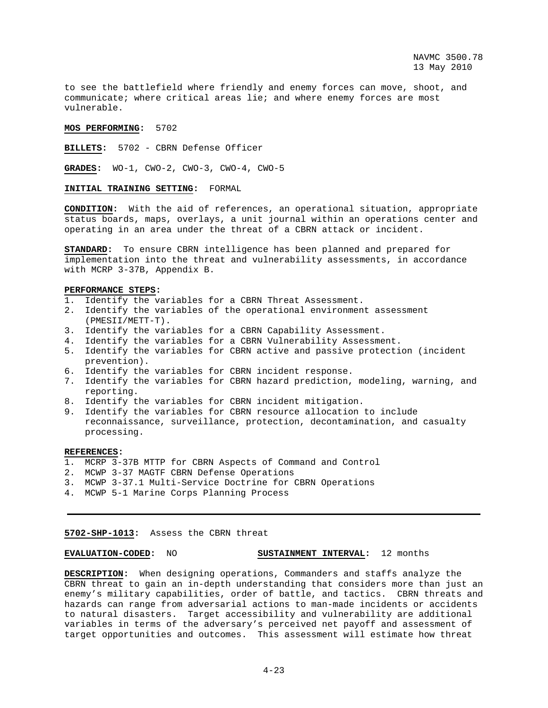to see the battlefield where friendly and enemy forces can move, shoot, and communicate; where critical areas lie; and where enemy forces are most vulnerable.

# **MOS PERFORMING:** 5702

**BILLETS:** 5702 - CBRN Defense Officer

**GRADES:** WO-1, CWO-2, CWO-3, CWO-4, CWO-5

# **INITIAL TRAINING SETTING:** FORMAL

**CONDITION:** With the aid of references, an operational situation, appropriate status boards, maps, overlays, a unit journal within an operations center and operating in an area under the threat of a CBRN attack or incident.

**STANDARD:** To ensure CBRN intelligence has been planned and prepared for implementation into the threat and vulnerability assessments, in accordance with MCRP 3-37B, Appendix B.

# **PERFORMANCE STEPS:**

- 1. Identify the variables for a CBRN Threat Assessment.
- 2. Identify the variables of the operational environment assessment (PMESII/METT-T).
- 3. Identify the variables for a CBRN Capability Assessment.
- 4. Identify the variables for a CBRN Vulnerability Assessment.
- 5. Identify the variables for CBRN active and passive protection (incident prevention).
- 6. Identify the variables for CBRN incident response.
- 7. Identify the variables for CBRN hazard prediction, modeling, warning, and reporting.
- 8. Identify the variables for CBRN incident mitigation.
- 9. Identify the variables for CBRN resource allocation to include reconnaissance, surveillance, protection, decontamination, and casualty processing.

# **REFERENCES:**

- 1. MCRP 3-37B MTTP for CBRN Aspects of Command and Control
- 2. MCWP 3-37 MAGTF CBRN Defense Operations
- 3. MCWP 3-37.1 Multi-Service Doctrine for CBRN Operations
- 4. MCWP 5-1 Marine Corps Planning Process

### **5702-SHP-1013:** Assess the CBRN threat

**EVALUATION-CODED:** NO **SUSTAINMENT INTERVAL:** 12 months

**DESCRIPTION:** When designing operations, Commanders and staffs analyze the CBRN threat to gain an in-depth understanding that considers more than just an enemy's military capabilities, order of battle, and tactics. CBRN threats and hazards can range from adversarial actions to man-made incidents or accidents to natural disasters. Target accessibility and vulnerability are additional variables in terms of the adversary's perceived net payoff and assessment of target opportunities and outcomes. This assessment will estimate how threat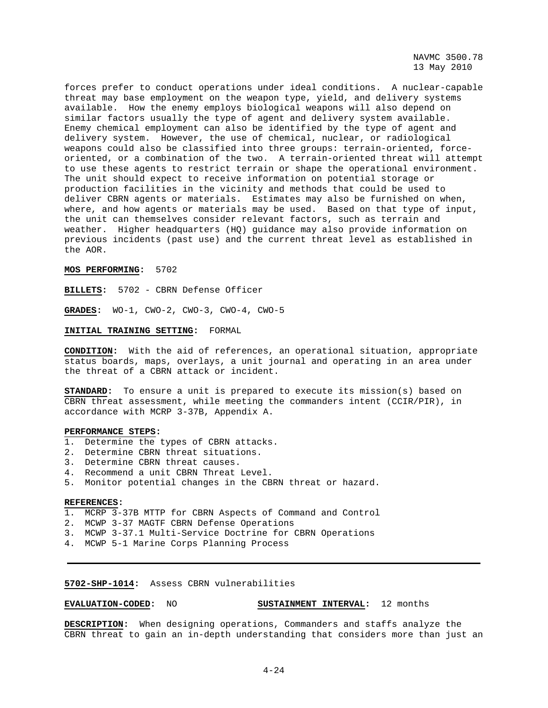forces prefer to conduct operations under ideal conditions. A nuclear-capable threat may base employment on the weapon type, yield, and delivery systems available. How the enemy employs biological weapons will also depend on similar factors usually the type of agent and delivery system available. Enemy chemical employment can also be identified by the type of agent and delivery system. However, the use of chemical, nuclear, or radiological weapons could also be classified into three groups: terrain-oriented, forceoriented, or a combination of the two. A terrain-oriented threat will attempt to use these agents to restrict terrain or shape the operational environment. The unit should expect to receive information on potential storage or production facilities in the vicinity and methods that could be used to deliver CBRN agents or materials. Estimates may also be furnished on when, where, and how agents or materials may be used. Based on that type of input, the unit can themselves consider relevant factors, such as terrain and weather. Higher headquarters (HQ) guidance may also provide information on previous incidents (past use) and the current threat level as established in the AOR.

# **MOS PERFORMING:** 5702

**BILLETS:** 5702 - CBRN Defense Officer

**GRADES:** WO-1, CWO-2, CWO-3, CWO-4, CWO-5

**INITIAL TRAINING SETTING:** FORMAL

**CONDITION:** With the aid of references, an operational situation, appropriate status boards, maps, overlays, a unit journal and operating in an area under the threat of a CBRN attack or incident.

**STANDARD:** To ensure a unit is prepared to execute its mission(s) based on CBRN threat assessment, while meeting the commanders intent (CCIR/PIR), in accordance with MCRP 3-37B, Appendix A.

# **PERFORMANCE STEPS:**

- 1. Determine the types of CBRN attacks.
- 2. Determine CBRN threat situations.
- 3. Determine CBRN threat causes.
- 4. Recommend a unit CBRN Threat Level.
- 5. Monitor potential changes in the CBRN threat or hazard.

# **REFERENCES:**

- 1. MCRP 3-37B MTTP for CBRN Aspects of Command and Control
- 2. MCWP 3-37 MAGTF CBRN Defense Operations
- 3. MCWP 3-37.1 Multi-Service Doctrine for CBRN Operations
- 4. MCWP 5-1 Marine Corps Planning Process

# **5702-SHP-1014:** Assess CBRN vulnerabilities

**EVALUATION-CODED:** NO **SUSTAINMENT INTERVAL:** 12 months

**DESCRIPTION:** When designing operations, Commanders and staffs analyze the CBRN threat to gain an in-depth understanding that considers more than just an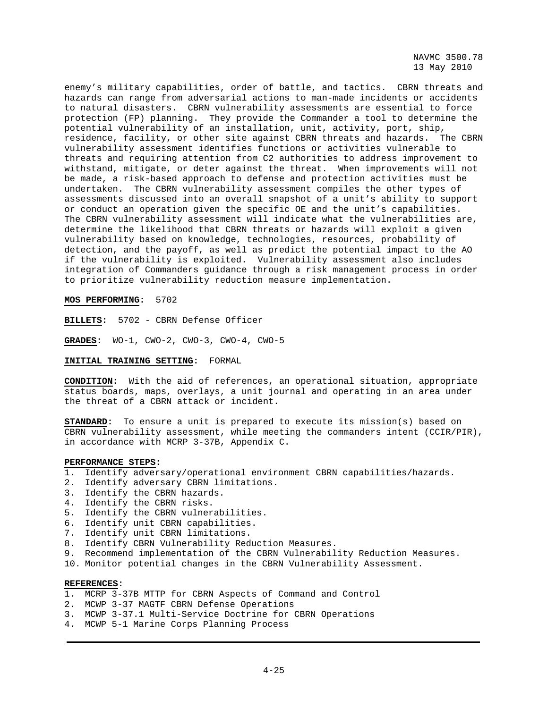enemy's military capabilities, order of battle, and tactics. CBRN threats and hazards can range from adversarial actions to man-made incidents or accidents to natural disasters. CBRN vulnerability assessments are essential to force protection (FP) planning. They provide the Commander a tool to determine the potential vulnerability of an installation, unit, activity, port, ship, residence, facility, or other site against CBRN threats and hazards. The CBRN vulnerability assessment identifies functions or activities vulnerable to threats and requiring attention from C2 authorities to address improvement to withstand, mitigate, or deter against the threat. When improvements will not be made, a risk-based approach to defense and protection activities must be undertaken. The CBRN vulnerability assessment compiles the other types of assessments discussed into an overall snapshot of a unit's ability to support or conduct an operation given the specific OE and the unit's capabilities. The CBRN vulnerability assessment will indicate what the vulnerabilities are, determine the likelihood that CBRN threats or hazards will exploit a given vulnerability based on knowledge, technologies, resources, probability of detection, and the payoff, as well as predict the potential impact to the AO if the vulnerability is exploited. Vulnerability assessment also includes integration of Commanders guidance through a risk management process in order to prioritize vulnerability reduction measure implementation.

# **MOS PERFORMING:** 5702

**BILLETS:** 5702 - CBRN Defense Officer

**GRADES:** WO-1, CWO-2, CWO-3, CWO-4, CWO-5

## **INITIAL TRAINING SETTING:** FORMAL

**CONDITION:** With the aid of references, an operational situation, appropriate status boards, maps, overlays, a unit journal and operating in an area under the threat of a CBRN attack or incident.

**STANDARD:** To ensure a unit is prepared to execute its mission(s) based on CBRN vulnerability assessment, while meeting the commanders intent (CCIR/PIR), in accordance with MCRP 3-37B, Appendix C.

# **PERFORMANCE STEPS:**

- 1. Identify adversary/operational environment CBRN capabilities/hazards.
- 2. Identify adversary CBRN limitations.
- 3. Identify the CBRN hazards.
- 4. Identify the CBRN risks.
- 5. Identify the CBRN vulnerabilities.
- 6. Identify unit CBRN capabilities.
- 7. Identify unit CBRN limitations.
- 8. Identify CBRN Vulnerability Reduction Measures.
- 9. Recommend implementation of the CBRN Vulnerability Reduction Measures.
- 10. Monitor potential changes in the CBRN Vulnerability Assessment.

# **REFERENCES:**

- 1. MCRP 3-37B MTTP for CBRN Aspects of Command and Control
- 2. MCWP 3-37 MAGTF CBRN Defense Operations
- 3. MCWP 3-37.1 Multi-Service Doctrine for CBRN Operations
- 4. MCWP 5-1 Marine Corps Planning Process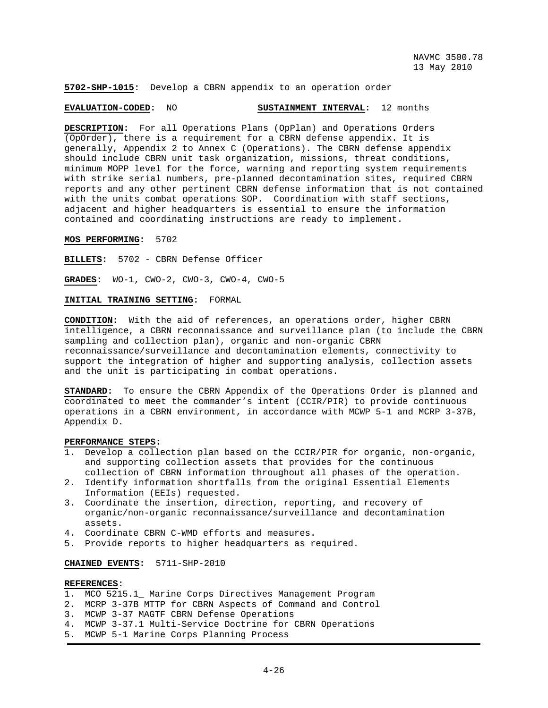**5702-SHP-1015:** Develop a CBRN appendix to an operation order

# **EVALUATION-CODED:** NO **SUSTAINMENT INTERVAL:** 12 months

**DESCRIPTION:** For all Operations Plans (OpPlan) and Operations Orders (OpOrder), there is a requirement for a CBRN defense appendix. It is generally, Appendix 2 to Annex C (Operations). The CBRN defense appendix should include CBRN unit task organization, missions, threat conditions, minimum MOPP level for the force, warning and reporting system requirements with strike serial numbers, pre-planned decontamination sites, required CBRN reports and any other pertinent CBRN defense information that is not contained with the units combat operations SOP. Coordination with staff sections, adjacent and higher headquarters is essential to ensure the information contained and coordinating instructions are ready to implement.

**MOS PERFORMING:** 5702

**BILLETS:** 5702 - CBRN Defense Officer

**GRADES:** WO-1, CWO-2, CWO-3, CWO-4, CWO-5

# **INITIAL TRAINING SETTING:** FORMAL

**CONDITION:** With the aid of references, an operations order, higher CBRN intelligence, a CBRN reconnaissance and surveillance plan (to include the CBRN sampling and collection plan), organic and non-organic CBRN reconnaissance/surveillance and decontamination elements, connectivity to support the integration of higher and supporting analysis, collection assets and the unit is participating in combat operations.

**STANDARD:** To ensure the CBRN Appendix of the Operations Order is planned and coordinated to meet the commander's intent (CCIR/PIR) to provide continuous operations in a CBRN environment, in accordance with MCWP 5-1 and MCRP 3-37B, Appendix D.

# **PERFORMANCE STEPS:**

- 1. Develop a collection plan based on the CCIR/PIR for organic, non-organic, and supporting collection assets that provides for the continuous collection of CBRN information throughout all phases of the operation.
- 2. Identify information shortfalls from the original Essential Elements Information (EEIs) requested.
- 3. Coordinate the insertion, direction, reporting, and recovery of organic/non-organic reconnaissance/surveillance and decontamination assets.
- 4. Coordinate CBRN C-WMD efforts and measures.
- 5. Provide reports to higher headquarters as required.

## **CHAINED EVENTS:** 5711-SHP-2010

# **REFERENCES:**

- 1. MCO 5215.1\_ Marine Corps Directives Management Program
- 2. MCRP 3-37B MTTP for CBRN Aspects of Command and Control
- 3. MCWP 3-37 MAGTF CBRN Defense Operations
- 4. MCWP 3-37.1 Multi-Service Doctrine for CBRN Operations
- 5. MCWP 5-1 Marine Corps Planning Process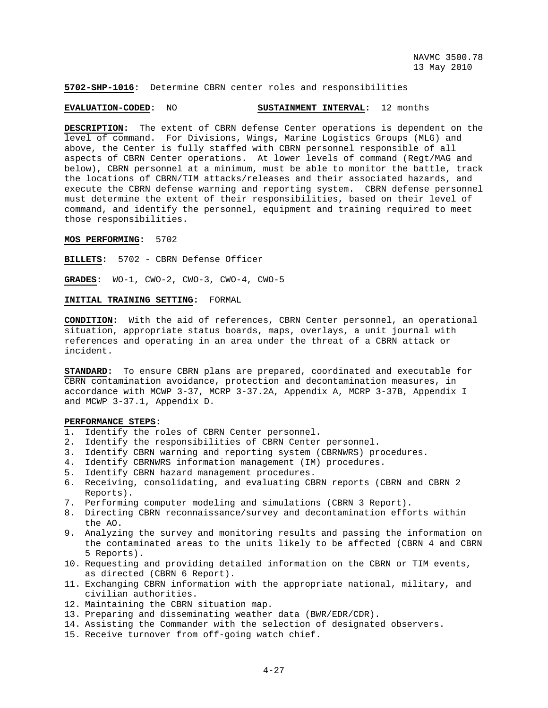**5702-SHP-1016:** Determine CBRN center roles and responsibilities

# **EVALUATION-CODED:** NO **SUSTAINMENT INTERVAL:** 12 months

**DESCRIPTION:** The extent of CBRN defense Center operations is dependent on the level of command. For Divisions, Wings, Marine Logistics Groups (MLG) and above, the Center is fully staffed with CBRN personnel responsible of all aspects of CBRN Center operations. At lower levels of command (Regt/MAG and below), CBRN personnel at a minimum, must be able to monitor the battle, track the locations of CBRN/TIM attacks/releases and their associated hazards, and execute the CBRN defense warning and reporting system. CBRN defense personnel must determine the extent of their responsibilities, based on their level of command, and identify the personnel, equipment and training required to meet those responsibilities.

**MOS PERFORMING:** 5702

**BILLETS:** 5702 - CBRN Defense Officer

**GRADES:** WO-1, CWO-2, CWO-3, CWO-4, CWO-5

# **INITIAL TRAINING SETTING:** FORMAL

**CONDITION:** With the aid of references, CBRN Center personnel, an operational situation, appropriate status boards, maps, overlays, a unit journal with references and operating in an area under the threat of a CBRN attack or incident.

**STANDARD:** To ensure CBRN plans are prepared, coordinated and executable for CBRN contamination avoidance, protection and decontamination measures, in accordance with MCWP 3-37, MCRP 3-37.2A, Appendix A, MCRP 3-37B, Appendix I and MCWP 3-37.1, Appendix D.

- 1. Identify the roles of CBRN Center personnel.
- 2. Identify the responsibilities of CBRN Center personnel.
- 3. Identify CBRN warning and reporting system (CBRNWRS) procedures.
- 4. Identify CBRNWRS information management (IM) procedures.
- 5. Identify CBRN hazard management procedures.
- 6. Receiving, consolidating, and evaluating CBRN reports (CBRN and CBRN 2 Reports).
- 7. Performing computer modeling and simulations (CBRN 3 Report).
- 8. Directing CBRN reconnaissance/survey and decontamination efforts within the AO.
- 9. Analyzing the survey and monitoring results and passing the information on the contaminated areas to the units likely to be affected (CBRN 4 and CBRN 5 Reports).
- 10. Requesting and providing detailed information on the CBRN or TIM events, as directed (CBRN 6 Report).
- 11. Exchanging CBRN information with the appropriate national, military, and civilian authorities.
- 12. Maintaining the CBRN situation map.
- 13. Preparing and disseminating weather data (BWR/EDR/CDR).
- 14. Assisting the Commander with the selection of designated observers.
- 15. Receive turnover from off-going watch chief.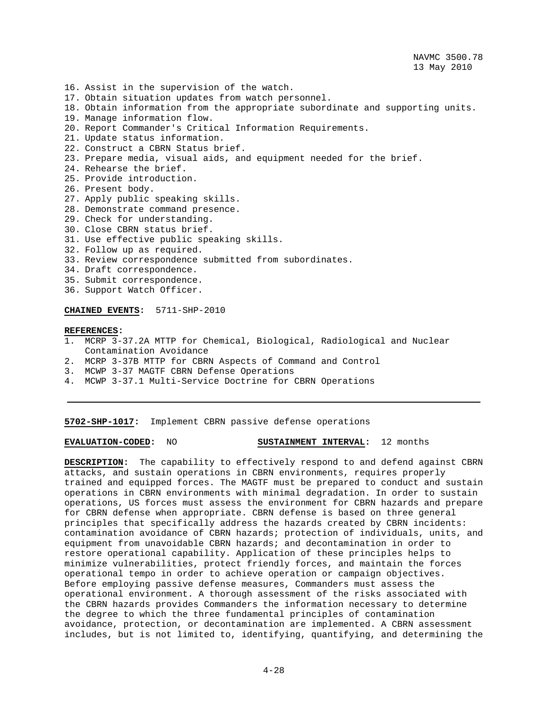16. Assist in the supervision of the watch.

- 17. Obtain situation updates from watch personnel.
- 18. Obtain information from the appropriate subordinate and supporting units.
- 19. Manage information flow.
- 20. Report Commander's Critical Information Requirements.
- 21. Update status information.
- 22. Construct a CBRN Status brief.
- 23. Prepare media, visual aids, and equipment needed for the brief.
- 24. Rehearse the brief.
- 25. Provide introduction.
- 26. Present body.
- 27. Apply public speaking skills.
- 28. Demonstrate command presence.
- 29. Check for understanding.
- 30. Close CBRN status brief.
- 31. Use effective public speaking skills.
- 32. Follow up as required.
- 33. Review correspondence submitted from subordinates.
- 34. Draft correspondence.
- 35. Submit correspondence.
- 36. Support Watch Officer.

**CHAINED EVENTS:** 5711-SHP-2010

# **REFERENCES:**

- 1. MCRP 3-37.2A MTTP for Chemical, Biological, Radiological and Nuclear Contamination Avoidance
- 2. MCRP 3-37B MTTP for CBRN Aspects of Command and Control
- 3. MCWP 3-37 MAGTF CBRN Defense Operations
- 4. MCWP 3-37.1 Multi-Service Doctrine for CBRN Operations

**5702-SHP-1017:** Implement CBRN passive defense operations

**EVALUATION-CODED:** NO **SUSTAINMENT INTERVAL:** 12 months

**DESCRIPTION:** The capability to effectively respond to and defend against CBRN attacks, and sustain operations in CBRN environments, requires properly trained and equipped forces. The MAGTF must be prepared to conduct and sustain operations in CBRN environments with minimal degradation. In order to sustain operations, US forces must assess the environment for CBRN hazards and prepare for CBRN defense when appropriate. CBRN defense is based on three general principles that specifically address the hazards created by CBRN incidents: contamination avoidance of CBRN hazards; protection of individuals, units, and equipment from unavoidable CBRN hazards; and decontamination in order to restore operational capability. Application of these principles helps to minimize vulnerabilities, protect friendly forces, and maintain the forces operational tempo in order to achieve operation or campaign objectives. Before employing passive defense measures, Commanders must assess the operational environment. A thorough assessment of the risks associated with the CBRN hazards provides Commanders the information necessary to determine the degree to which the three fundamental principles of contamination avoidance, protection, or decontamination are implemented. A CBRN assessment includes, but is not limited to, identifying, quantifying, and determining the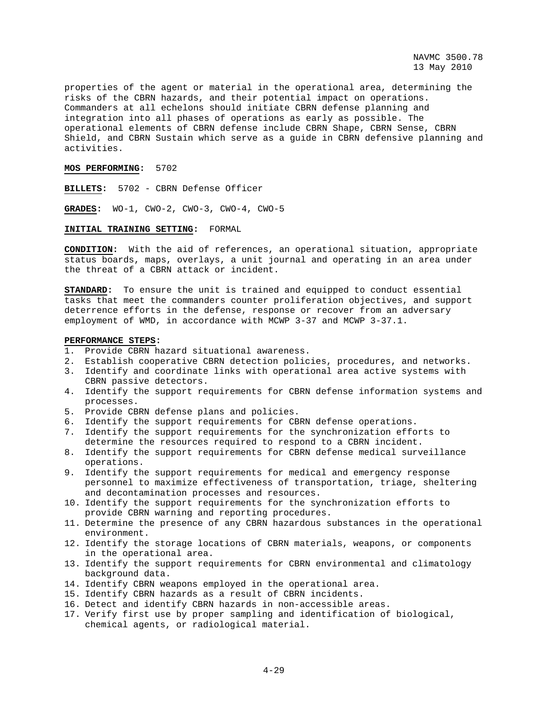properties of the agent or material in the operational area, determining the risks of the CBRN hazards, and their potential impact on operations. Commanders at all echelons should initiate CBRN defense planning and integration into all phases of operations as early as possible. The operational elements of CBRN defense include CBRN Shape, CBRN Sense, CBRN Shield, and CBRN Sustain which serve as a guide in CBRN defensive planning and activities.

# **MOS PERFORMING:** 5702

**BILLETS:** 5702 - CBRN Defense Officer

**GRADES:** WO-1, CWO-2, CWO-3, CWO-4, CWO-5

### **INITIAL TRAINING SETTING:** FORMAL

**CONDITION:** With the aid of references, an operational situation, appropriate status boards, maps, overlays, a unit journal and operating in an area under the threat of a CBRN attack or incident.

**STANDARD:** To ensure the unit is trained and equipped to conduct essential tasks that meet the commanders counter proliferation objectives, and support deterrence efforts in the defense, response or recover from an adversary employment of WMD, in accordance with MCWP 3-37 and MCWP 3-37.1.

- 1. Provide CBRN hazard situational awareness.
- 2. Establish cooperative CBRN detection policies, procedures, and networks.
- 3. Identify and coordinate links with operational area active systems with CBRN passive detectors.
- 4. Identify the support requirements for CBRN defense information systems and processes.
- 5. Provide CBRN defense plans and policies.
- 6. Identify the support requirements for CBRN defense operations.
- 7. Identify the support requirements for the synchronization efforts to determine the resources required to respond to a CBRN incident.
- 8. Identify the support requirements for CBRN defense medical surveillance operations.
- 9. Identify the support requirements for medical and emergency response personnel to maximize effectiveness of transportation, triage, sheltering and decontamination processes and resources.
- 10. Identify the support requirements for the synchronization efforts to provide CBRN warning and reporting procedures.
- 11. Determine the presence of any CBRN hazardous substances in the operational environment.
- 12. Identify the storage locations of CBRN materials, weapons, or components in the operational area.
- 13. Identify the support requirements for CBRN environmental and climatology background data.
- 14. Identify CBRN weapons employed in the operational area.
- 15. Identify CBRN hazards as a result of CBRN incidents.
- 16. Detect and identify CBRN hazards in non-accessible areas.
- 17. Verify first use by proper sampling and identification of biological, chemical agents, or radiological material.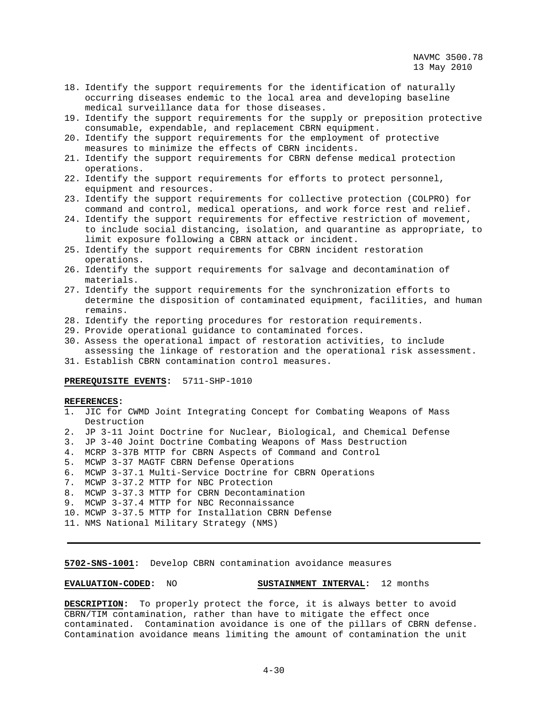- 18. Identify the support requirements for the identification of naturally occurring diseases endemic to the local area and developing baseline medical surveillance data for those diseases.
- 19. Identify the support requirements for the supply or preposition protective consumable, expendable, and replacement CBRN equipment.
- 20. Identify the support requirements for the employment of protective measures to minimize the effects of CBRN incidents.
- 21. Identify the support requirements for CBRN defense medical protection operations.
- 22. Identify the support requirements for efforts to protect personnel, equipment and resources.
- 23. Identify the support requirements for collective protection (COLPRO) for command and control, medical operations, and work force rest and relief.
- 24. Identify the support requirements for effective restriction of movement, to include social distancing, isolation, and quarantine as appropriate, to limit exposure following a CBRN attack or incident.
- 25. Identify the support requirements for CBRN incident restoration operations.
- 26. Identify the support requirements for salvage and decontamination of materials.
- 27. Identify the support requirements for the synchronization efforts to determine the disposition of contaminated equipment, facilities, and human remains.
- 28. Identify the reporting procedures for restoration requirements.
- 29. Provide operational guidance to contaminated forces.
- 30. Assess the operational impact of restoration activities, to include assessing the linkage of restoration and the operational risk assessment.
- 31. Establish CBRN contamination control measures.

# **PREREQUISITE EVENTS:** 5711-SHP-1010

# **REFERENCES:**

- 1. JIC for CWMD Joint Integrating Concept for Combating Weapons of Mass Destruction
- 2. JP 3-11 Joint Doctrine for Nuclear, Biological, and Chemical Defense
- 3. JP 3-40 Joint Doctrine Combating Weapons of Mass Destruction
- 4. MCRP 3-37B MTTP for CBRN Aspects of Command and Control
- 5. MCWP 3-37 MAGTF CBRN Defense Operations
- 6. MCWP 3-37.1 Multi-Service Doctrine for CBRN Operations
- 7. MCWP 3-37.2 MTTP for NBC Protection
- 8. MCWP 3-37.3 MTTP for CBRN Decontamination
- 9. MCWP 3-37.4 MTTP for NBC Reconnaissance
- 10. MCWP 3-37.5 MTTP for Installation CBRN Defense
- 11. NMS National Military Strategy (NMS)

### **5702-SNS-1001:** Develop CBRN contamination avoidance measures

**EVALUATION-CODED:** NO **SUSTAINMENT INTERVAL:** 12 months

**DESCRIPTION:** To properly protect the force, it is always better to avoid CBRN/TIM contamination, rather than have to mitigate the effect once contaminated. Contamination avoidance is one of the pillars of CBRN defense. Contamination avoidance means limiting the amount of contamination the unit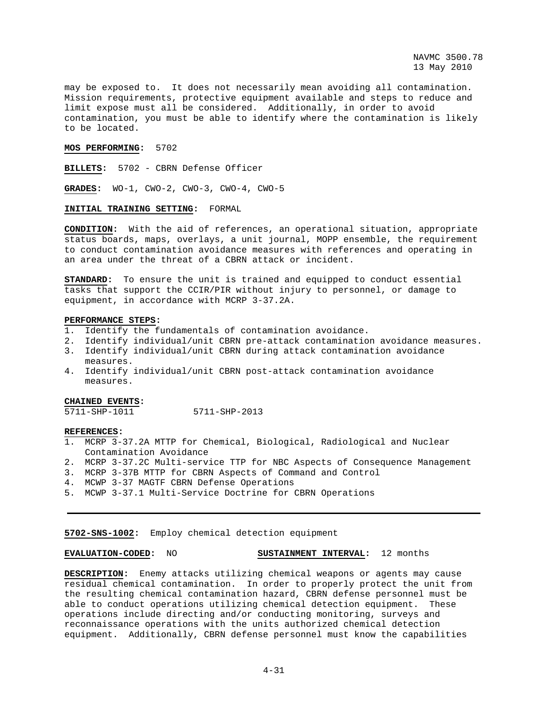may be exposed to. It does not necessarily mean avoiding all contamination. Mission requirements, protective equipment available and steps to reduce and limit expose must all be considered. Additionally, in order to avoid contamination, you must be able to identify where the contamination is likely to be located.

# **MOS PERFORMING:** 5702

**BILLETS:** 5702 - CBRN Defense Officer

**GRADES:** WO-1, CWO-2, CWO-3, CWO-4, CWO-5

## **INITIAL TRAINING SETTING:** FORMAL

**CONDITION:** With the aid of references, an operational situation, appropriate status boards, maps, overlays, a unit journal, MOPP ensemble, the requirement to conduct contamination avoidance measures with references and operating in an area under the threat of a CBRN attack or incident.

**STANDARD:** To ensure the unit is trained and equipped to conduct essential tasks that support the CCIR/PIR without injury to personnel, or damage to equipment, in accordance with MCRP 3-37.2A.

### **PERFORMANCE STEPS:**

- 1. Identify the fundamentals of contamination avoidance.
- 2. Identify individual/unit CBRN pre-attack contamination avoidance measures.
- 3. Identify individual/unit CBRN during attack contamination avoidance measures.
- 4. Identify individual/unit CBRN post-attack contamination avoidance measures.

# **CHAINED EVENTS:**

5711-SHP-1011 5711-SHP-2013

# **REFERENCES:**

- 1. MCRP 3-37.2A MTTP for Chemical, Biological, Radiological and Nuclear Contamination Avoidance
- 2. MCRP 3-37.2C Multi-service TTP for NBC Aspects of Consequence Management
- 3. MCRP 3-37B MTTP for CBRN Aspects of Command and Control
- 4. MCWP 3-37 MAGTF CBRN Defense Operations
- 5. MCWP 3-37.1 Multi-Service Doctrine for CBRN Operations

**5702-SNS-1002:** Employ chemical detection equipment

**EVALUATION-CODED:** NO **SUSTAINMENT INTERVAL:** 12 months

**DESCRIPTION:** Enemy attacks utilizing chemical weapons or agents may cause residual chemical contamination. In order to properly protect the unit from the resulting chemical contamination hazard, CBRN defense personnel must be able to conduct operations utilizing chemical detection equipment. These operations include directing and/or conducting monitoring, surveys and reconnaissance operations with the units authorized chemical detection equipment. Additionally, CBRN defense personnel must know the capabilities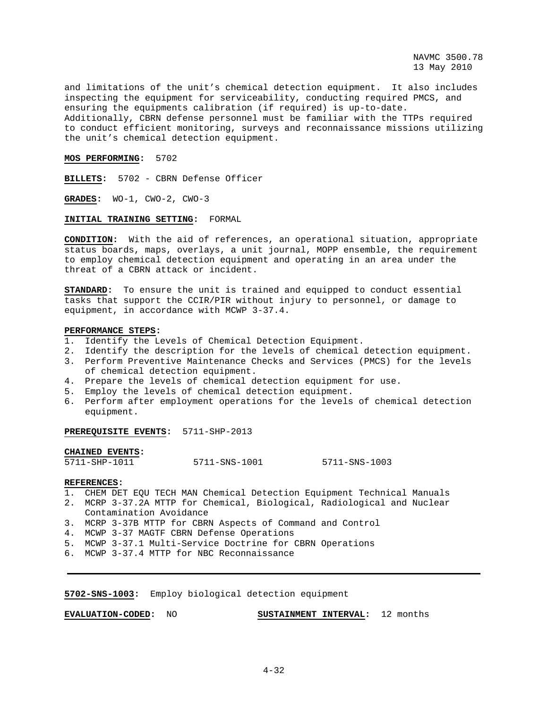and limitations of the unit's chemical detection equipment. It also includes inspecting the equipment for serviceability, conducting required PMCS, and ensuring the equipments calibration (if required) is up-to-date. Additionally, CBRN defense personnel must be familiar with the TTPs required to conduct efficient monitoring, surveys and reconnaissance missions utilizing the unit's chemical detection equipment.

# **MOS PERFORMING:** 5702

**BILLETS:** 5702 - CBRN Defense Officer

**GRADES:** WO-1, CWO-2, CWO-3

## **INITIAL TRAINING SETTING:** FORMAL

**CONDITION:** With the aid of references, an operational situation, appropriate status boards, maps, overlays, a unit journal, MOPP ensemble, the requirement to employ chemical detection equipment and operating in an area under the threat of a CBRN attack or incident.

**STANDARD:** To ensure the unit is trained and equipped to conduct essential tasks that support the CCIR/PIR without injury to personnel, or damage to equipment, in accordance with MCWP 3-37.4.

# **PERFORMANCE STEPS:**

- 1. Identify the Levels of Chemical Detection Equipment.
- 2. Identify the description for the levels of chemical detection equipment.
- 3. Perform Preventive Maintenance Checks and Services (PMCS) for the levels of chemical detection equipment.
- 4. Prepare the levels of chemical detection equipment for use.
- 5. Employ the levels of chemical detection equipment.
- 6. Perform after employment operations for the levels of chemical detection equipment.

**PREREQUISITE EVENTS:** 5711-SHP-2013

### **CHAINED EVENTS:**

5711-SHP-1011 5711-SNS-1001 5711-SNS-1003

# **REFERENCES:**

1. CHEM DET EQU TECH MAN Chemical Detection Equipment Technical Manuals

- 2. MCRP 3-37.2A MTTP for Chemical, Biological, Radiological and Nuclear Contamination Avoidance
- 3. MCRP 3-37B MTTP for CBRN Aspects of Command and Control
- 4. MCWP 3-37 MAGTF CBRN Defense Operations
- 5. MCWP 3-37.1 Multi-Service Doctrine for CBRN Operations
- 6. MCWP 3-37.4 MTTP for NBC Reconnaissance

**5702-SNS-1003:** Employ biological detection equipment

**EVALUATION-CODED:** NO **SUSTAINMENT INTERVAL:** 12 months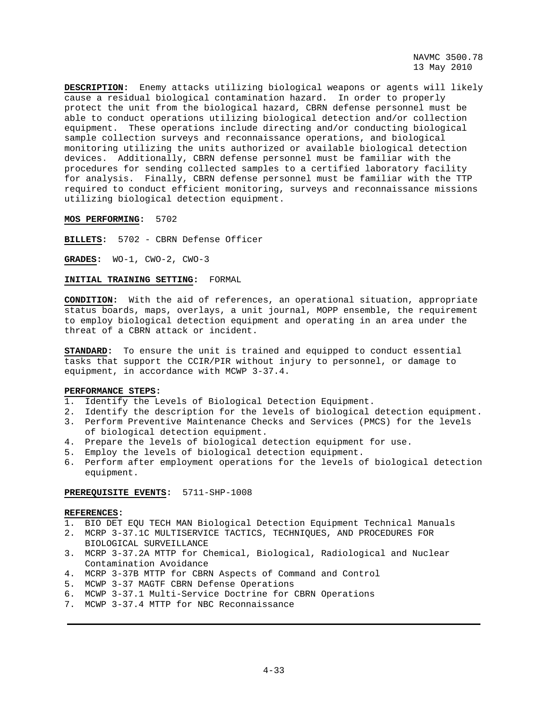**DESCRIPTION:** Enemy attacks utilizing biological weapons or agents will likely cause a residual biological contamination hazard. In order to properly protect the unit from the biological hazard, CBRN defense personnel must be able to conduct operations utilizing biological detection and/or collection equipment. These operations include directing and/or conducting biological sample collection surveys and reconnaissance operations, and biological monitoring utilizing the units authorized or available biological detection devices. Additionally, CBRN defense personnel must be familiar with the procedures for sending collected samples to a certified laboratory facility for analysis. Finally, CBRN defense personnel must be familiar with the TTP required to conduct efficient monitoring, surveys and reconnaissance missions utilizing biological detection equipment.

**MOS PERFORMING:** 5702

**BILLETS:** 5702 - CBRN Defense Officer

**GRADES:** WO-1, CWO-2, CWO-3

# **INITIAL TRAINING SETTING:** FORMAL

**CONDITION:** With the aid of references, an operational situation, appropriate status boards, maps, overlays, a unit journal, MOPP ensemble, the requirement to employ biological detection equipment and operating in an area under the threat of a CBRN attack or incident.

**STANDARD:** To ensure the unit is trained and equipped to conduct essential tasks that support the CCIR/PIR without injury to personnel, or damage to equipment, in accordance with MCWP 3-37.4.

#### **PERFORMANCE STEPS:**

- 1. Identify the Levels of Biological Detection Equipment.
- 2. Identify the description for the levels of biological detection equipment.
- 3. Perform Preventive Maintenance Checks and Services (PMCS) for the levels of biological detection equipment.
- 4. Prepare the levels of biological detection equipment for use.
- 5. Employ the levels of biological detection equipment.
- 6. Perform after employment operations for the levels of biological detection equipment.

# **PREREQUISITE EVENTS:** 5711-SHP-1008

# **REFERENCES:**

- 1. BIO DET EQU TECH MAN Biological Detection Equipment Technical Manuals
- 2. MCRP 3-37.1C MULTISERVICE TACTICS, TECHNIQUES, AND PROCEDURES FOR BIOLOGICAL SURVEILLANCE
- 3. MCRP 3-37.2A MTTP for Chemical, Biological, Radiological and Nuclear Contamination Avoidance
- 4. MCRP 3-37B MTTP for CBRN Aspects of Command and Control
- 5. MCWP 3-37 MAGTF CBRN Defense Operations
- 6. MCWP 3-37.1 Multi-Service Doctrine for CBRN Operations
- 7. MCWP 3-37.4 MTTP for NBC Reconnaissance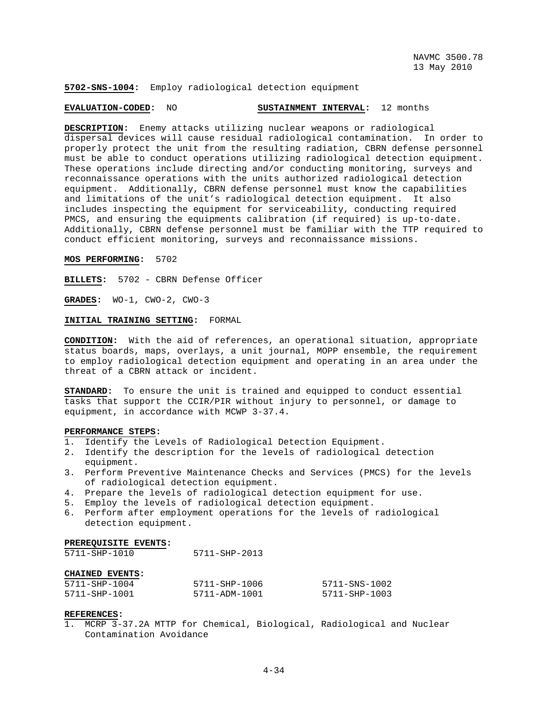**5702-SNS-1004:** Employ radiological detection equipment

## **EVALUATION-CODED:** NO **SUSTAINMENT INTERVAL:** 12 months

**DESCRIPTION:** Enemy attacks utilizing nuclear weapons or radiological dispersal devices will cause residual radiological contamination. In order to properly protect the unit from the resulting radiation, CBRN defense personnel must be able to conduct operations utilizing radiological detection equipment. These operations include directing and/or conducting monitoring, surveys and reconnaissance operations with the units authorized radiological detection equipment. Additionally, CBRN defense personnel must know the capabilities and limitations of the unit's radiological detection equipment. It also includes inspecting the equipment for serviceability, conducting required PMCS, and ensuring the equipments calibration (if required) is up-to-date. Additionally, CBRN defense personnel must be familiar with the TTP required to conduct efficient monitoring, surveys and reconnaissance missions.

**MOS PERFORMING:** 5702

**BILLETS:** 5702 - CBRN Defense Officer

**GRADES:** WO-1, CWO-2, CWO-3

## **INITIAL TRAINING SETTING:** FORMAL

**CONDITION:** With the aid of references, an operational situation, appropriate status boards, maps, overlays, a unit journal, MOPP ensemble, the requirement to employ radiological detection equipment and operating in an area under the threat of a CBRN attack or incident.

**STANDARD:** To ensure the unit is trained and equipped to conduct essential tasks that support the CCIR/PIR without injury to personnel, or damage to equipment, in accordance with MCWP 3-37.4.

# **PERFORMANCE STEPS:**

- 1. Identify the Levels of Radiological Detection Equipment.
- 2. Identify the description for the levels of radiological detection equipment.
- 3. Perform Preventive Maintenance Checks and Services (PMCS) for the levels of radiological detection equipment.
- 4. Prepare the levels of radiological detection equipment for use.
- 5. Employ the levels of radiological detection equipment.
- 6. Perform after employment operations for the levels of radiological detection equipment.

## **PREREQUISITE EVENTS:**

# **CHAINED EVENTS:**

| 5711-SHP-1004 | 5711-SHP-1006 | 5711-SNS-1002 |
|---------------|---------------|---------------|
| 5711-SHP-1001 | 5711-ADM-1001 | 5711-SHP-1003 |

## **REFERENCES:**

1. MCRP 3-37.2A MTTP for Chemical, Biological, Radiological and Nuclear Contamination Avoidance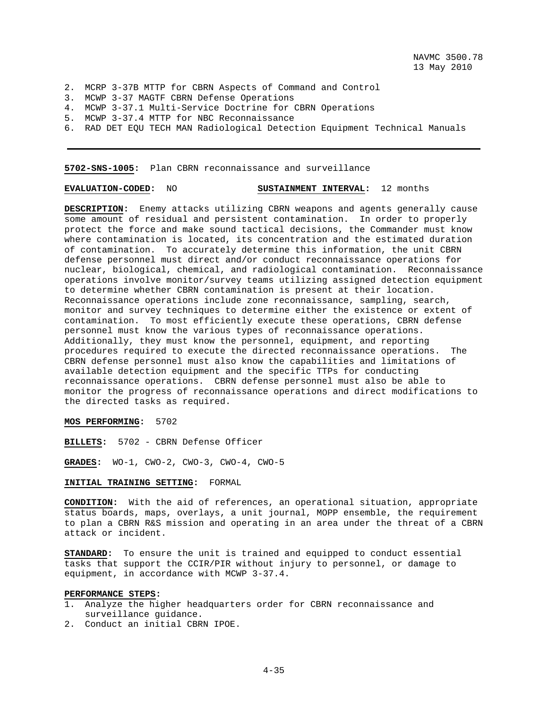- 2. MCRP 3-37B MTTP for CBRN Aspects of Command and Control
- 3. MCWP 3-37 MAGTF CBRN Defense Operations
- 4. MCWP 3-37.1 Multi-Service Doctrine for CBRN Operations
- 5. MCWP 3-37.4 MTTP for NBC Reconnaissance
- 6. RAD DET EQU TECH MAN Radiological Detection Equipment Technical Manuals

**5702-SNS-1005:** Plan CBRN reconnaissance and surveillance

**EVALUATION-CODED:** NO **SUSTAINMENT INTERVAL:** 12 months

**DESCRIPTION:** Enemy attacks utilizing CBRN weapons and agents generally cause some amount of residual and persistent contamination. In order to properly protect the force and make sound tactical decisions, the Commander must know where contamination is located, its concentration and the estimated duration of contamination. To accurately determine this information, the unit CBRN defense personnel must direct and/or conduct reconnaissance operations for nuclear, biological, chemical, and radiological contamination. Reconnaissance operations involve monitor/survey teams utilizing assigned detection equipment to determine whether CBRN contamination is present at their location. Reconnaissance operations include zone reconnaissance, sampling, search, monitor and survey techniques to determine either the existence or extent of contamination. To most efficiently execute these operations, CBRN defense personnel must know the various types of reconnaissance operations. Additionally, they must know the personnel, equipment, and reporting procedures required to execute the directed reconnaissance operations. The CBRN defense personnel must also know the capabilities and limitations of available detection equipment and the specific TTPs for conducting reconnaissance operations. CBRN defense personnel must also be able to monitor the progress of reconnaissance operations and direct modifications to the directed tasks as required.

**MOS PERFORMING:** 5702

**BILLETS:** 5702 - CBRN Defense Officer

**GRADES:** WO-1, CWO-2, CWO-3, CWO-4, CWO-5

# **INITIAL TRAINING SETTING:** FORMAL

**CONDITION:** With the aid of references, an operational situation, appropriate status boards, maps, overlays, a unit journal, MOPP ensemble, the requirement to plan a CBRN R&S mission and operating in an area under the threat of a CBRN attack or incident.

**STANDARD:** To ensure the unit is trained and equipped to conduct essential tasks that support the CCIR/PIR without injury to personnel, or damage to equipment, in accordance with MCWP 3-37.4.

- 1. Analyze the higher headquarters order for CBRN reconnaissance and surveillance guidance.
- 2. Conduct an initial CBRN IPOE.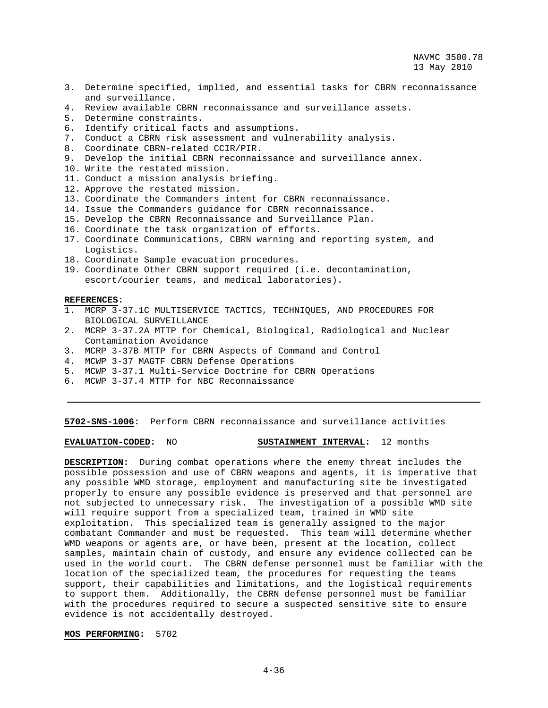- 3. Determine specified, implied, and essential tasks for CBRN reconnaissance and surveillance.
- 4. Review available CBRN reconnaissance and surveillance assets.
- 5. Determine constraints.
- 6. Identify critical facts and assumptions.
- 7. Conduct a CBRN risk assessment and vulnerability analysis.
- 8. Coordinate CBRN-related CCIR/PIR.
- 9. Develop the initial CBRN reconnaissance and surveillance annex.
- 10. Write the restated mission.
- 11. Conduct a mission analysis briefing.
- 12. Approve the restated mission.
- 13. Coordinate the Commanders intent for CBRN reconnaissance.
- 14. Issue the Commanders guidance for CBRN reconnaissance.
- 15. Develop the CBRN Reconnaissance and Surveillance Plan.
- 16. Coordinate the task organization of efforts.
- 17. Coordinate Communications, CBRN warning and reporting system, and Logistics.
- 18. Coordinate Sample evacuation procedures.
- 19. Coordinate Other CBRN support required (i.e. decontamination, escort/courier teams, and medical laboratories).

# **REFERENCES:**

- 1. MCRP 3-37.1C MULTISERVICE TACTICS, TECHNIQUES, AND PROCEDURES FOR BIOLOGICAL SURVEILLANCE
- 2. MCRP 3-37.2A MTTP for Chemical, Biological, Radiological and Nuclear Contamination Avoidance
- 3. MCRP 3-37B MTTP for CBRN Aspects of Command and Control
- 4. MCWP 3-37 MAGTF CBRN Defense Operations
- 5. MCWP 3-37.1 Multi-Service Doctrine for CBRN Operations
- 6. MCWP 3-37.4 MTTP for NBC Reconnaissance

**5702-SNS-1006:** Perform CBRN reconnaissance and surveillance activities

**EVALUATION-CODED:** NO **SUSTAINMENT INTERVAL:** 12 months

**DESCRIPTION:** During combat operations where the enemy threat includes the possible possession and use of CBRN weapons and agents, it is imperative that any possible WMD storage, employment and manufacturing site be investigated properly to ensure any possible evidence is preserved and that personnel are not subjected to unnecessary risk. The investigation of a possible WMD site will require support from a specialized team, trained in WMD site exploitation. This specialized team is generally assigned to the major combatant Commander and must be requested. This team will determine whether WMD weapons or agents are, or have been, present at the location, collect samples, maintain chain of custody, and ensure any evidence collected can be used in the world court. The CBRN defense personnel must be familiar with the location of the specialized team, the procedures for requesting the teams support, their capabilities and limitations, and the logistical requirements to support them. Additionally, the CBRN defense personnel must be familiar with the procedures required to secure a suspected sensitive site to ensure evidence is not accidentally destroyed.

## **MOS PERFORMING:** 5702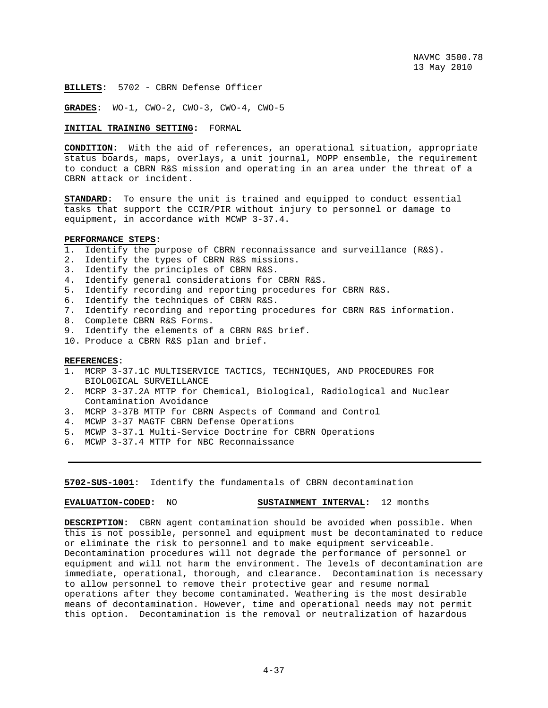**BILLETS:** 5702 - CBRN Defense Officer

**GRADES:** WO-1, CWO-2, CWO-3, CWO-4, CWO-5

# **INITIAL TRAINING SETTING:** FORMAL

**CONDITION:** With the aid of references, an operational situation, appropriate status boards, maps, overlays, a unit journal, MOPP ensemble, the requirement to conduct a CBRN R&S mission and operating in an area under the threat of a CBRN attack or incident.

**STANDARD:** To ensure the unit is trained and equipped to conduct essential tasks that support the CCIR/PIR without injury to personnel or damage to equipment, in accordance with MCWP 3-37.4.

# **PERFORMANCE STEPS:**

- 1. Identify the purpose of CBRN reconnaissance and surveillance (R&S).
- 2. Identify the types of CBRN R&S missions.
- 3. Identify the principles of CBRN R&S.
- 4. Identify general considerations for CBRN R&S.
- 5. Identify recording and reporting procedures for CBRN R&S.
- 6. Identify the techniques of CBRN R&S.
- 7. Identify recording and reporting procedures for CBRN R&S information.
- 8. Complete CBRN R&S Forms.
- 9. Identify the elements of a CBRN R&S brief.
- 10. Produce a CBRN R&S plan and brief.

# **REFERENCES:**

- 1. MCRP 3-37.1C MULTISERVICE TACTICS, TECHNIQUES, AND PROCEDURES FOR BIOLOGICAL SURVEILLANCE
- 2. MCRP 3-37.2A MTTP for Chemical, Biological, Radiological and Nuclear Contamination Avoidance
- 3. MCRP 3-37B MTTP for CBRN Aspects of Command and Control
- 4. MCWP 3-37 MAGTF CBRN Defense Operations
- 5. MCWP 3-37.1 Multi-Service Doctrine for CBRN Operations
- 6. MCWP 3-37.4 MTTP for NBC Reconnaissance

**5702-SUS-1001:** Identify the fundamentals of CBRN decontamination

# **EVALUATION-CODED:** NO **SUSTAINMENT INTERVAL:** 12 months

**DESCRIPTION:** CBRN agent contamination should be avoided when possible. When this is not possible, personnel and equipment must be decontaminated to reduce or eliminate the risk to personnel and to make equipment serviceable. Decontamination procedures will not degrade the performance of personnel or equipment and will not harm the environment. The levels of decontamination are immediate, operational, thorough, and clearance. Decontamination is necessary to allow personnel to remove their protective gear and resume normal operations after they become contaminated. Weathering is the most desirable means of decontamination. However, time and operational needs may not permit this option. Decontamination is the removal or neutralization of hazardous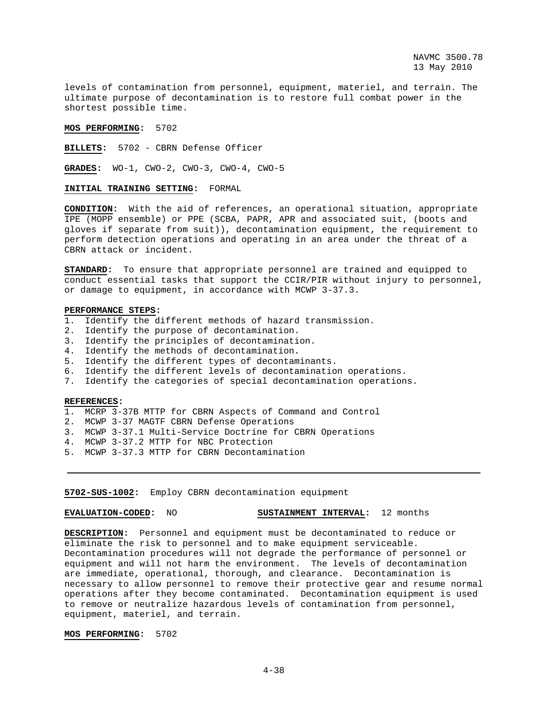levels of contamination from personnel, equipment, materiel, and terrain. The ultimate purpose of decontamination is to restore full combat power in the shortest possible time.

## **MOS PERFORMING:** 5702

**BILLETS:** 5702 - CBRN Defense Officer

**GRADES:** WO-1, CWO-2, CWO-3, CWO-4, CWO-5

## **INITIAL TRAINING SETTING:** FORMAL

**CONDITION:** With the aid of references, an operational situation, appropriate IPE (MOPP ensemble) or PPE (SCBA, PAPR, APR and associated suit, (boots and gloves if separate from suit)), decontamination equipment, the requirement to perform detection operations and operating in an area under the threat of a CBRN attack or incident.

**STANDARD:** To ensure that appropriate personnel are trained and equipped to conduct essential tasks that support the CCIR/PIR without injury to personnel, or damage to equipment, in accordance with MCWP 3-37.3.

## **PERFORMANCE STEPS:**

- 1. Identify the different methods of hazard transmission.
- 2. Identify the purpose of decontamination.
- 3. Identify the principles of decontamination.
- 4. Identify the methods of decontamination.
- 5. Identify the different types of decontaminants.
- 6. Identify the different levels of decontamination operations.
- 7. Identify the categories of special decontamination operations.

#### **REFERENCES:**

- 1. MCRP 3-37B MTTP for CBRN Aspects of Command and Control
- 2. MCWP 3-37 MAGTF CBRN Defense Operations
- 3. MCWP 3-37.1 Multi-Service Doctrine for CBRN Operations
- 4. MCWP 3-37.2 MTTP for NBC Protection
- 5. MCWP 3-37.3 MTTP for CBRN Decontamination

**5702-SUS-1002:** Employ CBRN decontamination equipment

**EVALUATION-CODED:** NO **SUSTAINMENT INTERVAL:** 12 months

**DESCRIPTION:** Personnel and equipment must be decontaminated to reduce or eliminate the risk to personnel and to make equipment serviceable. Decontamination procedures will not degrade the performance of personnel or equipment and will not harm the environment. The levels of decontamination are immediate, operational, thorough, and clearance. Decontamination is necessary to allow personnel to remove their protective gear and resume normal operations after they become contaminated. Decontamination equipment is used to remove or neutralize hazardous levels of contamination from personnel, equipment, materiel, and terrain.

## **MOS PERFORMING:** 5702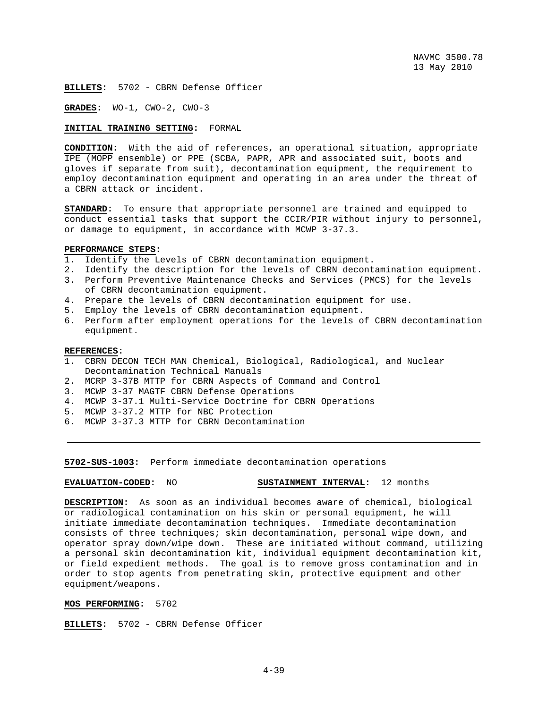**BILLETS:** 5702 - CBRN Defense Officer

**GRADES:** WO-1, CWO-2, CWO-3

# **INITIAL TRAINING SETTING:** FORMAL

**CONDITION:** With the aid of references, an operational situation, appropriate IPE (MOPP ensemble) or PPE (SCBA, PAPR, APR and associated suit, boots and gloves if separate from suit), decontamination equipment, the requirement to employ decontamination equipment and operating in an area under the threat of a CBRN attack or incident.

**STANDARD:** To ensure that appropriate personnel are trained and equipped to conduct essential tasks that support the CCIR/PIR without injury to personnel, or damage to equipment, in accordance with MCWP 3-37.3.

- **PERFORMANCE STEPS:** 1. Identify the Levels of CBRN decontamination equipment.
- 2. Identify the description for the levels of CBRN decontamination equipment.
- 3. Perform Preventive Maintenance Checks and Services (PMCS) for the levels of CBRN decontamination equipment.
- 4. Prepare the levels of CBRN decontamination equipment for use.
- 5. Employ the levels of CBRN decontamination equipment.
- 6. Perform after employment operations for the levels of CBRN decontamination equipment.

# **REFERENCES:**

- 1. CBRN DECON TECH MAN Chemical, Biological, Radiological, and Nuclear Decontamination Technical Manuals
- 2. MCRP 3-37B MTTP for CBRN Aspects of Command and Control
- 3. MCWP 3-37 MAGTF CBRN Defense Operations
- 4. MCWP 3-37.1 Multi-Service Doctrine for CBRN Operations
- 5. MCWP 3-37.2 MTTP for NBC Protection
- 6. MCWP 3-37.3 MTTP for CBRN Decontamination

**5702-SUS-1003:** Perform immediate decontamination operations

**EVALUATION-CODED:** NO **SUSTAINMENT INTERVAL:** 12 months

**DESCRIPTION:** As soon as an individual becomes aware of chemical, biological or radiological contamination on his skin or personal equipment, he will initiate immediate decontamination techniques. Immediate decontamination consists of three techniques; skin decontamination, personal wipe down, and operator spray down/wipe down. These are initiated without command, utilizing a personal skin decontamination kit, individual equipment decontamination kit, or field expedient methods. The goal is to remove gross contamination and in order to stop agents from penetrating skin, protective equipment and other equipment/weapons.

# **MOS PERFORMING:** 5702

**BILLETS:** 5702 - CBRN Defense Officer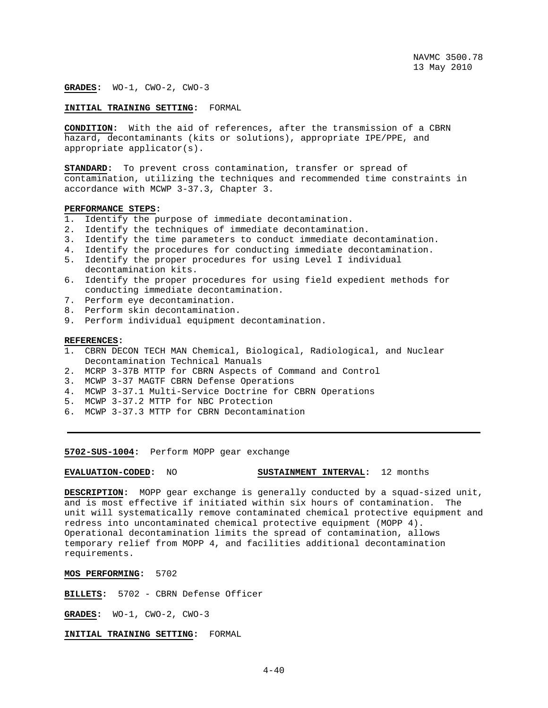**GRADES:** WO-1, CWO-2, CWO-3

## **INITIAL TRAINING SETTING:** FORMAL

**CONDITION:** With the aid of references, after the transmission of a CBRN hazard, decontaminants (kits or solutions), appropriate IPE/PPE, and appropriate applicator(s).

**STANDARD:** To prevent cross contamination, transfer or spread of contamination, utilizing the techniques and recommended time constraints in accordance with MCWP 3-37.3, Chapter 3.

#### **PERFORMANCE STEPS:**

- 1. Identify the purpose of immediate decontamination.
- 2. Identify the techniques of immediate decontamination.
- 3. Identify the time parameters to conduct immediate decontamination.
- 4. Identify the procedures for conducting immediate decontamination.
- 5. Identify the proper procedures for using Level I individual decontamination kits.
- 6. Identify the proper procedures for using field expedient methods for conducting immediate decontamination.
- 7. Perform eye decontamination.
- 8. Perform skin decontamination.
- 9. Perform individual equipment decontamination.

### **REFERENCES:**

- 1. CBRN DECON TECH MAN Chemical, Biological, Radiological, and Nuclear Decontamination Technical Manuals
- 2. MCRP 3-37B MTTP for CBRN Aspects of Command and Control
- 3. MCWP 3-37 MAGTF CBRN Defense Operations
- 4. MCWP 3-37.1 Multi-Service Doctrine for CBRN Operations
- 5. MCWP 3-37.2 MTTP for NBC Protection
- 6. MCWP 3-37.3 MTTP for CBRN Decontamination

# **5702-SUS-1004:** Perform MOPP gear exchange

## **EVALUATION-CODED:** NO **SUSTAINMENT INTERVAL:** 12 months

**DESCRIPTION:** MOPP gear exchange is generally conducted by a squad-sized unit, and is most effective if initiated within six hours of contamination. The unit will systematically remove contaminated chemical protective equipment and redress into uncontaminated chemical protective equipment (MOPP 4). Operational decontamination limits the spread of contamination, allows temporary relief from MOPP 4, and facilities additional decontamination requirements.

**MOS PERFORMING:** 5702

- **BILLETS:** 5702 CBRN Defense Officer
- **GRADES:** WO-1, CWO-2, CWO-3
- **INITIAL TRAINING SETTING:** FORMAL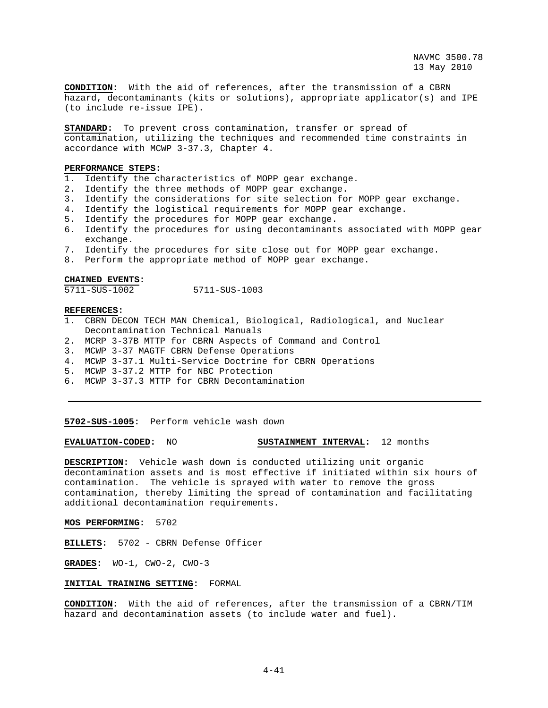**CONDITION:** With the aid of references, after the transmission of a CBRN hazard, decontaminants (kits or solutions), appropriate applicator(s) and IPE (to include re-issue IPE).

**STANDARD:** To prevent cross contamination, transfer or spread of contamination, utilizing the techniques and recommended time constraints in accordance with MCWP 3-37.3, Chapter 4.

# **PERFORMANCE STEPS:**

- 1. Identify the characteristics of MOPP gear exchange.
- 2. Identify the three methods of MOPP gear exchange.
- 3. Identify the considerations for site selection for MOPP gear exchange.
- 4. Identify the logistical requirements for MOPP gear exchange.
- 5. Identify the procedures for MOPP gear exchange.
- 6. Identify the procedures for using decontaminants associated with MOPP gear exchange.
- 7. Identify the procedures for site close out for MOPP gear exchange.
- 8. Perform the appropriate method of MOPP gear exchange.

#### **CHAINED EVENTS:**

5711-SUS-1002 5711-SUS-1003

## **REFERENCES:**

- 1. CBRN DECON TECH MAN Chemical, Biological, Radiological, and Nuclear Decontamination Technical Manuals
- 2. MCRP 3-37B MTTP for CBRN Aspects of Command and Control
- 3. MCWP 3-37 MAGTF CBRN Defense Operations
- 4. MCWP 3-37.1 Multi-Service Doctrine for CBRN Operations
- 5. MCWP 3-37.2 MTTP for NBC Protection
- 6. MCWP 3-37.3 MTTP for CBRN Decontamination

**5702-SUS-1005:** Perform vehicle wash down

**EVALUATION-CODED:** NO **SUSTAINMENT INTERVAL:** 12 months

**DESCRIPTION:** Vehicle wash down is conducted utilizing unit organic decontamination assets and is most effective if initiated within six hours of contamination. The vehicle is sprayed with water to remove the gross contamination, thereby limiting the spread of contamination and facilitating additional decontamination requirements.

**MOS PERFORMING:** 5702

**BILLETS:** 5702 - CBRN Defense Officer

**GRADES:** WO-1, CWO-2, CWO-3

## **INITIAL TRAINING SETTING:** FORMAL

**CONDITION:** With the aid of references, after the transmission of a CBRN/TIM hazard and decontamination assets (to include water and fuel).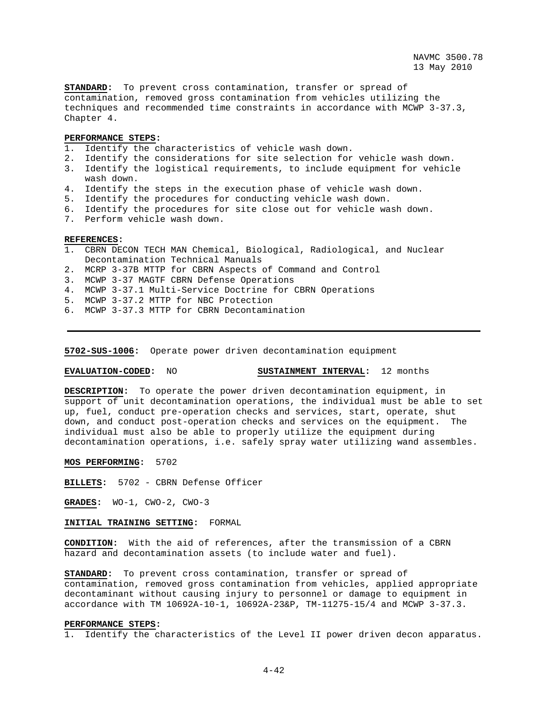**STANDARD:** To prevent cross contamination, transfer or spread of contamination, removed gross contamination from vehicles utilizing the techniques and recommended time constraints in accordance with MCWP 3-37.3, Chapter 4.

## **PERFORMANCE STEPS:**

- 1. Identify the characteristics of vehicle wash down.
- 2. Identify the considerations for site selection for vehicle wash down.
- 3. Identify the logistical requirements, to include equipment for vehicle wash down.
- 4. Identify the steps in the execution phase of vehicle wash down.
- 5. Identify the procedures for conducting vehicle wash down.
- 6. Identify the procedures for site close out for vehicle wash down.
- 7. Perform vehicle wash down.

#### **REFERENCES:**

- 1. CBRN DECON TECH MAN Chemical, Biological, Radiological, and Nuclear Decontamination Technical Manuals
- 2. MCRP 3-37B MTTP for CBRN Aspects of Command and Control
- 3. MCWP 3-37 MAGTF CBRN Defense Operations
- 4. MCWP 3-37.1 Multi-Service Doctrine for CBRN Operations
- 5. MCWP 3-37.2 MTTP for NBC Protection
- 6. MCWP 3-37.3 MTTP for CBRN Decontamination

**5702-SUS-1006:** Operate power driven decontamination equipment

**EVALUATION-CODED:** NO **SUSTAINMENT INTERVAL:** 12 months

**DESCRIPTION:** To operate the power driven decontamination equipment, in support of unit decontamination operations, the individual must be able to set up, fuel, conduct pre-operation checks and services, start, operate, shut down, and conduct post-operation checks and services on the equipment. The individual must also be able to properly utilize the equipment during decontamination operations, i.e. safely spray water utilizing wand assembles.

**MOS PERFORMING:** 5702

**BILLETS:** 5702 - CBRN Defense Officer

**GRADES:** WO-1, CWO-2, CWO-3

**INITIAL TRAINING SETTING:** FORMAL

**CONDITION:** With the aid of references, after the transmission of a CBRN hazard and decontamination assets (to include water and fuel).

**STANDARD:** To prevent cross contamination, transfer or spread of contamination, removed gross contamination from vehicles, applied appropriate decontaminant without causing injury to personnel or damage to equipment in accordance with TM 10692A-10-1, 10692A-23&P, TM-11275-15/4 and MCWP 3-37.3.

## **PERFORMANCE STEPS:**

1. Identify the characteristics of the Level II power driven decon apparatus.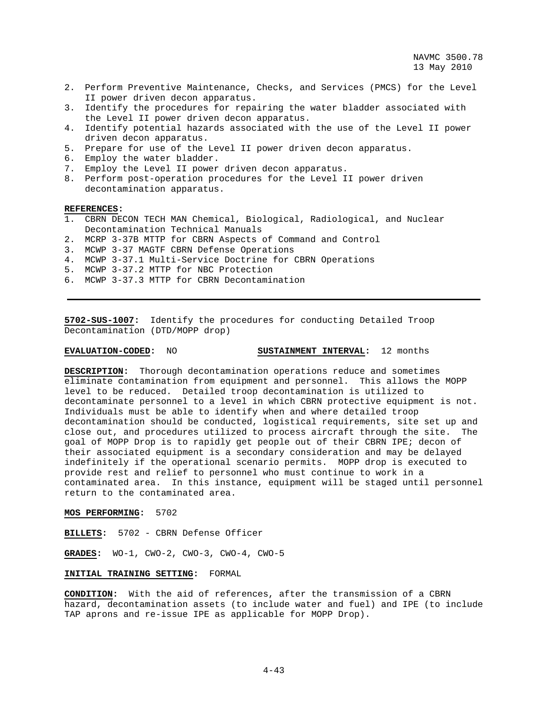- 2. Perform Preventive Maintenance, Checks, and Services (PMCS) for the Level II power driven decon apparatus.
- 3. Identify the procedures for repairing the water bladder associated with the Level II power driven decon apparatus.
- 4. Identify potential hazards associated with the use of the Level II power driven decon apparatus.
- 5. Prepare for use of the Level II power driven decon apparatus.
- 6. Employ the water bladder.
- 7. Employ the Level II power driven decon apparatus.
- 8. Perform post-operation procedures for the Level II power driven decontamination apparatus.

#### **REFERENCES:**

- 1. CBRN DECON TECH MAN Chemical, Biological, Radiological, and Nuclear Decontamination Technical Manuals
- 2. MCRP 3-37B MTTP for CBRN Aspects of Command and Control
- 3. MCWP 3-37 MAGTF CBRN Defense Operations
- 4. MCWP 3-37.1 Multi-Service Doctrine for CBRN Operations
- 5. MCWP 3-37.2 MTTP for NBC Protection
- 6. MCWP 3-37.3 MTTP for CBRN Decontamination

**5702-SUS-1007:** Identify the procedures for conducting Detailed Troop Decontamination (DTD/MOPP drop)

**EVALUATION-CODED:** NO **SUSTAINMENT INTERVAL:** 12 months

**DESCRIPTION:** Thorough decontamination operations reduce and sometimes eliminate contamination from equipment and personnel. This allows the MOPP level to be reduced. Detailed troop decontamination is utilized to decontaminate personnel to a level in which CBRN protective equipment is not. Individuals must be able to identify when and where detailed troop decontamination should be conducted, logistical requirements, site set up and close out, and procedures utilized to process aircraft through the site. The goal of MOPP Drop is to rapidly get people out of their CBRN IPE; decon of their associated equipment is a secondary consideration and may be delayed indefinitely if the operational scenario permits. MOPP drop is executed to provide rest and relief to personnel who must continue to work in a contaminated area. In this instance, equipment will be staged until personnel return to the contaminated area.

**MOS PERFORMING:** 5702

**BILLETS:** 5702 - CBRN Defense Officer

**GRADES:** WO-1, CWO-2, CWO-3, CWO-4, CWO-5

# **INITIAL TRAINING SETTING:** FORMAL

**CONDITION:** With the aid of references, after the transmission of a CBRN hazard, decontamination assets (to include water and fuel) and IPE (to include TAP aprons and re-issue IPE as applicable for MOPP Drop).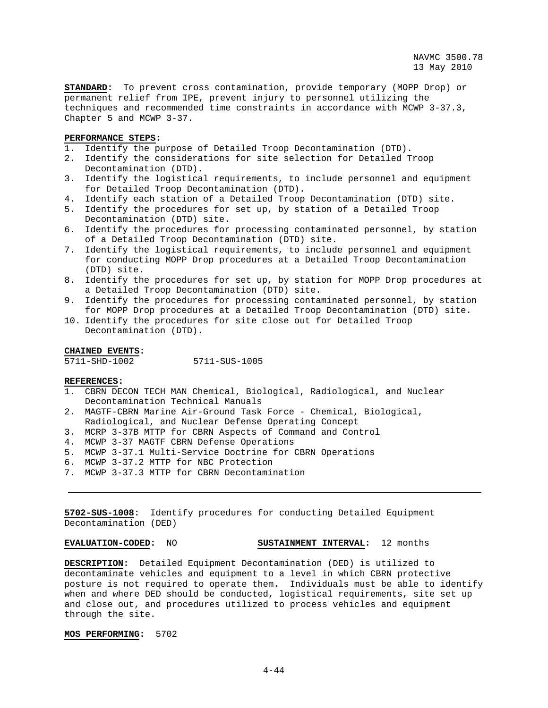**STANDARD:** To prevent cross contamination, provide temporary (MOPP Drop) or permanent relief from IPE, prevent injury to personnel utilizing the techniques and recommended time constraints in accordance with MCWP 3-37.3, Chapter 5 and MCWP 3-37.

## **PERFORMANCE STEPS:**

- 1. Identify the purpose of Detailed Troop Decontamination (DTD).
- 2. Identify the considerations for site selection for Detailed Troop Decontamination (DTD).
- 3. Identify the logistical requirements, to include personnel and equipment for Detailed Troop Decontamination (DTD).
- 4. Identify each station of a Detailed Troop Decontamination (DTD) site.
- 5. Identify the procedures for set up, by station of a Detailed Troop Decontamination (DTD) site.
- 6. Identify the procedures for processing contaminated personnel, by station of a Detailed Troop Decontamination (DTD) site.
- 7. Identify the logistical requirements, to include personnel and equipment for conducting MOPP Drop procedures at a Detailed Troop Decontamination (DTD) site.
- 8. Identify the procedures for set up, by station for MOPP Drop procedures at a Detailed Troop Decontamination (DTD) site.
- 9. Identify the procedures for processing contaminated personnel, by station for MOPP Drop procedures at a Detailed Troop Decontamination (DTD) site.
- 10. Identify the procedures for site close out for Detailed Troop Decontamination (DTD).

## **CHAINED EVENTS:**

5711-SHD-1002 5711-SUS-1005

## **REFERENCES:**

- 1. CBRN DECON TECH MAN Chemical, Biological, Radiological, and Nuclear Decontamination Technical Manuals
- 2. MAGTF-CBRN Marine Air-Ground Task Force Chemical, Biological, Radiological, and Nuclear Defense Operating Concept
- 3. MCRP 3-37B MTTP for CBRN Aspects of Command and Control
- 4. MCWP 3-37 MAGTF CBRN Defense Operations
- 5. MCWP 3-37.1 Multi-Service Doctrine for CBRN Operations
- 6. MCWP 3-37.2 MTTP for NBC Protection
- 7. MCWP 3-37.3 MTTP for CBRN Decontamination

**5702-SUS-1008:** Identify procedures for conducting Detailed Equipment Decontamination (DED)

**EVALUATION-CODED:** NO **SUSTAINMENT INTERVAL:** 12 months

**DESCRIPTION:** Detailed Equipment Decontamination (DED) is utilized to decontaminate vehicles and equipment to a level in which CBRN protective posture is not required to operate them. Individuals must be able to identify when and where DED should be conducted, logistical requirements, site set up and close out, and procedures utilized to process vehicles and equipment through the site.

**MOS PERFORMING:** 5702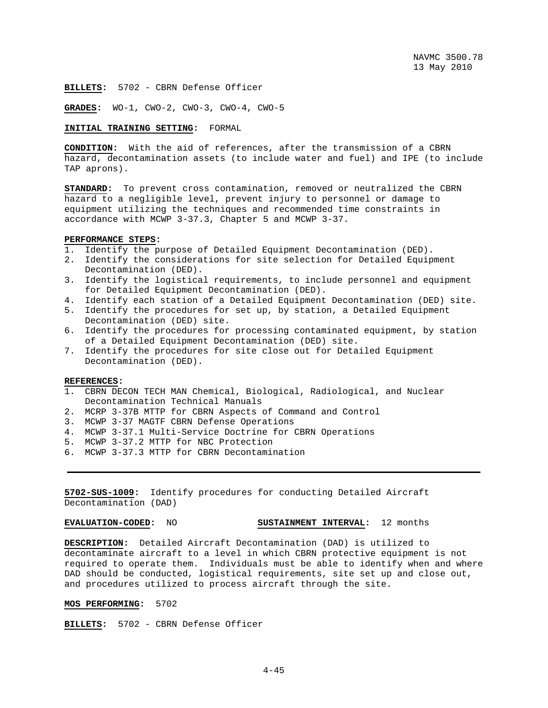**BILLETS:** 5702 - CBRN Defense Officer

**GRADES:** WO-1, CWO-2, CWO-3, CWO-4, CWO-5

## **INITIAL TRAINING SETTING:** FORMAL

**CONDITION:** With the aid of references, after the transmission of a CBRN hazard, decontamination assets (to include water and fuel) and IPE (to include TAP aprons).

**STANDARD:** To prevent cross contamination, removed or neutralized the CBRN hazard to a negligible level, prevent injury to personnel or damage to equipment utilizing the techniques and recommended time constraints in accordance with MCWP 3-37.3, Chapter 5 and MCWP 3-37.

#### **PERFORMANCE STEPS:**

- 1. Identify the purpose of Detailed Equipment Decontamination (DED).
- 2. Identify the considerations for site selection for Detailed Equipment Decontamination (DED).
- 3. Identify the logistical requirements, to include personnel and equipment for Detailed Equipment Decontamination (DED).
- 4. Identify each station of a Detailed Equipment Decontamination (DED) site.
- 5. Identify the procedures for set up, by station, a Detailed Equipment Decontamination (DED) site.
- 6. Identify the procedures for processing contaminated equipment, by station of a Detailed Equipment Decontamination (DED) site.
- 7. Identify the procedures for site close out for Detailed Equipment Decontamination (DED).

#### **REFERENCES:**

- 1. CBRN DECON TECH MAN Chemical, Biological, Radiological, and Nuclear Decontamination Technical Manuals
- 2. MCRP 3-37B MTTP for CBRN Aspects of Command and Control
- 3. MCWP 3-37 MAGTF CBRN Defense Operations
- 4. MCWP 3-37.1 Multi-Service Doctrine for CBRN Operations
- 5. MCWP 3-37.2 MTTP for NBC Protection
- 6. MCWP 3-37.3 MTTP for CBRN Decontamination

**5702-SUS-1009:** Identify procedures for conducting Detailed Aircraft Decontamination (DAD)

**EVALUATION-CODED:** NO **SUSTAINMENT INTERVAL:** 12 months

**DESCRIPTION:** Detailed Aircraft Decontamination (DAD) is utilized to decontaminate aircraft to a level in which CBRN protective equipment is not required to operate them. Individuals must be able to identify when and where DAD should be conducted, logistical requirements, site set up and close out, and procedures utilized to process aircraft through the site.

## **MOS PERFORMING:** 5702

**BILLETS:** 5702 - CBRN Defense Officer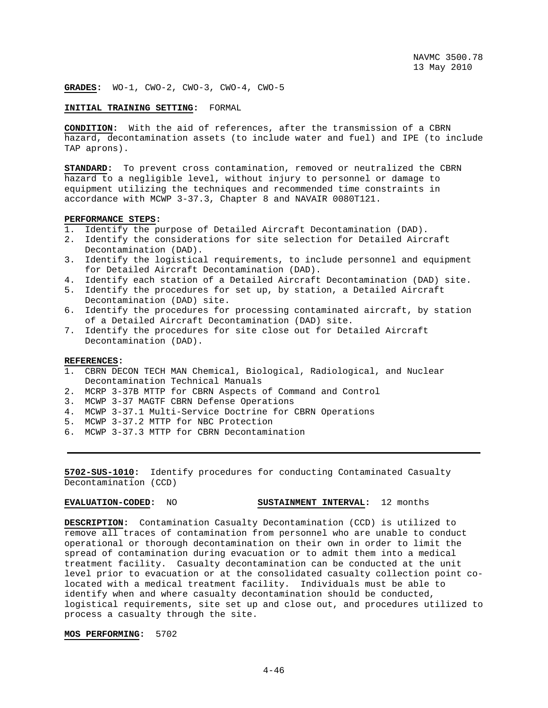**GRADES:** WO-1, CWO-2, CWO-3, CWO-4, CWO-5

## **INITIAL TRAINING SETTING:** FORMAL

**CONDITION:** With the aid of references, after the transmission of a CBRN hazard, decontamination assets (to include water and fuel) and IPE (to include TAP aprons).

**STANDARD:** To prevent cross contamination, removed or neutralized the CBRN hazard to a negligible level, without injury to personnel or damage to equipment utilizing the techniques and recommended time constraints in accordance with MCWP 3-37.3, Chapter 8 and NAVAIR 0080T121.

#### **PERFORMANCE STEPS:**

- 1. Identify the purpose of Detailed Aircraft Decontamination (DAD).
- 2. Identify the considerations for site selection for Detailed Aircraft Decontamination (DAD).
- 3. Identify the logistical requirements, to include personnel and equipment for Detailed Aircraft Decontamination (DAD).
- 4. Identify each station of a Detailed Aircraft Decontamination (DAD) site.
- 5. Identify the procedures for set up, by station, a Detailed Aircraft Decontamination (DAD) site.
- 6. Identify the procedures for processing contaminated aircraft, by station of a Detailed Aircraft Decontamination (DAD) site.
- 7. Identify the procedures for site close out for Detailed Aircraft Decontamination (DAD).

#### **REFERENCES:**

- 1. CBRN DECON TECH MAN Chemical, Biological, Radiological, and Nuclear Decontamination Technical Manuals
- 2. MCRP 3-37B MTTP for CBRN Aspects of Command and Control
- 3. MCWP 3-37 MAGTF CBRN Defense Operations
- 4. MCWP 3-37.1 Multi-Service Doctrine for CBRN Operations
- 5. MCWP 3-37.2 MTTP for NBC Protection
- 6. MCWP 3-37.3 MTTP for CBRN Decontamination

**5702-SUS-1010:** Identify procedures for conducting Contaminated Casualty Decontamination (CCD)

**EVALUATION-CODED:** NO **SUSTAINMENT INTERVAL:** 12 months

**DESCRIPTION:** Contamination Casualty Decontamination (CCD) is utilized to remove all traces of contamination from personnel who are unable to conduct operational or thorough decontamination on their own in order to limit the spread of contamination during evacuation or to admit them into a medical treatment facility. Casualty decontamination can be conducted at the unit level prior to evacuation or at the consolidated casualty collection point colocated with a medical treatment facility. Individuals must be able to identify when and where casualty decontamination should be conducted, logistical requirements, site set up and close out, and procedures utilized to process a casualty through the site.

## **MOS PERFORMING:** 5702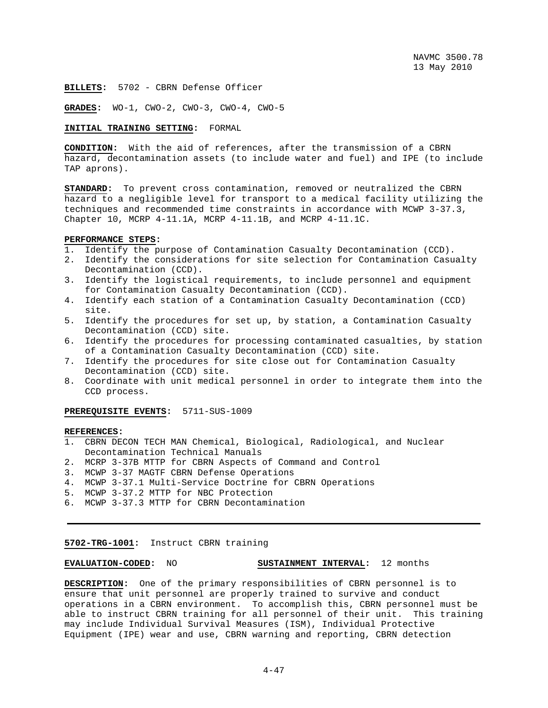**BILLETS:** 5702 - CBRN Defense Officer

**GRADES:** WO-1, CWO-2, CWO-3, CWO-4, CWO-5

# **INITIAL TRAINING SETTING:** FORMAL

**CONDITION:** With the aid of references, after the transmission of a CBRN hazard, decontamination assets (to include water and fuel) and IPE (to include TAP aprons).

**STANDARD:** To prevent cross contamination, removed or neutralized the CBRN hazard to a negligible level for transport to a medical facility utilizing the techniques and recommended time constraints in accordance with MCWP 3-37.3, Chapter 10, MCRP 4-11.1A, MCRP 4-11.1B, and MCRP 4-11.1C.

## **PERFORMANCE STEPS:**

- 1. Identify the purpose of Contamination Casualty Decontamination (CCD).
- 2. Identify the considerations for site selection for Contamination Casualty Decontamination (CCD).
- 3. Identify the logistical requirements, to include personnel and equipment for Contamination Casualty Decontamination (CCD).
- 4. Identify each station of a Contamination Casualty Decontamination (CCD) site.
- 5. Identify the procedures for set up, by station, a Contamination Casualty Decontamination (CCD) site.
- 6. Identify the procedures for processing contaminated casualties, by station of a Contamination Casualty Decontamination (CCD) site.
- 7. Identify the procedures for site close out for Contamination Casualty Decontamination (CCD) site.
- 8. Coordinate with unit medical personnel in order to integrate them into the CCD process.

**PREREQUISITE EVENTS:** 5711-SUS-1009

# **REFERENCES:**

- 1. CBRN DECON TECH MAN Chemical, Biological, Radiological, and Nuclear Decontamination Technical Manuals
- 2. MCRP 3-37B MTTP for CBRN Aspects of Command and Control
- 3. MCWP 3-37 MAGTF CBRN Defense Operations
- 4. MCWP 3-37.1 Multi-Service Doctrine for CBRN Operations
- 5. MCWP 3-37.2 MTTP for NBC Protection
- 6. MCWP 3-37.3 MTTP for CBRN Decontamination

# **5702-TRG-1001:** Instruct CBRN training

## **EVALUATION-CODED:** NO **SUSTAINMENT INTERVAL:** 12 months

**DESCRIPTION:** One of the primary responsibilities of CBRN personnel is to ensure that unit personnel are properly trained to survive and conduct operations in a CBRN environment. To accomplish this, CBRN personnel must be able to instruct CBRN training for all personnel of their unit. This training may include Individual Survival Measures (ISM), Individual Protective Equipment (IPE) wear and use, CBRN warning and reporting, CBRN detection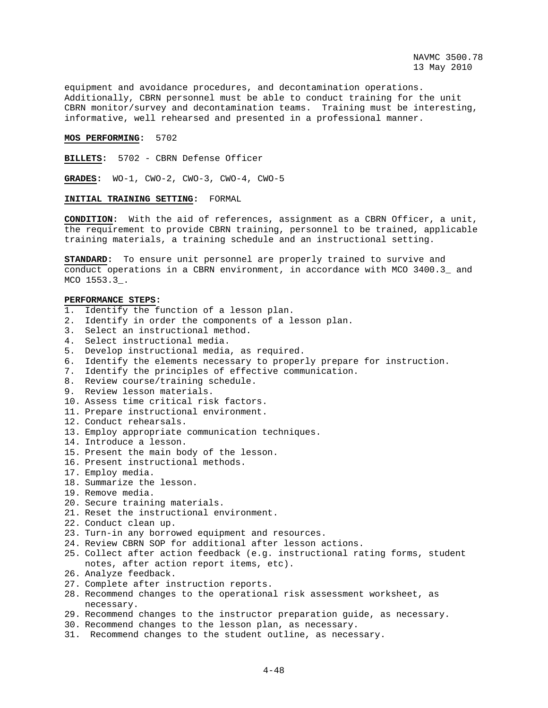equipment and avoidance procedures, and decontamination operations. Additionally, CBRN personnel must be able to conduct training for the unit CBRN monitor/survey and decontamination teams. Training must be interesting, informative, well rehearsed and presented in a professional manner.

## **MOS PERFORMING:** 5702

**BILLETS:** 5702 - CBRN Defense Officer

**GRADES:** WO-1, CWO-2, CWO-3, CWO-4, CWO-5

## **INITIAL TRAINING SETTING:** FORMAL

**CONDITION:** With the aid of references, assignment as a CBRN Officer, a unit, the requirement to provide CBRN training, personnel to be trained, applicable training materials, a training schedule and an instructional setting.

**STANDARD:** To ensure unit personnel are properly trained to survive and conduct operations in a CBRN environment, in accordance with MCO 3400.3\_ and MCO 1553.3\_.

- 1. Identify the function of a lesson plan.
- 2. Identify in order the components of a lesson plan.
- 3. Select an instructional method.
- 4. Select instructional media.
- 5. Develop instructional media, as required.
- 6. Identify the elements necessary to properly prepare for instruction.
- 7. Identify the principles of effective communication.
- 8. Review course/training schedule.
- 9. Review lesson materials.
- 10. Assess time critical risk factors.
- 11. Prepare instructional environment.
- 12. Conduct rehearsals.
- 13. Employ appropriate communication techniques.
- 14. Introduce a lesson.
- 15. Present the main body of the lesson.
- 16. Present instructional methods.
- 17. Employ media.
- 18. Summarize the lesson.
- 19. Remove media.
- 20. Secure training materials.
- 21. Reset the instructional environment.
- 22. Conduct clean up.
- 23. Turn-in any borrowed equipment and resources.
- 24. Review CBRN SOP for additional after lesson actions.
- 25. Collect after action feedback (e.g. instructional rating forms, student notes, after action report items, etc).
- 26. Analyze feedback.
- 27. Complete after instruction reports.
- 28. Recommend changes to the operational risk assessment worksheet, as necessary.
- 29. Recommend changes to the instructor preparation guide, as necessary.
- 30. Recommend changes to the lesson plan, as necessary.
- 31. Recommend changes to the student outline, as necessary.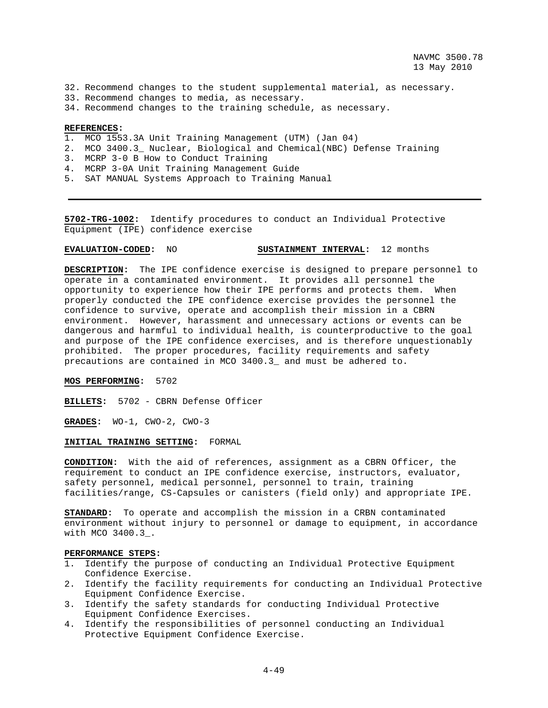32. Recommend changes to the student supplemental material, as necessary.

33. Recommend changes to media, as necessary.

34. Recommend changes to the training schedule, as necessary.

#### **REFERENCES:**

- 1. MCO 1553.3A Unit Training Management (UTM) (Jan 04)
- 2. MCO 3400.3\_ Nuclear, Biological and Chemical(NBC) Defense Training
- 3. MCRP 3-0 B How to Conduct Training
- 4. MCRP 3-0A Unit Training Management Guide

5. SAT MANUAL Systems Approach to Training Manual

**5702-TRG-1002:** Identify procedures to conduct an Individual Protective Equipment (IPE) confidence exercise

## **EVALUATION-CODED:** NO **SUSTAINMENT INTERVAL:** 12 months

**DESCRIPTION:** The IPE confidence exercise is designed to prepare personnel to operate in a contaminated environment. It provides all personnel the opportunity to experience how their IPE performs and protects them. When properly conducted the IPE confidence exercise provides the personnel the confidence to survive, operate and accomplish their mission in a CBRN environment. However, harassment and unnecessary actions or events can be dangerous and harmful to individual health, is counterproductive to the goal and purpose of the IPE confidence exercises, and is therefore unquestionably prohibited. The proper procedures, facility requirements and safety precautions are contained in MCO 3400.3\_ and must be adhered to.

#### **MOS PERFORMING:** 5702

**BILLETS:** 5702 - CBRN Defense Officer

**GRADES:** WO-1, CWO-2, CWO-3

## **INITIAL TRAINING SETTING:** FORMAL

**CONDITION:** With the aid of references, assignment as a CBRN Officer, the requirement to conduct an IPE confidence exercise, instructors, evaluator, safety personnel, medical personnel, personnel to train, training facilities/range, CS-Capsules or canisters (field only) and appropriate IPE.

**STANDARD:** To operate and accomplish the mission in a CRBN contaminated environment without injury to personnel or damage to equipment, in accordance with MCO 3400.3\_.

- 1. Identify the purpose of conducting an Individual Protective Equipment Confidence Exercise.
- 2. Identify the facility requirements for conducting an Individual Protective Equipment Confidence Exercise.
- 3. Identify the safety standards for conducting Individual Protective Equipment Confidence Exercises.
- 4. Identify the responsibilities of personnel conducting an Individual Protective Equipment Confidence Exercise.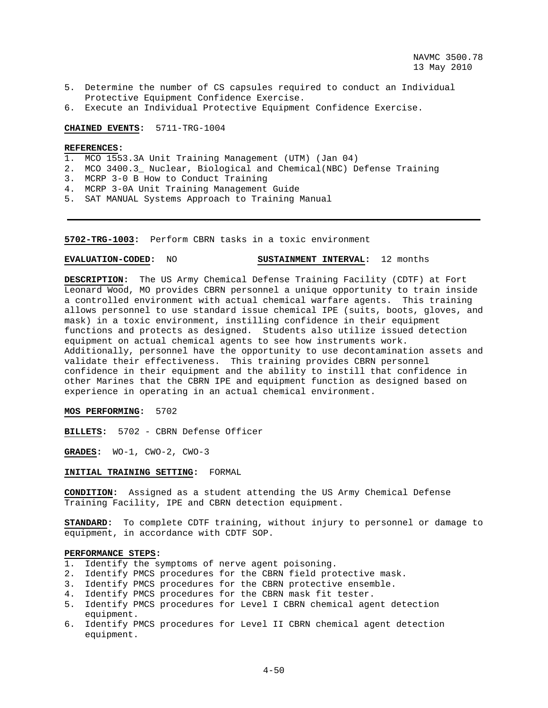- 5. Determine the number of CS capsules required to conduct an Individual Protective Equipment Confidence Exercise.
- 6. Execute an Individual Protective Equipment Confidence Exercise.

**CHAINED EVENTS:** 5711-TRG-1004

#### **REFERENCES:**

- 1. MCO 1553.3A Unit Training Management (UTM) (Jan 04)
- 2. MCO 3400.3\_ Nuclear, Biological and Chemical(NBC) Defense Training
- 3. MCRP 3-0 B How to Conduct Training
- 4. MCRP 3-0A Unit Training Management Guide
- 5. SAT MANUAL Systems Approach to Training Manual

**5702-TRG-1003:** Perform CBRN tasks in a toxic environment

**EVALUATION-CODED:** NO **SUSTAINMENT INTERVAL:** 12 months

**DESCRIPTION:** The US Army Chemical Defense Training Facility (CDTF) at Fort Leonard Wood, MO provides CBRN personnel a unique opportunity to train inside a controlled environment with actual chemical warfare agents. This training allows personnel to use standard issue chemical IPE (suits, boots, gloves, and mask) in a toxic environment, instilling confidence in their equipment functions and protects as designed. Students also utilize issued detection equipment on actual chemical agents to see how instruments work. Additionally, personnel have the opportunity to use decontamination assets and validate their effectiveness. This training provides CBRN personnel confidence in their equipment and the ability to instill that confidence in other Marines that the CBRN IPE and equipment function as designed based on experience in operating in an actual chemical environment.

**MOS PERFORMING:** 5702

**BILLETS:** 5702 - CBRN Defense Officer

**GRADES:** WO-1, CWO-2, CWO-3

**INITIAL TRAINING SETTING:** FORMAL

**CONDITION:** Assigned as a student attending the US Army Chemical Defense Training Facility, IPE and CBRN detection equipment.

**STANDARD:** To complete CDTF training, without injury to personnel or damage to equipment, in accordance with CDTF SOP.

- 1. Identify the symptoms of nerve agent poisoning.
- 2. Identify PMCS procedures for the CBRN field protective mask.
- 3. Identify PMCS procedures for the CBRN protective ensemble.
- 4. Identify PMCS procedures for the CBRN mask fit tester.
- 5. Identify PMCS procedures for Level I CBRN chemical agent detection equipment.
- 6. Identify PMCS procedures for Level II CBRN chemical agent detection equipment.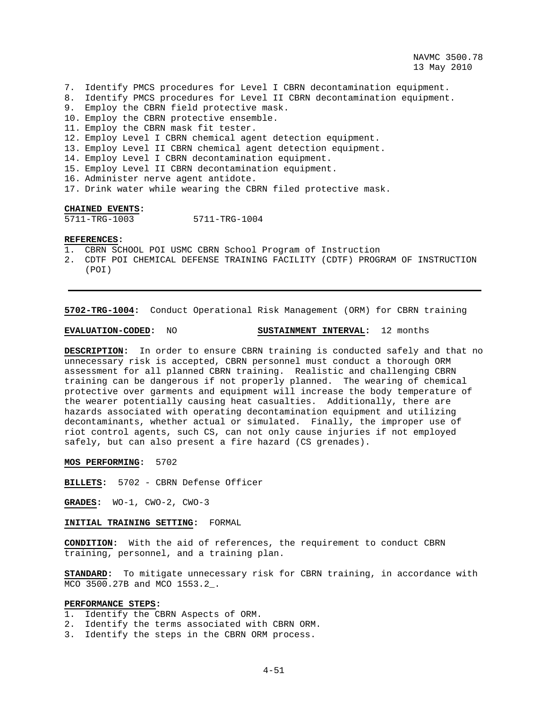- 7. Identify PMCS procedures for Level I CBRN decontamination equipment.
- 8. Identify PMCS procedures for Level II CBRN decontamination equipment.
- 9. Employ the CBRN field protective mask.
- 10. Employ the CBRN protective ensemble.
- 11. Employ the CBRN mask fit tester.
- 12. Employ Level I CBRN chemical agent detection equipment.
- 13. Employ Level II CBRN chemical agent detection equipment.
- 14. Employ Level I CBRN decontamination equipment.
- 15. Employ Level II CBRN decontamination equipment.
- 16. Administer nerve agent antidote.
- 17. Drink water while wearing the CBRN filed protective mask.

#### **CHAINED EVENTS:**

5711-TRG-1003 5711-TRG-1004

# **REFERENCES:**

- 1. CBRN SCHOOL POI USMC CBRN School Program of Instruction
- 2. CDTF POI CHEMICAL DEFENSE TRAINING FACILITY (CDTF) PROGRAM OF INSTRUCTION (POI)

**5702-TRG-1004:** Conduct Operational Risk Management (ORM) for CBRN training

# **EVALUATION-CODED:** NO **SUSTAINMENT INTERVAL:** 12 months

**DESCRIPTION:** In order to ensure CBRN training is conducted safely and that no unnecessary risk is accepted, CBRN personnel must conduct a thorough ORM assessment for all planned CBRN training. Realistic and challenging CBRN training can be dangerous if not properly planned. The wearing of chemical protective over garments and equipment will increase the body temperature of the wearer potentially causing heat casualties. Additionally, there are hazards associated with operating decontamination equipment and utilizing decontaminants, whether actual or simulated. Finally, the improper use of riot control agents, such CS, can not only cause injuries if not employed safely, but can also present a fire hazard (CS grenades).

**MOS PERFORMING:** 5702

**BILLETS:** 5702 - CBRN Defense Officer

**GRADES:** WO-1, CWO-2, CWO-3

**INITIAL TRAINING SETTING:** FORMAL

**CONDITION:** With the aid of references, the requirement to conduct CBRN training, personnel, and a training plan.

**STANDARD:** To mitigate unnecessary risk for CBRN training, in accordance with MCO 3500.27B and MCO 1553.2\_.

- 1. Identify the CBRN Aspects of ORM.
- 2. Identify the terms associated with CBRN ORM.
- 3. Identify the steps in the CBRN ORM process.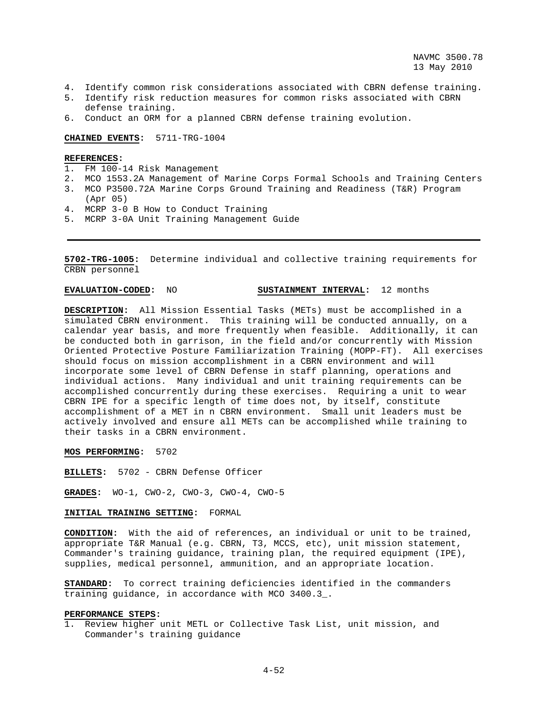- 4. Identify common risk considerations associated with CBRN defense training.
- 5. Identify risk reduction measures for common risks associated with CBRN defense training.
- 6. Conduct an ORM for a planned CBRN defense training evolution.

## **CHAINED EVENTS:** 5711-TRG-1004

## **REFERENCES:**

- 1. FM 100-14 Risk Management
- 2. MCO 1553.2A Management of Marine Corps Formal Schools and Training Centers
- 3. MCO P3500.72A Marine Corps Ground Training and Readiness (T&R) Program (Apr 05)
- 4. MCRP 3-0 B How to Conduct Training
- 5. MCRP 3-0A Unit Training Management Guide

**5702-TRG-1005:** Determine individual and collective training requirements for CRBN personnel

**EVALUATION-CODED:** NO **SUSTAINMENT INTERVAL:** 12 months

**DESCRIPTION:** All Mission Essential Tasks (METs) must be accomplished in a simulated CBRN environment. This training will be conducted annually, on a calendar year basis, and more frequently when feasible. Additionally, it can be conducted both in garrison, in the field and/or concurrently with Mission Oriented Protective Posture Familiarization Training (MOPP-FT). All exercises should focus on mission accomplishment in a CBRN environment and will incorporate some level of CBRN Defense in staff planning, operations and individual actions. Many individual and unit training requirements can be accomplished concurrently during these exercises. Requiring a unit to wear CBRN IPE for a specific length of time does not, by itself, constitute accomplishment of a MET in n CBRN environment. Small unit leaders must be actively involved and ensure all METs can be accomplished while training to their tasks in a CBRN environment.

**MOS PERFORMING:** 5702

**BILLETS:** 5702 - CBRN Defense Officer

**GRADES:** WO-1, CWO-2, CWO-3, CWO-4, CWO-5

**INITIAL TRAINING SETTING:** FORMAL

**CONDITION:** With the aid of references, an individual or unit to be trained, appropriate T&R Manual (e.g. CBRN, T3, MCCS, etc), unit mission statement, Commander's training guidance, training plan, the required equipment (IPE), supplies, medical personnel, ammunition, and an appropriate location.

**STANDARD:** To correct training deficiencies identified in the commanders training guidance, in accordance with MCO 3400.3\_.

## **PERFORMANCE STEPS:**

1. Review higher unit METL or Collective Task List, unit mission, and Commander's training guidance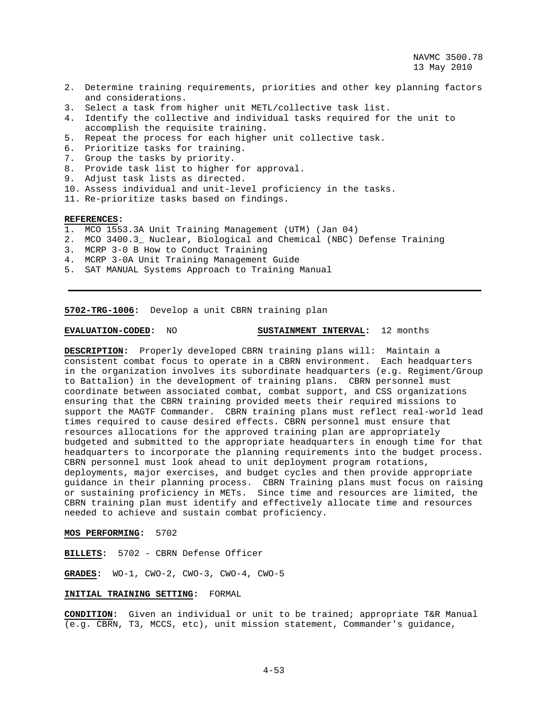- 2. Determine training requirements, priorities and other key planning factors and considerations.
- 3. Select a task from higher unit METL/collective task list.
- 4. Identify the collective and individual tasks required for the unit to accomplish the requisite training.
- 5. Repeat the process for each higher unit collective task.
- 6. Prioritize tasks for training.
- 7. Group the tasks by priority.
- 8. Provide task list to higher for approval.
- 9. Adjust task lists as directed.
- 10. Assess individual and unit-level proficiency in the tasks.
- 11. Re-prioritize tasks based on findings.

#### **REFERENCES:**

- 1. MCO 1553.3A Unit Training Management (UTM) (Jan 04)
- 2. MCO 3400.3\_ Nuclear, Biological and Chemical (NBC) Defense Training
- 3. MCRP 3-0 B How to Conduct Training
- 4. MCRP 3-0A Unit Training Management Guide
- 5. SAT MANUAL Systems Approach to Training Manual

**5702-TRG-1006:** Develop a unit CBRN training plan

**EVALUATION-CODED:** NO **SUSTAINMENT INTERVAL:** 12 months

**DESCRIPTION:** Properly developed CBRN training plans will: Maintain a consistent combat focus to operate in a CBRN environment. Each headquarters in the organization involves its subordinate headquarters (e.g. Regiment/Group to Battalion) in the development of training plans. CBRN personnel must coordinate between associated combat, combat support, and CSS organizations ensuring that the CBRN training provided meets their required missions to support the MAGTF Commander. CBRN training plans must reflect real-world lead times required to cause desired effects. CBRN personnel must ensure that resources allocations for the approved training plan are appropriately budgeted and submitted to the appropriate headquarters in enough time for that headquarters to incorporate the planning requirements into the budget process. CBRN personnel must look ahead to unit deployment program rotations, deployments, major exercises, and budget cycles and then provide appropriate guidance in their planning process. CBRN Training plans must focus on raising or sustaining proficiency in METs. Since time and resources are limited, the CBRN training plan must identify and effectively allocate time and resources needed to achieve and sustain combat proficiency.

**MOS PERFORMING:** 5702

**BILLETS:** 5702 - CBRN Defense Officer

**GRADES:** WO-1, CWO-2, CWO-3, CWO-4, CWO-5

## **INITIAL TRAINING SETTING:** FORMAL

**CONDITION:** Given an individual or unit to be trained; appropriate T&R Manual (e.g. CBRN, T3, MCCS, etc), unit mission statement, Commander's guidance,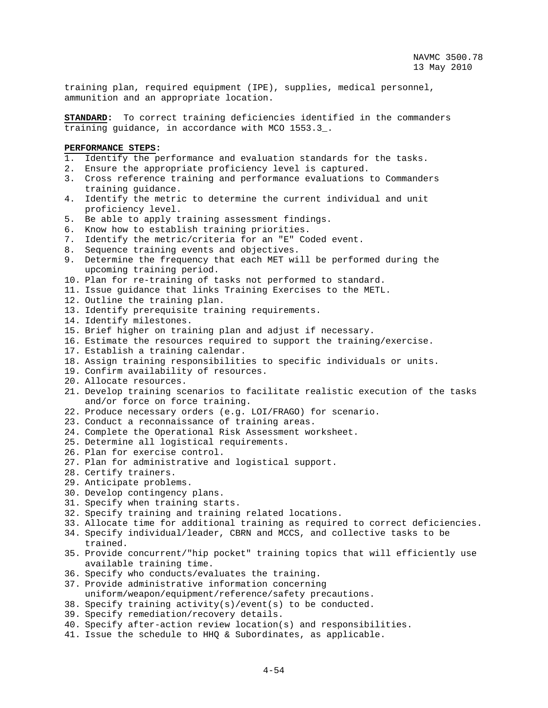training plan, required equipment (IPE), supplies, medical personnel, ammunition and an appropriate location.

**STANDARD:** To correct training deficiencies identified in the commanders training guidance, in accordance with MCO 1553.3\_.

- 1. Identify the performance and evaluation standards for the tasks.
- 2. Ensure the appropriate proficiency level is captured.
- 3. Cross reference training and performance evaluations to Commanders training guidance.
- 4. Identify the metric to determine the current individual and unit proficiency level.
- 5. Be able to apply training assessment findings.
- 6. Know how to establish training priorities.
- 7. Identify the metric/criteria for an "E" Coded event.
- 8. Sequence training events and objectives.
- 9. Determine the frequency that each MET will be performed during the upcoming training period.
- 10. Plan for re-training of tasks not performed to standard.
- 11. Issue guidance that links Training Exercises to the METL.
- 12. Outline the training plan.
- 13. Identify prerequisite training requirements.
- 14. Identify milestones.
- 15. Brief higher on training plan and adjust if necessary.
- 16. Estimate the resources required to support the training/exercise.
- 17. Establish a training calendar.
- 18. Assign training responsibilities to specific individuals or units.
- 19. Confirm availability of resources.
- 20. Allocate resources.
- 21. Develop training scenarios to facilitate realistic execution of the tasks and/or force on force training.
- 22. Produce necessary orders (e.g. LOI/FRAGO) for scenario.
- 23. Conduct a reconnaissance of training areas.
- 24. Complete the Operational Risk Assessment worksheet.
- 25. Determine all logistical requirements.
- 26. Plan for exercise control.
- 27. Plan for administrative and logistical support.
- 28. Certify trainers.
- 29. Anticipate problems.
- 30. Develop contingency plans.
- 31. Specify when training starts.
- 32. Specify training and training related locations.
- 33. Allocate time for additional training as required to correct deficiencies.
- 34. Specify individual/leader, CBRN and MCCS, and collective tasks to be trained.
- 35. Provide concurrent/"hip pocket" training topics that will efficiently use available training time.
- 36. Specify who conducts/evaluates the training.
- 37. Provide administrative information concerning uniform/weapon/equipment/reference/safety precautions.
- 38. Specify training activity(s)/event(s) to be conducted.
- 39. Specify remediation/recovery details.
- 40. Specify after-action review location(s) and responsibilities.
- 41. Issue the schedule to HHQ & Subordinates, as applicable.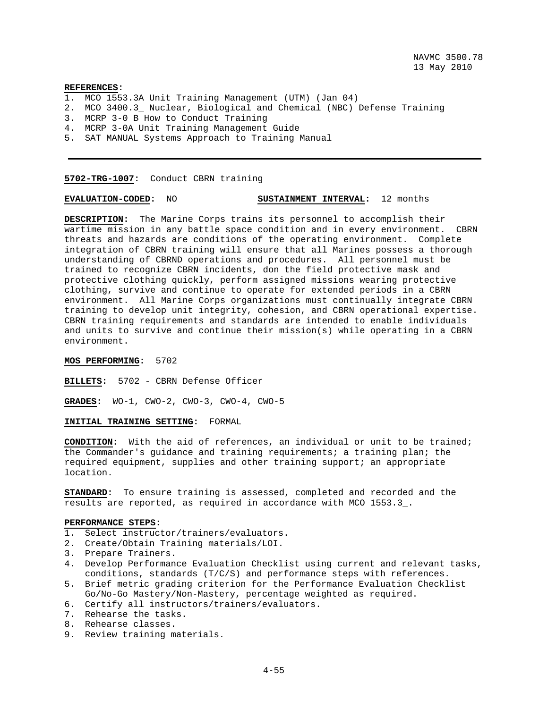**REFERENCES:** 1. MCO 1553.3A Unit Training Management (UTM) (Jan 04) 2. MCO 3400.3\_ Nuclear, Biological and Chemical (NBC) Defense Training 3. MCRP 3-0 B How to Conduct Training 4. MCRP 3-0A Unit Training Management Guide 5. SAT MANUAL Systems Approach to Training Manual

**5702-TRG-1007:** Conduct CBRN training

**EVALUATION-CODED:** NO **SUSTAINMENT INTERVAL:** 12 months

**DESCRIPTION:** The Marine Corps trains its personnel to accomplish their wartime mission in any battle space condition and in every environment. CBRN threats and hazards are conditions of the operating environment. Complete integration of CBRN training will ensure that all Marines possess a thorough understanding of CBRND operations and procedures. All personnel must be trained to recognize CBRN incidents, don the field protective mask and protective clothing quickly, perform assigned missions wearing protective clothing, survive and continue to operate for extended periods in a CBRN environment. All Marine Corps organizations must continually integrate CBRN training to develop unit integrity, cohesion, and CBRN operational expertise. CBRN training requirements and standards are intended to enable individuals and units to survive and continue their mission(s) while operating in a CBRN environment.

## **MOS PERFORMING:** 5702

**BILLETS:** 5702 - CBRN Defense Officer

**GRADES:** WO-1, CWO-2, CWO-3, CWO-4, CWO-5

**INITIAL TRAINING SETTING:** FORMAL

**CONDITION:** With the aid of references, an individual or unit to be trained; the Commander's guidance and training requirements; a training plan; the required equipment, supplies and other training support; an appropriate location.

**STANDARD:** To ensure training is assessed, completed and recorded and the results are reported, as required in accordance with MCO 1553.3\_.

- 1. Select instructor/trainers/evaluators.
- 2. Create/Obtain Training materials/LOI.
- 3. Prepare Trainers.
- 4. Develop Performance Evaluation Checklist using current and relevant tasks, conditions, standards (T/C/S) and performance steps with references.
- 5. Brief metric grading criterion for the Performance Evaluation Checklist Go/No-Go Mastery/Non-Mastery, percentage weighted as required.
- 6. Certify all instructors/trainers/evaluators.
- 7. Rehearse the tasks.
- 8. Rehearse classes.
- 9. Review training materials.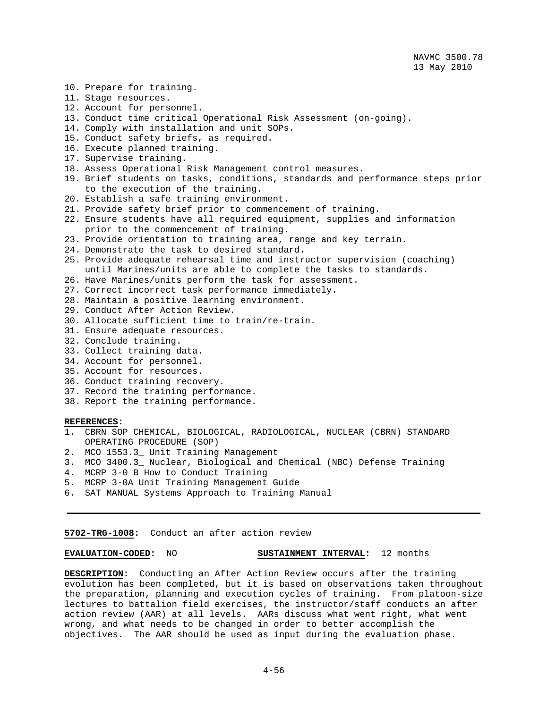- 10. Prepare for training.
- 11. Stage resources.
- 12. Account for personnel.
- 13. Conduct time critical Operational Risk Assessment (on-going).
- 14. Comply with installation and unit SOPs.
- 15. Conduct safety briefs, as required.
- 16. Execute planned training.
- 17. Supervise training.
- 18. Assess Operational Risk Management control measures.
- 19. Brief students on tasks, conditions, standards and performance steps prior to the execution of the training.
- 20. Establish a safe training environment.
- 21. Provide safety brief prior to commencement of training.
- 22. Ensure students have all required equipment, supplies and information prior to the commencement of training.
- 23. Provide orientation to training area, range and key terrain.
- 24. Demonstrate the task to desired standard.
- 25. Provide adequate rehearsal time and instructor supervision (coaching) until Marines/units are able to complete the tasks to standards.
- 26. Have Marines/units perform the task for assessment.
- 27. Correct incorrect task performance immediately.
- 28. Maintain a positive learning environment.
- 29. Conduct After Action Review.
- 30. Allocate sufficient time to train/re-train.
- 31. Ensure adequate resources.
- 32. Conclude training.
- 33. Collect training data.
- 34. Account for personnel.
- 35. Account for resources.
- 36. Conduct training recovery.
- 37. Record the training performance.
- 38. Report the training performance.

## **REFERENCES:**

- 1. CBRN SOP CHEMICAL, BIOLOGICAL, RADIOLOGICAL, NUCLEAR (CBRN) STANDARD OPERATING PROCEDURE (SOP)
- 2. MCO 1553.3\_ Unit Training Management
- 3. MCO 3400.3\_ Nuclear, Biological and Chemical (NBC) Defense Training
- 4. MCRP 3-0 B How to Conduct Training
- 5. MCRP 3-0A Unit Training Management Guide
- 6. SAT MANUAL Systems Approach to Training Manual

**5702-TRG-1008:** Conduct an after action review

**EVALUATION-CODED:** NO **SUSTAINMENT INTERVAL:** 12 months

**DESCRIPTION:** Conducting an After Action Review occurs after the training evolution has been completed, but it is based on observations taken throughout the preparation, planning and execution cycles of training. From platoon-size lectures to battalion field exercises, the instructor/staff conducts an after action review (AAR) at all levels. AARs discuss what went right, what went wrong, and what needs to be changed in order to better accomplish the objectives. The AAR should be used as input during the evaluation phase.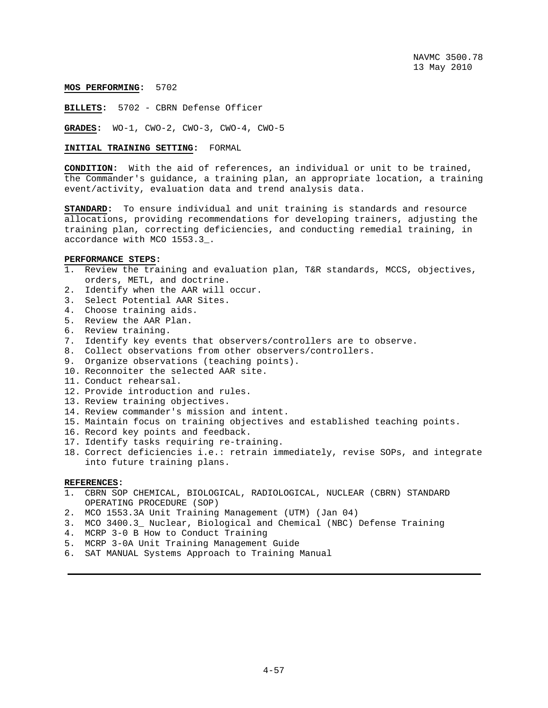## **MOS PERFORMING:** 5702

**BILLETS:** 5702 - CBRN Defense Officer

**GRADES:** WO-1, CWO-2, CWO-3, CWO-4, CWO-5

# **INITIAL TRAINING SETTING:** FORMAL

**CONDITION:** With the aid of references, an individual or unit to be trained, the Commander's guidance, a training plan, an appropriate location, a training event/activity, evaluation data and trend analysis data.

**STANDARD:** To ensure individual and unit training is standards and resource allocations, providing recommendations for developing trainers, adjusting the training plan, correcting deficiencies, and conducting remedial training, in accordance with MCO 1553.3\_.

## **PERFORMANCE STEPS:**

- 1. Review the training and evaluation plan, T&R standards, MCCS, objectives, orders, METL, and doctrine.
- 2. Identify when the AAR will occur.
- 3. Select Potential AAR Sites.
- 4. Choose training aids.
- 5. Review the AAR Plan.
- 6. Review training.
- 7. Identify key events that observers/controllers are to observe.
- 8. Collect observations from other observers/controllers.
- 9. Organize observations (teaching points).
- 10. Reconnoiter the selected AAR site.
- 11. Conduct rehearsal.
- 12. Provide introduction and rules.
- 13. Review training objectives.
- 14. Review commander's mission and intent.
- 15. Maintain focus on training objectives and established teaching points.
- 16. Record key points and feedback.
- 17. Identify tasks requiring re-training.
- 18. Correct deficiencies i.e.: retrain immediately, revise SOPs, and integrate into future training plans.

# **REFERENCES:**

- 1. CBRN SOP CHEMICAL, BIOLOGICAL, RADIOLOGICAL, NUCLEAR (CBRN) STANDARD OPERATING PROCEDURE (SOP)
- 2. MCO 1553.3A Unit Training Management (UTM) (Jan 04)
- 3. MCO 3400.3\_ Nuclear, Biological and Chemical (NBC) Defense Training
- 4. MCRP 3-0 B How to Conduct Training
- 5. MCRP 3-0A Unit Training Management Guide
- 6. SAT MANUAL Systems Approach to Training Manual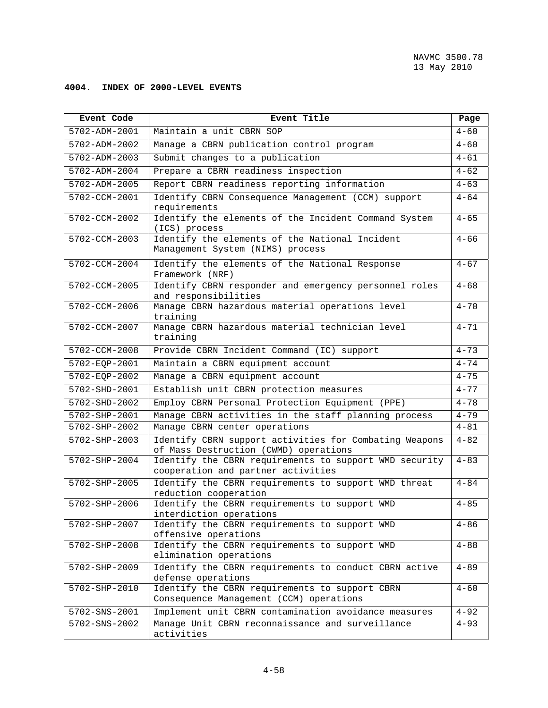# **4004. INDEX OF 2000-LEVEL EVENTS**

| Event Code          | Event Title                                                                                     | Page     |
|---------------------|-------------------------------------------------------------------------------------------------|----------|
| 5702-ADM-2001       | Maintain a unit CBRN SOP                                                                        | $4 - 60$ |
| 5702-ADM-2002       | Manage a CBRN publication control program                                                       | $4 - 60$ |
| 5702-ADM-2003       | Submit changes to a publication                                                                 | $4 - 61$ |
| 5702-ADM-2004       | Prepare a CBRN readiness inspection                                                             | $4 - 62$ |
| 5702-ADM-2005       | Report CBRN readiness reporting information                                                     | $4 - 63$ |
| 5702-CCM-2001       | Identify CBRN Consequence Management (CCM) support<br>requirements                              | $4 - 64$ |
| $5702 - CCM - 2002$ | Identify the elements of the Incident Command System<br>(ICS) process                           | $4 - 65$ |
| 5702-CCM-2003       | Identify the elements of the National Incident<br>Management System (NIMS) process              | $4 - 66$ |
| 5702-CCM-2004       | Identify the elements of the National Response<br>Framework (NRF)                               | $4 - 67$ |
| $5702 - CCM - 2005$ | Identify CBRN responder and emergency personnel roles<br>and responsibilities                   | $4 - 68$ |
| 5702-CCM-2006       | Manage CBRN hazardous material operations level<br>training                                     | $4 - 70$ |
| 5702-CCM-2007       | Manage CBRN hazardous material technician level<br>training                                     | $4 - 71$ |
| 5702-CCM-2008       | Provide CBRN Incident Command (IC) support                                                      | $4 - 73$ |
| 5702-EQP-2001       | Maintain a CBRN equipment account                                                               | $4 - 74$ |
| 5702-EQP-2002       | Manage a CBRN equipment account                                                                 | $4 - 75$ |
| 5702-SHD-2001       | Establish unit CBRN protection measures                                                         | $4 - 77$ |
| 5702-SHD-2002       | Employ CBRN Personal Protection Equipment (PPE)                                                 | $4 - 78$ |
| 5702-SHP-2001       | Manage CBRN activities in the staff planning process                                            | $4 - 79$ |
| 5702-SHP-2002       | Manage CBRN center operations                                                                   | $4 - 81$ |
| 5702-SHP-2003       | Identify CBRN support activities for Combating Weapons<br>of Mass Destruction (CWMD) operations | $4 - 82$ |
| 5702-SHP-2004       | Identify the CBRN requirements to support WMD security<br>cooperation and partner activities    | $4 - 83$ |
| 5702-SHP-2005       | Identify the CBRN requirements to support WMD threat<br>reduction cooperation                   | $4 - 84$ |
| 5702-SHP-2006       | Identify the CBRN requirements to support WMD<br>interdiction operations                        | $4 - 85$ |
| 5702-SHP-2007       | Identify the CBRN requirements to support WMD<br>offensive operations                           | $4 - 86$ |
| 5702-SHP-2008       | Identify the CBRN requirements to support WMD<br>elimination operations                         | $4 - 88$ |
| 5702-SHP-2009       | Identify the CBRN requirements to conduct CBRN active<br>defense operations                     | 4-89     |
| 5702-SHP-2010       | Identify the CBRN requirements to support CBRN<br>Consequence Management (CCM) operations       | $4 - 60$ |
| 5702-SNS-2001       | Implement unit CBRN contamination avoidance measures                                            | $4 - 92$ |
| 5702-SNS-2002       | Manage Unit CBRN reconnaissance and surveillance<br>activities                                  | $4 - 93$ |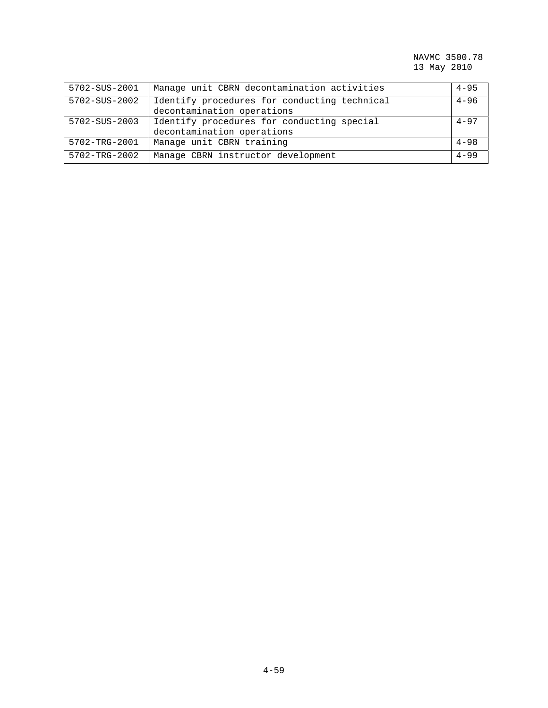| 5702-SUS-2001 | Manage unit CBRN decontamination activities  | $4 - 95$ |
|---------------|----------------------------------------------|----------|
| 5702-SUS-2002 | Identify procedures for conducting technical | $4 - 96$ |
|               | decontamination operations                   |          |
| 5702-SUS-2003 | Identify procedures for conducting special   | $4 - 97$ |
|               | decontamination operations                   |          |
| 5702-TRG-2001 | Manage unit CBRN training                    | $4 - 98$ |
| 5702-TRG-2002 | Manage CBRN instructor development           | $4 - 99$ |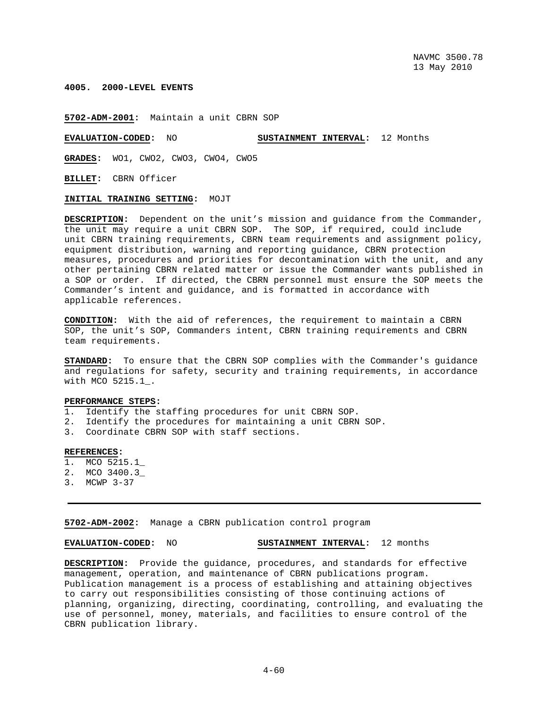## **4005. 2000-LEVEL EVENTS**

**5702-ADM-2001:** Maintain a unit CBRN SOP

# **EVALUATION-CODED:** NO **SUSTAINMENT INTERVAL:** 12 Months

**GRADES:** WO1, CWO2, CWO3, CWO4, CWO5

**BILLET:** CBRN Officer

## **INITIAL TRAINING SETTING:** MOJT

**DESCRIPTION:** Dependent on the unit's mission and guidance from the Commander, the unit may require a unit CBRN SOP. The SOP, if required, could include unit CBRN training requirements, CBRN team requirements and assignment policy, equipment distribution, warning and reporting guidance, CBRN protection measures, procedures and priorities for decontamination with the unit, and any other pertaining CBRN related matter or issue the Commander wants published in a SOP or order. If directed, the CBRN personnel must ensure the SOP meets the Commander's intent and guidance, and is formatted in accordance with applicable references.

**CONDITION:** With the aid of references, the requirement to maintain a CBRN SOP, the unit's SOP, Commanders intent, CBRN training requirements and CBRN team requirements.

**STANDARD:** To ensure that the CBRN SOP complies with the Commander's guidance and regulations for safety, security and training requirements, in accordance with MCO 5215.1\_.

## **PERFORMANCE STEPS:**

- 1. Identify the staffing procedures for unit CBRN SOP.
- 2. Identify the procedures for maintaining a unit CBRN SOP.
- 3. Coordinate CBRN SOP with staff sections.

## **REFERENCES:**

- 1. MCO 5215.1\_
- 2. MCO 3400.3\_
- 3. MCWP 3-37

**5702-ADM-2002:** Manage a CBRN publication control program

**EVALUATION-CODED:** NO **SUSTAINMENT INTERVAL:** 12 months

**DESCRIPTION:** Provide the guidance, procedures, and standards for effective management, operation, and maintenance of CBRN publications program. Publication management is a process of establishing and attaining objectives to carry out responsibilities consisting of those continuing actions of planning, organizing, directing, coordinating, controlling, and evaluating the use of personnel, money, materials, and facilities to ensure control of the CBRN publication library.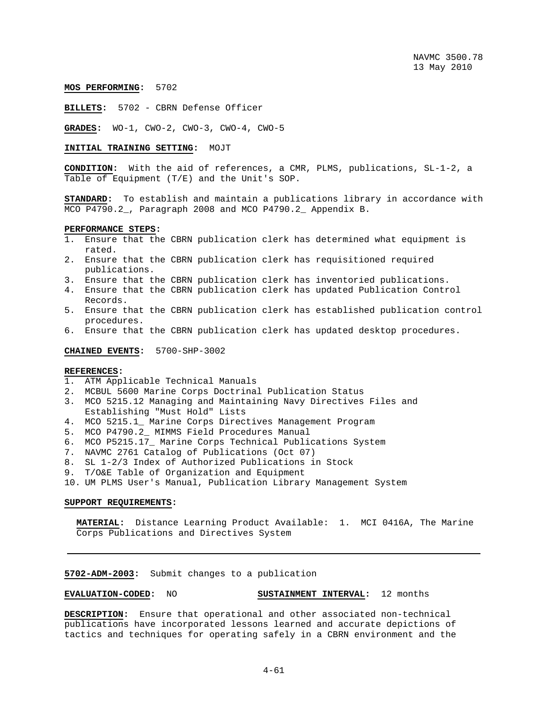## **MOS PERFORMING:** 5702

**BILLETS:** 5702 - CBRN Defense Officer

**GRADES:** WO-1, CWO-2, CWO-3, CWO-4, CWO-5

#### **INITIAL TRAINING SETTING:** MOJT

**CONDITION:** With the aid of references, a CMR, PLMS, publications, SL-1-2, a Table of Equipment (T/E) and the Unit's SOP.

**STANDARD:** To establish and maintain a publications library in accordance with MCO P4790.2\_, Paragraph 2008 and MCO P4790.2\_ Appendix B.

#### **PERFORMANCE STEPS:**

- 1. Ensure that the CBRN publication clerk has determined what equipment is rated.
- 2. Ensure that the CBRN publication clerk has requisitioned required publications.
- 3. Ensure that the CBRN publication clerk has inventoried publications.
- 4. Ensure that the CBRN publication clerk has updated Publication Control Records.
- 5. Ensure that the CBRN publication clerk has established publication control procedures.
- 6. Ensure that the CBRN publication clerk has updated desktop procedures.

**CHAINED EVENTS:** 5700-SHP-3002

## **REFERENCES:**

- 1. ATM Applicable Technical Manuals
- 2. MCBUL 5600 Marine Corps Doctrinal Publication Status
- 3. MCO 5215.12 Managing and Maintaining Navy Directives Files and Establishing "Must Hold" Lists
- 4. MCO 5215.1\_ Marine Corps Directives Management Program
- 5. MCO P4790.2\_ MIMMS Field Procedures Manual
- 6. MCO P5215.17\_ Marine Corps Technical Publications System
- 7. NAVMC 2761 Catalog of Publications (Oct 07)
- 8. SL 1-2/3 Index of Authorized Publications in Stock
- 9. T/O&E Table of Organization and Equipment
- 10. UM PLMS User's Manual, Publication Library Management System

## **SUPPORT REQUIREMENTS:**

**MATERIAL:** Distance Learning Product Available: 1. MCI 0416A, The Marine Corps Publications and Directives System

# **5702-ADM-2003:** Submit changes to a publication

**EVALUATION-CODED:** NO **SUSTAINMENT INTERVAL:** 12 months

**DESCRIPTION:** Ensure that operational and other associated non-technical publications have incorporated lessons learned and accurate depictions of tactics and techniques for operating safely in a CBRN environment and the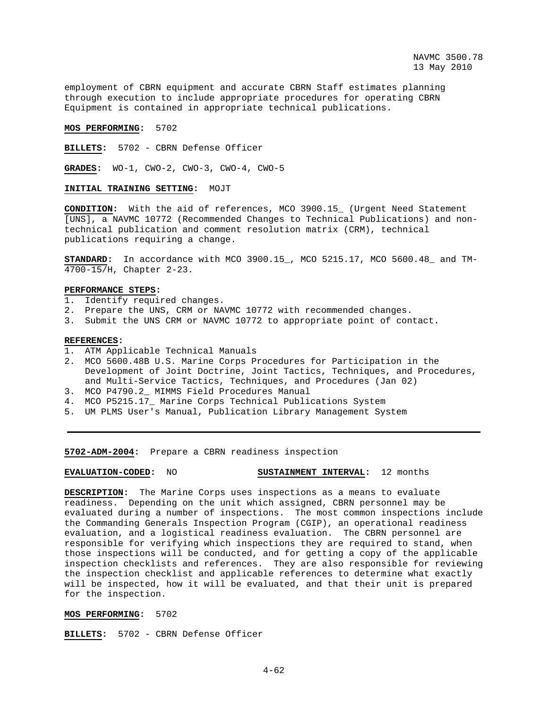employment of CBRN equipment and accurate CBRN Staff estimates planning through execution to include appropriate procedures for operating CBRN Equipment is contained in appropriate technical publications.

# **MOS PERFORMING:** 5702

**BILLETS:** 5702 - CBRN Defense Officer

**GRADES:** WO-1, CWO-2, CWO-3, CWO-4, CWO-5

## **INITIAL TRAINING SETTING:** MOJT

**CONDITION:** With the aid of references, MCO 3900.15\_ (Urgent Need Statement [UNS], a NAVMC 10772 (Recommended Changes to Technical Publications) and nontechnical publication and comment resolution matrix (CRM), technical publications requiring a change.

**STANDARD:** In accordance with MCO 3900.15\_, MCO 5215.17, MCO 5600.48\_ and TM-4700-15/H, Chapter 2-23.

## **PERFORMANCE STEPS:**

- 1. Identify required changes.
- 2. Prepare the UNS, CRM or NAVMC 10772 with recommended changes.
- 3. Submit the UNS CRM or NAVMC 10772 to appropriate point of contact.

### **REFERENCES:**

- 1. ATM Applicable Technical Manuals
- 2. MCO 5600.48B U.S. Marine Corps Procedures for Participation in the Development of Joint Doctrine, Joint Tactics, Techniques, and Procedures, and Multi-Service Tactics, Techniques, and Procedures (Jan 02)
- 3. MCO P4790.2 MIMMS Field Procedures Manual
- 4. MCO P5215.17\_ Marine Corps Technical Publications System
- 5. UM PLMS User's Manual, Publication Library Management System

# **5702-ADM-2004:** Prepare a CBRN readiness inspection

**EVALUATION-CODED:** NO **SUSTAINMENT INTERVAL:** 12 months

**DESCRIPTION:** The Marine Corps uses inspections as a means to evaluate readiness. Depending on the unit which assigned, CBRN personnel may be evaluated during a number of inspections. The most common inspections include the Commanding Generals Inspection Program (CGIP), an operational readiness evaluation, and a logistical readiness evaluation. The CBRN personnel are responsible for verifying which inspections they are required to stand, when those inspections will be conducted, and for getting a copy of the applicable inspection checklists and references. They are also responsible for reviewing the inspection checklist and applicable references to determine what exactly will be inspected, how it will be evaluated, and that their unit is prepared for the inspection.

## **MOS PERFORMING:** 5702

**BILLETS:** 5702 - CBRN Defense Officer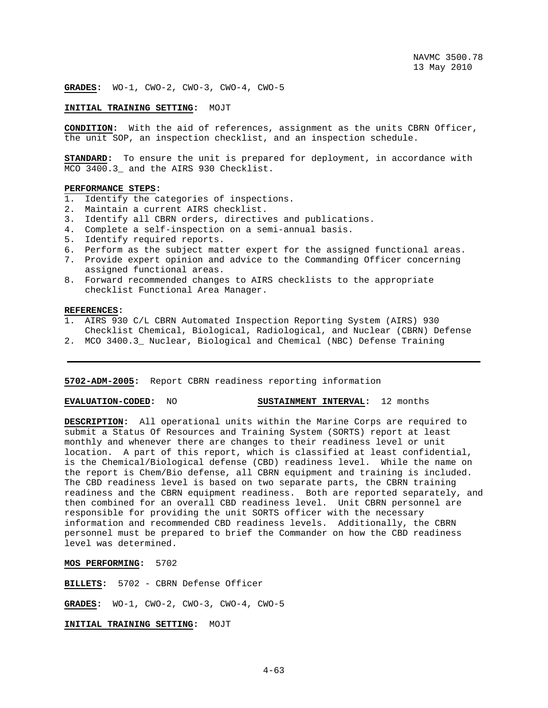**GRADES:** WO-1, CWO-2, CWO-3, CWO-4, CWO-5

## **INITIAL TRAINING SETTING:** MOJT

**CONDITION:** With the aid of references, assignment as the units CBRN Officer, the unit SOP, an inspection checklist, and an inspection schedule.

**STANDARD:** To ensure the unit is prepared for deployment, in accordance with MCO 3400.3 and the AIRS 930 Checklist.

## **PERFORMANCE STEPS:**

- 1. Identify the categories of inspections.
- 2. Maintain a current AIRS checklist.
- 3. Identify all CBRN orders, directives and publications.
- 4. Complete a self-inspection on a semi-annual basis.
- 5. Identify required reports.
- 6. Perform as the subject matter expert for the assigned functional areas.
- 7. Provide expert opinion and advice to the Commanding Officer concerning assigned functional areas.
- 8. Forward recommended changes to AIRS checklists to the appropriate checklist Functional Area Manager.

# **REFERENCES:**

- 1. AIRS 930 C/L CBRN Automated Inspection Reporting System (AIRS) 930 Checklist Chemical, Biological, Radiological, and Nuclear (CBRN) Defense
- 2. MCO 3400.3\_ Nuclear, Biological and Chemical (NBC) Defense Training

#### **5702-ADM-2005:** Report CBRN readiness reporting information

**EVALUATION-CODED:** NO **SUSTAINMENT INTERVAL:** 12 months

**DESCRIPTION:** All operational units within the Marine Corps are required to submit a Status Of Resources and Training System (SORTS) report at least monthly and whenever there are changes to their readiness level or unit location. A part of this report, which is classified at least confidential, is the Chemical/Biological defense (CBD) readiness level. While the name on the report is Chem/Bio defense, all CBRN equipment and training is included. The CBD readiness level is based on two separate parts, the CBRN training readiness and the CBRN equipment readiness. Both are reported separately, and then combined for an overall CBD readiness level. Unit CBRN personnel are responsible for providing the unit SORTS officer with the necessary information and recommended CBD readiness levels. Additionally, the CBRN personnel must be prepared to brief the Commander on how the CBD readiness level was determined.

#### **MOS PERFORMING:** 5702

**BILLETS:** 5702 - CBRN Defense Officer

**GRADES:** WO-1, CWO-2, CWO-3, CWO-4, CWO-5

## **INITIAL TRAINING SETTING:** MOJT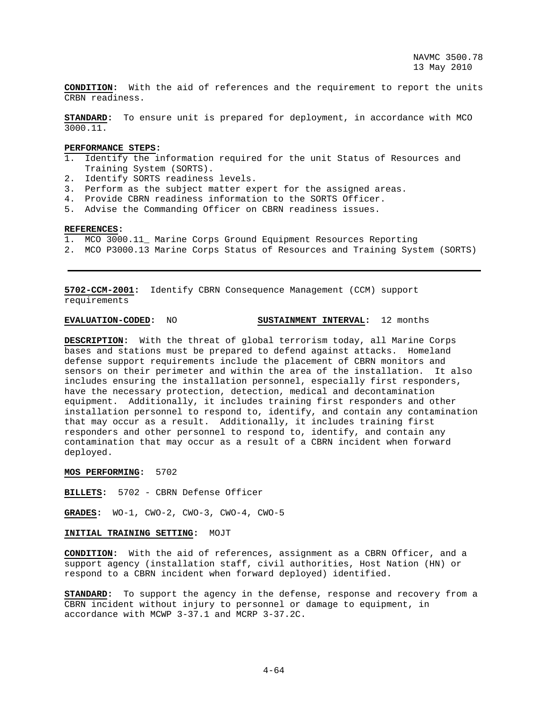**CONDITION:** With the aid of references and the requirement to report the units CRBN readiness.

**STANDARD:** To ensure unit is prepared for deployment, in accordance with MCO 3000.11.

#### **PERFORMANCE STEPS:**

- 1. Identify the information required for the unit Status of Resources and Training System (SORTS).
- 2. Identify SORTS readiness levels.
- 3. Perform as the subject matter expert for the assigned areas.
- 4. Provide CBRN readiness information to the SORTS Officer.
- 5. Advise the Commanding Officer on CBRN readiness issues.

#### **REFERENCES:**

- 1. MCO 3000.11\_ Marine Corps Ground Equipment Resources Reporting
- 2. MCO P3000.13 Marine Corps Status of Resources and Training System (SORTS)

**5702-CCM-2001:** Identify CBRN Consequence Management (CCM) support requirements

**EVALUATION-CODED:** NO **SUSTAINMENT INTERVAL:** 12 months

**DESCRIPTION:** With the threat of global terrorism today, all Marine Corps bases and stations must be prepared to defend against attacks. Homeland defense support requirements include the placement of CBRN monitors and sensors on their perimeter and within the area of the installation. It also includes ensuring the installation personnel, especially first responders, have the necessary protection, detection, medical and decontamination equipment. Additionally, it includes training first responders and other installation personnel to respond to, identify, and contain any contamination that may occur as a result. Additionally, it includes training first responders and other personnel to respond to, identify, and contain any contamination that may occur as a result of a CBRN incident when forward deployed.

## **MOS PERFORMING:** 5702

**BILLETS:** 5702 - CBRN Defense Officer

**GRADES:** WO-1, CWO-2, CWO-3, CWO-4, CWO-5

#### **INITIAL TRAINING SETTING:** MOJT

**CONDITION:** With the aid of references, assignment as a CBRN Officer, and a support agency (installation staff, civil authorities, Host Nation (HN) or respond to a CBRN incident when forward deployed) identified.

**STANDARD:** To support the agency in the defense, response and recovery from a CBRN incident without injury to personnel or damage to equipment, in accordance with MCWP 3-37.1 and MCRP 3-37.2C.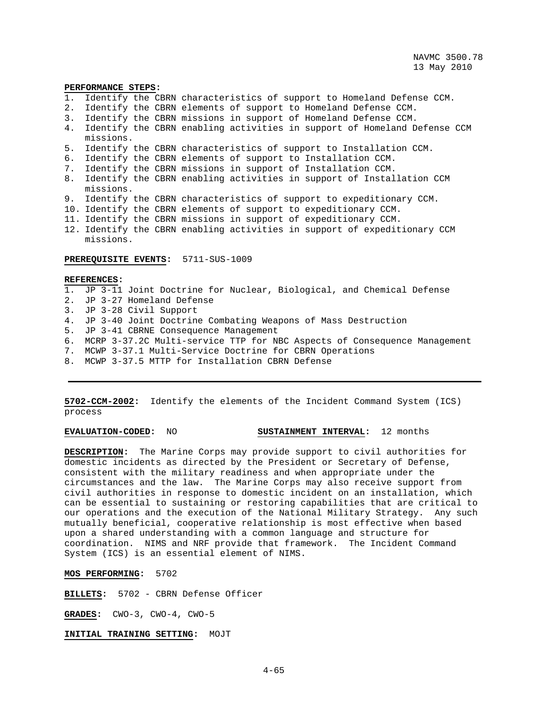#### **PERFORMANCE STEPS:**

- 1. Identify the CBRN characteristics of support to Homeland Defense CCM.
- 2. Identify the CBRN elements of support to Homeland Defense CCM.
- 3. Identify the CBRN missions in support of Homeland Defense CCM.
- 4. Identify the CBRN enabling activities in support of Homeland Defense CCM missions.
- 5. Identify the CBRN characteristics of support to Installation CCM.
- 6. Identify the CBRN elements of support to Installation CCM.
- 7. Identify the CBRN missions in support of Installation CCM.
- 8. Identify the CBRN enabling activities in support of Installation CCM missions.
- 9. Identify the CBRN characteristics of support to expeditionary CCM.
- 10. Identify the CBRN elements of support to expeditionary CCM.
- 11. Identify the CBRN missions in support of expeditionary CCM.
- 12. Identify the CBRN enabling activities in support of expeditionary CCM missions.

**PREREQUISITE EVENTS:** 5711-SUS-1009

## **REFERENCES:**

1. JP 3-11 Joint Doctrine for Nuclear, Biological, and Chemical Defense 2. JP 3-27 Homeland Defense 3. JP 3-28 Civil Support 4. JP 3-40 Joint Doctrine Combating Weapons of Mass Destruction 5. JP 3-41 CBRNE Consequence Management 6. MCRP 3-37.2C Multi-service TTP for NBC Aspects of Consequence Management 7. MCWP 3-37.1 Multi-Service Doctrine for CBRN Operations 8. MCWP 3-37.5 MTTP for Installation CBRN Defense

**5702-CCM-2002:** Identify the elements of the Incident Command System (ICS) process

**EVALUATION-CODED:** NO **SUSTAINMENT INTERVAL:** 12 months

**DESCRIPTION:** The Marine Corps may provide support to civil authorities for domestic incidents as directed by the President or Secretary of Defense, consistent with the military readiness and when appropriate under the circumstances and the law. The Marine Corps may also receive support from civil authorities in response to domestic incident on an installation, which can be essential to sustaining or restoring capabilities that are critical to our operations and the execution of the National Military Strategy. Any such mutually beneficial, cooperative relationship is most effective when based upon a shared understanding with a common language and structure for coordination. NIMS and NRF provide that framework. The Incident Command System (ICS) is an essential element of NIMS.

**MOS PERFORMING:** 5702

- **BILLETS:** 5702 CBRN Defense Officer
- **GRADES:** CWO-3, CWO-4, CWO-5
- **INITIAL TRAINING SETTING:** MOJT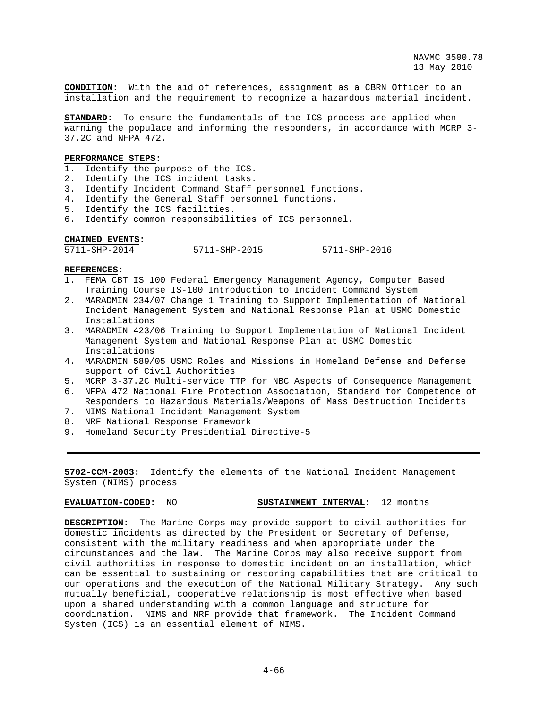**CONDITION:** With the aid of references, assignment as a CBRN Officer to an installation and the requirement to recognize a hazardous material incident.

**STANDARD:** To ensure the fundamentals of the ICS process are applied when warning the populace and informing the responders, in accordance with MCRP 3- 37.2C and NFPA 472.

## **PERFORMANCE STEPS:**

- 1. Identify the purpose of the ICS.
- 2. Identify the ICS incident tasks.
- 3. Identify Incident Command Staff personnel functions.
- 4. Identify the General Staff personnel functions.
- 5. Identify the ICS facilities.
- 6. Identify common responsibilities of ICS personnel.

#### **CHAINED EVENTS:**

5711-SHP-2014 5711-SHP-2015 5711-SHP-2016

# **REFERENCES:**

- 1. FEMA CBT IS 100 Federal Emergency Management Agency, Computer Based Training Course IS-100 Introduction to Incident Command System
- 2. MARADMIN 234/07 Change 1 Training to Support Implementation of National Incident Management System and National Response Plan at USMC Domestic Installations
- 3. MARADMIN 423/06 Training to Support Implementation of National Incident Management System and National Response Plan at USMC Domestic Installations
- 4. MARADMIN 589/05 USMC Roles and Missions in Homeland Defense and Defense support of Civil Authorities
- 5. MCRP 3-37.2C Multi-service TTP for NBC Aspects of Consequence Management
- 6. NFPA 472 National Fire Protection Association, Standard for Competence of Responders to Hazardous Materials/Weapons of Mass Destruction Incidents
- 7. NIMS National Incident Management System
- 8. NRF National Response Framework
- 9. Homeland Security Presidential Directive-5

**5702-CCM-2003:** Identify the elements of the National Incident Management System (NIMS) process

# **EVALUATION-CODED:** NO **SUSTAINMENT INTERVAL:** 12 months

**DESCRIPTION:** The Marine Corps may provide support to civil authorities for domestic incidents as directed by the President or Secretary of Defense, consistent with the military readiness and when appropriate under the circumstances and the law. The Marine Corps may also receive support from civil authorities in response to domestic incident on an installation, which can be essential to sustaining or restoring capabilities that are critical to our operations and the execution of the National Military Strategy. Any such mutually beneficial, cooperative relationship is most effective when based upon a shared understanding with a common language and structure for coordination. NIMS and NRF provide that framework. The Incident Command System (ICS) is an essential element of NIMS.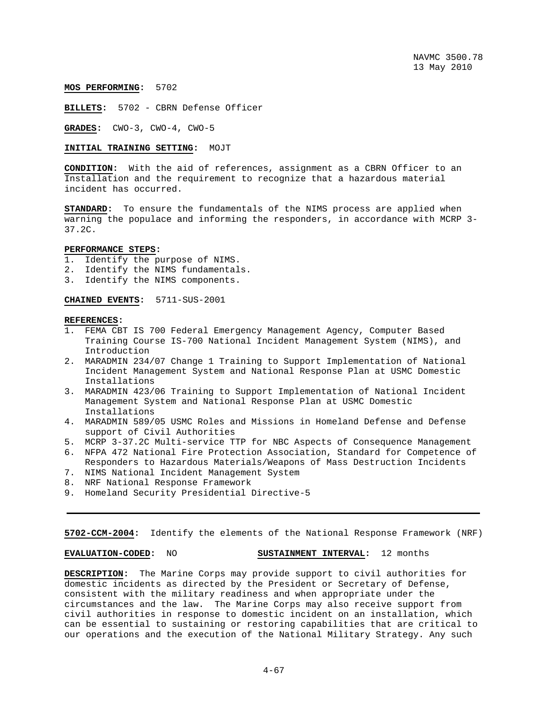**MOS PERFORMING:** 5702

**BILLETS:** 5702 - CBRN Defense Officer

**GRADES:** CWO-3, CWO-4, CWO-5

#### **INITIAL TRAINING SETTING:** MOJT

**CONDITION:** With the aid of references, assignment as a CBRN Officer to an Installation and the requirement to recognize that a hazardous material incident has occurred.

**STANDARD:** To ensure the fundamentals of the NIMS process are applied when warning the populace and informing the responders, in accordance with MCRP 3- 37.2C.

## **PERFORMANCE STEPS:**

- 1. Identify the purpose of NIMS.
- 2. Identify the NIMS fundamentals.
- 3. Identify the NIMS components.

**CHAINED EVENTS:** 5711-SUS-2001

#### **REFERENCES:**

- 1. FEMA CBT IS 700 Federal Emergency Management Agency, Computer Based Training Course IS-700 National Incident Management System (NIMS), and Introduction
- 2. MARADMIN 234/07 Change 1 Training to Support Implementation of National Incident Management System and National Response Plan at USMC Domestic Installations
- 3. MARADMIN 423/06 Training to Support Implementation of National Incident Management System and National Response Plan at USMC Domestic Installations
- 4. MARADMIN 589/05 USMC Roles and Missions in Homeland Defense and Defense support of Civil Authorities
- 5. MCRP 3-37.2C Multi-service TTP for NBC Aspects of Consequence Management
- 6. NFPA 472 National Fire Protection Association, Standard for Competence of Responders to Hazardous Materials/Weapons of Mass Destruction Incidents
- 7. NIMS National Incident Management System
- 8. NRF National Response Framework
- 9. Homeland Security Presidential Directive-5

**5702-CCM-2004:** Identify the elements of the National Response Framework (NRF)

**EVALUATION-CODED:** NO **SUSTAINMENT INTERVAL:** 12 months

**DESCRIPTION:** The Marine Corps may provide support to civil authorities for domestic incidents as directed by the President or Secretary of Defense, consistent with the military readiness and when appropriate under the circumstances and the law. The Marine Corps may also receive support from civil authorities in response to domestic incident on an installation, which can be essential to sustaining or restoring capabilities that are critical to our operations and the execution of the National Military Strategy. Any such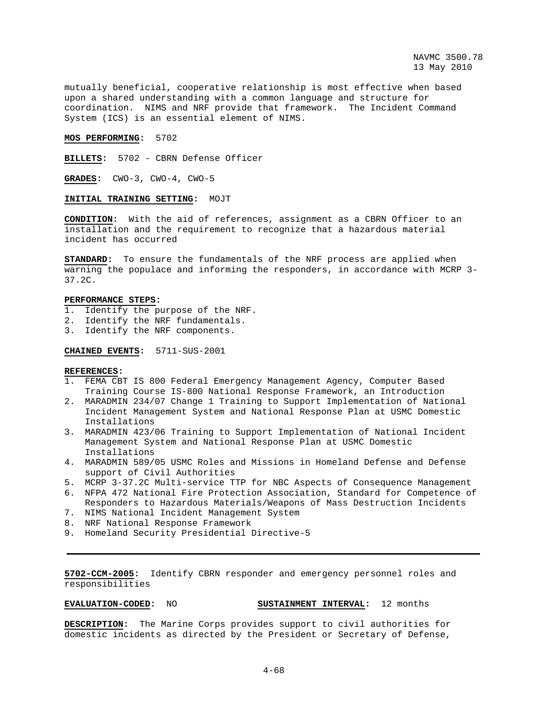mutually beneficial, cooperative relationship is most effective when based upon a shared understanding with a common language and structure for coordination. NIMS and NRF provide that framework. The Incident Command System (ICS) is an essential element of NIMS.

## **MOS PERFORMING:** 5702

**BILLETS:** 5702 - CBRN Defense Officer

**GRADES:** CWO-3, CWO-4, CWO-5

## **INITIAL TRAINING SETTING:** MOJT

**CONDITION:** With the aid of references, assignment as a CBRN Officer to an installation and the requirement to recognize that a hazardous material incident has occurred

**STANDARD:** To ensure the fundamentals of the NRF process are applied when warning the populace and informing the responders, in accordance with MCRP 3- 37.2C.

## **PERFORMANCE STEPS:**

- 1. Identify the purpose of the NRF.
- 2. Identify the NRF fundamentals.
- 3. Identify the NRF components.

**CHAINED EVENTS:** 5711-SUS-2001

#### **REFERENCES:**

- 1. FEMA CBT IS 800 Federal Emergency Management Agency, Computer Based Training Course IS-800 National Response Framework, an Introduction
- 2. MARADMIN 234/07 Change 1 Training to Support Implementation of National Incident Management System and National Response Plan at USMC Domestic Installations
- 3. MARADMIN 423/06 Training to Support Implementation of National Incident Management System and National Response Plan at USMC Domestic Installations
- 4. MARADMIN 589/05 USMC Roles and Missions in Homeland Defense and Defense support of Civil Authorities
- 5. MCRP 3-37.2C Multi-service TTP for NBC Aspects of Consequence Management
- 6. NFPA 472 National Fire Protection Association, Standard for Competence of Responders to Hazardous Materials/Weapons of Mass Destruction Incidents
- 7. NIMS National Incident Management System
- 8. NRF National Response Framework
- 9. Homeland Security Presidential Directive-5

**5702-CCM-2005:** Identify CBRN responder and emergency personnel roles and responsibilities

**EVALUATION-CODED:** NO **SUSTAINMENT INTERVAL:** 12 months

**DESCRIPTION:** The Marine Corps provides support to civil authorities for domestic incidents as directed by the President or Secretary of Defense,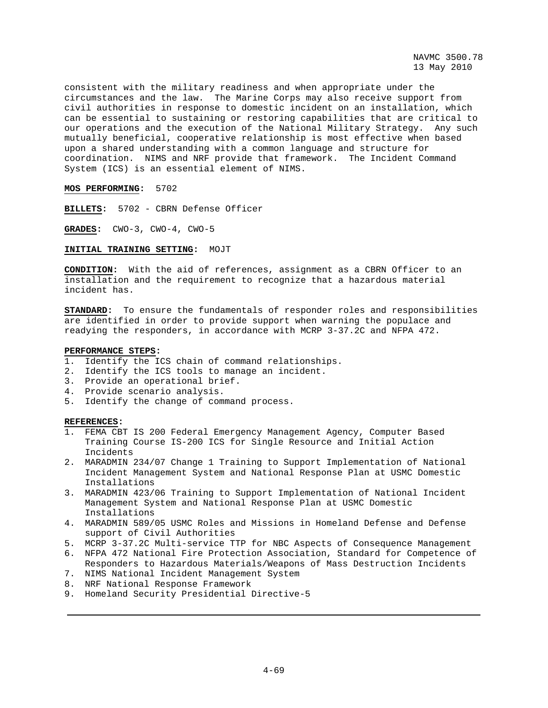consistent with the military readiness and when appropriate under the circumstances and the law. The Marine Corps may also receive support from civil authorities in response to domestic incident on an installation, which can be essential to sustaining or restoring capabilities that are critical to our operations and the execution of the National Military Strategy. Any such mutually beneficial, cooperative relationship is most effective when based upon a shared understanding with a common language and structure for coordination. NIMS and NRF provide that framework. The Incident Command System (ICS) is an essential element of NIMS.

**MOS PERFORMING:** 5702

**BILLETS:** 5702 - CBRN Defense Officer

**GRADES:** CWO-3, CWO-4, CWO-5

#### **INITIAL TRAINING SETTING:** MOJT

**CONDITION:** With the aid of references, assignment as a CBRN Officer to an installation and the requirement to recognize that a hazardous material incident has.

**STANDARD:** To ensure the fundamentals of responder roles and responsibilities are identified in order to provide support when warning the populace and readying the responders, in accordance with MCRP 3-37.2C and NFPA 472.

#### **PERFORMANCE STEPS:**

- 1. Identify the ICS chain of command relationships.
- 2. Identify the ICS tools to manage an incident.
- 3. Provide an operational brief.
- 4. Provide scenario analysis.
- 5. Identify the change of command process.

# **REFERENCES:**

- 1. FEMA CBT IS 200 Federal Emergency Management Agency, Computer Based Training Course IS-200 ICS for Single Resource and Initial Action Incidents
- 2. MARADMIN 234/07 Change 1 Training to Support Implementation of National Incident Management System and National Response Plan at USMC Domestic Installations
- 3. MARADMIN 423/06 Training to Support Implementation of National Incident Management System and National Response Plan at USMC Domestic Installations
- 4. MARADMIN 589/05 USMC Roles and Missions in Homeland Defense and Defense support of Civil Authorities
- 5. MCRP 3-37.2C Multi-service TTP for NBC Aspects of Consequence Management
- 6. NFPA 472 National Fire Protection Association, Standard for Competence of Responders to Hazardous Materials/Weapons of Mass Destruction Incidents
- 7. NIMS National Incident Management System
- 8. NRF National Response Framework
- 9. Homeland Security Presidential Directive-5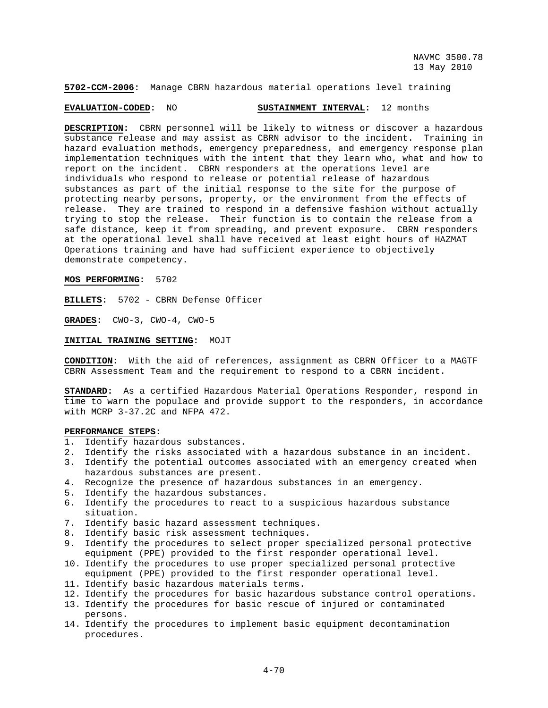**5702-CCM-2006:** Manage CBRN hazardous material operations level training

#### **EVALUATION-CODED:** NO **SUSTAINMENT INTERVAL:** 12 months

**DESCRIPTION:** CBRN personnel will be likely to witness or discover a hazardous substance release and may assist as CBRN advisor to the incident. Training in hazard evaluation methods, emergency preparedness, and emergency response plan implementation techniques with the intent that they learn who, what and how to report on the incident. CBRN responders at the operations level are individuals who respond to release or potential release of hazardous substances as part of the initial response to the site for the purpose of protecting nearby persons, property, or the environment from the effects of release. They are trained to respond in a defensive fashion without actually trying to stop the release. Their function is to contain the release from a safe distance, keep it from spreading, and prevent exposure. CBRN responders at the operational level shall have received at least eight hours of HAZMAT Operations training and have had sufficient experience to objectively demonstrate competency.

**MOS PERFORMING:** 5702

**BILLETS:** 5702 - CBRN Defense Officer

**GRADES:** CWO-3, CWO-4, CWO-5

**INITIAL TRAINING SETTING:** MOJT

**CONDITION:** With the aid of references, assignment as CBRN Officer to a MAGTF CBRN Assessment Team and the requirement to respond to a CBRN incident.

**STANDARD:** As a certified Hazardous Material Operations Responder, respond in time to warn the populace and provide support to the responders, in accordance with MCRP 3-37.2C and NFPA 472.

# **PERFORMANCE STEPS:**

- 1. Identify hazardous substances.
- 2. Identify the risks associated with a hazardous substance in an incident.
- 3. Identify the potential outcomes associated with an emergency created when hazardous substances are present.
- 4. Recognize the presence of hazardous substances in an emergency.
- 5. Identify the hazardous substances.
- 6. Identify the procedures to react to a suspicious hazardous substance situation.
- 7. Identify basic hazard assessment techniques.
- 8. Identify basic risk assessment techniques.
- 9. Identify the procedures to select proper specialized personal protective equipment (PPE) provided to the first responder operational level.
- 10. Identify the procedures to use proper specialized personal protective equipment (PPE) provided to the first responder operational level.
- 11. Identify basic hazardous materials terms.
- 12. Identify the procedures for basic hazardous substance control operations.
- 13. Identify the procedures for basic rescue of injured or contaminated persons.
- 14. Identify the procedures to implement basic equipment decontamination procedures.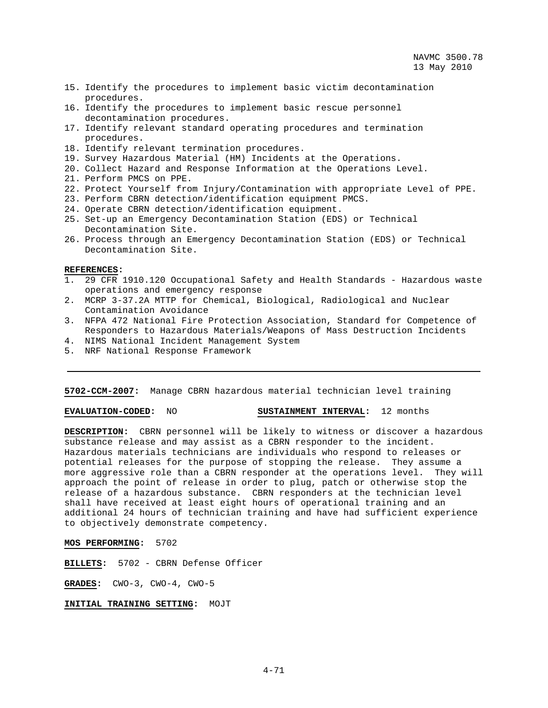- 15. Identify the procedures to implement basic victim decontamination procedures.
- 16. Identify the procedures to implement basic rescue personnel decontamination procedures.
- 17. Identify relevant standard operating procedures and termination procedures.
- 18. Identify relevant termination procedures.
- 19. Survey Hazardous Material (HM) Incidents at the Operations.
- 20. Collect Hazard and Response Information at the Operations Level.
- 21. Perform PMCS on PPE.
- 22. Protect Yourself from Injury/Contamination with appropriate Level of PPE.
- 23. Perform CBRN detection/identification equipment PMCS.
- 24. Operate CBRN detection/identification equipment.
- 25. Set-up an Emergency Decontamination Station (EDS) or Technical Decontamination Site.
- 26. Process through an Emergency Decontamination Station (EDS) or Technical Decontamination Site.

#### **REFERENCES:**

- 1. 29 CFR 1910.120 Occupational Safety and Health Standards Hazardous waste operations and emergency response
- 2. MCRP 3-37.2A MTTP for Chemical, Biological, Radiological and Nuclear Contamination Avoidance
- 3. NFPA 472 National Fire Protection Association, Standard for Competence of Responders to Hazardous Materials/Weapons of Mass Destruction Incidents
- 4. NIMS National Incident Management System
- 5. NRF National Response Framework

**5702-CCM-2007:** Manage CBRN hazardous material technician level training

**EVALUATION-CODED:** NO **SUSTAINMENT INTERVAL:** 12 months

**DESCRIPTION:** CBRN personnel will be likely to witness or discover a hazardous substance release and may assist as a CBRN responder to the incident. Hazardous materials technicians are individuals who respond to releases or potential releases for the purpose of stopping the release. They assume a more aggressive role than a CBRN responder at the operations level. They will approach the point of release in order to plug, patch or otherwise stop the release of a hazardous substance. CBRN responders at the technician level shall have received at least eight hours of operational training and an additional 24 hours of technician training and have had sufficient experience to objectively demonstrate competency.

**MOS PERFORMING:** 5702

**BILLETS:** 5702 - CBRN Defense Officer

**GRADES:** CWO-3, CWO-4, CWO-5

#### **INITIAL TRAINING SETTING:** MOJT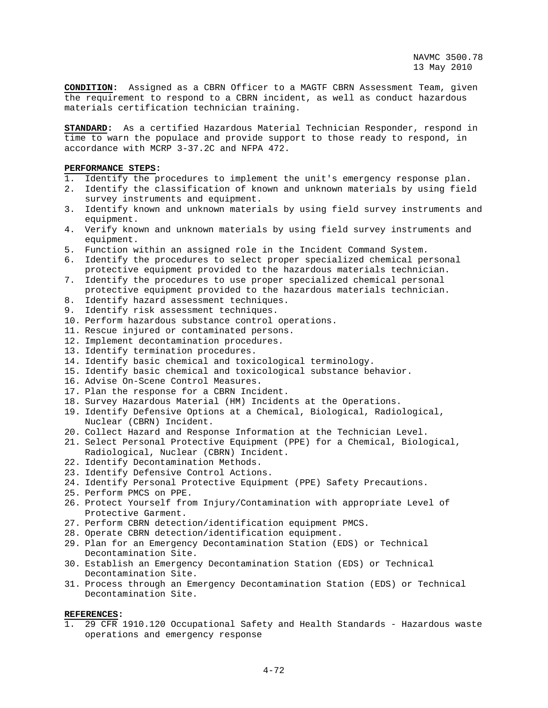**CONDITION:** Assigned as a CBRN Officer to a MAGTF CBRN Assessment Team, given the requirement to respond to a CBRN incident, as well as conduct hazardous materials certification technician training.

**STANDARD:** As a certified Hazardous Material Technician Responder, respond in time to warn the populace and provide support to those ready to respond, in accordance with MCRP 3-37.2C and NFPA 472.

# **PERFORMANCE STEPS:**

- 1. Identify the procedures to implement the unit's emergency response plan.
- 2. Identify the classification of known and unknown materials by using field survey instruments and equipment.
- 3. Identify known and unknown materials by using field survey instruments and equipment.
- 4. Verify known and unknown materials by using field survey instruments and equipment.
- 5. Function within an assigned role in the Incident Command System.
- 6. Identify the procedures to select proper specialized chemical personal protective equipment provided to the hazardous materials technician.
- 7. Identify the procedures to use proper specialized chemical personal protective equipment provided to the hazardous materials technician.
- 8. Identify hazard assessment techniques.
- 9. Identify risk assessment techniques.
- 10. Perform hazardous substance control operations.
- 11. Rescue injured or contaminated persons.
- 12. Implement decontamination procedures.
- 13. Identify termination procedures.
- 14. Identify basic chemical and toxicological terminology.
- 15. Identify basic chemical and toxicological substance behavior.
- 16. Advise On-Scene Control Measures.
- 17. Plan the response for a CBRN Incident.
- 18. Survey Hazardous Material (HM) Incidents at the Operations.
- 19. Identify Defensive Options at a Chemical, Biological, Radiological, Nuclear (CBRN) Incident.
- 20. Collect Hazard and Response Information at the Technician Level.
- 21. Select Personal Protective Equipment (PPE) for a Chemical, Biological, Radiological, Nuclear (CBRN) Incident.
- 22. Identify Decontamination Methods.
- 23. Identify Defensive Control Actions.
- 24. Identify Personal Protective Equipment (PPE) Safety Precautions.
- 25. Perform PMCS on PPE.
- 26. Protect Yourself from Injury/Contamination with appropriate Level of Protective Garment.
- 27. Perform CBRN detection/identification equipment PMCS.
- 28. Operate CBRN detection/identification equipment.
- 29. Plan for an Emergency Decontamination Station (EDS) or Technical Decontamination Site.
- 30. Establish an Emergency Decontamination Station (EDS) or Technical Decontamination Site.
- 31. Process through an Emergency Decontamination Station (EDS) or Technical Decontamination Site.

### **REFERENCES:**

1. 29 CFR 1910.120 Occupational Safety and Health Standards - Hazardous waste operations and emergency response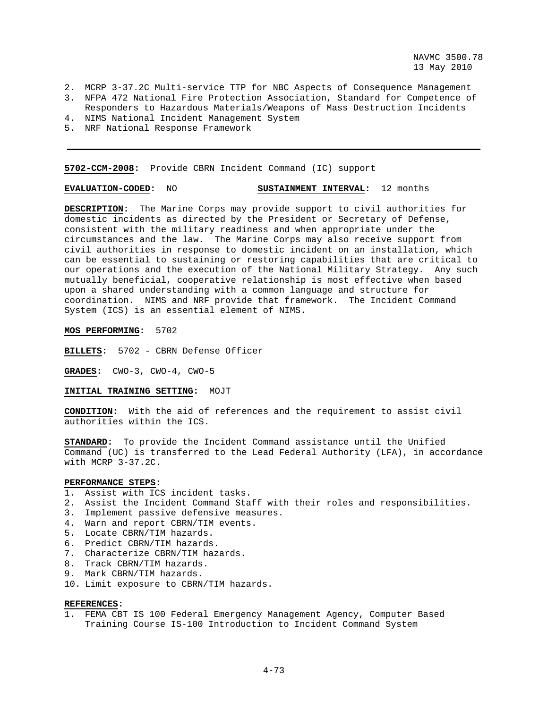- 2. MCRP 3-37.2C Multi-service TTP for NBC Aspects of Consequence Management
- 3. NFPA 472 National Fire Protection Association, Standard for Competence of Responders to Hazardous Materials/Weapons of Mass Destruction Incidents
- 4. NIMS National Incident Management System
- 5. NRF National Response Framework

**5702-CCM-2008:** Provide CBRN Incident Command (IC) support

**EVALUATION-CODED:** NO **SUSTAINMENT INTERVAL:** 12 months

**DESCRIPTION:** The Marine Corps may provide support to civil authorities for domestic incidents as directed by the President or Secretary of Defense, consistent with the military readiness and when appropriate under the circumstances and the law. The Marine Corps may also receive support from civil authorities in response to domestic incident on an installation, which can be essential to sustaining or restoring capabilities that are critical to our operations and the execution of the National Military Strategy. Any such mutually beneficial, cooperative relationship is most effective when based upon a shared understanding with a common language and structure for coordination. NIMS and NRF provide that framework. The Incident Command System (ICS) is an essential element of NIMS.

**MOS PERFORMING:** 5702

**BILLETS:** 5702 - CBRN Defense Officer

**GRADES:** CWO-3, CWO-4, CWO-5

**INITIAL TRAINING SETTING:** MOJT

**CONDITION:** With the aid of references and the requirement to assist civil authorities within the ICS.

**STANDARD:** To provide the Incident Command assistance until the Unified Command (UC) is transferred to the Lead Federal Authority (LFA), in accordance with MCRP 3-37.2C.

# **PERFORMANCE STEPS:**

- 1. Assist with ICS incident tasks.
- 2. Assist the Incident Command Staff with their roles and responsibilities.
- 3. Implement passive defensive measures.
- 4. Warn and report CBRN/TIM events.
- 5. Locate CBRN/TIM hazards.
- 6. Predict CBRN/TIM hazards.
- 7. Characterize CBRN/TIM hazards.
- 8. Track CBRN/TIM hazards.
- 9. Mark CBRN/TIM hazards.
- 10. Limit exposure to CBRN/TIM hazards.

### **REFERENCES:**

1. FEMA CBT IS 100 Federal Emergency Management Agency, Computer Based Training Course IS-100 Introduction to Incident Command System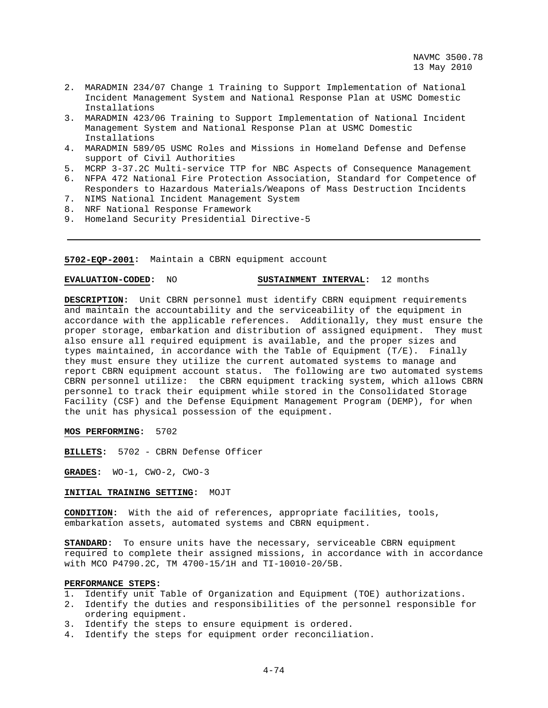- 2. MARADMIN 234/07 Change 1 Training to Support Implementation of National Incident Management System and National Response Plan at USMC Domestic Installations
- 3. MARADMIN 423/06 Training to Support Implementation of National Incident Management System and National Response Plan at USMC Domestic Installations
- 4. MARADMIN 589/05 USMC Roles and Missions in Homeland Defense and Defense support of Civil Authorities
- 5. MCRP 3-37.2C Multi-service TTP for NBC Aspects of Consequence Management
- 6. NFPA 472 National Fire Protection Association, Standard for Competence of Responders to Hazardous Materials/Weapons of Mass Destruction Incidents
- 7. NIMS National Incident Management System
- 8. NRF National Response Framework
- 9. Homeland Security Presidential Directive-5

**5702-EQP-2001:** Maintain a CBRN equipment account

**EVALUATION-CODED:** NO **SUSTAINMENT INTERVAL:** 12 months

**DESCRIPTION:** Unit CBRN personnel must identify CBRN equipment requirements and maintain the accountability and the serviceability of the equipment in accordance with the applicable references. Additionally, they must ensure the proper storage, embarkation and distribution of assigned equipment. They must also ensure all required equipment is available, and the proper sizes and types maintained, in accordance with the Table of Equipment (T/E). Finally they must ensure they utilize the current automated systems to manage and report CBRN equipment account status. The following are two automated systems CBRN personnel utilize: the CBRN equipment tracking system, which allows CBRN personnel to track their equipment while stored in the Consolidated Storage Facility (CSF) and the Defense Equipment Management Program (DEMP), for when the unit has physical possession of the equipment.

**MOS PERFORMING:** 5702

**BILLETS:** 5702 - CBRN Defense Officer

**GRADES:** WO-1, CWO-2, CWO-3

**INITIAL TRAINING SETTING:** MOJT

**CONDITION:** With the aid of references, appropriate facilities, tools, embarkation assets, automated systems and CBRN equipment.

**STANDARD:** To ensure units have the necessary, serviceable CBRN equipment required to complete their assigned missions, in accordance with in accordance with MCO P4790.2C, TM 4700-15/1H and TI-10010-20/5B.

#### **PERFORMANCE STEPS:**

- 1. Identify unit Table of Organization and Equipment (TOE) authorizations.
- 2. Identify the duties and responsibilities of the personnel responsible for ordering equipment.
- 3. Identify the steps to ensure equipment is ordered.
- 4. Identify the steps for equipment order reconciliation.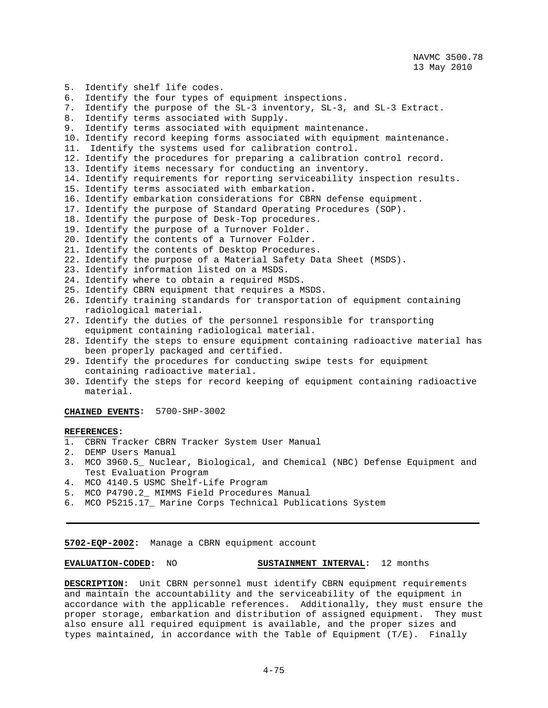- 5. Identify shelf life codes.
- 6. Identify the four types of equipment inspections.
- 7. Identify the purpose of the SL-3 inventory, SL-3, and SL-3 Extract.
- 8. Identify terms associated with Supply.
- 9. Identify terms associated with equipment maintenance.
- 10. Identify record keeping forms associated with equipment maintenance.
- 11. Identify the systems used for calibration control.
- 12. Identify the procedures for preparing a calibration control record.
- 13. Identify items necessary for conducting an inventory.
- 14. Identify requirements for reporting serviceability inspection results.
- 15. Identify terms associated with embarkation.
- 16. Identify embarkation considerations for CBRN defense equipment.
- 17. Identify the purpose of Standard Operating Procedures (SOP).
- 18. Identify the purpose of Desk-Top procedures.
- 19. Identify the purpose of a Turnover Folder.
- 20. Identify the contents of a Turnover Folder.
- 21. Identify the contents of Desktop Procedures.
- 22. Identify the purpose of a Material Safety Data Sheet (MSDS).
- 23. Identify information listed on a MSDS.
- 24. Identify where to obtain a required MSDS.
- 25. Identify CBRN equipment that requires a MSDS.
- 26. Identify training standards for transportation of equipment containing radiological material.
- 27. Identify the duties of the personnel responsible for transporting equipment containing radiological material.
- 28. Identify the steps to ensure equipment containing radioactive material has been properly packaged and certified.
- 29. Identify the procedures for conducting swipe tests for equipment containing radioactive material.
- 30. Identify the steps for record keeping of equipment containing radioactive material.

**CHAINED EVENTS:** 5700-SHP-3002

### **REFERENCES:**

- 1. CBRN Tracker CBRN Tracker System User Manual
- 2. DEMP Users Manual
- 3. MCO 3960.5\_ Nuclear, Biological, and Chemical (NBC) Defense Equipment and Test Evaluation Program
- 4. MCO 4140.5 USMC Shelf-Life Program
- 5. MCO P4790.2 MIMMS Field Procedures Manual
- 6. MCO P5215.17\_ Marine Corps Technical Publications System

**5702-EQP-2002:** Manage a CBRN equipment account

#### **EVALUATION-CODED:** NO **SUSTAINMENT INTERVAL:** 12 months

**DESCRIPTION:** Unit CBRN personnel must identify CBRN equipment requirements and maintain the accountability and the serviceability of the equipment in accordance with the applicable references. Additionally, they must ensure the proper storage, embarkation and distribution of assigned equipment. They must also ensure all required equipment is available, and the proper sizes and types maintained, in accordance with the Table of Equipment (T/E). Finally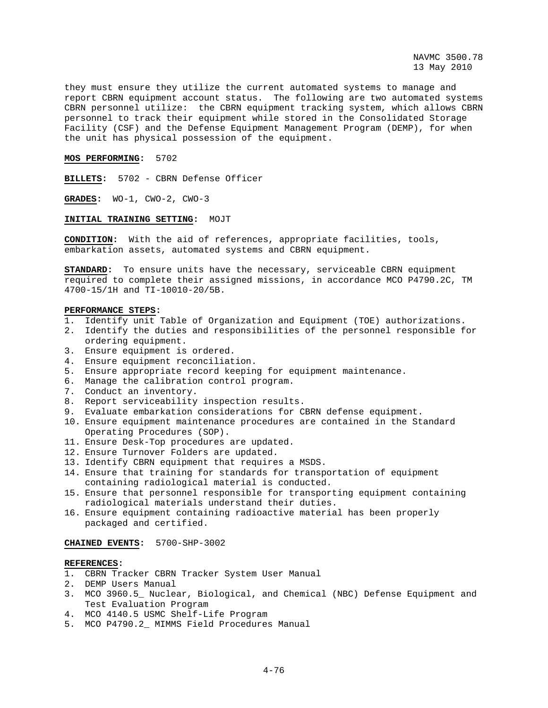they must ensure they utilize the current automated systems to manage and report CBRN equipment account status. The following are two automated systems CBRN personnel utilize: the CBRN equipment tracking system, which allows CBRN personnel to track their equipment while stored in the Consolidated Storage Facility (CSF) and the Defense Equipment Management Program (DEMP), for when the unit has physical possession of the equipment.

# **MOS PERFORMING:** 5702

**BILLETS:** 5702 - CBRN Defense Officer

**GRADES:** WO-1, CWO-2, CWO-3

#### **INITIAL TRAINING SETTING:** MOJT

**CONDITION:** With the aid of references, appropriate facilities, tools, embarkation assets, automated systems and CBRN equipment.

**STANDARD:** To ensure units have the necessary, serviceable CBRN equipment required to complete their assigned missions, in accordance MCO P4790.2C, TM 4700-15/1H and TI-10010-20/5B.

### **PERFORMANCE STEPS:**

- 1. Identify unit Table of Organization and Equipment (TOE) authorizations.
- 2. Identify the duties and responsibilities of the personnel responsible for ordering equipment.
- 3. Ensure equipment is ordered.
- 4. Ensure equipment reconciliation.
- 5. Ensure appropriate record keeping for equipment maintenance.
- 6. Manage the calibration control program.
- 7. Conduct an inventory.
- 8. Report serviceability inspection results.
- 9. Evaluate embarkation considerations for CBRN defense equipment.
- 10. Ensure equipment maintenance procedures are contained in the Standard Operating Procedures (SOP).
- 11. Ensure Desk-Top procedures are updated.
- 12. Ensure Turnover Folders are updated.
- 13. Identify CBRN equipment that requires a MSDS.
- 14. Ensure that training for standards for transportation of equipment containing radiological material is conducted.
- 15. Ensure that personnel responsible for transporting equipment containing radiological materials understand their duties.
- 16. Ensure equipment containing radioactive material has been properly packaged and certified.

# **CHAINED EVENTS:** 5700-SHP-3002

#### **REFERENCES:**

- 1. CBRN Tracker CBRN Tracker System User Manual
- 2. DEMP Users Manual
- 3. MCO 3960.5\_ Nuclear, Biological, and Chemical (NBC) Defense Equipment and Test Evaluation Program
- 4. MCO 4140.5 USMC Shelf-Life Program
- 5. MCO P4790.2\_ MIMMS Field Procedures Manual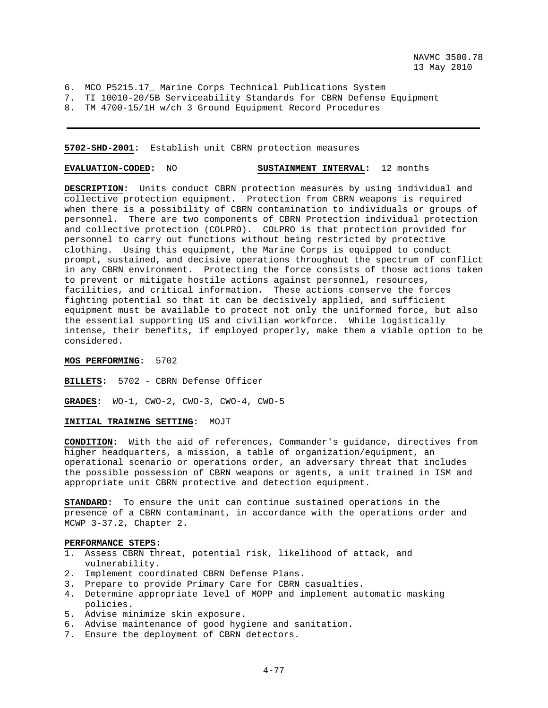6. MCO P5215.17\_ Marine Corps Technical Publications System

- 7. TI 10010-20/5B Serviceability Standards for CBRN Defense Equipment
- 8. TM 4700-15/1H w/ch 3 Ground Equipment Record Procedures

**5702-SHD-2001:** Establish unit CBRN protection measures

**EVALUATION-CODED:** NO **SUSTAINMENT INTERVAL:** 12 months

**DESCRIPTION:** Units conduct CBRN protection measures by using individual and collective protection equipment. Protection from CBRN weapons is required when there is a possibility of CBRN contamination to individuals or groups of personnel. There are two components of CBRN Protection individual protection and collective protection (COLPRO). COLPRO is that protection provided for personnel to carry out functions without being restricted by protective clothing. Using this equipment, the Marine Corps is equipped to conduct prompt, sustained, and decisive operations throughout the spectrum of conflict in any CBRN environment. Protecting the force consists of those actions taken to prevent or mitigate hostile actions against personnel, resources, facilities, and critical information. These actions conserve the forces fighting potential so that it can be decisively applied, and sufficient equipment must be available to protect not only the uniformed force, but also the essential supporting US and civilian workforce. While logistically intense, their benefits, if employed properly, make them a viable option to be considered.

#### **MOS PERFORMING:** 5702

**BILLETS:** 5702 - CBRN Defense Officer

**GRADES:** WO-1, CWO-2, CWO-3, CWO-4, CWO-5

**INITIAL TRAINING SETTING:** MOJT

**CONDITION:** With the aid of references, Commander's guidance, directives from higher headquarters, a mission, a table of organization/equipment, an operational scenario or operations order, an adversary threat that includes the possible possession of CBRN weapons or agents, a unit trained in ISM and appropriate unit CBRN protective and detection equipment.

**STANDARD:** To ensure the unit can continue sustained operations in the presence of a CBRN contaminant, in accordance with the operations order and MCWP 3-37.2, Chapter 2.

#### **PERFORMANCE STEPS:**

- 1. Assess CBRN threat, potential risk, likelihood of attack, and vulnerability.
- 2. Implement coordinated CBRN Defense Plans.
- 3. Prepare to provide Primary Care for CBRN casualties.
- 4. Determine appropriate level of MOPP and implement automatic masking policies.
- 5. Advise minimize skin exposure.
- 6. Advise maintenance of good hygiene and sanitation.
- 7. Ensure the deployment of CBRN detectors.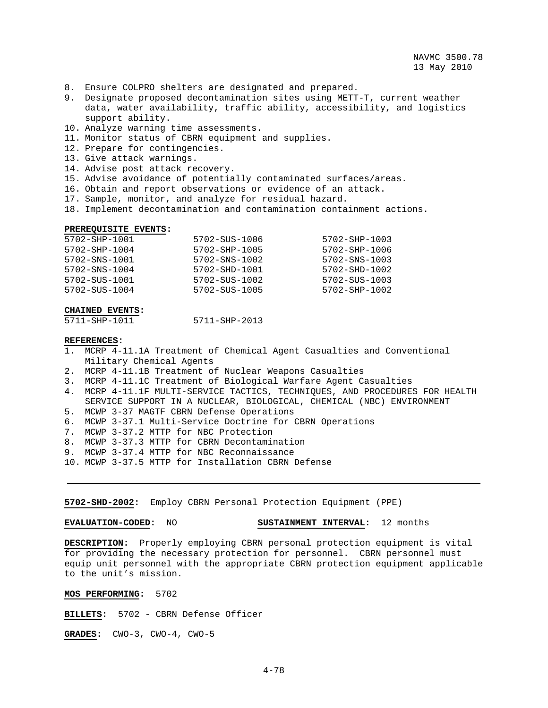- 8. Ensure COLPRO shelters are designated and prepared.
- 9. Designate proposed decontamination sites using METT-T, current weather data, water availability, traffic ability, accessibility, and logistics support ability.
- 10. Analyze warning time assessments.
- 11. Monitor status of CBRN equipment and supplies.
- 12. Prepare for contingencies.
- 13. Give attack warnings.
- 14. Advise post attack recovery.
- 15. Advise avoidance of potentially contaminated surfaces/areas.
- 16. Obtain and report observations or evidence of an attack.
- 17. Sample, monitor, and analyze for residual hazard.
- 18. Implement decontamination and contamination containment actions.

#### **PREREQUISITE EVENTS:**

| 5702-SUS-1006 | 5702-SHP-1003 |
|---------------|---------------|
| 5702-SHP-1005 | 5702-SHP-1006 |
| 5702-SNS-1002 | 5702-SNS-1003 |
| 5702-SHD-1001 | 5702-SHD-1002 |
| 5702-SUS-1002 | 5702-SUS-1003 |
| 5702-SUS-1005 | 5702-SHP-1002 |
|               |               |

#### **CHAINED EVENTS:**

5711-SHP-1011 5711-SHP-2013

#### **REFERENCES:**

- 1. MCRP 4-11.1A Treatment of Chemical Agent Casualties and Conventional Military Chemical Agents
- 2. MCRP 4-11.1B Treatment of Nuclear Weapons Casualties
- 3. MCRP 4-11.1C Treatment of Biological Warfare Agent Casualties
- 4. MCRP 4-11.1F MULTI-SERVICE TACTICS, TECHNIQUES, AND PROCEDURES FOR HEALTH SERVICE SUPPORT IN A NUCLEAR, BIOLOGICAL, CHEMICAL (NBC) ENVIRONMENT
- 5. MCWP 3-37 MAGTF CBRN Defense Operations
- 6. MCWP 3-37.1 Multi-Service Doctrine for CBRN Operations
- 7. MCWP 3-37.2 MTTP for NBC Protection
- 8. MCWP 3-37.3 MTTP for CBRN Decontamination
- 9. MCWP 3-37.4 MTTP for NBC Reconnaissance
- 10. MCWP 3-37.5 MTTP for Installation CBRN Defense

**5702-SHD-2002:** Employ CBRN Personal Protection Equipment (PPE)

**EVALUATION-CODED:** NO **SUSTAINMENT INTERVAL:** 12 months

**DESCRIPTION:** Properly employing CBRN personal protection equipment is vital for providing the necessary protection for personnel. CBRN personnel must equip unit personnel with the appropriate CBRN protection equipment applicable to the unit's mission.

#### **MOS PERFORMING:** 5702

**BILLETS:** 5702 - CBRN Defense Officer

**GRADES:** CWO-3, CWO-4, CWO-5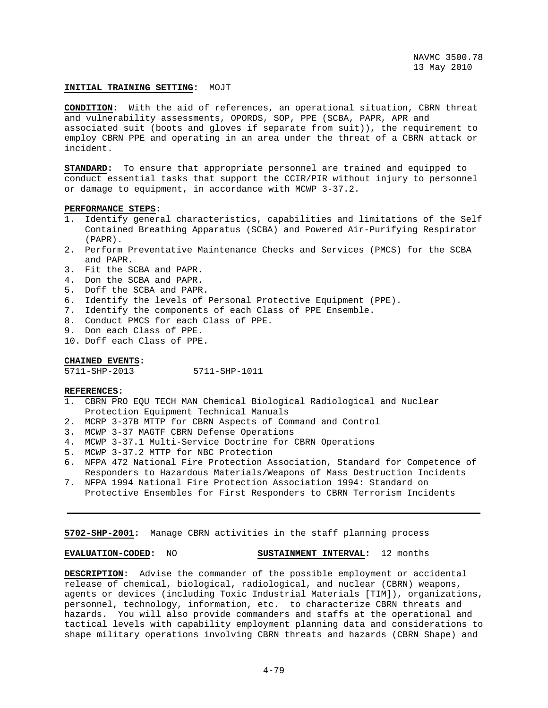#### **INITIAL TRAINING SETTING:** MOJT

**CONDITION:** With the aid of references, an operational situation, CBRN threat and vulnerability assessments, OPORDS, SOP, PPE (SCBA, PAPR, APR and associated suit (boots and gloves if separate from suit)), the requirement to employ CBRN PPE and operating in an area under the threat of a CBRN attack or incident.

**STANDARD:** To ensure that appropriate personnel are trained and equipped to conduct essential tasks that support the CCIR/PIR without injury to personnel or damage to equipment, in accordance with MCWP 3-37.2.

#### **PERFORMANCE STEPS:**

- 1. Identify general characteristics, capabilities and limitations of the Self Contained Breathing Apparatus (SCBA) and Powered Air-Purifying Respirator (PAPR).
- 2. Perform Preventative Maintenance Checks and Services (PMCS) for the SCBA and PAPR.
- 3. Fit the SCBA and PAPR.
- 4. Don the SCBA and PAPR.
- 5. Doff the SCBA and PAPR.
- 6. Identify the levels of Personal Protective Equipment (PPE).
- 7. Identify the components of each Class of PPE Ensemble.
- 8. Conduct PMCS for each Class of PPE.
- 9. Don each Class of PPE.
- 10. Doff each Class of PPE.

#### **CHAINED EVENTS:**

5711-SHP-2013 5711-SHP-1011

#### **REFERENCES:**

- 1. CBRN PRO EQU TECH MAN Chemical Biological Radiological and Nuclear Protection Equipment Technical Manuals
- 2. MCRP 3-37B MTTP for CBRN Aspects of Command and Control
- 3. MCWP 3-37 MAGTF CBRN Defense Operations
- 4. MCWP 3-37.1 Multi-Service Doctrine for CBRN Operations
- 5. MCWP 3-37.2 MTTP for NBC Protection
- 6. NFPA 472 National Fire Protection Association, Standard for Competence of Responders to Hazardous Materials/Weapons of Mass Destruction Incidents
- 7. NFPA 1994 National Fire Protection Association 1994: Standard on Protective Ensembles for First Responders to CBRN Terrorism Incidents

**5702-SHP-2001:** Manage CBRN activities in the staff planning process

**EVALUATION-CODED:** NO **SUSTAINMENT INTERVAL:** 12 months

**DESCRIPTION:** Advise the commander of the possible employment or accidental release of chemical, biological, radiological, and nuclear (CBRN) weapons, agents or devices (including Toxic Industrial Materials [TIM]), organizations, personnel, technology, information, etc. to characterize CBRN threats and hazards. You will also provide commanders and staffs at the operational and tactical levels with capability employment planning data and considerations to shape military operations involving CBRN threats and hazards (CBRN Shape) and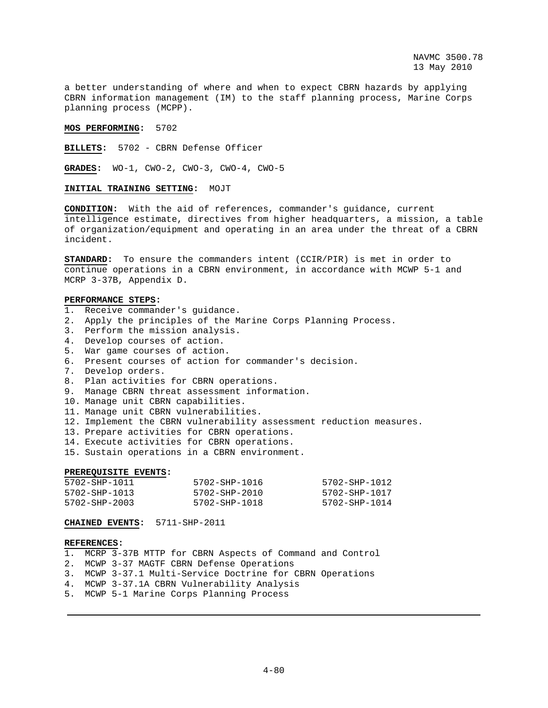a better understanding of where and when to expect CBRN hazards by applying CBRN information management (IM) to the staff planning process, Marine Corps planning process (MCPP).

### **MOS PERFORMING:** 5702

**BILLETS:** 5702 - CBRN Defense Officer

**GRADES:** WO-1, CWO-2, CWO-3, CWO-4, CWO-5

#### **INITIAL TRAINING SETTING:** MOJT

**CONDITION:** With the aid of references, commander's guidance, current intelligence estimate, directives from higher headquarters, a mission, a table of organization/equipment and operating in an area under the threat of a CBRN incident.

**STANDARD:** To ensure the commanders intent (CCIR/PIR) is met in order to continue operations in a CBRN environment, in accordance with MCWP 5-1 and MCRP 3-37B, Appendix D.

#### **PERFORMANCE STEPS:**

- 1. Receive commander's guidance.
- 2. Apply the principles of the Marine Corps Planning Process.
- 3. Perform the mission analysis.
- 4. Develop courses of action.
- 5. War game courses of action.
- 6. Present courses of action for commander's decision.
- 7. Develop orders.
- 8. Plan activities for CBRN operations.
- 9. Manage CBRN threat assessment information.
- 10. Manage unit CBRN capabilities.
- 11. Manage unit CBRN vulnerabilities.
- 12. Implement the CBRN vulnerability assessment reduction measures.
- 13. Prepare activities for CBRN operations.
- 14. Execute activities for CBRN operations.
- 15. Sustain operations in a CBRN environment.

# **PREREQUISITE EVENTS:**

| 5702-SHP-1011 | 5702-SHP-1016 | 5702-SHP-1012 |
|---------------|---------------|---------------|
| 5702-SHP-1013 | 5702-SHP-2010 | 5702-SHP-1017 |
| 5702-SHP-2003 | 5702-SHP-1018 | 5702-SHP-1014 |

**CHAINED EVENTS:** 5711-SHP-2011

#### **REFERENCES:**

- 1. MCRP 3-37B MTTP for CBRN Aspects of Command and Control
- 2. MCWP 3-37 MAGTF CBRN Defense Operations
- 3. MCWP 3-37.1 Multi-Service Doctrine for CBRN Operations
- 4. MCWP 3-37.1A CBRN Vulnerability Analysis
- 5. MCWP 5-1 Marine Corps Planning Process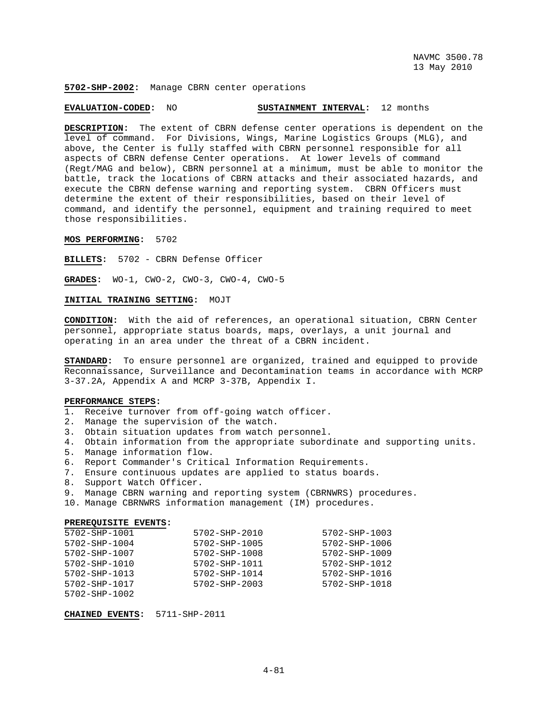**5702-SHP-2002:** Manage CBRN center operations

#### **EVALUATION-CODED:** NO **SUSTAINMENT INTERVAL:** 12 months

**DESCRIPTION:** The extent of CBRN defense center operations is dependent on the level of command. For Divisions, Wings, Marine Logistics Groups (MLG), and above, the Center is fully staffed with CBRN personnel responsible for all aspects of CBRN defense Center operations. At lower levels of command (Regt/MAG and below), CBRN personnel at a minimum, must be able to monitor the battle, track the locations of CBRN attacks and their associated hazards, and execute the CBRN defense warning and reporting system. CBRN Officers must determine the extent of their responsibilities, based on their level of command, and identify the personnel, equipment and training required to meet those responsibilities.

**MOS PERFORMING:** 5702

**BILLETS:** 5702 - CBRN Defense Officer

**GRADES:** WO-1, CWO-2, CWO-3, CWO-4, CWO-5

### **INITIAL TRAINING SETTING:** MOJT

**CONDITION:** With the aid of references, an operational situation, CBRN Center personnel, appropriate status boards, maps, overlays, a unit journal and operating in an area under the threat of a CBRN incident.

**STANDARD:** To ensure personnel are organized, trained and equipped to provide Reconnaissance, Surveillance and Decontamination teams in accordance with MCRP 3-37.2A, Appendix A and MCRP 3-37B, Appendix I.

#### **PERFORMANCE STEPS:**

- 1. Receive turnover from off-going watch officer.
- 2. Manage the supervision of the watch.
- 3. Obtain situation updates from watch personnel.
- 4. Obtain information from the appropriate subordinate and supporting units.
- 5. Manage information flow.
- 6. Report Commander's Critical Information Requirements.
- 7. Ensure continuous updates are applied to status boards.
- 8. Support Watch Officer.
- 9. Manage CBRN warning and reporting system (CBRNWRS) procedures.
- 10. Manage CBRNWRS information management (IM) procedures.

### **PREREQUISITE EVENTS:**

| 5702-SHP-1001 | 5702-SHP-2010 | 5702-SHP-1003 |
|---------------|---------------|---------------|
| 5702-SHP-1004 | 5702-SHP-1005 | 5702-SHP-1006 |
| 5702-SHP-1007 | 5702-SHP-1008 | 5702-SHP-1009 |
| 5702-SHP-1010 | 5702-SHP-1011 | 5702-SHP-1012 |
| 5702-SHP-1013 | 5702-SHP-1014 | 5702-SHP-1016 |
| 5702-SHP-1017 | 5702-SHP-2003 | 5702-SHP-1018 |
| 5702-SHP-1002 |               |               |

**CHAINED EVENTS:** 5711-SHP-2011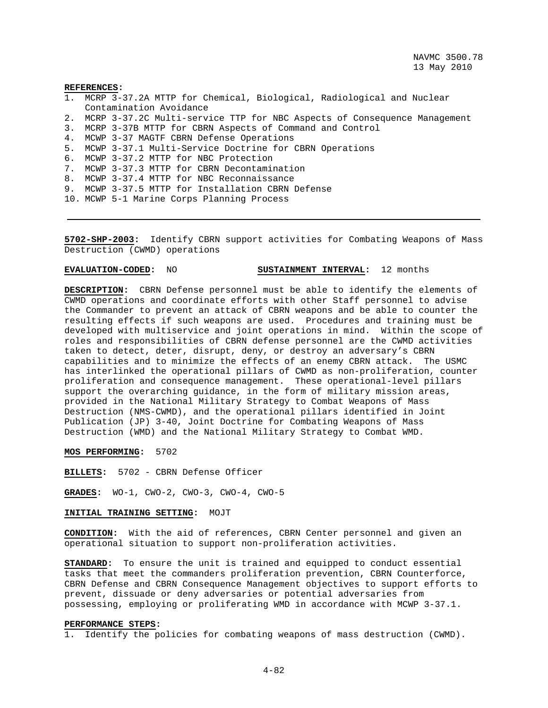**REFERENCES:** 1. MCRP 3-37.2A MTTP for Chemical, Biological, Radiological and Nuclear Contamination Avoidance 2. MCRP 3-37.2C Multi-service TTP for NBC Aspects of Consequence Management 3. MCRP 3-37B MTTP for CBRN Aspects of Command and Control 4. MCWP 3-37 MAGTF CBRN Defense Operations 5. MCWP 3-37.1 Multi-Service Doctrine for CBRN Operations 6. MCWP 3-37.2 MTTP for NBC Protection 7. MCWP 3-37.3 MTTP for CBRN Decontamination 8. MCWP 3-37.4 MTTP for NBC Reconnaissance 9. MCWP 3-37.5 MTTP for Installation CBRN Defense 10. MCWP 5-1 Marine Corps Planning Process

**5702-SHP-2003:** Identify CBRN support activities for Combating Weapons of Mass Destruction (CWMD) operations

#### **EVALUATION-CODED:** NO **SUSTAINMENT INTERVAL:** 12 months

**DESCRIPTION:** CBRN Defense personnel must be able to identify the elements of CWMD operations and coordinate efforts with other Staff personnel to advise the Commander to prevent an attack of CBRN weapons and be able to counter the resulting effects if such weapons are used. Procedures and training must be developed with multiservice and joint operations in mind. Within the scope of roles and responsibilities of CBRN defense personnel are the CWMD activities taken to detect, deter, disrupt, deny, or destroy an adversary's CBRN capabilities and to minimize the effects of an enemy CBRN attack. The USMC has interlinked the operational pillars of CWMD as non-proliferation, counter proliferation and consequence management. These operational-level pillars support the overarching guidance, in the form of military mission areas, provided in the National Military Strategy to Combat Weapons of Mass Destruction (NMS-CWMD), and the operational pillars identified in Joint Publication (JP) 3-40, Joint Doctrine for Combating Weapons of Mass Destruction (WMD) and the National Military Strategy to Combat WMD.

**MOS PERFORMING:** 5702

**BILLETS:** 5702 - CBRN Defense Officer

**GRADES:** WO-1, CWO-2, CWO-3, CWO-4, CWO-5

**INITIAL TRAINING SETTING:** MOJT

**CONDITION:** With the aid of references, CBRN Center personnel and given an operational situation to support non-proliferation activities.

**STANDARD:** To ensure the unit is trained and equipped to conduct essential tasks that meet the commanders proliferation prevention, CBRN Counterforce, CBRN Defense and CBRN Consequence Management objectives to support efforts to prevent, dissuade or deny adversaries or potential adversaries from possessing, employing or proliferating WMD in accordance with MCWP 3-37.1.

#### **PERFORMANCE STEPS:**

1. Identify the policies for combating weapons of mass destruction (CWMD).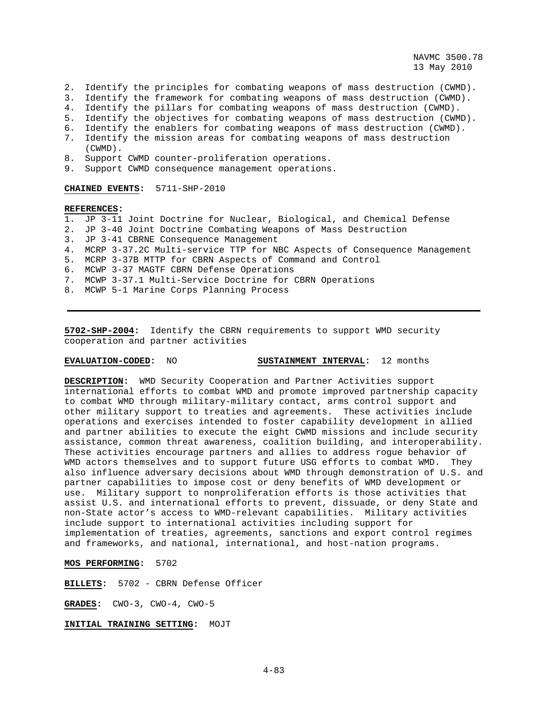- 2. Identify the principles for combating weapons of mass destruction (CWMD).
- 3. Identify the framework for combating weapons of mass destruction (CWMD).
- 4. Identify the pillars for combating weapons of mass destruction (CWMD).
- 5. Identify the objectives for combating weapons of mass destruction (CWMD).
- 6. Identify the enablers for combating weapons of mass destruction (CWMD).
- 7. Identify the mission areas for combating weapons of mass destruction (CWMD).
- 8. Support CWMD counter-proliferation operations.
- 9. Support CWMD consequence management operations.

**CHAINED EVENTS:** 5711-SHP-2010

#### **REFERENCES:**

- 1. JP 3-11 Joint Doctrine for Nuclear, Biological, and Chemical Defense
- 2. JP 3-40 Joint Doctrine Combating Weapons of Mass Destruction
- 3. JP 3-41 CBRNE Consequence Management
- 4. MCRP 3-37.2C Multi-service TTP for NBC Aspects of Consequence Management
- 5. MCRP 3-37B MTTP for CBRN Aspects of Command and Control
- 6. MCWP 3-37 MAGTF CBRN Defense Operations
- 7. MCWP 3-37.1 Multi-Service Doctrine for CBRN Operations
- 8. MCWP 5-1 Marine Corps Planning Process

**5702-SHP-2004:** Identify the CBRN requirements to support WMD security cooperation and partner activities

**EVALUATION-CODED:** NO **SUSTAINMENT INTERVAL:** 12 months

**DESCRIPTION:** WMD Security Cooperation and Partner Activities support international efforts to combat WMD and promote improved partnership capacity to combat WMD through military-military contact, arms control support and other military support to treaties and agreements. These activities include operations and exercises intended to foster capability development in allied and partner abilities to execute the eight CWMD missions and include security assistance, common threat awareness, coalition building, and interoperability. These activities encourage partners and allies to address rogue behavior of WMD actors themselves and to support future USG efforts to combat WMD. They also influence adversary decisions about WMD through demonstration of U.S. and partner capabilities to impose cost or deny benefits of WMD development or use. Military support to nonproliferation efforts is those activities that assist U.S. and international efforts to prevent, dissuade, or deny State and non-State actor's access to WMD-relevant capabilities. Military activities include support to international activities including support for implementation of treaties, agreements, sanctions and export control regimes and frameworks, and national, international, and host-nation programs.

**MOS PERFORMING:** 5702

**BILLETS:** 5702 - CBRN Defense Officer

**GRADES:** CWO-3, CWO-4, CWO-5

**INITIAL TRAINING SETTING:** MOJT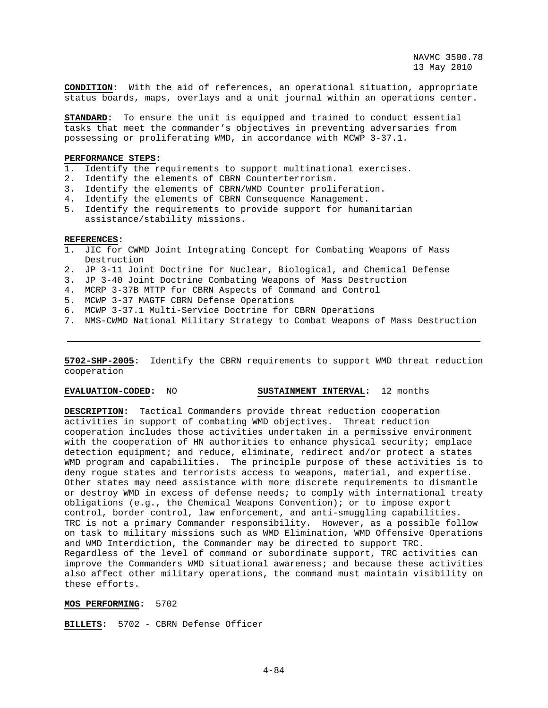**CONDITION:** With the aid of references, an operational situation, appropriate status boards, maps, overlays and a unit journal within an operations center.

**STANDARD:** To ensure the unit is equipped and trained to conduct essential tasks that meet the commander's objectives in preventing adversaries from possessing or proliferating WMD, in accordance with MCWP 3-37.1.

### **PERFORMANCE STEPS:**

- 1. Identify the requirements to support multinational exercises.
- 2. Identify the elements of CBRN Counterterrorism.
- 3. Identify the elements of CBRN/WMD Counter proliferation.
- 4. Identify the elements of CBRN Consequence Management.
- 5. Identify the requirements to provide support for humanitarian assistance/stability missions.

#### **REFERENCES:**

- 1. JIC for CWMD Joint Integrating Concept for Combating Weapons of Mass Destruction
- 2. JP 3-11 Joint Doctrine for Nuclear, Biological, and Chemical Defense
- 3. JP 3-40 Joint Doctrine Combating Weapons of Mass Destruction
- 4. MCRP 3-37B MTTP for CBRN Aspects of Command and Control
- 5. MCWP 3-37 MAGTF CBRN Defense Operations
- 6. MCWP 3-37.1 Multi-Service Doctrine for CBRN Operations
- 7. NMS-CWMD National Military Strategy to Combat Weapons of Mass Destruction

**5702-SHP-2005:** Identify the CBRN requirements to support WMD threat reduction cooperation

#### **EVALUATION-CODED:** NO **SUSTAINMENT INTERVAL:** 12 months

**DESCRIPTION:** Tactical Commanders provide threat reduction cooperation activities in support of combating WMD objectives. Threat reduction cooperation includes those activities undertaken in a permissive environment with the cooperation of HN authorities to enhance physical security; emplace detection equipment; and reduce, eliminate, redirect and/or protect a states WMD program and capabilities. The principle purpose of these activities is to deny rogue states and terrorists access to weapons, material, and expertise. Other states may need assistance with more discrete requirements to dismantle or destroy WMD in excess of defense needs; to comply with international treaty obligations (e.g., the Chemical Weapons Convention); or to impose export control, border control, law enforcement, and anti-smuggling capabilities. TRC is not a primary Commander responsibility. However, as a possible follow on task to military missions such as WMD Elimination, WMD Offensive Operations and WMD Interdiction, the Commander may be directed to support TRC. Regardless of the level of command or subordinate support, TRC activities can improve the Commanders WMD situational awareness; and because these activities also affect other military operations, the command must maintain visibility on these efforts.

### **MOS PERFORMING:** 5702

**BILLETS:** 5702 - CBRN Defense Officer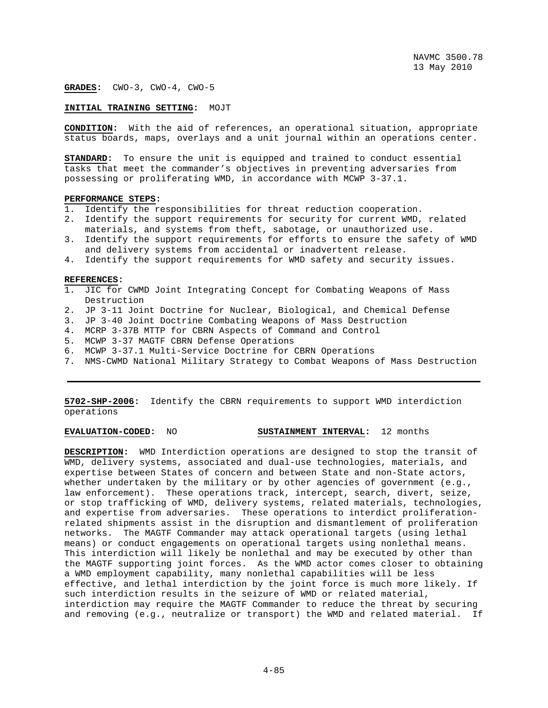#### **GRADES:** CWO-3, CWO-4, CWO-5

### **INITIAL TRAINING SETTING:** MOJT

**CONDITION:** With the aid of references, an operational situation, appropriate status boards, maps, overlays and a unit journal within an operations center.

**STANDARD:** To ensure the unit is equipped and trained to conduct essential tasks that meet the commander's objectives in preventing adversaries from possessing or proliferating WMD, in accordance with MCWP 3-37.1.

#### **PERFORMANCE STEPS:**

- 1. Identify the responsibilities for threat reduction cooperation.
- 2. Identify the support requirements for security for current WMD, related materials, and systems from theft, sabotage, or unauthorized use.
- 3. Identify the support requirements for efforts to ensure the safety of WMD and delivery systems from accidental or inadvertent release.
- 4. Identify the support requirements for WMD safety and security issues.

#### **REFERENCES:**

- 1. JIC for CWMD Joint Integrating Concept for Combating Weapons of Mass Destruction
- 2. JP 3-11 Joint Doctrine for Nuclear, Biological, and Chemical Defense
- 3. JP 3-40 Joint Doctrine Combating Weapons of Mass Destruction
- 4. MCRP 3-37B MTTP for CBRN Aspects of Command and Control
- 5. MCWP 3-37 MAGTF CBRN Defense Operations
- 6. MCWP 3-37.1 Multi-Service Doctrine for CBRN Operations
- 7. NMS-CWMD National Military Strategy to Combat Weapons of Mass Destruction

**5702-SHP-2006:** Identify the CBRN requirements to support WMD interdiction operations

**EVALUATION-CODED:** NO **SUSTAINMENT INTERVAL:** 12 months

**DESCRIPTION:** WMD Interdiction operations are designed to stop the transit of WMD, delivery systems, associated and dual-use technologies, materials, and expertise between States of concern and between State and non-State actors, whether undertaken by the military or by other agencies of government (e.g., law enforcement). These operations track, intercept, search, divert, seize, or stop trafficking of WMD, delivery systems, related materials, technologies, and expertise from adversaries. These operations to interdict proliferationrelated shipments assist in the disruption and dismantlement of proliferation networks. The MAGTF Commander may attack operational targets (using lethal means) or conduct engagements on operational targets using nonlethal means. This interdiction will likely be nonlethal and may be executed by other than the MAGTF supporting joint forces. As the WMD actor comes closer to obtaining a WMD employment capability, many nonlethal capabilities will be less effective, and lethal interdiction by the joint force is much more likely. If such interdiction results in the seizure of WMD or related material, interdiction may require the MAGTF Commander to reduce the threat by securing and removing (e.g., neutralize or transport) the WMD and related material. If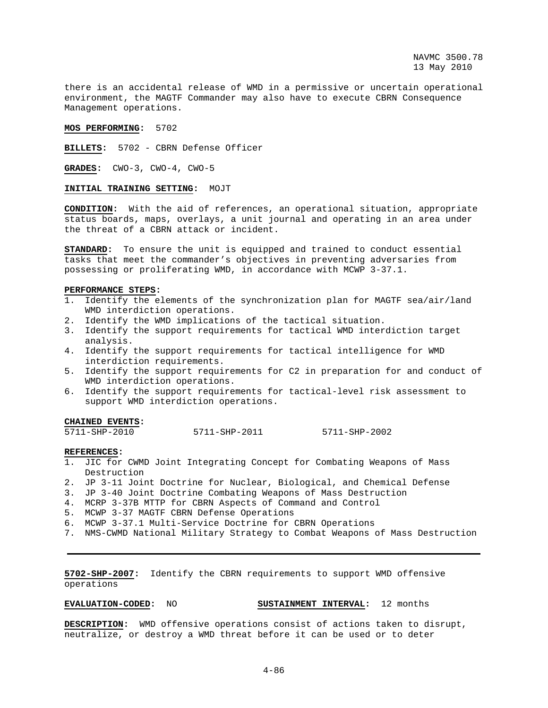there is an accidental release of WMD in a permissive or uncertain operational environment, the MAGTF Commander may also have to execute CBRN Consequence Management operations.

### **MOS PERFORMING:** 5702

**BILLETS:** 5702 - CBRN Defense Officer

**GRADES:** CWO-3, CWO-4, CWO-5

#### **INITIAL TRAINING SETTING:** MOJT

**CONDITION:** With the aid of references, an operational situation, appropriate status boards, maps, overlays, a unit journal and operating in an area under the threat of a CBRN attack or incident.

**STANDARD:** To ensure the unit is equipped and trained to conduct essential tasks that meet the commander's objectives in preventing adversaries from possessing or proliferating WMD, in accordance with MCWP 3-37.1.

#### **PERFORMANCE STEPS:**

- 1. Identify the elements of the synchronization plan for MAGTF sea/air/land WMD interdiction operations.
- 2. Identify the WMD implications of the tactical situation.
- 3. Identify the support requirements for tactical WMD interdiction target analysis.
- 4. Identify the support requirements for tactical intelligence for WMD interdiction requirements.
- 5. Identify the support requirements for C2 in preparation for and conduct of WMD interdiction operations.
- 6. Identify the support requirements for tactical-level risk assessment to support WMD interdiction operations.

#### **CHAINED EVENTS:**

5711-SHP-2010 5711-SHP-2011 5711-SHP-2002

#### **REFERENCES:**

- 1. JIC for CWMD Joint Integrating Concept for Combating Weapons of Mass Destruction
- 2. JP 3-11 Joint Doctrine for Nuclear, Biological, and Chemical Defense
- 3. JP 3-40 Joint Doctrine Combating Weapons of Mass Destruction
- 4. MCRP 3-37B MTTP for CBRN Aspects of Command and Control
- 5. MCWP 3-37 MAGTF CBRN Defense Operations
- 6. MCWP 3-37.1 Multi-Service Doctrine for CBRN Operations
- 7. NMS-CWMD National Military Strategy to Combat Weapons of Mass Destruction

**5702-SHP-2007:** Identify the CBRN requirements to support WMD offensive operations

**EVALUATION-CODED:** NO **SUSTAINMENT INTERVAL:** 12 months

**DESCRIPTION:** WMD offensive operations consist of actions taken to disrupt, neutralize, or destroy a WMD threat before it can be used or to deter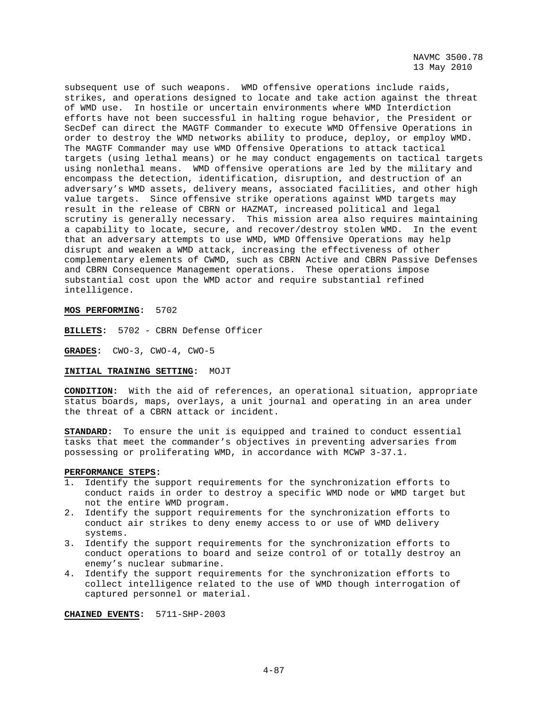subsequent use of such weapons. WMD offensive operations include raids, strikes, and operations designed to locate and take action against the threat of WMD use. In hostile or uncertain environments where WMD Interdiction efforts have not been successful in halting rogue behavior, the President or SecDef can direct the MAGTF Commander to execute WMD Offensive Operations in order to destroy the WMD networks ability to produce, deploy, or employ WMD. The MAGTF Commander may use WMD Offensive Operations to attack tactical targets (using lethal means) or he may conduct engagements on tactical targets using nonlethal means. WMD offensive operations are led by the military and encompass the detection, identification, disruption, and destruction of an adversary's WMD assets, delivery means, associated facilities, and other high value targets. Since offensive strike operations against WMD targets may result in the release of CBRN or HAZMAT, increased political and legal scrutiny is generally necessary. This mission area also requires maintaining a capability to locate, secure, and recover/destroy stolen WMD. In the event that an adversary attempts to use WMD, WMD Offensive Operations may help disrupt and weaken a WMD attack, increasing the effectiveness of other complementary elements of CWMD, such as CBRN Active and CBRN Passive Defenses and CBRN Consequence Management operations. These operations impose substantial cost upon the WMD actor and require substantial refined intelligence.

**MOS PERFORMING:** 5702

**BILLETS:** 5702 - CBRN Defense Officer

**GRADES:** CWO-3, CWO-4, CWO-5

### **INITIAL TRAINING SETTING:** MOJT

**CONDITION:** With the aid of references, an operational situation, appropriate status boards, maps, overlays, a unit journal and operating in an area under the threat of a CBRN attack or incident.

**STANDARD:** To ensure the unit is equipped and trained to conduct essential tasks that meet the commander's objectives in preventing adversaries from possessing or proliferating WMD, in accordance with MCWP 3-37.1.

#### **PERFORMANCE STEPS:**

- 1. Identify the support requirements for the synchronization efforts to conduct raids in order to destroy a specific WMD node or WMD target but not the entire WMD program.
- 2. Identify the support requirements for the synchronization efforts to conduct air strikes to deny enemy access to or use of WMD delivery systems.
- 3. Identify the support requirements for the synchronization efforts to conduct operations to board and seize control of or totally destroy an enemy's nuclear submarine.
- 4. Identify the support requirements for the synchronization efforts to collect intelligence related to the use of WMD though interrogation of captured personnel or material.

**CHAINED EVENTS:** 5711-SHP-2003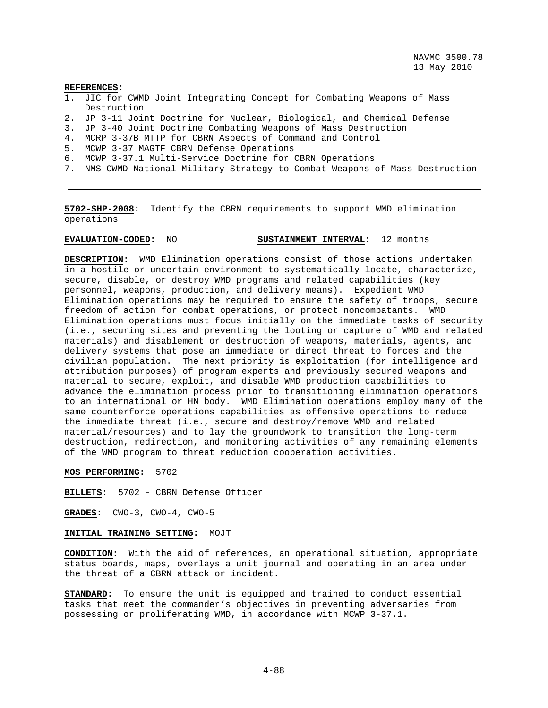#### **REFERENCES:**

- 1. JIC for CWMD Joint Integrating Concept for Combating Weapons of Mass Destruction
- 2. JP 3-11 Joint Doctrine for Nuclear, Biological, and Chemical Defense
- 3. JP 3-40 Joint Doctrine Combating Weapons of Mass Destruction
- 4. MCRP 3-37B MTTP for CBRN Aspects of Command and Control
- 5. MCWP 3-37 MAGTF CBRN Defense Operations
- 6. MCWP 3-37.1 Multi-Service Doctrine for CBRN Operations
- 7. NMS-CWMD National Military Strategy to Combat Weapons of Mass Destruction

**5702-SHP-2008:** Identify the CBRN requirements to support WMD elimination operations

# **EVALUATION-CODED:** NO **SUSTAINMENT INTERVAL:** 12 months

**DESCRIPTION:** WMD Elimination operations consist of those actions undertaken in a hostile or uncertain environment to systematically locate, characterize, secure, disable, or destroy WMD programs and related capabilities (key personnel, weapons, production, and delivery means). Expedient WMD Elimination operations may be required to ensure the safety of troops, secure freedom of action for combat operations, or protect noncombatants. WMD Elimination operations must focus initially on the immediate tasks of security (i.e., securing sites and preventing the looting or capture of WMD and related materials) and disablement or destruction of weapons, materials, agents, and delivery systems that pose an immediate or direct threat to forces and the civilian population. The next priority is exploitation (for intelligence and attribution purposes) of program experts and previously secured weapons and material to secure, exploit, and disable WMD production capabilities to advance the elimination process prior to transitioning elimination operations to an international or HN body. WMD Elimination operations employ many of the same counterforce operations capabilities as offensive operations to reduce the immediate threat (i.e., secure and destroy/remove WMD and related material/resources) and to lay the groundwork to transition the long-term destruction, redirection, and monitoring activities of any remaining elements of the WMD program to threat reduction cooperation activities.

**MOS PERFORMING:** 5702

**BILLETS:** 5702 - CBRN Defense Officer

**GRADES:** CWO-3, CWO-4, CWO-5

#### **INITIAL TRAINING SETTING:** MOJT

**CONDITION:** With the aid of references, an operational situation, appropriate status boards, maps, overlays a unit journal and operating in an area under the threat of a CBRN attack or incident.

**STANDARD:** To ensure the unit is equipped and trained to conduct essential tasks that meet the commander's objectives in preventing adversaries from possessing or proliferating WMD, in accordance with MCWP 3-37.1.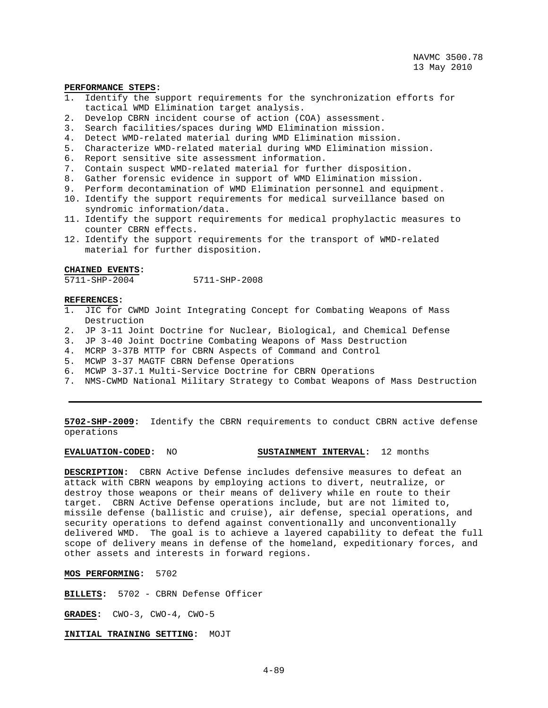#### **PERFORMANCE STEPS:**

- 1. Identify the support requirements for the synchronization efforts for tactical WMD Elimination target analysis.
- 2. Develop CBRN incident course of action (COA) assessment.
- 3. Search facilities/spaces during WMD Elimination mission.
- 4. Detect WMD-related material during WMD Elimination mission.
- 5. Characterize WMD-related material during WMD Elimination mission.
- 6. Report sensitive site assessment information.
- 7. Contain suspect WMD-related material for further disposition.
- 8. Gather forensic evidence in support of WMD Elimination mission.
- 9. Perform decontamination of WMD Elimination personnel and equipment.
- 10. Identify the support requirements for medical surveillance based on syndromic information/data.
- 11. Identify the support requirements for medical prophylactic measures to counter CBRN effects.
- 12. Identify the support requirements for the transport of WMD-related material for further disposition.

# **CHAINED EVENTS:**<br>5711-SHP-2004

5711-SHP-2008

### **REFERENCES:**

- 1. JIC for CWMD Joint Integrating Concept for Combating Weapons of Mass Destruction
- 2. JP 3-11 Joint Doctrine for Nuclear, Biological, and Chemical Defense
- 3. JP 3-40 Joint Doctrine Combating Weapons of Mass Destruction
- 4. MCRP 3-37B MTTP for CBRN Aspects of Command and Control
- 5. MCWP 3-37 MAGTF CBRN Defense Operations
- 6. MCWP 3-37.1 Multi-Service Doctrine for CBRN Operations
- 7. NMS-CWMD National Military Strategy to Combat Weapons of Mass Destruction

**5702-SHP-2009:** Identify the CBRN requirements to conduct CBRN active defense operations

**EVALUATION-CODED:** NO **SUSTAINMENT INTERVAL:** 12 months

**DESCRIPTION:** CBRN Active Defense includes defensive measures to defeat an attack with CBRN weapons by employing actions to divert, neutralize, or destroy those weapons or their means of delivery while en route to their target. CBRN Active Defense operations include, but are not limited to, missile defense (ballistic and cruise), air defense, special operations, and security operations to defend against conventionally and unconventionally delivered WMD. The goal is to achieve a layered capability to defeat the full scope of delivery means in defense of the homeland, expeditionary forces, and other assets and interests in forward regions.

**MOS PERFORMING:** 5702

- **BILLETS:** 5702 CBRN Defense Officer
- **GRADES:** CWO-3, CWO-4, CWO-5
- **INITIAL TRAINING SETTING:** MOJT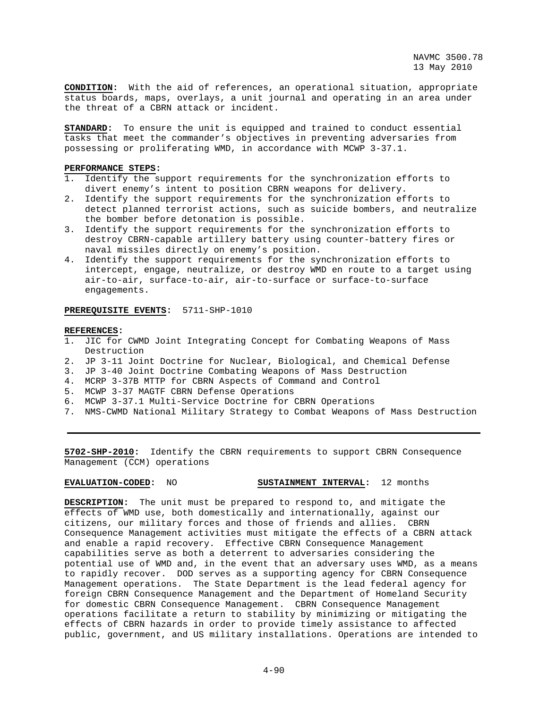**CONDITION:** With the aid of references, an operational situation, appropriate status boards, maps, overlays, a unit journal and operating in an area under the threat of a CBRN attack or incident.

**STANDARD:** To ensure the unit is equipped and trained to conduct essential tasks that meet the commander's objectives in preventing adversaries from possessing or proliferating WMD, in accordance with MCWP 3-37.1.

#### **PERFORMANCE STEPS:**

- 1. Identify the support requirements for the synchronization efforts to divert enemy's intent to position CBRN weapons for delivery.
- 2. Identify the support requirements for the synchronization efforts to detect planned terrorist actions, such as suicide bombers, and neutralize the bomber before detonation is possible.
- 3. Identify the support requirements for the synchronization efforts to destroy CBRN-capable artillery battery using counter-battery fires or naval missiles directly on enemy's position.
- 4. Identify the support requirements for the synchronization efforts to intercept, engage, neutralize, or destroy WMD en route to a target using air-to-air, surface-to-air, air-to-surface or surface-to-surface engagements.

**PREREQUISITE EVENTS:** 5711-SHP-1010

### **REFERENCES:**

- 1. JIC for CWMD Joint Integrating Concept for Combating Weapons of Mass Destruction
- 2. JP 3-11 Joint Doctrine for Nuclear, Biological, and Chemical Defense
- 3. JP 3-40 Joint Doctrine Combating Weapons of Mass Destruction
- 4. MCRP 3-37B MTTP for CBRN Aspects of Command and Control
- 5. MCWP 3-37 MAGTF CBRN Defense Operations
- 6. MCWP 3-37.1 Multi-Service Doctrine for CBRN Operations
- 7. NMS-CWMD National Military Strategy to Combat Weapons of Mass Destruction

**5702-SHP-2010:** Identify the CBRN requirements to support CBRN Consequence Management (CCM) operations

# **EVALUATION-CODED:** NO **SUSTAINMENT INTERVAL:** 12 months

**DESCRIPTION:** The unit must be prepared to respond to, and mitigate the effects of WMD use, both domestically and internationally, against our citizens, our military forces and those of friends and allies. CBRN Consequence Management activities must mitigate the effects of a CBRN attack and enable a rapid recovery. Effective CBRN Consequence Management capabilities serve as both a deterrent to adversaries considering the potential use of WMD and, in the event that an adversary uses WMD, as a means to rapidly recover. DOD serves as a supporting agency for CBRN Consequence Management operations. The State Department is the lead federal agency for foreign CBRN Consequence Management and the Department of Homeland Security for domestic CBRN Consequence Management. CBRN Consequence Management operations facilitate a return to stability by minimizing or mitigating the effects of CBRN hazards in order to provide timely assistance to affected public, government, and US military installations. Operations are intended to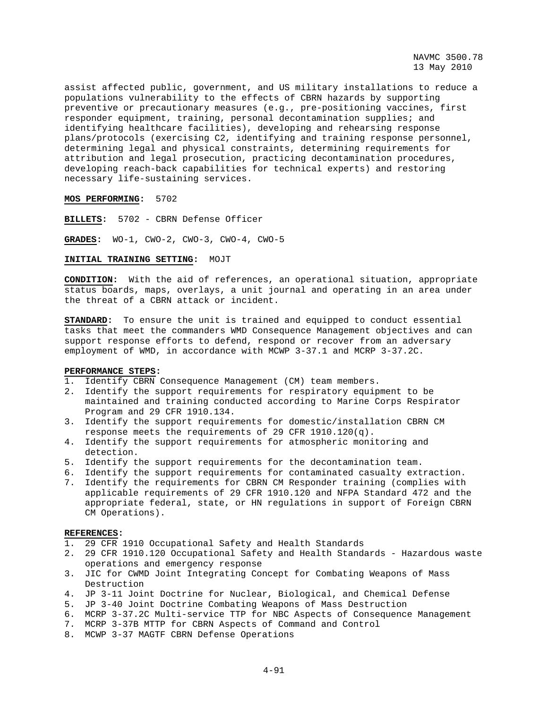assist affected public, government, and US military installations to reduce a populations vulnerability to the effects of CBRN hazards by supporting preventive or precautionary measures (e.g., pre-positioning vaccines, first responder equipment, training, personal decontamination supplies; and identifying healthcare facilities), developing and rehearsing response plans/protocols (exercising C2, identifying and training response personnel, determining legal and physical constraints, determining requirements for attribution and legal prosecution, practicing decontamination procedures, developing reach-back capabilities for technical experts) and restoring necessary life-sustaining services.

#### **MOS PERFORMING:** 5702

**BILLETS:** 5702 - CBRN Defense Officer

**GRADES:** WO-1, CWO-2, CWO-3, CWO-4, CWO-5

**INITIAL TRAINING SETTING:** MOJT

**CONDITION:** With the aid of references, an operational situation, appropriate status boards, maps, overlays, a unit journal and operating in an area under the threat of a CBRN attack or incident.

**STANDARD:** To ensure the unit is trained and equipped to conduct essential tasks that meet the commanders WMD Consequence Management objectives and can support response efforts to defend, respond or recover from an adversary employment of WMD, in accordance with MCWP 3-37.1 and MCRP 3-37.2C.

# **PERFORMANCE STEPS:**

1. Identify CBRN Consequence Management (CM) team members.

- 2. Identify the support requirements for respiratory equipment to be maintained and training conducted according to Marine Corps Respirator Program and 29 CFR 1910.134.
- 3. Identify the support requirements for domestic/installation CBRN CM response meets the requirements of 29 CFR 1910.120(q).
- 4. Identify the support requirements for atmospheric monitoring and detection.
- 5. Identify the support requirements for the decontamination team.
- 6. Identify the support requirements for contaminated casualty extraction.
- 7. Identify the requirements for CBRN CM Responder training (complies with applicable requirements of 29 CFR 1910.120 and NFPA Standard 472 and the appropriate federal, state, or HN regulations in support of Foreign CBRN CM Operations).

### **REFERENCES:**

- 1. 29 CFR 1910 Occupational Safety and Health Standards
- 2. 29 CFR 1910.120 Occupational Safety and Health Standards Hazardous waste operations and emergency response
- 3. JIC for CWMD Joint Integrating Concept for Combating Weapons of Mass Destruction
- 4. JP 3-11 Joint Doctrine for Nuclear, Biological, and Chemical Defense
- 5. JP 3-40 Joint Doctrine Combating Weapons of Mass Destruction
- 6. MCRP 3-37.2C Multi-service TTP for NBC Aspects of Consequence Management
- 7. MCRP 3-37B MTTP for CBRN Aspects of Command and Control
- 8. MCWP 3-37 MAGTF CBRN Defense Operations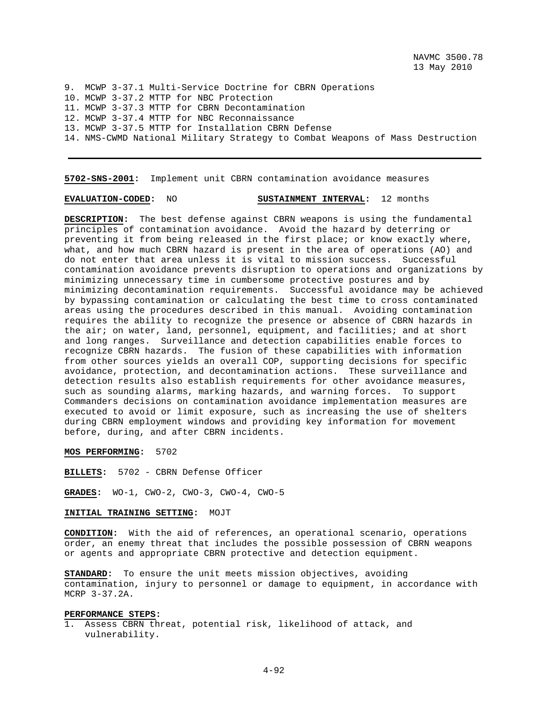9. MCWP 3-37.1 Multi-Service Doctrine for CBRN Operations 10. MCWP 3-37.2 MTTP for NBC Protection 11. MCWP 3-37.3 MTTP for CBRN Decontamination 12. MCWP 3-37.4 MTTP for NBC Reconnaissance 13. MCWP 3-37.5 MTTP for Installation CBRN Defense 14. NMS-CWMD National Military Strategy to Combat Weapons of Mass Destruction

**5702-SNS-2001:** Implement unit CBRN contamination avoidance measures

**EVALUATION-CODED:** NO **SUSTAINMENT INTERVAL:** 12 months

**DESCRIPTION:** The best defense against CBRN weapons is using the fundamental principles of contamination avoidance. Avoid the hazard by deterring or preventing it from being released in the first place; or know exactly where, what, and how much CBRN hazard is present in the area of operations (AO) and do not enter that area unless it is vital to mission success. Successful contamination avoidance prevents disruption to operations and organizations by minimizing unnecessary time in cumbersome protective postures and by minimizing decontamination requirements. Successful avoidance may be achieved by bypassing contamination or calculating the best time to cross contaminated areas using the procedures described in this manual. Avoiding contamination requires the ability to recognize the presence or absence of CBRN hazards in the air; on water, land, personnel, equipment, and facilities; and at short and long ranges. Surveillance and detection capabilities enable forces to recognize CBRN hazards. The fusion of these capabilities with information from other sources yields an overall COP, supporting decisions for specific avoidance, protection, and decontamination actions. These surveillance and detection results also establish requirements for other avoidance measures, such as sounding alarms, marking hazards, and warning forces. To support Commanders decisions on contamination avoidance implementation measures are executed to avoid or limit exposure, such as increasing the use of shelters during CBRN employment windows and providing key information for movement before, during, and after CBRN incidents.

#### **MOS PERFORMING:** 5702

**BILLETS:** 5702 - CBRN Defense Officer

**GRADES:** WO-1, CWO-2, CWO-3, CWO-4, CWO-5

### **INITIAL TRAINING SETTING:** MOJT

**CONDITION:** With the aid of references, an operational scenario, operations order, an enemy threat that includes the possible possession of CBRN weapons or agents and appropriate CBRN protective and detection equipment.

**STANDARD:** To ensure the unit meets mission objectives, avoiding contamination, injury to personnel or damage to equipment, in accordance with MCRP 3-37.2A.

#### **PERFORMANCE STEPS:**

1. Assess CBRN threat, potential risk, likelihood of attack, and vulnerability.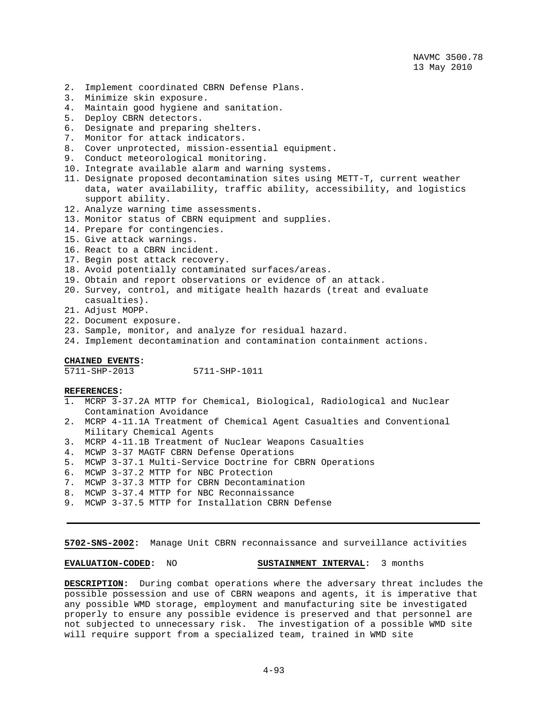- 2. Implement coordinated CBRN Defense Plans.
- 3. Minimize skin exposure.
- 4. Maintain good hygiene and sanitation.
- 5. Deploy CBRN detectors.
- 6. Designate and preparing shelters.
- 7. Monitor for attack indicators.
- 8. Cover unprotected, mission-essential equipment.
- 9. Conduct meteorological monitoring.
- 10. Integrate available alarm and warning systems.
- 11. Designate proposed decontamination sites using METT-T, current weather data, water availability, traffic ability, accessibility, and logistics support ability.
- 12. Analyze warning time assessments.
- 13. Monitor status of CBRN equipment and supplies.
- 14. Prepare for contingencies.
- 15. Give attack warnings.
- 16. React to a CBRN incident.
- 17. Begin post attack recovery.
- 18. Avoid potentially contaminated surfaces/areas.
- 19. Obtain and report observations or evidence of an attack.
- 20. Survey, control, and mitigate health hazards (treat and evaluate casualties).
- 21. Adjust MOPP.
- 22. Document exposure.
- 23. Sample, monitor, and analyze for residual hazard.
- 24. Implement decontamination and contamination containment actions.

#### **CHAINED EVENTS:**

5711-SHP-2013 5711-SHP-1011

#### **REFERENCES:**

- 1. MCRP 3-37.2A MTTP for Chemical, Biological, Radiological and Nuclear Contamination Avoidance
- 2. MCRP 4-11.1A Treatment of Chemical Agent Casualties and Conventional Military Chemical Agents
- 3. MCRP 4-11.1B Treatment of Nuclear Weapons Casualties
- 4. MCWP 3-37 MAGTF CBRN Defense Operations
- 5. MCWP 3-37.1 Multi-Service Doctrine for CBRN Operations
- 6. MCWP 3-37.2 MTTP for NBC Protection
- 7. MCWP 3-37.3 MTTP for CBRN Decontamination
- 8. MCWP 3-37.4 MTTP for NBC Reconnaissance
- 9. MCWP 3-37.5 MTTP for Installation CBRN Defense

**5702-SNS-2002:** Manage Unit CBRN reconnaissance and surveillance activities

**EVALUATION-CODED:** NO **SUSTAINMENT INTERVAL:** 3 months

**DESCRIPTION:** During combat operations where the adversary threat includes the possible possession and use of CBRN weapons and agents, it is imperative that any possible WMD storage, employment and manufacturing site be investigated properly to ensure any possible evidence is preserved and that personnel are not subjected to unnecessary risk. The investigation of a possible WMD site will require support from a specialized team, trained in WMD site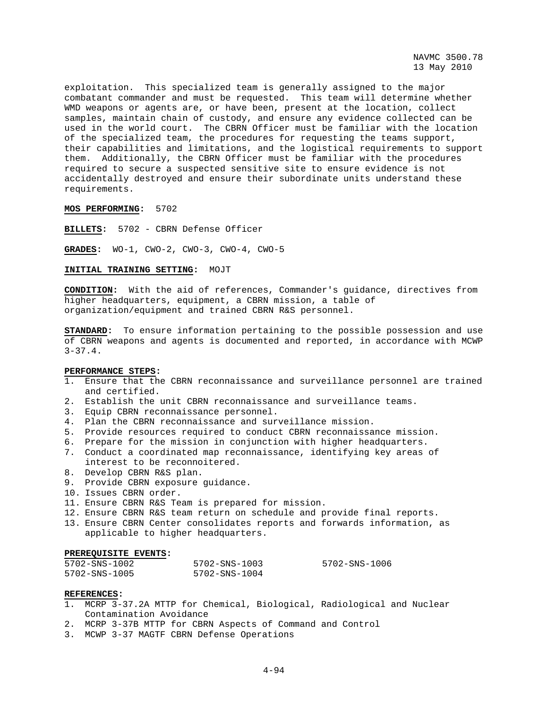exploitation. This specialized team is generally assigned to the major combatant commander and must be requested. This team will determine whether WMD weapons or agents are, or have been, present at the location, collect samples, maintain chain of custody, and ensure any evidence collected can be used in the world court. The CBRN Officer must be familiar with the location of the specialized team, the procedures for requesting the teams support, their capabilities and limitations, and the logistical requirements to support them. Additionally, the CBRN Officer must be familiar with the procedures required to secure a suspected sensitive site to ensure evidence is not accidentally destroyed and ensure their subordinate units understand these requirements.

#### **MOS PERFORMING:** 5702

**BILLETS:** 5702 - CBRN Defense Officer

**GRADES:** WO-1, CWO-2, CWO-3, CWO-4, CWO-5

### **INITIAL TRAINING SETTING:** MOJT

**CONDITION:** With the aid of references, Commander's guidance, directives from higher headquarters, equipment, a CBRN mission, a table of organization/equipment and trained CBRN R&S personnel.

**STANDARD:** To ensure information pertaining to the possible possession and use of CBRN weapons and agents is documented and reported, in accordance with MCWP 3-37.4.

### **PERFORMANCE STEPS:**

- 1. Ensure that the CBRN reconnaissance and surveillance personnel are trained and certified.
- 2. Establish the unit CBRN reconnaissance and surveillance teams.
- 3. Equip CBRN reconnaissance personnel.
- 4. Plan the CBRN reconnaissance and surveillance mission.
- 5. Provide resources required to conduct CBRN reconnaissance mission.
- 6. Prepare for the mission in conjunction with higher headquarters.
- 7. Conduct a coordinated map reconnaissance, identifying key areas of interest to be reconnoitered.
- 8. Develop CBRN R&S plan.
- 9. Provide CBRN exposure guidance.
- 10. Issues CBRN order.
- 11. Ensure CBRN R&S Team is prepared for mission.
- 12. Ensure CBRN R&S team return on schedule and provide final reports.
- 13. Ensure CBRN Center consolidates reports and forwards information, as applicable to higher headquarters.

#### **PREREQUISITE EVENTS:**

| 5702-SNS-1002 | 5702-SNS-1003 | 5702-SNS-1006 |
|---------------|---------------|---------------|
| 5702-SNS-1005 | 5702-SNS-1004 |               |

## **REFERENCES:**

- 1. MCRP 3-37.2A MTTP for Chemical, Biological, Radiological and Nuclear Contamination Avoidance
- 2. MCRP 3-37B MTTP for CBRN Aspects of Command and Control
- 3. MCWP 3-37 MAGTF CBRN Defense Operations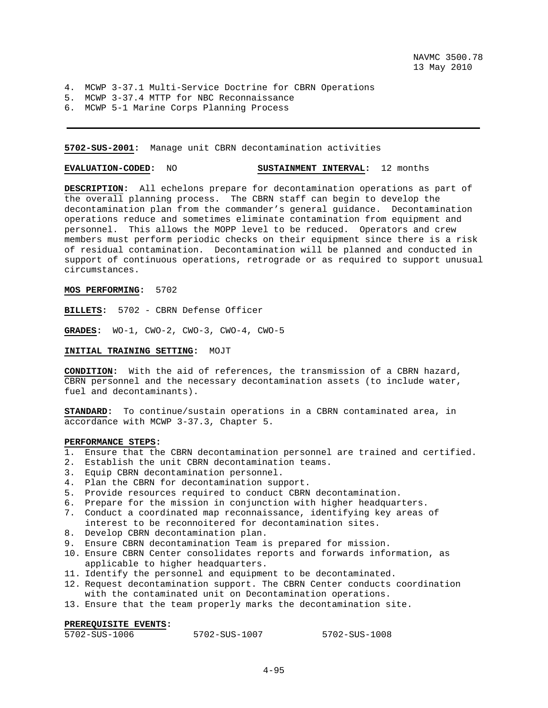4. MCWP 3-37.1 Multi-Service Doctrine for CBRN Operations

- 5. MCWP 3-37.4 MTTP for NBC Reconnaissance
- 6. MCWP 5-1 Marine Corps Planning Process

**5702-SUS-2001:** Manage unit CBRN decontamination activities

**EVALUATION-CODED:** NO **SUSTAINMENT INTERVAL:** 12 months

**DESCRIPTION:** All echelons prepare for decontamination operations as part of the overall planning process. The CBRN staff can begin to develop the decontamination plan from the commander's general guidance. Decontamination operations reduce and sometimes eliminate contamination from equipment and personnel. This allows the MOPP level to be reduced. Operators and crew members must perform periodic checks on their equipment since there is a risk of residual contamination. Decontamination will be planned and conducted in support of continuous operations, retrograde or as required to support unusual circumstances.

#### **MOS PERFORMING:** 5702

**BILLETS:** 5702 - CBRN Defense Officer

**GRADES:** WO-1, CWO-2, CWO-3, CWO-4, CWO-5

## **INITIAL TRAINING SETTING:** MOJT

**CONDITION:** With the aid of references, the transmission of a CBRN hazard, CBRN personnel and the necessary decontamination assets (to include water, fuel and decontaminants).

**STANDARD:** To continue/sustain operations in a CBRN contaminated area, in accordance with MCWP 3-37.3, Chapter 5.

#### **PERFORMANCE STEPS:**

- 1. Ensure that the CBRN decontamination personnel are trained and certified.
- 2. Establish the unit CBRN decontamination teams.
- 3. Equip CBRN decontamination personnel.
- 4. Plan the CBRN for decontamination support.
- 5. Provide resources required to conduct CBRN decontamination.
- 6. Prepare for the mission in conjunction with higher headquarters.
- 7. Conduct a coordinated map reconnaissance, identifying key areas of interest to be reconnoitered for decontamination sites.
- 8. Develop CBRN decontamination plan.
- 9. Ensure CBRN decontamination Team is prepared for mission.
- 10. Ensure CBRN Center consolidates reports and forwards information, as applicable to higher headquarters.
- 11. Identify the personnel and equipment to be decontaminated.
- 12. Request decontamination support. The CBRN Center conducts coordination with the contaminated unit on Decontamination operations.
- 13. Ensure that the team properly marks the decontamination site.

# **PREREQUISITE EVENTS:**

| 5702-SUS-1006 | 5702-SUS-1007 | 5702-SUS-1008 |
|---------------|---------------|---------------|
|---------------|---------------|---------------|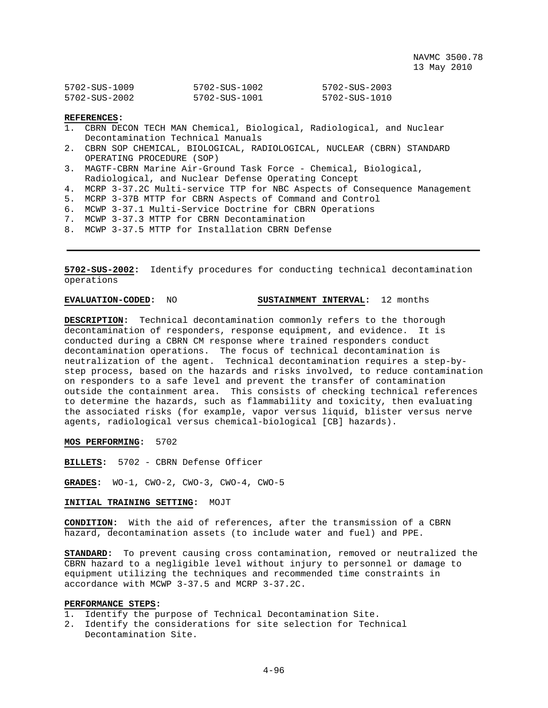| 5702-SUS-1009 | 5702-SUS-1002 | 5702-SUS-2003 |
|---------------|---------------|---------------|
| 5702-SUS-2002 | 5702-SUS-1001 | 5702-SUS-1010 |

#### **REFERENCES:**

- 1. CBRN DECON TECH MAN Chemical, Biological, Radiological, and Nuclear Decontamination Technical Manuals
- 2. CBRN SOP CHEMICAL, BIOLOGICAL, RADIOLOGICAL, NUCLEAR (CBRN) STANDARD OPERATING PROCEDURE (SOP)
- 3. MAGTF-CBRN Marine Air-Ground Task Force Chemical, Biological, Radiological, and Nuclear Defense Operating Concept
- 4. MCRP 3-37.2C Multi-service TTP for NBC Aspects of Consequence Management
- 5. MCRP 3-37B MTTP for CBRN Aspects of Command and Control
- 6. MCWP 3-37.1 Multi-Service Doctrine for CBRN Operations
- 7. MCWP 3-37.3 MTTP for CBRN Decontamination
- 8. MCWP 3-37.5 MTTP for Installation CBRN Defense

**5702-SUS-2002:** Identify procedures for conducting technical decontamination operations

**EVALUATION-CODED:** NO **SUSTAINMENT INTERVAL:** 12 months

**DESCRIPTION:** Technical decontamination commonly refers to the thorough decontamination of responders, response equipment, and evidence. It is conducted during a CBRN CM response where trained responders conduct decontamination operations. The focus of technical decontamination is neutralization of the agent. Technical decontamination requires a step-bystep process, based on the hazards and risks involved, to reduce contamination on responders to a safe level and prevent the transfer of contamination outside the containment area. This consists of checking technical references to determine the hazards, such as flammability and toxicity, then evaluating the associated risks (for example, vapor versus liquid, blister versus nerve agents, radiological versus chemical-biological [CB] hazards).

**MOS PERFORMING:** 5702

**BILLETS:** 5702 - CBRN Defense Officer

**GRADES:** WO-1, CWO-2, CWO-3, CWO-4, CWO-5

### **INITIAL TRAINING SETTING:** MOJT

**CONDITION:** With the aid of references, after the transmission of a CBRN hazard, decontamination assets (to include water and fuel) and PPE.

**STANDARD:** To prevent causing cross contamination, removed or neutralized the CBRN hazard to a negligible level without injury to personnel or damage to equipment utilizing the techniques and recommended time constraints in accordance with MCWP 3-37.5 and MCRP 3-37.2C.

### **PERFORMANCE STEPS:**

- 1. Identify the purpose of Technical Decontamination Site.
- 2. Identify the considerations for site selection for Technical Decontamination Site.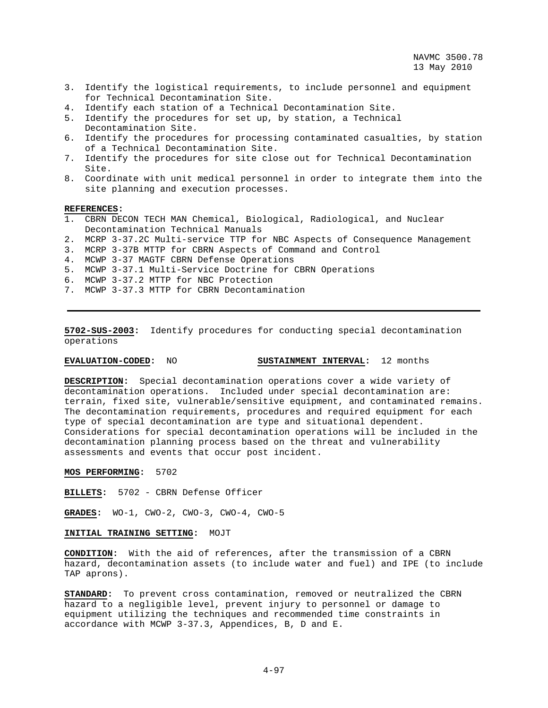- 3. Identify the logistical requirements, to include personnel and equipment for Technical Decontamination Site.
- 4. Identify each station of a Technical Decontamination Site.
- 5. Identify the procedures for set up, by station, a Technical Decontamination Site.
- 6. Identify the procedures for processing contaminated casualties, by station of a Technical Decontamination Site.
- 7. Identify the procedures for site close out for Technical Decontamination Site.
- 8. Coordinate with unit medical personnel in order to integrate them into the site planning and execution processes.

#### **REFERENCES:**

- 1. CBRN DECON TECH MAN Chemical, Biological, Radiological, and Nuclear Decontamination Technical Manuals
- 2. MCRP 3-37.2C Multi-service TTP for NBC Aspects of Consequence Management
- 3. MCRP 3-37B MTTP for CBRN Aspects of Command and Control
- 4. MCWP 3-37 MAGTF CBRN Defense Operations
- 5. MCWP 3-37.1 Multi-Service Doctrine for CBRN Operations
- 6. MCWP 3-37.2 MTTP for NBC Protection
- 7. MCWP 3-37.3 MTTP for CBRN Decontamination

**5702-SUS-2003:** Identify procedures for conducting special decontamination operations

**EVALUATION-CODED:** NO **SUSTAINMENT INTERVAL:** 12 months

**DESCRIPTION:** Special decontamination operations cover a wide variety of decontamination operations. Included under special decontamination are: terrain, fixed site, vulnerable/sensitive equipment, and contaminated remains. The decontamination requirements, procedures and required equipment for each type of special decontamination are type and situational dependent. Considerations for special decontamination operations will be included in the decontamination planning process based on the threat and vulnerability assessments and events that occur post incident.

**MOS PERFORMING:** 5702

**BILLETS:** 5702 - CBRN Defense Officer

**GRADES:** WO-1, CWO-2, CWO-3, CWO-4, CWO-5

#### **INITIAL TRAINING SETTING:** MOJT

**CONDITION:** With the aid of references, after the transmission of a CBRN hazard, decontamination assets (to include water and fuel) and IPE (to include TAP aprons).

**STANDARD:** To prevent cross contamination, removed or neutralized the CBRN hazard to a negligible level, prevent injury to personnel or damage to equipment utilizing the techniques and recommended time constraints in accordance with MCWP 3-37.3, Appendices, B, D and E.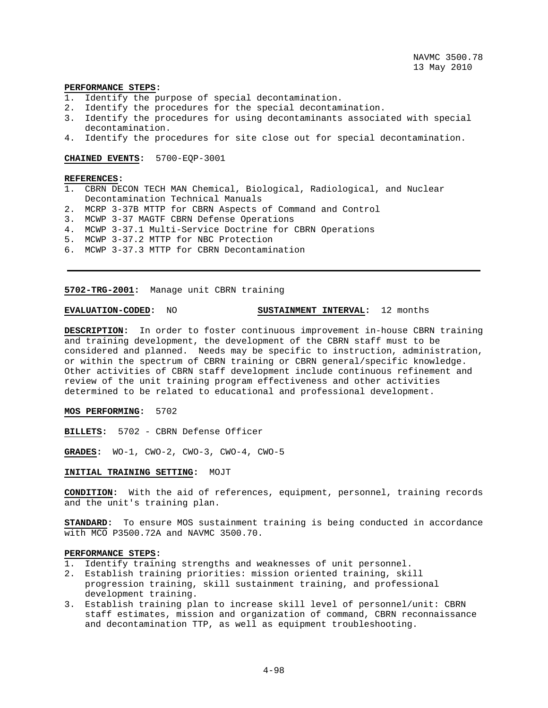#### **PERFORMANCE STEPS:**

- 1. Identify the purpose of special decontamination.
- 2. Identify the procedures for the special decontamination.
- 3. Identify the procedures for using decontaminants associated with special decontamination.
- 4. Identify the procedures for site close out for special decontamination.

**CHAINED EVENTS:** 5700-EQP-3001

#### **REFERENCES:**

- 1. CBRN DECON TECH MAN Chemical, Biological, Radiological, and Nuclear Decontamination Technical Manuals
- 2. MCRP 3-37B MTTP for CBRN Aspects of Command and Control
- 3. MCWP 3-37 MAGTF CBRN Defense Operations
- 4. MCWP 3-37.1 Multi-Service Doctrine for CBRN Operations
- 5. MCWP 3-37.2 MTTP for NBC Protection
- 6. MCWP 3-37.3 MTTP for CBRN Decontamination

#### **5702-TRG-2001:** Manage unit CBRN training

**EVALUATION-CODED:** NO **SUSTAINMENT INTERVAL:** 12 months

**DESCRIPTION:** In order to foster continuous improvement in-house CBRN training and training development, the development of the CBRN staff must to be considered and planned. Needs may be specific to instruction, administration, or within the spectrum of CBRN training or CBRN general/specific knowledge. Other activities of CBRN staff development include continuous refinement and review of the unit training program effectiveness and other activities determined to be related to educational and professional development.

**MOS PERFORMING:** 5702

**BILLETS:** 5702 - CBRN Defense Officer

**GRADES:** WO-1, CWO-2, CWO-3, CWO-4, CWO-5

#### **INITIAL TRAINING SETTING:** MOJT

**CONDITION:** With the aid of references, equipment, personnel, training records and the unit's training plan.

**STANDARD:** To ensure MOS sustainment training is being conducted in accordance with MCO P3500.72A and NAVMC 3500.70.

#### **PERFORMANCE STEPS:**

- 1. Identify training strengths and weaknesses of unit personnel.
- 2. Establish training priorities: mission oriented training, skill progression training, skill sustainment training, and professional development training.
- 3. Establish training plan to increase skill level of personnel/unit: CBRN staff estimates, mission and organization of command, CBRN reconnaissance and decontamination TTP, as well as equipment troubleshooting.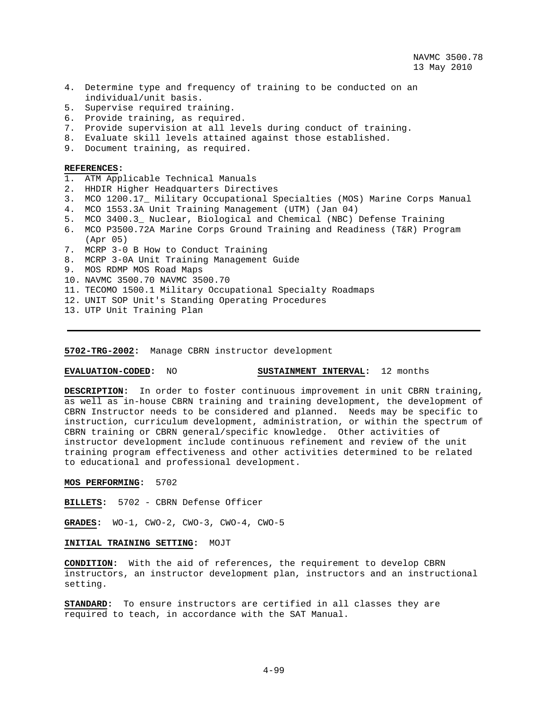- 4. Determine type and frequency of training to be conducted on an individual/unit basis.
- 5. Supervise required training.
- 6. Provide training, as required.
- 7. Provide supervision at all levels during conduct of training.
- 8. Evaluate skill levels attained against those established.
- 9. Document training, as required.

#### **REFERENCES:**

- 1. ATM Applicable Technical Manuals
- 2. HHDIR Higher Headquarters Directives
- 3. MCO 1200.17\_ Military Occupational Specialties (MOS) Marine Corps Manual
- 4. MCO 1553.3A Unit Training Management (UTM) (Jan 04)
- 5. MCO 3400.3\_ Nuclear, Biological and Chemical (NBC) Defense Training
- 6. MCO P3500.72A Marine Corps Ground Training and Readiness (T&R) Program (Apr 05)
- 7. MCRP 3-0 B How to Conduct Training
- 8. MCRP 3-0A Unit Training Management Guide
- 9. MOS RDMP MOS Road Maps
- 10. NAVMC 3500.70 NAVMC 3500.70
- 11. TECOMO 1500.1 Military Occupational Specialty Roadmaps
- 12. UNIT SOP Unit's Standing Operating Procedures
- 13. UTP Unit Training Plan

**5702-TRG-2002:** Manage CBRN instructor development

**EVALUATION-CODED:** NO **SUSTAINMENT INTERVAL:** 12 months

**DESCRIPTION:** In order to foster continuous improvement in unit CBRN training, as well as in-house CBRN training and training development, the development of CBRN Instructor needs to be considered and planned. Needs may be specific to instruction, curriculum development, administration, or within the spectrum of CBRN training or CBRN general/specific knowledge. Other activities of instructor development include continuous refinement and review of the unit training program effectiveness and other activities determined to be related to educational and professional development.

**MOS PERFORMING:** 5702

**BILLETS:** 5702 - CBRN Defense Officer

**GRADES:** WO-1, CWO-2, CWO-3, CWO-4, CWO-5

#### **INITIAL TRAINING SETTING:** MOJT

**CONDITION:** With the aid of references, the requirement to develop CBRN instructors, an instructor development plan, instructors and an instructional setting.

**STANDARD:** To ensure instructors are certified in all classes they are required to teach, in accordance with the SAT Manual.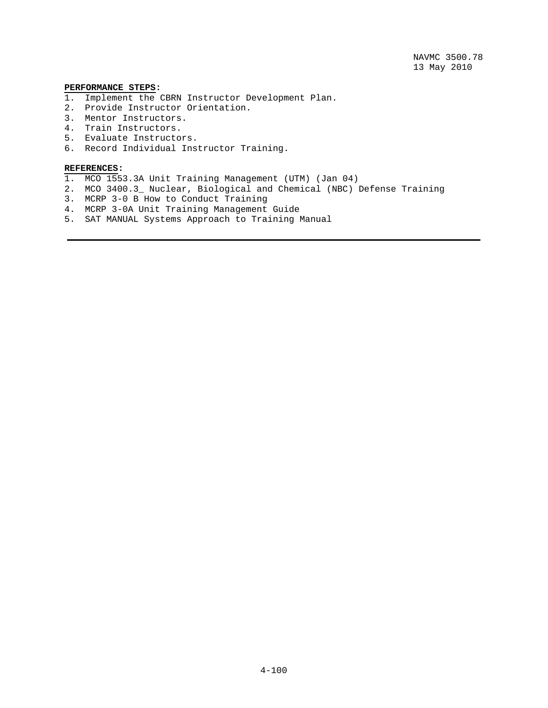# **PERFORMANCE STEPS:**

- 1. Implement the CBRN Instructor Development Plan.
- 2. Provide Instructor Orientation.
- 3. Mentor Instructors.
- 4. Train Instructors.
- 5. Evaluate Instructors.
- 6. Record Individual Instructor Training.

# **REFERENCES:**

- 1. MCO 1553.3A Unit Training Management (UTM) (Jan 04)
- 2. MCO 3400.3\_ Nuclear, Biological and Chemical (NBC) Defense Training
- 3. MCRP 3-0 B How to Conduct Training
- 4. MCRP 3-0A Unit Training Management Guide
- 5. SAT MANUAL Systems Approach to Training Manual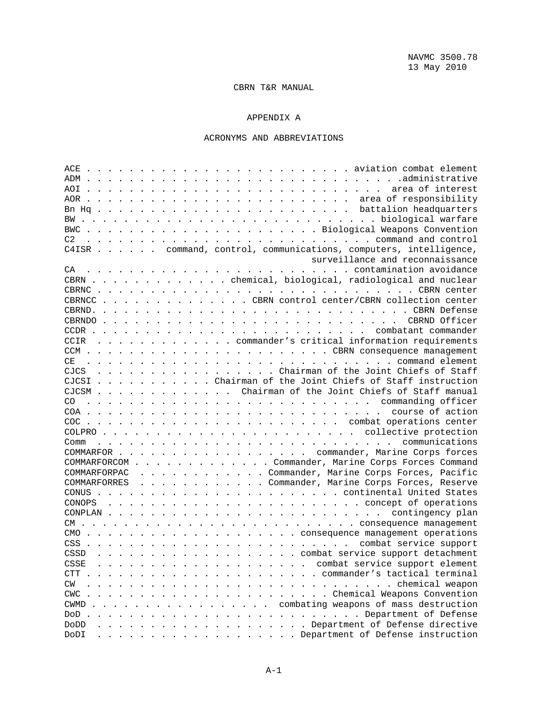# CBRN T&R MANUAL

# APPENDIX A

# ACRONYMS AND ABBREVIATIONS

| ACE         |                                                                                                                  |
|-------------|------------------------------------------------------------------------------------------------------------------|
|             |                                                                                                                  |
|             |                                                                                                                  |
|             |                                                                                                                  |
|             |                                                                                                                  |
|             |                                                                                                                  |
|             |                                                                                                                  |
| C2          |                                                                                                                  |
|             | C4ISR command, control, communications, computers, intelligence,                                                 |
|             | surveillance and reconnaissance                                                                                  |
|             |                                                                                                                  |
|             | CBRN chemical, biological, radiological and nuclear                                                              |
|             |                                                                                                                  |
|             | CBRNCC CBRN control center/CBRN collection center                                                                |
|             |                                                                                                                  |
|             |                                                                                                                  |
|             |                                                                                                                  |
|             | CCIR commander's critical information requirements                                                               |
|             |                                                                                                                  |
|             |                                                                                                                  |
|             | CJCS Chairman of the Joint Chiefs of Staff                                                                       |
|             | CJCSI Chairman of the Joint Chiefs of Staff instruction                                                          |
|             |                                                                                                                  |
|             | CJCSM Chairman of the Joint Chiefs of Staff manual                                                               |
|             |                                                                                                                  |
|             |                                                                                                                  |
|             |                                                                                                                  |
|             |                                                                                                                  |
| Comm        | and the set of the set of the set of the set of the set of the set of the set of the set of the set of the set o |
|             |                                                                                                                  |
|             | COMMARFORCOM Commander, Marine Corps Forces Command                                                              |
|             | COMMARFORPAC Commander, Marine Corps Forces, Pacific                                                             |
|             | COMMARFORRES Commander, Marine Corps Forces, Reserve                                                             |
|             |                                                                                                                  |
|             |                                                                                                                  |
|             |                                                                                                                  |
|             |                                                                                                                  |
|             |                                                                                                                  |
|             |                                                                                                                  |
| CSSD        |                                                                                                                  |
| CSSE        |                                                                                                                  |
| <b>CTT</b>  | . commander's tactical terminal                                                                                  |
| CW          |                                                                                                                  |
| CWC         | . Chemical Weapons Convention                                                                                    |
| <b>CWMD</b> | . combating weapons of mass destruction                                                                          |
| DoD         | . Department of Defense                                                                                          |
| <b>DoDD</b> | . Department of Defense directive                                                                                |
| DoDI        | . Department of Defense instruction                                                                              |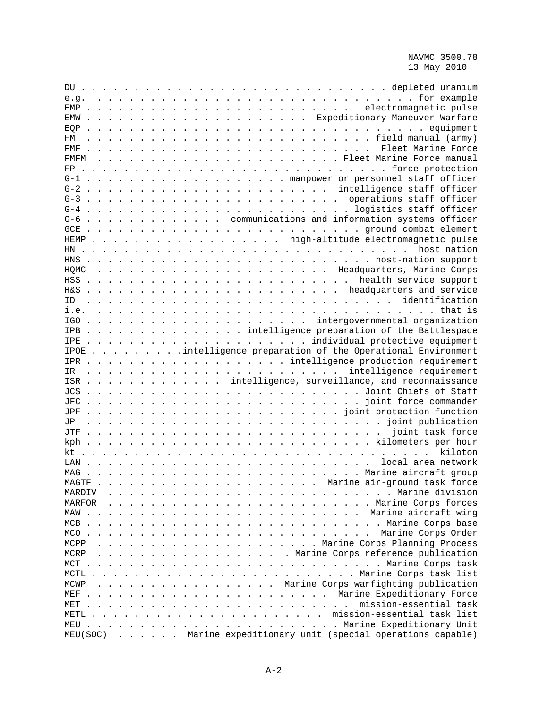| EMW                                                                                                                                                                                                                                                                                                                                                                                                                                   |                                        |
|---------------------------------------------------------------------------------------------------------------------------------------------------------------------------------------------------------------------------------------------------------------------------------------------------------------------------------------------------------------------------------------------------------------------------------------|----------------------------------------|
| EOP                                                                                                                                                                                                                                                                                                                                                                                                                                   |                                        |
| FM                                                                                                                                                                                                                                                                                                                                                                                                                                    |                                        |
| FMF                                                                                                                                                                                                                                                                                                                                                                                                                                   |                                        |
| FMFM                                                                                                                                                                                                                                                                                                                                                                                                                                  |                                        |
| FP                                                                                                                                                                                                                                                                                                                                                                                                                                    |                                        |
| G-1 manpower or personnel staff officer                                                                                                                                                                                                                                                                                                                                                                                               |                                        |
|                                                                                                                                                                                                                                                                                                                                                                                                                                       | intelligence staff officer             |
|                                                                                                                                                                                                                                                                                                                                                                                                                                       | operations staff officer               |
|                                                                                                                                                                                                                                                                                                                                                                                                                                       |                                        |
| G-6 communications and information systems officer                                                                                                                                                                                                                                                                                                                                                                                    |                                        |
|                                                                                                                                                                                                                                                                                                                                                                                                                                       |                                        |
| HEMP high-altitude electromagnetic pulse                                                                                                                                                                                                                                                                                                                                                                                              |                                        |
|                                                                                                                                                                                                                                                                                                                                                                                                                                       |                                        |
|                                                                                                                                                                                                                                                                                                                                                                                                                                       |                                        |
|                                                                                                                                                                                                                                                                                                                                                                                                                                       |                                        |
| HOMC                                                                                                                                                                                                                                                                                                                                                                                                                                  |                                        |
|                                                                                                                                                                                                                                                                                                                                                                                                                                       |                                        |
|                                                                                                                                                                                                                                                                                                                                                                                                                                       |                                        |
| ID                                                                                                                                                                                                                                                                                                                                                                                                                                    |                                        |
|                                                                                                                                                                                                                                                                                                                                                                                                                                       |                                        |
|                                                                                                                                                                                                                                                                                                                                                                                                                                       |                                        |
| IPB intelligence preparation of the Battlespace                                                                                                                                                                                                                                                                                                                                                                                       |                                        |
|                                                                                                                                                                                                                                                                                                                                                                                                                                       |                                        |
| IPOE intelligence preparation of the Operational Environment                                                                                                                                                                                                                                                                                                                                                                          |                                        |
| IPR intelligence production requirement                                                                                                                                                                                                                                                                                                                                                                                               |                                        |
| IR                                                                                                                                                                                                                                                                                                                                                                                                                                    | intelligence requirement               |
| ISR intelligence, surveillance, and reconnaissance                                                                                                                                                                                                                                                                                                                                                                                    |                                        |
|                                                                                                                                                                                                                                                                                                                                                                                                                                       |                                        |
| <b>JCS</b>                                                                                                                                                                                                                                                                                                                                                                                                                            |                                        |
| <b>JFC</b>                                                                                                                                                                                                                                                                                                                                                                                                                            |                                        |
| JPF                                                                                                                                                                                                                                                                                                                                                                                                                                   |                                        |
| JР                                                                                                                                                                                                                                                                                                                                                                                                                                    |                                        |
| <b>JTF</b><br>and a construction of the construction of the construction of the construction of the construction of the construction of the construction of the construction of the construction of the construction of the construction of                                                                                                                                                                                           | joint task force                       |
|                                                                                                                                                                                                                                                                                                                                                                                                                                       |                                        |
|                                                                                                                                                                                                                                                                                                                                                                                                                                       | kiloton                                |
|                                                                                                                                                                                                                                                                                                                                                                                                                                       |                                        |
| <b>MAG</b>                                                                                                                                                                                                                                                                                                                                                                                                                            |                                        |
| MAGTF<br>$\mathbf{r} = \mathbf{r} - \mathbf{r} - \mathbf{r} - \mathbf{r} - \mathbf{r} - \mathbf{r} - \mathbf{r} - \mathbf{r} - \mathbf{r} - \mathbf{r} - \mathbf{r} - \mathbf{r} - \mathbf{r} - \mathbf{r} - \mathbf{r} - \mathbf{r} - \mathbf{r} - \mathbf{r} - \mathbf{r} - \mathbf{r} - \mathbf{r} - \mathbf{r} - \mathbf{r} - \mathbf{r} - \mathbf{r} - \mathbf{r} - \mathbf{r} - \mathbf{r} - \mathbf{r} - \mathbf{r} - \mathbf$ | Marine air-ground task force           |
| MARDIV                                                                                                                                                                                                                                                                                                                                                                                                                                |                                        |
| MARFOR                                                                                                                                                                                                                                                                                                                                                                                                                                |                                        |
|                                                                                                                                                                                                                                                                                                                                                                                                                                       | . Marine Corps forces                  |
| MAW<br>MCB                                                                                                                                                                                                                                                                                                                                                                                                                            | . Marine aircraft wing                 |
|                                                                                                                                                                                                                                                                                                                                                                                                                                       | . Marine Corps base                    |
| MCO.                                                                                                                                                                                                                                                                                                                                                                                                                                  | . Marine Corps Order                   |
| MCPP                                                                                                                                                                                                                                                                                                                                                                                                                                  | . Marine Corps Planning Process        |
| <b>MCRP</b>                                                                                                                                                                                                                                                                                                                                                                                                                           | . Marine Corps reference publication   |
| MCT                                                                                                                                                                                                                                                                                                                                                                                                                                   |                                        |
|                                                                                                                                                                                                                                                                                                                                                                                                                                       |                                        |
| MCWP                                                                                                                                                                                                                                                                                                                                                                                                                                  | . Marine Corps warfighting publication |
| MEF<br>and the contract of the contract of the contract of the contract of the contract of the contract of the contract of the contract of the contract of the contract of the contract of the contract of the contract of the contra                                                                                                                                                                                                 | Marine Expeditionary Force             |
| MET<br>$\mathcal{L}_{\mathcal{A}}$ . The contribution of the contribution of the contribution of the contribution of the contribution of the contribution of the contribution of the contribution of the contribution of the contribution of the                                                                                                                                                                                      | mission-essential task                 |
|                                                                                                                                                                                                                                                                                                                                                                                                                                       | mission-essential task list            |
| MEU<br>MEU(SOC) Marine expeditionary unit (special operations capable)                                                                                                                                                                                                                                                                                                                                                                |                                        |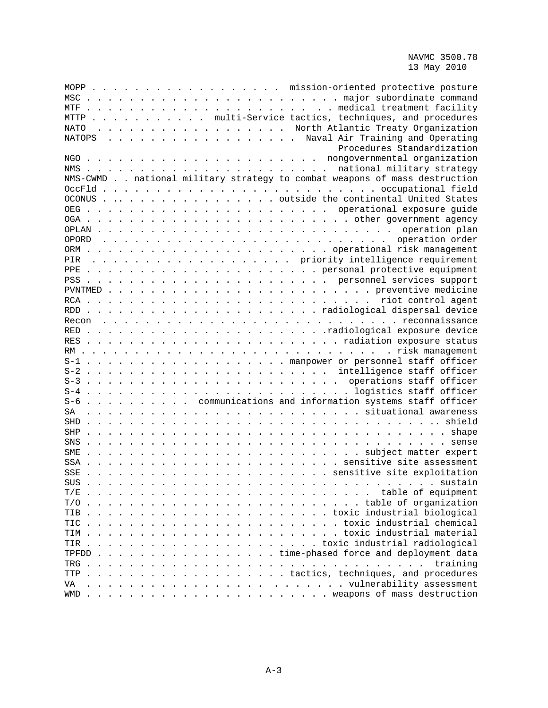| MOPP                                                                      |                                 |
|---------------------------------------------------------------------------|---------------------------------|
|                                                                           |                                 |
|                                                                           |                                 |
| MTTP multi-Service tactics, techniques, and procedures                    |                                 |
| . North Atlantic Treaty Organization<br><b>NATO</b>                       |                                 |
| NATOPS Naval Air Training and Operating                                   |                                 |
|                                                                           |                                 |
|                                                                           | Procedures Standardization      |
|                                                                           | nongovernmental organization    |
|                                                                           |                                 |
| NMS-CWMD national military strategy to combat weapons of mass destruction |                                 |
|                                                                           |                                 |
| OCONUS outside the continental United States                              |                                 |
|                                                                           |                                 |
|                                                                           |                                 |
|                                                                           |                                 |
|                                                                           |                                 |
|                                                                           |                                 |
|                                                                           |                                 |
| <b>PIR</b>                                                                |                                 |
|                                                                           |                                 |
|                                                                           |                                 |
|                                                                           |                                 |
|                                                                           |                                 |
|                                                                           |                                 |
|                                                                           |                                 |
|                                                                           |                                 |
|                                                                           |                                 |
|                                                                           |                                 |
|                                                                           |                                 |
|                                                                           |                                 |
|                                                                           |                                 |
|                                                                           |                                 |
|                                                                           |                                 |
| communications and information systems staff officer<br>$S-6$             |                                 |
| SA                                                                        |                                 |
|                                                                           |                                 |
| SHP                                                                       |                                 |
| <b>SNS</b>                                                                |                                 |
| <b>SME</b>                                                                |                                 |
| SSA                                                                       |                                 |
| <b>SSE</b>                                                                |                                 |
| <b>SUS</b>                                                                | . sustain                       |
|                                                                           |                                 |
| $\rm T/\rm E$                                                             | table of equipment              |
| T/O                                                                       |                                 |
| TIB                                                                       |                                 |
| TIC                                                                       | . toxic industrial chemical     |
| TIM<br>$\mathbf{r}$ . The set of $\mathbf{r}$<br>$\sim$ $\sim$            | . toxic industrial material     |
| TIR                                                                       | . toxic industrial radiological |
| TPFDD time-phased force and deployment data                               |                                 |
| TRG<br>$\sim$ $\sim$                                                      |                                 |
| . tactics, techniques, and procedures<br>TTP                              |                                 |
| VA                                                                        |                                 |
|                                                                           |                                 |
| WMD                                                                       |                                 |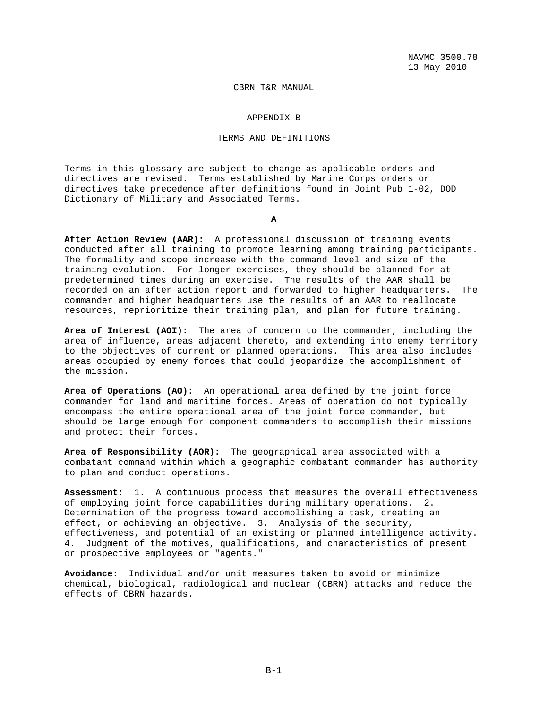CBRN T&R MANUAL

#### APPENDIX B

# TERMS AND DEFINITIONS

Terms in this glossary are subject to change as applicable orders and directives are revised. Terms established by Marine Corps orders or directives take precedence after definitions found in Joint Pub 1-02, DOD Dictionary of Military and Associated Terms.

**A** 

**After Action Review (AAR):** A professional discussion of training events conducted after all training to promote learning among training participants. The formality and scope increase with the command level and size of the training evolution. For longer exercises, they should be planned for at predetermined times during an exercise. The results of the AAR shall be recorded on an after action report and forwarded to higher headquarters. The commander and higher headquarters use the results of an AAR to reallocate resources, reprioritize their training plan, and plan for future training.

**Area of Interest (AOI):** The area of concern to the commander, including the area of influence, areas adjacent thereto, and extending into enemy territory to the objectives of current or planned operations. This area also includes areas occupied by enemy forces that could jeopardize the accomplishment of the mission.

**Area of Operations (AO):** An operational area defined by the joint force commander for land and maritime forces. Areas of operation do not typically encompass the entire operational area of the joint force commander, but should be large enough for component commanders to accomplish their missions and protect their forces.

**Area of Responsibility (AOR):** The geographical area associated with a combatant command within which a geographic combatant commander has authority to plan and conduct operations.

**Assessment:** 1. A continuous process that measures the overall effectiveness of employing joint force capabilities during military operations. 2. Determination of the progress toward accomplishing a task, creating an effect, or achieving an objective. 3. Analysis of the security, effectiveness, and potential of an existing or planned intelligence activity. 4. Judgment of the motives, qualifications, and characteristics of present or prospective employees or "agents."

**Avoidance:** Individual and/or unit measures taken to avoid or minimize chemical, biological, radiological and nuclear (CBRN) attacks and reduce the effects of CBRN hazards.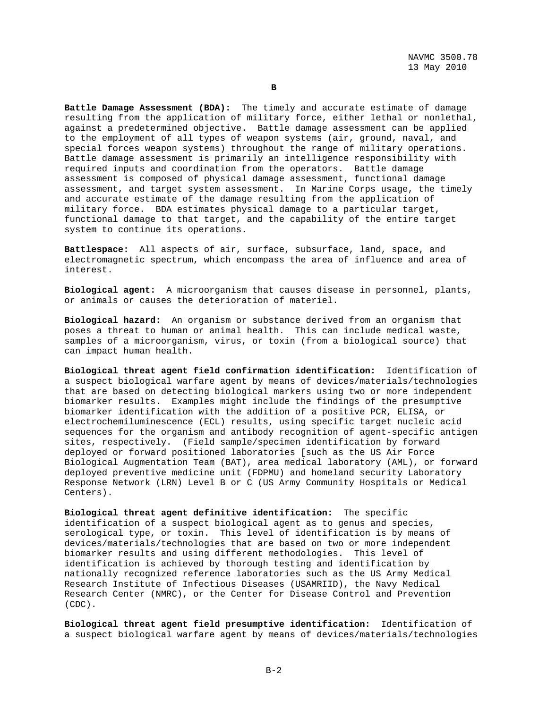**B** 

**Battle Damage Assessment (BDA):** The timely and accurate estimate of damage resulting from the application of military force, either lethal or nonlethal, against a predetermined objective. Battle damage assessment can be applied to the employment of all types of weapon systems (air, ground, naval, and special forces weapon systems) throughout the range of military operations. Battle damage assessment is primarily an intelligence responsibility with required inputs and coordination from the operators. Battle damage assessment is composed of physical damage assessment, functional damage assessment, and target system assessment. In Marine Corps usage, the timely and accurate estimate of the damage resulting from the application of military force. BDA estimates physical damage to a particular target, functional damage to that target, and the capability of the entire target system to continue its operations.

**Battlespace:** All aspects of air, surface, subsurface, land, space, and electromagnetic spectrum, which encompass the area of influence and area of interest.

**Biological agent:** A microorganism that causes disease in personnel, plants, or animals or causes the deterioration of materiel.

**Biological hazard:** An organism or substance derived from an organism that poses a threat to human or animal health. This can include medical waste, samples of a microorganism, virus, or toxin (from a biological source) that can impact human health.

**Biological threat agent field confirmation identification:** Identification of a suspect biological warfare agent by means of devices/materials/technologies that are based on detecting biological markers using two or more independent biomarker results. Examples might include the findings of the presumptive biomarker identification with the addition of a positive PCR, ELISA, or electrochemiluminescence (ECL) results, using specific target nucleic acid sequences for the organism and antibody recognition of agent-specific antigen sites, respectively. (Field sample/specimen identification by forward deployed or forward positioned laboratories [such as the US Air Force Biological Augmentation Team (BAT), area medical laboratory (AML), or forward deployed preventive medicine unit (FDPMU) and homeland security Laboratory Response Network (LRN) Level B or C (US Army Community Hospitals or Medical Centers).

**Biological threat agent definitive identification:** The specific identification of a suspect biological agent as to genus and species, serological type, or toxin. This level of identification is by means of devices/materials/technologies that are based on two or more independent biomarker results and using different methodologies. This level of identification is achieved by thorough testing and identification by nationally recognized reference laboratories such as the US Army Medical Research Institute of Infectious Diseases (USAMRIID), the Navy Medical Research Center (NMRC), or the Center for Disease Control and Prevention (CDC).

**Biological threat agent field presumptive identification:** Identification of a suspect biological warfare agent by means of devices/materials/technologies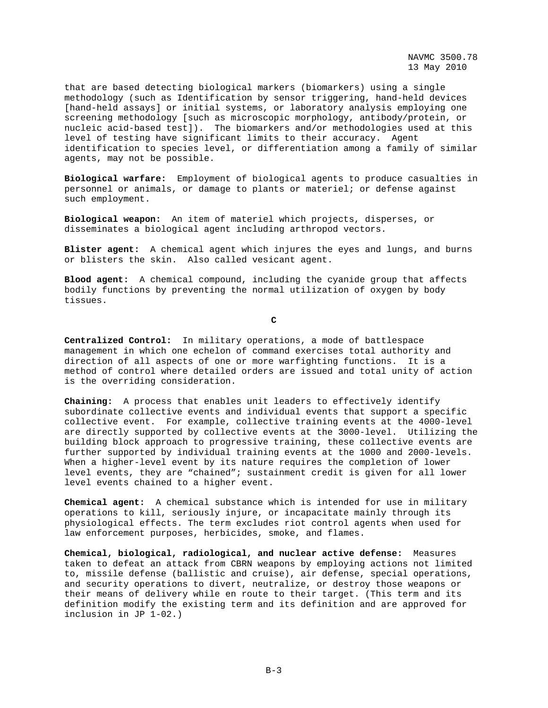that are based detecting biological markers (biomarkers) using a single methodology (such as Identification by sensor triggering, hand-held devices [hand-held assays] or initial systems, or laboratory analysis employing one screening methodology [such as microscopic morphology, antibody/protein, or nucleic acid-based test]). The biomarkers and/or methodologies used at this level of testing have significant limits to their accuracy. Agent identification to species level, or differentiation among a family of similar agents, may not be possible.

**Biological warfare:** Employment of biological agents to produce casualties in personnel or animals, or damage to plants or materiel; or defense against such employment.

**Biological weapon:** An item of materiel which projects, disperses, or disseminates a biological agent including arthropod vectors.

**Blister agent:** A chemical agent which injures the eyes and lungs, and burns or blisters the skin. Also called vesicant agent.

**Blood agent:** A chemical compound, including the cyanide group that affects bodily functions by preventing the normal utilization of oxygen by body tissues.

**C** 

**Centralized Control:** In military operations, a mode of battlespace management in which one echelon of command exercises total authority and direction of all aspects of one or more warfighting functions. It is a method of control where detailed orders are issued and total unity of action is the overriding consideration.

**Chaining:** A process that enables unit leaders to effectively identify subordinate collective events and individual events that support a specific collective event. For example, collective training events at the 4000-level are directly supported by collective events at the 3000-level. Utilizing the building block approach to progressive training, these collective events are further supported by individual training events at the 1000 and 2000-levels. When a higher-level event by its nature requires the completion of lower level events, they are "chained"; sustainment credit is given for all lower level events chained to a higher event.

**Chemical agent:** A chemical substance which is intended for use in military operations to kill, seriously injure, or incapacitate mainly through its physiological effects. The term excludes riot control agents when used for law enforcement purposes, herbicides, smoke, and flames.

**Chemical, biological, radiological, and nuclear active defense:** Measures taken to defeat an attack from CBRN weapons by employing actions not limited to, missile defense (ballistic and cruise), air defense, special operations, and security operations to divert, neutralize, or destroy those weapons or their means of delivery while en route to their target. (This term and its definition modify the existing term and its definition and are approved for inclusion in JP 1-02.)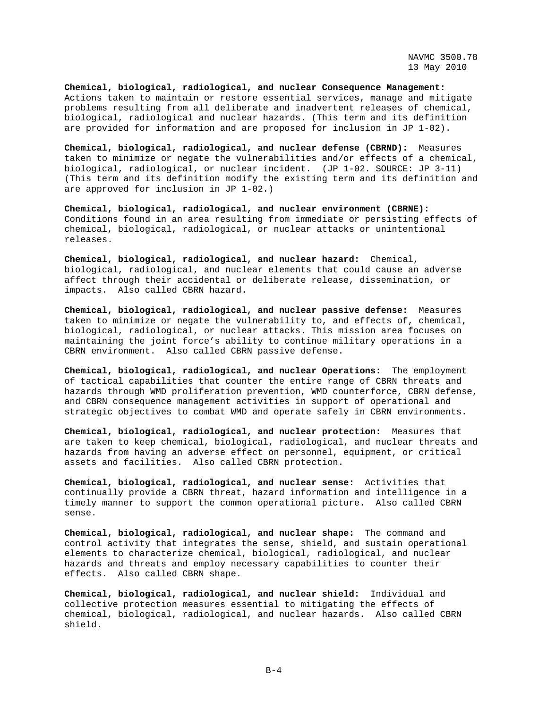**Chemical, biological, radiological, and nuclear Consequence Management:**  Actions taken to maintain or restore essential services, manage and mitigate problems resulting from all deliberate and inadvertent releases of chemical, biological, radiological and nuclear hazards. (This term and its definition are provided for information and are proposed for inclusion in JP 1-02).

**Chemical, biological, radiological, and nuclear defense (CBRND):** Measures taken to minimize or negate the vulnerabilities and/or effects of a chemical, biological, radiological, or nuclear incident. (JP 1-02. SOURCE: JP 3-11) (This term and its definition modify the existing term and its definition and are approved for inclusion in JP 1-02.)

**Chemical, biological, radiological, and nuclear environment (CBRNE):**  Conditions found in an area resulting from immediate or persisting effects of chemical, biological, radiological, or nuclear attacks or unintentional releases.

**Chemical, biological, radiological, and nuclear hazard:** Chemical, biological, radiological, and nuclear elements that could cause an adverse affect through their accidental or deliberate release, dissemination, or impacts. Also called CBRN hazard.

**Chemical, biological, radiological, and nuclear passive defense:** Measures taken to minimize or negate the vulnerability to, and effects of, chemical, biological, radiological, or nuclear attacks. This mission area focuses on maintaining the joint force's ability to continue military operations in a CBRN environment. Also called CBRN passive defense.

**Chemical, biological, radiological, and nuclear Operations:** The employment of tactical capabilities that counter the entire range of CBRN threats and hazards through WMD proliferation prevention, WMD counterforce, CBRN defense, and CBRN consequence management activities in support of operational and strategic objectives to combat WMD and operate safely in CBRN environments.

**Chemical, biological, radiological, and nuclear protection:** Measures that are taken to keep chemical, biological, radiological, and nuclear threats and hazards from having an adverse effect on personnel, equipment, or critical assets and facilities. Also called CBRN protection.

**Chemical, biological, radiological, and nuclear sense:** Activities that continually provide a CBRN threat, hazard information and intelligence in a timely manner to support the common operational picture. Also called CBRN sense.

**Chemical, biological, radiological, and nuclear shape:** The command and control activity that integrates the sense, shield, and sustain operational elements to characterize chemical, biological, radiological, and nuclear hazards and threats and employ necessary capabilities to counter their effects. Also called CBRN shape.

**Chemical, biological, radiological, and nuclear shield:** Individual and collective protection measures essential to mitigating the effects of chemical, biological, radiological, and nuclear hazards. Also called CBRN shield.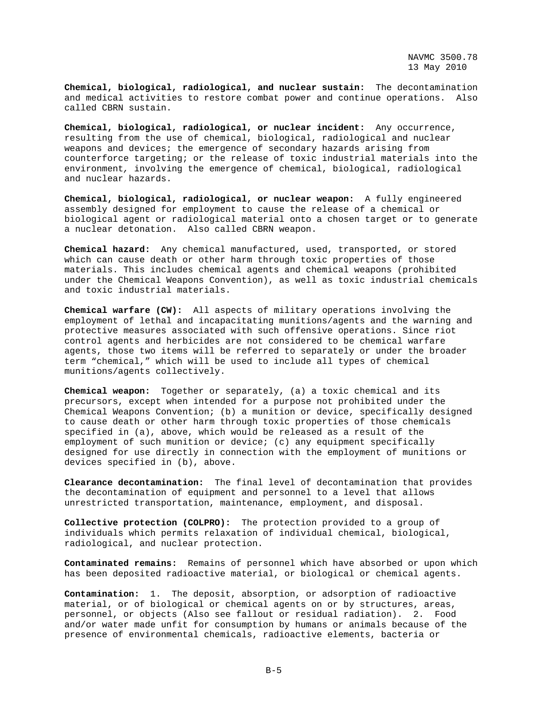**Chemical, biological, radiological, and nuclear sustain:** The decontamination and medical activities to restore combat power and continue operations. Also called CBRN sustain.

**Chemical, biological, radiological, or nuclear incident:** Any occurrence, resulting from the use of chemical, biological, radiological and nuclear weapons and devices; the emergence of secondary hazards arising from counterforce targeting; or the release of toxic industrial materials into the environment*,* involving the emergence of chemical, biological, radiological and nuclear hazards.

**Chemical, biological, radiological, or nuclear weapon:** A fully engineered assembly designed for employment to cause the release of a chemical or biological agent or radiological material onto a chosen target or to generate a nuclear detonation. Also called CBRN weapon.

**Chemical hazard:** Any chemical manufactured, used, transported, or stored which can cause death or other harm through toxic properties of those materials. This includes chemical agents and chemical weapons (prohibited under the Chemical Weapons Convention), as well as toxic industrial chemicals and toxic industrial materials.

**Chemical warfare (CW):** All aspects of military operations involving the employment of lethal and incapacitating munitions/agents and the warning and protective measures associated with such offensive operations. Since riot control agents and herbicides are not considered to be chemical warfare agents, those two items will be referred to separately or under the broader term "chemical," which will be used to include all types of chemical munitions/agents collectively.

**Chemical weapon:** Together or separately, (a) a toxic chemical and its precursors, except when intended for a purpose not prohibited under the Chemical Weapons Convention; (b) a munition or device, specifically designed to cause death or other harm through toxic properties of those chemicals specified in (a), above, which would be released as a result of the employment of such munition or device; (c) any equipment specifically designed for use directly in connection with the employment of munitions or devices specified in (b), above.

**Clearance decontamination:** The final level of decontamination that provides the decontamination of equipment and personnel to a level that allows unrestricted transportation, maintenance, employment, and disposal.

**Collective protection (COLPRO):** The protection provided to a group of individuals which permits relaxation of individual chemical, biological, radiological, and nuclear protection.

**Contaminated remains:** Remains of personnel which have absorbed or upon which has been deposited radioactive material, or biological or chemical agents.

**Contamination:** 1. The deposit, absorption, or adsorption of radioactive material, or of biological or chemical agents on or by structures, areas, personnel, or objects (Also see fallout or residual radiation). 2. Food and/or water made unfit for consumption by humans or animals because of the presence of environmental chemicals, radioactive elements, bacteria or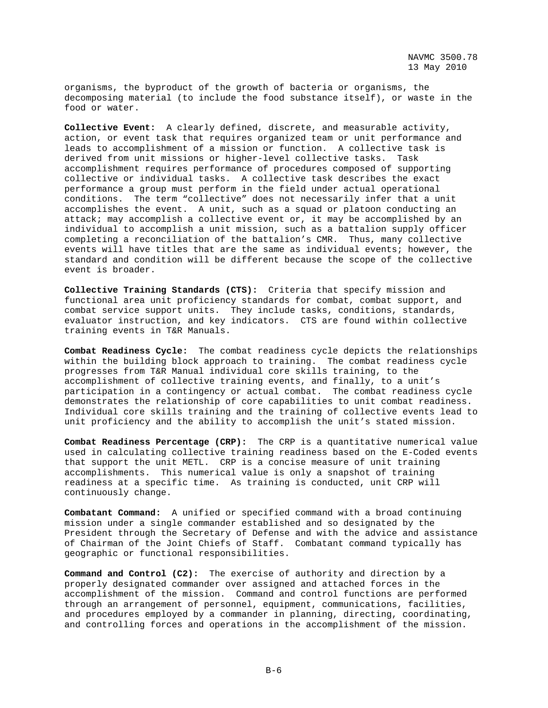organisms, the byproduct of the growth of bacteria or organisms, the decomposing material (to include the food substance itself), or waste in the food or water.

**Collective Event:** A clearly defined, discrete, and measurable activity, action, or event task that requires organized team or unit performance and leads to accomplishment of a mission or function. A collective task is derived from unit missions or higher-level collective tasks. Task accomplishment requires performance of procedures composed of supporting collective or individual tasks. A collective task describes the exact performance a group must perform in the field under actual operational conditions. The term "collective" does not necessarily infer that a unit accomplishes the event. A unit, such as a squad or platoon conducting an attack; may accomplish a collective event or, it may be accomplished by an individual to accomplish a unit mission, such as a battalion supply officer completing a reconciliation of the battalion's CMR. Thus, many collective events will have titles that are the same as individual events; however, the standard and condition will be different because the scope of the collective event is broader.

**Collective Training Standards (CTS):** Criteria that specify mission and functional area unit proficiency standards for combat, combat support, and combat service support units. They include tasks, conditions, standards, evaluator instruction, and key indicators. CTS are found within collective training events in T&R Manuals.

**Combat Readiness Cycle:** The combat readiness cycle depicts the relationships within the building block approach to training. The combat readiness cycle progresses from T&R Manual individual core skills training, to the accomplishment of collective training events, and finally, to a unit's participation in a contingency or actual combat. The combat readiness cycle demonstrates the relationship of core capabilities to unit combat readiness. Individual core skills training and the training of collective events lead to unit proficiency and the ability to accomplish the unit's stated mission.

**Combat Readiness Percentage (CRP):** The CRP is a quantitative numerical value used in calculating collective training readiness based on the E-Coded events that support the unit METL. CRP is a concise measure of unit training accomplishments. This numerical value is only a snapshot of training readiness at a specific time. As training is conducted, unit CRP will continuously change.

**Combatant Command:** A unified or specified command with a broad continuing mission under a single commander established and so designated by the President through the Secretary of Defense and with the advice and assistance of Chairman of the Joint Chiefs of Staff. Combatant command typically has geographic or functional responsibilities.

**Command and Control (C2):** The exercise of authority and direction by a properly designated commander over assigned and attached forces in the accomplishment of the mission. Command and control functions are performed through an arrangement of personnel, equipment, communications, facilities, and procedures employed by a commander in planning, directing, coordinating, and controlling forces and operations in the accomplishment of the mission.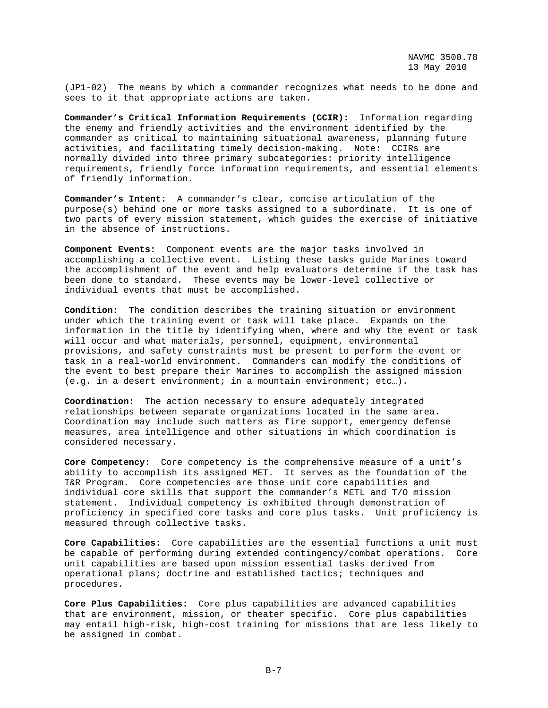(JP1-02) The means by which a commander recognizes what needs to be done and sees to it that appropriate actions are taken.

**Commander's Critical Information Requirements (CCIR):** Information regarding the enemy and friendly activities and the environment identified by the commander as critical to maintaining situational awareness, planning future activities, and facilitating timely decision-making. Note: CCIRs are normally divided into three primary subcategories: priority intelligence requirements, friendly force information requirements, and essential elements of friendly information.

**Commander's Intent:** A commander's clear, concise articulation of the purpose(s) behind one or more tasks assigned to a subordinate. It is one of two parts of every mission statement, which guides the exercise of initiative in the absence of instructions.

**Component Events:** Component events are the major tasks involved in accomplishing a collective event. Listing these tasks guide Marines toward the accomplishment of the event and help evaluators determine if the task has been done to standard. These events may be lower-level collective or individual events that must be accomplished.

**Condition:** The condition describes the training situation or environment under which the training event or task will take place. Expands on the information in the title by identifying when, where and why the event or task will occur and what materials, personnel, equipment, environmental provisions, and safety constraints must be present to perform the event or task in a real-world environment. Commanders can modify the conditions of the event to best prepare their Marines to accomplish the assigned mission (e.g. in a desert environment; in a mountain environment; etc…).

**Coordination:** The action necessary to ensure adequately integrated relationships between separate organizations located in the same area. Coordination may include such matters as fire support, emergency defense measures, area intelligence and other situations in which coordination is considered necessary.

**Core Competency:** Core competency is the comprehensive measure of a unit's ability to accomplish its assigned MET. It serves as the foundation of the T&R Program. Core competencies are those unit core capabilities and individual core skills that support the commander's METL and T/O mission statement. Individual competency is exhibited through demonstration of proficiency in specified core tasks and core plus tasks. Unit proficiency is measured through collective tasks.

**Core Capabilities:** Core capabilities are the essential functions a unit must be capable of performing during extended contingency/combat operations. Core unit capabilities are based upon mission essential tasks derived from operational plans; doctrine and established tactics; techniques and procedures.

**Core Plus Capabilities:** Core plus capabilities are advanced capabilities that are environment, mission, or theater specific. Core plus capabilities may entail high-risk, high-cost training for missions that are less likely to be assigned in combat.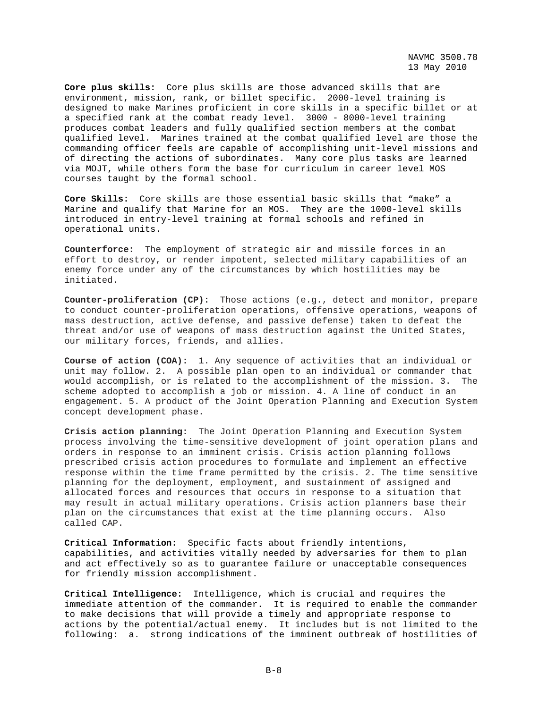**Core plus skills:** Core plus skills are those advanced skills that are environment, mission, rank, or billet specific. 2000-level training is designed to make Marines proficient in core skills in a specific billet or at a specified rank at the combat ready level. 3000 - 8000-level training produces combat leaders and fully qualified section members at the combat qualified level. Marines trained at the combat qualified level are those the commanding officer feels are capable of accomplishing unit-level missions and of directing the actions of subordinates. Many core plus tasks are learned via MOJT, while others form the base for curriculum in career level MOS courses taught by the formal school.

**Core Skills:** Core skills are those essential basic skills that "make" a Marine and qualify that Marine for an MOS. They are the 1000-level skills introduced in entry-level training at formal schools and refined in operational units.

**Counterforce:** The employment of strategic air and missile forces in an effort to destroy, or render impotent, selected military capabilities of an enemy force under any of the circumstances by which hostilities may be initiated.

**Counter-proliferation (CP):** Those actions (e.g., detect and monitor, prepare to conduct counter-proliferation operations, offensive operations, weapons of mass destruction, active defense, and passive defense) taken to defeat the threat and/or use of weapons of mass destruction against the United States, our military forces, friends, and allies.

**Course of action (COA):** 1. Any sequence of activities that an individual or unit may follow. 2. A possible plan open to an individual or commander that would accomplish, or is related to the accomplishment of the mission. 3. The scheme adopted to accomplish a job or mission. 4. A line of conduct in an engagement. 5. A product of the Joint Operation Planning and Execution System concept development phase.

**Crisis action planning:** The Joint Operation Planning and Execution System process involving the time-sensitive development of joint operation plans and orders in response to an imminent crisis. Crisis action planning follows prescribed crisis action procedures to formulate and implement an effective response within the time frame permitted by the crisis. 2. The time sensitive planning for the deployment, employment, and sustainment of assigned and allocated forces and resources that occurs in response to a situation that may result in actual military operations. Crisis action planners base their plan on the circumstances that exist at the time planning occurs. Also called CAP.

**Critical Information:** Specific facts about friendly intentions, capabilities, and activities vitally needed by adversaries for them to plan and act effectively so as to guarantee failure or unacceptable consequences for friendly mission accomplishment.

**Critical Intelligence:** Intelligence, which is crucial and requires the immediate attention of the commander. It is required to enable the commander to make decisions that will provide a timely and appropriate response to actions by the potential/actual enemy. It includes but is not limited to the following: a. strong indications of the imminent outbreak of hostilities of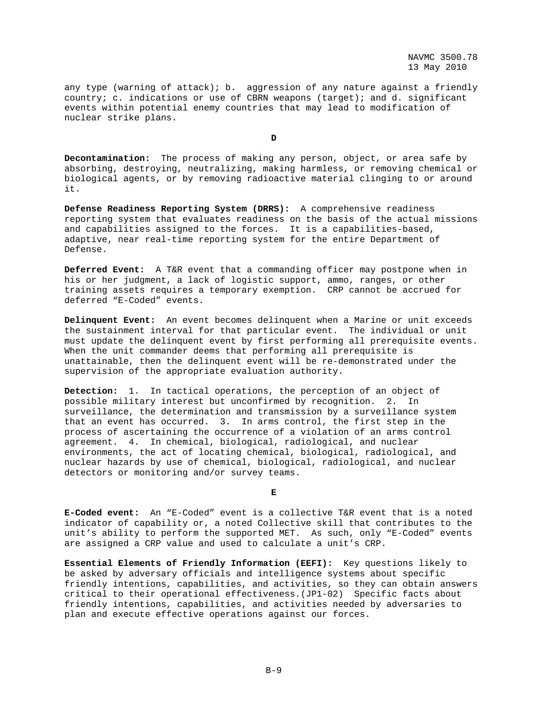any type (warning of attack); b. aggression of any nature against a friendly country; c. indications or use of CBRN weapons (target); and d. significant events within potential enemy countries that may lead to modification of nuclear strike plans.

**D** 

**Decontamination:** The process of making any person, object, or area safe by absorbing, destroying, neutralizing, making harmless, or removing chemical or biological agents, or by removing radioactive material clinging to or around it.

**Defense Readiness Reporting System (DRRS):** A comprehensive readiness reporting system that evaluates readiness on the basis of the actual missions and capabilities assigned to the forces. It is a capabilities-based, adaptive, near real-time reporting system for the entire Department of Defense.

**Deferred Event:** A T&R event that a commanding officer may postpone when in his or her judgment, a lack of logistic support, ammo, ranges, or other training assets requires a temporary exemption. CRP cannot be accrued for deferred "E-Coded" events.

**Delinquent Event:** An event becomes delinquent when a Marine or unit exceeds the sustainment interval for that particular event. The individual or unit must update the delinquent event by first performing all prerequisite events. When the unit commander deems that performing all prerequisite is unattainable, then the delinquent event will be re-demonstrated under the supervision of the appropriate evaluation authority.

**Detection:** 1. In tactical operations, the perception of an object of possible military interest but unconfirmed by recognition. 2. In surveillance, the determination and transmission by a surveillance system that an event has occurred. 3. In arms control, the first step in the process of ascertaining the occurrence of a violation of an arms control agreement. 4. In chemical, biological, radiological, and nuclear environments, the act of locating chemical, biological, radiological, and nuclear hazards by use of chemical, biological, radiological, and nuclear detectors or monitoring and/or survey teams.

**E** 

**E-Coded event:** An "E-Coded" event is a collective T&R event that is a noted indicator of capability or, a noted Collective skill that contributes to the unit's ability to perform the supported MET. As such, only "E-Coded" events are assigned a CRP value and used to calculate a unit's CRP.

**Essential Elements of Friendly Information (EEFI):** Key questions likely to be asked by adversary officials and intelligence systems about specific friendly intentions, capabilities, and activities, so they can obtain answers critical to their operational effectiveness.(JP1-02) Specific facts about friendly intentions, capabilities, and activities needed by adversaries to plan and execute effective operations against our forces.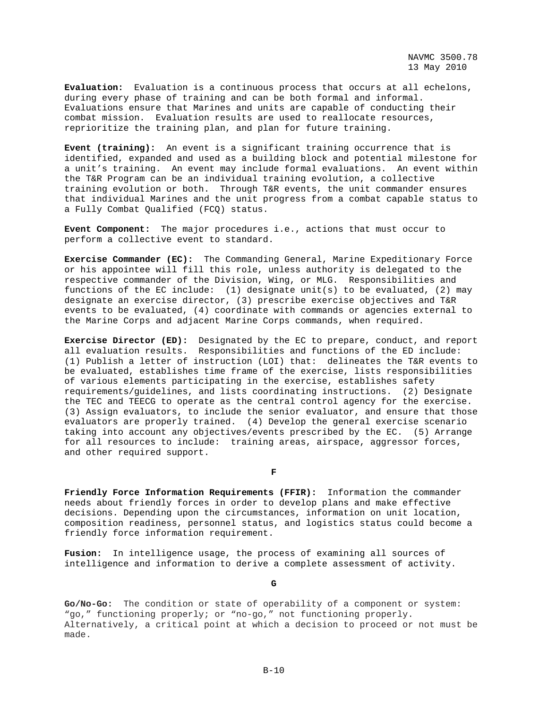**Evaluation:** Evaluation is a continuous process that occurs at all echelons, during every phase of training and can be both formal and informal. Evaluations ensure that Marines and units are capable of conducting their combat mission. Evaluation results are used to reallocate resources, reprioritize the training plan, and plan for future training.

**Event (training):** An event is a significant training occurrence that is identified, expanded and used as a building block and potential milestone for a unit's training. An event may include formal evaluations. An event within the T&R Program can be an individual training evolution, a collective training evolution or both. Through T&R events, the unit commander ensures that individual Marines and the unit progress from a combat capable status to a Fully Combat Qualified (FCQ) status.

**Event Component:** The major procedures i.e., actions that must occur to perform a collective event to standard.

**Exercise Commander (EC):** The Commanding General, Marine Expeditionary Force or his appointee will fill this role, unless authority is delegated to the respective commander of the Division, Wing, or MLG. Responsibilities and functions of the EC include: (1) designate unit(s) to be evaluated, (2) may designate an exercise director, (3) prescribe exercise objectives and T&R events to be evaluated, (4) coordinate with commands or agencies external to the Marine Corps and adjacent Marine Corps commands, when required.

**Exercise Director (ED):** Designated by the EC to prepare, conduct, and report all evaluation results. Responsibilities and functions of the ED include: (1) Publish a letter of instruction (LOI) that: delineates the T&R events to be evaluated, establishes time frame of the exercise, lists responsibilities of various elements participating in the exercise, establishes safety requirements/guidelines, and lists coordinating instructions. (2) Designate the TEC and TEECG to operate as the central control agency for the exercise. (3) Assign evaluators, to include the senior evaluator, and ensure that those evaluators are properly trained. (4) Develop the general exercise scenario taking into account any objectives/events prescribed by the EC. (5) Arrange for all resources to include: training areas, airspace, aggressor forces, and other required support.

**F** 

**Friendly Force Information Requirements (FFIR):** Information the commander needs about friendly forces in order to develop plans and make effective decisions. Depending upon the circumstances, information on unit location, composition readiness, personnel status, and logistics status could become a friendly force information requirement.

**Fusion:** In intelligence usage, the process of examining all sources of intelligence and information to derive a complete assessment of activity.

**Go/No-Go:** The condition or state of operability of a component or system: "go," functioning properly; or "no-go," not functioning properly. Alternatively, a critical point at which a decision to proceed or not must be made.

**G**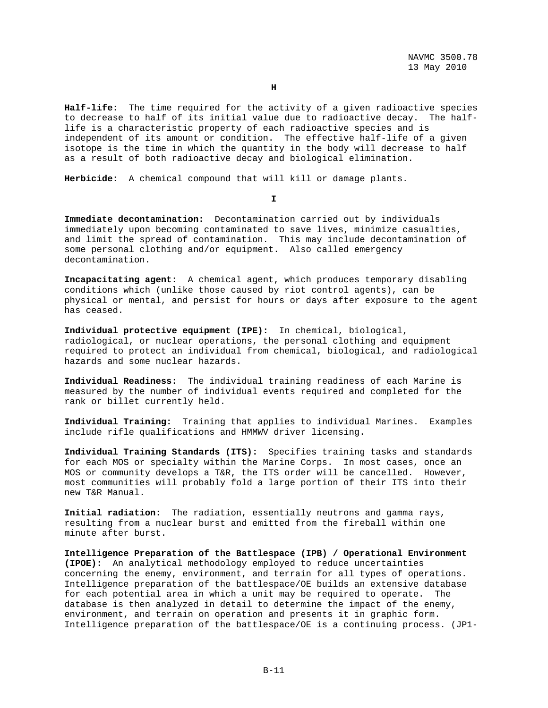**Half-life:** The time required for the activity of a given radioactive species to decrease to half of its initial value due to radioactive decay. The halflife is a characteristic property of each radioactive species and is independent of its amount or condition. The effective half-life of a given isotope is the time in which the quantity in the body will decrease to half as a result of both radioactive decay and biological elimination.

**Herbicide:** A chemical compound that will kill or damage plants.

**I** 

**Immediate decontamination:** Decontamination carried out by individuals immediately upon becoming contaminated to save lives, minimize casualties, and limit the spread of contamination. This may include decontamination of some personal clothing and/or equipment. Also called emergency decontamination.

**Incapacitating agent:** A chemical agent, which produces temporary disabling conditions which (unlike those caused by riot control agents), can be physical or mental, and persist for hours or days after exposure to the agent has ceased.

**Individual protective equipment (IPE):** In chemical, biological, radiological, or nuclear operations, the personal clothing and equipment required to protect an individual from chemical, biological, and radiological hazards and some nuclear hazards.

**Individual Readiness:** The individual training readiness of each Marine is measured by the number of individual events required and completed for the rank or billet currently held.

**Individual Training:** Training that applies to individual Marines. Examples include rifle qualifications and HMMWV driver licensing.

**Individual Training Standards (ITS):** Specifies training tasks and standards for each MOS or specialty within the Marine Corps. In most cases, once an MOS or community develops a T&R, the ITS order will be cancelled. However, most communities will probably fold a large portion of their ITS into their new T&R Manual.

**Initial radiation:** The radiation, essentially neutrons and gamma rays, resulting from a nuclear burst and emitted from the fireball within one minute after burst.

**Intelligence Preparation of the Battlespace (IPB) / Operational Environment (IPOE):** An analytical methodology employed to reduce uncertainties concerning the enemy, environment, and terrain for all types of operations. Intelligence preparation of the battlespace/OE builds an extensive database for each potential area in which a unit may be required to operate. The database is then analyzed in detail to determine the impact of the enemy, environment, and terrain on operation and presents it in graphic form. Intelligence preparation of the battlespace/OE is a continuing process. (JP1-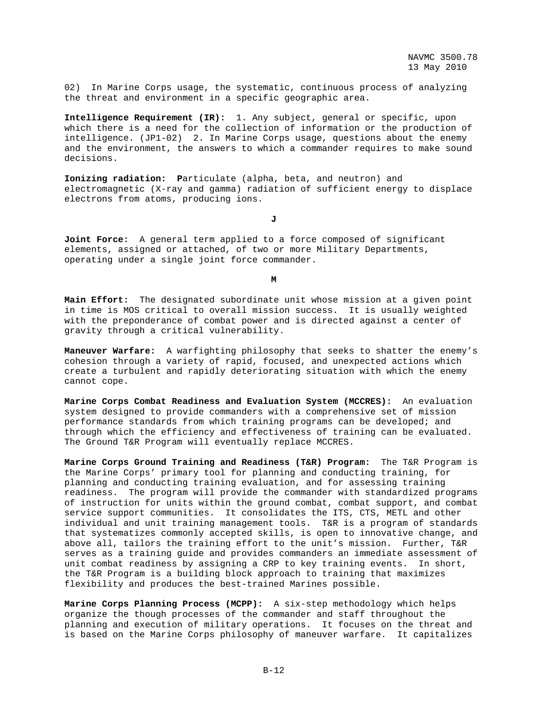02) In Marine Corps usage, the systematic, continuous process of analyzing the threat and environment in a specific geographic area.

**Intelligence Requirement (IR):** 1. Any subject, general or specific, upon which there is a need for the collection of information or the production of intelligence. (JP1-02) 2. In Marine Corps usage, questions about the enemy and the environment, the answers to which a commander requires to make sound decisions.

**Ionizing radiation: P**articulate (alpha, beta, and neutron) and electromagnetic (X-ray and gamma) radiation of sufficient energy to displace electrons from atoms, producing ions.

 $J$ 

**Joint Force:** A general term applied to a force composed of significant elements, assigned or attached, of two or more Military Departments, operating under a single joint force commander.

**M** 

**Main Effort:** The designated subordinate unit whose mission at a given point in time is MOS critical to overall mission success. It is usually weighted with the preponderance of combat power and is directed against a center of gravity through a critical vulnerability.

**Maneuver Warfare:** A warfighting philosophy that seeks to shatter the enemy's cohesion through a variety of rapid, focused, and unexpected actions which create a turbulent and rapidly deteriorating situation with which the enemy cannot cope.

**Marine Corps Combat Readiness and Evaluation System (MCCRES):** An evaluation system designed to provide commanders with a comprehensive set of mission performance standards from which training programs can be developed; and through which the efficiency and effectiveness of training can be evaluated. The Ground T&R Program will eventually replace MCCRES.

**Marine Corps Ground Training and Readiness (T&R) Program:** The T&R Program is the Marine Corps' primary tool for planning and conducting training, for planning and conducting training evaluation, and for assessing training readiness. The program will provide the commander with standardized programs of instruction for units within the ground combat, combat support, and combat service support communities. It consolidates the ITS, CTS, METL and other individual and unit training management tools. T&R is a program of standards that systematizes commonly accepted skills, is open to innovative change, and above all, tailors the training effort to the unit's mission. Further, T&R serves as a training guide and provides commanders an immediate assessment of unit combat readiness by assigning a CRP to key training events. In short, the T&R Program is a building block approach to training that maximizes flexibility and produces the best-trained Marines possible.

**Marine Corps Planning Process (MCPP):** A six-step methodology which helps organize the though processes of the commander and staff throughout the planning and execution of military operations. It focuses on the threat and is based on the Marine Corps philosophy of maneuver warfare. It capitalizes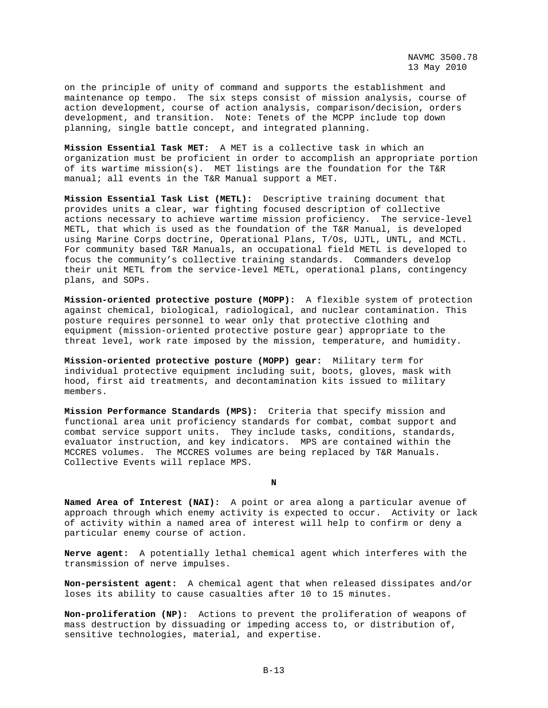on the principle of unity of command and supports the establishment and maintenance op tempo. The six steps consist of mission analysis, course of action development, course of action analysis, comparison/decision, orders development, and transition. Note: Tenets of the MCPP include top down planning, single battle concept, and integrated planning.

**Mission Essential Task MET:** A MET is a collective task in which an organization must be proficient in order to accomplish an appropriate portion of its wartime mission(s). MET listings are the foundation for the T&R manual; all events in the T&R Manual support a MET.

**Mission Essential Task List (METL):** Descriptive training document that provides units a clear, war fighting focused description of collective actions necessary to achieve wartime mission proficiency. The service-level METL, that which is used as the foundation of the T&R Manual, is developed using Marine Corps doctrine, Operational Plans, T/Os, UJTL, UNTL, and MCTL. For community based T&R Manuals, an occupational field METL is developed to focus the community's collective training standards. Commanders develop their unit METL from the service-level METL, operational plans, contingency plans, and SOPs.

**Mission-oriented protective posture (MOPP):** A flexible system of protection against chemical, biological, radiological, and nuclear contamination. This posture requires personnel to wear only that protective clothing and equipment (mission-oriented protective posture gear) appropriate to the threat level, work rate imposed by the mission, temperature, and humidity.

**Mission-oriented protective posture (MOPP) gear:** Military term for individual protective equipment including suit, boots, gloves, mask with hood, first aid treatments, and decontamination kits issued to military members.

**Mission Performance Standards (MPS):** Criteria that specify mission and functional area unit proficiency standards for combat, combat support and combat service support units. They include tasks, conditions, standards, evaluator instruction, and key indicators. MPS are contained within the MCCRES volumes. The MCCRES volumes are being replaced by T&R Manuals. Collective Events will replace MPS.

**N** 

**Named Area of Interest (NAI):** A point or area along a particular avenue of approach through which enemy activity is expected to occur. Activity or lack of activity within a named area of interest will help to confirm or deny a particular enemy course of action.

**Nerve agent:** A potentially lethal chemical agent which interferes with the transmission of nerve impulses.

**Non-persistent agent:** A chemical agent that when released dissipates and/or loses its ability to cause casualties after 10 to 15 minutes.

**Non-proliferation (NP):** Actions to prevent the proliferation of weapons of mass destruction by dissuading or impeding access to, or distribution of, sensitive technologies, material, and expertise.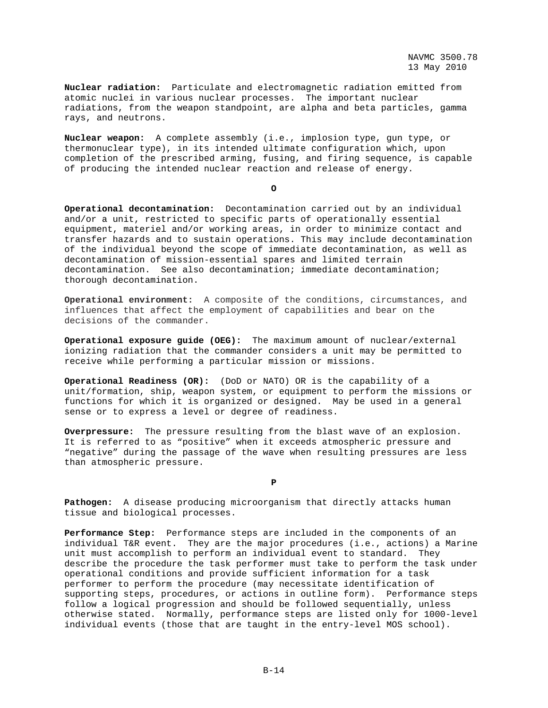**Nuclear radiation:** Particulate and electromagnetic radiation emitted from atomic nuclei in various nuclear processes. The important nuclear radiations, from the weapon standpoint, are alpha and beta particles, gamma rays, and neutrons.

**Nuclear weapon:** A complete assembly (i.e., implosion type, gun type, or thermonuclear type), in its intended ultimate configuration which, upon completion of the prescribed arming, fusing, and firing sequence, is capable of producing the intended nuclear reaction and release of energy.

**O** 

**Operational decontamination:** Decontamination carried out by an individual and/or a unit, restricted to specific parts of operationally essential equipment, materiel and/or working areas, in order to minimize contact and transfer hazards and to sustain operations. This may include decontamination of the individual beyond the scope of immediate decontamination, as well as decontamination of mission-essential spares and limited terrain decontamination. See also decontamination; immediate decontamination; thorough decontamination.

**Operational environment:** A composite of the conditions, circumstances, and influences that affect the employment of capabilities and bear on the decisions of the commander.

**Operational exposure guide (OEG):** The maximum amount of nuclear/external ionizing radiation that the commander considers a unit may be permitted to receive while performing a particular mission or missions.

**Operational Readiness (OR):** (DoD or NATO) OR is the capability of a unit/formation, ship, weapon system, or equipment to perform the missions or functions for which it is organized or designed. May be used in a general sense or to express a level or degree of readiness.

**Overpressure:** The pressure resulting from the blast wave of an explosion. It is referred to as "positive" when it exceeds atmospheric pressure and "negative" during the passage of the wave when resulting pressures are less than atmospheric pressure.

**P** 

**Pathogen:** A disease producing microorganism that directly attacks human tissue and biological processes.

**Performance Step:** Performance steps are included in the components of an individual T&R event. They are the major procedures (i.e., actions) a Marine unit must accomplish to perform an individual event to standard. They describe the procedure the task performer must take to perform the task under operational conditions and provide sufficient information for a task performer to perform the procedure (may necessitate identification of supporting steps, procedures, or actions in outline form). Performance steps follow a logical progression and should be followed sequentially, unless otherwise stated. Normally, performance steps are listed only for 1000-level individual events (those that are taught in the entry-level MOS school).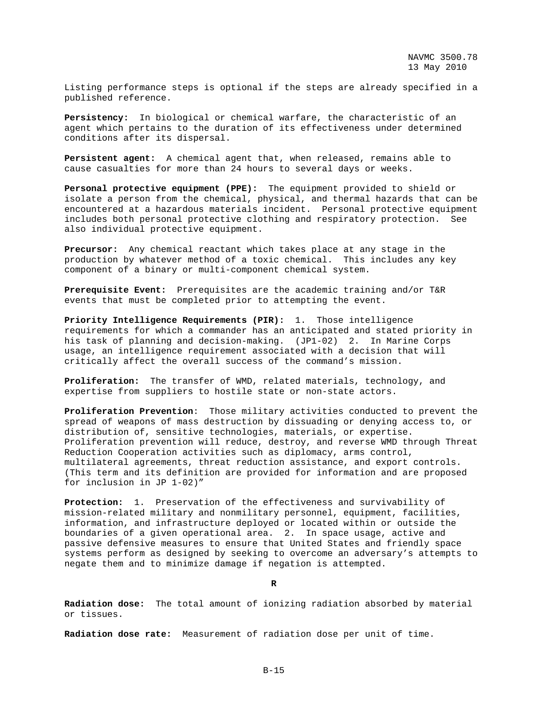Listing performance steps is optional if the steps are already specified in a published reference.

**Persistency:** In biological or chemical warfare, the characteristic of an agent which pertains to the duration of its effectiveness under determined conditions after its dispersal.

**Persistent agent:** A chemical agent that, when released, remains able to cause casualties for more than 24 hours to several days or weeks.

**Personal protective equipment (PPE):** The equipment provided to shield or isolate a person from the chemical, physical, and thermal hazards that can be encountered at a hazardous materials incident. Personal protective equipment includes both personal protective clothing and respiratory protection. See also individual protective equipment.

**Precursor:** Any chemical reactant which takes place at any stage in the production by whatever method of a toxic chemical. This includes any key component of a binary or multi-component chemical system.

**Prerequisite Event:** Prerequisites are the academic training and/or T&R events that must be completed prior to attempting the event.

**Priority Intelligence Requirements (PIR):** 1. Those intelligence requirements for which a commander has an anticipated and stated priority in his task of planning and decision-making. (JP1-02) 2.In Marine Corps usage, an intelligence requirement associated with a decision that will critically affect the overall success of the command's mission.

**Proliferation:** The transfer of WMD, related materials, technology, and expertise from suppliers to hostile state or non-state actors.

**Proliferation Prevention**:Those military activities conducted to prevent the spread of weapons of mass destruction by dissuading or denying access to, or distribution of, sensitive technologies, materials, or expertise. Proliferation prevention will reduce, destroy, and reverse WMD through Threat Reduction Cooperation activities such as diplomacy, arms control, multilateral agreements, threat reduction assistance, and export controls. (This term and its definition are provided for information and are proposed for inclusion in JP 1-02)"

**Protection:** 1. Preservation of the effectiveness and survivability of mission-related military and nonmilitary personnel, equipment, facilities, information, and infrastructure deployed or located within or outside the boundaries of a given operational area. 2. In space usage, active and passive defensive measures to ensure that United States and friendly space systems perform as designed by seeking to overcome an adversary's attempts to negate them and to minimize damage if negation is attempted.

**R** 

**Radiation dose:** The total amount of ionizing radiation absorbed by material or tissues.

**Radiation dose rate:** Measurement of radiation dose per unit of time.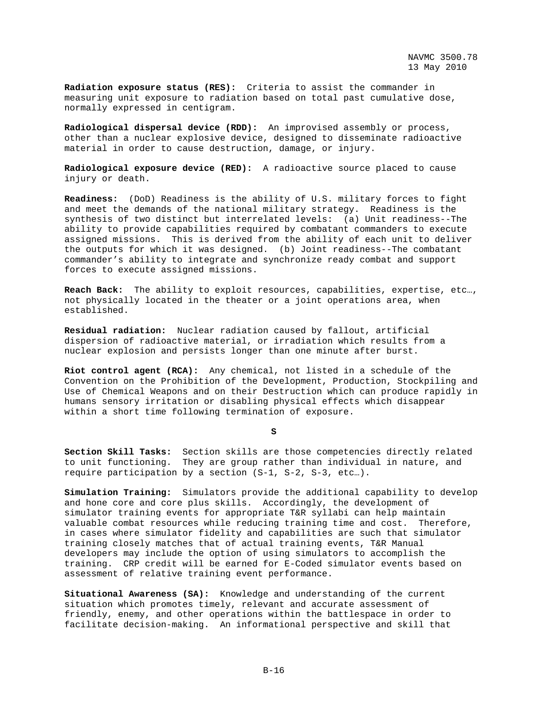**Radiation exposure status (RES):** Criteria to assist the commander in measuring unit exposure to radiation based on total past cumulative dose, normally expressed in centigram.

**Radiological dispersal device (RDD):** An improvised assembly or process, other than a nuclear explosive device, designed to disseminate radioactive material in order to cause destruction, damage, or injury.

**Radiological exposure device (RED):** A radioactive source placed to cause injury or death.

**Readiness:** (DoD) Readiness is the ability of U.S. military forces to fight and meet the demands of the national military strategy. Readiness is the synthesis of two distinct but interrelated levels: (a) Unit readiness--The ability to provide capabilities required by combatant commanders to execute assigned missions. This is derived from the ability of each unit to deliver the outputs for which it was designed. (b) Joint readiness--The combatant commander's ability to integrate and synchronize ready combat and support forces to execute assigned missions.

**Reach Back:** The ability to exploit resources, capabilities, expertise, etc…, not physically located in the theater or a joint operations area, when established.

**Residual radiation:** Nuclear radiation caused by fallout, artificial dispersion of radioactive material, or irradiation which results from a nuclear explosion and persists longer than one minute after burst.

**Riot control agent (RCA):** Any chemical, not listed in a schedule of the Convention on the Prohibition of the Development, Production, Stockpiling and Use of Chemical Weapons and on their Destruction which can produce rapidly in humans sensory irritation or disabling physical effects which disappear within a short time following termination of exposure.

**S** 

**Section Skill Tasks:** Section skills are those competencies directly related to unit functioning. They are group rather than individual in nature, and require participation by a section (S-1, S-2, S-3, etc…).

**Simulation Training:** Simulators provide the additional capability to develop and hone core and core plus skills. Accordingly, the development of simulator training events for appropriate T&R syllabi can help maintain valuable combat resources while reducing training time and cost. Therefore, in cases where simulator fidelity and capabilities are such that simulator training closely matches that of actual training events, T&R Manual developers may include the option of using simulators to accomplish the training. CRP credit will be earned for E-Coded simulator events based on assessment of relative training event performance.

**Situational Awareness (SA):** Knowledge and understanding of the current situation which promotes timely, relevant and accurate assessment of friendly, enemy, and other operations within the battlespace in order to facilitate decision-making. An informational perspective and skill that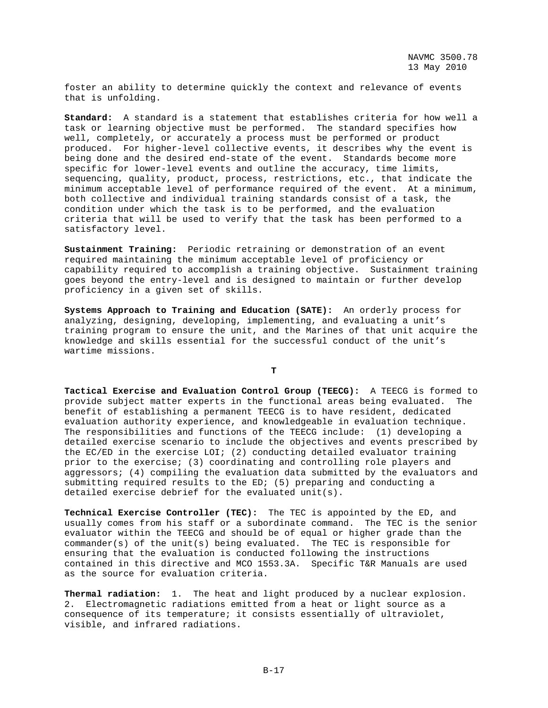foster an ability to determine quickly the context and relevance of events that is unfolding.

**Standard:** A standard is a statement that establishes criteria for how well a task or learning objective must be performed. The standard specifies how well, completely, or accurately a process must be performed or product produced. For higher-level collective events, it describes why the event is being done and the desired end-state of the event. Standards become more specific for lower-level events and outline the accuracy, time limits, sequencing, quality, product, process, restrictions, etc., that indicate the minimum acceptable level of performance required of the event. At a minimum, both collective and individual training standards consist of a task, the condition under which the task is to be performed, and the evaluation criteria that will be used to verify that the task has been performed to a satisfactory level.

**Sustainment Training:** Periodic retraining or demonstration of an event required maintaining the minimum acceptable level of proficiency or capability required to accomplish a training objective. Sustainment training goes beyond the entry-level and is designed to maintain or further develop proficiency in a given set of skills.

**Systems Approach to Training and Education (SATE):** An orderly process for analyzing, designing, developing, implementing, and evaluating a unit's training program to ensure the unit, and the Marines of that unit acquire the knowledge and skills essential for the successful conduct of the unit's wartime missions.

**T** 

**Tactical Exercise and Evaluation Control Group (TEECG):** A TEECG is formed to provide subject matter experts in the functional areas being evaluated. The benefit of establishing a permanent TEECG is to have resident, dedicated evaluation authority experience, and knowledgeable in evaluation technique. The responsibilities and functions of the TEECG include: (1) developing a detailed exercise scenario to include the objectives and events prescribed by the EC/ED in the exercise LOI; (2) conducting detailed evaluator training prior to the exercise; (3) coordinating and controlling role players and aggressors; (4) compiling the evaluation data submitted by the evaluators and submitting required results to the ED; (5) preparing and conducting a detailed exercise debrief for the evaluated unit(s).

**Technical Exercise Controller (TEC):** The TEC is appointed by the ED, and usually comes from his staff or a subordinate command. The TEC is the senior evaluator within the TEECG and should be of equal or higher grade than the commander(s) of the unit(s) being evaluated. The TEC is responsible for ensuring that the evaluation is conducted following the instructions contained in this directive and MCO 1553.3A. Specific T&R Manuals are used as the source for evaluation criteria.

**Thermal radiation:** 1. The heat and light produced by a nuclear explosion. 2. Electromagnetic radiations emitted from a heat or light source as a consequence of its temperature; it consists essentially of ultraviolet, visible, and infrared radiations.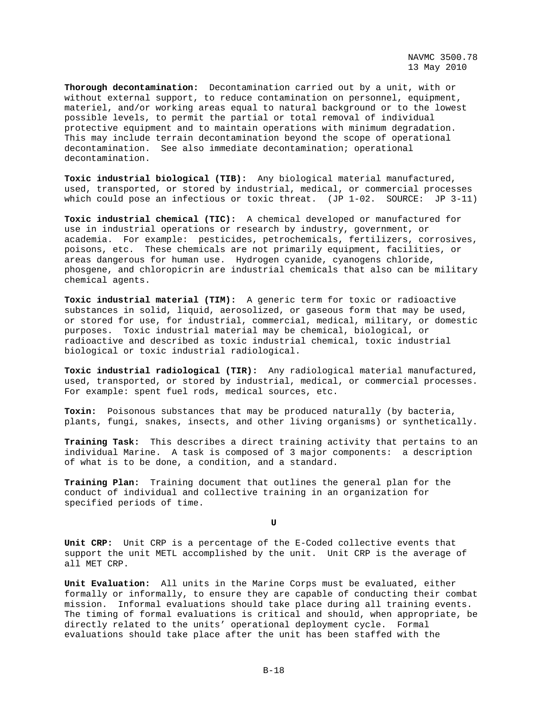**Thorough decontamination:** Decontamination carried out by a unit, with or without external support, to reduce contamination on personnel, equipment, materiel, and/or working areas equal to natural background or to the lowest possible levels, to permit the partial or total removal of individual protective equipment and to maintain operations with minimum degradation. This may include terrain decontamination beyond the scope of operational decontamination. See also immediate decontamination; operational decontamination.

**Toxic industrial biological (TIB):** Any biological material manufactured, used, transported, or stored by industrial, medical, or commercial processes which could pose an infectious or toxic threat. (JP 1-02. SOURCE: JP 3-11)

**Toxic industrial chemical (TIC):** A chemical developed or manufactured for use in industrial operations or research by industry, government, or academia. For example: pesticides, petrochemicals, fertilizers, corrosives, poisons, etc. These chemicals are not primarily equipment, facilities, or areas dangerous for human use. Hydrogen cyanide, cyanogens chloride, phosgene, and chloropicrin are industrial chemicals that also can be military chemical agents.

**Toxic industrial material (TIM):** A generic term for toxic or radioactive substances in solid, liquid, aerosolized, or gaseous form that may be used, or stored for use, for industrial, commercial, medical, military, or domestic purposes. Toxic industrial material may be chemical, biological, or radioactive and described as toxic industrial chemical, toxic industrial biological or toxic industrial radiological.

**Toxic industrial radiological (TIR):** Any radiological material manufactured, used, transported, or stored by industrial, medical, or commercial processes. For example: spent fuel rods, medical sources, etc.

**Toxin:** Poisonous substances that may be produced naturally (by bacteria, plants, fungi, snakes, insects, and other living organisms) or synthetically.

**Training Task:** This describes a direct training activity that pertains to an individual Marine. A task is composed of 3 major components: a description of what is to be done, a condition, and a standard.

**Training Plan:** Training document that outlines the general plan for the conduct of individual and collective training in an organization for specified periods of time.

**U** 

**Unit CRP:** Unit CRP is a percentage of the E-Coded collective events that support the unit METL accomplished by the unit. Unit CRP is the average of all MET CRP.

**Unit Evaluation:** All units in the Marine Corps must be evaluated, either formally or informally, to ensure they are capable of conducting their combat mission. Informal evaluations should take place during all training events. The timing of formal evaluations is critical and should, when appropriate, be directly related to the units' operational deployment cycle. Formal evaluations should take place after the unit has been staffed with the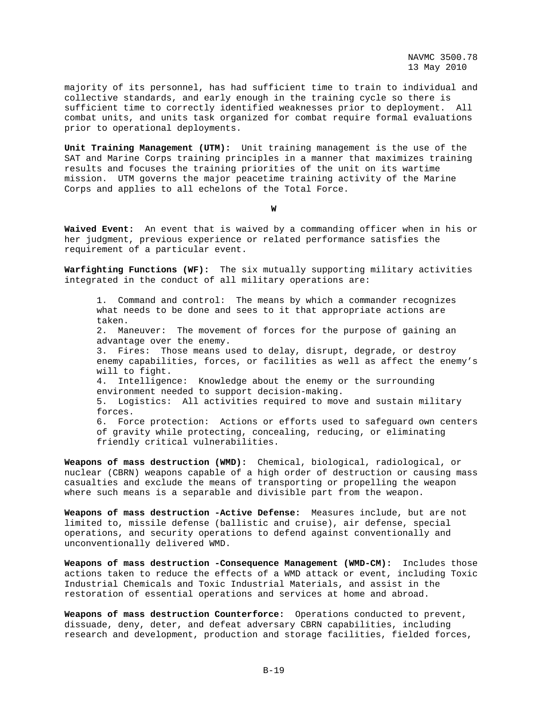majority of its personnel, has had sufficient time to train to individual and collective standards, and early enough in the training cycle so there is sufficient time to correctly identified weaknesses prior to deployment. All combat units, and units task organized for combat require formal evaluations prior to operational deployments.

**Unit Training Management (UTM):** Unit training management is the use of the SAT and Marine Corps training principles in a manner that maximizes training results and focuses the training priorities of the unit on its wartime mission. UTM governs the major peacetime training activity of the Marine Corps and applies to all echelons of the Total Force.

**W** 

**Waived Event:** An event that is waived by a commanding officer when in his or her judgment, previous experience or related performance satisfies the requirement of a particular event.

**Warfighting Functions (WF):** The six mutually supporting military activities integrated in the conduct of all military operations are:

1. Command and control: The means by which a commander recognizes what needs to be done and sees to it that appropriate actions are taken. 2. Maneuver: The movement of forces for the purpose of gaining an advantage over the enemy. 3. Fires: Those means used to delay, disrupt, degrade, or destroy enemy capabilities, forces, or facilities as well as affect the enemy's will to fight. 4. Intelligence: Knowledge about the enemy or the surrounding environment needed to support decision-making. 5. Logistics: All activities required to move and sustain military forces. 6. Force protection: Actions or efforts used to safeguard own centers of gravity while protecting, concealing, reducing, or eliminating friendly critical vulnerabilities.

**Weapons of mass destruction (WMD):** Chemical, biological, radiological, or nuclear (CBRN) weapons capable of a high order of destruction or causing mass casualties and exclude the means of transporting or propelling the weapon where such means is a separable and divisible part from the weapon.

**Weapons of mass destruction -Active Defense:** Measures include, but are not limited to, missile defense (ballistic and cruise), air defense, special operations, and security operations to defend against conventionally and unconventionally delivered WMD.

**Weapons of mass destruction -Consequence Management (WMD-CM):** Includes those actions taken to reduce the effects of a WMD attack or event, including Toxic Industrial Chemicals and Toxic Industrial Materials, and assist in the restoration of essential operations and services at home and abroad.

**Weapons of mass destruction Counterforce:** Operations conducted to prevent, dissuade, deny, deter, and defeat adversary CBRN capabilities, including research and development, production and storage facilities, fielded forces,